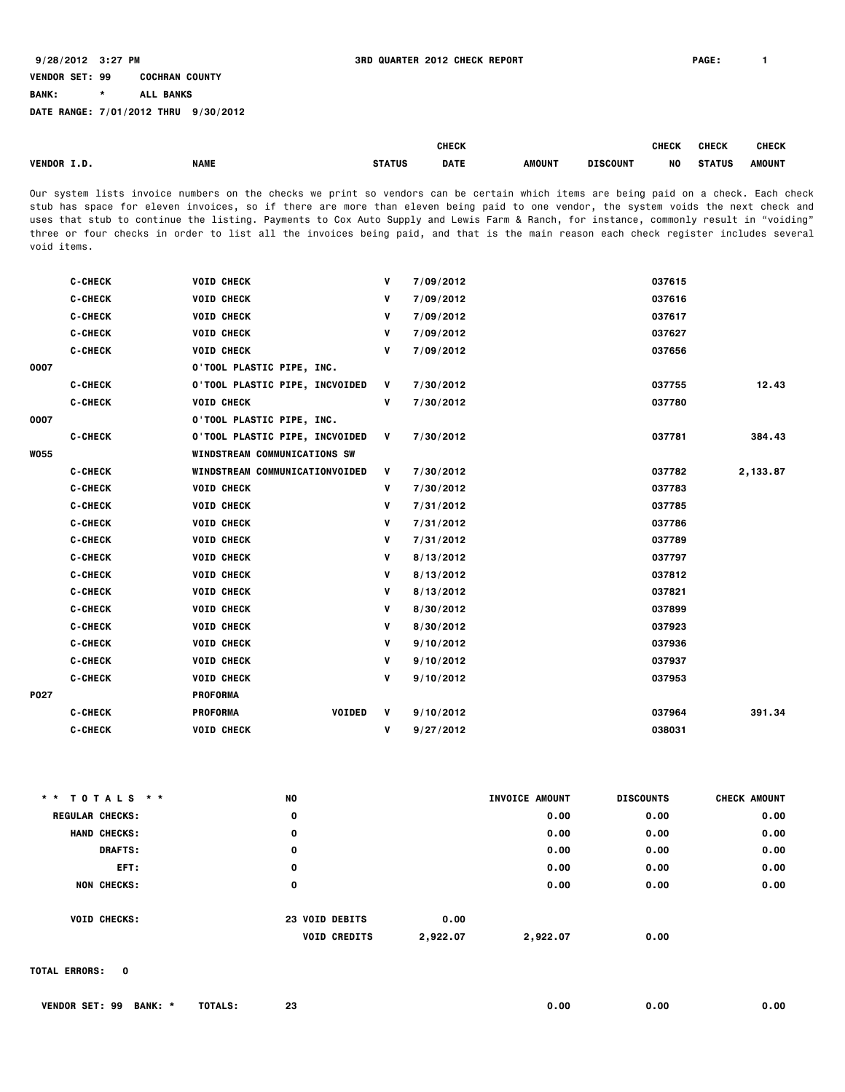**BANK: \* ALL BANKS**

**DATE RANGE: 7/01/2012 THRU 9/30/2012**

|                    |             |        | <b>CHECK</b> |               |                 | <b>CHECK</b> | <b>CHECK</b>  | <b>CHECK</b>  |
|--------------------|-------------|--------|--------------|---------------|-----------------|--------------|---------------|---------------|
| <b>VENDOR I.D.</b> | <b>NAME</b> | STATUS | <b>DATE</b>  | <b>AMOUNT</b> | <b>DISCOUNT</b> | NO           | <b>STATUS</b> | <b>AMOUNT</b> |

Our system lists invoice numbers on the checks we print so vendors can be certain which items are being paid on a check. Each check stub has space for eleven invoices, so if there are more than eleven being paid to one vendor, the system voids the next check and uses that stub to continue the listing. Payments to Cox Auto Supply and Lewis Farm & Ranch, for instance, commonly result in "voiding" three or four checks in order to list all the invoices being paid, and that is the main reason each check register includes several void items.

| <b>C-CHECK</b> | <b>VOID CHECK</b> | ۷                                                                                                                                                                                         | 7/09/2012                                        | 037615 |          |
|----------------|-------------------|-------------------------------------------------------------------------------------------------------------------------------------------------------------------------------------------|--------------------------------------------------|--------|----------|
| <b>C-CHECK</b> | <b>VOID CHECK</b> | V                                                                                                                                                                                         | 7/09/2012                                        | 037616 |          |
| <b>C-CHECK</b> | <b>VOID CHECK</b> | V                                                                                                                                                                                         | 7/09/2012                                        | 037617 |          |
| <b>C-CHECK</b> | <b>VOID CHECK</b> | v                                                                                                                                                                                         | 7/09/2012                                        | 037627 |          |
| <b>C-CHECK</b> | <b>VOID CHECK</b> | v                                                                                                                                                                                         | 7/09/2012                                        | 037656 |          |
|                |                   |                                                                                                                                                                                           |                                                  |        |          |
| <b>C-CHECK</b> |                   |                                                                                                                                                                                           | 7/30/2012                                        | 037755 | 12.43    |
| <b>C-CHECK</b> | <b>VOID CHECK</b> | V                                                                                                                                                                                         | 7/30/2012                                        | 037780 |          |
|                |                   |                                                                                                                                                                                           |                                                  |        |          |
| <b>C-CHECK</b> |                   |                                                                                                                                                                                           | 7/30/2012                                        | 037781 | 384.43   |
|                |                   |                                                                                                                                                                                           |                                                  |        |          |
| <b>C-CHECK</b> |                   | V                                                                                                                                                                                         | 7/30/2012                                        | 037782 | 2,133.87 |
| <b>C-CHECK</b> | <b>VOID CHECK</b> | v                                                                                                                                                                                         | 7/30/2012                                        | 037783 |          |
| <b>C-CHECK</b> | <b>VOID CHECK</b> | ۷                                                                                                                                                                                         | 7/31/2012                                        | 037785 |          |
| <b>C-CHECK</b> | <b>VOID CHECK</b> | V                                                                                                                                                                                         | 7/31/2012                                        | 037786 |          |
| <b>C-CHECK</b> | <b>VOID CHECK</b> | ۷                                                                                                                                                                                         | 7/31/2012                                        | 037789 |          |
| <b>C-CHECK</b> | <b>VOID CHECK</b> | v                                                                                                                                                                                         | 8/13/2012                                        | 037797 |          |
| <b>C-CHECK</b> | <b>VOID CHECK</b> | ۷                                                                                                                                                                                         | 8/13/2012                                        | 037812 |          |
| <b>C-CHECK</b> | <b>VOID CHECK</b> | ۷                                                                                                                                                                                         | 8/13/2012                                        | 037821 |          |
| <b>C-CHECK</b> | <b>VOID CHECK</b> | ۷                                                                                                                                                                                         | 8/30/2012                                        | 037899 |          |
| <b>C-CHECK</b> | <b>VOID CHECK</b> | ۷                                                                                                                                                                                         | 8/30/2012                                        | 037923 |          |
| <b>C-CHECK</b> | <b>VOID CHECK</b> | v                                                                                                                                                                                         | 9/10/2012                                        | 037936 |          |
| <b>C-CHECK</b> | <b>VOID CHECK</b> | V                                                                                                                                                                                         | 9/10/2012                                        | 037937 |          |
| <b>C-CHECK</b> | <b>VOID CHECK</b> | V                                                                                                                                                                                         | 9/10/2012                                        | 037953 |          |
|                | <b>PROFORMA</b>   |                                                                                                                                                                                           |                                                  |        |          |
| <b>C-CHECK</b> | <b>PROFORMA</b>   | V                                                                                                                                                                                         | 9/10/2012                                        | 037964 | 391.34   |
| <b>C-CHECK</b> | <b>VOID CHECK</b> | ۷                                                                                                                                                                                         | 9/27/2012                                        | 038031 |          |
|                |                   | O'TOOL PLASTIC PIPE, INC.<br><b>O'TOOL PLASTIC PIPE, INCVOIDED</b><br><b>O'TOOL PLASTIC PIPE, INC.</b><br>WINDSTREAM COMMUNICATIONS SW<br>WINDSTREAM COMMUNICATIONVOIDED<br><b>VOIDED</b> | $\mathbf{V}$<br>0'TOOL PLASTIC PIPE, INCVOIDED V |        |          |

| * * TOTALS * *         | <b>NO</b> |                                 | INVOICE AMOUNT | <b>DISCOUNTS</b> | <b>CHECK AMOUNT</b> |
|------------------------|-----------|---------------------------------|----------------|------------------|---------------------|
| <b>REGULAR CHECKS:</b> | 0         |                                 | 0.00           | 0.00             | 0.00                |
| <b>HAND CHECKS:</b>    | 0         |                                 | 0.00           | 0.00             | 0.00                |
| <b>DRAFTS:</b>         | 0         |                                 | 0.00           | 0.00             | 0.00                |
| EFT:                   | 0         |                                 | 0.00           | 0.00             | 0.00                |
| <b>NON CHECKS:</b>     | 0         |                                 | 0.00           | 0.00             | 0.00                |
| <b>VOID CHECKS:</b>    |           | 23 VOID DEBITS<br>0.00          |                |                  |                     |
|                        |           | <b>VOID CREDITS</b><br>2,922.07 | 2,922.07       | 0.00             |                     |

**TOTAL ERRORS: 0**

| SET:<br><b>BANK.</b><br><b>VENDOR</b><br>99 | TOTALS.<br>. ت | c.<br>-47 | - OO | 0.00 | 0.00 |
|---------------------------------------------|----------------|-----------|------|------|------|
|---------------------------------------------|----------------|-----------|------|------|------|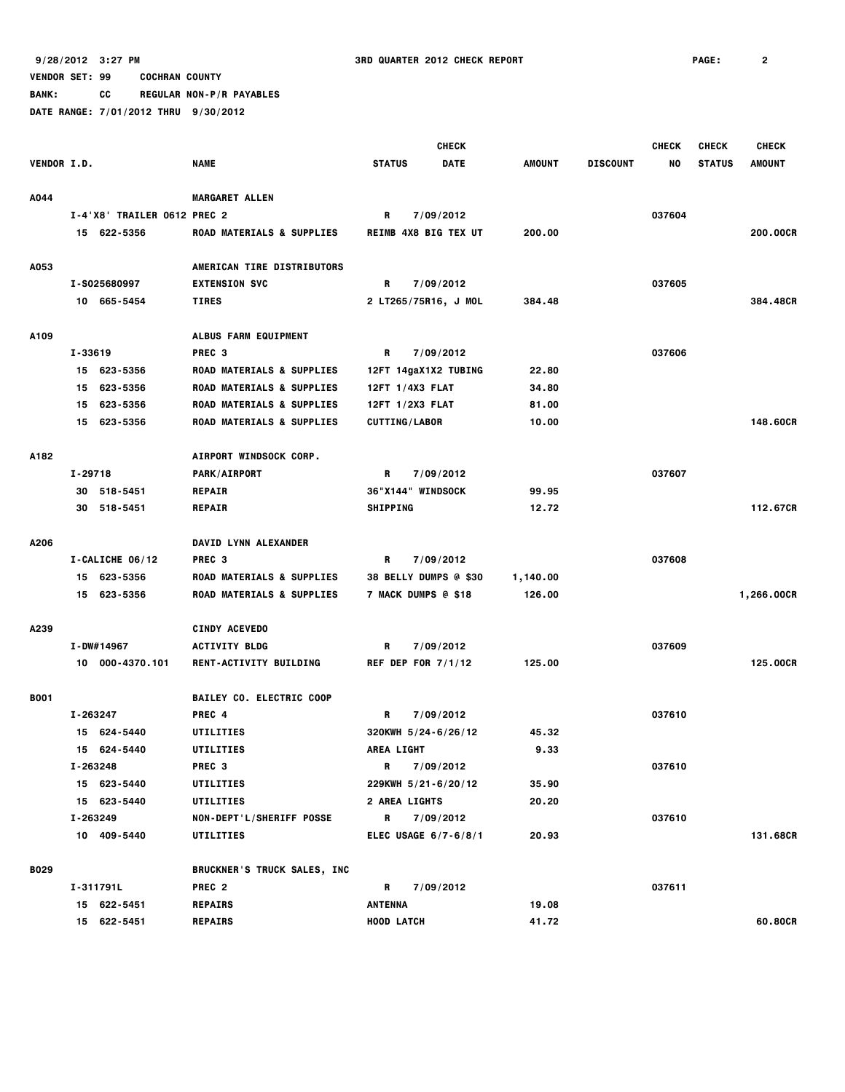**BANK: CC REGULAR NON-P/R PAYABLES**

|             |          |                             |                                      |                   |                      | <b>CHECK</b>                 |               |                 | <b>CHECK</b> | <b>CHECK</b>  | <b>CHECK</b>  |
|-------------|----------|-----------------------------|--------------------------------------|-------------------|----------------------|------------------------------|---------------|-----------------|--------------|---------------|---------------|
| VENDOR I.D. |          |                             | <b>NAME</b>                          | <b>STATUS</b>     |                      | <b>DATE</b>                  | <b>AMOUNT</b> | <b>DISCOUNT</b> | NO.          | <b>STATUS</b> | <b>AMOUNT</b> |
| A044        |          |                             | <b>MARGARET ALLEN</b>                |                   |                      |                              |               |                 |              |               |               |
|             |          | I-4'X8' TRAILER 0612 PREC 2 |                                      | R                 |                      | 7/09/2012                    |               |                 | 037604       |               |               |
|             |          | 15 622-5356                 | <b>ROAD MATERIALS &amp; SUPPLIES</b> |                   |                      | <b>REIMB 4X8 BIG TEX UT</b>  | 200.00        |                 |              |               | 200.00CR      |
| A053        |          |                             | AMERICAN TIRE DISTRIBUTORS           |                   |                      |                              |               |                 |              |               |               |
|             |          | I-S025680997                | <b>EXTENSION SVC</b>                 | R                 |                      | 7/09/2012                    |               |                 | 037605       |               |               |
|             |          | 10 665-5454                 | <b>TIRES</b>                         |                   |                      | 2 LT265/75R16, J MOL         | 384.48        |                 |              |               | 384.48CR      |
| A109        |          |                             | ALBUS FARM EQUIPMENT                 |                   |                      |                              |               |                 |              |               |               |
|             | I-33619  |                             | PREC <sub>3</sub>                    | R                 |                      | 7/09/2012                    |               |                 | 037606       |               |               |
|             |          | 15 623-5356                 | ROAD MATERIALS & SUPPLIES            |                   |                      | 12FT 14gaX1X2 TUBING         | 22.80         |                 |              |               |               |
|             |          | 15 623-5356                 | ROAD MATERIALS & SUPPLIES            |                   | 12FT 1/4X3 FLAT      |                              | 34.80         |                 |              |               |               |
|             |          | 15 623-5356                 | ROAD MATERIALS & SUPPLIES            |                   | 12FT 1/2X3 FLAT      |                              | 81.00         |                 |              |               |               |
|             |          | 15 623-5356                 | ROAD MATERIALS & SUPPLIES            |                   | <b>CUTTING/LABOR</b> |                              | 10.00         |                 |              |               | 148,60CR      |
| A182        |          |                             | AIRPORT WINDSOCK CORP.               |                   |                      |                              |               |                 |              |               |               |
|             | I-29718  |                             | <b>PARK/AIRPORT</b>                  | R                 |                      | 7/09/2012                    |               |                 | 037607       |               |               |
|             |          | 30 518-5451                 | <b>REPAIR</b>                        |                   | 36"X144" WINDSOCK    |                              | 99.95         |                 |              |               |               |
|             |          | 30 518-5451                 | <b>REPAIR</b>                        | <b>SHIPPING</b>   |                      |                              | 12.72         |                 |              |               | 112.67CR      |
| A206        |          |                             | DAVID LYNN ALEXANDER                 |                   |                      |                              |               |                 |              |               |               |
|             |          | I-CALICHE 06/12             | PREC <sub>3</sub>                    | R                 |                      | 7/09/2012                    |               |                 | 037608       |               |               |
|             |          | 15 623-5356                 | <b>ROAD MATERIALS &amp; SUPPLIES</b> |                   |                      | <b>38 BELLY DUMPS @ \$30</b> | 1,140.00      |                 |              |               |               |
|             |          | 15 623-5356                 | ROAD MATERIALS & SUPPLIES            |                   | 7 MACK DUMPS @ \$18  |                              | 126.00        |                 |              |               | 1,266.00CR    |
| A239        |          |                             | <b>CINDY ACEVEDO</b>                 |                   |                      |                              |               |                 |              |               |               |
|             |          | I-DW#14967                  | <b>ACTIVITY BLDG</b>                 | R                 |                      | 7/09/2012                    |               |                 | 037609       |               |               |
|             |          | 10 000-4370.101             | RENT-ACTIVITY BUILDING               |                   |                      | REF DEP FOR $7/1/12$         | 125.00        |                 |              |               | 125.00CR      |
| <b>B001</b> |          |                             | <b>BAILEY CO. ELECTRIC COOP</b>      |                   |                      |                              |               |                 |              |               |               |
|             | I-263247 |                             | PREC <sub>4</sub>                    | R                 |                      | 7/09/2012                    |               |                 | 037610       |               |               |
|             |          | 15 624-5440                 | UTILITIES                            |                   |                      | 320KWH 5/24-6/26/12          | 45.32         |                 |              |               |               |
|             |          | 15 624-5440                 | UTILITIES                            | <b>AREA LIGHT</b> |                      |                              | 9.33          |                 |              |               |               |
|             | I-263248 |                             | PREC 3                               | R                 |                      | 7/09/2012                    |               |                 | 037610       |               |               |
|             |          | 15 623-5440                 | UTILITIES                            |                   |                      | 229KWH 5/21-6/20/12          | 35.90         |                 |              |               |               |
|             |          | 15 623-5440                 | UTILITIES                            |                   | <b>2 AREA LIGHTS</b> |                              | 20.20         |                 |              |               |               |
|             |          | I-263249                    | NON-DEPT'L/SHERIFF POSSE             |                   | R 7/09/2012          |                              |               |                 | 037610       |               |               |
|             |          | 10 409-5440                 | UTILITIES                            |                   |                      | ELEC USAGE $6/7 - 6/8/1$     | 20.93         |                 |              |               | 131.68CR      |
| <b>B029</b> |          |                             | <b>BRUCKNER'S TRUCK SALES, INC</b>   |                   |                      |                              |               |                 |              |               |               |
|             |          | I-311791L                   | PREC <sub>2</sub>                    | R                 |                      | 7/09/2012                    |               |                 | 037611       |               |               |
|             |          | 15 622-5451                 | <b>REPAIRS</b>                       | <b>ANTENNA</b>    |                      |                              | 19.08         |                 |              |               |               |
|             |          | 15 622-5451                 | <b>REPAIRS</b>                       | <b>HOOD LATCH</b> |                      |                              | 41.72         |                 |              |               | 60.80CR       |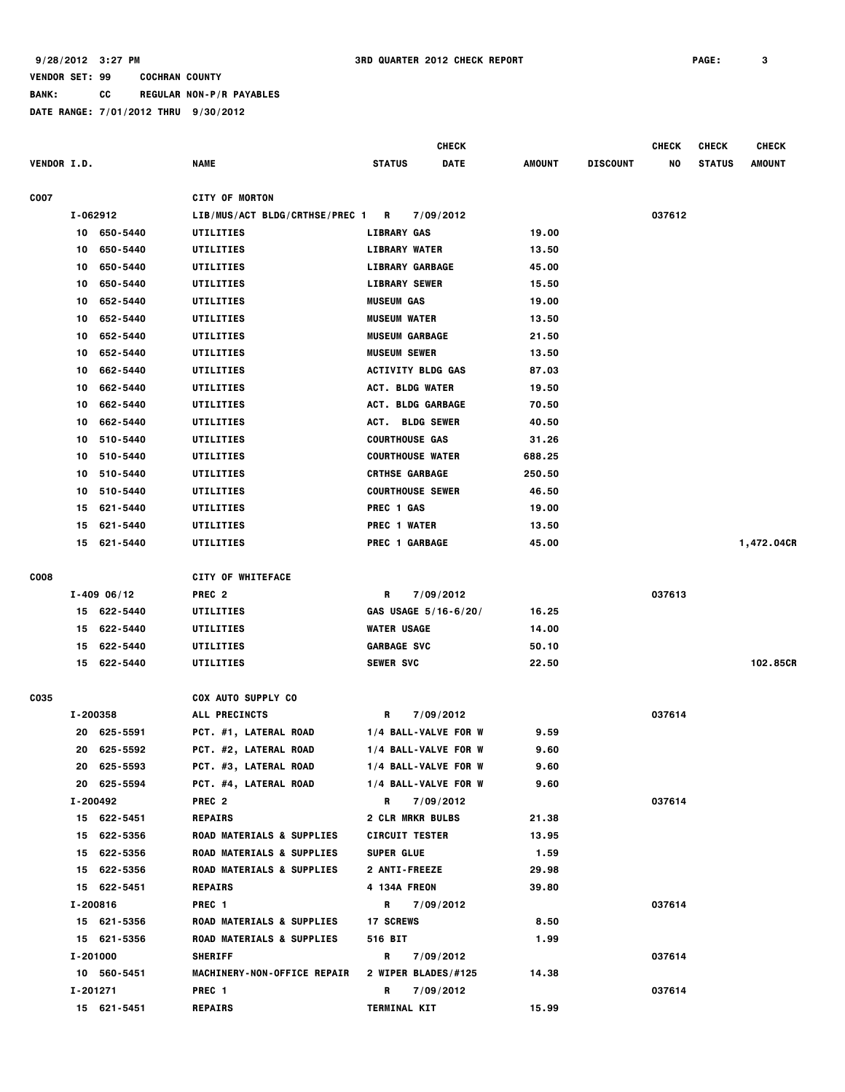**BANK: CC REGULAR NON-P/R PAYABLES**

|                    |    |               |                                      |                          | <b>CHECK</b>         |        |                 | CHECK  | <b>CHECK</b>  | <b>CHECK</b> |
|--------------------|----|---------------|--------------------------------------|--------------------------|----------------------|--------|-----------------|--------|---------------|--------------|
| <b>VENDOR I.D.</b> |    |               | <b>NAME</b>                          | <b>STATUS</b>            | DATE                 | AMOUNT | <b>DISCOUNT</b> | NO     | <b>STATUS</b> | AMOUNT       |
| <b>COO7</b>        |    |               | <b>CITY OF MORTON</b>                |                          |                      |        |                 |        |               |              |
|                    |    | I-062912      | LIB/MUS/ACT BLDG/CRTHSE/PREC 1 R     |                          | 7/09/2012            |        |                 | 037612 |               |              |
|                    |    | 10 650-5440   | UTILITIES                            | <b>LIBRARY GAS</b>       |                      | 19.00  |                 |        |               |              |
|                    | 10 | 650-5440      | UTILITIES                            | <b>LIBRARY WATER</b>     |                      | 13.50  |                 |        |               |              |
|                    | 10 | 650-5440      | UTILITIES                            | <b>LIBRARY GARBAGE</b>   |                      | 45.00  |                 |        |               |              |
|                    | 10 | 650-5440      | UTILITIES                            | <b>LIBRARY SEWER</b>     |                      | 15.50  |                 |        |               |              |
|                    | 10 | 652-5440      | UTILITIES                            | <b>MUSEUM GAS</b>        |                      | 19.00  |                 |        |               |              |
|                    | 10 | 652-5440      | UTILITIES                            | <b>MUSEUM WATER</b>      |                      | 13.50  |                 |        |               |              |
|                    | 10 | 652-5440      | UTILITIES                            | <b>MUSEUM GARBAGE</b>    |                      | 21.50  |                 |        |               |              |
|                    | 10 | 652-5440      | UTILITIES                            | <b>MUSEUM SEWER</b>      |                      | 13.50  |                 |        |               |              |
|                    | 10 | 662-5440      | UTILITIES                            | <b>ACTIVITY BLDG GAS</b> |                      | 87.03  |                 |        |               |              |
|                    | 10 | 662-5440      | UTILITIES                            | <b>ACT. BLDG WATER</b>   |                      | 19.50  |                 |        |               |              |
|                    | 10 | 662-5440      | UTILITIES                            | ACT. BLDG GARBAGE        |                      | 70.50  |                 |        |               |              |
|                    |    | 662-5440      | UTILITIES                            |                          |                      |        |                 |        |               |              |
|                    | 10 |               |                                      | ACT. BLDG SEWER          |                      | 40.50  |                 |        |               |              |
|                    | 10 | 510-5440      | UTILITIES                            | <b>COURTHOUSE GAS</b>    |                      | 31.26  |                 |        |               |              |
|                    | 10 | 510-5440      | UTILITIES                            | <b>COURTHOUSE WATER</b>  |                      | 688.25 |                 |        |               |              |
|                    | 10 | 510-5440      | UTILITIES                            | <b>CRTHSE GARBAGE</b>    |                      | 250.50 |                 |        |               |              |
|                    | 10 | 510-5440      | UTILITIES                            | <b>COURTHOUSE SEWER</b>  |                      | 46.50  |                 |        |               |              |
|                    | 15 | 621-5440      | UTILITIES                            | PREC 1 GAS               |                      | 19.00  |                 |        |               |              |
|                    | 15 | 621-5440      | UTILITIES                            | PREC 1 WATER             |                      | 13.50  |                 |        |               |              |
|                    | 15 | 621-5440      | UTILITIES                            | PREC 1 GARBAGE           |                      | 45.00  |                 |        |               | 1,472.04CR   |
| <b>COO8</b>        |    |               | <b>CITY OF WHITEFACE</b>             |                          |                      |        |                 |        |               |              |
|                    |    | $I-409$ 06/12 | PREC <sub>2</sub>                    | R                        | 7/09/2012            |        |                 | 037613 |               |              |
|                    |    | 15 622-5440   | UTILITIES                            |                          | GAS USAGE 5/16-6/20/ | 16.25  |                 |        |               |              |
|                    | 15 | 622-5440      |                                      | <b>WATER USAGE</b>       |                      | 14.00  |                 |        |               |              |
|                    |    |               | UTILITIES                            | <b>GARBAGE SVC</b>       |                      |        |                 |        |               |              |
|                    | 15 | 622-5440      | UTILITIES                            |                          |                      | 50.10  |                 |        |               | 102.85CR     |
|                    |    | 15 622-5440   | UTILITIES                            | <b>SEWER SVC</b>         |                      | 22.50  |                 |        |               |              |
| C035               |    |               | <b>COX AUTO SUPPLY CO</b>            |                          |                      |        |                 |        |               |              |
|                    |    | I-200358      | ALL PRECINCTS                        | R                        | 7/09/2012            |        |                 | 037614 |               |              |
|                    | 20 | 625-5591      | PCT. #1, LATERAL ROAD                |                          | 1/4 BALL-VALVE FOR W | 9.59   |                 |        |               |              |
|                    |    | 20 625-5592   | <b>PCT. #2, LATERAL ROAD</b>         |                          | 1/4 BALL-VALVE FOR W | 9.60   |                 |        |               |              |
|                    |    | 20 625-5593   | PCT. #3, LATERAL ROAD                |                          | 1/4 BALL-VALVE FOR W | 9.60   |                 |        |               |              |
|                    |    | 20 625-5594   | PCT. #4, LATERAL ROAD                |                          | 1/4 BALL-VALVE FOR W | 9.60   |                 |        |               |              |
|                    |    | I-200492      | PREC <sub>2</sub>                    | R.                       | 7/09/2012            |        |                 | 037614 |               |              |
|                    |    | 15 622-5451   | <b>REPAIRS</b>                       | <b>2 CLR MRKR BULBS</b>  |                      | 21.38  |                 |        |               |              |
|                    |    | 15 622-5356   | <b>ROAD MATERIALS &amp; SUPPLIES</b> | <b>CIRCUIT TESTER</b>    |                      | 13.95  |                 |        |               |              |
|                    |    | 15 622-5356   | <b>ROAD MATERIALS &amp; SUPPLIES</b> | <b>SUPER GLUE</b>        |                      | 1.59   |                 |        |               |              |
|                    |    | 15 622-5356   | <b>ROAD MATERIALS &amp; SUPPLIES</b> | 2 ANTI-FREEZE            |                      | 29.98  |                 |        |               |              |
|                    |    | 15 622-5451   | <b>REPAIRS</b>                       | 4 134A FREON             |                      | 39.80  |                 |        |               |              |
|                    |    | I-200816      | PREC 1                               |                          | R 7/09/2012          |        |                 | 037614 |               |              |
|                    |    | 15 621-5356   | <b>ROAD MATERIALS &amp; SUPPLIES</b> | <b>17 SCREWS</b>         |                      | 8.50   |                 |        |               |              |
|                    |    | 15 621-5356   | ROAD MATERIALS & SUPPLIES            | 516 BIT                  |                      | 1.99   |                 |        |               |              |
|                    |    | I-201000      | <b>SHERIFF</b>                       | R                        | 7/09/2012            |        |                 | 037614 |               |              |
|                    |    | 10 560-5451   | MACHINERY-NON-OFFICE REPAIR          |                          | 2 WIPER BLADES/#125  | 14.38  |                 |        |               |              |
|                    |    | I-201271      | PREC 1                               | R                        | 7/09/2012            |        |                 | 037614 |               |              |
|                    |    | 15 621-5451   | <b>REPAIRS</b>                       | <b>TERMINAL KIT</b>      |                      | 15.99  |                 |        |               |              |
|                    |    |               |                                      |                          |                      |        |                 |        |               |              |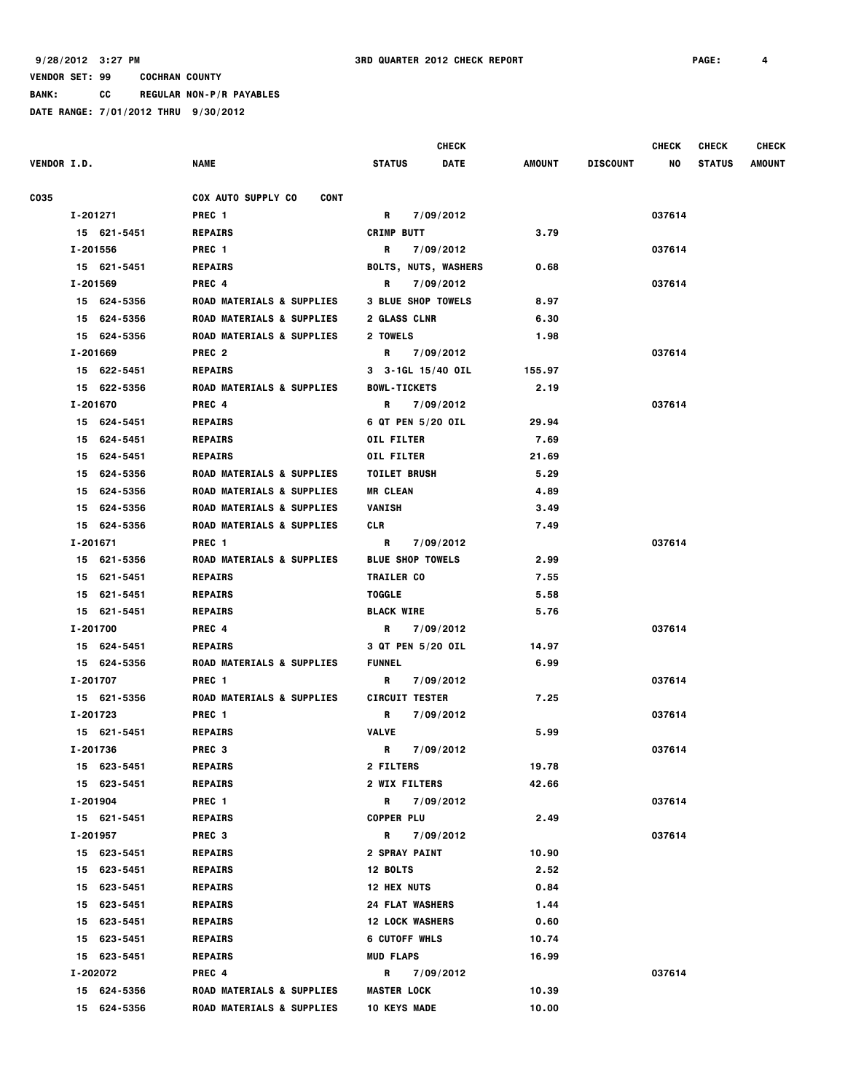**BANK: CC REGULAR NON-P/R PAYABLES**

|                    |                |                                          | <b>CHECK</b>                 |               |                 | <b>CHECK</b> | <b>CHECK</b>  | <b>CHECK</b>  |
|--------------------|----------------|------------------------------------------|------------------------------|---------------|-----------------|--------------|---------------|---------------|
| <b>VENDOR I.D.</b> |                | <b>NAME</b>                              | <b>STATUS</b><br><b>DATE</b> | <b>AMOUNT</b> | <b>DISCOUNT</b> | NO           | <b>STATUS</b> | <b>AMOUNT</b> |
| C035               |                | <b>COX AUTO SUPPLY CO</b><br><b>CONT</b> |                              |               |                 |              |               |               |
|                    | I-201271       | PREC <sub>1</sub>                        | R<br>7/09/2012               |               |                 | 037614       |               |               |
|                    | 15 621-5451    | <b>REPAIRS</b>                           | <b>CRIMP BUTT</b>            | 3.79          |                 |              |               |               |
|                    | I-201556       | PREC <sub>1</sub>                        | R<br>7/09/2012               |               |                 | 037614       |               |               |
|                    | 15 621-5451    | <b>REPAIRS</b>                           | <b>BOLTS, NUTS, WASHERS</b>  | 0.68          |                 |              |               |               |
|                    | I-201569       | PREC 4                                   | R<br>7/09/2012               |               |                 | 037614       |               |               |
|                    | 15 624-5356    | <b>ROAD MATERIALS &amp; SUPPLIES</b>     | <b>3 BLUE SHOP TOWELS</b>    | 8.97          |                 |              |               |               |
|                    | 15 624-5356    | <b>ROAD MATERIALS &amp; SUPPLIES</b>     | 2 GLASS CLNR                 | 6.30          |                 |              |               |               |
|                    | 15 624-5356    | <b>ROAD MATERIALS &amp; SUPPLIES</b>     | 2 TOWELS                     | 1.98          |                 |              |               |               |
|                    | I-201669       | PREC <sub>2</sub>                        | R<br>7/09/2012               |               |                 | 037614       |               |               |
|                    | 15 622-5451    | <b>REPAIRS</b>                           | 3 3-1GL 15/40 OIL            | 155.97        |                 |              |               |               |
|                    | 15 622-5356    | ROAD MATERIALS & SUPPLIES                | <b>BOWL-TICKETS</b>          | 2.19          |                 |              |               |               |
|                    | I-201670       | PREC 4                                   | 7/09/2012<br>R               |               |                 | 037614       |               |               |
|                    | 15 624-5451    | <b>REPAIRS</b>                           | 6 QT PEN 5/20 OIL            | 29.94         |                 |              |               |               |
|                    | 15 624-5451    | <b>REPAIRS</b>                           | <b>OIL FILTER</b>            | 7.69          |                 |              |               |               |
|                    | 15 624-5451    | <b>REPAIRS</b>                           | <b>OIL FILTER</b>            | 21.69         |                 |              |               |               |
|                    | 15 624-5356    | <b>ROAD MATERIALS &amp; SUPPLIES</b>     | <b>TOILET BRUSH</b>          | 5.29          |                 |              |               |               |
|                    | 624-5356<br>15 | ROAD MATERIALS & SUPPLIES                | <b>MR CLEAN</b>              | 4.89          |                 |              |               |               |
|                    | 15 624-5356    | <b>ROAD MATERIALS &amp; SUPPLIES</b>     | VANISH                       | 3.49          |                 |              |               |               |
|                    | 15 624-5356    | ROAD MATERIALS & SUPPLIES                | CLR                          | 7.49          |                 |              |               |               |
|                    | I-201671       | PREC <sub>1</sub>                        | R<br>7/09/2012               |               |                 | 037614       |               |               |
|                    | 15 621-5356    | <b>ROAD MATERIALS &amp; SUPPLIES</b>     | <b>BLUE SHOP TOWELS</b>      | 2.99          |                 |              |               |               |
|                    | 15 621-5451    | <b>REPAIRS</b>                           | <b>TRAILER CO</b>            | 7.55          |                 |              |               |               |
|                    | 15 621-5451    | <b>REPAIRS</b>                           | <b>TOGGLE</b>                | 5.58          |                 |              |               |               |
|                    | 15 621-5451    | <b>REPAIRS</b>                           | <b>BLACK WIRE</b>            | 5.76          |                 |              |               |               |
|                    | I-201700       | PREC 4                                   | R<br>7/09/2012               |               |                 | 037614       |               |               |
|                    | 15 624-5451    | <b>REPAIRS</b>                           | 3 QT PEN 5/20 OIL            | 14.97         |                 |              |               |               |
|                    | 15 624-5356    | <b>ROAD MATERIALS &amp; SUPPLIES</b>     | <b>FUNNEL</b>                | 6.99          |                 |              |               |               |
|                    | I-201707       | PREC <sub>1</sub>                        | R<br>7/09/2012               |               |                 | 037614       |               |               |
|                    | 15 621-5356    | <b>ROAD MATERIALS &amp; SUPPLIES</b>     | <b>CIRCUIT TESTER</b>        | 7.25          |                 |              |               |               |
|                    | I-201723       | PREC 1                                   | R<br>7/09/2012               |               |                 | 037614       |               |               |
|                    | 15 621-5451    | <b>REPAIRS</b>                           | <b>VALVE</b>                 | 5.99          |                 |              |               |               |
|                    | I-201736       | PREC <sub>3</sub>                        | R<br>7/09/2012               |               |                 | 037614       |               |               |
|                    | 15 623-5451    | REPAIRS                                  | <b>2 FILTERS</b>             | 19.78         |                 |              |               |               |
|                    | 15 623-5451    | <b>REPAIRS</b>                           | <b>2 WIX FILTERS</b>         | 42.66         |                 |              |               |               |
|                    | I-201904       | PREC 1                                   | R<br>7/09/2012               |               |                 | 037614       |               |               |
|                    | 15 621-5451    | <b>REPAIRS</b>                           | <b>COPPER PLU</b>            | 2.49          |                 |              |               |               |
|                    | I-201957       | PREC <sub>3</sub>                        | R<br>7/09/2012               |               |                 | 037614       |               |               |
|                    | 15 623-5451    | <b>REPAIRS</b>                           | <b>2 SPRAY PAINT</b>         | 10.90         |                 |              |               |               |
|                    | 15 623-5451    | <b>REPAIRS</b>                           | 12 BOLTS                     | 2.52          |                 |              |               |               |
|                    | 15 623-5451    | <b>REPAIRS</b>                           | <b>12 HEX NUTS</b>           | 0.84          |                 |              |               |               |
|                    | 15 623-5451    | <b>REPAIRS</b>                           | <b>24 FLAT WASHERS</b>       | 1.44          |                 |              |               |               |
|                    | 15 623-5451    | <b>REPAIRS</b>                           | <b>12 LOCK WASHERS</b>       | 0.60          |                 |              |               |               |
|                    | 15 623-5451    | <b>REPAIRS</b>                           | 6 CUTOFF WHLS                | 10.74         |                 |              |               |               |
|                    | 15 623-5451    | <b>REPAIRS</b>                           | <b>MUD FLAPS</b>             | 16.99         |                 |              |               |               |
|                    | I-202072       | PREC 4                                   | R.<br>7/09/2012              |               |                 | 037614       |               |               |
|                    | 15 624-5356    | <b>ROAD MATERIALS &amp; SUPPLIES</b>     | <b>MASTER LOCK</b>           | 10.39         |                 |              |               |               |
|                    | 15 624-5356    | <b>ROAD MATERIALS &amp; SUPPLIES</b>     | <b>10 KEYS MADE</b>          | 10.00         |                 |              |               |               |
|                    |                |                                          |                              |               |                 |              |               |               |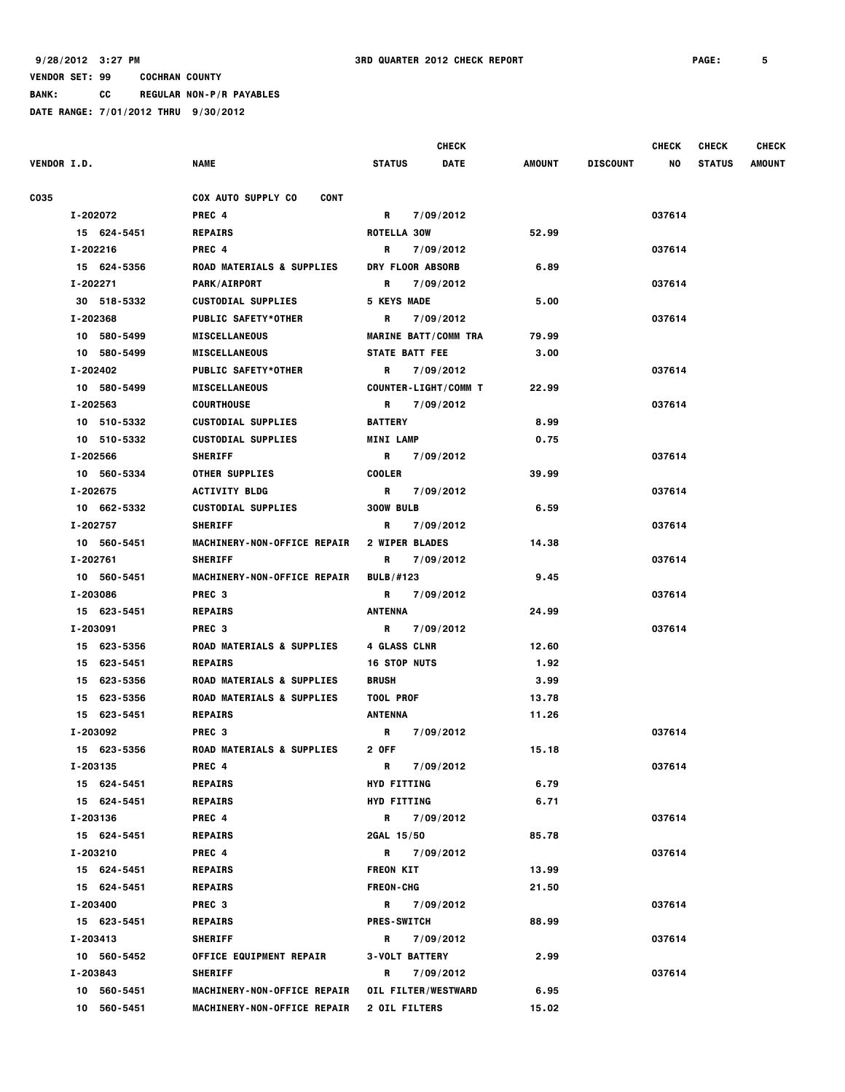**BANK: CC REGULAR NON-P/R PAYABLES**

|                    |             |                                          |                             | <b>CHECK</b>                |        |                 | <b>CHECK</b> | <b>CHECK</b>  | <b>CHECK</b>  |
|--------------------|-------------|------------------------------------------|-----------------------------|-----------------------------|--------|-----------------|--------------|---------------|---------------|
| <b>VENDOR I.D.</b> |             | <b>NAME</b>                              | <b>STATUS</b>               | <b>DATE</b>                 | AMOUNT | <b>DISCOUNT</b> | NO           | <b>STATUS</b> | <b>AMOUNT</b> |
| CO35               |             | <b>COX AUTO SUPPLY CO</b><br><b>CONT</b> |                             |                             |        |                 |              |               |               |
|                    | I-202072    | PREC 4                                   | R                           | 7/09/2012                   |        |                 | 037614       |               |               |
|                    | 15 624-5451 | <b>REPAIRS</b>                           | ROTELLA 30W                 |                             | 52.99  |                 |              |               |               |
|                    | I-202216    | PREC 4                                   | R                           | 7/09/2012                   |        |                 | 037614       |               |               |
|                    | 15 624-5356 | <b>ROAD MATERIALS &amp; SUPPLIES</b>     | DRY FLOOR ABSORB            |                             | 6.89   |                 |              |               |               |
|                    | I-202271    | <b>PARK/AIRPORT</b>                      | R                           | 7/09/2012                   |        |                 | 037614       |               |               |
|                    | 30 518-5332 | <b>CUSTODIAL SUPPLIES</b>                | <b>5 KEYS MADE</b>          |                             | 5.00   |                 |              |               |               |
|                    | I-202368    | <b>PUBLIC SAFETY*OTHER</b>               | R                           | 7/09/2012                   |        |                 | 037614       |               |               |
|                    | 10 580-5499 | <b>MISCELLANEOUS</b>                     | <b>MARINE BATT/COMM TRA</b> |                             | 79.99  |                 |              |               |               |
|                    | 10 580-5499 | <b>MISCELLANEOUS</b>                     | <b>STATE BATT FEE</b>       |                             | 3.00   |                 |              |               |               |
|                    | I-202402    | <b>PUBLIC SAFETY*OTHER</b>               | R                           | 7/09/2012                   |        |                 | 037614       |               |               |
|                    | 10 580-5499 | <b>MISCELLANEOUS</b>                     |                             | <b>COUNTER-LIGHT/COMM T</b> | 22.99  |                 |              |               |               |
|                    | I-202563    | COURTHOUSE                               | R                           | 7/09/2012                   |        |                 | 037614       |               |               |
|                    | 10 510-5332 | <b>CUSTODIAL SUPPLIES</b>                | <b>BATTERY</b>              |                             | 8.99   |                 |              |               |               |
|                    | 10 510-5332 | <b>CUSTODIAL SUPPLIES</b>                | <b>MINI LAMP</b>            |                             | 0.75   |                 |              |               |               |
|                    | I-202566    | <b>SHERIFF</b>                           | R 7/09/2012                 |                             |        |                 | 037614       |               |               |
|                    | 10 560-5334 | <b>OTHER SUPPLIES</b>                    | <b>COOLER</b>               |                             | 39.99  |                 |              |               |               |
|                    | I-202675    | <b>ACTIVITY BLDG</b>                     | R                           | 7/09/2012                   |        |                 | 037614       |               |               |
|                    | 10 662-5332 | <b>CUSTODIAL SUPPLIES</b>                | 300W BULB                   |                             | 6.59   |                 |              |               |               |
|                    | I-202757    | <b>SHERIFF</b>                           | R                           | 7/09/2012                   |        |                 | 037614       |               |               |
|                    | 10 560-5451 | <b>MACHINERY-NON-OFFICE REPAIR</b>       | <b>2 WIPER BLADES</b>       |                             | 14.38  |                 |              |               |               |
|                    | I-202761    | <b>SHERIFF</b>                           | R                           | 7/09/2012                   |        |                 | 037614       |               |               |
|                    | 10 560-5451 | <b>MACHINERY-NON-OFFICE REPAIR</b>       | <b>BULB/#123</b>            |                             | 9.45   |                 |              |               |               |
|                    | I-203086    | PREC <sub>3</sub>                        | R 7/09/2012                 |                             |        |                 | 037614       |               |               |
|                    | 15 623-5451 | <b>REPAIRS</b>                           | ANTENNA                     |                             | 24.99  |                 |              |               |               |
|                    | I-203091    | PREC 3                                   | R                           | 7/09/2012                   |        |                 | 037614       |               |               |
|                    | 15 623-5356 | <b>ROAD MATERIALS &amp; SUPPLIES</b>     | 4 GLASS CLNR                |                             | 12.60  |                 |              |               |               |
|                    | 15 623-5451 | <b>REPAIRS</b>                           | <b>16 STOP NUTS</b>         |                             | 1.92   |                 |              |               |               |
|                    | 15 623-5356 | <b>ROAD MATERIALS &amp; SUPPLIES</b>     | <b>BRUSH</b>                |                             | 3.99   |                 |              |               |               |
|                    | 15 623-5356 | ROAD MATERIALS & SUPPLIES                | <b>TOOL PROF</b>            |                             | 13.78  |                 |              |               |               |
|                    | 15 623-5451 | <b>REPAIRS</b>                           | ANTENNA                     |                             | 11.26  |                 |              |               |               |
|                    | I-203092    | PREC <sub>3</sub>                        | R                           | 7/09/2012                   |        |                 | 037614       |               |               |
|                    | 15 623-5356 | ROAD MATERIALS & SUPPLIES                | 2 OFF                       |                             | 15.18  |                 |              |               |               |
|                    | I-203135    | PREC 4                                   | R                           | 7/09/2012                   |        |                 | 037614       |               |               |
|                    | 15 624-5451 | <b>REPAIRS</b>                           | <b>HYD FITTING</b>          |                             | 6.79   |                 |              |               |               |
|                    | 15 624-5451 | <b>REPAIRS</b>                           | <b>HYD FITTING</b>          |                             | 6.71   |                 |              |               |               |
|                    | I-203136    | PREC 4                                   | R                           | 7/09/2012                   |        |                 | 037614       |               |               |
|                    | 15 624-5451 | <b>REPAIRS</b>                           | 2GAL 15/50                  |                             | 85.78  |                 |              |               |               |
|                    | I-203210    | PREC 4                                   | R 7/09/2012                 |                             |        |                 | 037614       |               |               |
|                    | 15 624-5451 | <b>REPAIRS</b>                           | <b>FREON KIT</b>            |                             | 13.99  |                 |              |               |               |
|                    | 15 624-5451 | <b>REPAIRS</b>                           | <b>FREON-CHG</b>            |                             | 21.50  |                 |              |               |               |
|                    | I-203400    | PREC 3                                   | R 7/09/2012                 |                             |        |                 | 037614       |               |               |
|                    | 15 623-5451 | <b>REPAIRS</b>                           | <b>PRES-SWITCH</b>          |                             | 88.99  |                 |              |               |               |
|                    | I-203413    | <b>SHERIFF</b>                           | R                           | 7/09/2012                   |        |                 | 037614       |               |               |
|                    | 10 560-5452 | <b>OFFICE EQUIPMENT REPAIR</b>           | <b>3-VOLT BATTERY</b>       |                             | 2.99   |                 |              |               |               |
|                    | I-203843    | <b>SHERIFF</b>                           | R                           | 7/09/2012                   |        |                 | 037614       |               |               |
|                    | 10 560-5451 | <b>MACHINERY-NON-OFFICE REPAIR</b>       | OIL FILTER/WESTWARD         |                             | 6.95   |                 |              |               |               |
|                    | 10 560-5451 | <b>MACHINERY-NON-OFFICE REPAIR</b>       | <b>2 OIL FILTERS</b>        |                             | 15.02  |                 |              |               |               |
|                    |             |                                          |                             |                             |        |                 |              |               |               |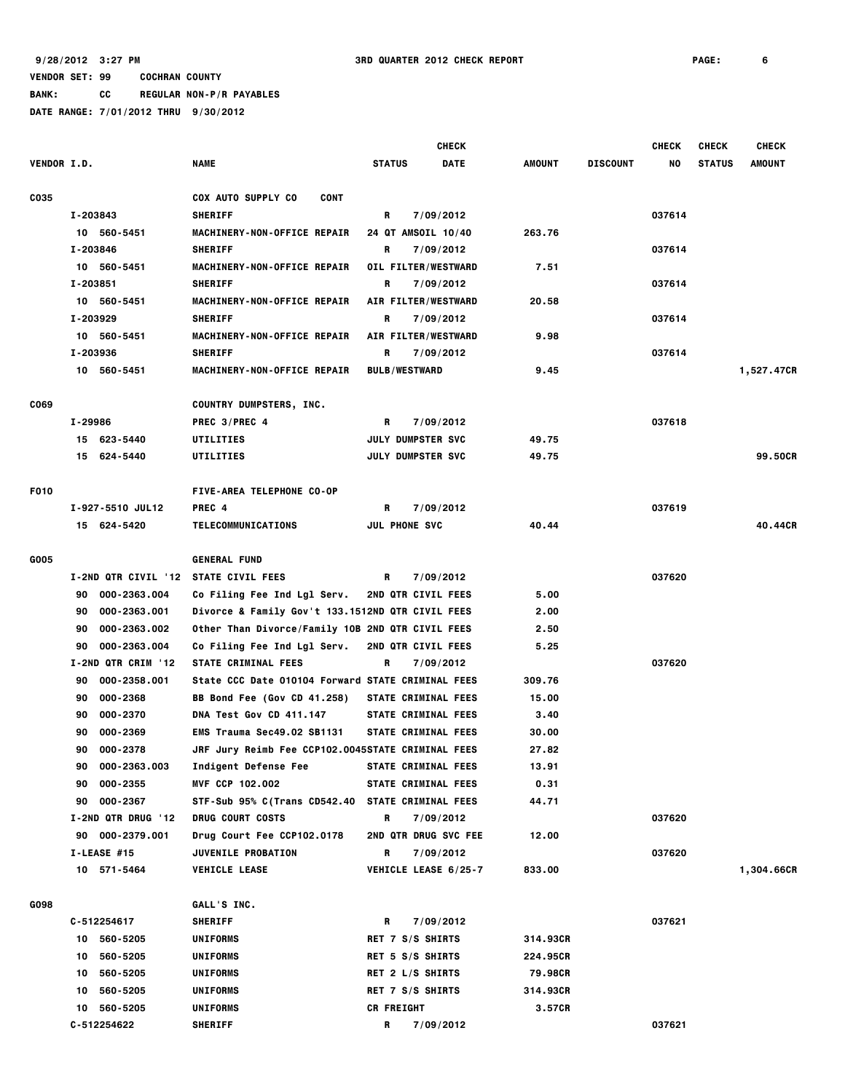**BANK: CC REGULAR NON-P/R PAYABLES**

|                    |                                      |                                                   |                            | <b>CHECK</b> |               |                 | <b>CHECK</b> | <b>CHECK</b>  | <b>CHECK</b> |
|--------------------|--------------------------------------|---------------------------------------------------|----------------------------|--------------|---------------|-----------------|--------------|---------------|--------------|
| <b>VENDOR I.D.</b> |                                      | <b>NAME</b>                                       | <b>STATUS</b>              | <b>DATE</b>  | <b>AMOUNT</b> | <b>DISCOUNT</b> | NO           | <b>STATUS</b> | AMOUNT       |
| C035               |                                      | COX AUTO SUPPLY CO<br><b>CONT</b>                 |                            |              |               |                 |              |               |              |
|                    | I-203843                             | <b>SHERIFF</b>                                    | R                          | 7/09/2012    |               |                 | 037614       |               |              |
|                    | 10 560-5451                          | MACHINERY-NON-OFFICE REPAIR                       | 24 QT AMSOIL 10/40         |              | 263.76        |                 |              |               |              |
|                    | I-203846                             | <b>SHERIFF</b>                                    | R                          | 7/09/2012    |               |                 | 037614       |               |              |
|                    | 10 560-5451                          | MACHINERY-NON-OFFICE REPAIR                       | OIL FILTER/WESTWARD        |              | 7.51          |                 |              |               |              |
|                    | I-203851                             | <b>SHERIFF</b>                                    | R                          | 7/09/2012    |               |                 | 037614       |               |              |
|                    | 10 560-5451                          | MACHINERY-NON-OFFICE REPAIR                       | AIR FILTER/WESTWARD        |              | 20.58         |                 |              |               |              |
|                    | I-203929                             | <b>SHERIFF</b>                                    | R                          | 7/09/2012    |               |                 | 037614       |               |              |
|                    | 10 560-5451                          | MACHINERY-NON-OFFICE REPAIR                       | AIR FILTER/WESTWARD        |              | 9.98          |                 |              |               |              |
|                    | I-203936                             | <b>SHERIFF</b>                                    | R                          | 7/09/2012    |               |                 | 037614       |               |              |
|                    | 10 560-5451                          | MACHINERY-NON-OFFICE REPAIR                       | <b>BULB/WESTWARD</b>       |              | 9.45          |                 |              |               | 1,527.47CR   |
| C069               |                                      | COUNTRY DUMPSTERS, INC.                           |                            |              |               |                 |              |               |              |
|                    | I-29986                              | PREC 3/PREC 4                                     | R                          | 7/09/2012    |               |                 | 037618       |               |              |
|                    | 15 623-5440                          | UTILITIES                                         | <b>JULY DUMPSTER SVC</b>   |              | 49.75         |                 |              |               |              |
|                    | 15 624-5440                          | UTILITIES                                         | <b>JULY DUMPSTER SVC</b>   |              | 49.75         |                 |              |               | 99,50CR      |
| F010               |                                      | <b>FIVE-AREA TELEPHONE CO-OP</b>                  |                            |              |               |                 |              |               |              |
|                    | I-927-5510 JUL12                     | PREC 4                                            | R                          | 7/09/2012    |               |                 | 037619       |               |              |
|                    | 15 624-5420                          | TELECOMMUNICATIONS                                | <b>JUL PHONE SVC</b>       |              | 40.44         |                 |              |               | 40.44CR      |
| G005               |                                      | <b>GENERAL FUND</b>                               |                            |              |               |                 |              |               |              |
|                    | I-2ND QTR CIVIL '12 STATE CIVIL FEES |                                                   | R                          | 7/09/2012    |               |                 | 037620       |               |              |
|                    | 000-2363.004<br>90                   | Co Filing Fee Ind Lgl Serv.                       | <b>2ND QTR CIVIL FEES</b>  |              | 5.00          |                 |              |               |              |
|                    | 000-2363.001<br>90                   | Divorce & Family Gov't 133.1512ND QTR CIVIL FEES  |                            |              | 2.00          |                 |              |               |              |
|                    | 000-2363.002<br>90                   | Other Than Divorce/Family 10B 2ND QTR CIVIL FEES  |                            |              | 2.50          |                 |              |               |              |
|                    | 000-2363.004<br>90                   | Co Filing Fee Ind Lgl Serv.                       | 2ND QTR CIVIL FEES         |              | 5.25          |                 |              |               |              |
|                    | I-2ND QTR CRIM '12                   | STATE CRIMINAL FEES                               | R                          | 7/09/2012    |               |                 | 037620       |               |              |
|                    | 000-2358.001<br>90                   | State CCC Date 010104 Forward STATE CRIMINAL FEES |                            |              | 309.76        |                 |              |               |              |
|                    | 000-2368<br>90                       | BB Bond Fee (Gov CD 41.258)                       | STATE CRIMINAL FEES        |              | 15.00         |                 |              |               |              |
|                    | 000-2370<br>90                       | DNA Test Gov CD 411.147                           | STATE CRIMINAL FEES        |              | 3.40          |                 |              |               |              |
|                    | 000-2369<br>90                       | EMS Trauma Sec49.02 SB1131                        | STATE CRIMINAL FEES        |              | 30.00         |                 |              |               |              |
|                    | 90<br>000-2378                       | JRF Jury Reimb Fee CCP102.0045STATE CRIMINAL FEES |                            |              | 27.82         |                 |              |               |              |
|                    | 90 000-2363.003                      | Indigent Defense Fee                              | <b>STATE CRIMINAL FEES</b> |              | 13.91         |                 |              |               |              |
|                    | 90 000-2355                          | MVF CCP 102.002                                   | <b>STATE CRIMINAL FEES</b> |              | 0.31          |                 |              |               |              |
|                    | 90 000-2367                          | STF-Sub 95% C(Trans CD542.40 STATE CRIMINAL FEES  |                            |              | 44.71         |                 |              |               |              |
|                    | I-2ND QTR DRUG '12                   | <b>DRUG COURT COSTS</b>                           | R                          | 7/09/2012    |               |                 | 037620       |               |              |
|                    | 90 000-2379.001                      | Drug Court Fee CCP102.0178                        | 2ND QTR DRUG SVC FEE       |              | 12.00         |                 |              |               |              |
|                    | I-LEASE #15                          | <b>JUVENILE PROBATION</b>                         | R                          | 7/09/2012    |               |                 | 037620       |               |              |
|                    | 10 571-5464                          | <b>VEHICLE LEASE</b>                              | VEHICLE LEASE 6/25-7       |              | 833.00        |                 |              |               | 1,304.66CR   |
| G098               |                                      |                                                   |                            |              |               |                 |              |               |              |
|                    | C-512254617                          | GALL'S INC.<br><b>SHERIFF</b>                     | R                          | 7/09/2012    |               |                 | 037621       |               |              |
|                    | 10 560-5205                          | <b>UNIFORMS</b>                                   | RET 7 S/S SHIRTS           |              | 314.93CR      |                 |              |               |              |
|                    | 10 560-5205                          | <b>UNIFORMS</b>                                   | RET 5 S/S SHIRTS           |              | 224.95CR      |                 |              |               |              |
|                    | 560-5205<br>10                       | UNIFORMS                                          | RET 2 L/S SHIRTS           |              | 79.98CR       |                 |              |               |              |
|                    | 10 560-5205                          | <b>UNIFORMS</b>                                   | RET 7 S/S SHIRTS           |              | 314.93CR      |                 |              |               |              |
|                    | 10 560-5205                          | UNIFORMS                                          | <b>CR FREIGHT</b>          |              | 3.57CR        |                 |              |               |              |
|                    | C-512254622                          | <b>SHERIFF</b>                                    | R                          | 7/09/2012    |               |                 | 037621       |               |              |
|                    |                                      |                                                   |                            |              |               |                 |              |               |              |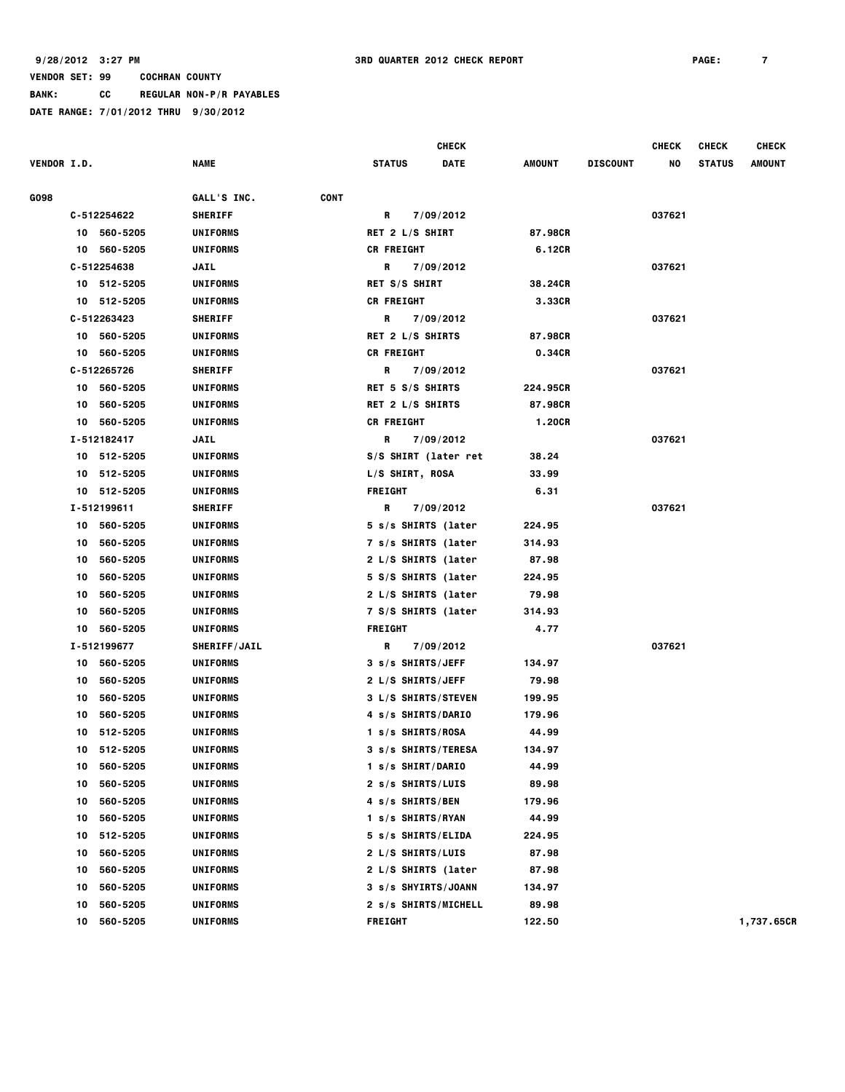**BANK: CC REGULAR NON-P/R PAYABLES**

|                    |    |             |                     |             |                      | CHECK       |          |                 | <b>CHECK</b> | <b>CHECK</b>  | <b>CHECK</b>  |
|--------------------|----|-------------|---------------------|-------------|----------------------|-------------|----------|-----------------|--------------|---------------|---------------|
| <b>VENDOR I.D.</b> |    |             | NAME                |             | <b>STATUS</b>        | <b>DATE</b> | AMOUNT   | <b>DISCOUNT</b> | NO           | <b>STATUS</b> | <b>AMOUNT</b> |
| G098               |    |             | GALL'S INC.         | <b>CONT</b> |                      |             |          |                 |              |               |               |
|                    |    | C-512254622 | <b>SHERIFF</b>      |             | R                    | 7/09/2012   |          |                 | 037621       |               |               |
|                    |    | 10 560-5205 | <b>UNIFORMS</b>     |             | RET 2 L/S SHIRT      |             | 87.98CR  |                 |              |               |               |
|                    |    | 10 560-5205 | <b>UNIFORMS</b>     |             | <b>CR FREIGHT</b>    |             | 6.12CR   |                 |              |               |               |
|                    |    | C-512254638 | JAIL                |             | R                    | 7/09/2012   |          |                 | 037621       |               |               |
|                    |    | 10 512-5205 | <b>UNIFORMS</b>     |             | RET S/S SHIRT        |             | 38.24CR  |                 |              |               |               |
|                    | 10 | 512-5205    | <b>UNIFORMS</b>     |             | <b>CR FREIGHT</b>    |             | 3.33CR   |                 |              |               |               |
|                    |    | C-512263423 | <b>SHERIFF</b>      |             | R                    | 7/09/2012   |          |                 | 037621       |               |               |
|                    |    | 10 560-5205 | <b>UNIFORMS</b>     |             | RET 2 L/S SHIRTS     |             | 87.98CR  |                 |              |               |               |
|                    | 10 | 560-5205    | <b>UNIFORMS</b>     |             | <b>CR FREIGHT</b>    |             | 0.34CR   |                 |              |               |               |
|                    |    | C-512265726 | <b>SHERIFF</b>      |             | R                    | 7/09/2012   |          |                 | 037621       |               |               |
|                    |    | 10 560-5205 | <b>UNIFORMS</b>     |             | RET 5 S/S SHIRTS     |             | 224.95CR |                 |              |               |               |
|                    | 10 | 560-5205    | <b>UNIFORMS</b>     |             | RET 2 L/S SHIRTS     |             | 87.98CR  |                 |              |               |               |
|                    | 10 | 560-5205    | <b>UNIFORMS</b>     |             | <b>CR FREIGHT</b>    |             | 1.20CR   |                 |              |               |               |
|                    |    | I-512182417 | JAIL                |             | R                    | 7/09/2012   |          |                 | 037621       |               |               |
|                    |    | 10 512-5205 | <b>UNIFORMS</b>     |             | S/S SHIRT (later ret |             | 38.24    |                 |              |               |               |
|                    | 10 | 512-5205    | <b>UNIFORMS</b>     |             | L/S SHIRT, ROSA      |             | 33.99    |                 |              |               |               |
|                    |    | 10 512-5205 | <b>UNIFORMS</b>     |             | <b>FREIGHT</b>       |             | 6.31     |                 |              |               |               |
|                    |    | I-512199611 | <b>SHERIFF</b>      |             | R                    | 7/09/2012   |          |                 | 037621       |               |               |
|                    | 10 | 560-5205    | <b>UNIFORMS</b>     |             | 5 s/s SHIRTS (later  |             | 224.95   |                 |              |               |               |
|                    | 10 | 560-5205    | <b>UNIFORMS</b>     |             | 7 s/s SHIRTS (later  |             | 314.93   |                 |              |               |               |
|                    | 10 | 560-5205    | <b>UNIFORMS</b>     |             | 2 L/S SHIRTS (later  |             | 87.98    |                 |              |               |               |
|                    | 10 | 560-5205    | <b>UNIFORMS</b>     |             | 5 S/S SHIRTS (later  |             | 224.95   |                 |              |               |               |
|                    | 10 | 560-5205    | <b>UNIFORMS</b>     |             | 2 L/S SHIRTS (later  |             | 79.98    |                 |              |               |               |
|                    | 10 | 560-5205    | UNIFORMS            |             | 7 S/S SHIRTS (later  |             | 314.93   |                 |              |               |               |
|                    | 10 | 560-5205    | <b>UNIFORMS</b>     |             | <b>FREIGHT</b>       |             | 4.77     |                 |              |               |               |
|                    |    | I-512199677 | <b>SHERIFF/JAIL</b> |             | R                    | 7/09/2012   |          |                 | 037621       |               |               |
|                    | 10 | 560-5205    | <b>UNIFORMS</b>     |             | 3 s/s SHIRTS/JEFF    |             | 134.97   |                 |              |               |               |
|                    | 10 | 560-5205    | <b>UNIFORMS</b>     |             | 2 L/S SHIRTS/JEFF    |             | 79.98    |                 |              |               |               |
|                    | 10 | 560-5205    | <b>UNIFORMS</b>     |             | 3 L/S SHIRTS/STEVEN  |             | 199.95   |                 |              |               |               |
|                    | 10 | 560-5205    | <b>UNIFORMS</b>     |             | 4 s/s SHIRTS/DARIO   |             | 179.96   |                 |              |               |               |
|                    | 10 | 512-5205    | <b>UNIFORMS</b>     |             | 1 s/s SHIRTS/ROSA    |             | 44.99    |                 |              |               |               |
|                    | 10 | 512-5205    | <b>UNIFORMS</b>     |             | 3 s/s SHIRTS/TERESA  |             | 134.97   |                 |              |               |               |
|                    | 10 | 560-5205    | <b>UNIFORMS</b>     |             | 1 s/s SHIRT/DARIO    |             | 44.99    |                 |              |               |               |
|                    | 10 | 560-5205    | <b>UNIFORMS</b>     |             | 2 s/s SHIRTS/LUIS    |             | 89.98    |                 |              |               |               |
|                    | 10 | 560-5205    | <b>UNIFORMS</b>     |             | 4 s/s SHIRTS/BEN     |             | 179.96   |                 |              |               |               |
|                    | 10 | 560-5205    | <b>UNIFORMS</b>     |             | 1 s/s SHIRTS/RYAN    |             | 44.99    |                 |              |               |               |
|                    | 10 | 512-5205    | <b>UNIFORMS</b>     |             | 5 s/s SHIRTS/ELIDA   |             | 224.95   |                 |              |               |               |
|                    | 10 | 560-5205    | <b>UNIFORMS</b>     |             | 2 L/S SHIRTS/LUIS    |             | 87.98    |                 |              |               |               |
|                    | 10 | 560-5205    | <b>UNIFORMS</b>     |             | 2 L/S SHIRTS (later  |             | 87.98    |                 |              |               |               |
|                    | 10 | 560-5205    | <b>UNIFORMS</b>     |             | 3 s/s SHYIRTS/JOANN  |             | 134.97   |                 |              |               |               |
|                    | 10 | 560-5205    | <b>UNIFORMS</b>     |             | 2 s/s SHIRTS/MICHELL |             | 89.98    |                 |              |               |               |
|                    | 10 | 560-5205    | <b>UNIFORMS</b>     |             | <b>FREIGHT</b>       |             | 122.50   |                 |              |               | 1,737.65CR    |
|                    |    |             |                     |             |                      |             |          |                 |              |               |               |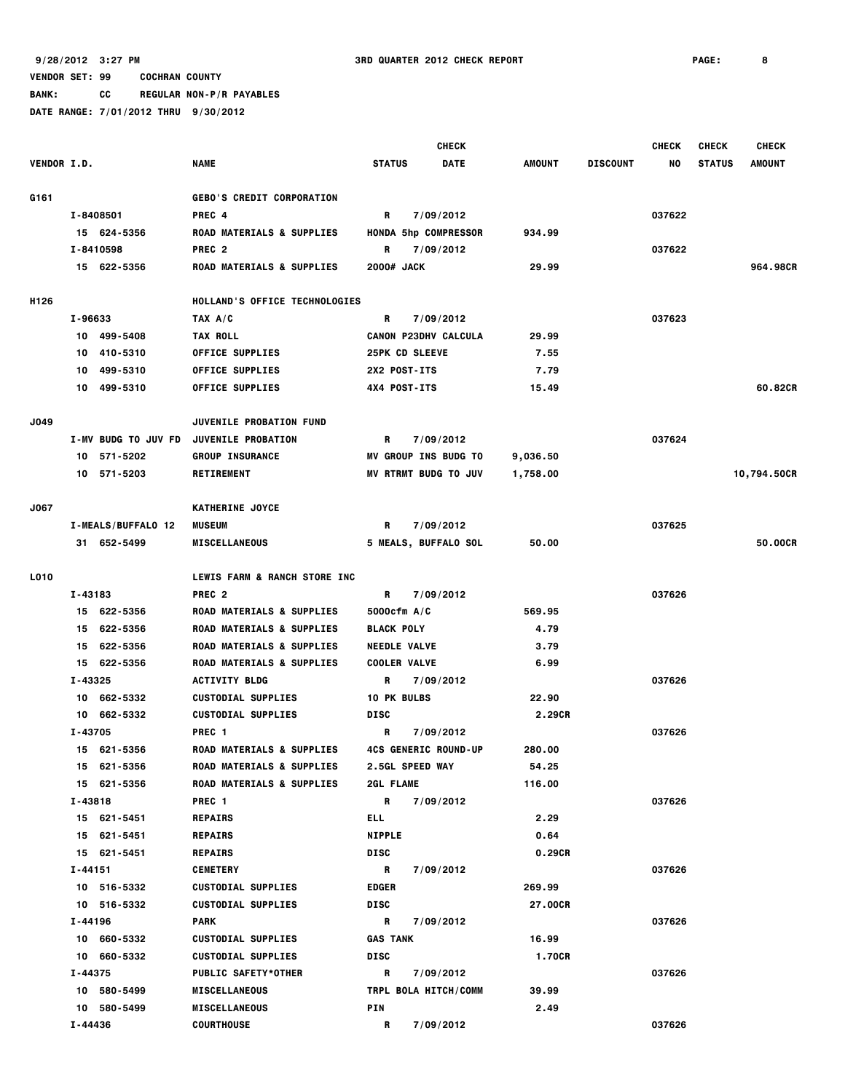**BANK: CC REGULAR NON-P/R PAYABLES**

|                    |                            |                                      | <b>CHECK</b>                |             |               |                 | <b>CHECK</b> | <b>CHECK</b>  | <b>CHECK</b>  |
|--------------------|----------------------------|--------------------------------------|-----------------------------|-------------|---------------|-----------------|--------------|---------------|---------------|
| <b>VENDOR I.D.</b> |                            | <b>NAME</b>                          | <b>STATUS</b>               | <b>DATE</b> | <b>AMOUNT</b> | <b>DISCOUNT</b> | NO           | <b>STATUS</b> | <b>AMOUNT</b> |
|                    |                            |                                      |                             |             |               |                 |              |               |               |
| G161               |                            | <b>GEBO'S CREDIT CORPORATION</b>     |                             |             |               |                 |              |               |               |
|                    | I-8408501                  | PREC <sub>4</sub>                    | R                           | 7/09/2012   |               |                 | 037622       |               |               |
|                    | 15 624-5356                | ROAD MATERIALS & SUPPLIES            | <b>HONDA 5hp COMPRESSOR</b> |             | 934.99        |                 |              |               |               |
|                    | I-8410598                  | PREC <sub>2</sub>                    | R                           | 7/09/2012   |               |                 | 037622       |               |               |
|                    | 15 622-5356                | ROAD MATERIALS & SUPPLIES            | 2000# JACK                  |             | 29.99         |                 |              |               | 964.98CR      |
| H126               |                            | HOLLAND'S OFFICE TECHNOLOGIES        |                             |             |               |                 |              |               |               |
|                    | I-96633                    | TAX A/C                              | R                           | 7/09/2012   |               |                 | 037623       |               |               |
|                    | 10 499-5408                | <b>TAX ROLL</b>                      | <b>CANON P23DHV CALCULA</b> |             | 29.99         |                 |              |               |               |
|                    | 10 410-5310                | <b>OFFICE SUPPLIES</b>               | <b>25PK CD SLEEVE</b>       |             | 7.55          |                 |              |               |               |
|                    | 499-5310<br>10             | <b>OFFICE SUPPLIES</b>               | 2X2 POST-ITS                |             | 7.79          |                 |              |               |               |
|                    | 10 499-5310                | <b>OFFICE SUPPLIES</b>               | 4X4 POST-ITS                |             | 15.49         |                 |              |               | 60.82CR       |
| J049               |                            | <b>JUVENILE PROBATION FUND</b>       |                             |             |               |                 |              |               |               |
|                    | <b>I-MV BUDG TO JUV FD</b> | <b>JUVENILE PROBATION</b>            | R                           | 7/09/2012   |               |                 | 037624       |               |               |
|                    | 10 571-5202                | <b>GROUP INSURANCE</b>               | <b>MV GROUP INS BUDG TO</b> |             | 9,036.50      |                 |              |               |               |
|                    | 10 571-5203                | <b>RETIREMENT</b>                    | MV RTRMT BUDG TO JUV        |             | 1,758.00      |                 |              |               | 10,794.50CR   |
|                    |                            |                                      |                             |             |               |                 |              |               |               |
| J067               |                            | <b>KATHERINE JOYCE</b>               |                             |             |               |                 |              |               |               |
|                    | I-MEALS/BUFFALO 12         | <b>MUSEUM</b>                        | R                           | 7/09/2012   |               |                 | 037625       |               |               |
|                    | 31 652-5499                | <b>MISCELLANEOUS</b>                 | <b>5 MEALS, BUFFALO SOL</b> |             | 50.00         |                 |              |               | 50,00CR       |
| L010               |                            | LEWIS FARM & RANCH STORE INC         |                             |             |               |                 |              |               |               |
|                    | I-43183                    | PREC <sub>2</sub>                    | R                           | 7/09/2012   |               |                 | 037626       |               |               |
|                    | 15 622-5356                | ROAD MATERIALS & SUPPLIES            | 5000cfm A/C                 |             | 569.95        |                 |              |               |               |
|                    | 15 622-5356                | ROAD MATERIALS & SUPPLIES            | <b>BLACK POLY</b>           |             | 4.79          |                 |              |               |               |
|                    | 15 622-5356                | ROAD MATERIALS & SUPPLIES            | <b>NEEDLE VALVE</b>         |             | 3.79          |                 |              |               |               |
|                    | 15 622-5356                | ROAD MATERIALS & SUPPLIES            | <b>COOLER VALVE</b>         |             | 6.99          |                 |              |               |               |
|                    | I-43325                    | <b>ACTIVITY BLDG</b>                 | R                           | 7/09/2012   |               |                 | 037626       |               |               |
|                    | 10 662-5332                | <b>CUSTODIAL SUPPLIES</b>            | <b>10 PK BULBS</b>          |             | 22.90         |                 |              |               |               |
|                    | 10 662-5332                | <b>CUSTODIAL SUPPLIES</b>            | DISC                        |             | 2.29CR        |                 |              |               |               |
|                    | I-43705                    | PREC <sub>1</sub>                    | R                           | 7/09/2012   |               |                 | 037626       |               |               |
|                    | 15 621-5356                | ROAD MATERIALS & SUPPLIES            | <b>4CS GENERIC ROUND-UP</b> |             | 280.00        |                 |              |               |               |
|                    | 15 621-5356                | <b>ROAD MATERIALS &amp; SUPPLIES</b> | <b>2.5GL SPEED WAY</b>      |             | 54.25         |                 |              |               |               |
|                    | 15 621-5356                | <b>ROAD MATERIALS &amp; SUPPLIES</b> | <b>2GL FLAME</b>            |             | 116.00        |                 |              |               |               |
|                    | I-43818                    | PREC 1                               | R                           | 7/09/2012   |               |                 | 037626       |               |               |
|                    | 15 621-5451                | <b>REPAIRS</b>                       | ELL.                        |             | 2.29          |                 |              |               |               |
|                    | 15 621-5451                | <b>REPAIRS</b>                       | <b>NIPPLE</b>               |             | 0.64          |                 |              |               |               |
|                    | 15 621-5451                | <b>REPAIRS</b>                       | <b>DISC</b>                 |             | 0.29CR        |                 |              |               |               |
|                    | I-44151                    | <b>CEMETERY</b>                      | R                           | 7/09/2012   |               |                 | 037626       |               |               |
|                    | 10 516-5332                | <b>CUSTODIAL SUPPLIES</b>            | <b>EDGER</b>                |             | 269.99        |                 |              |               |               |
|                    | 10 516-5332                | <b>CUSTODIAL SUPPLIES</b>            | <b>DISC</b>                 |             | 27.00CR       |                 |              |               |               |
|                    | I-44196                    | <b>PARK</b>                          | R                           | 7/09/2012   |               |                 | 037626       |               |               |
|                    | 10 660-5332                | <b>CUSTODIAL SUPPLIES</b>            | <b>GAS TANK</b>             |             | 16.99         |                 |              |               |               |
|                    | 10 660-5332                | <b>CUSTODIAL SUPPLIES</b>            | <b>DISC</b>                 |             | <b>1.70CR</b> |                 |              |               |               |
|                    | I-44375                    | <b>PUBLIC SAFETY*OTHER</b>           | R                           | 7/09/2012   |               |                 | 037626       |               |               |
|                    | 10 580-5499                | <b>MISCELLANEOUS</b>                 | TRPL BOLA HITCH/COMM        |             | 39.99         |                 |              |               |               |
|                    | 10 580-5499                | <b>MISCELLANEOUS</b>                 | PIN                         |             | 2.49          |                 |              |               |               |
|                    | I-44436                    | <b>COURTHOUSE</b>                    | R                           | 7/09/2012   |               |                 | 037626       |               |               |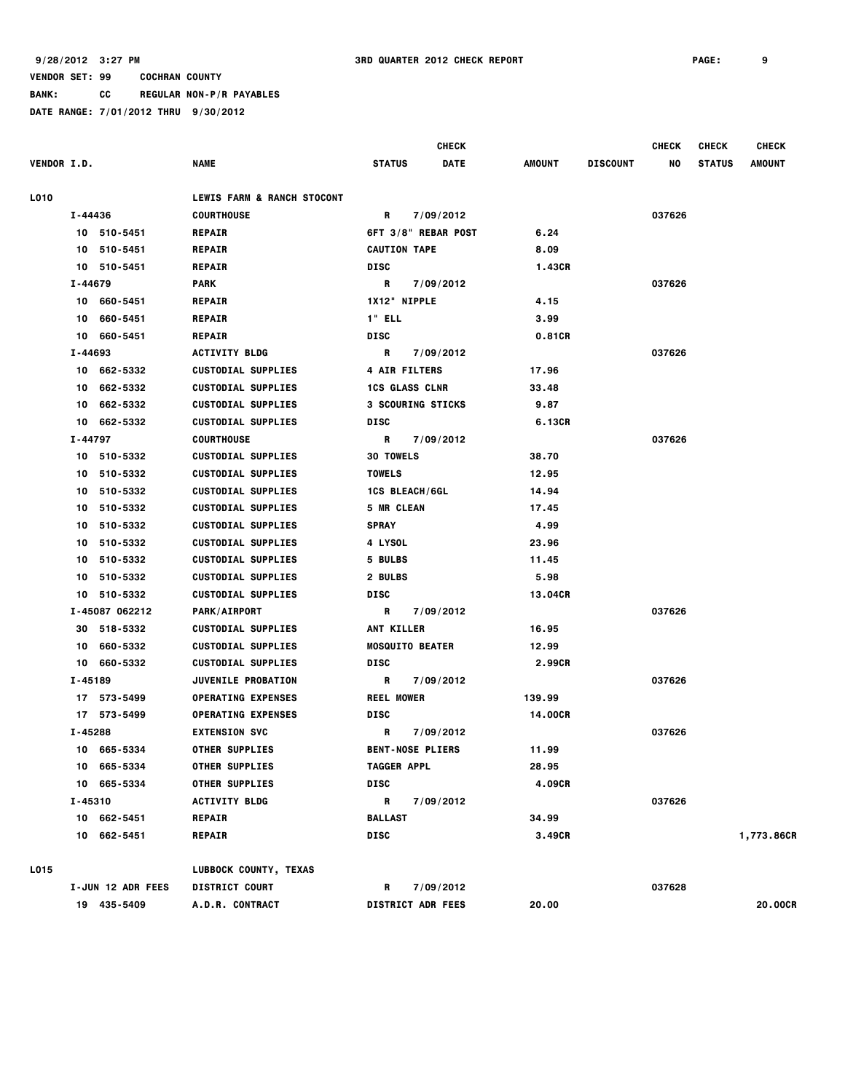**BANK: CC REGULAR NON-P/R PAYABLES**

|                    |         |                   |                                       |                      | <b>CHECK</b>             |         |                 | <b>CHECK</b> | <b>CHECK</b>  | <b>CHECK</b>   |
|--------------------|---------|-------------------|---------------------------------------|----------------------|--------------------------|---------|-----------------|--------------|---------------|----------------|
| <b>VENDOR I.D.</b> |         |                   | <b>NAME</b>                           | <b>STATUS</b>        | <b>DATE</b>              | AMOUNT  | <b>DISCOUNT</b> | NO           | <b>STATUS</b> | <b>AMOUNT</b>  |
| L010               |         |                   | <b>LEWIS FARM &amp; RANCH STOCONT</b> |                      |                          |         |                 |              |               |                |
|                    | I-44436 |                   | <b>COURTHOUSE</b>                     | R                    | 7/09/2012                |         |                 | 037626       |               |                |
|                    |         | 10 510-5451       | <b>REPAIR</b>                         |                      | 6FT 3/8" REBAR POST      | 6.24    |                 |              |               |                |
|                    | 10      | 510-5451          | <b>REPAIR</b>                         | <b>CAUTION TAPE</b>  |                          | 8.09    |                 |              |               |                |
|                    |         | 10 510-5451       | <b>REPAIR</b>                         | <b>DISC</b>          |                          | 1.43CR  |                 |              |               |                |
|                    | I-44679 |                   | <b>PARK</b>                           | R                    | 7/09/2012                |         |                 | 037626       |               |                |
|                    | 10      | 660-5451          | <b>REPAIR</b>                         | 1X12" NIPPLE         |                          | 4.15    |                 |              |               |                |
|                    | 10      | 660-5451          | <b>REPAIR</b>                         | 1" ELL               |                          | 3.99    |                 |              |               |                |
|                    | 10      | 660-5451          | <b>REPAIR</b>                         | <b>DISC</b>          |                          | 0.81CR  |                 |              |               |                |
|                    | I-44693 |                   | <b>ACTIVITY BLDG</b>                  | R                    | 7/09/2012                |         |                 | 037626       |               |                |
|                    | 10      | 662-5332          | <b>CUSTODIAL SUPPLIES</b>             | <b>4 AIR FILTERS</b> |                          | 17.96   |                 |              |               |                |
|                    | 10      | 662-5332          | <b>CUSTODIAL SUPPLIES</b>             |                      | <b>1CS GLASS CLNR</b>    | 33.48   |                 |              |               |                |
|                    | 10      | 662-5332          | <b>CUSTODIAL SUPPLIES</b>             |                      | 3 SCOURING STICKS        | 9.87    |                 |              |               |                |
|                    | 10      | 662-5332          | <b>CUSTODIAL SUPPLIES</b>             | <b>DISC</b>          |                          | 6.13CR  |                 |              |               |                |
|                    | I-44797 |                   | <b>COURTHOUSE</b>                     | R                    | 7/09/2012                |         |                 | 037626       |               |                |
|                    |         | 10 510-5332       | <b>CUSTODIAL SUPPLIES</b>             | <b>30 TOWELS</b>     |                          | 38.70   |                 |              |               |                |
|                    | 10      | 510-5332          | <b>CUSTODIAL SUPPLIES</b>             | <b>TOWELS</b>        |                          | 12.95   |                 |              |               |                |
|                    | 10      | 510-5332          | <b>CUSTODIAL SUPPLIES</b>             |                      | <b>1CS BLEACH/6GL</b>    | 14.94   |                 |              |               |                |
|                    | 10      | 510-5332          | <b>CUSTODIAL SUPPLIES</b>             | <b>5 MR CLEAN</b>    |                          | 17.45   |                 |              |               |                |
|                    | 10      | 510-5332          | <b>CUSTODIAL SUPPLIES</b>             | <b>SPRAY</b>         |                          | 4.99    |                 |              |               |                |
|                    | 10      | 510-5332          | <b>CUSTODIAL SUPPLIES</b>             | 4 LYSOL              |                          | 23.96   |                 |              |               |                |
|                    | 10      | 510-5332          | <b>CUSTODIAL SUPPLIES</b>             | 5 BULBS              |                          | 11.45   |                 |              |               |                |
|                    | 10      | 510-5332          | <b>CUSTODIAL SUPPLIES</b>             | 2 BULBS              |                          | 5.98    |                 |              |               |                |
|                    | 10      | 510-5332          | <b>CUSTODIAL SUPPLIES</b>             | <b>DISC</b>          |                          | 13.04CR |                 |              |               |                |
|                    |         | I-45087 062212    | <b>PARK/AIRPORT</b>                   | R                    | 7/09/2012                |         |                 | 037626       |               |                |
|                    |         | 30 518-5332       | <b>CUSTODIAL SUPPLIES</b>             | <b>ANT KILLER</b>    |                          | 16.95   |                 |              |               |                |
|                    | 10      | 660-5332          | <b>CUSTODIAL SUPPLIES</b>             |                      | <b>MOSQUITO BEATER</b>   | 12.99   |                 |              |               |                |
|                    |         | 10 660-5332       | <b>CUSTODIAL SUPPLIES</b>             | DISC                 |                          | 2.99CR  |                 |              |               |                |
|                    | I-45189 |                   | <b>JUVENILE PROBATION</b>             | R                    | 7/09/2012                |         |                 | 037626       |               |                |
|                    |         | 17 573-5499       | <b>OPERATING EXPENSES</b>             | <b>REEL MOWER</b>    |                          | 139.99  |                 |              |               |                |
|                    |         | 17 573-5499       | <b>OPERATING EXPENSES</b>             | DISC                 |                          | 14.00CR |                 |              |               |                |
|                    | I-45288 |                   | <b>EXTENSION SVC</b>                  | R                    | 7/09/2012                |         |                 | 037626       |               |                |
|                    |         | 10 665-5334       | <b>OTHER SUPPLIES</b>                 |                      | <b>BENT-NOSE PLIERS</b>  | 11.99   |                 |              |               |                |
|                    |         | 10 665-5334       | <b>OTHER SUPPLIES</b>                 | <b>TAGGER APPL</b>   |                          | 28.95   |                 |              |               |                |
|                    |         | 10 665-5334       | <b>OTHER SUPPLIES</b>                 | <b>DISC</b>          |                          | 4.09CR  |                 |              |               |                |
|                    | I-45310 |                   | <b>ACTIVITY BLDG</b>                  | R                    | 7/09/2012                |         |                 | 037626       |               |                |
|                    |         | 10 662-5451       | <b>REPAIR</b>                         | <b>BALLAST</b>       |                          | 34.99   |                 |              |               |                |
|                    |         | 10 662-5451       | <b>REPAIR</b>                         | <b>DISC</b>          |                          | 3.49CR  |                 |              |               | 1,773.86CR     |
| L015               |         |                   | LUBBOCK COUNTY, TEXAS                 |                      |                          |         |                 |              |               |                |
|                    |         | I-JUN 12 ADR FEES | <b>DISTRICT COURT</b>                 | R                    | 7/09/2012                |         |                 | 037628       |               |                |
|                    |         | 19 435-5409       | A.D.R. CONTRACT                       |                      | <b>DISTRICT ADR FEES</b> | 20.00   |                 |              |               | <b>20.00CR</b> |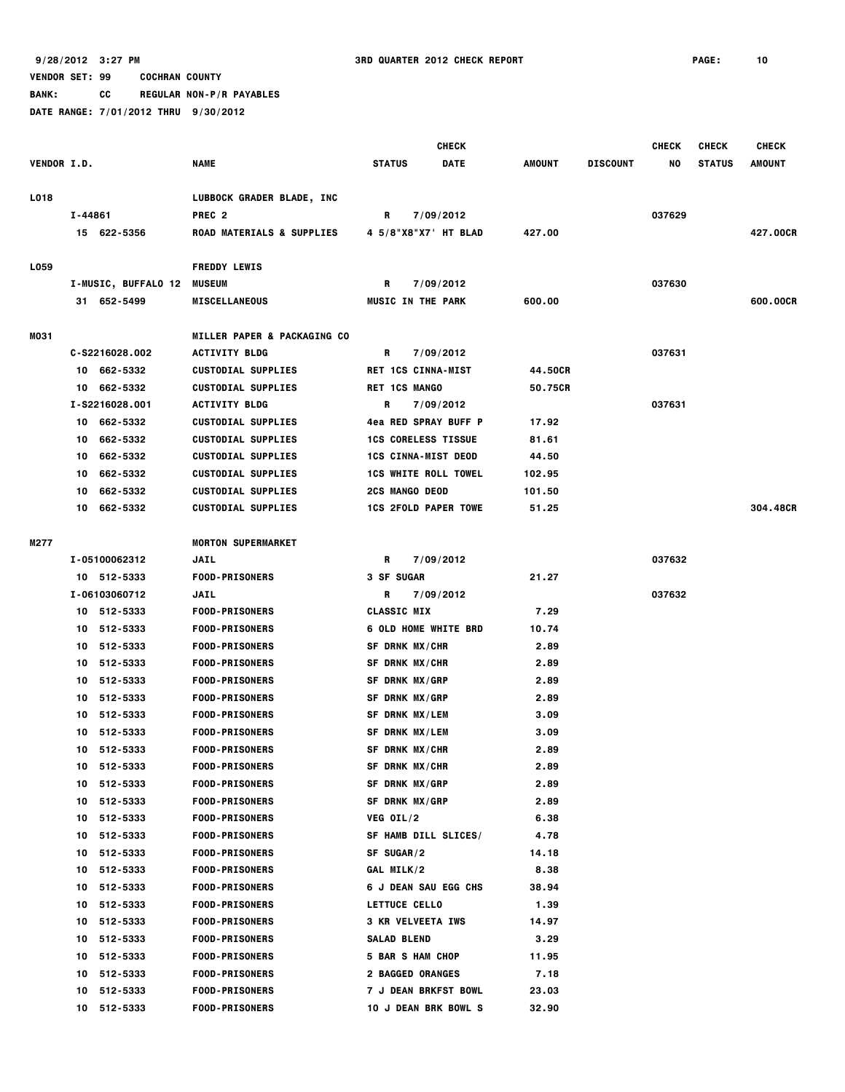**BANK: CC REGULAR NON-P/R PAYABLES**

|                    |         |                     |                                        |                             | <b>CHECK</b> |               |                 | <b>CHECK</b> | <b>CHECK</b>  | <b>CHECK</b>  |
|--------------------|---------|---------------------|----------------------------------------|-----------------------------|--------------|---------------|-----------------|--------------|---------------|---------------|
| <b>VENDOR I.D.</b> |         |                     | <b>NAME</b>                            | <b>STATUS</b>               | <b>DATE</b>  | <b>AMOUNT</b> | <b>DISCOUNT</b> | NO           | <b>STATUS</b> | <b>AMOUNT</b> |
| L018               |         |                     | LUBBOCK GRADER BLADE, INC              |                             |              |               |                 |              |               |               |
|                    | I-44861 |                     | PREC <sub>2</sub>                      | R                           | 7/09/2012    |               |                 | 037629       |               |               |
|                    |         | 15 622-5356         | <b>ROAD MATERIALS &amp; SUPPLIES</b>   | 4 5/8"X8"X7' HT BLAD        |              | 427.00        |                 |              |               | 427.00CR      |
| L059               |         |                     | <b>FREDDY LEWIS</b>                    |                             |              |               |                 |              |               |               |
|                    |         | I-MUSIC, BUFFALO 12 | <b>MUSEUM</b>                          | R                           | 7/09/2012    |               |                 | 037630       |               |               |
|                    |         | 31 652-5499         | <b>MISCELLANEOUS</b>                   | <b>MUSIC IN THE PARK</b>    |              | 600.00        |                 |              |               | 600.00CR      |
| MO31               |         |                     | <b>MILLER PAPER &amp; PACKAGING CO</b> |                             |              |               |                 |              |               |               |
|                    |         | C-S2216028.002      | <b>ACTIVITY BLDG</b>                   | R                           | 7/09/2012    |               |                 | 037631       |               |               |
|                    |         | 10 662-5332         | <b>CUSTODIAL SUPPLIES</b>              | <b>RET 1CS CINNA-MIST</b>   |              | 44.50CR       |                 |              |               |               |
|                    |         | 10 662-5332         | <b>CUSTODIAL SUPPLIES</b>              | <b>RET 1CS MANGO</b>        |              | 50.75CR       |                 |              |               |               |
|                    |         | I-S2216028.001      | <b>ACTIVITY BLDG</b>                   | R                           | 7/09/2012    |               |                 | 037631       |               |               |
|                    | 10      | 662-5332            | <b>CUSTODIAL SUPPLIES</b>              | <b>4ea RED SPRAY BUFF P</b> |              | 17.92         |                 |              |               |               |
|                    | 10      | 662-5332            | <b>CUSTODIAL SUPPLIES</b>              | <b>1CS CORELESS TISSUE</b>  |              | 81.61         |                 |              |               |               |
|                    | 10      | 662-5332            | <b>CUSTODIAL SUPPLIES</b>              | <b>1CS CINNA-MIST DEOD</b>  |              | 44.50         |                 |              |               |               |
|                    | 10      | 662-5332            | <b>CUSTODIAL SUPPLIES</b>              | <b>1CS WHITE ROLL TOWEL</b> |              | 102.95        |                 |              |               |               |
|                    | 10      | 662-5332            | <b>CUSTODIAL SUPPLIES</b>              | <b>2CS MANGO DEOD</b>       |              | 101.50        |                 |              |               |               |
|                    |         | 10 662-5332         | <b>CUSTODIAL SUPPLIES</b>              | <b>1CS 2FOLD PAPER TOWE</b> |              | 51.25         |                 |              |               | 304,48CR      |
| M277               |         |                     | <b>MORTON SUPERMARKET</b>              |                             |              |               |                 |              |               |               |
|                    |         | I-05100062312       | <b>JAIL</b>                            | R.                          | 7/09/2012    |               |                 | 037632       |               |               |
|                    |         | 10 512-5333         | <b>FOOD-PRISONERS</b>                  | 3 SF SUGAR                  |              | 21.27         |                 |              |               |               |
|                    |         | I-06103060712       | <b>JAIL</b>                            | R                           | 7/09/2012    |               |                 | 037632       |               |               |
|                    |         | 10 512-5333         | <b>FOOD-PRISONERS</b>                  | <b>CLASSIC MIX</b>          |              | 7.29          |                 |              |               |               |
|                    | 10      | 512-5333            | <b>FOOD-PRISONERS</b>                  | <b>6 OLD HOME WHITE BRD</b> |              | 10.74         |                 |              |               |               |
|                    | 10      | 512-5333            | <b>FOOD-PRISONERS</b>                  | SF DRNK MX/CHR              |              | 2.89          |                 |              |               |               |
|                    | 10      | 512-5333            | <b>FOOD-PRISONERS</b>                  | SF DRNK MX/CHR              |              | 2.89          |                 |              |               |               |
|                    | 10      | 512-5333            | <b>FOOD-PRISONERS</b>                  | SF DRNK MX/GRP              |              | 2.89          |                 |              |               |               |
|                    | 10      | 512-5333            | <b>FOOD-PRISONERS</b>                  | <b>SF DRNK MX/GRP</b>       |              | 2.89          |                 |              |               |               |
|                    |         | 10 512-5333         | <b>FOOD-PRISONERS</b>                  | SF DRNK MX/LEM              |              | 3.09          |                 |              |               |               |
|                    | 10      | 512-5333            | <b>FOOD-PRISONERS</b>                  | <b>SF DRNK MX/LEM</b>       |              | 3.09          |                 |              |               |               |
|                    | 10      | 512-5333            | <b>FOOD-PRISONERS</b>                  | SF DRNK MX/CHR              |              | 2.89          |                 |              |               |               |
|                    |         | 10 512-5333         | <b>FOOD-PRISONERS</b>                  | SF DRNK MX/CHR              |              | 2.89          |                 |              |               |               |
|                    | 10      | 512-5333            | <b>FOOD-PRISONERS</b>                  | <b>SF DRNK MX/GRP</b>       |              | 2.89          |                 |              |               |               |
|                    | 10      | 512-5333            | <b>FOOD-PRISONERS</b>                  | <b>SF DRNK MX/GRP</b>       |              | 2.89          |                 |              |               |               |
|                    | 10      | 512-5333            | <b>FOOD-PRISONERS</b>                  | VEG OIL/2                   |              | 6.38          |                 |              |               |               |
|                    | 10      | 512-5333            | <b>FOOD-PRISONERS</b>                  | SF HAMB DILL SLICES/        |              | 4.78          |                 |              |               |               |
|                    | 10      | 512-5333            | <b>FOOD-PRISONERS</b>                  | SF SUGAR/2                  |              | 14.18         |                 |              |               |               |
|                    | 10      | 512-5333            | <b>FOOD-PRISONERS</b>                  | <b>GAL MILK/2</b>           |              | 8.38          |                 |              |               |               |
|                    | 10      | 512-5333            | <b>FOOD-PRISONERS</b>                  | <b>6 J DEAN SAU EGG CHS</b> |              | 38.94         |                 |              |               |               |
|                    | 10      | 512-5333            | <b>FOOD-PRISONERS</b>                  | <b>LETTUCE CELLO</b>        |              | 1.39          |                 |              |               |               |
|                    | 10      | 512-5333            | <b>FOOD-PRISONERS</b>                  | <b>3 KR VELVEETA IWS</b>    |              | 14.97         |                 |              |               |               |
|                    | 10      | 512-5333            | <b>FOOD-PRISONERS</b>                  | <b>SALAD BLEND</b>          |              | 3.29          |                 |              |               |               |
|                    | 10      | 512-5333            | <b>FOOD-PRISONERS</b>                  | 5 BAR S HAM CHOP            |              | 11.95         |                 |              |               |               |
|                    | 10      | 512-5333            | <b>FOOD-PRISONERS</b>                  | <b>2 BAGGED ORANGES</b>     |              | 7.18          |                 |              |               |               |
|                    | 10      | 512-5333            | <b>FOOD-PRISONERS</b>                  | <b>7 J DEAN BRKFST BOWL</b> |              | 23.03         |                 |              |               |               |
|                    |         | 10 512-5333         | <b>FOOD-PRISONERS</b>                  | 10 J DEAN BRK BOWL S        |              | 32.90         |                 |              |               |               |
|                    |         |                     |                                        |                             |              |               |                 |              |               |               |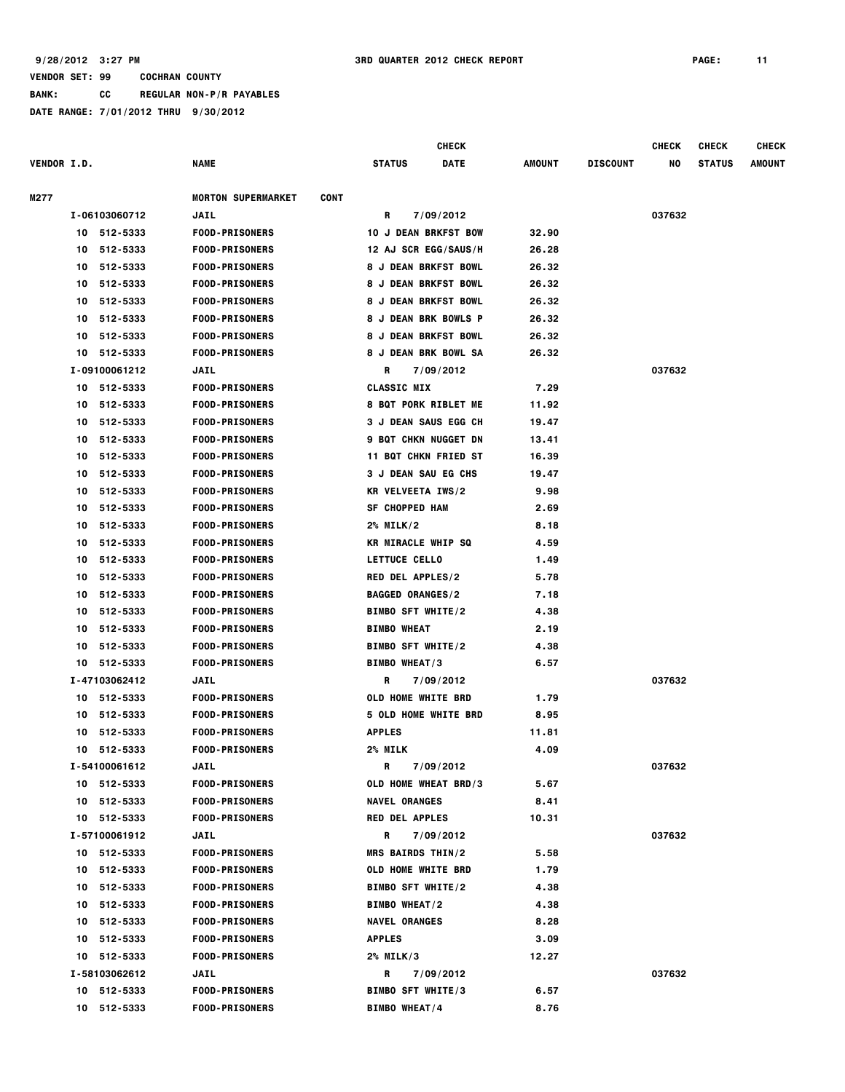**BANK: CC REGULAR NON-P/R PAYABLES**

|                    |                |                                          |                           | <b>CHECK</b>                |        |                 | <b>CHECK</b> | <b>CHECK</b>  | <b>CHECK</b>  |
|--------------------|----------------|------------------------------------------|---------------------------|-----------------------------|--------|-----------------|--------------|---------------|---------------|
| <b>VENDOR I.D.</b> |                | NAME                                     | <b>STATUS</b>             | DATE                        | AMOUNT | <b>DISCOUNT</b> | NO           | <b>STATUS</b> | <b>AMOUNT</b> |
| M277               |                | <b>MORTON SUPERMARKET</b><br><b>CONT</b> |                           |                             |        |                 |              |               |               |
|                    | I-06103060712  | JAIL                                     | R                         | 7/09/2012                   |        |                 | 037632       |               |               |
|                    | 10 512-5333    | <b>FOOD-PRISONERS</b>                    |                           | <b>10 J DEAN BRKFST BOW</b> | 32.90  |                 |              |               |               |
|                    | 512-5333<br>10 | <b>FOOD-PRISONERS</b>                    |                           | 12 AJ SCR EGG/SAUS/H        | 26.28  |                 |              |               |               |
|                    | 512-5333<br>10 | <b>FOOD-PRISONERS</b>                    |                           | <b>8 J DEAN BRKFST BOWL</b> | 26.32  |                 |              |               |               |
|                    | 512-5333<br>10 | <b>FOOD-PRISONERS</b>                    |                           | <b>8 J DEAN BRKFST BOWL</b> | 26.32  |                 |              |               |               |
|                    | 10<br>512-5333 | <b>FOOD-PRISONERS</b>                    |                           | <b>8 J DEAN BRKFST BOWL</b> | 26.32  |                 |              |               |               |
|                    | 512-5333<br>10 | <b>FOOD-PRISONERS</b>                    |                           | 8 J DEAN BRK BOWLS P        | 26.32  |                 |              |               |               |
|                    | 512-5333<br>10 | <b>FOOD-PRISONERS</b>                    |                           | <b>8 J DEAN BRKFST BOWL</b> | 26.32  |                 |              |               |               |
|                    | 10 512-5333    | <b>FOOD-PRISONERS</b>                    |                           | <b>8 J DEAN BRK BOWL SA</b> | 26.32  |                 |              |               |               |
|                    | I-09100061212  | JAIL                                     | R                         | 7/09/2012                   |        |                 | 037632       |               |               |
|                    | 10 512-5333    | <b>FOOD-PRISONERS</b>                    | <b>CLASSIC MIX</b>        |                             | 7.29   |                 |              |               |               |
|                    | 512-5333<br>10 | <b>FOOD-PRISONERS</b>                    |                           | <b>8 BQT PORK RIBLET ME</b> | 11.92  |                 |              |               |               |
|                    | 512-5333<br>10 | <b>FOOD-PRISONERS</b>                    |                           | <b>3 J DEAN SAUS EGG CH</b> | 19.47  |                 |              |               |               |
|                    | 512-5333<br>10 | <b>FOOD-PRISONERS</b>                    |                           | <b>9 BQT CHKN NUGGET DN</b> | 13.41  |                 |              |               |               |
|                    | 512-5333<br>10 | <b>FOOD-PRISONERS</b>                    |                           | <b>11 BQT CHKN FRIED ST</b> | 16.39  |                 |              |               |               |
|                    | 512-5333<br>10 | <b>FOOD-PRISONERS</b>                    |                           | <b>3 J DEAN SAU EG CHS</b>  | 19.47  |                 |              |               |               |
|                    | 512-5333<br>10 | <b>FOOD-PRISONERS</b>                    | <b>KR VELVEETA IWS/2</b>  |                             | 9.98   |                 |              |               |               |
|                    | 10<br>512-5333 | <b>FOOD-PRISONERS</b>                    | <b>SF CHOPPED HAM</b>     |                             | 2.69   |                 |              |               |               |
|                    | 512-5333<br>10 | <b>FOOD-PRISONERS</b>                    | 2% MILK/2                 |                             | 8.18   |                 |              |               |               |
|                    | 512-5333<br>10 | <b>FOOD-PRISONERS</b>                    | <b>KR MIRACLE WHIP SQ</b> |                             | 4.59   |                 |              |               |               |
|                    | 512-5333<br>10 | <b>FOOD-PRISONERS</b>                    | LETTUCE CELLO             |                             | 1.49   |                 |              |               |               |
|                    | 512-5333<br>10 | <b>FOOD-PRISONERS</b>                    | <b>RED DEL APPLES/2</b>   |                             | 5.78   |                 |              |               |               |
|                    | 512-5333<br>10 | <b>FOOD-PRISONERS</b>                    | <b>BAGGED ORANGES/2</b>   |                             | 7.18   |                 |              |               |               |
|                    | 512-5333<br>10 | <b>FOOD-PRISONERS</b>                    | <b>BIMBO SFT WHITE/2</b>  |                             | 4.38   |                 |              |               |               |
|                    | 512-5333<br>10 | <b>FOOD-PRISONERS</b>                    | <b>BIMBO WHEAT</b>        |                             | 2.19   |                 |              |               |               |
|                    | 512-5333<br>10 | <b>FOOD-PRISONERS</b>                    | <b>BIMBO SFT WHITE/2</b>  |                             | 4.38   |                 |              |               |               |
|                    | 10 512-5333    | <b>FOOD-PRISONERS</b>                    | <b>BIMBO WHEAT/3</b>      |                             | 6.57   |                 |              |               |               |
|                    | I-47103062412  | JAIL                                     | R                         | 7/09/2012                   |        |                 | 037632       |               |               |
|                    | 10 512-5333    | <b>FOOD-PRISONERS</b>                    | <b>OLD HOME WHITE BRD</b> |                             | 1.79   |                 |              |               |               |
|                    | 512-5333<br>10 | <b>FOOD-PRISONERS</b>                    |                           | <b>5 OLD HOME WHITE BRD</b> | 8.95   |                 |              |               |               |
|                    | 512-5333<br>10 | <b>FOOD-PRISONERS</b>                    | <b>APPLES</b>             |                             | 11.81  |                 |              |               |               |
|                    | 10 512-5333    | <b>FOOD-PRISONERS</b>                    | 2% MILK                   |                             | 4.09   |                 |              |               |               |
|                    | I-54100061612  | JAIL                                     | R                         | 7/09/2012                   |        |                 | 037632       |               |               |
|                    | 10 512-5333    | <b>FOOD-PRISONERS</b>                    |                           | OLD HOME WHEAT BRD/3        | 5.67   |                 |              |               |               |
|                    | 10 512-5333    | <b>FOOD-PRISONERS</b>                    | <b>NAVEL ORANGES</b>      |                             | 8.41   |                 |              |               |               |
|                    | 10 512-5333    | <b>FOOD-PRISONERS</b>                    | <b>RED DEL APPLES</b>     |                             | 10.31  |                 |              |               |               |
|                    | I-57100061912  | <b>JAIL</b>                              | R                         | 7/09/2012                   |        |                 | 037632       |               |               |
|                    | 10 512-5333    | <b>FOOD-PRISONERS</b>                    | MRS BAIRDS THIN/2         |                             | 5.58   |                 |              |               |               |
|                    | 10 512-5333    | <b>FOOD-PRISONERS</b>                    | <b>OLD HOME WHITE BRD</b> |                             | 1.79   |                 |              |               |               |
|                    | 10 512-5333    | <b>FOOD-PRISONERS</b>                    | <b>BIMBO SFT WHITE/2</b>  |                             | 4.38   |                 |              |               |               |
|                    | 10 512-5333    | <b>FOOD-PRISONERS</b>                    | <b>BIMBO WHEAT/2</b>      |                             | 4.38   |                 |              |               |               |
|                    | 512-5333<br>10 | <b>FOOD-PRISONERS</b>                    | <b>NAVEL ORANGES</b>      |                             | 8.28   |                 |              |               |               |
|                    | 10 512-5333    | <b>FOOD-PRISONERS</b>                    | <b>APPLES</b>             |                             | 3.09   |                 |              |               |               |
|                    | 10 512-5333    | <b>FOOD-PRISONERS</b>                    | 2% MILK/3                 |                             | 12.27  |                 |              |               |               |
|                    | I-58103062612  | JAIL                                     | R                         | 7/09/2012                   |        |                 | 037632       |               |               |
|                    | 10 512-5333    | <b>FOOD-PRISONERS</b>                    | <b>BIMBO SFT WHITE/3</b>  |                             | 6.57   |                 |              |               |               |
|                    | 10 512-5333    | <b>FOOD-PRISONERS</b>                    | <b>BIMBO WHEAT/4</b>      |                             | 8.76   |                 |              |               |               |
|                    |                |                                          |                           |                             |        |                 |              |               |               |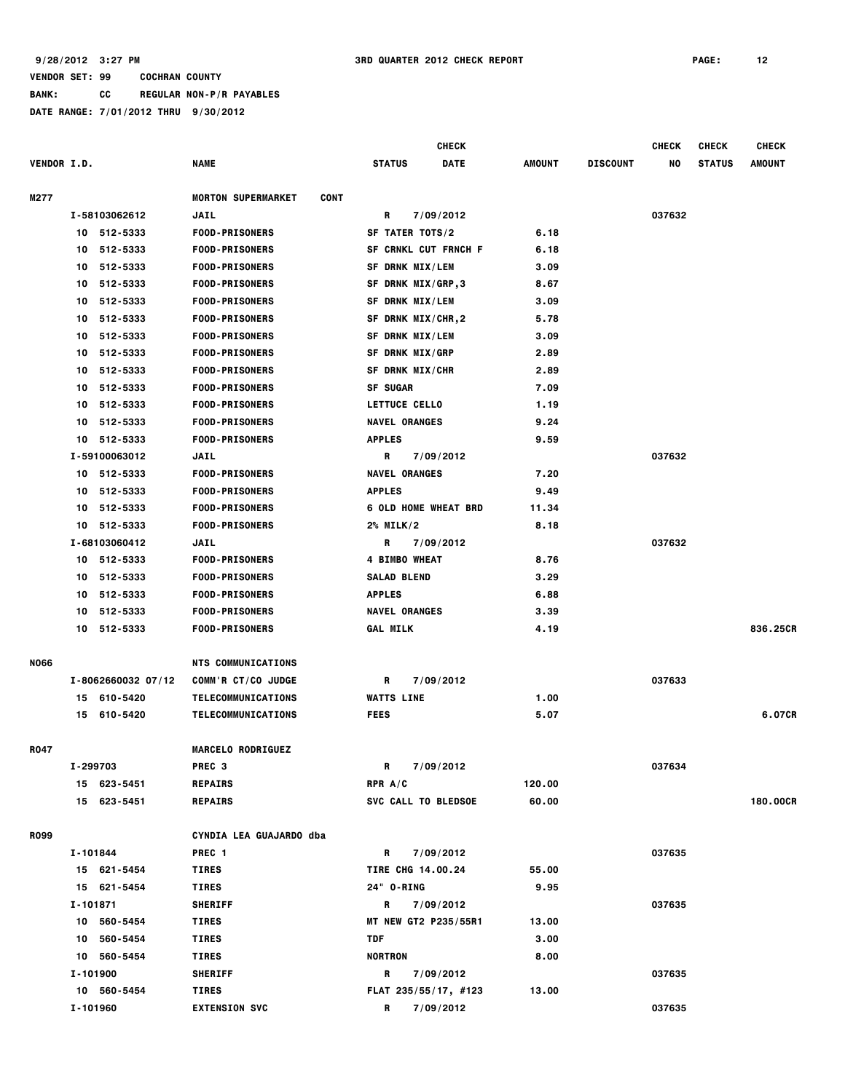**BANK: CC REGULAR NON-P/R PAYABLES**

|                    | <b>CHECK</b> |                    |                                          |                             |             | <b>CHECK</b> | <b>CHECK</b>    | <b>CHECK</b> |               |          |
|--------------------|--------------|--------------------|------------------------------------------|-----------------------------|-------------|--------------|-----------------|--------------|---------------|----------|
| <b>VENDOR I.D.</b> |              |                    | NAME                                     | <b>STATUS</b>               | <b>DATE</b> | AMOUNT       | <b>DISCOUNT</b> | NO           | <b>STATUS</b> | AMOUNT   |
| M277               |              |                    | <b>MORTON SUPERMARKET</b><br><b>CONT</b> |                             |             |              |                 |              |               |          |
|                    |              | I-58103062612      | <b>JAIL</b>                              | R                           | 7/09/2012   |              |                 | 037632       |               |          |
|                    |              | 10 512-5333        | <b>FOOD-PRISONERS</b>                    | SF TATER TOTS/2             |             | 6.18         |                 |              |               |          |
|                    | 10           | 512-5333           | <b>FOOD-PRISONERS</b>                    | SF CRNKL CUT FRNCH F        |             | 6.18         |                 |              |               |          |
|                    | 10.          | 512-5333           | <b>FOOD-PRISONERS</b>                    | <b>SF DRNK MIX/LEM</b>      |             | 3.09         |                 |              |               |          |
|                    | 10           | 512-5333           | <b>FOOD-PRISONERS</b>                    | SF DRNK MIX/GRP,3           |             | 8.67         |                 |              |               |          |
|                    | 10           | 512-5333           | <b>FOOD-PRISONERS</b>                    | <b>SF DRNK MIX/LEM</b>      |             | 3.09         |                 |              |               |          |
|                    | 10           | 512-5333           | <b>FOOD-PRISONERS</b>                    | SF DRNK MIX/CHR,2           |             | 5.78         |                 |              |               |          |
|                    | 10           | 512-5333           | <b>FOOD-PRISONERS</b>                    | <b>SF DRNK MIX/LEM</b>      |             | 3.09         |                 |              |               |          |
|                    | 10.          | 512-5333           | <b>FOOD-PRISONERS</b>                    | <b>SF DRNK MIX/GRP</b>      |             | 2.89         |                 |              |               |          |
|                    |              | 10 512-5333        | <b>FOOD-PRISONERS</b>                    | SF DRNK MIX/CHR             |             | 2.89         |                 |              |               |          |
|                    |              | 10 512-5333        | <b>FOOD-PRISONERS</b>                    | <b>SF SUGAR</b>             |             | 7.09         |                 |              |               |          |
|                    |              | 10 512-5333        | <b>FOOD-PRISONERS</b>                    | <b>LETTUCE CELLO</b>        |             | 1.19         |                 |              |               |          |
|                    | 10           | 512-5333           | <b>FOOD-PRISONERS</b>                    | <b>NAVEL ORANGES</b>        |             | 9.24         |                 |              |               |          |
|                    | 10           | 512-5333           | <b>FOOD-PRISONERS</b>                    | <b>APPLES</b>               |             | 9.59         |                 |              |               |          |
|                    |              | I-59100063012      | <b>JAIL</b>                              | R                           | 7/09/2012   |              |                 | 037632       |               |          |
|                    |              | 10 512-5333        | <b>FOOD-PRISONERS</b>                    | <b>NAVEL ORANGES</b>        |             | 7.20         |                 |              |               |          |
|                    | 10           | 512-5333           | <b>FOOD-PRISONERS</b>                    | <b>APPLES</b>               |             | 9.49         |                 |              |               |          |
|                    | 10           | 512-5333           | <b>FOOD-PRISONERS</b>                    | <b>6 OLD HOME WHEAT BRD</b> |             | 11.34        |                 |              |               |          |
|                    |              | 10 512-5333        | <b>FOOD-PRISONERS</b>                    | $2\%$ MILK/2                |             | 8.18         |                 |              |               |          |
|                    |              | I-68103060412      | <b>JAIL</b>                              | R                           | 7/09/2012   |              |                 | 037632       |               |          |
|                    |              | 10 512-5333        | <b>FOOD-PRISONERS</b>                    | <b>4 BIMBO WHEAT</b>        |             | 8.76         |                 |              |               |          |
|                    |              | 10 512-5333        | <b>FOOD-PRISONERS</b>                    | <b>SALAD BLEND</b>          |             | 3.29         |                 |              |               |          |
|                    |              | 10 512-5333        | <b>FOOD-PRISONERS</b>                    | <b>APPLES</b>               |             | 6.88         |                 |              |               |          |
|                    | 10           | 512-5333           | <b>FOOD-PRISONERS</b>                    | <b>NAVEL ORANGES</b>        |             | 3.39         |                 |              |               |          |
|                    | 10           | 512-5333           | <b>FOOD-PRISONERS</b>                    | <b>GAL MILK</b>             |             | 4.19         |                 |              |               | 836.25CR |
| <b>NO66</b>        |              |                    | <b>NTS COMMUNICATIONS</b>                |                             |             |              |                 |              |               |          |
|                    |              | I-8062660032 07/12 | COMM'R CT/CO JUDGE                       | R                           | 7/09/2012   |              |                 | 037633       |               |          |
|                    |              | 15 610-5420        | <b>TELECOMMUNICATIONS</b>                | <b>WATTS LINE</b>           |             | 1.00         |                 |              |               |          |
|                    | 15           | 610-5420           | <b>TELECOMMUNICATIONS</b>                | <b>FEES</b>                 |             | 5.07         |                 |              |               | 6.07CR   |
| R047               |              |                    | <b>MARCELO RODRIGUEZ</b>                 |                             |             |              |                 |              |               |          |
|                    | I-299703     |                    | PREC <sub>3</sub>                        | R                           | 7/09/2012   |              |                 | 037634       |               |          |
|                    |              | 15 623-5451        | <b>REPAIRS</b>                           | RPR $A/C$                   |             | 120.00       |                 |              |               |          |
|                    |              | 15 623-5451        | <b>REPAIRS</b>                           | SVC CALL TO BLEDSOE         |             | 60.00        |                 |              |               | 180,00CR |
| <b>R099</b>        |              |                    | CYNDIA LEA GUAJARDO dba                  |                             |             |              |                 |              |               |          |
|                    | I-101844     |                    | PREC 1                                   | R                           | 7/09/2012   |              |                 | 037635       |               |          |
|                    |              | 15 621-5454        | <b>TIRES</b>                             | <b>TIRE CHG 14.00.24</b>    |             | 55.00        |                 |              |               |          |
|                    |              | 15 621-5454        | TIRES                                    | 24" O-RING                  |             | 9.95         |                 |              |               |          |
|                    | I-101871     |                    | <b>SHERIFF</b>                           | $\mathbf{R}$                | 7/09/2012   |              |                 | 037635       |               |          |
|                    |              | 10 560-5454        | <b>TIRES</b>                             | MT NEW GT2 P235/55R1        |             | 13.00        |                 |              |               |          |
|                    |              | 10 560-5454        | TIRES                                    | TDF                         |             | 3.00         |                 |              |               |          |
|                    |              | 10 560-5454        | <b>TIRES</b>                             | <b>NORTRON</b>              |             | 8.00         |                 |              |               |          |
|                    | I-101900     |                    | <b>SHERIFF</b>                           | R                           | 7/09/2012   |              |                 | 037635       |               |          |
|                    |              | 10 560-5454        | TIRES                                    | FLAT 235/55/17, #123        |             | 13.00        |                 |              |               |          |
|                    | I-101960     |                    | <b>EXTENSION SVC</b>                     | R                           | 7/09/2012   |              |                 | 037635       |               |          |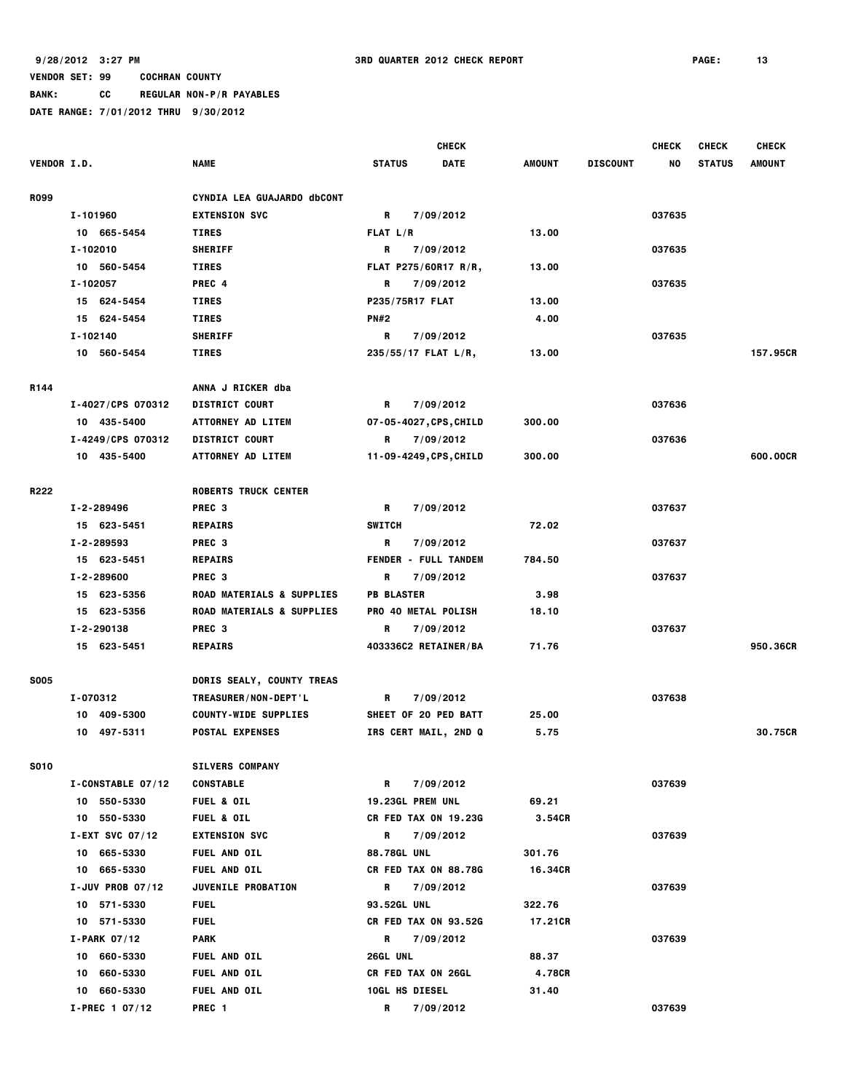|                    |                    |                                      |                                                                                                                                                                                                                                             | <b>CHECK</b> |               |                 | <b>CHECK</b> | <b>CHECK</b>  | <b>CHECK</b>  |
|--------------------|--------------------|--------------------------------------|---------------------------------------------------------------------------------------------------------------------------------------------------------------------------------------------------------------------------------------------|--------------|---------------|-----------------|--------------|---------------|---------------|
| <b>VENDOR I.D.</b> |                    | <b>NAME</b>                          | <b>STATUS</b>                                                                                                                                                                                                                               | <b>DATE</b>  | <b>AMOUNT</b> | <b>DISCOUNT</b> | NO           | <b>STATUS</b> | <b>AMOUNT</b> |
| <b>R099</b>        |                    | CYNDIA LEA GUAJARDO dbCONT           |                                                                                                                                                                                                                                             |              |               |                 |              |               |               |
|                    | I-101960           | <b>EXTENSION SVC</b>                 | R<br>7/09/2012                                                                                                                                                                                                                              |              |               |                 | 037635       |               |               |
|                    | 10 665-5454        | <b>TIRES</b>                         | FLAT L/R                                                                                                                                                                                                                                    |              | 13.00         |                 |              |               |               |
|                    | I-102010           | <b>SHERIFF</b>                       | R<br>7/09/2012                                                                                                                                                                                                                              |              |               |                 | 037635       |               |               |
|                    | 10 560-5454        | <b>TIRES</b>                         | FLAT P275/60R17 R/R,                                                                                                                                                                                                                        |              | 13.00         |                 |              |               |               |
|                    | I-102057           | PREC 4                               | 7/09/2012<br>R                                                                                                                                                                                                                              |              |               |                 | 037635       |               |               |
|                    | 15 624-5454        | <b>TIRES</b>                         | P235/75R17 FLAT                                                                                                                                                                                                                             |              | 13.00         |                 |              |               |               |
|                    | 15 624-5454        | <b>TIRES</b>                         | <b>PN#2</b>                                                                                                                                                                                                                                 |              | 4.00          |                 |              |               |               |
|                    | I-102140           | <b>SHERIFF</b>                       | R<br>7/09/2012                                                                                                                                                                                                                              |              |               |                 | 037635       |               |               |
|                    | 10 560-5454        | <b>TIRES</b>                         | $235/55/17$ FLAT L/R,                                                                                                                                                                                                                       |              | 13.00         |                 |              |               | 157.95CR      |
| R144               |                    | ANNA J RICKER dba                    |                                                                                                                                                                                                                                             |              |               |                 |              |               |               |
|                    | I-4027/CPS 070312  | <b>DISTRICT COURT</b>                | R<br>7/09/2012                                                                                                                                                                                                                              |              |               |                 | 037636       |               |               |
|                    | 10 435-5400        | <b>ATTORNEY AD LITEM</b>             | 07-05-4027, CPS, CHILD                                                                                                                                                                                                                      |              | 300.00        |                 |              |               |               |
|                    | I-4249/CPS 070312  | <b>DISTRICT COURT</b>                | R<br>7/09/2012                                                                                                                                                                                                                              |              |               |                 | 037636       |               |               |
|                    | 10 435-5400        | <b>ATTORNEY AD LITEM</b>             | 11-09-4249, CPS, CHILD                                                                                                                                                                                                                      |              | 300,00        |                 |              |               | 600.00CR      |
| R222               |                    | <b>ROBERTS TRUCK CENTER</b>          |                                                                                                                                                                                                                                             |              |               |                 |              |               |               |
|                    | I-2-289496         | PREC <sub>3</sub>                    | R<br>7/09/2012                                                                                                                                                                                                                              |              |               |                 | 037637       |               |               |
|                    | 15 623-5451        | <b>REPAIRS</b>                       | <b>SWITCH</b>                                                                                                                                                                                                                               |              | 72.02         |                 |              |               |               |
|                    | I-2-289593         | PREC <sub>3</sub>                    | R<br>7/09/2012                                                                                                                                                                                                                              |              |               |                 | 037637       |               |               |
|                    | 15 623-5451        | <b>REPAIRS</b>                       | <b>FENDER - FULL TANDEM</b>                                                                                                                                                                                                                 |              | 784.50        |                 |              |               |               |
|                    | I-2-289600         | PREC <sub>3</sub>                    | 7/09/2012<br>R                                                                                                                                                                                                                              |              |               |                 | 037637       |               |               |
|                    | 15 623-5356        | <b>ROAD MATERIALS &amp; SUPPLIES</b> | <b>PB BLASTER</b>                                                                                                                                                                                                                           |              | 3.98          |                 |              |               |               |
|                    | 15 623-5356        | ROAD MATERIALS & SUPPLIES            | PRO 40 METAL POLISH                                                                                                                                                                                                                         |              | 18.10         |                 |              |               |               |
|                    | I-2-290138         | PREC 3                               | R<br>7/09/2012                                                                                                                                                                                                                              |              |               |                 | 037637       |               |               |
|                    | 15 623-5451        | <b>REPAIRS</b>                       | 403336C2 RETAINER/BA                                                                                                                                                                                                                        |              | 71.76         |                 |              |               | 950.36CR      |
| <b>SO05</b>        |                    | DORIS SEALY, COUNTY TREAS            |                                                                                                                                                                                                                                             |              |               |                 |              |               |               |
|                    | I-070312           | TREASURER/NON-DEPT'L                 | 7/09/2012<br>R                                                                                                                                                                                                                              |              |               |                 | 037638       |               |               |
|                    | 10 409-5300        | <b>COUNTY-WIDE SUPPLIES</b>          | SHEET OF 20 PED BATT                                                                                                                                                                                                                        |              | 25.00         |                 |              |               |               |
|                    | 10 497-5311        | <b>POSTAL EXPENSES</b>               | IRS CERT MAIL, 2ND Q                                                                                                                                                                                                                        |              | 5.75          |                 |              |               | 30.75CR       |
| <b>S010</b>        |                    | <b>SILVERS COMPANY</b>               |                                                                                                                                                                                                                                             |              |               |                 |              |               |               |
|                    | I-CONSTABLE 07/12  | <b>CONSTABLE</b>                     | R<br>7/09/2012                                                                                                                                                                                                                              |              |               |                 | 037639       |               |               |
|                    | 10 550-5330        | <b>FUEL &amp; OIL</b>                | <b>19.23GL PREM UNL</b>                                                                                                                                                                                                                     |              | 69.21         |                 |              |               |               |
|                    | 10 550-5330        | <b>FUEL &amp; OIL</b>                | CR FED TAX ON 19.23G                                                                                                                                                                                                                        |              | 3.54CR        |                 |              |               |               |
|                    | I-EXT SVC $07/12$  | <b>EXTENSION SVC</b>                 | R<br>7/09/2012                                                                                                                                                                                                                              |              |               |                 | 037639       |               |               |
|                    | 10 665-5330        | <b>FUEL AND OIL</b>                  | <b>88.78GL UNL</b>                                                                                                                                                                                                                          |              | 301.76        |                 |              |               |               |
|                    | 10 665-5330        | FUEL AND OIL                         | <b>CR FED TAX ON 88.78G</b>                                                                                                                                                                                                                 |              | 16.34CR       |                 |              |               |               |
|                    | I-JUV PROB $07/12$ | <b>JUVENILE PROBATION</b>            | R<br>7/09/2012                                                                                                                                                                                                                              |              |               |                 | 037639       |               |               |
|                    | 10 571-5330        | <b>FUEL</b>                          | <b>93.52GL UNL</b>                                                                                                                                                                                                                          |              | 322.76        |                 |              |               |               |
|                    | 10 571-5330        | <b>FUEL</b>                          | CR FED TAX ON 93.52G                                                                                                                                                                                                                        |              | 17.21CR       |                 |              |               |               |
|                    | $I-PARK$ 07/12     | PARK                                 | 7/09/2012<br>R and the second second second second second second second second second second second second second second second second second second second second second second second second second second second second second second se |              |               |                 | 037639       |               |               |
|                    | 10 660-5330        | <b>FUEL AND OIL</b>                  | <b>26GL UNL</b>                                                                                                                                                                                                                             |              | 88.37         |                 |              |               |               |
|                    | 10 660-5330        | <b>FUEL AND OIL</b>                  | <b>CR FED TAX ON 26GL</b>                                                                                                                                                                                                                   |              | 4.78CR        |                 |              |               |               |
|                    | 10 660-5330        | <b>FUEL AND OIL</b>                  | <b>10GL HS DIESEL</b>                                                                                                                                                                                                                       |              | 31.40         |                 |              |               |               |
|                    | $I-PREC 1 07/12$   | PREC 1                               | R 7/09/2012                                                                                                                                                                                                                                 |              |               |                 | 037639       |               |               |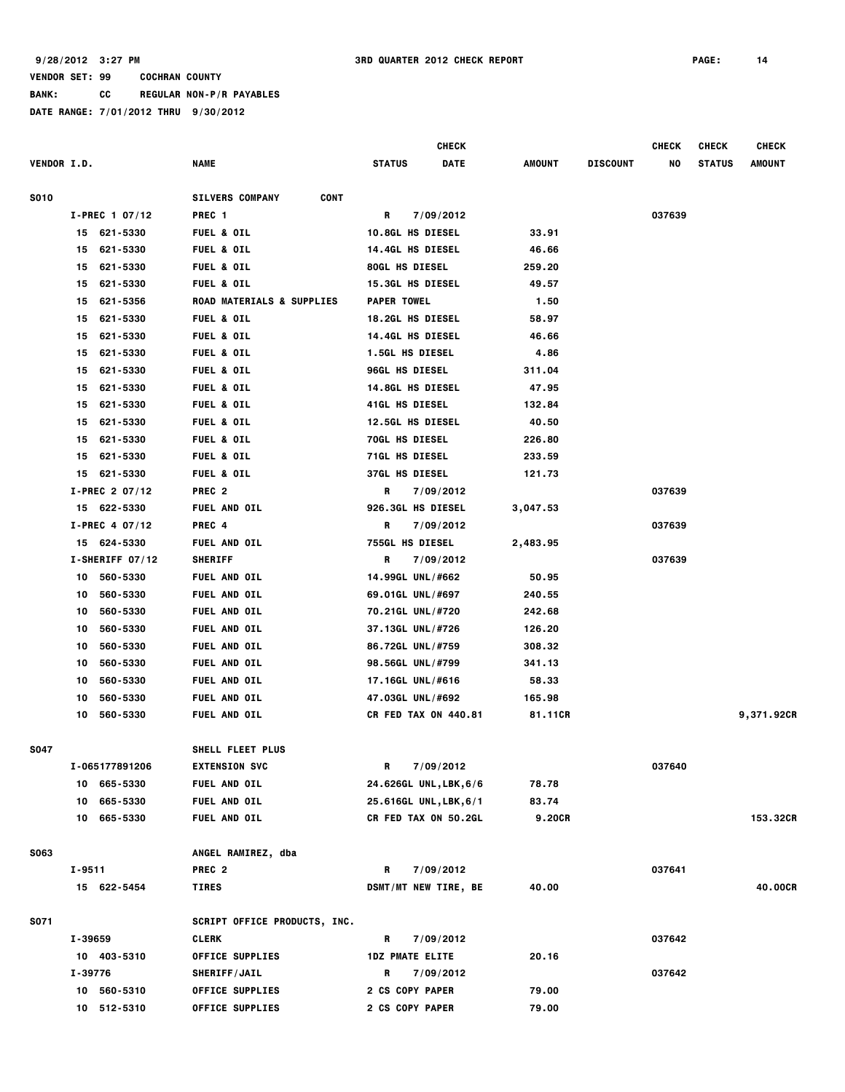**BANK: CC REGULAR NON-P/R PAYABLES**

|                    |                   |                                       | CHECK                        |               |                 | <b>CHECK</b> | <b>CHECK</b>  | <b>CHECK</b> |
|--------------------|-------------------|---------------------------------------|------------------------------|---------------|-----------------|--------------|---------------|--------------|
| <b>VENDOR I.D.</b> |                   | NAME                                  | <b>DATE</b><br><b>STATUS</b> | <b>AMOUNT</b> | <b>DISCOUNT</b> | NO           | <b>STATUS</b> | AMOUNT       |
| <b>S010</b>        |                   | <b>CONT</b><br><b>SILVERS COMPANY</b> |                              |               |                 |              |               |              |
|                    | $I-PREC 1 07/12$  | PREC <sub>1</sub>                     | R<br>7/09/2012               |               |                 | 037639       |               |              |
|                    | 15 621-5330       | <b>FUEL &amp; OIL</b>                 | <b>10.8GL HS DIESEL</b>      | 33.91         |                 |              |               |              |
|                    | 621-5330<br>15    | <b>FUEL &amp; OIL</b>                 | <b>14.4GL HS DIESEL</b>      | 46.66         |                 |              |               |              |
|                    | 621-5330<br>15    | <b>FUEL &amp; OIL</b>                 | <b>80GL HS DIESEL</b>        | 259.20        |                 |              |               |              |
|                    | 621-5330<br>15    | <b>FUEL &amp; OIL</b>                 | <b>15.3GL HS DIESEL</b>      | 49.57         |                 |              |               |              |
|                    | 621-5356<br>15    | <b>ROAD MATERIALS &amp; SUPPLIES</b>  | <b>PAPER TOWEL</b>           | 1.50          |                 |              |               |              |
|                    | 621-5330<br>15    | <b>FUEL &amp; OIL</b>                 | 18.2GL HS DIESEL             | 58.97         |                 |              |               |              |
|                    | 621-5330<br>15    | <b>FUEL &amp; OIL</b>                 | <b>14.4GL HS DIESEL</b>      | 46.66         |                 |              |               |              |
|                    | 621-5330<br>15    | <b>FUEL &amp; OIL</b>                 | <b>1.5GL HS DIESEL</b>       | 4.86          |                 |              |               |              |
|                    | 621-5330<br>15    | <b>FUEL &amp; OIL</b>                 | 96GL HS DIESEL               | 311.04        |                 |              |               |              |
|                    | 621-5330<br>15    | <b>FUEL &amp; OIL</b>                 | <b>14.8GL HS DIESEL</b>      | 47.95         |                 |              |               |              |
|                    | 621-5330<br>15    | <b>FUEL &amp; OIL</b>                 | <b>41GL HS DIESEL</b>        | 132.84        |                 |              |               |              |
|                    | 621-5330<br>15    | <b>FUEL &amp; OIL</b>                 | <b>12.5GL HS DIESEL</b>      | 40.50         |                 |              |               |              |
|                    | 621-5330<br>15    | <b>FUEL &amp; OIL</b>                 | 70GL HS DIESEL               | 226.80        |                 |              |               |              |
|                    | 621-5330<br>15    | <b>FUEL &amp; OIL</b>                 | 71GL HS DIESEL               | 233.59        |                 |              |               |              |
|                    | 15<br>621-5330    |                                       |                              |               |                 |              |               |              |
|                    |                   | <b>FUEL &amp; OIL</b>                 | <b>37GL HS DIESEL</b>        | 121.73        |                 |              |               |              |
|                    | $I-PREC$ 2 07/12  | PREC <sub>2</sub>                     | 7/09/2012<br>R               |               |                 | 037639       |               |              |
|                    | 15 622-5330       | <b>FUEL AND OIL</b>                   | 926.3GL HS DIESEL            | 3,047.53      |                 |              |               |              |
|                    | $I-PREC 4 07/12$  | PREC 4                                | R<br>7/09/2012               |               |                 | 037639       |               |              |
|                    | 15 624-5330       | FUEL AND OIL                          | <b>755GL HS DIESEL</b>       | 2,483.95      |                 |              |               |              |
|                    | $I-SHERIFF 07/12$ | <b>SHERIFF</b>                        | 7/09/2012<br>R               |               |                 | 037639       |               |              |
|                    | 560-5330<br>10    | FUEL AND OIL                          | 14.99GL UNL/#662             | 50.95         |                 |              |               |              |
|                    | 560-5330<br>10    | <b>FUEL AND OIL</b>                   | 69.01GL UNL/#697             | 240.55        |                 |              |               |              |
|                    | 560-5330<br>10    | <b>FUEL AND OIL</b>                   | 70.21GL UNL/#720             | 242.68        |                 |              |               |              |
|                    | 560-5330<br>10    | FUEL AND OIL                          | 37.13GL UNL/#726             | 126.20        |                 |              |               |              |
|                    | 560-5330<br>10    | <b>FUEL AND OIL</b>                   | 86.72GL UNL/#759             | 308.32        |                 |              |               |              |
|                    | 560-5330<br>10    | <b>FUEL AND OIL</b>                   | 98.56GL UNL/#799             | 341.13        |                 |              |               |              |
|                    | 560-5330<br>10    | <b>FUEL AND OIL</b>                   | 17.16GL UNL/#616             | 58.33         |                 |              |               |              |
|                    | 560-5330<br>10    | <b>FUEL AND OIL</b>                   | 47.03GL UNL/#692             | 165.98        |                 |              |               |              |
|                    | 560-5330<br>10    | <b>FUEL AND OIL</b>                   | <b>CR FED TAX ON 440.81</b>  | 81.11CR       |                 |              |               | 9,371.92CR   |
| S047               |                   | SHELL FLEET PLUS                      |                              |               |                 |              |               |              |
|                    | I-065177891206    | <b>EXTENSION SVC</b>                  | 7/09/2012<br>R               |               |                 | 037640       |               |              |
|                    | 10 665-5330       | FUEL AND OIL                          | 24.626GL UNL, LBK, 6/6       | 78.78         |                 |              |               |              |
|                    | 10 665-5330       | FUEL AND OIL                          | 25.616GL UNL, LBK, 6/1       | 83.74         |                 |              |               |              |
|                    | 10 665-5330       | <b>FUEL AND OIL</b>                   | <b>CR FED TAX ON 50.2GL</b>  | 9.20CR        |                 |              |               | 153.32CR     |
| S063               |                   | ANGEL RAMIREZ, dba                    |                              |               |                 |              |               |              |
|                    | I-9511            | PREC <sub>2</sub>                     | R<br>7/09/2012               |               |                 | 037641       |               |              |
|                    | 15 622-5454       | TIRES                                 | <b>DSMT/MT NEW TIRE, BE</b>  | 40.00         |                 |              |               | 40.00CR      |
|                    |                   |                                       |                              |               |                 |              |               |              |
| S071               |                   | <b>SCRIPT OFFICE PRODUCTS, INC.</b>   |                              |               |                 |              |               |              |
|                    | I-39659           | CLERK                                 | R<br>7/09/2012               |               |                 | 037642       |               |              |
|                    | 10 403-5310       | <b>OFFICE SUPPLIES</b>                | <b>1DZ PMATE ELITE</b>       | 20.16         |                 |              |               |              |
|                    | I-39776           | <b>SHERIFF/JAIL</b>                   | 7/09/2012<br>R               |               |                 | 037642       |               |              |
|                    | 10 560-5310       | <b>OFFICE SUPPLIES</b>                | <b>2 CS COPY PAPER</b>       | 79.00         |                 |              |               |              |
|                    | 10 512-5310       | OFFICE SUPPLIES                       | 2 CS COPY PAPER              | 79.00         |                 |              |               |              |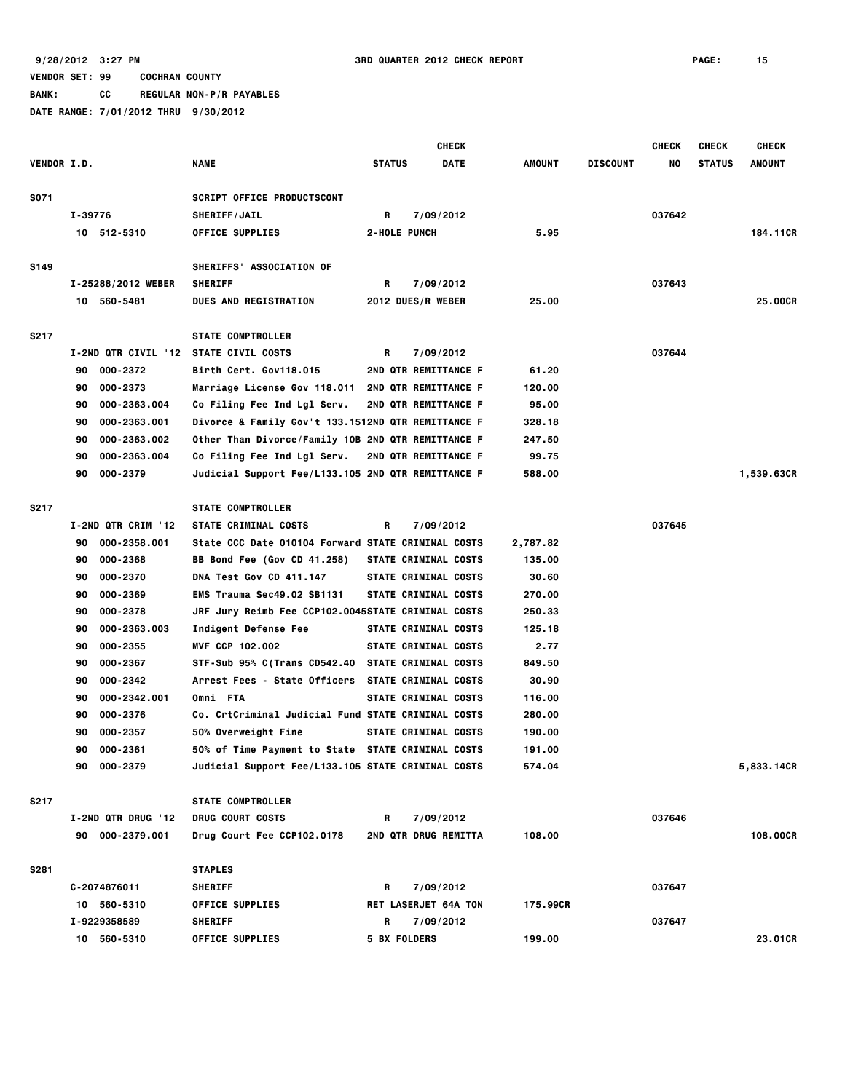**BANK: CC REGULAR NON-P/R PAYABLES**

|                    |                                                         |                                                                                   | <b>CHECK</b>             |                             |          |                 | <b>CHECK</b> | <b>CHECK</b>  | <b>CHECK</b> |
|--------------------|---------------------------------------------------------|-----------------------------------------------------------------------------------|--------------------------|-----------------------------|----------|-----------------|--------------|---------------|--------------|
| <b>VENDOR I.D.</b> |                                                         | <b>NAME</b>                                                                       | <b>STATUS</b>            | <b>DATE</b>                 | AMOUNT   | <b>DISCOUNT</b> | NO           | <b>STATUS</b> | AMOUNT       |
|                    |                                                         |                                                                                   |                          |                             |          |                 |              |               |              |
| S071               |                                                         | <b>SCRIPT OFFICE PRODUCTSCONT</b>                                                 |                          |                             |          |                 |              |               |              |
|                    | I-39776                                                 | SHERIFF/JAIL                                                                      | R                        | 7/09/2012                   |          |                 | 037642       |               |              |
|                    | 10 512-5310                                             | <b>OFFICE SUPPLIES</b>                                                            | <b>2-HOLE PUNCH</b>      |                             | 5.95     |                 |              |               | 184.11CR     |
|                    |                                                         |                                                                                   |                          |                             |          |                 |              |               |              |
| S149               |                                                         | SHERIFFS' ASSOCIATION OF                                                          |                          |                             |          |                 |              |               |              |
|                    | I-25288/2012 WEBER                                      | <b>SHERIFF</b>                                                                    | R                        | 7/09/2012                   |          |                 | 037643       |               |              |
|                    | 10 560-5481                                             | <b>DUES AND REGISTRATION</b>                                                      | <b>2012 DUES/R WEBER</b> |                             | 25.00    |                 |              |               | 25,00CR      |
|                    |                                                         |                                                                                   |                          |                             |          |                 |              |               |              |
| S217               |                                                         | <b>STATE COMPTROLLER</b>                                                          |                          |                             |          |                 |              |               |              |
|                    | I-2ND QTR CIVIL '12 STATE CIVIL COSTS<br>000-2372<br>90 |                                                                                   | R                        | 7/09/2012                   | 61.20    |                 | 037644       |               |              |
|                    | 000-2373<br>90                                          | Birth Cert. Gov118.015                                                            |                          | 2ND QTR REMITTANCE F        | 120.00   |                 |              |               |              |
|                    | 000-2363.004<br>90                                      | Marriage License Gov 118.011  2ND QTR REMITTANCE F<br>Co Filing Fee Ind Lgl Serv. |                          |                             | 95.00    |                 |              |               |              |
|                    | 000-2363.001<br>90                                      |                                                                                   |                          | <b>2ND QTR REMITTANCE F</b> | 328.18   |                 |              |               |              |
|                    |                                                         | Divorce & Family Gov't 133.1512ND QTR REMITTANCE F                                |                          |                             |          |                 |              |               |              |
|                    | 000-2363.002<br>90                                      | Other Than Divorce/Family 10B 2ND QTR REMITTANCE F                                |                          |                             | 247.50   |                 |              |               |              |
|                    | 000-2363.004<br>90<br>90<br>000-2379                    | Co Filing Fee Ind Lgl Serv.<br>Judicial Support Fee/L133.105 2ND QTR REMITTANCE F |                          | 2ND QTR REMITTANCE F        | 99.75    |                 |              |               | 1,539.63CR   |
|                    |                                                         |                                                                                   |                          |                             | 588.00   |                 |              |               |              |
| <b>S217</b>        |                                                         | <b>STATE COMPTROLLER</b>                                                          |                          |                             |          |                 |              |               |              |
|                    | I-2ND QTR CRIM '12                                      | STATE CRIMINAL COSTS                                                              | R                        | 7/09/2012                   |          |                 | 037645       |               |              |
|                    | 000-2358.001<br>90                                      | State CCC Date 010104 Forward STATE CRIMINAL COSTS                                |                          |                             | 2,787.82 |                 |              |               |              |
|                    | 000-2368<br>90                                          | <b>BB Bond Fee (Gov CD 41.258)</b>                                                |                          | STATE CRIMINAL COSTS        | 135.00   |                 |              |               |              |
|                    | 90<br>000-2370                                          | DNA Test Gov CD 411.147                                                           |                          | STATE CRIMINAL COSTS        | 30.60    |                 |              |               |              |
|                    | 000-2369<br>90                                          | <b>EMS Trauma Sec49.02 SB1131</b>                                                 |                          | <b>STATE CRIMINAL COSTS</b> | 270.00   |                 |              |               |              |
|                    | 000-2378<br>90                                          | JRF Jury Reimb Fee CCP102.0045STATE CRIMINAL COSTS                                |                          |                             | 250.33   |                 |              |               |              |
|                    | 000-2363.003<br>90                                      | Indigent Defense Fee                                                              |                          | STATE CRIMINAL COSTS        | 125.18   |                 |              |               |              |
|                    | 000-2355<br>90                                          | MVF CCP 102.002                                                                   |                          | STATE CRIMINAL COSTS        | 2.77     |                 |              |               |              |
|                    | 000-2367<br>90                                          | STF-Sub 95% C(Trans CD542.40 STATE CRIMINAL COSTS                                 |                          |                             | 849.50   |                 |              |               |              |
|                    | 000-2342<br>90                                          | Arrest Fees - State Officers STATE CRIMINAL COSTS                                 |                          |                             | 30.90    |                 |              |               |              |
|                    | 000-2342.001<br>90                                      | Omni FTA                                                                          |                          | <b>STATE CRIMINAL COSTS</b> | 116.00   |                 |              |               |              |
|                    | 000-2376<br>90                                          | Co. CrtCriminal Judicial Fund STATE CRIMINAL COSTS                                |                          |                             | 280.00   |                 |              |               |              |
|                    | 000-2357<br>90                                          | 50% Overweight Fine                                                               |                          | STATE CRIMINAL COSTS        | 190.00   |                 |              |               |              |
|                    | 90<br>000-2361                                          | 50% of Time Payment to State STATE CRIMINAL COSTS                                 |                          |                             | 191.00   |                 |              |               |              |
|                    | 90 000-2379                                             | Judicial Support Fee/L133.105 STATE CRIMINAL COSTS                                |                          |                             | 574.04   |                 |              |               | 5,833.14CR   |
|                    |                                                         |                                                                                   |                          |                             |          |                 |              |               |              |
| S217               |                                                         | <b>STATE COMPTROLLER</b>                                                          |                          |                             |          |                 |              |               |              |
|                    | I-2ND QTR DRUG '12                                      | DRUG COURT COSTS                                                                  | R                        | 7/09/2012                   |          |                 | 037646       |               |              |
|                    | 90 000-2379.001                                         | Drug Court Fee CCP102.0178                                                        |                          | 2ND QTR DRUG REMITTA        | 108.00   |                 |              |               | 108.00CR     |
|                    |                                                         |                                                                                   |                          |                             |          |                 |              |               |              |
| S281               |                                                         | <b>STAPLES</b>                                                                    |                          |                             |          |                 |              |               |              |
|                    | C-2074876011                                            | <b>SHERIFF</b>                                                                    | R                        | 7/09/2012                   |          |                 | 037647       |               |              |
|                    | 10 560-5310                                             | <b>OFFICE SUPPLIES</b>                                                            |                          | <b>RET LASERJET 64A TON</b> | 175.99CR |                 |              |               |              |
|                    | I-9229358589                                            | <b>SHERIFF</b>                                                                    | R                        | 7/09/2012                   |          |                 | 037647       |               |              |
|                    | 10 560-5310                                             | <b>OFFICE SUPPLIES</b>                                                            | <b>5 BX FOLDERS</b>      |                             | 199.00   |                 |              |               | 23.01CR      |
|                    |                                                         |                                                                                   |                          |                             |          |                 |              |               |              |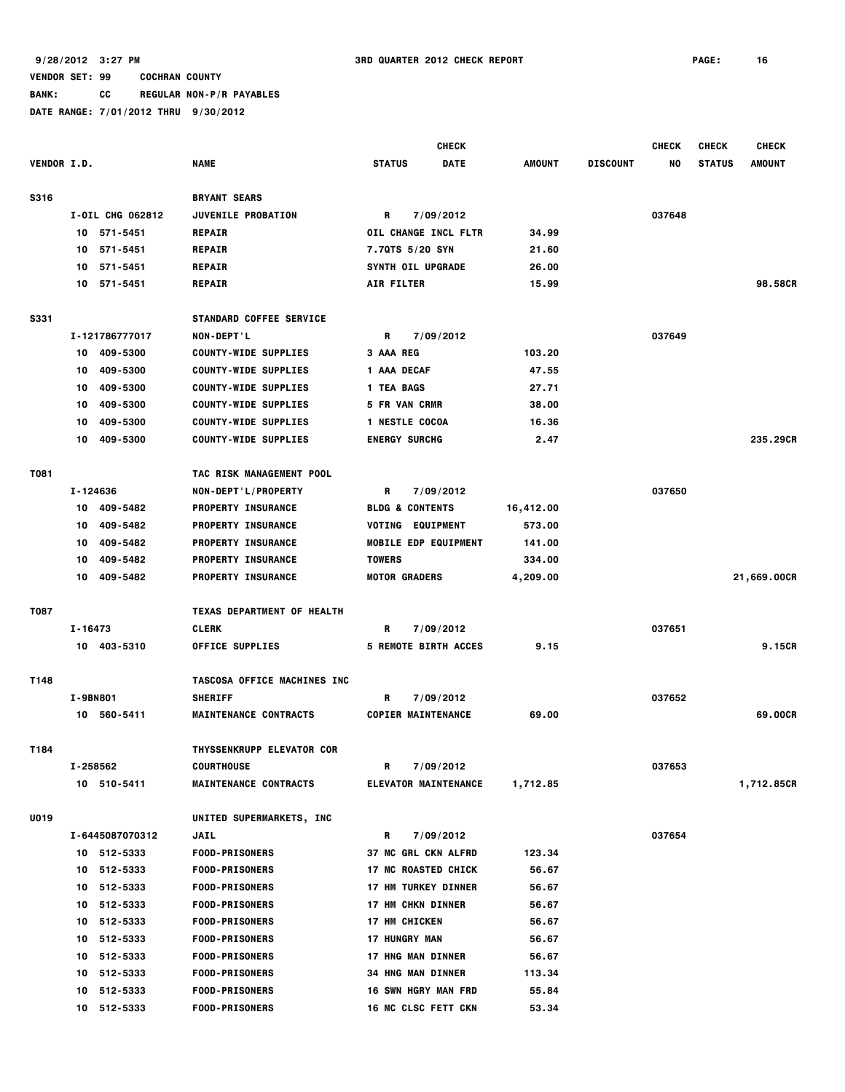**BANK: CC REGULAR NON-P/R PAYABLES**

|                    |                  |                              | <b>CHECK</b>                 |               |                 | <b>CHECK</b> | <b>CHECK</b>  | <b>CHECK</b>  |
|--------------------|------------------|------------------------------|------------------------------|---------------|-----------------|--------------|---------------|---------------|
| <b>VENDOR I.D.</b> |                  | <b>NAME</b>                  | <b>STATUS</b><br><b>DATE</b> | <b>AMOUNT</b> | <b>DISCOUNT</b> | NO           | <b>STATUS</b> | <b>AMOUNT</b> |
| <b>S316</b>        |                  | <b>BRYANT SEARS</b>          |                              |               |                 |              |               |               |
|                    | I-OIL CHG 062812 | <b>JUVENILE PROBATION</b>    | R<br>7/09/2012               |               |                 | 037648       |               |               |
|                    | 571-5451<br>10   | <b>REPAIR</b>                | OIL CHANGE INCL FLTR         | 34.99         |                 |              |               |               |
|                    | 571-5451<br>10   | <b>REPAIR</b>                | 7.70TS 5/20 SYN              | 21.60         |                 |              |               |               |
|                    | 571-5451<br>10   | <b>REPAIR</b>                | <b>SYNTH OIL UPGRADE</b>     | 26.00         |                 |              |               |               |
|                    | 571-5451<br>10   | <b>REPAIR</b>                | <b>AIR FILTER</b>            | 15.99         |                 |              |               | 98.58CR       |
| <b>S331</b>        |                  | STANDARD COFFEE SERVICE      |                              |               |                 |              |               |               |
|                    | I-121786777017   | <b>NON-DEPT'L</b>            | R<br>7/09/2012               |               |                 | 037649       |               |               |
|                    | 10 409-5300      | <b>COUNTY-WIDE SUPPLIES</b>  | 3 AAA REG                    | 103.20        |                 |              |               |               |
|                    | 409-5300<br>10   | <b>COUNTY-WIDE SUPPLIES</b>  | 1 AAA DECAF                  | 47.55         |                 |              |               |               |
|                    | 409-5300<br>10   | <b>COUNTY-WIDE SUPPLIES</b>  | <b>1 TEA BAGS</b>            | 27.71         |                 |              |               |               |
|                    | 409-5300<br>10   | <b>COUNTY-WIDE SUPPLIES</b>  | 5 FR VAN CRMR                | 38.00         |                 |              |               |               |
|                    | 409-5300<br>10   | <b>COUNTY-WIDE SUPPLIES</b>  | 1 NESTLE COCOA               | 16.36         |                 |              |               |               |
|                    | 409-5300<br>10   |                              | <b>ENERGY SURCHG</b>         | 2.47          |                 |              |               | 235.29CR      |
|                    |                  | <b>COUNTY-WIDE SUPPLIES</b>  |                              |               |                 |              |               |               |
| T081               |                  | TAC RISK MANAGEMENT POOL     |                              |               |                 |              |               |               |
|                    | I-124636         | NON-DEPT'L/PROPERTY          | 7/09/2012<br>R               |               |                 | 037650       |               |               |
|                    | 409-5482<br>10   | <b>PROPERTY INSURANCE</b>    | <b>BLDG &amp; CONTENTS</b>   | 16,412.00     |                 |              |               |               |
|                    | 409-5482<br>10   | PROPERTY INSURANCE           | VOTING EQUIPMENT             | 573.00        |                 |              |               |               |
|                    | 409-5482<br>10   | <b>PROPERTY INSURANCE</b>    | <b>MOBILE EDP EQUIPMENT</b>  | 141.00        |                 |              |               |               |
|                    | 409-5482<br>10   | <b>PROPERTY INSURANCE</b>    | <b>TOWERS</b>                | 334.00        |                 |              |               |               |
|                    | 409-5482<br>10   | <b>PROPERTY INSURANCE</b>    | <b>MOTOR GRADERS</b>         | 4,209.00      |                 |              |               | 21,669.00CR   |
| <b>T087</b>        |                  | TEXAS DEPARTMENT OF HEALTH   |                              |               |                 |              |               |               |
|                    | I-16473          | <b>CLERK</b>                 | 7/09/2012<br>R               |               |                 | 037651       |               |               |
|                    | 10 403-5310      | <b>OFFICE SUPPLIES</b>       | <b>5 REMOTE BIRTH ACCES</b>  | 9.15          |                 |              |               | 9.15CR        |
| T148               |                  | TASCOSA OFFICE MACHINES INC  |                              |               |                 |              |               |               |
|                    | I-9BN801         | <b>SHERIFF</b>               | R<br>7/09/2012               |               |                 | 037652       |               |               |
|                    | 10 560-5411      | <b>MAINTENANCE CONTRACTS</b> | <b>COPIER MAINTENANCE</b>    | 69.00         |                 |              |               | 69.00CR       |
|                    |                  |                              |                              |               |                 |              |               |               |
| T184               |                  | THYSSENKRUPP ELEVATOR COR    |                              |               |                 |              |               |               |
|                    | I-258562         | COURTHOUSE                   | R<br>7/09/2012               |               |                 | 037653       |               |               |
|                    | 10 510-5411      | <b>MAINTENANCE CONTRACTS</b> | <b>ELEVATOR MAINTENANCE</b>  | 1,712.85      |                 |              |               | 1,712.85CR    |
| U019               |                  | UNITED SUPERMARKETS, INC     |                              |               |                 |              |               |               |
|                    | I-6445087070312  | <b>JAIL</b>                  | R<br>7/09/2012               |               |                 | 037654       |               |               |
|                    | 10 512-5333      | <b>FOOD-PRISONERS</b>        | 37 MC GRL CKN ALFRD          | 123.34        |                 |              |               |               |
|                    | 10 512-5333      | <b>FOOD-PRISONERS</b>        | <b>17 MC ROASTED CHICK</b>   | 56.67         |                 |              |               |               |
|                    | 512-5333<br>10   | <b>FOOD-PRISONERS</b>        | <b>17 HM TURKEY DINNER</b>   | 56.67         |                 |              |               |               |
|                    | 512-5333<br>10   | <b>FOOD-PRISONERS</b>        | <b>17 HM CHKN DINNER</b>     | 56.67         |                 |              |               |               |
|                    | 512-5333<br>10   | <b>FOOD-PRISONERS</b>        | <b>17 HM CHICKEN</b>         | 56.67         |                 |              |               |               |
|                    | 512-5333<br>10   | <b>FOOD-PRISONERS</b>        | <b>17 HUNGRY MAN</b>         | 56.67         |                 |              |               |               |
|                    | 512-5333<br>10   | <b>FOOD-PRISONERS</b>        | <b>17 HNG MAN DINNER</b>     | 56.67         |                 |              |               |               |
|                    | 512-5333<br>10   | <b>FOOD-PRISONERS</b>        | <b>34 HNG MAN DINNER</b>     | 113.34        |                 |              |               |               |
|                    | 512-5333<br>10   | <b>FOOD-PRISONERS</b>        | 16 SWN HGRY MAN FRD          | 55.84         |                 |              |               |               |
|                    | 10 512-5333      | <b>FOOD-PRISONERS</b>        | 16 MC CLSC FETT CKN          | 53.34         |                 |              |               |               |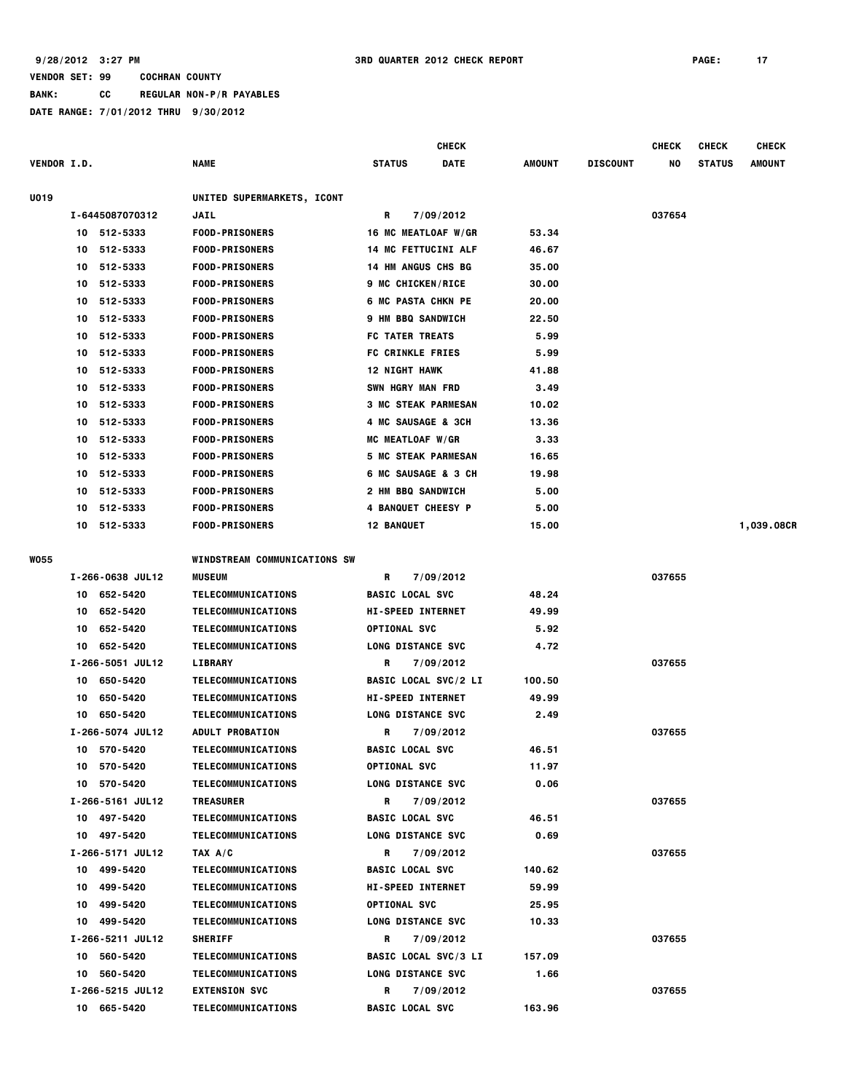|                    |                  |                                                |                                                | CHECK                       |               |                 | <b>CHECK</b> | <b>CHECK</b>  | <b>CHECK</b> |
|--------------------|------------------|------------------------------------------------|------------------------------------------------|-----------------------------|---------------|-----------------|--------------|---------------|--------------|
| <b>VENDOR I.D.</b> |                  | <b>NAME</b>                                    | STATUS                                         | <b>DATE</b>                 | AMOUNT        | <b>DISCOUNT</b> | NO           | <b>STATUS</b> | AMOUNT       |
| U019               |                  | UNITED SUPERMARKETS, ICONT                     |                                                |                             |               |                 |              |               |              |
|                    | I-6445087070312  | <b>JAIL</b>                                    | R                                              | 7/09/2012                   |               |                 | 037654       |               |              |
|                    | 512-5333<br>10   | <b>FOOD-PRISONERS</b>                          | 16 MC MEATLOAF W/GR                            |                             | 53.34         |                 |              |               |              |
|                    | 512-5333<br>10   | <b>FOOD-PRISONERS</b>                          | <b>14 MC FETTUCINI ALF</b>                     |                             | 46.67         |                 |              |               |              |
|                    | 512-5333<br>10   | <b>FOOD-PRISONERS</b>                          | <b>14 HM ANGUS CHS BG</b>                      |                             | 35.00         |                 |              |               |              |
|                    | 512-5333<br>10   | <b>FOOD-PRISONERS</b>                          | <b>9 MC CHICKEN/RICE</b>                       |                             | 30.00         |                 |              |               |              |
|                    | 512-5333<br>10   | <b>FOOD-PRISONERS</b>                          | <b>6 MC PASTA CHKN PE</b>                      |                             | 20.00         |                 |              |               |              |
|                    | 512-5333<br>10   | <b>FOOD-PRISONERS</b>                          | <b>9 HM BBQ SANDWICH</b>                       |                             | 22.50         |                 |              |               |              |
|                    | 512-5333<br>10   | <b>FOOD-PRISONERS</b>                          | FC TATER TREATS                                |                             | 5.99          |                 |              |               |              |
|                    | 512-5333<br>10   | <b>FOOD-PRISONERS</b>                          | <b>FC CRINKLE FRIES</b>                        |                             | 5.99          |                 |              |               |              |
|                    | 512-5333<br>10   | <b>FOOD-PRISONERS</b>                          | 12 NIGHT HAWK                                  |                             | 41.88         |                 |              |               |              |
|                    | 512-5333<br>10   | <b>FOOD-PRISONERS</b>                          | SWN HGRY MAN FRD                               |                             | 3.49          |                 |              |               |              |
|                    | 512-5333<br>10   | <b>FOOD-PRISONERS</b>                          | <b>3 MC STEAK PARMESAN</b>                     |                             | 10.02         |                 |              |               |              |
|                    | 512-5333<br>10   | <b>FOOD-PRISONERS</b>                          | 4 MC SAUSAGE & 3CH                             |                             | 13.36         |                 |              |               |              |
|                    | 512-5333<br>10   | <b>FOOD-PRISONERS</b>                          | MC MEATLOAF W/GR                               |                             | 3.33          |                 |              |               |              |
|                    | 512-5333<br>10   | <b>FOOD-PRISONERS</b>                          | <b>5 MC STEAK PARMESAN</b>                     |                             | 16.65         |                 |              |               |              |
|                    | 512-5333<br>10   |                                                |                                                |                             |               |                 |              |               |              |
|                    | 512-5333<br>10   | <b>FOOD-PRISONERS</b>                          | 6 MC SAUSAGE & 3 CH                            |                             | 19.98<br>5.00 |                 |              |               |              |
|                    | 512-5333<br>10   | <b>FOOD-PRISONERS</b><br><b>FOOD-PRISONERS</b> | 2 HM BBQ SANDWICH<br><b>4 BANQUET CHEESY P</b> |                             |               |                 |              |               |              |
|                    | 512-5333<br>10   |                                                |                                                |                             | 5.00          |                 |              |               |              |
|                    |                  | <b>FOOD-PRISONERS</b>                          | <b>12 BANQUET</b>                              |                             | 15.00         |                 |              |               | 1,039.08CR   |
| <b>WO55</b>        |                  | WINDSTREAM COMMUNICATIONS SW                   |                                                |                             |               |                 |              |               |              |
|                    | I-266-0638 JUL12 | <b>MUSEUM</b>                                  | R                                              | 7/09/2012                   |               |                 | 037655       |               |              |
|                    | 652-5420<br>10   | TELECOMMUNICATIONS                             | <b>BASIC LOCAL SVC</b>                         |                             | 48.24         |                 |              |               |              |
|                    | 652-5420<br>10   | TELECOMMUNICATIONS                             | <b>HI-SPEED INTERNET</b>                       |                             | 49.99         |                 |              |               |              |
|                    | 652-5420<br>10   | <b>TELECOMMUNICATIONS</b>                      | <b>OPTIONAL SVC</b>                            |                             | 5.92          |                 |              |               |              |
|                    | 652-5420<br>10   | TELECOMMUNICATIONS                             | <b>LONG DISTANCE SVC</b>                       |                             | 4.72          |                 |              |               |              |
|                    | I-266-5051 JUL12 | <b>LIBRARY</b>                                 | R                                              | 7/09/2012                   |               |                 | 037655       |               |              |
|                    | 650-5420<br>10   | TELECOMMUNICATIONS                             | <b>BASIC LOCAL SVC/2 LI</b>                    |                             | 100.50        |                 |              |               |              |
|                    | 650-5420<br>10   | <b>TELECOMMUNICATIONS</b>                      | <b>HI-SPEED INTERNET</b>                       |                             | 49.99         |                 |              |               |              |
|                    | 650-5420<br>10   | TELECOMMUNICATIONS                             | <b>LONG DISTANCE SVC</b>                       |                             | 2.49          |                 |              |               |              |
|                    | I-266-5074 JUL12 | <b>ADULT PROBATION</b>                         | R                                              | 7/09/2012                   |               |                 | 037655       |               |              |
|                    | 10 570-5420      | TELECOMMUNICATIONS                             | <b>BASIC LOCAL SVC</b>                         |                             | 46.51         |                 |              |               |              |
|                    | 10 570-5420      | <b>TELECOMMUNICATIONS</b>                      | <b>OPTIONAL SVC</b>                            |                             | 11.97         |                 |              |               |              |
|                    | 10 570-5420      | TELECOMMUNICATIONS                             | <b>LONG DISTANCE SVC</b>                       |                             | 0.06          |                 |              |               |              |
|                    | I-266-5161 JUL12 | <b>TREASURER</b>                               | R                                              | 7/09/2012                   |               |                 | 037655       |               |              |
|                    | 10 497-5420      | TELECOMMUNICATIONS                             | <b>BASIC LOCAL SVC</b>                         |                             | 46.51         |                 |              |               |              |
|                    | 10 497-5420      | TELECOMMUNICATIONS                             | <b>LONG DISTANCE SVC</b>                       |                             | 0.69          |                 |              |               |              |
|                    | I-266-5171 JUL12 | TAX A/C                                        | R                                              | 7/09/2012                   |               |                 | 037655       |               |              |
|                    | 10 499-5420      | TELECOMMUNICATIONS                             | <b>BASIC LOCAL SVC</b>                         |                             | 140.62        |                 |              |               |              |
|                    | 499-5420<br>10   | TELECOMMUNICATIONS                             | <b>HI-SPEED INTERNET</b>                       |                             | 59.99         |                 |              |               |              |
|                    | 10 499-5420      | <b>TELECOMMUNICATIONS</b>                      | <b>OPTIONAL SVC</b>                            |                             | 25.95         |                 |              |               |              |
|                    | 10 499-5420      | TELECOMMUNICATIONS                             | <b>LONG DISTANCE SVC</b>                       |                             | 10.33         |                 |              |               |              |
|                    | I-266-5211 JUL12 | <b>SHERIFF</b>                                 | R                                              | 7/09/2012                   |               |                 | 037655       |               |              |
|                    | 10 560-5420      | <b>TELECOMMUNICATIONS</b>                      |                                                | <b>BASIC LOCAL SVC/3 LI</b> | 157.09        |                 |              |               |              |
|                    | 10 560-5420      | TELECOMMUNICATIONS                             | <b>LONG DISTANCE SVC</b>                       |                             | 1.66          |                 |              |               |              |
|                    | I-266-5215 JUL12 | <b>EXTENSION SVC</b>                           | R                                              | 7/09/2012                   |               |                 | 037655       |               |              |
|                    | 10 665-5420      | TELECOMMUNICATIONS                             | <b>BASIC LOCAL SVC</b>                         |                             | 163.96        |                 |              |               |              |
|                    |                  |                                                |                                                |                             |               |                 |              |               |              |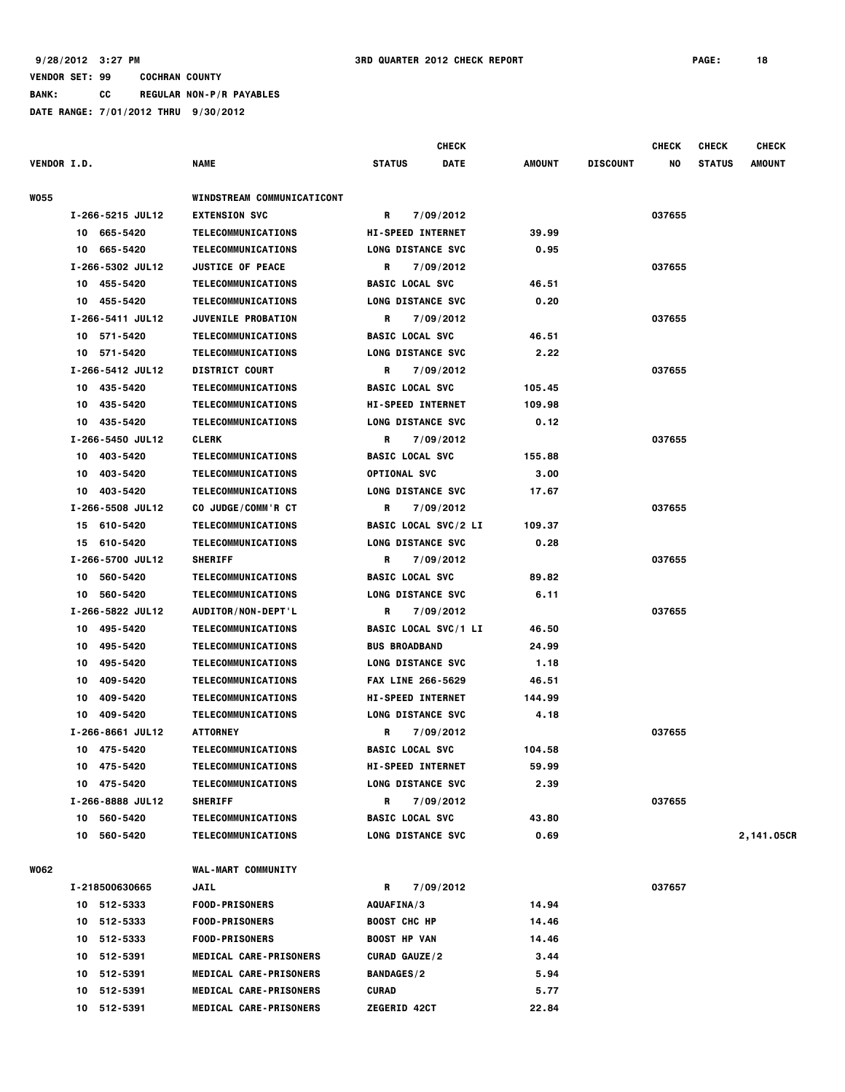|                    |                  |                               |                             | <b>CHECK</b> |               |                 | <b>CHECK</b> | <b>CHECK</b>  | <b>CHECK</b>  |
|--------------------|------------------|-------------------------------|-----------------------------|--------------|---------------|-----------------|--------------|---------------|---------------|
| <b>VENDOR I.D.</b> |                  | <b>NAME</b>                   | <b>STATUS</b>               | DATE         | <b>AMOUNT</b> | <b>DISCOUNT</b> | NO           | <b>STATUS</b> | <b>AMOUNT</b> |
| <b>WO55</b>        |                  | WINDSTREAM COMMUNICATICONT    |                             |              |               |                 |              |               |               |
|                    | I-266-5215 JUL12 | <b>EXTENSION SVC</b>          | 7/09/2012<br>R              |              |               |                 | 037655       |               |               |
|                    | 10 665-5420      | TELECOMMUNICATIONS            | <b>HI-SPEED INTERNET</b>    |              | 39.99         |                 |              |               |               |
|                    | 665-5420<br>10   | TELECOMMUNICATIONS            | <b>LONG DISTANCE SVC</b>    |              | 0.95          |                 |              |               |               |
|                    | I-266-5302 JUL12 | <b>JUSTICE OF PEACE</b>       | R<br>7/09/2012              |              |               |                 | 037655       |               |               |
|                    | 455-5420<br>10   | TELECOMMUNICATIONS            | <b>BASIC LOCAL SVC</b>      |              | 46.51         |                 |              |               |               |
|                    | 455-5420<br>10   | TELECOMMUNICATIONS            | <b>LONG DISTANCE SVC</b>    |              | 0.20          |                 |              |               |               |
|                    | I-266-5411 JUL12 | <b>JUVENILE PROBATION</b>     | 7/09/2012<br>R              |              |               |                 | 037655       |               |               |
|                    | 571-5420<br>10   | TELECOMMUNICATIONS            | <b>BASIC LOCAL SVC</b>      |              | 46.51         |                 |              |               |               |
|                    | 10 571-5420      | TELECOMMUNICATIONS            | <b>LONG DISTANCE SVC</b>    |              | 2.22          |                 |              |               |               |
|                    | I-266-5412 JUL12 | <b>DISTRICT COURT</b>         | 7/09/2012<br>R              |              |               |                 | 037655       |               |               |
|                    | 435-5420<br>10   | <b>TELECOMMUNICATIONS</b>     | <b>BASIC LOCAL SVC</b>      |              | 105.45        |                 |              |               |               |
|                    | 435-5420<br>10   | <b>TELECOMMUNICATIONS</b>     | <b>HI-SPEED INTERNET</b>    |              | 109.98        |                 |              |               |               |
|                    | 435-5420<br>10   | TELECOMMUNICATIONS            | <b>LONG DISTANCE SVC</b>    |              | 0.12          |                 |              |               |               |
|                    | I-266-5450 JUL12 | <b>CLERK</b>                  | R<br>7/09/2012              |              |               |                 | 037655       |               |               |
|                    | 403-5420<br>10   | TELECOMMUNICATIONS            | <b>BASIC LOCAL SVC</b>      |              | 155.88        |                 |              |               |               |
|                    | 403-5420<br>10   | <b>TELECOMMUNICATIONS</b>     | <b>OPTIONAL SVC</b>         |              | 3.00          |                 |              |               |               |
|                    | 10<br>403-5420   | <b>TELECOMMUNICATIONS</b>     | <b>LONG DISTANCE SVC</b>    |              | 17.67         |                 |              |               |               |
|                    | I-266-5508 JUL12 | CO JUDGE/COMM'R CT            | R<br>7/09/2012              |              |               |                 | 037655       |               |               |
|                    | 610-5420<br>15   | TELECOMMUNICATIONS            | <b>BASIC LOCAL SVC/2 LI</b> |              | 109.37        |                 |              |               |               |
|                    | 610-5420<br>15   | TELECOMMUNICATIONS            | LONG DISTANCE SVC           |              | 0.28          |                 |              |               |               |
|                    | I-266-5700 JUL12 | <b>SHERIFF</b>                | R<br>7/09/2012              |              |               |                 | 037655       |               |               |
|                    | 560-5420<br>10   | TELECOMMUNICATIONS            | <b>BASIC LOCAL SVC</b>      |              | 89.82         |                 |              |               |               |
|                    | 10<br>560-5420   | <b>TELECOMMUNICATIONS</b>     | LONG DISTANCE SVC           |              | 6.11          |                 |              |               |               |
|                    | I-266-5822 JUL12 | AUDITOR/NON-DEPT'L            | R<br>7/09/2012              |              |               |                 | 037655       |               |               |
|                    | 495-5420<br>10   | TELECOMMUNICATIONS            | <b>BASIC LOCAL SVC/1 LI</b> |              | 46.50         |                 |              |               |               |
|                    | 495-5420<br>10   | TELECOMMUNICATIONS            | <b>BUS BROADBAND</b>        |              | 24.99         |                 |              |               |               |
|                    | 10<br>495-5420   | TELECOMMUNICATIONS            | LONG DISTANCE SVC           |              | 1.18          |                 |              |               |               |
|                    | 409-5420<br>10   | <b>TELECOMMUNICATIONS</b>     | <b>FAX LINE 266-5629</b>    |              | 46.51         |                 |              |               |               |
|                    | 10<br>409-5420   | <b>TELECOMMUNICATIONS</b>     | <b>HI-SPEED INTERNET</b>    |              | 144.99        |                 |              |               |               |
|                    | 409-5420<br>10   | TELECOMMUNICATIONS            | <b>LONG DISTANCE SVC</b>    |              | 4.18          |                 |              |               |               |
|                    | I-266-8661 JUL12 | <b>ATTORNEY</b>               | 7/09/2012<br>R              |              |               |                 | 037655       |               |               |
|                    | 10 475-5420      | TELECOMMUNICATIONS            | <b>BASIC LOCAL SVC</b>      |              | 104.58        |                 |              |               |               |
|                    | 10 475-5420      | <b>TELECOMMUNICATIONS</b>     | <b>HI-SPEED INTERNET</b>    |              | 59.99         |                 |              |               |               |
|                    | 10 475-5420      | TELECOMMUNICATIONS            | <b>LONG DISTANCE SVC</b>    |              | 2.39          |                 |              |               |               |
|                    | I-266-8888 JUL12 | <b>SHERIFF</b>                | R<br>7/09/2012              |              |               |                 | 037655       |               |               |
|                    | 10 560-5420      | TELECOMMUNICATIONS            | <b>BASIC LOCAL SVC</b>      |              | 43.80         |                 |              |               |               |
|                    | 10 560-5420      | <b>TELECOMMUNICATIONS</b>     | <b>LONG DISTANCE SVC</b>    |              | 0.69          |                 |              |               | 2,141.05CR    |
| <b>WO62</b>        |                  | <b>WAL-MART COMMUNITY</b>     |                             |              |               |                 |              |               |               |
|                    | I-218500630665   | JAIL                          | 7/09/2012<br>R              |              |               |                 | 037657       |               |               |
|                    | 10 512-5333      | <b>FOOD-PRISONERS</b>         | AQUAFINA/3                  |              | 14.94         |                 |              |               |               |
|                    | 10 512-5333      | <b>FOOD-PRISONERS</b>         | <b>BOOST CHC HP</b>         |              | 14.46         |                 |              |               |               |
|                    | 10 512-5333      | <b>FOOD-PRISONERS</b>         | <b>BOOST HP VAN</b>         |              | 14.46         |                 |              |               |               |
|                    | 10 512-5391      | <b>MEDICAL CARE-PRISONERS</b> | <b>CURAD GAUZE/2</b>        |              | 3.44          |                 |              |               |               |
|                    | 10 512-5391      | MEDICAL CARE-PRISONERS        | <b>BANDAGES/2</b>           |              | 5.94          |                 |              |               |               |
|                    | 512-5391<br>10   | MEDICAL CARE-PRISONERS        | CURAD                       |              | 5.77          |                 |              |               |               |
|                    | 512-5391<br>10   | <b>MEDICAL CARE-PRISONERS</b> | <b>ZEGERID 42CT</b>         |              | 22.84         |                 |              |               |               |
|                    |                  |                               |                             |              |               |                 |              |               |               |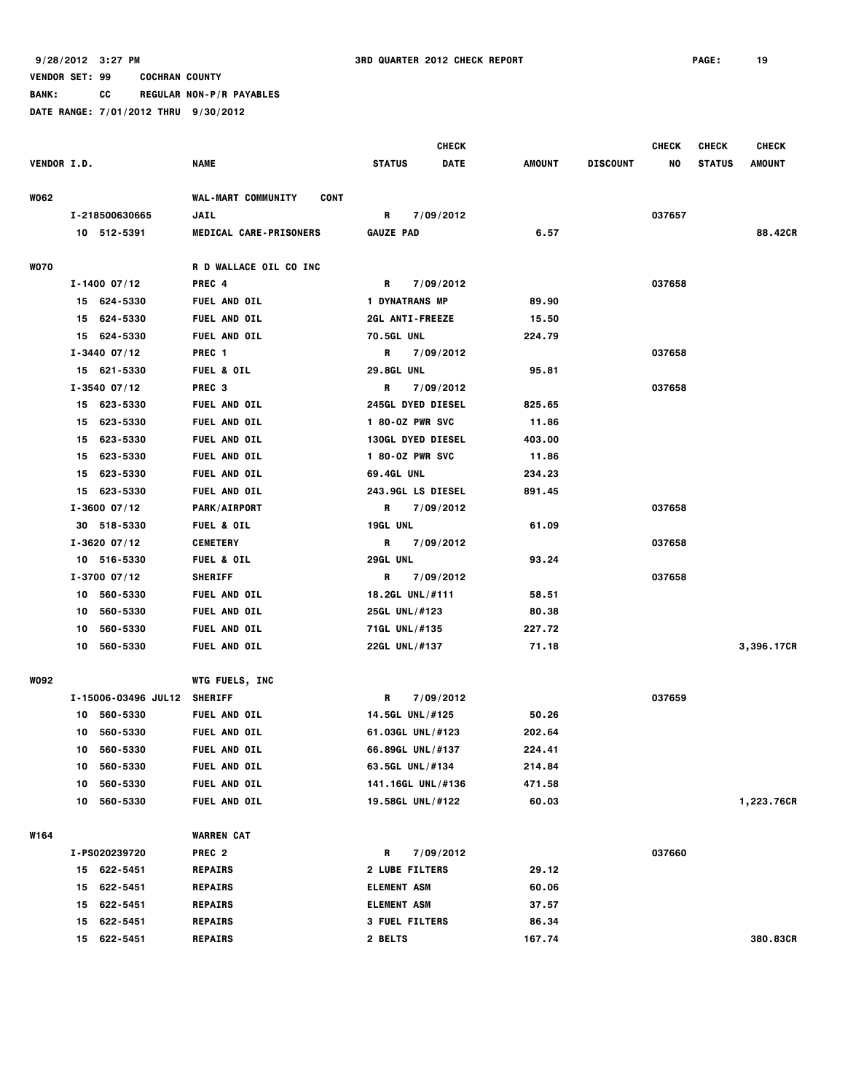**BANK: CC REGULAR NON-P/R PAYABLES DATE RANGE: 7/01/2012 THRU 9/30/2012**

 **CHECK CHECK CHECK CHECK VENDOR I.D. NAME STATUS DATE AMOUNT DISCOUNT NO STATUS AMOUNT W062 WAL-MART COMMUNITY CONT I-218500630665 JAIL R 7/09/2012 037657 10 512-5391 MEDICAL CARE-PRISONERS GAUZE PAD 6.57 88.42CR W070 R D WALLACE OIL CO INC I-1400 07/12 PREC 4 R 7/09/2012 037658 15 624-5330 FUEL AND OIL 1 DYNATRANS MP 89.90 15 624-5330 FUEL AND OIL 2GL ANTI-FREEZE 15.50 15 624-5330 FUEL AND OIL 70.5GL UNL 224.79 I-3440 07/12 PREC 1 R 7/09/2012 037658 15 621-5330 FUEL & OIL 29.8GL UNL 95.81 I-3540 07/12 PREC 3 R 7/09/2012 037658 15 623-5330 FUEL AND OIL 245GL DYED DIESEL 825.65 15 623-5330 FUEL AND OIL 1 80-OZ PWR SVC 11.86 15 623-5330 FUEL AND OIL 130GL DYED DIESEL 403.00 15 623-5330 FUEL AND OIL 1 80-OZ PWR SVC 11.86 15 623-5330 FUEL AND OIL 69.4GL UNL 234.23 15 623-5330 FUEL AND OIL 243.9GL LS DIESEL 891.45 I-3600 07/12 PARK/AIRPORT R 7/09/2012 037658 30 518-5330 FUEL & OIL 19GL UNL 61.09 I-3620 07/12 CEMETERY R 7/09/2012 037658 10 516-5330 FUEL & OIL 29GL UNL 93.24 I-3700 07/12 SHERIFF R 7/09/2012 037658 10 560-5330 FUEL AND OIL 18.2GL UNL/#111 58.51 10 560-5330 FUEL AND OIL 25GL UNL/#123 80.38 10 560-5330 FUEL AND OIL 71GL UNL/#135 227.72 10 560-5330 FUEL AND OIL 22GL UNL/#137 71.18 3,396.17CR W092 WTG FUELS, INC I-15006-03496 JUL12 SHERIFF R 7/09/2012 037659 10 560-5330 FUEL AND OIL 14.5GL UNL/#125 50.26 10 560-5330 FUEL AND OIL 61.03GL UNL/#123 202.64 10 560-5330 FUEL AND OIL 66.89GL UNL/#137 224.41 10 560-5330 FUEL AND OIL 63.5GL UNL/#134 214.84 10 560-5330 FUEL AND OIL 141.16GL UNL/#136 471.58 10 560-5330 FUEL AND OIL 19.58GL UNL/#122 60.03 1,223.76CR W164 WARREN CAT I-PS020239720 PREC 2 R 7/09/2012 037660 15 622-5451 REPAIRS 2 LUBE FILTERS 29.12 15 622-5451 REPAIRS ELEMENT ASM 60.06 15 622-5451 REPAIRS ELEMENT ASM 37.57 15 622-5451 REPAIRS 3 FUEL FILTERS 86.34 15 622-5451 REPAIRS 2 BELTS 167.74 380.83CR**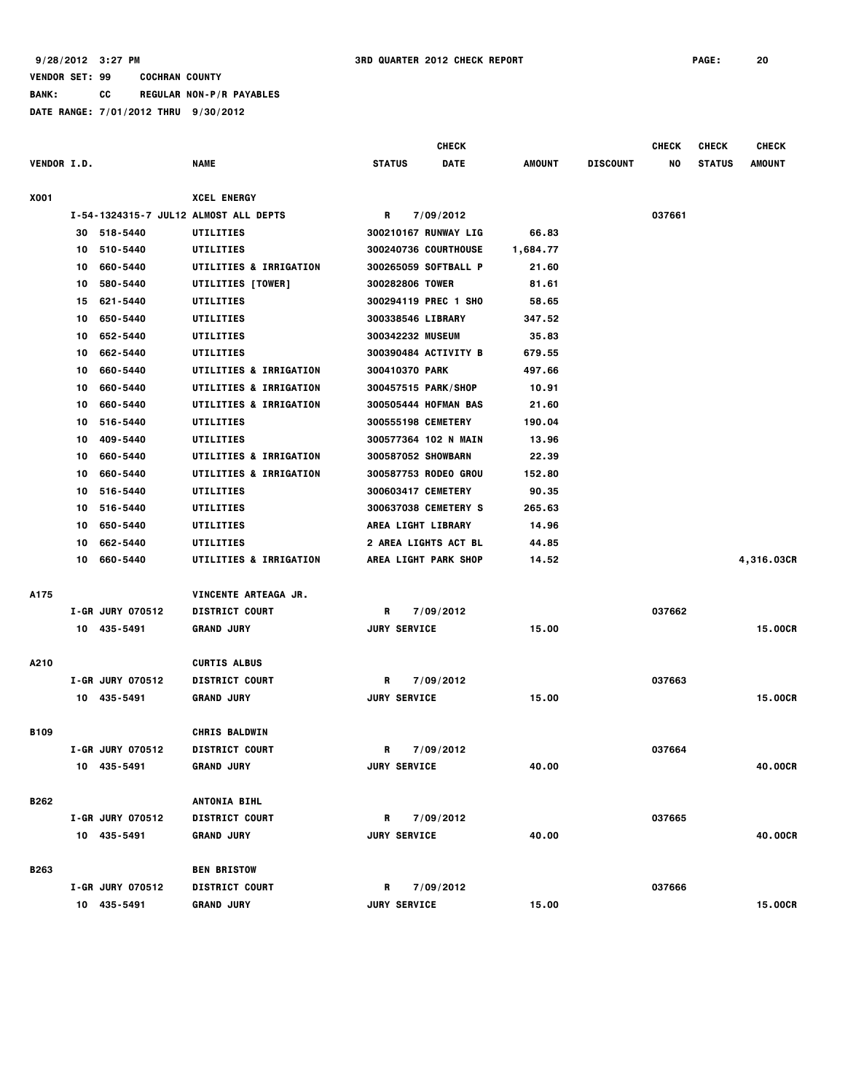# **VENDOR SET: 99 COCHRAN COUNTY BANK: CC REGULAR NON-P/R PAYABLES**

|                    |    |                         |                                       |               |                     | <b>CHECK</b>                |          |                 | <b>CHECK</b> | <b>CHECK</b>  | <b>CHECK</b>   |
|--------------------|----|-------------------------|---------------------------------------|---------------|---------------------|-----------------------------|----------|-----------------|--------------|---------------|----------------|
| <b>VENDOR I.D.</b> |    |                         | NAME                                  | <b>STATUS</b> |                     | <b>DATE</b>                 | AMOUNT   | <b>DISCOUNT</b> | NO           | <b>STATUS</b> | <b>AMOUNT</b>  |
| X001               |    |                         | <b>XCEL ENERGY</b>                    |               |                     |                             |          |                 |              |               |                |
|                    |    |                         | I-54-1324315-7 JUL12 ALMOST ALL DEPTS | R             |                     | 7/09/2012                   |          |                 | 037661       |               |                |
|                    | 30 | 518-5440                | UTILITIES                             |               |                     | 300210167 RUNWAY LIG        | 66.83    |                 |              |               |                |
|                    | 10 | 510-5440                | UTILITIES                             |               |                     | 300240736 COURTHOUSE        | 1,684.77 |                 |              |               |                |
|                    | 10 | 660-5440                | <b>UTILITIES &amp; IRRIGATION</b>     |               |                     | 300265059 SOFTBALL P        | 21.60    |                 |              |               |                |
|                    | 10 | 580-5440                | <b>UTILITIES [TOWER]</b>              |               |                     | 300282806 TOWER             | 81.61    |                 |              |               |                |
|                    | 15 | 621-5440                | <b>UTILITIES</b>                      |               |                     | 300294119 PREC 1 SHO        | 58.65    |                 |              |               |                |
|                    | 10 | 650-5440                | UTILITIES                             |               |                     | 300338546 LIBRARY           | 347.52   |                 |              |               |                |
|                    | 10 | 652-5440                | UTILITIES                             |               |                     | 300342232 MUSEUM            | 35.83    |                 |              |               |                |
|                    | 10 | 662-5440                | UTILITIES                             |               |                     | 300390484 ACTIVITY B        | 679.55   |                 |              |               |                |
|                    | 10 | 660-5440                | <b>UTILITIES &amp; IRRIGATION</b>     |               |                     | 300410370 PARK              | 497.66   |                 |              |               |                |
|                    | 10 | 660-5440                | <b>UTILITIES &amp; IRRIGATION</b>     |               |                     | 300457515 PARK/SHOP         | 10.91    |                 |              |               |                |
|                    | 10 | 660-5440                | <b>UTILITIES &amp; IRRIGATION</b>     |               |                     | <b>300505444 HOFMAN BAS</b> | 21.60    |                 |              |               |                |
|                    | 10 | 516-5440                | UTILITIES                             |               |                     | 300555198 CEMETERY          | 190.04   |                 |              |               |                |
|                    | 10 | 409-5440                | UTILITIES                             |               |                     | 300577364 102 N MAIN        | 13.96    |                 |              |               |                |
|                    | 10 | 660-5440                | UTILITIES & IRRIGATION                |               |                     | 300587052 SHOWBARN          | 22.39    |                 |              |               |                |
|                    | 10 | 660-5440                | <b>UTILITIES &amp; IRRIGATION</b>     |               |                     | 300587753 RODEO GROU        | 152.80   |                 |              |               |                |
|                    | 10 | 516-5440                | UTILITIES                             |               |                     | 300603417 CEMETERY          | 90.35    |                 |              |               |                |
|                    | 10 | 516-5440                | <b>UTILITIES</b>                      |               |                     | 300637038 CEMETERY S        | 265.63   |                 |              |               |                |
|                    | 10 | 650-5440                | UTILITIES                             |               |                     | AREA LIGHT LIBRARY          | 14.96    |                 |              |               |                |
|                    | 10 | 662-5440                | <b>UTILITIES</b>                      |               |                     | <b>2 AREA LIGHTS ACT BL</b> | 44.85    |                 |              |               |                |
|                    | 10 | 660-5440                | <b>UTILITIES &amp; IRRIGATION</b>     |               |                     | AREA LIGHT PARK SHOP        | 14.52    |                 |              |               | 4,316.03CR     |
| A175               |    |                         | VINCENTE ARTEAGA JR.                  |               |                     |                             |          |                 |              |               |                |
|                    |    | <b>I-GR JURY 070512</b> | <b>DISTRICT COURT</b>                 | R             |                     | 7/09/2012                   |          |                 | 037662       |               |                |
|                    |    | 10 435-5491             | <b>GRAND JURY</b>                     |               | <b>JURY SERVICE</b> |                             | 15.00    |                 |              |               | <b>15.00CR</b> |
| A210               |    |                         | <b>CURTIS ALBUS</b>                   |               |                     |                             |          |                 |              |               |                |
|                    |    | <b>I-GR JURY 070512</b> | <b>DISTRICT COURT</b>                 | R             |                     | 7/09/2012                   |          |                 | 037663       |               |                |
|                    |    | 10 435-5491             | <b>GRAND JURY</b>                     |               | <b>JURY SERVICE</b> |                             | 15.00    |                 |              |               | 15.00CR        |
| <b>B109</b>        |    |                         | <b>CHRIS BALDWIN</b>                  |               |                     |                             |          |                 |              |               |                |
|                    |    | <b>I-GR JURY 070512</b> | <b>DISTRICT COURT</b>                 | R             |                     | 7/09/2012                   |          |                 | 037664       |               |                |
|                    |    | 10 435-5491             | <b>GRAND JURY</b>                     |               | <b>JURY SERVICE</b> |                             | 40.00    |                 |              |               | 40.00CR        |
| B262               |    |                         | <b>ANTONIA BIHL</b>                   |               |                     |                             |          |                 |              |               |                |
|                    |    | <b>I-GR JURY 070512</b> | <b>DISTRICT COURT</b>                 | R             |                     | 7/09/2012                   |          |                 | 037665       |               |                |
|                    |    | 10 435-5491             | <b>GRAND JURY</b>                     |               | <b>JURY SERVICE</b> |                             | 40.00    |                 |              |               | 40.00CR        |
| <b>B263</b>        |    |                         | <b>BEN BRISTOW</b>                    |               |                     |                             |          |                 |              |               |                |
|                    |    | I-GR JURY 070512        | <b>DISTRICT COURT</b>                 | R             |                     | 7/09/2012                   |          |                 | 037666       |               |                |
|                    |    | 10 435-5491             | <b>GRAND JURY</b>                     |               | <b>JURY SERVICE</b> |                             | 15.00    |                 |              |               | 15,00CR        |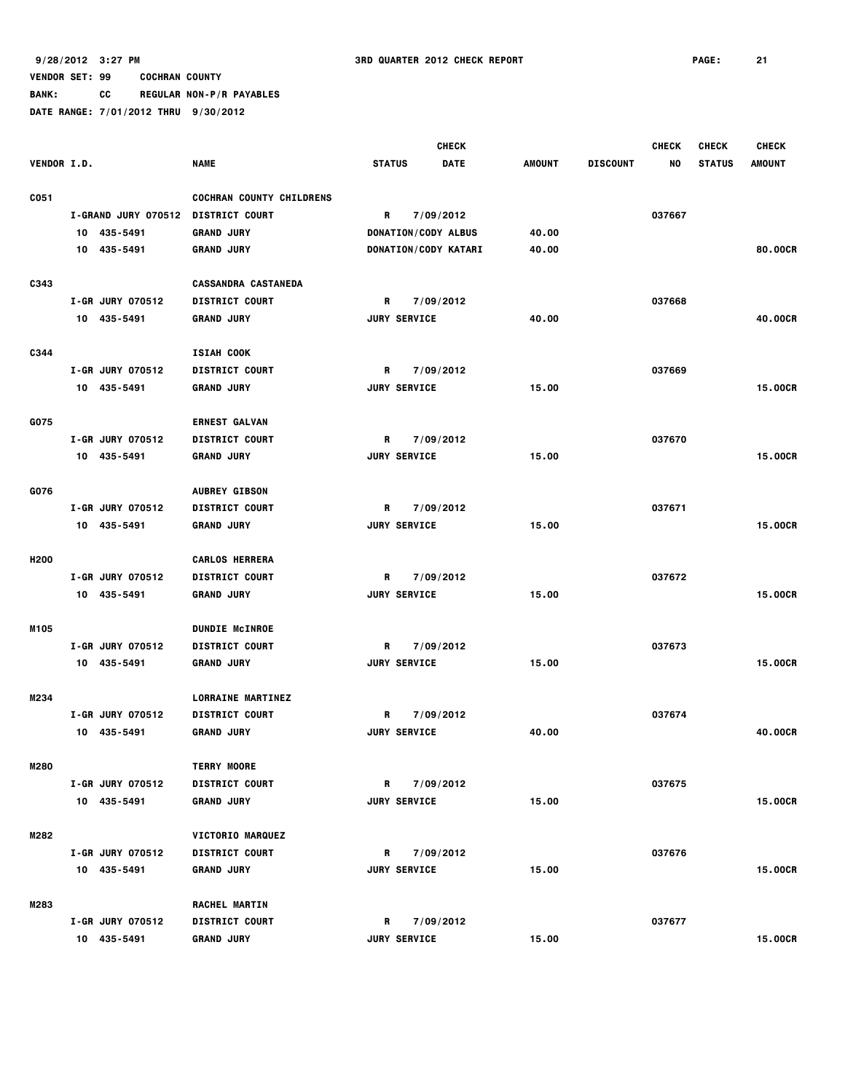**BANK: CC REGULAR NON-P/R PAYABLES**

|                    |                                    |                                                   |                     | <b>CHECK</b>         |               |                 | <b>CHECK</b> | <b>CHECK</b>  | <b>CHECK</b>   |
|--------------------|------------------------------------|---------------------------------------------------|---------------------|----------------------|---------------|-----------------|--------------|---------------|----------------|
| <b>VENDOR I.D.</b> |                                    | <b>NAME</b>                                       | <b>STATUS</b>       | <b>DATE</b>          | <b>AMOUNT</b> | <b>DISCOUNT</b> | NO           | <b>STATUS</b> | <b>AMOUNT</b>  |
|                    |                                    |                                                   |                     |                      |               |                 |              |               |                |
| C051               |                                    | <b>COCHRAN COUNTY CHILDRENS</b>                   |                     |                      |               |                 |              |               |                |
|                    | I-GRAND JURY 070512 DISTRICT COURT |                                                   | R                   | 7/09/2012            |               |                 | 037667       |               |                |
|                    | 10 435-5491                        | <b>GRAND JURY</b>                                 |                     | DONATION/CODY ALBUS  | 40.00         |                 |              |               |                |
|                    | 10 435-5491                        | <b>GRAND JURY</b>                                 |                     | DONATION/CODY KATARI | 40.00         |                 |              |               | 80.00CR        |
| C343               |                                    | <b>CASSANDRA CASTANEDA</b>                        |                     |                      |               |                 |              |               |                |
|                    | I-GR JURY 070512                   | <b>DISTRICT COURT</b>                             | R                   | 7/09/2012            |               |                 | 037668       |               |                |
|                    | 10 435-5491                        | <b>GRAND JURY</b>                                 | <b>JURY SERVICE</b> |                      | 40.00         |                 |              |               | 40.00CR        |
|                    |                                    |                                                   |                     |                      |               |                 |              |               |                |
| C344               |                                    | ISIAH COOK                                        |                     |                      |               |                 |              |               |                |
|                    | <b>I-GR JURY 070512</b>            | <b>DISTRICT COURT</b>                             | R                   | 7/09/2012            |               |                 | 037669       |               |                |
|                    | 10 435-5491                        | <b>GRAND JURY</b>                                 | <b>JURY SERVICE</b> |                      | 15.00         |                 |              |               | 15.00CR        |
|                    |                                    |                                                   |                     |                      |               |                 |              |               |                |
| G075               |                                    | <b>ERNEST GALVAN</b>                              |                     |                      |               |                 |              |               |                |
|                    | I-GR JURY 070512                   | <b>DISTRICT COURT</b>                             | R                   | 7/09/2012            |               |                 | 037670       |               |                |
|                    | 10 435-5491                        | <b>GRAND JURY</b>                                 | <b>JURY SERVICE</b> |                      | 15.00         |                 |              |               | 15.00CR        |
| G076               |                                    | <b>AUBREY GIBSON</b>                              |                     |                      |               |                 |              |               |                |
|                    | I-GR JURY 070512                   | <b>DISTRICT COURT</b>                             | R                   | 7/09/2012            |               |                 | 037671       |               |                |
|                    | 10 435-5491                        | <b>GRAND JURY</b>                                 | <b>JURY SERVICE</b> |                      | 15.00         |                 |              |               | <b>15.00CR</b> |
|                    |                                    |                                                   |                     |                      |               |                 |              |               |                |
| H <sub>200</sub>   |                                    | <b>CARLOS HERRERA</b>                             |                     |                      |               |                 |              |               |                |
|                    | <b>I-GR JURY 070512</b>            | <b>DISTRICT COURT</b>                             | R                   | 7/09/2012            |               |                 | 037672       |               |                |
|                    | 10 435-5491                        | <b>GRAND JURY</b>                                 | <b>JURY SERVICE</b> |                      | 15.00         |                 |              |               | 15.00CR        |
|                    |                                    |                                                   |                     |                      |               |                 |              |               |                |
| M105               |                                    | <b>DUNDIE MCINROE</b>                             |                     |                      |               |                 |              |               |                |
|                    | I-GR JURY 070512                   | <b>DISTRICT COURT</b>                             | R                   | 7/09/2012            |               |                 | 037673       |               |                |
|                    | 10 435-5491                        | <b>GRAND JURY</b>                                 | <b>JURY SERVICE</b> |                      | 15.00         |                 |              |               | <b>15.00CR</b> |
|                    |                                    |                                                   |                     |                      |               |                 |              |               |                |
| M234               | I-GR JURY 070512                   | <b>LORRAINE MARTINEZ</b><br><b>DISTRICT COURT</b> | R                   | 7/09/2012            |               |                 | 037674       |               |                |
|                    | 10 435-5491                        | <b>GRAND JURY</b>                                 | <b>JURY SERVICE</b> |                      | 40.00         |                 |              |               | 40.00CR        |
|                    |                                    |                                                   |                     |                      |               |                 |              |               |                |
| M280               |                                    | <b>TERRY MOORE</b>                                |                     |                      |               |                 |              |               |                |
|                    | I-GR JURY 070512                   | <b>DISTRICT COURT</b>                             | R                   | 7/09/2012            |               |                 | 037675       |               |                |
|                    | 10 435-5491                        | <b>GRAND JURY</b>                                 | <b>JURY SERVICE</b> |                      | 15.00         |                 |              |               | 15.00CR        |
|                    |                                    |                                                   |                     |                      |               |                 |              |               |                |
| M282               |                                    | <b>VICTORIO MARQUEZ</b>                           |                     |                      |               |                 |              |               |                |
|                    | I-GR JURY 070512                   | <b>DISTRICT COURT</b>                             | R                   | 7/09/2012            |               |                 | 037676       |               |                |
|                    | 10 435-5491                        | <b>GRAND JURY</b>                                 | <b>JURY SERVICE</b> |                      | 15.00         |                 |              |               | 15,00CR        |
|                    |                                    |                                                   |                     |                      |               |                 |              |               |                |
| M283               |                                    | RACHEL MARTIN                                     |                     |                      |               |                 |              |               |                |
|                    | I-GR JURY 070512                   | <b>DISTRICT COURT</b>                             | R                   | 7/09/2012            |               |                 | 037677       |               | 15.00CR        |
|                    | 10 435-5491                        | <b>GRAND JURY</b>                                 | <b>JURY SERVICE</b> |                      | 15.00         |                 |              |               |                |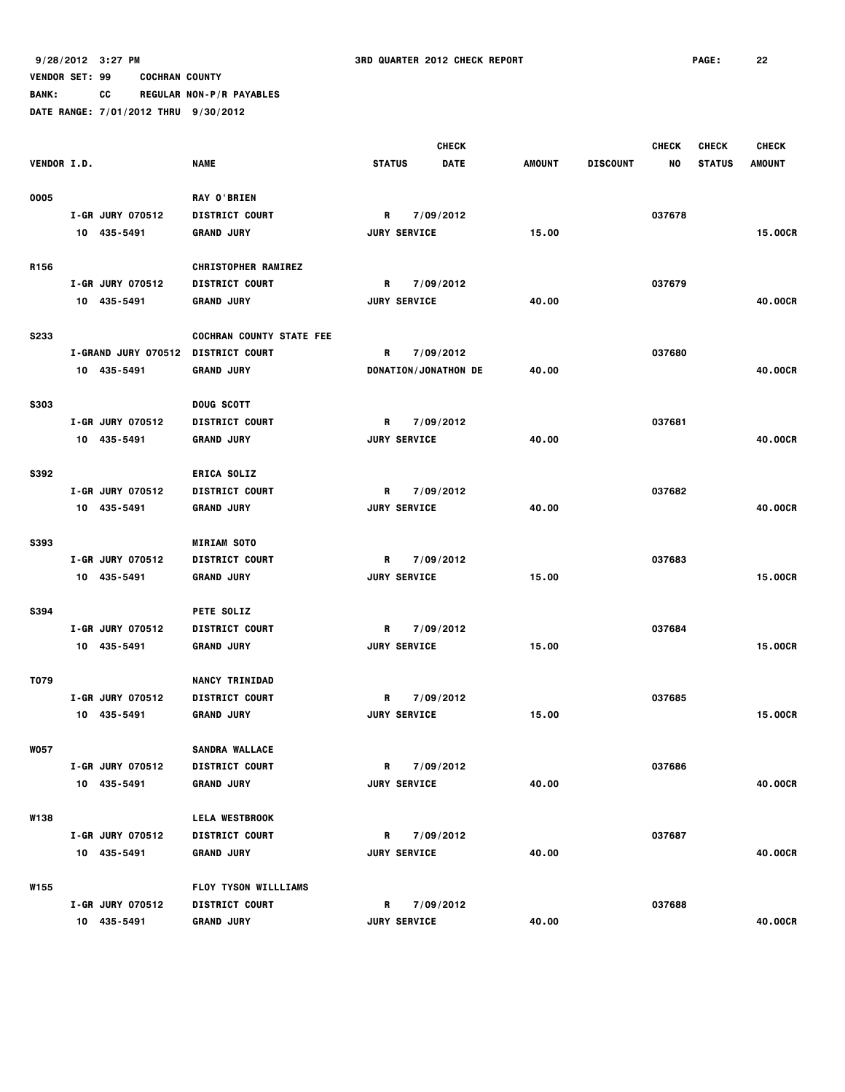**BANK: CC REGULAR NON-P/R PAYABLES**

**DATE RANGE: 7/01/2012 THRU 9/30/2012**

 **CHECK CHECK CHECK CHECK VENDOR I.D. NAME STATUS DATE AMOUNT DISCOUNT NO STATUS AMOUNT O005 RAY O'BRIEN I-GR JURY 070512 DISTRICT COURT R 7/09/2012 037678 10 435-5491 GRAND JURY JURY SERVICE 15.00 15.00CR R156 CHRISTOPHER RAMIREZ I-GR JURY 070512 DISTRICT COURT R 7/09/2012 037679** 10 435-5491 GRAND JURY JURY SERVICE 40.000 40 **S233 COCHRAN COUNTY STATE FEE I-GRAND JURY 070512 DISTRICT COURT R 7/09/2012 037680 10 435-5491 GRAND JURY DONATION/JONATHON DE 40.00 40.00CR S303 DOUG SCOTT I-GR JURY 070512 DISTRICT COURT R 7/09/2012 037681 10 435-5491 GRAND JURY JURY SERVICE 40.00 40.00CR S392 ERICA SOLIZ I-GR JURY 070512 DISTRICT COURT R 7/09/2012 037682 10 435-5491 GRAND JURY JURY SERVICE 40.00 40.00CR S393 MIRIAM SOTO I-GR JURY 070512 DISTRICT COURT R 7/09/2012 037683 10 435-5491 GRAND JURY JURY SERVICE 15.00 15.00CR S394 PETE SOLIZ I-GR JURY 070512 DISTRICT COURT R 7/09/2012 037684 10 435-5491 GRAND JURY JURY SERVICE 15.00 15.00CR T079 NANCY TRINIDAD I-GR JURY 070512 DISTRICT COURT R 7/09/2012 037685 10 435-5491 GRAND JURY JURY SERVICE 15.00 15.00CR W057 SANDRA WALLACE I-GR JURY 070512 DISTRICT COURT R 7/09/2012 037686 10 435-5491 GRAND JURY JURY SERVICE 40.00 40.00CR W138 LELA WESTBROOK I-GR JURY 070512 DISTRICT COURT R 7/09/2012 037687 10 435-5491 GRAND JURY JURY SERVICE 40.00 40.00CR W155 FLOY TYSON WILLLIAMS I-GR JURY 070512 DISTRICT COURT R 7/09/2012 037688 10 435-5491 GRAND JURY JURY SERVICE 40.00 40.00CR**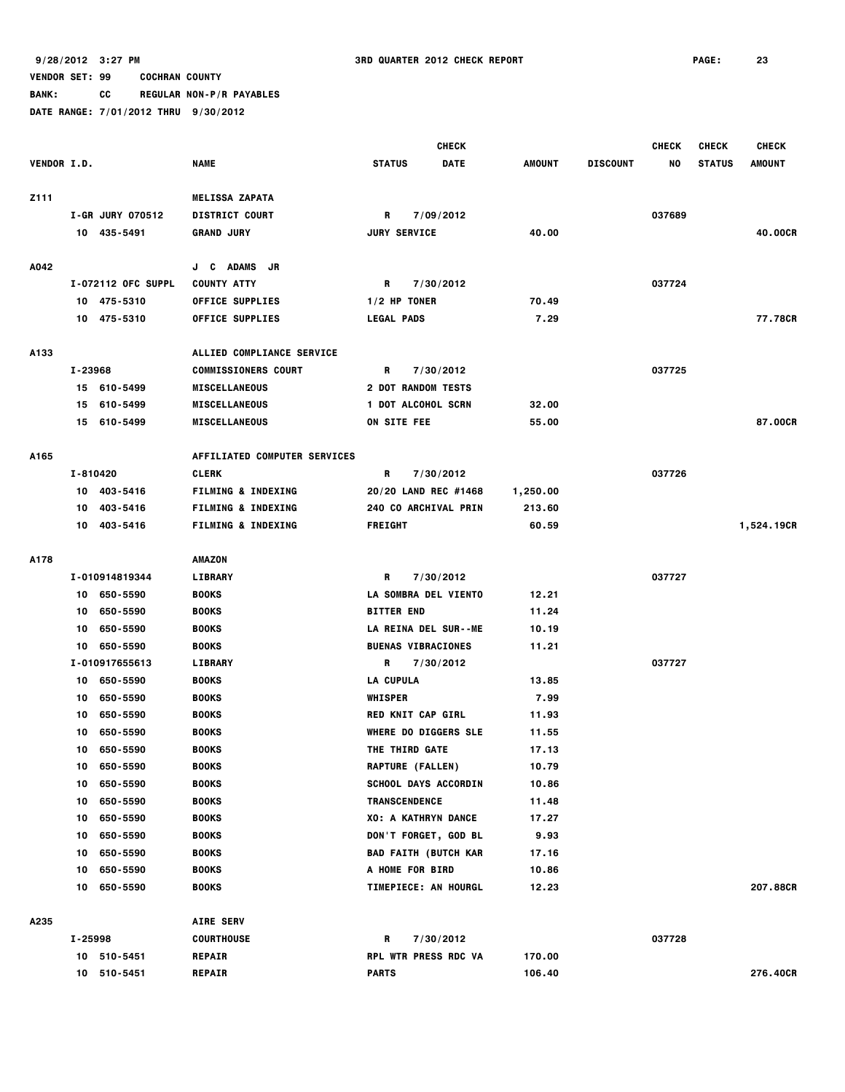**BANK: CC REGULAR NON-P/R PAYABLES**

|                    |         |                    |                                     |                    |                           | <b>CHECK</b>                |               |                 | <b>CHECK</b> | <b>CHECK</b>  | <b>CHECK</b>  |
|--------------------|---------|--------------------|-------------------------------------|--------------------|---------------------------|-----------------------------|---------------|-----------------|--------------|---------------|---------------|
| <b>VENDOR I.D.</b> |         |                    | <b>NAME</b>                         | <b>STATUS</b>      |                           | DATE                        | <b>AMOUNT</b> | <b>DISCOUNT</b> | NO           | <b>STATUS</b> | <b>AMOUNT</b> |
|                    |         |                    |                                     |                    |                           |                             |               |                 |              |               |               |
| Z111               |         |                    | <b>MELISSA ZAPATA</b>               |                    |                           |                             |               |                 |              |               |               |
|                    |         | I-GR JURY 070512   | <b>DISTRICT COURT</b>               | R                  |                           | 7/09/2012                   |               |                 | 037689       |               |               |
|                    |         | 10 435-5491        | <b>GRAND JURY</b>                   |                    | <b>JURY SERVICE</b>       |                             | 40.00         |                 |              |               | 40.00CR       |
|                    |         |                    |                                     |                    |                           |                             |               |                 |              |               |               |
| A042               |         |                    | J C ADAMS<br>JR.                    |                    |                           |                             |               |                 |              |               |               |
|                    |         | I-072112 OFC SUPPL | <b>COUNTY ATTY</b>                  | R                  |                           | 7/30/2012                   |               |                 | 037724       |               |               |
|                    |         | 10 475-5310        | <b>OFFICE SUPPLIES</b>              | $1/2$ HP TONER     |                           |                             | 70.49         |                 |              |               |               |
|                    |         | 10 475-5310        | <b>OFFICE SUPPLIES</b>              | <b>LEGAL PADS</b>  |                           |                             | 7.29          |                 |              |               | 77.78CR       |
|                    |         |                    |                                     |                    |                           |                             |               |                 |              |               |               |
| A133               |         |                    | ALLIED COMPLIANCE SERVICE           |                    |                           |                             |               |                 |              |               |               |
|                    | I-23968 |                    | <b>COMMISSIONERS COURT</b>          | R                  |                           | 7/30/2012                   |               |                 | 037725       |               |               |
|                    |         | 15 610-5499        | <b>MISCELLANEOUS</b>                | 2 DOT RANDOM TESTS |                           |                             |               |                 |              |               |               |
|                    |         | 15 610-5499        | <b>MISCELLANEOUS</b>                | 1 DOT ALCOHOL SCRN |                           |                             | 32.00         |                 |              |               |               |
|                    |         | 15 610-5499        | <b>MISCELLANEOUS</b>                | ON SITE FEE        |                           |                             | 55.00         |                 |              |               | 87,00CR       |
|                    |         |                    |                                     |                    |                           |                             |               |                 |              |               |               |
| A165               |         |                    | <b>AFFILIATED COMPUTER SERVICES</b> |                    |                           |                             |               |                 |              |               |               |
|                    |         | I-810420           | <b>CLERK</b>                        | R                  |                           | 7/30/2012                   |               |                 | 037726       |               |               |
|                    |         | 10 403-5416        | <b>FILMING &amp; INDEXING</b>       |                    |                           | 20/20 LAND REC #1468        | 1,250.00      |                 |              |               |               |
|                    |         | 10 403-5416        | <b>FILMING &amp; INDEXING</b>       |                    |                           | 240 CO ARCHIVAL PRIN        | 213.60        |                 |              |               |               |
|                    |         | 10 403-5416        | <b>FILMING &amp; INDEXING</b>       | <b>FREIGHT</b>     |                           |                             | 60.59         |                 |              |               | 1,524.19CR    |
|                    |         |                    |                                     |                    |                           |                             |               |                 |              |               |               |
| A178               |         |                    | AMAZON                              |                    |                           |                             |               |                 |              |               |               |
|                    |         | I-010914819344     | <b>LIBRARY</b>                      | R                  |                           | 7/30/2012                   |               |                 | 037727       |               |               |
|                    |         | 10 650-5590        | <b>BOOKS</b>                        |                    |                           | LA SOMBRA DEL VIENTO        | 12.21         |                 |              |               |               |
|                    |         | 10 650-5590        | <b>BOOKS</b>                        | <b>BITTER END</b>  |                           |                             | 11.24         |                 |              |               |               |
|                    | 10      | 650-5590           | <b>BOOKS</b>                        |                    |                           | LA REINA DEL SUR--ME        | 10.19         |                 |              |               |               |
|                    | 10      | 650-5590           | <b>BOOKS</b>                        |                    | <b>BUENAS VIBRACIONES</b> |                             | 11.21         |                 |              |               |               |
|                    |         | I-010917655613     | <b>LIBRARY</b>                      | R                  |                           | 7/30/2012                   |               |                 | 037727       |               |               |
|                    |         | 10 650-5590        | <b>BOOKS</b>                        | <b>LA CUPULA</b>   |                           |                             | 13.85         |                 |              |               |               |
|                    | 10      | 650-5590           | <b>BOOKS</b>                        | <b>WHISPER</b>     |                           |                             | 7.99          |                 |              |               |               |
|                    | 10      | 650-5590           | <b>BOOKS</b>                        |                    | <b>RED KNIT CAP GIRL</b>  |                             | 11.93         |                 |              |               |               |
|                    | 10      | 650-5590           | <b>BOOKS</b>                        |                    |                           | <b>WHERE DO DIGGERS SLE</b> | 11.55         |                 |              |               |               |
|                    | 10      | 650-5590           | <b>BOOKS</b>                        |                    | THE THIRD GATE            |                             | 17.13         |                 |              |               |               |
|                    |         | 10 650-5590        | <b>BOOKS</b>                        |                    | RAPTURE (FALLEN)          |                             | 10.79         |                 |              |               |               |
|                    |         | 10 650-5590        | <b>BOOKS</b>                        |                    |                           | SCHOOL DAYS ACCORDIN        | 10.86         |                 |              |               |               |
|                    | 10      | 650-5590           | <b>BOOKS</b>                        |                    | <b>TRANSCENDENCE</b>      |                             | 11.48         |                 |              |               |               |
|                    | 10      | 650-5590           | <b>BOOKS</b>                        |                    |                           | XO: A KATHRYN DANCE         | 17.27         |                 |              |               |               |
|                    | 10      | 650-5590           | <b>BOOKS</b>                        |                    |                           | DON'T FORGET, GOD BL        | 9.93          |                 |              |               |               |
|                    | 10      | 650-5590           | <b>BOOKS</b>                        |                    |                           | <b>BAD FAITH (BUTCH KAR</b> | 17.16         |                 |              |               |               |
|                    |         | 10 650-5590        | <b>BOOKS</b>                        |                    | A HOME FOR BIRD           |                             | 10.86         |                 |              |               |               |
|                    |         | 10 650-5590        | <b>BOOKS</b>                        |                    |                           | TIMEPIECE: AN HOURGL        | 12.23         |                 |              |               | 207.88CR      |
|                    |         |                    |                                     |                    |                           |                             |               |                 |              |               |               |
| A235               |         |                    | <b>AIRE SERV</b>                    |                    |                           |                             |               |                 |              |               |               |
|                    | I-25998 |                    | <b>COURTHOUSE</b>                   | R                  |                           | 7/30/2012                   |               |                 | 037728       |               |               |
|                    |         | 10 510-5451        | <b>REPAIR</b>                       |                    |                           | RPL WTR PRESS RDC VA        | 170.00        |                 |              |               |               |
|                    |         | 10 510-5451        | <b>REPAIR</b>                       | <b>PARTS</b>       |                           |                             | 106.40        |                 |              |               | 276.40CR      |
|                    |         |                    |                                     |                    |                           |                             |               |                 |              |               |               |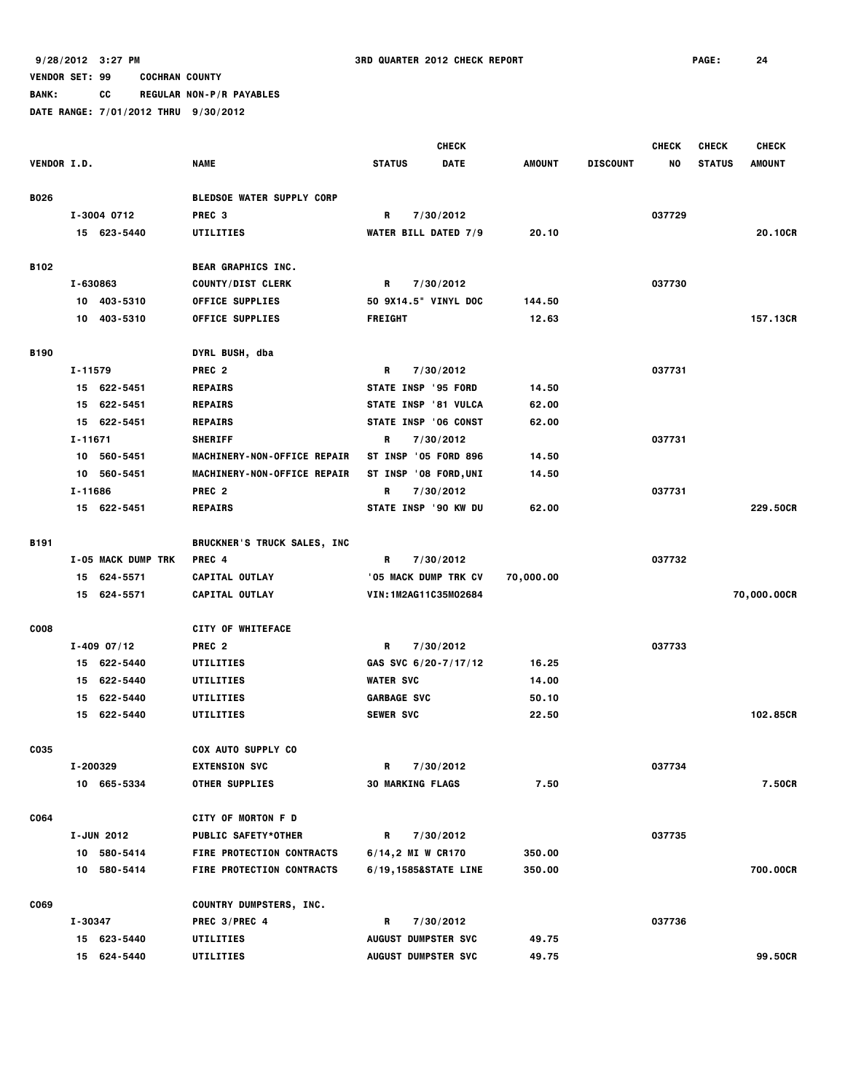**BANK: CC REGULAR NON-P/R PAYABLES**

|             |          |                    |                                                            |                    | <b>CHECK</b>                      |               |                 | <b>CHECK</b> | <b>CHECK</b>  | <b>CHECK</b>  |
|-------------|----------|--------------------|------------------------------------------------------------|--------------------|-----------------------------------|---------------|-----------------|--------------|---------------|---------------|
| VENDOR I.D. |          |                    | <b>NAME</b>                                                | <b>STATUS</b>      | <b>DATE</b>                       | <b>AMOUNT</b> | <b>DISCOUNT</b> | NO           | <b>STATUS</b> | <b>AMOUNT</b> |
|             |          |                    |                                                            |                    |                                   |               |                 |              |               |               |
| <b>B026</b> |          |                    | <b>BLEDSOE WATER SUPPLY CORP</b>                           |                    |                                   |               |                 |              |               |               |
|             |          | I-3004 0712        | PREC <sub>3</sub>                                          | R                  | 7/30/2012                         |               |                 | 037729       |               |               |
|             |          | 15 623-5440        | UTILITIES                                                  |                    | <b>WATER BILL DATED 7/9</b>       | 20.10         |                 |              |               | 20.10CR       |
| B102        |          |                    | BEAR GRAPHICS INC.                                         |                    |                                   |               |                 |              |               |               |
|             | I-630863 |                    | <b>COUNTY/DIST CLERK</b>                                   | R                  | 7/30/2012                         |               |                 | 037730       |               |               |
|             |          | 10 403-5310        | <b>OFFICE SUPPLIES</b>                                     |                    | 50 9X14.5" VINYL DOC              | 144.50        |                 |              |               |               |
|             |          | 10 403-5310        | <b>OFFICE SUPPLIES</b>                                     | <b>FREIGHT</b>     |                                   | 12.63         |                 |              |               | 157.13CR      |
|             |          |                    |                                                            |                    |                                   |               |                 |              |               |               |
| <b>B190</b> | I-11579  |                    | DYRL BUSH, dba<br>PREC <sub>2</sub>                        |                    |                                   |               |                 | 037731       |               |               |
|             |          | 15 622-5451        | <b>REPAIRS</b>                                             | R                  | 7/30/2012<br>STATE INSP '95 FORD  | 14.50         |                 |              |               |               |
|             |          | 15 622-5451        | <b>REPAIRS</b>                                             |                    | STATE INSP '81 VULCA              | 62.00         |                 |              |               |               |
|             |          | 15 622-5451        | <b>REPAIRS</b>                                             |                    | STATE INSP '06 CONST              | 62.00         |                 |              |               |               |
|             | I-11671  |                    | <b>SHERIFF</b>                                             | R                  |                                   |               |                 | 037731       |               |               |
|             |          | 10 560-5451        |                                                            |                    | 7/30/2012<br>ST INSP '05 FORD 896 | 14.50         |                 |              |               |               |
|             | 10       | 560-5451           | MACHINERY-NON-OFFICE REPAIR<br>MACHINERY-NON-OFFICE REPAIR |                    | ST INSP '08 FORD, UNI             | 14.50         |                 |              |               |               |
|             | I-11686  |                    | PREC <sub>2</sub>                                          | R                  | 7/30/2012                         |               |                 | 037731       |               |               |
|             |          | 15 622-5451        | <b>REPAIRS</b>                                             |                    | STATE INSP '90 KW DU              | 62.00         |                 |              |               | 229.50CR      |
|             |          |                    |                                                            |                    |                                   |               |                 |              |               |               |
| <b>B191</b> |          |                    | <b>BRUCKNER'S TRUCK SALES, INC</b>                         |                    |                                   |               |                 |              |               |               |
|             |          | I-05 MACK DUMP TRK | PREC 4                                                     | R                  | 7/30/2012                         |               |                 | 037732       |               |               |
|             |          | 15 624-5571        | CAPITAL OUTLAY                                             |                    | '05 MACK DUMP TRK CV              | 70,000.00     |                 |              |               |               |
|             |          | 15 624-5571        | CAPITAL OUTLAY                                             |                    | VIN:1M2AG11C35M02684              |               |                 |              |               | 70,000.00CR   |
| <b>COO8</b> |          |                    | <b>CITY OF WHITEFACE</b>                                   |                    |                                   |               |                 |              |               |               |
|             |          | $I - 409 07/12$    | PREC <sub>2</sub>                                          | R                  | 7/30/2012                         |               |                 | 037733       |               |               |
|             |          | 15 622-5440        | UTILITIES                                                  |                    | GAS SVC 6/20-7/17/12              | 16.25         |                 |              |               |               |
|             | 15       | 622-5440           | UTILITIES                                                  | <b>WATER SVC</b>   |                                   | 14.00         |                 |              |               |               |
|             | 15       | 622-5440           | UTILITIES                                                  | <b>GARBAGE SVC</b> |                                   | 50.10         |                 |              |               |               |
|             |          | 15 622-5440        | UTILITIES                                                  | <b>SEWER SVC</b>   |                                   | 22.50         |                 |              |               | 102.85CR      |
|             |          |                    |                                                            |                    |                                   |               |                 |              |               |               |
| C035        |          |                    | <b>COX AUTO SUPPLY CO</b>                                  |                    |                                   |               |                 |              |               |               |
|             |          | I-200329           | <b>EXTENSION SVC</b>                                       | R                  | 7/30/2012                         |               |                 | 037734       |               |               |
|             |          | 10 665-5334        | <b>OTHER SUPPLIES</b>                                      |                    | <b>30 MARKING FLAGS</b>           | 7.50          |                 |              |               | 7.50CR        |
| C064        |          |                    | <b>CITY OF MORTON F D</b>                                  |                    |                                   |               |                 |              |               |               |
|             |          | I-JUN 2012         | <b>PUBLIC SAFETY*OTHER</b>                                 | R                  | 7/30/2012                         |               |                 | 037735       |               |               |
|             |          | 10 580-5414        | FIRE PROTECTION CONTRACTS                                  |                    | 6/14,2 MI W CR170                 | 350.00        |                 |              |               |               |
|             |          | 10 580-5414        | FIRE PROTECTION CONTRACTS                                  |                    | 6/19,1585&STATE LINE              | 350.00        |                 |              |               | 700.00CR      |
|             |          |                    |                                                            |                    |                                   |               |                 |              |               |               |
| C069        |          |                    | COUNTRY DUMPSTERS, INC.                                    |                    |                                   |               |                 |              |               |               |
|             | I-30347  |                    | PREC 3/PREC 4                                              | R                  | 7/30/2012                         |               |                 | 037736       |               |               |
|             |          | 15 623-5440        | UTILITIES                                                  |                    | <b>AUGUST DUMPSTER SVC</b>        | 49.75         |                 |              |               |               |
|             |          | 15 624-5440        | UTILITIES                                                  |                    | <b>AUGUST DUMPSTER SVC</b>        | 49.75         |                 |              |               | 99.50CR       |
|             |          |                    |                                                            |                    |                                   |               |                 |              |               |               |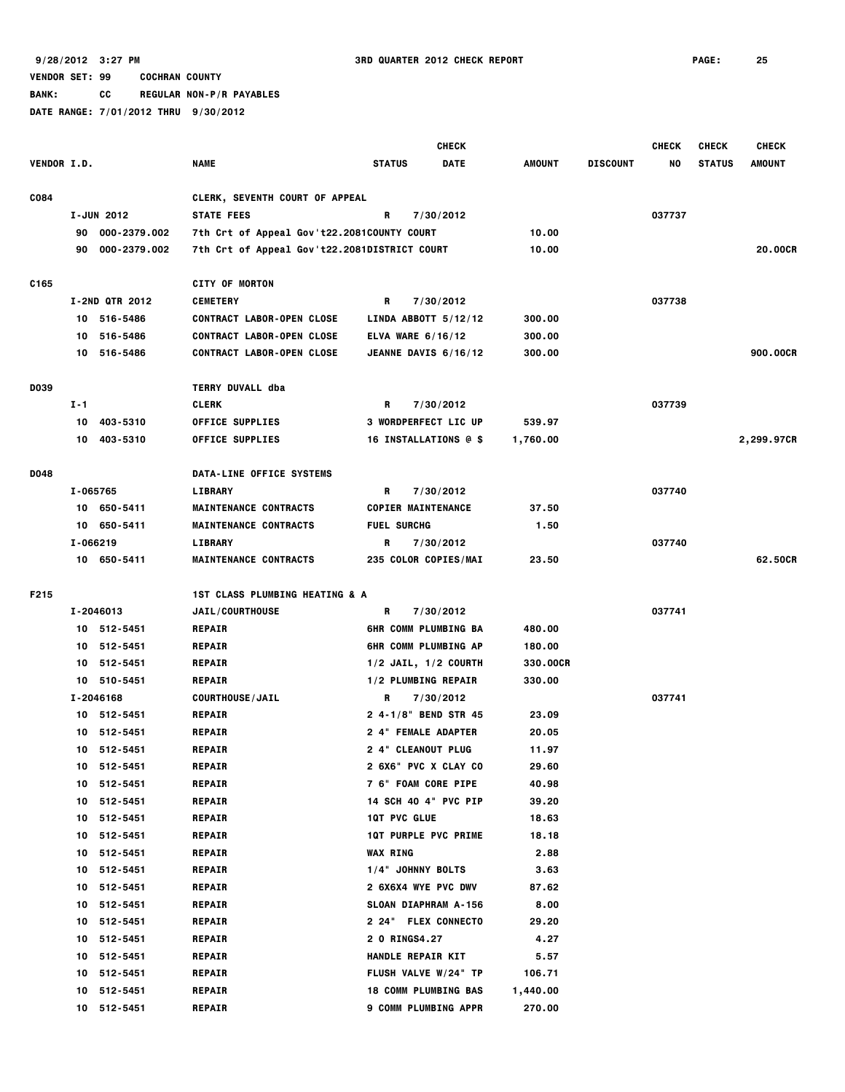**9/28/2012 3:27 PM 3RD QUARTER 2012 CHECK REPORT PAGE: 25**

# **VENDOR SET: 99 COCHRAN COUNTY**

**BANK: CC REGULAR NON-P/R PAYABLES**

|                    |          |                       |                                              |                             | <b>CHECK</b> |          |                 | <b>CHECK</b> | <b>CHECK</b>  | <b>CHECK</b>  |
|--------------------|----------|-----------------------|----------------------------------------------|-----------------------------|--------------|----------|-----------------|--------------|---------------|---------------|
| <b>VENDOR I.D.</b> |          |                       | <b>NAME</b>                                  | <b>STATUS</b>               | <b>DATE</b>  | AMOUNT   | <b>DISCOUNT</b> | NO           | <b>STATUS</b> | <b>AMOUNT</b> |
| C084               |          |                       | <b>CLERK, SEVENTH COURT OF APPEAL</b>        |                             |              |          |                 |              |               |               |
|                    |          | I-JUN 2012            | <b>STATE FEES</b>                            | R                           | 7/30/2012    |          |                 | 037737       |               |               |
|                    | 90       | 000-2379.002          | 7th Crt of Appeal Gov't22.2081COUNTY COURT   |                             |              | 10.00    |                 |              |               |               |
|                    | 90       | 000-2379.002          | 7th Crt of Appeal Gov't22.2081DISTRICT COURT |                             |              | 10.00    |                 |              |               | 20.00CR       |
| C165               |          |                       | <b>CITY OF MORTON</b>                        |                             |              |          |                 |              |               |               |
|                    |          | <b>I-2ND QTR 2012</b> | <b>CEMETERY</b>                              | R                           | 7/30/2012    |          |                 | 037738       |               |               |
|                    |          | 10 516-5486           | <b>CONTRACT LABOR-OPEN CLOSE</b>             | LINDA ABBOTT $5/12/12$      |              | 300.00   |                 |              |               |               |
|                    | 10       | 516-5486              | <b>CONTRACT LABOR-OPEN CLOSE</b>             | ELVA WARE 6/16/12           |              | 300.00   |                 |              |               |               |
|                    |          | 10 516-5486           | <b>CONTRACT LABOR-OPEN CLOSE</b>             | JEANNE DAVIS 6/16/12        |              | 300.00   |                 |              |               | 900.00CR      |
| D039               |          |                       | <b>TERRY DUVALL dba</b>                      |                             |              |          |                 |              |               |               |
|                    | I-1      |                       | <b>CLERK</b>                                 | R                           | 7/30/2012    |          |                 | 037739       |               |               |
|                    | 10       | 403-5310              | <b>OFFICE SUPPLIES</b>                       | <b>3 WORDPERFECT LIC UP</b> |              | 539.97   |                 |              |               |               |
|                    |          | 10 403-5310           | <b>OFFICE SUPPLIES</b>                       | 16 INSTALLATIONS @ \$       |              | 1,760.00 |                 |              |               | 2,299.97CR    |
| D048               |          |                       | DATA-LINE OFFICE SYSTEMS                     |                             |              |          |                 |              |               |               |
|                    | I-065765 |                       | <b>LIBRARY</b>                               | R                           | 7/30/2012    |          |                 | 037740       |               |               |
|                    |          | 10 650-5411           | <b>MAINTENANCE CONTRACTS</b>                 | <b>COPIER MAINTENANCE</b>   |              | 37.50    |                 |              |               |               |
|                    |          | 10 650-5411           | <b>MAINTENANCE CONTRACTS</b>                 | <b>FUEL SURCHG</b>          |              | 1.50     |                 |              |               |               |
|                    |          | I-066219              | <b>LIBRARY</b>                               | R                           | 7/30/2012    |          |                 | 037740       |               |               |
|                    |          | 10 650-5411           | <b>MAINTENANCE CONTRACTS</b>                 | 235 COLOR COPIES/MAI        |              | 23.50    |                 |              |               | 62.50CR       |
| F215               |          |                       | <b>1ST CLASS PLUMBING HEATING &amp; A</b>    |                             |              |          |                 |              |               |               |
|                    |          | I-2046013             | <b>JAIL/COURTHOUSE</b>                       | R                           | 7/30/2012    |          |                 | 037741       |               |               |
|                    |          | 10 512-5451           | <b>REPAIR</b>                                | <b>6HR COMM PLUMBING BA</b> |              | 480.00   |                 |              |               |               |
|                    | 10       | 512-5451              | <b>REPAIR</b>                                | <b>6HR COMM PLUMBING AP</b> |              | 180.00   |                 |              |               |               |
|                    |          | 10 512-5451           | <b>REPAIR</b>                                | $1/2$ JAIL, $1/2$ COURTH    |              | 330.00CR |                 |              |               |               |
|                    |          | 10 510-5451           | <b>REPAIR</b>                                | 1/2 PLUMBING REPAIR         |              | 330.00   |                 |              |               |               |
|                    |          | I-2046168             | <b>COURTHOUSE/JAIL</b>                       | R                           | 7/30/2012    |          |                 | 037741       |               |               |
|                    |          | 10 512-5451           | <b>REPAIR</b>                                | 2 4-1/8" BEND STR 45        |              | 23.09    |                 |              |               |               |
|                    | 10.      | 512-5451              | <b>REPAIR</b>                                | 2 4" FEMALE ADAPTER         |              | 20.05    |                 |              |               |               |
|                    |          | 10 512-5451           | <b>REPAIR</b>                                | <b>2 4" CLEANOUT PLUG</b>   |              | 11.97    |                 |              |               |               |
|                    |          | 10 512-5451           | <b>REPAIR</b>                                | 2 6X6" PVC X CLAY CO        |              | 29.60    |                 |              |               |               |
|                    | 10       | 512-5451              | <b>REPAIR</b>                                | <b>7 6" FOAM CORE PIPE</b>  |              | 40.98    |                 |              |               |               |
|                    |          | 10 512-5451           | <b>REPAIR</b>                                | 14 SCH 40 4" PVC PIP        |              | 39.20    |                 |              |               |               |
|                    |          | 10 512-5451           | <b>REPAIR</b>                                | <b>1QT PVC GLUE</b>         |              | 18.63    |                 |              |               |               |
|                    | 10       | 512-5451              | <b>REPAIR</b>                                | <b>1QT PURPLE PVC PRIME</b> |              | 18.18    |                 |              |               |               |
|                    | 10       | 512-5451              | <b>REPAIR</b>                                | <b>WAX RING</b>             |              | 2.88     |                 |              |               |               |
|                    | 10       | 512-5451              | <b>REPAIR</b>                                | 1/4" JOHNNY BOLTS           |              | 3.63     |                 |              |               |               |
|                    | 10       | 512-5451              | <b>REPAIR</b>                                | 2 6X6X4 WYE PVC DWV         |              | 87.62    |                 |              |               |               |
|                    | 10       | 512-5451              | <b>REPAIR</b>                                | SLOAN DIAPHRAM A-156        |              | 8.00     |                 |              |               |               |
|                    | 10       | 512-5451              | <b>REPAIR</b>                                | <b>2 24" FLEX CONNECTO</b>  |              | 29.20    |                 |              |               |               |
|                    | 10       | 512-5451              | <b>REPAIR</b>                                | <b>2 O RINGS4.27</b>        |              | 4.27     |                 |              |               |               |
|                    | 10       | 512-5451              | <b>REPAIR</b>                                | HANDLE REPAIR KIT           |              | 5.57     |                 |              |               |               |
|                    | 10       | 512-5451              | <b>REPAIR</b>                                | FLUSH VALVE W/24" TP        |              | 106.71   |                 |              |               |               |
|                    | 10       | 512-5451              | <b>REPAIR</b>                                | <b>18 COMM PLUMBING BAS</b> |              | 1,440.00 |                 |              |               |               |
|                    |          | 10 512-5451           | <b>REPAIR</b>                                | <b>9 COMM PLUMBING APPR</b> |              | 270.00   |                 |              |               |               |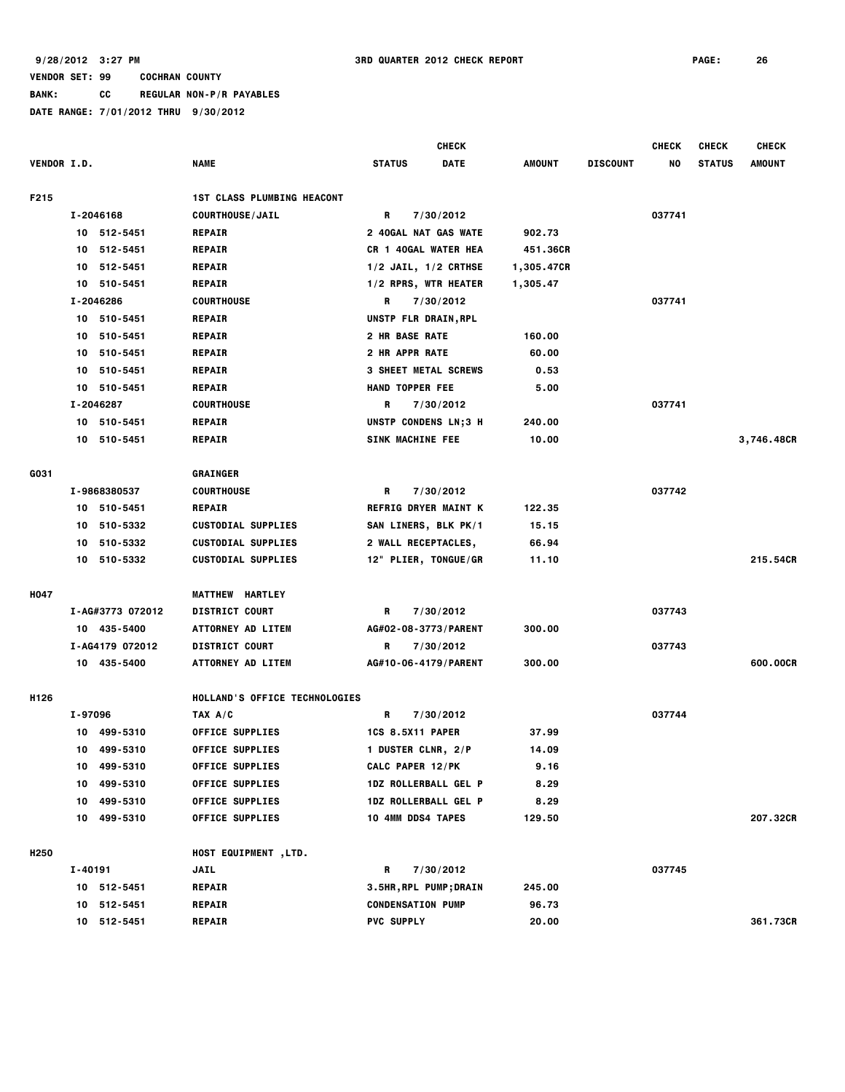**BANK: CC REGULAR NON-P/R PAYABLES**

|                    |         |                  |                                   |                               | <b>CHECK</b> |               |                 | <b>CHECK</b> | <b>CHECK</b>  | <b>CHECK</b>  |
|--------------------|---------|------------------|-----------------------------------|-------------------------------|--------------|---------------|-----------------|--------------|---------------|---------------|
| <b>VENDOR I.D.</b> |         |                  | <b>NAME</b>                       | <b>STATUS</b>                 | <b>DATE</b>  | <b>AMOUNT</b> | <b>DISCOUNT</b> | NO           | <b>STATUS</b> | <b>AMOUNT</b> |
| F215               |         |                  | <b>1ST CLASS PLUMBING HEACONT</b> |                               |              |               |                 |              |               |               |
|                    |         | I-2046168        | <b>COURTHOUSE/JAIL</b>            | R                             | 7/30/2012    |               |                 | 037741       |               |               |
|                    |         | 10 512-5451      | <b>REPAIR</b>                     | <b>2 40GAL NAT GAS WATE</b>   |              | 902.73        |                 |              |               |               |
|                    |         | 10 512-5451      | <b>REPAIR</b>                     | CR 1 40GAL WATER HEA          |              | 451.36CR      |                 |              |               |               |
|                    |         | 10 512-5451      | <b>REPAIR</b>                     | $1/2$ JAIL, $1/2$ CRTHSE      |              | 1,305.47CR    |                 |              |               |               |
|                    |         | 10 510-5451      | <b>REPAIR</b>                     | 1/2 RPRS, WTR HEATER          |              | 1,305.47      |                 |              |               |               |
|                    |         | I-2046286        | <b>COURTHOUSE</b>                 | R                             | 7/30/2012    |               |                 | 037741       |               |               |
|                    |         | 10 510-5451      | <b>REPAIR</b>                     | UNSTP FLR DRAIN, RPL          |              |               |                 |              |               |               |
|                    |         | 10 510-5451      | <b>REPAIR</b>                     | 2 HR BASE RATE                |              | 160.00        |                 |              |               |               |
|                    |         | 10 510-5451      | <b>REPAIR</b>                     | 2 HR APPR RATE                |              | 60.00         |                 |              |               |               |
|                    |         | 10 510-5451      | <b>REPAIR</b>                     | <b>3 SHEET METAL SCREWS</b>   |              | 0.53          |                 |              |               |               |
|                    |         | 10 510-5451      | <b>REPAIR</b>                     | <b>HAND TOPPER FEE</b>        |              | 5.00          |                 |              |               |               |
|                    |         | I-2046287        | <b>COURTHOUSE</b>                 | R                             | 7/30/2012    |               |                 | 037741       |               |               |
|                    |         | 10 510-5451      | <b>REPAIR</b>                     | UNSTP CONDENS LN;3 H          |              | 240.00        |                 |              |               |               |
|                    |         | 10 510-5451      | <b>REPAIR</b>                     | SINK MACHINE FEE              |              | 10.00         |                 |              |               | 3,746.48CR    |
| G031               |         |                  | GRAINGER                          |                               |              |               |                 |              |               |               |
|                    |         | I-9868380537     | <b>COURTHOUSE</b>                 | R                             | 7/30/2012    |               |                 | 037742       |               |               |
|                    | 10      | 510-5451         | <b>REPAIR</b>                     | <b>REFRIG DRYER MAINT K</b>   |              | 122.35        |                 |              |               |               |
|                    | 10      | 510-5332         | <b>CUSTODIAL SUPPLIES</b>         | SAN LINERS, BLK PK/1          |              | 15.15         |                 |              |               |               |
|                    |         | 10 510-5332      | <b>CUSTODIAL SUPPLIES</b>         | 2 WALL RECEPTACLES,           |              | 66.94         |                 |              |               |               |
|                    |         | 10 510-5332      | <b>CUSTODIAL SUPPLIES</b>         | 12" PLIER, TONGUE/GR          |              | 11.10         |                 |              |               | 215.54CR      |
| <b>H047</b>        |         |                  | <b>MATTHEW HARTLEY</b>            |                               |              |               |                 |              |               |               |
|                    |         | I-AG#3773 072012 | <b>DISTRICT COURT</b>             | R                             | 7/30/2012    |               |                 | 037743       |               |               |
|                    |         | 10 435-5400      | ATTORNEY AD LITEM                 | AG#02-08-3773/PARENT          |              | 300.00        |                 |              |               |               |
|                    |         | I-AG4179 072012  | <b>DISTRICT COURT</b>             | R                             | 7/30/2012    |               |                 | 037743       |               |               |
|                    |         | 10 435-5400      | <b>ATTORNEY AD LITEM</b>          | AG#10-06-4179/PARENT          |              | 300.00        |                 |              |               | 600.00CR      |
| H126               |         |                  | HOLLAND'S OFFICE TECHNOLOGIES     |                               |              |               |                 |              |               |               |
|                    | I-97096 |                  | TAX A/C                           | R                             | 7/30/2012    |               |                 | 037744       |               |               |
|                    |         | 10 499-5310      | <b>OFFICE SUPPLIES</b>            | <b>1CS 8.5X11 PAPER</b>       |              | 37.99         |                 |              |               |               |
|                    |         | 10 499-5310      | <b>OFFICE SUPPLIES</b>            | 1 DUSTER CLNR, 2/P            |              | 14.09         |                 |              |               |               |
|                    |         | 10 499-5310      | <b>OFFICE SUPPLIES</b>            | CALC PAPER 12/PK              |              | 9.16          |                 |              |               |               |
|                    |         | 10 499-5310      | <b>OFFICE SUPPLIES</b>            | 1DZ ROLLERBALL GEL P          |              | 8.29          |                 |              |               |               |
|                    |         | 10 499-5310      | <b>OFFICE SUPPLIES</b>            | 1DZ ROLLERBALL GEL P          |              | 8.29          |                 |              |               |               |
|                    |         | 10 499-5310      | <b>OFFICE SUPPLIES</b>            | 10 4MM DDS4 TAPES             |              | 129.50        |                 |              |               | 207.32CR      |
| H <sub>250</sub>   |         |                  | <b>HOST EQUIPMENT ,LTD.</b>       |                               |              |               |                 |              |               |               |
|                    | I-40191 |                  | JAIL                              | R                             | 7/30/2012    |               |                 | 037745       |               |               |
|                    |         | 10 512-5451      | <b>REPAIR</b>                     | <b>3.5HR, RPL PUMP; DRAIN</b> |              | 245.00        |                 |              |               |               |
|                    |         | 10 512-5451      | <b>REPAIR</b>                     | <b>CONDENSATION PUMP</b>      |              | 96.73         |                 |              |               |               |
|                    |         | 10 512-5451      | <b>REPAIR</b>                     | <b>PVC SUPPLY</b>             |              | 20.00         |                 |              |               | 361.73CR      |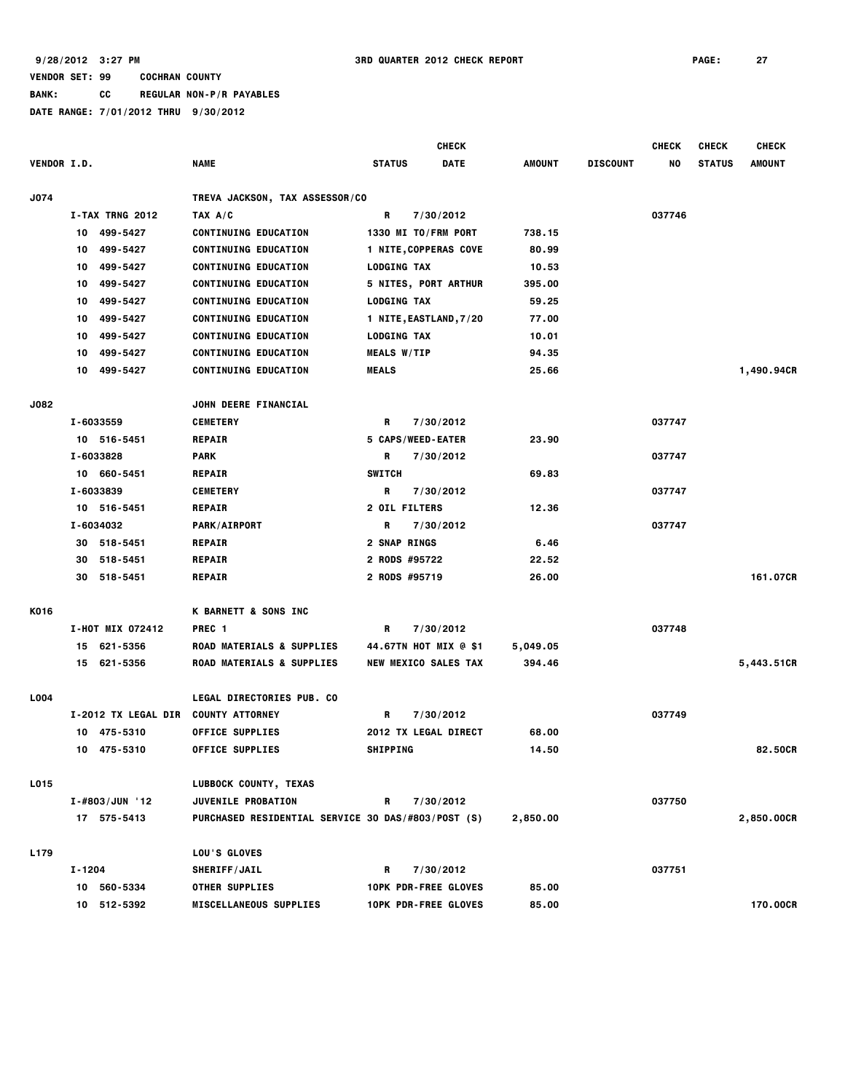|                    |        |                    |                                                    |                    | <b>CHECK</b>                 |               |                 | <b>CHECK</b> | <b>CHECK</b>  | <b>CHECK</b>  |
|--------------------|--------|--------------------|----------------------------------------------------|--------------------|------------------------------|---------------|-----------------|--------------|---------------|---------------|
| <b>VENDOR I.D.</b> |        |                    | <b>NAME</b>                                        | <b>STATUS</b>      | <b>DATE</b>                  | <b>AMOUNT</b> | <b>DISCOUNT</b> | NO           | <b>STATUS</b> | <b>AMOUNT</b> |
|                    |        |                    |                                                    |                    |                              |               |                 |              |               |               |
| J074               |        |                    | TREVA JACKSON, TAX ASSESSOR/CO                     |                    |                              |               |                 |              |               |               |
|                    |        | I-TAX TRNG 2012    | TAX A/C                                            | R                  | 7/30/2012                    |               |                 | 037746       |               |               |
|                    |        | 10 499-5427        | <b>CONTINUING EDUCATION</b>                        |                    | 1330 MI TO/FRM PORT          | 738.15        |                 |              |               |               |
|                    | 10     | 499-5427           | <b>CONTINUING EDUCATION</b>                        |                    | <b>1 NITE, COPPERAS COVE</b> | 80.99         |                 |              |               |               |
|                    | 10     | 499-5427           | <b>CONTINUING EDUCATION</b>                        | <b>LODGING TAX</b> |                              | 10.53         |                 |              |               |               |
|                    | 10     | 499-5427           | <b>CONTINUING EDUCATION</b>                        |                    | 5 NITES, PORT ARTHUR         | 395.00        |                 |              |               |               |
|                    | 10     | 499-5427           | <b>CONTINUING EDUCATION</b>                        | <b>LODGING TAX</b> |                              | 59.25         |                 |              |               |               |
|                    | 10     | 499-5427           | <b>CONTINUING EDUCATION</b>                        |                    | 1 NITE, EASTLAND, 7/20       | 77.00         |                 |              |               |               |
|                    | 10     | 499-5427           | <b>CONTINUING EDUCATION</b>                        | <b>LODGING TAX</b> |                              | 10.01         |                 |              |               |               |
|                    | 10     | 499-5427           | <b>CONTINUING EDUCATION</b>                        | <b>MEALS W/TIP</b> |                              | 94.35         |                 |              |               |               |
|                    |        | 10 499-5427        | <b>CONTINUING EDUCATION</b>                        | <b>MEALS</b>       |                              | 25.66         |                 |              |               | 1,490.94CR    |
| <b>J082</b>        |        |                    | JOHN DEERE FINANCIAL                               |                    |                              |               |                 |              |               |               |
|                    |        | I-6033559          | <b>CEMETERY</b>                                    | R                  | 7/30/2012                    |               |                 | 037747       |               |               |
|                    |        | 10 516-5451        | <b>REPAIR</b>                                      |                    | 5 CAPS/WEED-EATER            | 23.90         |                 |              |               |               |
|                    |        | I-6033828          | <b>PARK</b>                                        | R                  | 7/30/2012                    |               |                 | 037747       |               |               |
|                    |        | 10 660-5451        | <b>REPAIR</b>                                      | <b>SWITCH</b>      |                              | 69.83         |                 |              |               |               |
|                    |        | I-6033839          | <b>CEMETERY</b>                                    | R                  | 7/30/2012                    |               |                 | 037747       |               |               |
|                    |        | 10 516-5451        | <b>REPAIR</b>                                      | 2 OIL FILTERS      |                              | 12.36         |                 |              |               |               |
|                    |        | I-6034032          | <b>PARK/AIRPORT</b>                                | R                  | 7/30/2012                    |               |                 | 037747       |               |               |
|                    |        | 30 518-5451        | <b>REPAIR</b>                                      | 2 SNAP RINGS       |                              | 6.46          |                 |              |               |               |
|                    | 30     | 518-5451           | <b>REPAIR</b>                                      | 2 RODS #95722      |                              | 22.52         |                 |              |               |               |
|                    |        | 30 518-5451        | <b>REPAIR</b>                                      | 2 RODS #95719      |                              | 26.00         |                 |              |               | 161.07CR      |
|                    |        |                    |                                                    |                    |                              |               |                 |              |               |               |
| K016               |        |                    | K BARNETT & SONS INC                               |                    |                              |               |                 |              |               |               |
|                    |        | I-HOT MIX 072412   | PREC <sub>1</sub>                                  | R                  | 7/30/2012                    |               |                 | 037748       |               |               |
|                    |        | 15 621-5356        | ROAD MATERIALS & SUPPLIES                          |                    | 44.67TN HOT MIX @ \$1        | 5,049.05      |                 |              |               |               |
|                    |        | 15 621-5356        | ROAD MATERIALS & SUPPLIES                          |                    | <b>NEW MEXICO SALES TAX</b>  | 394.46        |                 |              |               | 5,443.51CR    |
| L004               |        |                    | LEGAL DIRECTORIES PUB. CO                          |                    |                              |               |                 |              |               |               |
|                    |        |                    | I-2012 TX LEGAL DIR COUNTY ATTORNEY                | R.                 | 7/30/2012                    |               |                 | 037749       |               |               |
|                    | 10     | 475-5310           | <b>OFFICE SUPPLIES</b>                             |                    | <b>2012 TX LEGAL DIRECT</b>  | 68.00         |                 |              |               |               |
|                    |        | 10 475-5310        | <b>OFFICE SUPPLIES</b>                             | <b>SHIPPING</b>    |                              | 14.50         |                 |              |               | 82.50CR       |
|                    |        |                    |                                                    |                    |                              |               |                 |              |               |               |
| L015               |        |                    | LUBBOCK COUNTY, TEXAS                              |                    |                              |               |                 |              |               |               |
|                    |        | $I - #803/JUN$ '12 | JUVENILE PROBATION                                 | R                  | 7/30/2012                    |               |                 | 037750       |               |               |
|                    |        | 17 575-5413        | PURCHASED RESIDENTIAL SERVICE 30 DAS/#803/POST (S) |                    |                              | 2,850.00      |                 |              |               | 2,850.00CR    |
| L179               |        |                    | LOU'S GLOVES                                       |                    |                              |               |                 |              |               |               |
|                    | I-1204 |                    | <b>SHERIFF/JAIL</b>                                | R                  | 7/30/2012                    |               |                 | 037751       |               |               |
|                    |        | 10 560-5334        | <b>OTHER SUPPLIES</b>                              |                    | <b>10PK PDR-FREE GLOVES</b>  | 85.00         |                 |              |               |               |
|                    |        | 10 512-5392        | <b>MISCELLANEOUS SUPPLIES</b>                      |                    | <b>10PK PDR-FREE GLOVES</b>  | 85.00         |                 |              |               | 170.00CR      |
|                    |        |                    |                                                    |                    |                              |               |                 |              |               |               |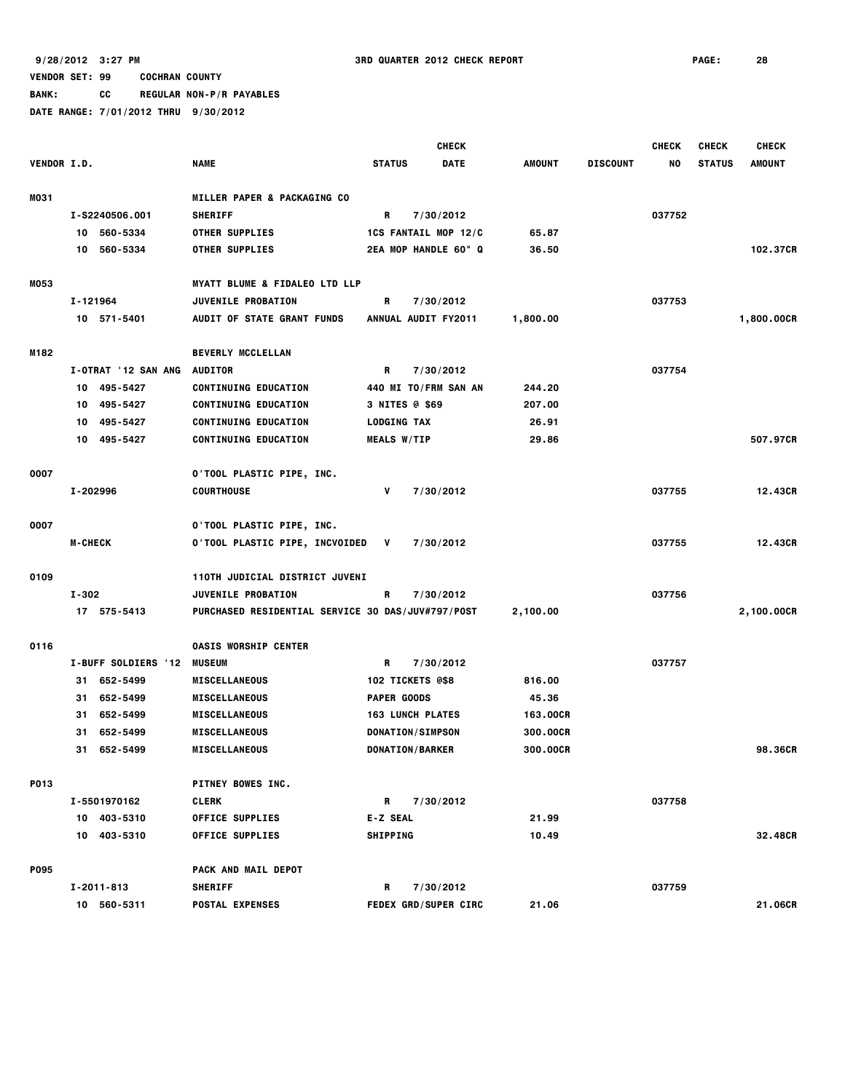**BANK: CC REGULAR NON-P/R PAYABLES**

|             |                     |                                                   |                             | <b>CHECK</b> |               |                 | <b>CHECK</b> | <b>CHECK</b>  | <b>CHECK</b>  |
|-------------|---------------------|---------------------------------------------------|-----------------------------|--------------|---------------|-----------------|--------------|---------------|---------------|
| VENDOR I.D. |                     | <b>NAME</b>                                       | <b>STATUS</b>               | <b>DATE</b>  | <b>AMOUNT</b> | <b>DISCOUNT</b> | NO           | <b>STATUS</b> | <b>AMOUNT</b> |
| MO31        |                     | MILLER PAPER & PACKAGING CO                       |                             |              |               |                 |              |               |               |
|             | I-S2240506.001      | <b>SHERIFF</b>                                    | R                           | 7/30/2012    |               |                 | 037752       |               |               |
|             | 10 560-5334         | <b>OTHER SUPPLIES</b>                             | 1CS FANTAIL MOP 12/C        |              | 65.87         |                 |              |               |               |
|             | 10 560-5334         | <b>OTHER SUPPLIES</b>                             | 2EA MOP HANDLE 60" Q        |              | 36.50         |                 |              |               | 102.37CR      |
| M053        |                     | <b>MYATT BLUME &amp; FIDALEO LTD LLP</b>          |                             |              |               |                 |              |               |               |
|             | I-121964            | JUVENILE PROBATION                                | R                           | 7/30/2012    |               |                 | 037753       |               |               |
|             | 10 571-5401         | <b>AUDIT OF STATE GRANT FUNDS</b>                 | ANNUAL AUDIT FY2011         |              | 1,800.00      |                 |              |               | 1,800.00CR    |
| M182        |                     | <b>BEVERLY MCCLELLAN</b>                          |                             |              |               |                 |              |               |               |
|             | I-OTRAT '12 SAN ANG | <b>AUDITOR</b>                                    | R                           | 7/30/2012    |               |                 | 037754       |               |               |
|             | 10 495-5427         | <b>CONTINUING EDUCATION</b>                       | 440 MI TO/FRM SAN AN        |              | 244.20        |                 |              |               |               |
|             | 495-5427<br>10      | <b>CONTINUING EDUCATION</b>                       | 3 NITES @ \$69              |              | 207.00        |                 |              |               |               |
|             | 495-5427<br>10      | <b>CONTINUING EDUCATION</b>                       | <b>LODGING TAX</b>          |              | 26.91         |                 |              |               |               |
|             | 495-5427<br>10      | <b>CONTINUING EDUCATION</b>                       | <b>MEALS W/TIP</b>          |              | 29.86         |                 |              |               | 507.97CR      |
| 0007        |                     | 0'TOOL PLASTIC PIPE, INC.                         |                             |              |               |                 |              |               |               |
|             | I-202996            | <b>COURTHOUSE</b>                                 | v                           | 7/30/2012    |               |                 | 037755       |               | 12.43CR       |
| 0007        |                     | <b>O'TOOL PLASTIC PIPE, INC.</b>                  |                             |              |               |                 |              |               |               |
|             | <b>M-CHECK</b>      | 0'TOOL PLASTIC PIPE, INCVOIDED                    | v                           | 7/30/2012    |               |                 | 037755       |               | 12.43CR       |
| 0109        |                     | 110TH JUDICIAL DISTRICT JUVENI                    |                             |              |               |                 |              |               |               |
|             | $I - 302$           | JUVENILE PROBATION                                | R                           | 7/30/2012    |               |                 | 037756       |               |               |
|             | 17 575-5413         | PURCHASED RESIDENTIAL SERVICE 30 DAS/JUV#797/POST |                             |              | 2,100.00      |                 |              |               | 2,100.00CR    |
| 0116        |                     | <b>OASIS WORSHIP CENTER</b>                       |                             |              |               |                 |              |               |               |
|             | I-BUFF SOLDIERS '12 | <b>MUSEUM</b>                                     | R                           | 7/30/2012    |               |                 | 037757       |               |               |
|             | 31 652-5499         | <b>MISCELLANEOUS</b>                              | 102 TICKETS @\$8            |              | 816.00        |                 |              |               |               |
|             | 652-5499<br>31      | <b>MISCELLANEOUS</b>                              | <b>PAPER GOODS</b>          |              | 45.36         |                 |              |               |               |
|             | 652-5499<br>31      | <b>MISCELLANEOUS</b>                              | <b>163 LUNCH PLATES</b>     |              | 163.00CR      |                 |              |               |               |
|             | 652-5499<br>31      | <b>MISCELLANEOUS</b>                              | DONATION/SIMPSON            |              | 300.00CR      |                 |              |               |               |
|             | 31 652-5499         | <b>MISCELLANEOUS</b>                              | <b>DONATION/BARKER</b>      |              | 300,00CR      |                 |              |               | 98.36CR       |
| P013        |                     | PITNEY BOWES INC.                                 |                             |              |               |                 |              |               |               |
|             | I-5501970162        | <b>CLERK</b>                                      | R                           | 7/30/2012    |               |                 | 037758       |               |               |
|             | 10 403-5310         | <b>OFFICE SUPPLIES</b>                            | <b>E-Z SEAL</b>             |              | 21.99         |                 |              |               |               |
|             | 10 403-5310         | <b>OFFICE SUPPLIES</b>                            | <b>SHIPPING</b>             |              | 10.49         |                 |              |               | 32.48CR       |
| <b>P095</b> |                     | PACK AND MAIL DEPOT                               |                             |              |               |                 |              |               |               |
|             | I-2011-813          | <b>SHERIFF</b>                                    | R                           | 7/30/2012    |               |                 | 037759       |               |               |
|             | 10 560-5311         | <b>POSTAL EXPENSES</b>                            | <b>FEDEX GRD/SUPER CIRC</b> |              | 21.06         |                 |              |               | 21.06CR       |
|             |                     |                                                   |                             |              |               |                 |              |               |               |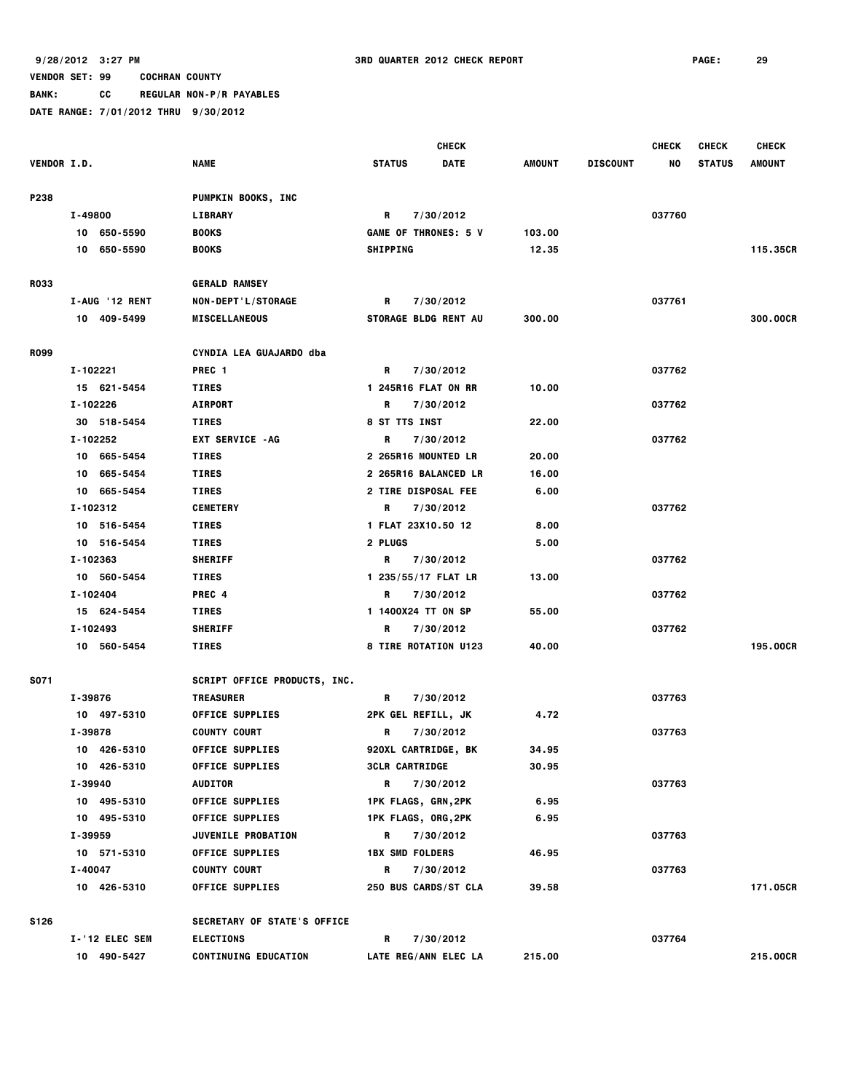**BANK: CC REGULAR NON-P/R PAYABLES**

|                    |                |                                                         |                        | <b>CHECK</b>                |        |                 | <b>CHECK</b> | <b>CHECK</b>  | <b>CHECK</b>  |
|--------------------|----------------|---------------------------------------------------------|------------------------|-----------------------------|--------|-----------------|--------------|---------------|---------------|
| <b>VENDOR I.D.</b> |                | <b>NAME</b>                                             | <b>STATUS</b>          | DATE                        | AMOUNT | <b>DISCOUNT</b> | NO           | <b>STATUS</b> | <b>AMOUNT</b> |
|                    |                |                                                         |                        |                             |        |                 |              |               |               |
| P238               |                | <b>PUMPKIN BOOKS, INC</b>                               |                        |                             |        |                 |              |               |               |
|                    | I-49800        | <b>LIBRARY</b>                                          | R                      | 7/30/2012                   |        |                 | 037760       |               |               |
|                    | 10 650-5590    | <b>BOOKS</b>                                            |                        | <b>GAME OF THRONES: 5 V</b> | 103.00 |                 |              |               |               |
|                    | 10 650-5590    | <b>BOOKS</b>                                            | <b>SHIPPING</b>        |                             | 12.35  |                 |              |               | 115.35CR      |
| <b>R033</b>        |                | <b>GERALD RAMSEY</b>                                    |                        |                             |        |                 |              |               |               |
|                    | I-AUG '12 RENT | NON-DEPT'L/STORAGE                                      | R                      | 7/30/2012                   |        |                 | 037761       |               |               |
|                    | 10 409-5499    | <b>MISCELLANEOUS</b>                                    |                        | STORAGE BLDG RENT AU        | 300.00 |                 |              |               | 300.00CR      |
|                    |                |                                                         |                        |                             |        |                 |              |               |               |
| <b>R099</b>        |                | CYNDIA LEA GUAJARDO dba                                 |                        |                             |        |                 |              |               |               |
|                    | I-102221       | PREC <sub>1</sub>                                       | R                      | 7/30/2012                   |        |                 | 037762       |               |               |
|                    | 15 621-5454    | <b>TIRES</b>                                            |                        | 1 245R16 FLAT ON RR         | 10.00  |                 |              |               |               |
|                    | I-102226       | <b>AIRPORT</b>                                          | R                      | 7/30/2012                   |        |                 | 037762       |               |               |
|                    | 30 518-5454    | <b>TIRES</b>                                            | 8 ST TTS INST          |                             | 22.00  |                 |              |               |               |
|                    | I-102252       | <b>EXT SERVICE - AG</b>                                 | R                      | 7/30/2012                   |        |                 | 037762       |               |               |
|                    | 10 665-5454    | <b>TIRES</b>                                            |                        | 2 265R16 MOUNTED LR         | 20.00  |                 |              |               |               |
|                    | 10 665-5454    | <b>TIRES</b>                                            |                        | 2 265R16 BALANCED LR        | 16.00  |                 |              |               |               |
|                    | 10 665-5454    | <b>TIRES</b>                                            |                        | 2 TIRE DISPOSAL FEE         | 6.00   |                 |              |               |               |
|                    | I-102312       | <b>CEMETERY</b>                                         | R                      | 7/30/2012                   |        |                 | 037762       |               |               |
|                    | 10 516-5454    | <b>TIRES</b>                                            |                        | 1 FLAT 23X10.50 12          | 8.00   |                 |              |               |               |
|                    | 10 516-5454    | <b>TIRES</b>                                            | 2 PLUGS                |                             | 5.00   |                 |              |               |               |
|                    | I-102363       | <b>SHERIFF</b>                                          | R                      | 7/30/2012                   |        |                 | 037762       |               |               |
|                    | 10 560-5454    | <b>TIRES</b>                                            |                        | 1 235/55/17 FLAT LR         | 13.00  |                 |              |               |               |
|                    | I-102404       | PREC 4                                                  | R                      | 7/30/2012                   |        |                 | 037762       |               |               |
|                    | 15 624-5454    | <b>TIRES</b>                                            |                        | 1 1400X24 TT ON SP          | 55.00  |                 |              |               |               |
|                    | I-102493       | <b>SHERIFF</b>                                          | R                      | 7/30/2012                   |        |                 | 037762       |               |               |
|                    | 10 560-5454    | <b>TIRES</b>                                            |                        | 8 TIRE ROTATION U123        | 40.00  |                 |              |               | 195.00CR      |
| S071               |                |                                                         |                        |                             |        |                 |              |               |               |
|                    | I-39876        | <b>SCRIPT OFFICE PRODUCTS, INC.</b><br><b>TREASURER</b> | R                      | 7/30/2012                   |        |                 | 037763       |               |               |
|                    | 10 497-5310    | <b>OFFICE SUPPLIES</b>                                  |                        | 2PK GEL REFILL, JK          | 4.72   |                 |              |               |               |
|                    | I-39878        | <b>COUNTY COURT</b>                                     | R                      | 7/30/2012                   |        |                 | 037763       |               |               |
|                    | 10 426-5310    | <b>OFFICE SUPPLIES</b>                                  |                        | 920XL CARTRIDGE, BK         | 34.95  |                 |              |               |               |
|                    | 10 426-5310    | <b>OFFICE SUPPLIES</b>                                  | <b>3CLR CARTRIDGE</b>  |                             | 30.95  |                 |              |               |               |
|                    | I-39940        | <b>AUDITOR</b>                                          | R.                     | 7/30/2012                   |        |                 | 037763       |               |               |
|                    | 10 495-5310    | <b>OFFICE SUPPLIES</b>                                  |                        | 1PK FLAGS, GRN,2PK          | 6.95   |                 |              |               |               |
|                    | 10 495-5310    | <b>OFFICE SUPPLIES</b>                                  |                        | 1PK FLAGS, ORG, 2PK         | 6.95   |                 |              |               |               |
|                    | I-39959        | JUVENILE PROBATION                                      |                        | R 7/30/2012                 |        |                 | 037763       |               |               |
|                    | 10 571-5310    | <b>OFFICE SUPPLIES</b>                                  | <b>1BX SMD FOLDERS</b> |                             | 46.95  |                 |              |               |               |
|                    | I-40047        | <b>COUNTY COURT</b>                                     | R a                    | 7/30/2012                   |        |                 | 037763       |               |               |
|                    | 10 426-5310    | <b>OFFICE SUPPLIES</b>                                  |                        | 250 BUS CARDS/ST CLA        | 39.58  |                 |              |               | 171.05CR      |
|                    |                |                                                         |                        |                             |        |                 |              |               |               |
| <b>S126</b>        |                | SECRETARY OF STATE'S OFFICE                             |                        |                             |        |                 |              |               |               |
|                    | I-'12 ELEC SEM | <b>ELECTIONS</b>                                        | R                      | 7/30/2012                   |        |                 | 037764       |               |               |
|                    | 10 490-5427    | <b>CONTINUING EDUCATION</b>                             |                        | LATE REG/ANN ELEC LA        | 215.00 |                 |              |               | 215.00CR      |
|                    |                |                                                         |                        |                             |        |                 |              |               |               |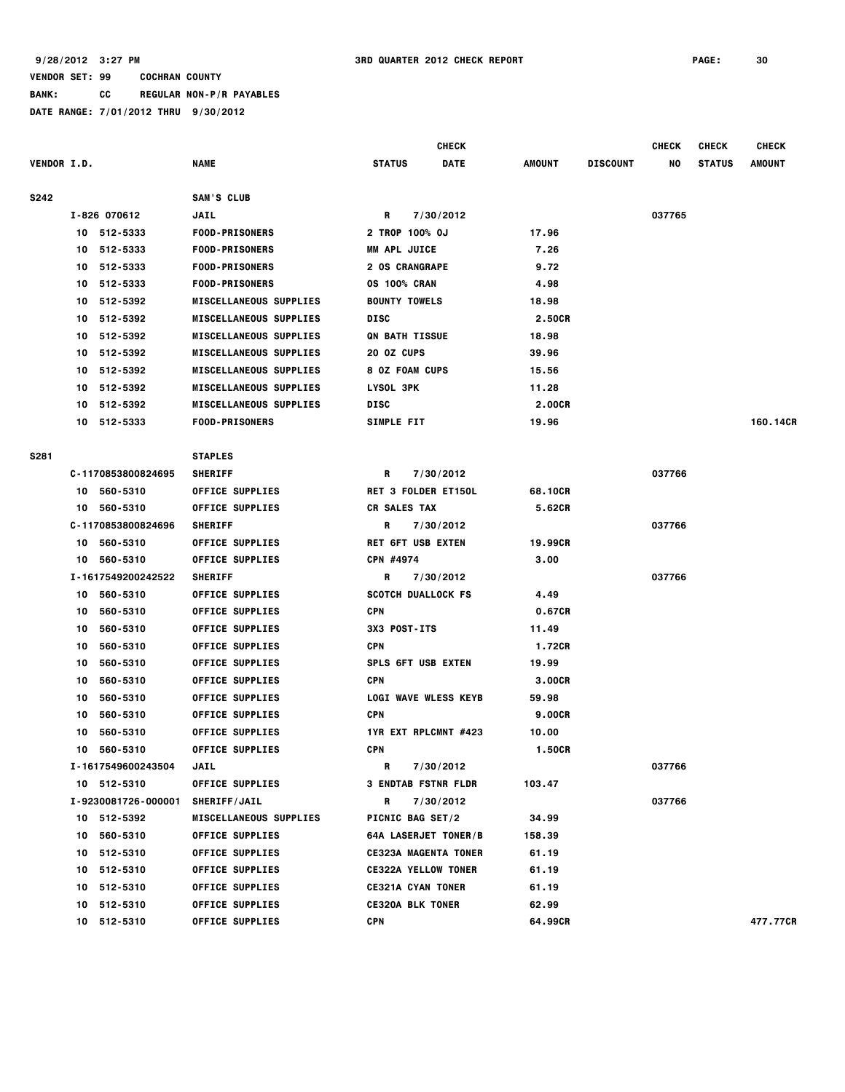**BANK: CC REGULAR NON-P/R PAYABLES**

|                    |    |                     |                               |                             | <b>CHECK</b> |               |                 | <b>CHECK</b> | <b>CHECK</b>  | <b>CHECK</b> |
|--------------------|----|---------------------|-------------------------------|-----------------------------|--------------|---------------|-----------------|--------------|---------------|--------------|
| <b>VENDOR I.D.</b> |    |                     | <b>NAME</b>                   | <b>STATUS</b>               | <b>DATE</b>  | <b>AMOUNT</b> | <b>DISCOUNT</b> | NO           | <b>STATUS</b> | AMOUNT       |
| S242               |    |                     | SAM'S CLUB                    |                             |              |               |                 |              |               |              |
|                    |    | I-826 070612        | <b>JAIL</b>                   | R                           | 7/30/2012    |               |                 | 037765       |               |              |
|                    |    | 10 512-5333         | <b>FOOD-PRISONERS</b>         | 2 TROP 100% OJ              |              | 17.96         |                 |              |               |              |
|                    | 10 | 512-5333            | <b>FOOD-PRISONERS</b>         | <b>MM APL JUICE</b>         |              | 7.26          |                 |              |               |              |
|                    |    | 10 512-5333         | <b>FOOD-PRISONERS</b>         | <b>2 OS CRANGRAPE</b>       |              | 9.72          |                 |              |               |              |
|                    | 10 | 512-5333            | <b>FOOD-PRISONERS</b>         | <b>0S 100% CRAN</b>         |              | 4.98          |                 |              |               |              |
|                    | 10 | 512-5392            | <b>MISCELLANEOUS SUPPLIES</b> | <b>BOUNTY TOWELS</b>        |              | 18.98         |                 |              |               |              |
|                    | 10 | 512-5392            | <b>MISCELLANEOUS SUPPLIES</b> | <b>DISC</b>                 |              | 2.50CR        |                 |              |               |              |
|                    | 10 | 512-5392            | <b>MISCELLANEOUS SUPPLIES</b> | <b>QN BATH TISSUE</b>       |              | 18.98         |                 |              |               |              |
|                    | 10 | 512-5392            | <b>MISCELLANEOUS SUPPLIES</b> | 20 OZ CUPS                  |              | 39.96         |                 |              |               |              |
|                    | 10 | 512-5392            | <b>MISCELLANEOUS SUPPLIES</b> | 8 OZ FOAM CUPS              |              | 15.56         |                 |              |               |              |
|                    | 10 | 512-5392            | <b>MISCELLANEOUS SUPPLIES</b> | LYSOL 3PK                   |              | 11.28         |                 |              |               |              |
|                    | 10 | 512-5392            | <b>MISCELLANEOUS SUPPLIES</b> | DISC                        |              | 2.00CR        |                 |              |               |              |
|                    |    | 10 512-5333         | <b>FOOD-PRISONERS</b>         | <b>SIMPLE FIT</b>           |              | 19.96         |                 |              |               | 160.14CR     |
| S281               |    |                     | <b>STAPLES</b>                |                             |              |               |                 |              |               |              |
|                    |    | C-1170853800824695  | <b>SHERIFF</b>                | R                           | 7/30/2012    |               |                 | 037766       |               |              |
|                    |    | 10 560-5310         | <b>OFFICE SUPPLIES</b>        | <b>RET 3 FOLDER ET150L</b>  |              | 68.10CR       |                 |              |               |              |
|                    |    | 10 560-5310         | <b>OFFICE SUPPLIES</b>        | <b>CR SALES TAX</b>         |              | 5.62CR        |                 |              |               |              |
|                    |    | C-1170853800824696  | <b>SHERIFF</b>                | R                           | 7/30/2012    |               |                 | 037766       |               |              |
|                    |    | 10 560-5310         | <b>OFFICE SUPPLIES</b>        | <b>RET 6FT USB EXTEN</b>    |              | 19.99CR       |                 |              |               |              |
|                    |    | 10 560-5310         | <b>OFFICE SUPPLIES</b>        | CPN #4974                   |              | 3.00          |                 |              |               |              |
|                    |    | I-1617549200242522  | <b>SHERIFF</b>                | R                           | 7/30/2012    |               |                 | 037766       |               |              |
|                    |    | 10 560-5310         | <b>OFFICE SUPPLIES</b>        | <b>SCOTCH DUALLOCK FS</b>   |              | 4.49          |                 |              |               |              |
|                    | 10 | 560-5310            | <b>OFFICE SUPPLIES</b>        | <b>CPN</b>                  |              | 0.67CR        |                 |              |               |              |
|                    | 10 | 560-5310            | <b>OFFICE SUPPLIES</b>        | 3X3 POST-ITS                |              | 11.49         |                 |              |               |              |
|                    | 10 | 560-5310            | <b>OFFICE SUPPLIES</b>        | <b>CPN</b>                  |              | 1.72CR        |                 |              |               |              |
|                    | 10 | 560-5310            | <b>OFFICE SUPPLIES</b>        | <b>SPLS 6FT USB EXTEN</b>   |              | 19.99         |                 |              |               |              |
|                    | 10 | 560-5310            | <b>OFFICE SUPPLIES</b>        | CPN                         |              | 3.00CR        |                 |              |               |              |
|                    | 10 | 560-5310            | <b>OFFICE SUPPLIES</b>        | <b>LOGI WAVE WLESS KEYB</b> |              | 59.98         |                 |              |               |              |
|                    | 10 | 560-5310            | <b>OFFICE SUPPLIES</b>        | <b>CPN</b>                  |              | <b>9.00CR</b> |                 |              |               |              |
|                    | 10 | 560-5310            | <b>OFFICE SUPPLIES</b>        | 1YR EXT RPLCMNT #423        |              | 10.00         |                 |              |               |              |
|                    | 10 | 560-5310            | <b>OFFICE SUPPLIES</b>        | <b>CPN</b>                  |              | 1.50CR        |                 |              |               |              |
|                    |    | I-1617549600243504  | JAIL                          | R                           | 7/30/2012    |               |                 | 037766       |               |              |
|                    |    | 10 512-5310         | <b>OFFICE SUPPLIES</b>        | <b>3 ENDTAB FSTNR FLDR</b>  |              | 103.47        |                 |              |               |              |
|                    |    | I-9230081726-000001 | <b>SHERIFF/JAIL</b>           | R                           | 7/30/2012    |               |                 | 037766       |               |              |
|                    |    | 10 512-5392         | <b>MISCELLANEOUS SUPPLIES</b> | <b>PICNIC BAG SET/2</b>     |              | 34.99         |                 |              |               |              |
|                    | 10 | 560-5310            | <b>OFFICE SUPPLIES</b>        | <b>64A LASERJET TONER/B</b> |              | 158.39        |                 |              |               |              |
|                    |    | 10 512-5310         | <b>OFFICE SUPPLIES</b>        | <b>CE323A MAGENTA TONER</b> |              | 61.19         |                 |              |               |              |
|                    |    | 10 512-5310         | <b>OFFICE SUPPLIES</b>        | <b>CE322A YELLOW TONER</b>  |              | 61.19         |                 |              |               |              |
|                    |    | 10 512-5310         | <b>OFFICE SUPPLIES</b>        | <b>CE321A CYAN TONER</b>    |              | 61.19         |                 |              |               |              |
|                    |    | 10 512-5310         | <b>OFFICE SUPPLIES</b>        | <b>CE320A BLK TONER</b>     |              | 62.99         |                 |              |               |              |
|                    |    | 10 512-5310         | <b>OFFICE SUPPLIES</b>        | <b>CPN</b>                  |              | 64.99CR       |                 |              |               | 477.77CR     |
|                    |    |                     |                               |                             |              |               |                 |              |               |              |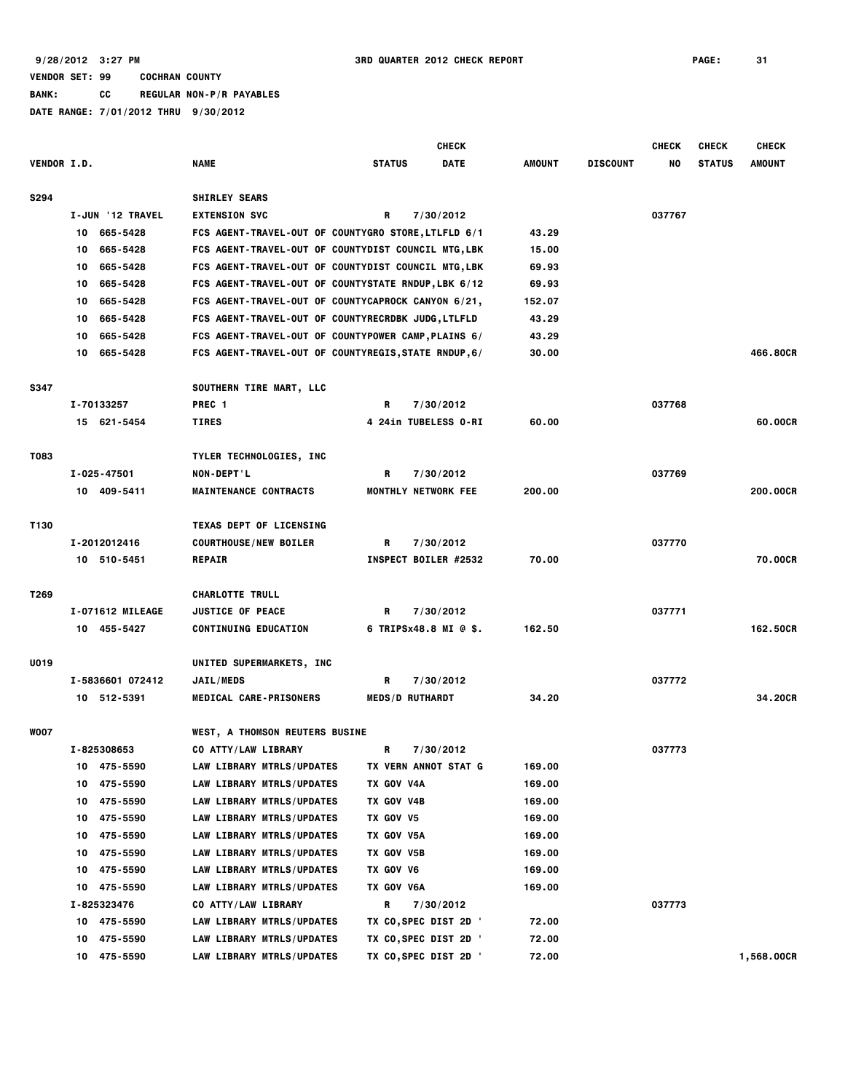|                    |                  |                                                      | <b>CHECK</b>                 |        |                 | <b>CHECK</b> | <b>CHECK</b>  | <b>CHECK</b>  |
|--------------------|------------------|------------------------------------------------------|------------------------------|--------|-----------------|--------------|---------------|---------------|
| <b>VENDOR I.D.</b> |                  | <b>NAME</b>                                          | <b>STATUS</b><br><b>DATE</b> | AMOUNT | <b>DISCOUNT</b> | NO           | <b>STATUS</b> | <b>AMOUNT</b> |
| <b>S294</b>        |                  | <b>SHIRLEY SEARS</b>                                 |                              |        |                 |              |               |               |
|                    | I-JUN '12 TRAVEL | <b>EXTENSION SVC</b>                                 | R<br>7/30/2012               |        |                 | 037767       |               |               |
|                    | 665-5428<br>10   | FCS AGENT-TRAVEL-OUT OF COUNTYGRO STORE, LTLFLD 6/1  |                              | 43.29  |                 |              |               |               |
|                    | 665-5428<br>10   | FCS AGENT-TRAVEL-OUT OF COUNTYDIST COUNCIL MTG, LBK  |                              | 15.00  |                 |              |               |               |
|                    | 665-5428<br>10   | FCS AGENT-TRAVEL-OUT OF COUNTYDIST COUNCIL MTG, LBK  |                              | 69.93  |                 |              |               |               |
|                    | 665-5428<br>10   | FCS AGENT-TRAVEL-OUT OF COUNTYSTATE RNDUP, LBK 6/12  |                              | 69.93  |                 |              |               |               |
|                    | 665-5428<br>10   | FCS AGENT-TRAVEL-OUT OF COUNTYCAPROCK CANYON 6/21,   |                              | 152.07 |                 |              |               |               |
|                    | 665-5428<br>10   | FCS AGENT-TRAVEL-OUT OF COUNTYRECRDBK JUDG, LTLFLD   |                              | 43.29  |                 |              |               |               |
|                    | 665-5428<br>10   | FCS AGENT-TRAVEL-OUT OF COUNTYPOWER CAMP, PLAINS 6/  |                              | 43.29  |                 |              |               |               |
|                    | 10 665-5428      | FCS AGENT-TRAVEL-OUT OF COUNTYREGIS, STATE RNDUP, 6/ |                              | 30.00  |                 |              |               | 466.80CR      |
| <b>S347</b>        |                  | SOUTHERN TIRE MART, LLC                              |                              |        |                 |              |               |               |
|                    | I-70133257       | PREC <sub>1</sub>                                    | R<br>7/30/2012               |        |                 | 037768       |               |               |
|                    | 15 621-5454      | <b>TIRES</b>                                         | 4 24in TUBELESS 0-RI         | 60.00  |                 |              |               | 60,00CR       |
|                    |                  |                                                      |                              |        |                 |              |               |               |
| T083               |                  | TYLER TECHNOLOGIES, INC                              |                              |        |                 |              |               |               |
|                    | I-025-47501      | NON-DEPT'L                                           | R<br>7/30/2012               |        |                 | 037769       |               |               |
|                    | 10 409-5411      | <b>MAINTENANCE CONTRACTS</b>                         | <b>MONTHLY NETWORK FEE</b>   | 200.00 |                 |              |               | 200.00CR      |
| T130               |                  | <b>TEXAS DEPT OF LICENSING</b>                       |                              |        |                 |              |               |               |
|                    | I-2012012416     | <b>COURTHOUSE/NEW BOILER</b>                         | 7/30/2012<br>R.              |        |                 | 037770       |               |               |
|                    | 10 510-5451      | <b>REPAIR</b>                                        | INSPECT BOILER #2532         | 70.00  |                 |              |               | 70.00CR       |
| T269               |                  | <b>CHARLOTTE TRULL</b>                               |                              |        |                 |              |               |               |
|                    | I-071612 MILEAGE | <b>JUSTICE OF PEACE</b>                              | R<br>7/30/2012               |        |                 | 037771       |               |               |
|                    | 10 455-5427      | <b>CONTINUING EDUCATION</b>                          | 6 TRIPSx48.8 MI @ \$.        | 162.50 |                 |              |               | 162,50CR      |
|                    |                  |                                                      |                              |        |                 |              |               |               |
| U019               |                  | UNITED SUPERMARKETS, INC                             |                              |        |                 |              |               |               |
|                    | I-5836601 072412 | <b>JAIL/MEDS</b>                                     | R<br>7/30/2012               |        |                 | 037772       |               |               |
|                    | 10 512-5391      | MEDICAL CARE-PRISONERS                               | <b>MEDS/D RUTHARDT</b>       | 34.20  |                 |              |               | 34.20CR       |
| <b>WOO7</b>        |                  | <b>WEST, A THOMSON REUTERS BUSINE</b>                |                              |        |                 |              |               |               |
|                    | I-825308653      | CO ATTY/LAW LIBRARY                                  | R<br>7/30/2012               |        |                 | 037773       |               |               |
|                    | 475-5590<br>10   | <b>LAW LIBRARY MTRLS/UPDATES</b>                     | TX VERN ANNOT STAT G         | 169.00 |                 |              |               |               |
|                    | 475-5590<br>10   | LAW LIBRARY MTRLS/UPDATES                            | TX GOV V4A                   | 169.00 |                 |              |               |               |
|                    | 475-5590<br>10   | LAW LIBRARY MTRLS/UPDATES                            | TX GOV V4B                   | 169.00 |                 |              |               |               |
|                    | 475-5590<br>10   | LAW LIBRARY MTRLS/UPDATES                            | TX GOV V5                    | 169.00 |                 |              |               |               |
|                    | 475-5590<br>10   | LAW LIBRARY MTRLS/UPDATES                            | TX GOV V5A                   | 169.00 |                 |              |               |               |
|                    | 475-5590<br>10   | LAW LIBRARY MTRLS/UPDATES                            | TX GOV V5B                   | 169.00 |                 |              |               |               |
|                    | 475-5590<br>10   | <b>LAW LIBRARY MTRLS/UPDATES</b>                     | TX GOV V6                    | 169.00 |                 |              |               |               |
|                    | 475-5590<br>10   | LAW LIBRARY MTRLS/UPDATES                            | <b>TX GOV V6A</b>            | 169.00 |                 |              |               |               |
|                    | I-825323476      | CO ATTY/LAW LIBRARY                                  | R<br>7/30/2012               |        |                 | 037773       |               |               |
|                    | 475-5590<br>10   | <b>LAW LIBRARY MTRLS/UPDATES</b>                     | TX CO, SPEC DIST 2D '        | 72.00  |                 |              |               |               |
|                    | 475-5590<br>10   | LAW LIBRARY MTRLS/UPDATES                            | TX CO, SPEC DIST 2D '        | 72.00  |                 |              |               |               |
|                    | 475-5590<br>10   | <b>LAW LIBRARY MTRLS/UPDATES</b>                     | TX CO,SPEC DIST 2D '         | 72.00  |                 |              |               | 1,568.00CR    |
|                    |                  |                                                      |                              |        |                 |              |               |               |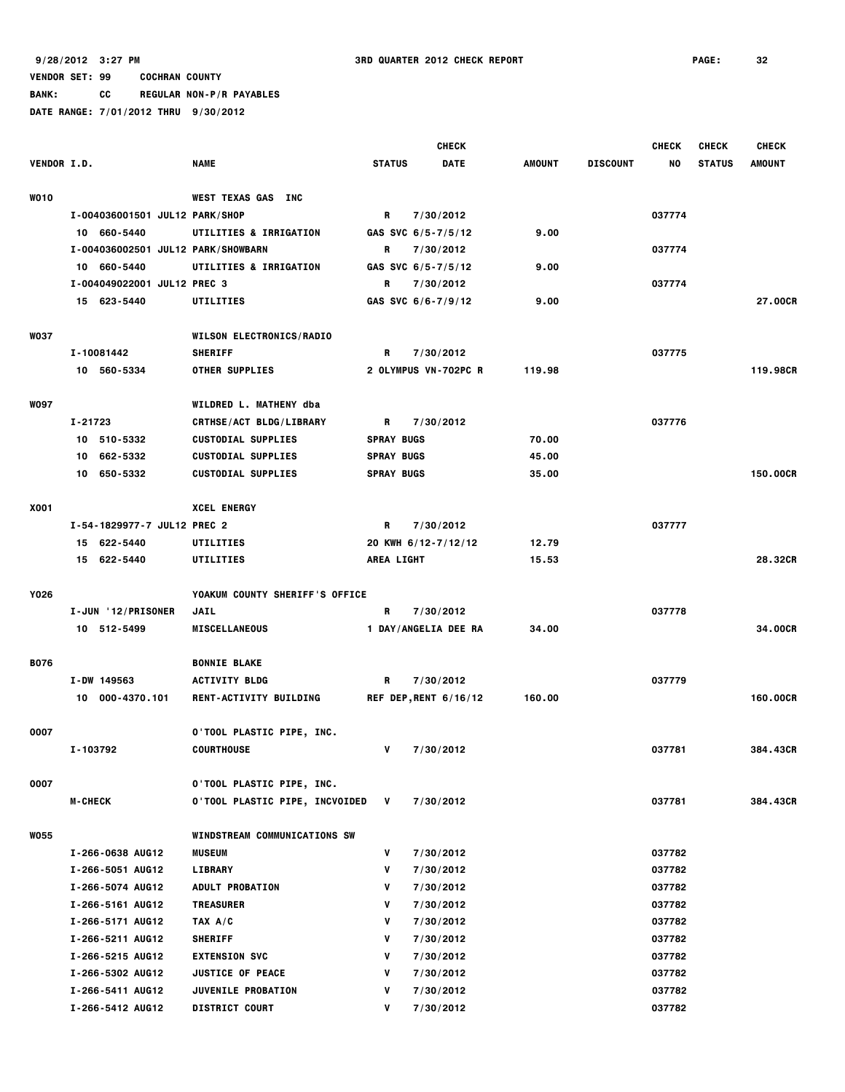**BANK: CC REGULAR NON-P/R PAYABLES**

|                    |                                    |                                  |                   | <b>CHECK</b>           |               |                 | <b>CHECK</b> | <b>CHECK</b>  | <b>CHECK</b>  |
|--------------------|------------------------------------|----------------------------------|-------------------|------------------------|---------------|-----------------|--------------|---------------|---------------|
| <b>VENDOR I.D.</b> |                                    | <b>NAME</b>                      | <b>STATUS</b>     | <b>DATE</b>            | <b>AMOUNT</b> | <b>DISCOUNT</b> | NO.          | <b>STATUS</b> | <b>AMOUNT</b> |
| <b>WO10</b>        |                                    | WEST TEXAS GAS INC               |                   |                        |               |                 |              |               |               |
|                    | I-004036001501 JUL12 PARK/SHOP     |                                  | R                 | 7/30/2012              |               |                 | 037774       |               |               |
|                    | 10 660-5440                        | UTILITIES & IRRIGATION           |                   | GAS SVC $6/5 - 7/5/12$ | 9.00          |                 |              |               |               |
|                    | I-004036002501 JUL12 PARK/SHOWBARN |                                  | R                 | 7/30/2012              |               |                 | 037774       |               |               |
|                    | 10 660-5440                        | UTILITIES & IRRIGATION           |                   | GAS SVC $6/5 - 7/5/12$ | 9.00          |                 |              |               |               |
|                    | I-004049022001 JUL12 PREC 3        |                                  | R                 | 7/30/2012              |               |                 | 037774       |               |               |
|                    | 15 623-5440                        | UTILITIES                        |                   | GAS SVC 6/6-7/9/12     | 9.00          |                 |              |               | 27.00CR       |
| <b>WO37</b>        |                                    | <b>WILSON ELECTRONICS/RADIO</b>  |                   |                        |               |                 |              |               |               |
|                    | I-10081442                         | <b>SHERIFF</b>                   | R                 | 7/30/2012              |               |                 | 037775       |               |               |
|                    | 10 560-5334                        | <b>OTHER SUPPLIES</b>            |                   | 2 OLYMPUS VN-702PC R   | 119.98        |                 |              |               | 119.98CR      |
| <b>WO97</b>        |                                    | WILDRED L. MATHENY dba           |                   |                        |               |                 |              |               |               |
|                    | I-21723                            | <b>CRTHSE/ACT BLDG/LIBRARY</b>   | R                 | 7/30/2012              |               |                 | 037776       |               |               |
|                    | 10 510-5332                        | <b>CUSTODIAL SUPPLIES</b>        | <b>SPRAY BUGS</b> |                        | 70.00         |                 |              |               |               |
|                    | 662-5332<br>10                     | <b>CUSTODIAL SUPPLIES</b>        | <b>SPRAY BUGS</b> |                        | 45.00         |                 |              |               |               |
|                    | 10 650-5332                        | <b>CUSTODIAL SUPPLIES</b>        | <b>SPRAY BUGS</b> |                        | 35.00         |                 |              |               | 150.00CR      |
| <b>X001</b>        |                                    | <b>XCEL ENERGY</b>               |                   |                        |               |                 |              |               |               |
|                    | I-54-1829977-7 JUL12 PREC 2        |                                  | R                 | 7/30/2012              |               |                 | 037777       |               |               |
|                    | 15 622-5440                        | UTILITIES                        |                   | 20 KWH 6/12-7/12/12    | 12.79         |                 |              |               |               |
|                    | 15 622-5440                        | UTILITIES                        | <b>AREA LIGHT</b> |                        | 15.53         |                 |              |               | 28.32CR       |
| Y026               |                                    | YOAKUM COUNTY SHERIFF'S OFFICE   |                   |                        |               |                 |              |               |               |
|                    | I-JUN '12/PRISONER                 | <b>JAIL</b>                      | R                 | 7/30/2012              |               |                 | 037778       |               |               |
|                    | 10 512-5499                        | <b>MISCELLANEOUS</b>             |                   | 1 DAY/ANGELIA DEE RA   | 34.00         |                 |              |               | 34.00CR       |
| <b>B076</b>        |                                    | <b>BONNIE BLAKE</b>              |                   |                        |               |                 |              |               |               |
|                    | I-DW 149563                        | <b>ACTIVITY BLDG</b>             | R                 | 7/30/2012              |               |                 | 037779       |               |               |
|                    | 10 000-4370.101                    | RENT-ACTIVITY BUILDING           |                   | REF DEP, RENT 6/16/12  | 160.00        |                 |              |               | 160,00CR      |
| 0007               |                                    | <b>O'TOOL PLASTIC PIPE, INC.</b> |                   |                        |               |                 |              |               |               |
|                    | I-103792                           | <b>COURTHOUSE</b>                | ۷                 | 7/30/2012              |               |                 | 037781       |               | 384.43CR      |
| 0007               |                                    | <b>O'TOOL PLASTIC PIPE, INC.</b> |                   |                        |               |                 |              |               |               |
|                    | <b>M-CHECK</b>                     | 0'TOOL PLASTIC PIPE, INCVOIDED   | V                 | 7/30/2012              |               |                 | 037781       |               | 384.43CR      |
| <b>WO55</b>        |                                    | WINDSTREAM COMMUNICATIONS SW     |                   |                        |               |                 |              |               |               |
|                    | I-266-0638 AUG12                   | <b>MUSEUM</b>                    | ٧                 | 7/30/2012              |               |                 | 037782       |               |               |
|                    | I-266-5051 AUG12                   | <b>LIBRARY</b>                   | V                 | 7/30/2012              |               |                 | 037782       |               |               |
|                    | I-266-5074 AUG12                   | <b>ADULT PROBATION</b>           | ۷                 | 7/30/2012              |               |                 | 037782       |               |               |
|                    | I-266-5161 AUG12                   | <b>TREASURER</b>                 | V                 | 7/30/2012              |               |                 | 037782       |               |               |
|                    | I-266-5171 AUG12                   | TAX A/C                          | ٧                 | 7/30/2012              |               |                 | 037782       |               |               |
|                    | I-266-5211 AUG12                   | <b>SHERIFF</b>                   | ۷                 | 7/30/2012              |               |                 | 037782       |               |               |
|                    | I-266-5215 AUG12                   | <b>EXTENSION SVC</b>             | ۷                 | 7/30/2012              |               |                 | 037782       |               |               |
|                    | I-266-5302 AUG12                   | <b>JUSTICE OF PEACE</b>          | ۷                 | 7/30/2012              |               |                 | 037782       |               |               |
|                    | I-266-5411 AUG12                   | JUVENILE PROBATION               | V                 | 7/30/2012              |               |                 | 037782       |               |               |
|                    | I-266-5412 AUG12                   | <b>DISTRICT COURT</b>            | ۷                 | 7/30/2012              |               |                 | 037782       |               |               |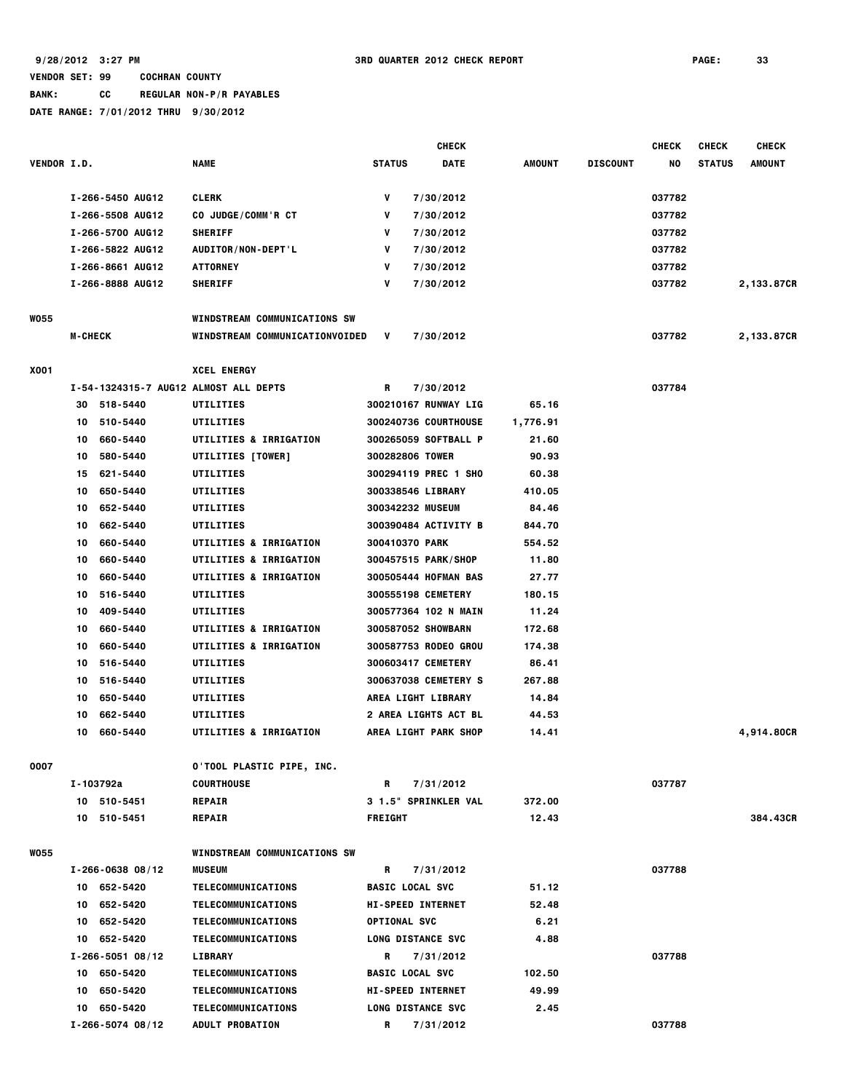**BANK: CC REGULAR NON-P/R PAYABLES**

|                    |                |                         |                                       |                     | <b>CHECK</b>                |               |                 | <b>CHECK</b> | <b>CHECK</b>  | <b>CHECK</b> |
|--------------------|----------------|-------------------------|---------------------------------------|---------------------|-----------------------------|---------------|-----------------|--------------|---------------|--------------|
| <b>VENDOR I.D.</b> |                |                         | <b>NAME</b>                           | <b>STATUS</b>       | <b>DATE</b>                 | <b>AMOUNT</b> | <b>DISCOUNT</b> | NO           | <b>STATUS</b> | AMOUNT       |
|                    |                | I-266-5450 AUG12        | <b>CLERK</b>                          | ۷                   | 7/30/2012                   |               |                 | 037782       |               |              |
|                    |                | I-266-5508 AUG12        | CO JUDGE/COMM'R CT                    | ۷                   | 7/30/2012                   |               |                 | 037782       |               |              |
|                    |                | I-266-5700 AUG12        | <b>SHERIFF</b>                        | ۷                   | 7/30/2012                   |               |                 | 037782       |               |              |
|                    |                | I-266-5822 AUG12        | AUDITOR/NON-DEPT'L                    | ۷                   | 7/30/2012                   |               |                 | 037782       |               |              |
|                    |                | I-266-8661 AUG12        | <b>ATTORNEY</b>                       | ۷                   | 7/30/2012                   |               |                 | 037782       |               |              |
|                    |                | I-266-8888 AUG12        | <b>SHERIFF</b>                        | v                   | 7/30/2012                   |               |                 | 037782       |               | 2,133.87CR   |
| <b>WO55</b>        |                |                         | <b>WINDSTREAM COMMUNICATIONS SW</b>   |                     |                             |               |                 |              |               |              |
|                    | <b>M-CHECK</b> |                         | WINDSTREAM COMMUNICATIONVOIDED        | V                   | 7/30/2012                   |               |                 | 037782       |               | 2,133.87CR   |
| X001               |                |                         | <b>XCEL ENERGY</b>                    |                     |                             |               |                 |              |               |              |
|                    |                |                         | I-54-1324315-7 AUG12 ALMOST ALL DEPTS | R                   | 7/30/2012                   |               |                 | 037784       |               |              |
|                    | 30             | 518-5440                | UTILITIES                             |                     | 300210167 RUNWAY LIG        | 65.16         |                 |              |               |              |
|                    | 10             | 510-5440                | UTILITIES                             |                     | 300240736 COURTHOUSE        | 1,776.91      |                 |              |               |              |
|                    | 10             | 660-5440                | UTILITIES & IRRIGATION                |                     | 300265059 SOFTBALL P        | 21.60         |                 |              |               |              |
|                    | 10             | 580-5440                | UTILITIES [TOWER]                     |                     | 300282806 TOWER             | 90.93         |                 |              |               |              |
|                    | 15             | 621-5440                | UTILITIES                             |                     | 300294119 PREC 1 SHO        | 60.38         |                 |              |               |              |
|                    | 10             | 650-5440                | UTILITIES                             |                     | 300338546 LIBRARY           | 410.05        |                 |              |               |              |
|                    | 10             | 652-5440                | UTILITIES                             |                     | 300342232 MUSEUM            | 84.46         |                 |              |               |              |
|                    | 10             | 662-5440                | UTILITIES                             |                     | 300390484 ACTIVITY B        | 844.70        |                 |              |               |              |
|                    | 10             | 660-5440                | UTILITIES & IRRIGATION                | 300410370 PARK      |                             | 554.52        |                 |              |               |              |
|                    | 10             | 660-5440                | UTILITIES & IRRIGATION                |                     | 300457515 PARK/SHOP         | 11.80         |                 |              |               |              |
|                    | 10             | 660-5440                | UTILITIES & IRRIGATION                |                     | 300505444 HOFMAN BAS        | 27.77         |                 |              |               |              |
|                    | 10             | 516-5440                | UTILITIES                             |                     | 300555198 CEMETERY          | 180.15        |                 |              |               |              |
|                    | 10             | 409-5440                | UTILITIES                             |                     | 300577364 102 N MAIN        | 11.24         |                 |              |               |              |
|                    | 10             | 660-5440                | UTILITIES & IRRIGATION                |                     | 300587052 SHOWBARN          | 172.68        |                 |              |               |              |
|                    | 10             | 660-5440                | UTILITIES & IRRIGATION                |                     | 300587753 RODEO GROU        | 174.38        |                 |              |               |              |
|                    | 10             | 516-5440                | UTILITIES                             |                     | 300603417 CEMETERY          | 86.41         |                 |              |               |              |
|                    | 10             | 516-5440                | UTILITIES                             |                     | 300637038 CEMETERY S        | 267.88        |                 |              |               |              |
|                    | 10             | 650-5440                | UTILITIES                             |                     | <b>AREA LIGHT LIBRARY</b>   | 14.84         |                 |              |               |              |
|                    | 10             | 662-5440                | UTILITIES                             |                     | <b>2 AREA LIGHTS ACT BL</b> | 44.53         |                 |              |               |              |
|                    | 10             | 660-5440                | UTILITIES & IRRIGATION                |                     | AREA LIGHT PARK SHOP        | 14.41         |                 |              |               | 4,914.80CR   |
| 0007               |                |                         | 0'TOOL PLASTIC PIPE, INC.             |                     |                             |               |                 |              |               |              |
|                    | I-103792a      |                         | <b>COURTHOUSE</b>                     | R                   | 7/31/2012                   |               |                 | 037787       |               |              |
|                    | 10 510-5451    |                         | <b>REPAIR</b>                         |                     | 3 1.5" SPRINKLER VAL        | 372.00        |                 |              |               |              |
|                    | 10 510-5451    |                         | <b>REPAIR</b>                         | <b>FREIGHT</b>      |                             | 12.43         |                 |              |               | 384.43CR     |
| <b>WO55</b>        |                |                         | <b>WINDSTREAM COMMUNICATIONS SW</b>   |                     |                             |               |                 |              |               |              |
|                    |                | $I - 266 - 063808 / 12$ | <b>MUSEUM</b>                         | R                   | 7/31/2012                   |               |                 | 037788       |               |              |
|                    | 10 652-5420    |                         | TELECOMMUNICATIONS                    |                     | <b>BASIC LOCAL SVC</b>      | 51.12         |                 |              |               |              |
|                    | 10 652-5420    |                         | <b>TELECOMMUNICATIONS</b>             |                     | <b>HI-SPEED INTERNET</b>    | 52.48         |                 |              |               |              |
|                    | 10 652-5420    |                         | <b>TELECOMMUNICATIONS</b>             | <b>OPTIONAL SVC</b> |                             | 6.21          |                 |              |               |              |
|                    | 10 652-5420    |                         | TELECOMMUNICATIONS                    |                     | <b>LONG DISTANCE SVC</b>    | 4.88          |                 |              |               |              |
|                    |                | $I - 266 - 505108/12$   | LIBRARY                               | R                   | 7/31/2012                   |               |                 | 037788       |               |              |
|                    | 10 650-5420    |                         | <b>TELECOMMUNICATIONS</b>             |                     | <b>BASIC LOCAL SVC</b>      | 102.50        |                 |              |               |              |
|                    | 10 650-5420    |                         | TELECOMMUNICATIONS                    |                     | <b>HI-SPEED INTERNET</b>    | 49.99         |                 |              |               |              |
|                    | 10 650-5420    |                         | <b>TELECOMMUNICATIONS</b>             |                     | LONG DISTANCE SVC           | 2.45          |                 |              |               |              |
|                    |                | $I-266-5074$ 08/12      | <b>ADULT PROBATION</b>                |                     | R 7/31/2012                 |               |                 | 037788       |               |              |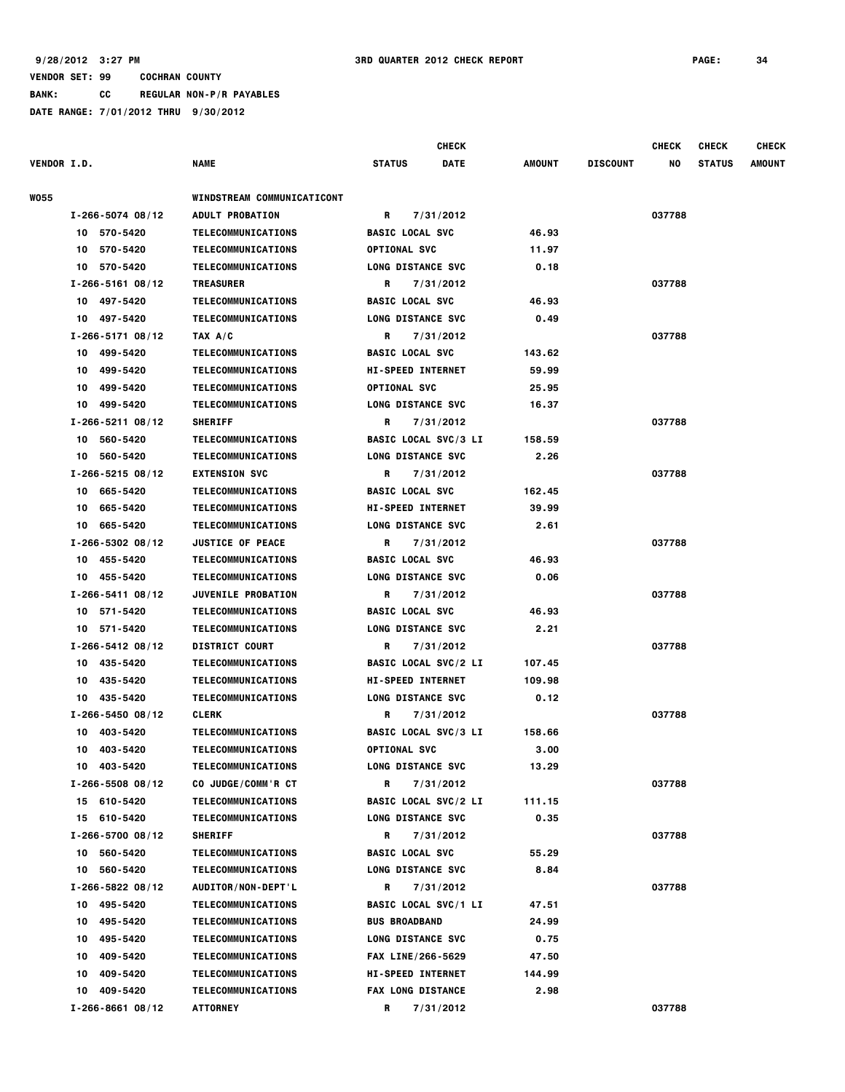|                    |                         |                                   |                             | <b>CHECK</b> |               |                 | <b>CHECK</b> | <b>CHECK</b>  | <b>CHECK</b> |
|--------------------|-------------------------|-----------------------------------|-----------------------------|--------------|---------------|-----------------|--------------|---------------|--------------|
| <b>VENDOR I.D.</b> |                         | <b>NAME</b>                       | <b>STATUS</b>               | <b>DATE</b>  | AMOUNT        | <b>DISCOUNT</b> | NO           | <b>STATUS</b> | AMOUNT       |
| <b>WO55</b>        |                         | <b>WINDSTREAM COMMUNICATICONT</b> |                             |              |               |                 |              |               |              |
|                    | $I - 266 - 5074$ 08/12  | <b>ADULT PROBATION</b>            | R                           | 7/31/2012    |               |                 | 037788       |               |              |
|                    | 10 570-5420             | TELECOMMUNICATIONS                | <b>BASIC LOCAL SVC</b>      |              | 46.93         |                 |              |               |              |
|                    | 10 570-5420             | <b>TELECOMMUNICATIONS</b>         | <b>OPTIONAL SVC</b>         |              | 11.97         |                 |              |               |              |
|                    | 10 570-5420             | TELECOMMUNICATIONS                | LONG DISTANCE SVC           |              | 0.18          |                 |              |               |              |
|                    | $I-266-5161$ 08/12      | <b>TREASURER</b>                  | R                           | 7/31/2012    |               |                 | 037788       |               |              |
|                    | 10 497-5420             | TELECOMMUNICATIONS                | <b>BASIC LOCAL SVC</b>      |              | 46.93         |                 |              |               |              |
|                    | 10 497-5420             | TELECOMMUNICATIONS                | LONG DISTANCE SVC           |              | 0.49          |                 |              |               |              |
|                    | $I-266-5171$ 08/12      | TAX A/C                           | R                           | 7/31/2012    |               |                 | 037788       |               |              |
|                    | 10 499-5420             | TELECOMMUNICATIONS                | <b>BASIC LOCAL SVC</b>      |              | 143.62        |                 |              |               |              |
|                    | 10 499-5420             | TELECOMMUNICATIONS                | <b>HI-SPEED INTERNET</b>    |              | 59.99         |                 |              |               |              |
|                    | 10 499-5420             | <b>TELECOMMUNICATIONS</b>         | <b>OPTIONAL SVC</b>         |              | 25.95         |                 |              |               |              |
|                    | 10 499-5420             | <b>TELECOMMUNICATIONS</b>         | LONG DISTANCE SVC           |              | 16.37         |                 |              |               |              |
|                    | $I-266-5211$ 08/12      | <b>SHERIFF</b>                    | R                           | 7/31/2012    |               |                 | 037788       |               |              |
|                    | 10 560-5420             | TELECOMMUNICATIONS                | <b>BASIC LOCAL SVC/3 LI</b> |              | 158.59        |                 |              |               |              |
|                    | 10 560-5420             | <b>TELECOMMUNICATIONS</b>         | LONG DISTANCE SVC           |              | 2.26          |                 |              |               |              |
|                    | $I-266-5215$ 08/12      | <b>EXTENSION SVC</b>              | R                           | 7/31/2012    |               |                 | 037788       |               |              |
|                    | 10 665-5420             | <b>TELECOMMUNICATIONS</b>         | <b>BASIC LOCAL SVC</b>      |              | 162.45        |                 |              |               |              |
|                    | 10 665-5420             | <b>TELECOMMUNICATIONS</b>         | <b>HI-SPEED INTERNET</b>    |              | 39.99         |                 |              |               |              |
|                    | 10 665-5420             | TELECOMMUNICATIONS                | LONG DISTANCE SVC           |              | 2.61          |                 |              |               |              |
|                    | $I - 266 - 530208 / 12$ | <b>JUSTICE OF PEACE</b>           | R                           | 7/31/2012    |               |                 | 037788       |               |              |
|                    |                         |                                   |                             |              |               |                 |              |               |              |
|                    | 10 455-5420             | <b>TELECOMMUNICATIONS</b>         | <b>BASIC LOCAL SVC</b>      |              | 46.93<br>0.06 |                 |              |               |              |
|                    | 10 455-5420             | TELECOMMUNICATIONS                | LONG DISTANCE SVC           |              |               |                 | 037788       |               |              |
|                    | $I-266-5411$ 08/12      | JUVENILE PROBATION                | R                           | 7/31/2012    |               |                 |              |               |              |
|                    | 10 571-5420             | <b>TELECOMMUNICATIONS</b>         | <b>BASIC LOCAL SVC</b>      |              | 46.93         |                 |              |               |              |
|                    | 10 571-5420             | <b>TELECOMMUNICATIONS</b>         | LONG DISTANCE SVC           |              | 2.21          |                 |              |               |              |
|                    | $I-266-5412$ 08/12      | <b>DISTRICT COURT</b>             | R                           | 7/31/2012    |               |                 | 037788       |               |              |
|                    | 10 435-5420             | <b>TELECOMMUNICATIONS</b>         | <b>BASIC LOCAL SVC/2 LI</b> |              | 107.45        |                 |              |               |              |
|                    | 10 435-5420             | <b>TELECOMMUNICATIONS</b>         | <b>HI-SPEED INTERNET</b>    |              | 109.98        |                 |              |               |              |
|                    | 10 435-5420             | TELECOMMUNICATIONS                | LONG DISTANCE SVC           |              | 0.12          |                 |              |               |              |
|                    | $I - 266 - 545008/12$   | <b>CLERK</b>                      | R                           | 7/31/2012    |               |                 | 037788       |               |              |
|                    | 10 403-5420             | TELECOMMUNICATIONS                | <b>BASIC LOCAL SVC/3 LI</b> |              | 158.66        |                 |              |               |              |
|                    | 10 403-5420             | TELECOMMUNICATIONS                | <b>OPTIONAL SVC</b>         |              | 3.00          |                 |              |               |              |
|                    | 10 403-5420             | <b>TELECOMMUNICATIONS</b>         | <b>LONG DISTANCE SVC</b>    |              | 13.29         |                 |              |               |              |
|                    | $I - 266 - 5508$ 08/12  | CO JUDGE/COMM'R CT                | R                           | 7/31/2012    |               |                 | 037788       |               |              |
|                    | 15 610-5420             | TELECOMMUNICATIONS                | <b>BASIC LOCAL SVC/2 LI</b> |              | 111.15        |                 |              |               |              |
|                    | 15 610-5420             | <b>TELECOMMUNICATIONS</b>         | <b>LONG DISTANCE SVC</b>    |              | 0.35          |                 |              |               |              |
|                    | $I - 266 - 5700 08/12$  | <b>SHERIFF</b>                    | R                           | 7/31/2012    |               |                 | 037788       |               |              |
|                    | 10 560-5420             | TELECOMMUNICATIONS                | <b>BASIC LOCAL SVC</b>      |              | 55.29         |                 |              |               |              |
|                    | 10 560-5420             | <b>TELECOMMUNICATIONS</b>         | <b>LONG DISTANCE SVC</b>    |              | 8.84          |                 |              |               |              |
|                    | $I - 266 - 582208/12$   | AUDITOR/NON-DEPT'L                | R                           | 7/31/2012    |               |                 | 037788       |               |              |
|                    | 10 495-5420             | TELECOMMUNICATIONS                | <b>BASIC LOCAL SVC/1 LI</b> |              | 47.51         |                 |              |               |              |
|                    | 495-5420<br>10          | <b>TELECOMMUNICATIONS</b>         | <b>BUS BROADBAND</b>        |              | 24.99         |                 |              |               |              |
|                    | 495-5420<br>10          | TELECOMMUNICATIONS                | <b>LONG DISTANCE SVC</b>    |              | 0.75          |                 |              |               |              |
|                    | 409-5420<br>10          | TELECOMMUNICATIONS                | FAX LINE/266-5629           |              | 47.50         |                 |              |               |              |
|                    | 409-5420<br>10          | TELECOMMUNICATIONS                | <b>HI-SPEED INTERNET</b>    |              | 144.99        |                 |              |               |              |
|                    | 409-5420<br>10          | <b>TELECOMMUNICATIONS</b>         | <b>FAX LONG DISTANCE</b>    |              | 2.98          |                 |              |               |              |
|                    | $I - 266 - 866108/12$   | <b>ATTORNEY</b>                   | R                           | 7/31/2012    |               |                 | 037788       |               |              |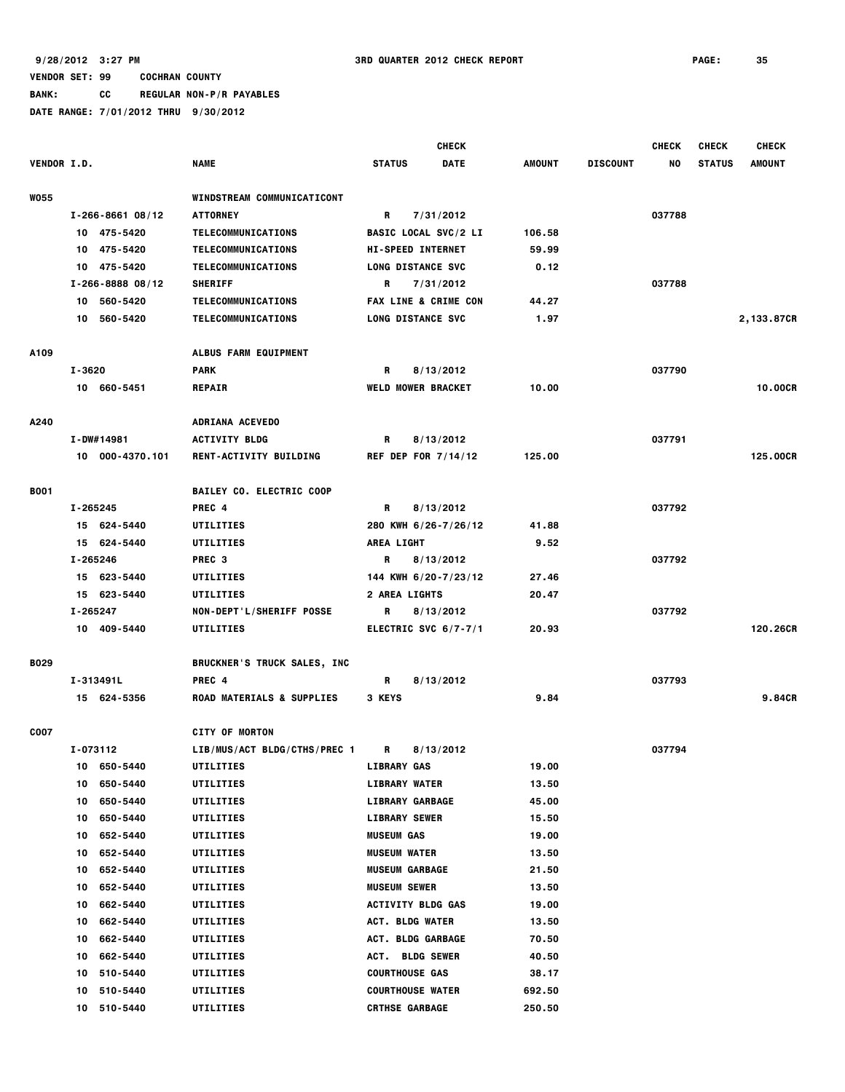|                    |          |                        |                                      |                   | <b>CHECK</b>                    |               |                 | <b>CHECK</b> | <b>CHECK</b>  | <b>CHECK</b>  |
|--------------------|----------|------------------------|--------------------------------------|-------------------|---------------------------------|---------------|-----------------|--------------|---------------|---------------|
| <b>VENDOR I.D.</b> |          |                        | <b>NAME</b>                          | <b>STATUS</b>     | <b>DATE</b>                     | <b>AMOUNT</b> | <b>DISCOUNT</b> | NO           | <b>STATUS</b> | <b>AMOUNT</b> |
|                    |          |                        |                                      |                   |                                 |               |                 |              |               |               |
| <b>WO55</b>        |          |                        | <b>WINDSTREAM COMMUNICATICONT</b>    |                   |                                 |               |                 |              |               |               |
|                    |          | $I - 266 - 866108/12$  | <b>ATTORNEY</b>                      | R                 | 7/31/2012                       |               |                 | 037788       |               |               |
|                    |          | 10 475-5420            | TELECOMMUNICATIONS                   |                   | <b>BASIC LOCAL SVC/2 LI</b>     | 106.58        |                 |              |               |               |
|                    |          | 10 475-5420            | TELECOMMUNICATIONS                   |                   | <b>HI-SPEED INTERNET</b>        | 59.99         |                 |              |               |               |
|                    |          | 10 475-5420            | TELECOMMUNICATIONS                   |                   | <b>LONG DISTANCE SVC</b>        | 0.12          |                 |              |               |               |
|                    |          | $I - 266 - 8888 08/12$ | <b>SHERIFF</b>                       | R                 | 7/31/2012                       |               |                 | 037788       |               |               |
|                    |          | 10 560-5420            | <b>TELECOMMUNICATIONS</b>            |                   | <b>FAX LINE &amp; CRIME CON</b> | 44.27         |                 |              |               |               |
|                    |          | 10 560-5420            | TELECOMMUNICATIONS                   |                   | <b>LONG DISTANCE SVC</b>        | 1.97          |                 |              |               | 2,133.87CR    |
| A109               |          |                        | <b>ALBUS FARM EQUIPMENT</b>          |                   |                                 |               |                 |              |               |               |
|                    | I-3620   |                        | PARK                                 | R                 | 8/13/2012                       |               |                 | 037790       |               |               |
|                    |          | 10 660-5451            | <b>REPAIR</b>                        |                   | <b>WELD MOWER BRACKET</b>       | 10.00         |                 |              |               | 10.00CR       |
| A240               |          |                        | ADRIANA ACEVEDO                      |                   |                                 |               |                 |              |               |               |
|                    |          | I-DW#14981             | <b>ACTIVITY BLDG</b>                 | R                 | 8/13/2012                       |               |                 | 037791       |               |               |
|                    |          | 10 000-4370.101        | <b>RENT-ACTIVITY BUILDING</b>        |                   | <b>REF DEP FOR 7/14/12</b>      | 125.00        |                 |              |               | 125,00CR      |
| <b>B001</b>        |          |                        | <b>BAILEY CO. ELECTRIC COOP</b>      |                   |                                 |               |                 |              |               |               |
|                    |          | I-265245               | PREC 4                               | R                 | 8/13/2012                       |               |                 | 037792       |               |               |
|                    |          | 15 624-5440            | UTILITIES                            |                   | 280 KWH 6/26-7/26/12            | 41.88         |                 |              |               |               |
|                    |          | 15 624-5440            | UTILITIES                            | <b>AREA LIGHT</b> |                                 | 9.52          |                 |              |               |               |
|                    | I-265246 |                        | PREC <sub>3</sub>                    | R                 | 8/13/2012                       |               |                 | 037792       |               |               |
|                    |          | 15 623-5440            | UTILITIES                            |                   | 144 KWH 6/20-7/23/12            | 27.46         |                 |              |               |               |
|                    |          | 15 623-5440            | UTILITIES                            |                   | <b>2 AREA LIGHTS</b>            | 20.47         |                 |              |               |               |
|                    | I-265247 |                        | NON-DEPT'L/SHERIFF POSSE             | R                 | 8/13/2012                       |               |                 | 037792       |               |               |
|                    |          | 10 409-5440            | UTILITIES                            |                   | ELECTRIC SVC $6/7 - 7/1$        | 20.93         |                 |              |               | 120.26CR      |
|                    |          |                        |                                      |                   |                                 |               |                 |              |               |               |
| <b>B029</b>        |          |                        | <b>BRUCKNER'S TRUCK SALES, INC</b>   |                   |                                 |               |                 |              |               |               |
|                    |          | I-313491L              | PREC 4                               | R                 | 8/13/2012                       |               |                 | 037793       |               |               |
|                    |          | 15 624-5356            | <b>ROAD MATERIALS &amp; SUPPLIES</b> | 3 KEYS            |                                 | 9.84          |                 |              |               | 9.84CR        |
| <b>COO7</b>        |          |                        | <b>CITY OF MORTON</b>                |                   |                                 |               |                 |              |               |               |
|                    |          | I-073112               | LIB/MUS/ACT BLDG/CTHS/PREC 1         | R                 | 8/13/2012                       |               |                 | 037794       |               |               |
|                    | 10       | 650-5440               | UTILITIES                            |                   | <b>LIBRARY GAS</b>              | 19.00         |                 |              |               |               |
|                    | 10       | 650-5440               | UTILITIES                            |                   | <b>LIBRARY WATER</b>            | 13.50         |                 |              |               |               |
|                    | 10       | 650-5440               | UTILITIES                            |                   | <b>LIBRARY GARBAGE</b>          | 45.00         |                 |              |               |               |
|                    | 10       | 650-5440               | UTILITIES                            |                   | <b>LIBRARY SEWER</b>            | 15.50         |                 |              |               |               |
|                    | 10       | 652-5440               | UTILITIES                            | <b>MUSEUM GAS</b> |                                 | 19.00         |                 |              |               |               |
|                    | 10       | 652-5440               | UTILITIES                            |                   | <b>MUSEUM WATER</b>             | 13.50         |                 |              |               |               |
|                    | 10       | 652-5440               | UTILITIES                            |                   | <b>MUSEUM GARBAGE</b>           | 21.50         |                 |              |               |               |
|                    | 10       | 652-5440               | UTILITIES                            |                   | <b>MUSEUM SEWER</b>             | 13.50         |                 |              |               |               |
|                    | 10       | 662-5440               | UTILITIES                            |                   | <b>ACTIVITY BLDG GAS</b>        | 19.00         |                 |              |               |               |
|                    | 10       | 662-5440               | UTILITIES                            |                   | ACT. BLDG WATER                 | 13.50         |                 |              |               |               |
|                    | 10       | 662-5440               | UTILITIES                            |                   | ACT. BLDG GARBAGE               | 70.50         |                 |              |               |               |
|                    | 10       | 662-5440               | UTILITIES                            |                   | ACT. BLDG SEWER                 | 40.50         |                 |              |               |               |
|                    | 10       | 510-5440               | UTILITIES                            |                   | <b>COURTHOUSE GAS</b>           | 38.17         |                 |              |               |               |
|                    | 10       | 510-5440               | UTILITIES                            |                   | <b>COURTHOUSE WATER</b>         | 692.50        |                 |              |               |               |
|                    | 10       | 510-5440               | UTILITIES                            |                   | <b>CRTHSE GARBAGE</b>           | 250.50        |                 |              |               |               |
|                    |          |                        |                                      |                   |                                 |               |                 |              |               |               |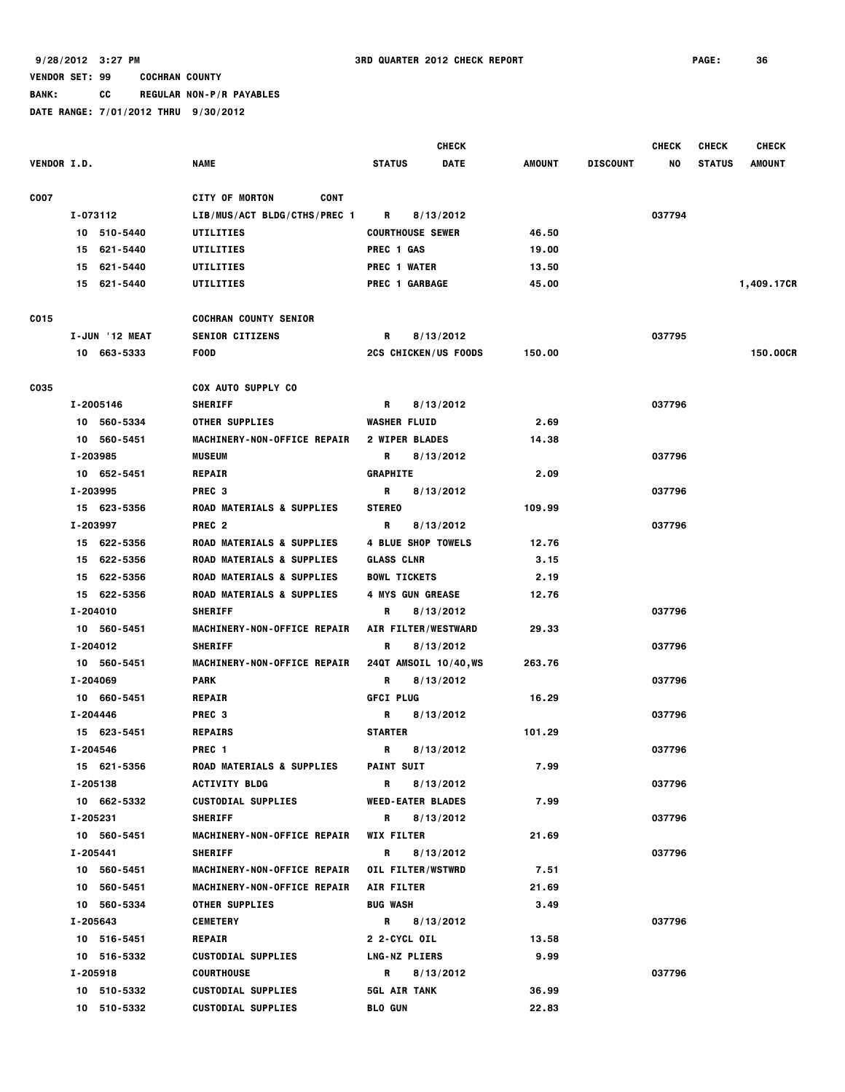**BANK: CC REGULAR NON-P/R PAYABLES**

|                    |                |                                      | <b>CHECK</b>                                                                                                                                                                                                                                |        |                 | <b>CHECK</b> | <b>CHECK</b>  | <b>CHECK</b>  |
|--------------------|----------------|--------------------------------------|---------------------------------------------------------------------------------------------------------------------------------------------------------------------------------------------------------------------------------------------|--------|-----------------|--------------|---------------|---------------|
| <b>VENDOR I.D.</b> |                | <b>NAME</b>                          | <b>STATUS</b><br><b>DATE</b>                                                                                                                                                                                                                | AMOUNT | <b>DISCOUNT</b> | NO           | <b>STATUS</b> | <b>AMOUNT</b> |
| <b>COO7</b>        |                | <b>CONT</b><br><b>CITY OF MORTON</b> |                                                                                                                                                                                                                                             |        |                 |              |               |               |
|                    | I-073112       | LIB/MUS/ACT BLDG/CTHS/PREC 1         | 8/13/2012<br>R                                                                                                                                                                                                                              |        |                 | 037794       |               |               |
|                    | 10 510-5440    | UTILITIES                            | <b>COURTHOUSE SEWER</b>                                                                                                                                                                                                                     | 46.50  |                 |              |               |               |
|                    | 15 621-5440    | UTILITIES                            | <b>PREC 1 GAS</b>                                                                                                                                                                                                                           | 19.00  |                 |              |               |               |
|                    | 15 621-5440    | UTILITIES                            | <b>PREC 1 WATER</b>                                                                                                                                                                                                                         | 13.50  |                 |              |               |               |
|                    | 15 621-5440    | UTILITIES                            | <b>PREC 1 GARBAGE</b>                                                                                                                                                                                                                       | 45.00  |                 |              |               | 1,409.17CR    |
| C015               |                | <b>COCHRAN COUNTY SENIOR</b>         |                                                                                                                                                                                                                                             |        |                 |              |               |               |
|                    | I-JUN '12 MEAT | <b>SENIOR CITIZENS</b>               | 8/13/2012<br>R                                                                                                                                                                                                                              |        |                 | 037795       |               |               |
|                    | 10 663-5333    | <b>FOOD</b>                          | <b>2CS CHICKEN/US FOODS</b>                                                                                                                                                                                                                 | 150.00 |                 |              |               | 150.00CR      |
| C035               |                | <b>COX AUTO SUPPLY CO</b>            |                                                                                                                                                                                                                                             |        |                 |              |               |               |
|                    | I-2005146      | <b>SHERIFF</b>                       | R<br>8/13/2012                                                                                                                                                                                                                              |        |                 | 037796       |               |               |
|                    | 10 560-5334    | <b>OTHER SUPPLIES</b>                | <b>WASHER FLUID</b>                                                                                                                                                                                                                         | 2.69   |                 |              |               |               |
|                    | 10 560-5451    | MACHINERY-NON-OFFICE REPAIR          | 2 WIPER BLADES                                                                                                                                                                                                                              | 14.38  |                 |              |               |               |
|                    | I-203985       | <b>MUSEUM</b>                        | R<br>8/13/2012                                                                                                                                                                                                                              |        |                 | 037796       |               |               |
|                    | 10 652-5451    | <b>REPAIR</b>                        | <b>GRAPHITE</b>                                                                                                                                                                                                                             | 2.09   |                 |              |               |               |
|                    | I-203995       | PREC <sub>3</sub>                    | R<br>8/13/2012                                                                                                                                                                                                                              |        |                 | 037796       |               |               |
|                    | 15 623-5356    | <b>ROAD MATERIALS &amp; SUPPLIES</b> | <b>STEREO</b>                                                                                                                                                                                                                               | 109.99 |                 |              |               |               |
|                    | I-203997       | PREC <sub>2</sub>                    | R<br>8/13/2012                                                                                                                                                                                                                              |        |                 | 037796       |               |               |
|                    | 15 622-5356    | <b>ROAD MATERIALS &amp; SUPPLIES</b> | <b>4 BLUE SHOP TOWELS</b>                                                                                                                                                                                                                   | 12.76  |                 |              |               |               |
|                    | 15 622-5356    | <b>ROAD MATERIALS &amp; SUPPLIES</b> | <b>GLASS CLNR</b>                                                                                                                                                                                                                           | 3.15   |                 |              |               |               |
|                    | 15 622-5356    | ROAD MATERIALS & SUPPLIES            | <b>BOWL TICKETS</b>                                                                                                                                                                                                                         | 2.19   |                 |              |               |               |
|                    | 15 622-5356    | <b>ROAD MATERIALS &amp; SUPPLIES</b> | <b>4 MYS GUN GREASE</b>                                                                                                                                                                                                                     | 12.76  |                 |              |               |               |
|                    | I-204010       | <b>SHERIFF</b>                       | 8/13/2012<br>R                                                                                                                                                                                                                              |        |                 | 037796       |               |               |
|                    | 10 560-5451    | MACHINERY-NON-OFFICE REPAIR          | AIR FILTER/WESTWARD                                                                                                                                                                                                                         | 29.33  |                 |              |               |               |
|                    | I-204012       | <b>SHERIFF</b>                       | R<br>8/13/2012                                                                                                                                                                                                                              |        |                 | 037796       |               |               |
|                    | 10 560-5451    | MACHINERY-NON-OFFICE REPAIR          | 24QT AMSOIL 10/40, WS                                                                                                                                                                                                                       | 263.76 |                 |              |               |               |
|                    | I-204069       | <b>PARK</b>                          | 8/13/2012<br>R                                                                                                                                                                                                                              |        |                 | 037796       |               |               |
|                    | 10 660-5451    | <b>REPAIR</b>                        | <b>GFCI PLUG</b>                                                                                                                                                                                                                            | 16.29  |                 |              |               |               |
|                    | I-204446       | PREC <sub>3</sub>                    | R<br>8/13/2012                                                                                                                                                                                                                              |        |                 | 037796       |               |               |
|                    | 15 623-5451    | <b>REPAIRS</b>                       | <b>STARTER</b>                                                                                                                                                                                                                              | 101.29 |                 |              |               |               |
|                    | I-204546       | PREC <sub>1</sub>                    | R<br>8/13/2012                                                                                                                                                                                                                              |        |                 | 037796       |               |               |
|                    | 15 621-5356    | <b>ROAD MATERIALS &amp; SUPPLIES</b> | <b>PAINT SUIT</b>                                                                                                                                                                                                                           | 7.99   |                 |              |               |               |
|                    | I-205138       | <b>ACTIVITY BLDG</b>                 | R.<br>8/13/2012                                                                                                                                                                                                                             |        |                 | 037796       |               |               |
|                    | 10 662-5332    | <b>CUSTODIAL SUPPLIES</b>            | <b>WEED-EATER BLADES</b>                                                                                                                                                                                                                    | 7.99   |                 |              |               |               |
|                    | I-205231       | <b>SHERIFF</b>                       | R and the second state of the second state in the second state in the second state in the second state in the second state in the second state in the second state in the second state in the second state in the second state<br>8/13/2012 |        |                 | 037796       |               |               |
|                    | 10 560-5451    | MACHINERY-NON-OFFICE REPAIR          | <b>WIX FILTER</b>                                                                                                                                                                                                                           | 21.69  |                 |              |               |               |
|                    | I-205441       | <b>SHERIFF</b>                       | R<br>8/13/2012                                                                                                                                                                                                                              |        |                 | 037796       |               |               |
|                    | 10 560-5451    | MACHINERY-NON-OFFICE REPAIR          | <b>OIL FILTER/WSTWRD</b>                                                                                                                                                                                                                    | 7.51   |                 |              |               |               |
|                    | 10 560-5451    | MACHINERY-NON-OFFICE REPAIR          | <b>AIR FILTER</b>                                                                                                                                                                                                                           | 21.69  |                 |              |               |               |
|                    | 10 560-5334    | <b>OTHER SUPPLIES</b>                | <b>BUG WASH</b>                                                                                                                                                                                                                             | 3.49   |                 |              |               |               |
|                    | I-205643       | <b>CEMETERY</b>                      | R 8/13/2012                                                                                                                                                                                                                                 |        |                 | 037796       |               |               |
|                    | 10 516-5451    | <b>REPAIR</b>                        | 2 2-CYCL OIL                                                                                                                                                                                                                                | 13.58  |                 |              |               |               |
|                    | 10 516-5332    | <b>CUSTODIAL SUPPLIES</b>            | <b>LNG-NZ PLIERS</b>                                                                                                                                                                                                                        | 9.99   |                 |              |               |               |
|                    | I-205918       | <b>COURTHOUSE</b>                    | R.<br>8/13/2012                                                                                                                                                                                                                             |        |                 | 037796       |               |               |
|                    | 10 510-5332    | <b>CUSTODIAL SUPPLIES</b>            | <b>5GL AIR TANK</b>                                                                                                                                                                                                                         | 36.99  |                 |              |               |               |
|                    | 10 510-5332    | <b>CUSTODIAL SUPPLIES</b>            | <b>BLO GUN</b>                                                                                                                                                                                                                              | 22.83  |                 |              |               |               |
|                    |                |                                      |                                                                                                                                                                                                                                             |        |                 |              |               |               |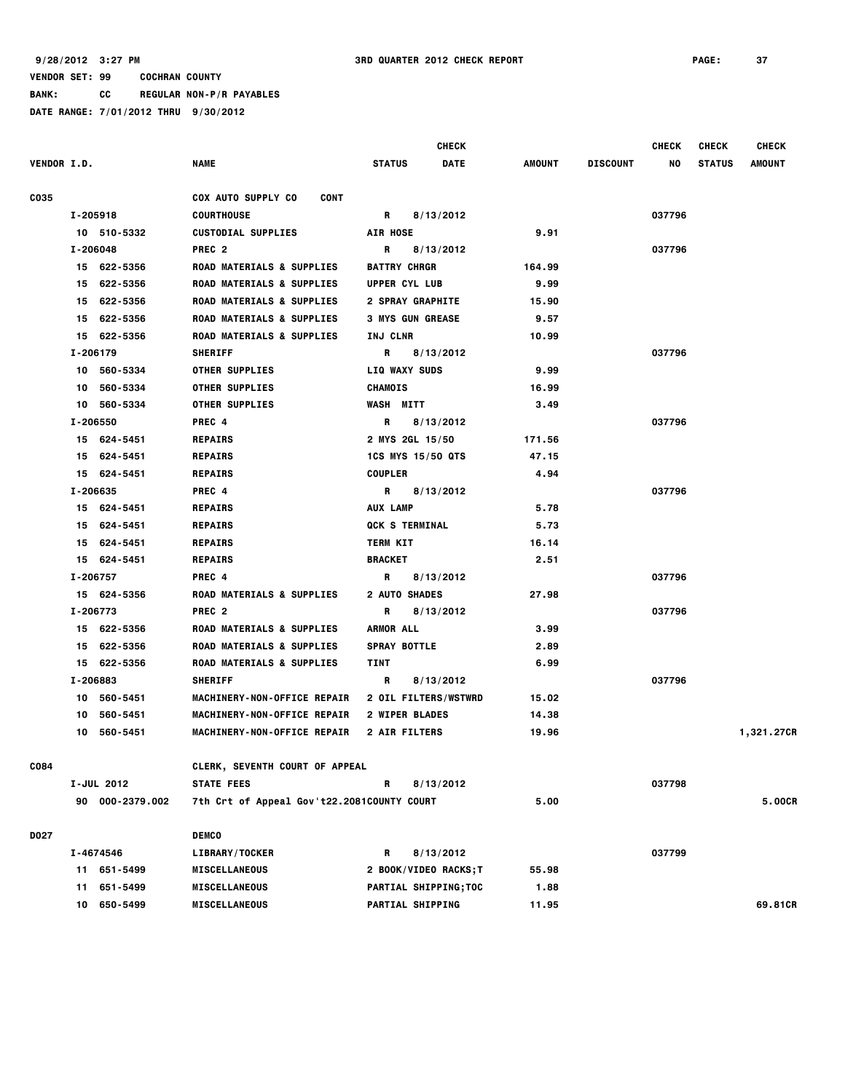**BANK: CC REGULAR NON-P/R PAYABLES**

|                    |     |                 |                                            |                         | CHECK                 |        |                 | <b>CHECK</b> | <b>CHECK</b>  | <b>CHECK</b>  |
|--------------------|-----|-----------------|--------------------------------------------|-------------------------|-----------------------|--------|-----------------|--------------|---------------|---------------|
| <b>VENDOR I.D.</b> |     |                 | <b>NAME</b>                                | <b>STATUS</b>           | <b>DATE</b>           | AMOUNT | <b>DISCOUNT</b> | NO           | <b>STATUS</b> | <b>AMOUNT</b> |
| <b>CO35</b>        |     |                 | COX AUTO SUPPLY CO<br>CONT                 |                         |                       |        |                 |              |               |               |
|                    |     | I-205918        | <b>COURTHOUSE</b>                          | R                       | 8/13/2012             |        |                 | 037796       |               |               |
|                    |     | 10 510-5332     | <b>CUSTODIAL SUPPLIES</b>                  | <b>AIR HOSE</b>         |                       | 9.91   |                 |              |               |               |
|                    |     | I-206048        | PREC <sub>2</sub>                          | R                       | 8/13/2012             |        |                 | 037796       |               |               |
|                    |     | 15 622-5356     | ROAD MATERIALS & SUPPLIES                  | <b>BATTRY CHRGR</b>     |                       | 164.99 |                 |              |               |               |
|                    |     | 15 622-5356     | ROAD MATERIALS & SUPPLIES                  | UPPER CYL LUB           |                       | 9.99   |                 |              |               |               |
|                    |     | 15 622-5356     | <b>ROAD MATERIALS &amp; SUPPLIES</b>       | <b>2 SPRAY GRAPHITE</b> |                       | 15.90  |                 |              |               |               |
|                    |     | 15 622-5356     | <b>ROAD MATERIALS &amp; SUPPLIES</b>       | <b>3 MYS GUN GREASE</b> |                       | 9.57   |                 |              |               |               |
|                    |     | 15 622-5356     | <b>ROAD MATERIALS &amp; SUPPLIES</b>       | INJ CLNR                |                       | 10.99  |                 |              |               |               |
|                    |     | I-206179        | <b>SHERIFF</b>                             | R                       | 8/13/2012             |        |                 | 037796       |               |               |
|                    |     | 10 560-5334     | <b>OTHER SUPPLIES</b>                      | <b>LIQ WAXY SUDS</b>    |                       | 9.99   |                 |              |               |               |
|                    |     | 10 560-5334     | <b>OTHER SUPPLIES</b>                      | <b>CHAMOIS</b>          |                       | 16.99  |                 |              |               |               |
|                    |     | 10 560-5334     | <b>OTHER SUPPLIES</b>                      | <b>WASH MITT</b>        |                       | 3.49   |                 |              |               |               |
|                    |     | I-206550        | PREC 4                                     | R                       | 8/13/2012             |        |                 | 037796       |               |               |
|                    |     | 15 624-5451     | <b>REPAIRS</b>                             | 2 MYS 2GL 15/50         |                       | 171.56 |                 |              |               |               |
|                    |     | 15 624-5451     | <b>REPAIRS</b>                             | 1CS MYS 15/50 QTS       |                       | 47.15  |                 |              |               |               |
|                    |     | 15 624-5451     | <b>REPAIRS</b>                             | <b>COUPLER</b>          |                       | 4.94   |                 |              |               |               |
|                    |     | I-206635        | PREC 4                                     | R 8/13/2012             |                       |        |                 | 037796       |               |               |
|                    |     | 15 624-5451     | <b>REPAIRS</b>                             | AUX LAMP                |                       | 5.78   |                 |              |               |               |
|                    |     | 15 624-5451     | <b>REPAIRS</b>                             | <b>QCK S TERMINAL</b>   |                       | 5.73   |                 |              |               |               |
|                    |     | 15 624-5451     | <b>REPAIRS</b>                             | <b>TERM KIT</b>         |                       | 16.14  |                 |              |               |               |
|                    |     | 15 624-5451     | <b>REPAIRS</b>                             | <b>BRACKET</b>          |                       | 2.51   |                 |              |               |               |
|                    |     | I-206757        | PREC 4                                     | R                       | 8/13/2012             |        |                 | 037796       |               |               |
|                    |     | 15 624-5356     | <b>ROAD MATERIALS &amp; SUPPLIES</b>       | <b>2 AUTO SHADES</b>    |                       | 27.98  |                 |              |               |               |
|                    |     | I-206773        | PREC <sub>2</sub>                          | R                       | 8/13/2012             |        |                 | 037796       |               |               |
|                    |     | 15 622-5356     | <b>ROAD MATERIALS &amp; SUPPLIES</b>       | <b>ARMOR ALL</b>        |                       | 3.99   |                 |              |               |               |
|                    |     | 15 622-5356     | <b>ROAD MATERIALS &amp; SUPPLIES</b>       | <b>SPRAY BOTTLE</b>     |                       | 2.89   |                 |              |               |               |
|                    |     | 15 622-5356     | ROAD MATERIALS & SUPPLIES                  | TINT                    |                       | 6.99   |                 |              |               |               |
|                    |     | I-206883        | <b>SHERIFF</b>                             | R                       | 8/13/2012             |        |                 | 037796       |               |               |
|                    |     | 10 560-5451     | MACHINERY-NON-OFFICE REPAIR                | 2 OIL FILTERS/WSTWRD    |                       | 15.02  |                 |              |               |               |
|                    | 10  | 560-5451        | MACHINERY-NON-OFFICE REPAIR                | <b>2 WIPER BLADES</b>   |                       | 14.38  |                 |              |               |               |
|                    |     | 10 560-5451     | MACHINERY-NON-OFFICE REPAIR                | 2 AIR FILTERS           |                       | 19.96  |                 |              |               | 1,321.27CR    |
| C084               |     |                 | <b>CLERK, SEVENTH COURT OF APPEAL</b>      |                         |                       |        |                 |              |               |               |
|                    |     | I-JUL 2012      | <b>STATE FEES</b>                          | R                       | 8/13/2012             |        |                 | 037798       |               |               |
|                    |     | 90 000-2379.002 | 7th Crt of Appeal Gov't22.2081COUNTY COURT |                         |                       | 5.00   |                 |              |               | 5.00CR        |
| D027               |     |                 | <b>DEMCO</b>                               |                         |                       |        |                 |              |               |               |
|                    |     | I-4674546       | LIBRARY/TOCKER                             | R                       | 8/13/2012             |        |                 | 037799       |               |               |
|                    |     | 11 651-5499     | <b>MISCELLANEOUS</b>                       | 2 BOOK/VIDEO RACKS; T   |                       | 55.98  |                 |              |               |               |
|                    | 11. | 651-5499        | <b>MISCELLANEOUS</b>                       |                         | PARTIAL SHIPPING; TOC | 1.88   |                 |              |               |               |
|                    | 10  | 650-5499        | <b>MISCELLANEOUS</b>                       | PARTIAL SHIPPING        |                       | 11.95  |                 |              |               | 69.81CR       |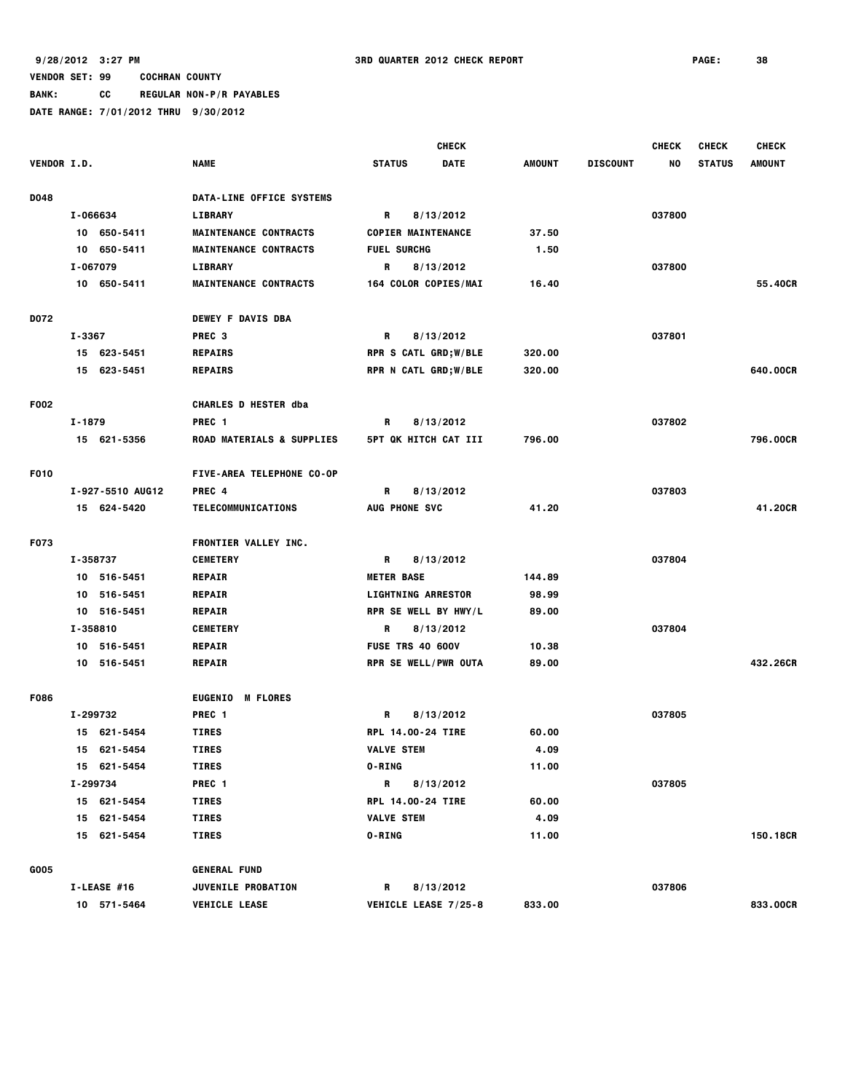**BANK: CC REGULAR NON-P/R PAYABLES**

|             |          |                  | <b>CHECK</b>                      |                      |                             |               | <b>CHECK</b>    | <b>CHECK</b> | <b>CHECK</b>  |               |
|-------------|----------|------------------|-----------------------------------|----------------------|-----------------------------|---------------|-----------------|--------------|---------------|---------------|
| VENDOR I.D. |          |                  | <b>NAME</b>                       | <b>STATUS</b>        | <b>DATE</b>                 | <b>AMOUNT</b> | <b>DISCOUNT</b> | NO           | <b>STATUS</b> | <b>AMOUNT</b> |
| D048        |          |                  | DATA-LINE OFFICE SYSTEMS          |                      |                             |               |                 |              |               |               |
|             | I-066634 |                  | <b>LIBRARY</b>                    | R                    | 8/13/2012                   |               |                 | 037800       |               |               |
|             |          | 10 650-5411      | <b>MAINTENANCE CONTRACTS</b>      |                      | <b>COPIER MAINTENANCE</b>   | 37.50         |                 |              |               |               |
|             |          | 10 650-5411      | <b>MAINTENANCE CONTRACTS</b>      | <b>FUEL SURCHG</b>   |                             | 1.50          |                 |              |               |               |
|             | I-067079 |                  | <b>LIBRARY</b>                    | R                    | 8/13/2012                   |               |                 | 037800       |               |               |
|             |          | 10 650-5411      | <b>MAINTENANCE CONTRACTS</b>      |                      | 164 COLOR COPIES/MAI        | 16.40         |                 |              |               | 55.40CR       |
|             |          |                  |                                   |                      |                             |               |                 |              |               |               |
| D072        |          |                  | <b>DEWEY F DAVIS DBA</b>          |                      |                             |               |                 |              |               |               |
|             | I-3367   |                  | PREC <sub>3</sub>                 | R                    | 8/13/2012                   |               |                 | 037801       |               |               |
|             |          | 15 623-5451      | <b>REPAIRS</b>                    |                      | <b>RPR S CATL GRD;W/BLE</b> | 320.00        |                 |              |               |               |
|             |          | 15 623-5451      | <b>REPAIRS</b>                    |                      | RPR N CATL GRD; W/BLE       | 320.00        |                 |              |               | 640.00CR      |
| F002        |          |                  | <b>CHARLES D HESTER dba</b>       |                      |                             |               |                 |              |               |               |
|             | I-1879   |                  | PREC <sub>1</sub>                 | R                    | 8/13/2012                   |               |                 | 037802       |               |               |
|             |          | 15 621-5356      | ROAD MATERIALS & SUPPLIES         |                      | <b>5PT QK HITCH CAT III</b> | 796.00        |                 |              |               | 796.00CR      |
|             |          |                  |                                   |                      |                             |               |                 |              |               |               |
| F010        |          |                  | FIVE-AREA TELEPHONE CO-OP         |                      |                             |               |                 |              |               |               |
|             |          | I-927-5510 AUG12 | PREC <sub>4</sub>                 | R                    | 8/13/2012                   |               |                 | 037803       |               |               |
|             |          | 15 624-5420      | TELECOMMUNICATIONS                | <b>AUG PHONE SVC</b> |                             | 41.20         |                 |              |               | 41,20CR       |
| F073        |          |                  | FRONTIER VALLEY INC.              |                      |                             |               |                 |              |               |               |
|             | I-358737 |                  | <b>CEMETERY</b>                   | R                    | 8/13/2012                   |               |                 | 037804       |               |               |
|             |          | 10 516-5451      | <b>REPAIR</b>                     | <b>METER BASE</b>    |                             | 144.89        |                 |              |               |               |
|             | 10       | 516-5451         | <b>REPAIR</b>                     |                      | <b>LIGHTNING ARRESTOR</b>   | 98.99         |                 |              |               |               |
|             |          | 10 516-5451      | <b>REPAIR</b>                     |                      | RPR SE WELL BY HWY/L        | 89.00         |                 |              |               |               |
|             | I-358810 |                  | <b>CEMETERY</b>                   | R                    | 8/13/2012                   |               |                 | 037804       |               |               |
|             |          | 10 516-5451      | <b>REPAIR</b>                     |                      | <b>FUSE TRS 40 600V</b>     | 10.38         |                 |              |               |               |
|             |          | 10 516-5451      | <b>REPAIR</b>                     |                      | RPR SE WELL/PWR OUTA        | 89.00         |                 |              |               | 432,26CR      |
| F086        |          |                  | <b>EUGENIO</b><br><b>M FLORES</b> |                      |                             |               |                 |              |               |               |
|             | I-299732 |                  | PREC <sub>1</sub>                 | R                    | 8/13/2012                   |               |                 | 037805       |               |               |
|             |          | 15 621-5454      | <b>TIRES</b>                      |                      | RPL 14.00-24 TIRE           | 60.00         |                 |              |               |               |
|             |          | 15 621-5454      | <b>TIRES</b>                      | <b>VALVE STEM</b>    |                             | 4.09          |                 |              |               |               |
|             |          | 15 621-5454      | TIRES                             | <b>O-RING</b>        |                             | 11.00         |                 |              |               |               |
|             | I-299734 |                  | PREC <sub>1</sub>                 | R                    | 8/13/2012                   |               |                 | 037805       |               |               |
|             |          | 15 621-5454      | <b>TIRES</b>                      |                      | RPL 14.00-24 TIRE           | 60.00         |                 |              |               |               |
|             |          | 15 621-5454      | TIRES                             | <b>VALVE STEM</b>    |                             | 4.09          |                 |              |               |               |
|             |          | 15 621-5454      | <b>TIRES</b>                      | <b>O-RING</b>        |                             | 11.00         |                 |              |               | 150.18CR      |
| G005        |          |                  | <b>GENERAL FUND</b>               |                      |                             |               |                 |              |               |               |
|             |          | I-LEASE #16      | <b>JUVENILE PROBATION</b>         | R                    | 8/13/2012                   |               |                 | 037806       |               |               |
|             |          | 10 571-5464      | <b>VEHICLE LEASE</b>              |                      | VEHICLE LEASE 7/25-8        | 833.00        |                 |              |               | 833.00CR      |
|             |          |                  |                                   |                      |                             |               |                 |              |               |               |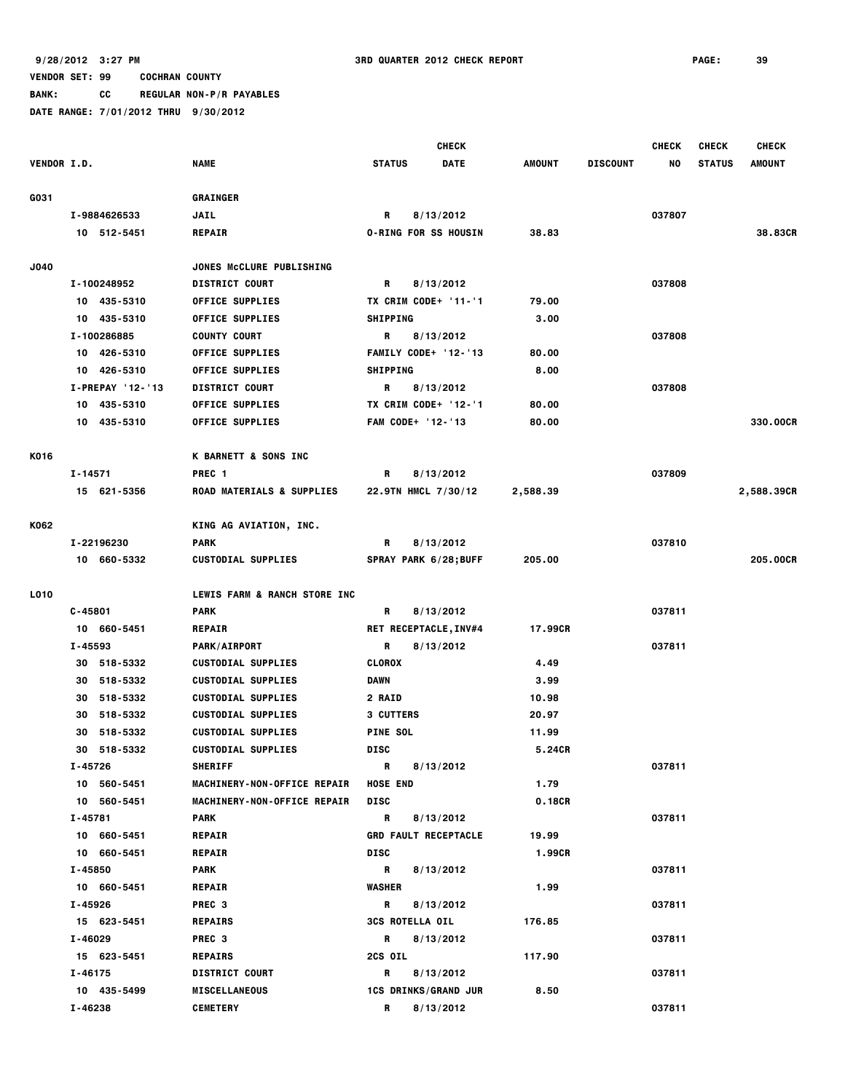**BANK: CC REGULAR NON-P/R PAYABLES**

|                    |                  |                                      | <b>CHECK</b>                 |               |                 | <b>CHECK</b> | <b>CHECK</b>  | <b>CHECK</b>  |
|--------------------|------------------|--------------------------------------|------------------------------|---------------|-----------------|--------------|---------------|---------------|
| <b>VENDOR I.D.</b> |                  | <b>NAME</b>                          | <b>STATUS</b><br><b>DATE</b> | <b>AMOUNT</b> | <b>DISCOUNT</b> | NO           | <b>STATUS</b> | <b>AMOUNT</b> |
| G031               |                  | <b>GRAINGER</b>                      |                              |               |                 |              |               |               |
|                    | I-9884626533     | <b>JAIL</b>                          | 8/13/2012<br>R               |               |                 | 037807       |               |               |
|                    | 10 512-5451      | <b>REPAIR</b>                        | <b>O-RING FOR SS HOUSIN</b>  | 38.83         |                 |              |               | 38.83CR       |
|                    |                  |                                      |                              |               |                 |              |               |               |
| J040               |                  | JONES MCCLURE PUBLISHING             |                              |               |                 |              |               |               |
|                    | I-100248952      | <b>DISTRICT COURT</b>                | 8/13/2012<br>R.              |               |                 | 037808       |               |               |
|                    | 10 435-5310      | <b>OFFICE SUPPLIES</b>               | TX CRIM CODE+ '11-'1         | 79.00         |                 |              |               |               |
|                    | 10 435-5310      | <b>OFFICE SUPPLIES</b>               | <b>SHIPPING</b>              | 3.00          |                 |              |               |               |
|                    | I-100286885      | <b>COUNTY COURT</b>                  | R<br>8/13/2012               |               |                 | 037808       |               |               |
|                    | 10 426-5310      | <b>OFFICE SUPPLIES</b>               | <b>FAMILY CODE+ '12-'13</b>  | 80.00         |                 |              |               |               |
|                    | 10 426-5310      | <b>OFFICE SUPPLIES</b>               | <b>SHIPPING</b>              | 8.00          |                 |              |               |               |
|                    | I-PREPAY '12-'13 | <b>DISTRICT COURT</b>                | R<br>8/13/2012               |               |                 | 037808       |               |               |
|                    | 10 435-5310      | <b>OFFICE SUPPLIES</b>               | TX CRIM CODE+ '12-'1         | 80.00         |                 |              |               |               |
|                    | 10 435-5310      | <b>OFFICE SUPPLIES</b>               | FAM CODE+ '12-'13            | 80.00         |                 |              |               | 330.00CR      |
| K016               |                  | K BARNETT & SONS INC                 |                              |               |                 |              |               |               |
|                    | $I - 14571$      | PREC <sub>1</sub>                    | R<br>8/13/2012               |               |                 | 037809       |               |               |
|                    | 15 621-5356      | <b>ROAD MATERIALS &amp; SUPPLIES</b> | 22.9TN HMCL 7/30/12          | 2,588.39      |                 |              |               | 2,588.39CR    |
|                    |                  |                                      |                              |               |                 |              |               |               |
| K062               |                  | KING AG AVIATION, INC.               |                              |               |                 |              |               |               |
|                    | I-22196230       | <b>PARK</b>                          | 8/13/2012<br>R               |               |                 | 037810       |               |               |
|                    | 10 660-5332      | <b>CUSTODIAL SUPPLIES</b>            | SPRAY PARK 6/28;BUFF         | 205.00        |                 |              |               | 205,00CR      |
| L010               |                  | LEWIS FARM & RANCH STORE INC         |                              |               |                 |              |               |               |
|                    | $C - 45801$      | <b>PARK</b>                          | R<br>8/13/2012               |               |                 | 037811       |               |               |
|                    |                  |                                      |                              | 17.99CR       |                 |              |               |               |
|                    | 10 660-5451      | <b>REPAIR</b>                        | RET RECEPTACLE, INV#4        |               |                 |              |               |               |
|                    | I-45593          | <b>PARK/AIRPORT</b>                  | R<br>8/13/2012               |               |                 | 037811       |               |               |
|                    | 30 518-5332      | <b>CUSTODIAL SUPPLIES</b>            | <b>CLOROX</b>                | 4.49          |                 |              |               |               |
|                    | 518-5332<br>30   | <b>CUSTODIAL SUPPLIES</b>            | <b>DAWN</b>                  | 3.99          |                 |              |               |               |
|                    | 518-5332<br>30   | <b>CUSTODIAL SUPPLIES</b>            | <b>2 RAID</b>                | 10.98         |                 |              |               |               |
|                    | 518-5332<br>30   | <b>CUSTODIAL SUPPLIES</b>            | 3 CUTTERS                    | 20.97         |                 |              |               |               |
|                    | 518-5332<br>30   | <b>CUSTODIAL SUPPLIES</b>            | <b>PINE SOL</b>              | 11.99         |                 |              |               |               |
|                    | 30<br>518-5332   | <b>CUSTODIAL SUPPLIES</b>            | <b>DISC</b>                  | 5.24CR        |                 |              |               |               |
|                    | I-45726          | <b>SHERIFF</b>                       | R<br>8/13/2012               |               |                 | 037811       |               |               |
|                    | 10 560-5451      | MACHINERY-NON-OFFICE REPAIR          | <b>HOSE END</b>              | 1.79          |                 |              |               |               |
|                    | 10 560-5451      | MACHINERY-NON-OFFICE REPAIR          | DISC                         | 0.18CR        |                 |              |               |               |
|                    | I-45781          | PARK                                 | R<br>8/13/2012               |               |                 | 037811       |               |               |
|                    | 10 660-5451      | <b>REPAIR</b>                        | <b>GRD FAULT RECEPTACLE</b>  | 19.99         |                 |              |               |               |
|                    | 10 660-5451      | <b>REPAIR</b>                        | DISC                         | 1.99CR        |                 |              |               |               |
|                    | I-45850          | PARK                                 | R<br>8/13/2012               |               |                 | 037811       |               |               |
|                    | 10 660-5451      | <b>REPAIR</b>                        | <b>WASHER</b>                | 1.99          |                 |              |               |               |
|                    | I-45926          | PREC <sub>3</sub>                    | R<br>8/13/2012               |               |                 | 037811       |               |               |
|                    | 15 623-5451      | <b>REPAIRS</b>                       | <b>3CS ROTELLA OIL</b>       | 176.85        |                 |              |               |               |
|                    | I-46029          | PREC <sub>3</sub>                    | R<br>8/13/2012               |               |                 | 037811       |               |               |
|                    | 15 623-5451      | <b>REPAIRS</b>                       | 2CS OIL                      | 117.90        |                 |              |               |               |
|                    | I-46175          | <b>DISTRICT COURT</b>                | R<br>8/13/2012               |               |                 | 037811       |               |               |
|                    | 10 435-5499      | <b>MISCELLANEOUS</b>                 | <b>1CS DRINKS/GRAND JUR</b>  | 8.50          |                 |              |               |               |
|                    | I-46238          | <b>CEMETERY</b>                      | R<br>8/13/2012               |               |                 | 037811       |               |               |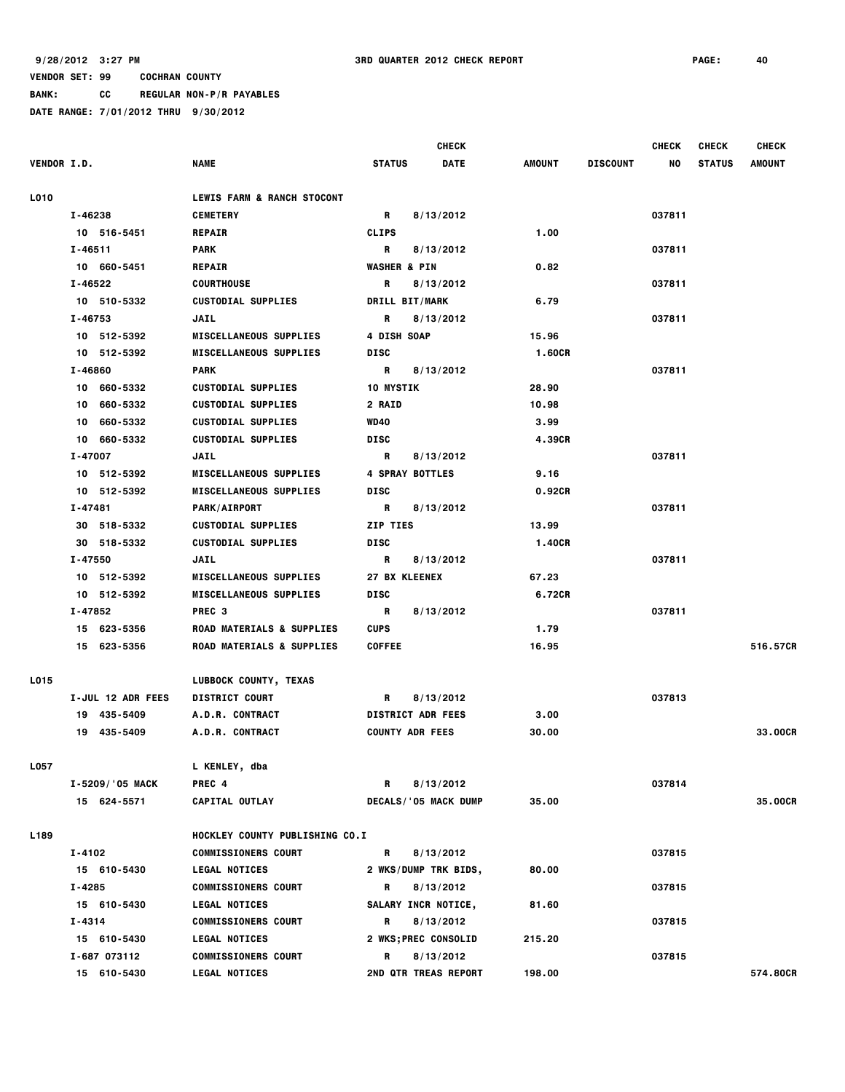**BANK: CC REGULAR NON-P/R PAYABLES**

|                    |                   |                                       |                             | <b>CHECK</b> |               |                 | <b>CHECK</b> | <b>CHECK</b>  | <b>CHECK</b> |
|--------------------|-------------------|---------------------------------------|-----------------------------|--------------|---------------|-----------------|--------------|---------------|--------------|
| <b>VENDOR I.D.</b> |                   | <b>NAME</b>                           | <b>STATUS</b>               | <b>DATE</b>  | <b>AMOUNT</b> | <b>DISCOUNT</b> | NO           | <b>STATUS</b> | AMOUNT       |
| L010               |                   | <b>LEWIS FARM &amp; RANCH STOCONT</b> |                             |              |               |                 |              |               |              |
|                    | I-46238           | <b>CEMETERY</b>                       | R                           | 8/13/2012    |               |                 | 037811       |               |              |
|                    | 10 516-5451       | <b>REPAIR</b>                         | <b>CLIPS</b>                |              | 1.00          |                 |              |               |              |
|                    | I-46511           | PARK                                  | R                           | 8/13/2012    |               |                 | 037811       |               |              |
|                    | 10 660-5451       | <b>REPAIR</b>                         | <b>WASHER &amp; PIN</b>     |              | 0.82          |                 |              |               |              |
|                    | I-46522           | <b>COURTHOUSE</b>                     | R                           | 8/13/2012    |               |                 | 037811       |               |              |
|                    | 10 510-5332       | <b>CUSTODIAL SUPPLIES</b>             | DRILL BIT/MARK              |              | 6.79          |                 |              |               |              |
|                    | I-46753           | JAIL                                  | R                           | 8/13/2012    |               |                 | 037811       |               |              |
|                    | 10 512-5392       | <b>MISCELLANEOUS SUPPLIES</b>         | 4 DISH SOAP                 |              | 15.96         |                 |              |               |              |
|                    | 10 512-5392       | <b>MISCELLANEOUS SUPPLIES</b>         | <b>DISC</b>                 |              | 1.60CR        |                 |              |               |              |
|                    | I-46860           | <b>PARK</b>                           | R                           | 8/13/2012    |               |                 | 037811       |               |              |
|                    | 10 660-5332       | <b>CUSTODIAL SUPPLIES</b>             | <b>10 MYSTIK</b>            |              | 28.90         |                 |              |               |              |
|                    | 10 660-5332       | <b>CUSTODIAL SUPPLIES</b>             | 2 RAID                      |              | 10.98         |                 |              |               |              |
|                    | 10 660-5332       | <b>CUSTODIAL SUPPLIES</b>             | <b>WD40</b>                 |              | 3.99          |                 |              |               |              |
|                    | 10 660-5332       | <b>CUSTODIAL SUPPLIES</b>             | <b>DISC</b>                 |              | 4.39CR        |                 |              |               |              |
|                    | I-47007           | <b>JAIL</b>                           | R                           | 8/13/2012    |               |                 | 037811       |               |              |
|                    | 10 512-5392       | <b>MISCELLANEOUS SUPPLIES</b>         | <b>4 SPRAY BOTTLES</b>      |              | 9.16          |                 |              |               |              |
|                    | 10 512-5392       | <b>MISCELLANEOUS SUPPLIES</b>         | <b>DISC</b>                 |              | 0.92CR        |                 |              |               |              |
|                    | I-47481           | PARK/AIRPORT                          | R                           | 8/13/2012    |               |                 | 037811       |               |              |
|                    | 30 518-5332       | <b>CUSTODIAL SUPPLIES</b>             | ZIP TIES                    |              | 13.99         |                 |              |               |              |
|                    | 30 518-5332       | <b>CUSTODIAL SUPPLIES</b>             | <b>DISC</b>                 |              | 1.40CR        |                 |              |               |              |
|                    | I-47550           | <b>JAIL</b>                           | R                           | 8/13/2012    |               |                 | 037811       |               |              |
|                    | 10 512-5392       | <b>MISCELLANEOUS SUPPLIES</b>         | <b>27 BX KLEENEX</b>        |              | 67.23         |                 |              |               |              |
|                    | 10 512-5392       | <b>MISCELLANEOUS SUPPLIES</b>         | <b>DISC</b>                 |              | 6.72CR        |                 |              |               |              |
|                    | I-47852           | PREC <sub>3</sub>                     | R                           | 8/13/2012    |               |                 | 037811       |               |              |
|                    | 15 623-5356       | <b>ROAD MATERIALS &amp; SUPPLIES</b>  | <b>CUPS</b>                 |              | 1.79          |                 |              |               |              |
|                    | 15 623-5356       | <b>ROAD MATERIALS &amp; SUPPLIES</b>  | <b>COFFEE</b>               |              | 16.95         |                 |              |               | 516.57CR     |
| L015               |                   | LUBBOCK COUNTY, TEXAS                 |                             |              |               |                 |              |               |              |
|                    | I-JUL 12 ADR FEES | <b>DISTRICT COURT</b>                 | R                           | 8/13/2012    |               |                 | 037813       |               |              |
|                    | 19 435-5409       | A.D.R. CONTRACT                       | <b>DISTRICT ADR FEES</b>    |              | 3.00          |                 |              |               |              |
|                    | 19 435-5409       | A.D.R. CONTRACT                       | <b>COUNTY ADR FEES</b>      |              | 30.00         |                 |              |               | 33,00CR      |
| L057               |                   | L KENLEY, dba                         |                             |              |               |                 |              |               |              |
|                    | I-5209/'05 MACK   | PREC 4                                | R                           | 8/13/2012    |               |                 | 037814       |               |              |
|                    | 15 624-5571       | <b>CAPITAL OUTLAY</b>                 | DECALS/'05 MACK DUMP        |              | 35.00         |                 |              |               | 35.00CR      |
| L189               |                   | HOCKLEY COUNTY PUBLISHING CO.I        |                             |              |               |                 |              |               |              |
|                    | I-4102            | <b>COMMISSIONERS COURT</b>            | R                           | 8/13/2012    |               |                 | 037815       |               |              |
|                    | 15 610-5430       | <b>LEGAL NOTICES</b>                  | 2 WKS/DUMP TRK BIDS,        |              | 80.00         |                 |              |               |              |
|                    | I-4285            | <b>COMMISSIONERS COURT</b>            | R                           | 8/13/2012    |               |                 | 037815       |               |              |
|                    | 15 610-5430       | <b>LEGAL NOTICES</b>                  | SALARY INCR NOTICE,         |              | 81.60         |                 |              |               |              |
|                    | I-4314            | <b>COMMISSIONERS COURT</b>            | R                           | 8/13/2012    |               |                 | 037815       |               |              |
|                    | 15 610-5430       | <b>LEGAL NOTICES</b>                  | <b>2 WKS;PREC CONSOLID</b>  |              | 215.20        |                 |              |               |              |
|                    | I-687 073112      | <b>COMMISSIONERS COURT</b>            | R                           | 8/13/2012    |               |                 | 037815       |               |              |
|                    | 15 610-5430       | <b>LEGAL NOTICES</b>                  | <b>2ND QTR TREAS REPORT</b> |              | 198.00        |                 |              |               | 574.80CR     |
|                    |                   |                                       |                             |              |               |                 |              |               |              |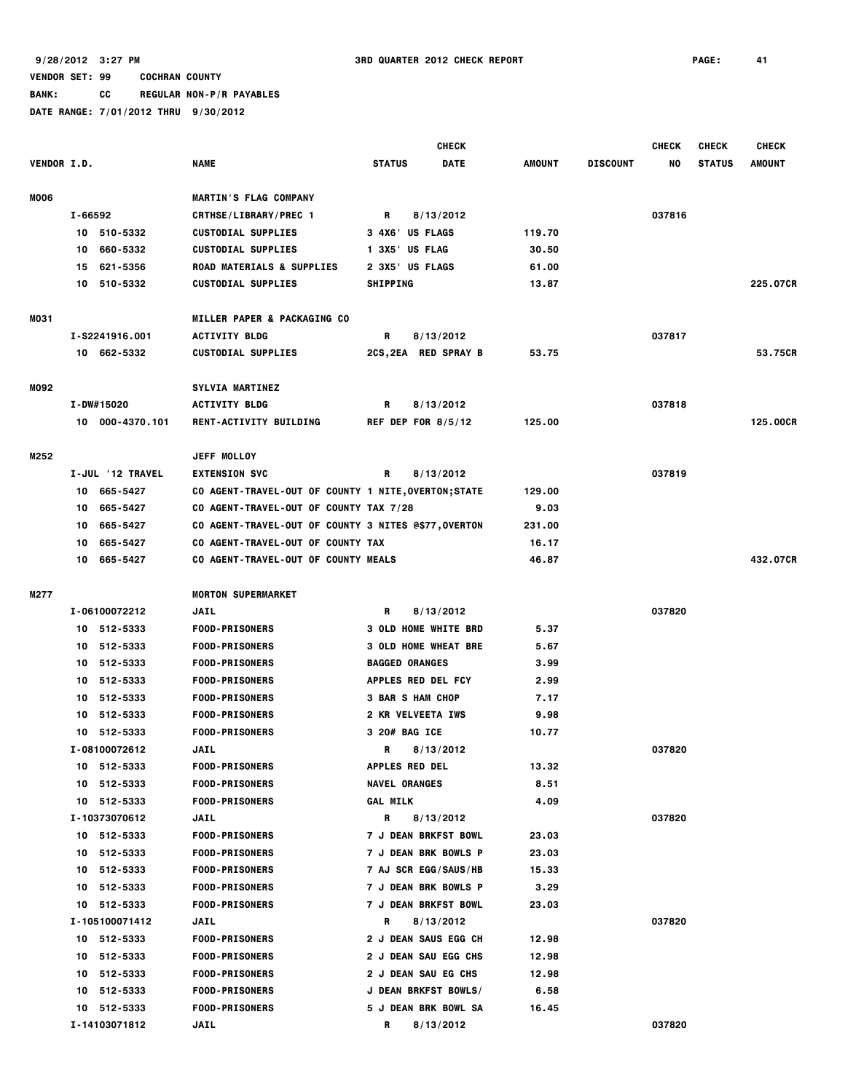**BANK: CC REGULAR NON-P/R PAYABLES**

|                    |                  |                                                      | <b>CHECK</b>                 |               |                 | <b>CHECK</b> | <b>CHECK</b>  | <b>CHECK</b> |
|--------------------|------------------|------------------------------------------------------|------------------------------|---------------|-----------------|--------------|---------------|--------------|
| <b>VENDOR I.D.</b> |                  | <b>NAME</b>                                          | <b>STATUS</b><br><b>DATE</b> | <b>AMOUNT</b> | <b>DISCOUNT</b> | NO           | <b>STATUS</b> | AMOUNT       |
| <b>MOO6</b>        |                  | <b>MARTIN'S FLAG COMPANY</b>                         |                              |               |                 |              |               |              |
|                    | I-66592          | <b>CRTHSE/LIBRARY/PREC 1</b>                         | R<br>8/13/2012               |               |                 | 037816       |               |              |
|                    | 10 510-5332      | <b>CUSTODIAL SUPPLIES</b>                            | 3 4X6' US FLAGS              | 119.70        |                 |              |               |              |
|                    | 660-5332<br>10   | <b>CUSTODIAL SUPPLIES</b>                            | 1 3X5' US FLAG               | 30.50         |                 |              |               |              |
|                    | 15 621-5356      | ROAD MATERIALS & SUPPLIES                            | 2 3X5 US FLAGS               | 61.00         |                 |              |               |              |
|                    | 10 510-5332      | <b>CUSTODIAL SUPPLIES</b>                            | <b>SHIPPING</b>              | 13.87         |                 |              |               | 225.07CR     |
| MO31               |                  | MILLER PAPER & PACKAGING CO                          |                              |               |                 |              |               |              |
|                    | I-S2241916.001   | <b>ACTIVITY BLDG</b>                                 | 8/13/2012<br>R               |               |                 | 037817       |               |              |
|                    | 10 662-5332      | <b>CUSTODIAL SUPPLIES</b>                            | 2CS, 2EA RED SPRAY B         | 53.75         |                 |              |               | 53.75CR      |
| M092               |                  | <b>SYLVIA MARTINEZ</b>                               |                              |               |                 |              |               |              |
|                    | I-DW#15020       | <b>ACTIVITY BLDG</b>                                 | R<br>8/13/2012               |               |                 | 037818       |               |              |
|                    | 10 000-4370.101  | RENT-ACTIVITY BUILDING                               | REF DEP FOR $8/5/12$         | 125.00        |                 |              |               | 125.00CR     |
| M252               |                  | JEFF MOLLOY                                          |                              |               |                 |              |               |              |
|                    | I-JUL '12 TRAVEL | <b>EXTENSION SVC</b>                                 | R<br>8/13/2012               |               |                 | 037819       |               |              |
|                    | 10 665-5427      | CO AGENT-TRAVEL-OUT OF COUNTY 1 NITE, OVERTON; STATE |                              | 129.00        |                 |              |               |              |
|                    | 665-5427<br>10   | CO AGENT-TRAVEL-OUT OF COUNTY TAX 7/28               |                              | 9.03          |                 |              |               |              |
|                    | 665-5427<br>10   | CO AGENT-TRAVEL-OUT OF COUNTY 3 NITES @\$77,OVERTON  |                              | 231.00        |                 |              |               |              |
|                    | 665-5427<br>10   | CO AGENT-TRAVEL-OUT OF COUNTY TAX                    |                              | 16.17         |                 |              |               |              |
|                    | 10 665-5427      | CO AGENT-TRAVEL-OUT OF COUNTY MEALS                  |                              | 46.87         |                 |              |               | 432.07CR     |
| M277               |                  | <b>MORTON SUPERMARKET</b>                            |                              |               |                 |              |               |              |
|                    | I-06100072212    | <b>JAIL</b>                                          | R<br>8/13/2012               |               |                 | 037820       |               |              |
|                    | 10 512-5333      | <b>FOOD-PRISONERS</b>                                | <b>3 OLD HOME WHITE BRD</b>  | 5.37          |                 |              |               |              |
|                    | 10 512-5333      | <b>FOOD-PRISONERS</b>                                | <b>3 OLD HOME WHEAT BRE</b>  | 5.67          |                 |              |               |              |
|                    | 512-5333<br>10   | <b>FOOD-PRISONERS</b>                                | <b>BAGGED ORANGES</b>        | 3.99          |                 |              |               |              |
|                    | 512-5333<br>10   | <b>FOOD-PRISONERS</b>                                | APPLES RED DEL FCY           | 2.99          |                 |              |               |              |
|                    | 10 512-5333      | <b>FOOD-PRISONERS</b>                                | <b>3 BAR S HAM CHOP</b>      | 7.17          |                 |              |               |              |
|                    | 512-5333<br>10   | <b>FOOD-PRISONERS</b>                                | 2 KR VELVEETA IWS            | 9.98          |                 |              |               |              |
|                    | 10 512-5333      | <b>FOOD-PRISONERS</b>                                | 3 20# BAG ICE                | 10.77         |                 |              |               |              |
|                    | I-08100072612    | <b>JAIL</b>                                          | R<br>8/13/2012               |               |                 | 037820       |               |              |
|                    | 10 512-5333      | <b>FOOD-PRISONERS</b>                                | <b>APPLES RED DEL</b>        | 13.32         |                 |              |               |              |
|                    | 10 512-5333      | <b>FOOD-PRISONERS</b>                                | <b>NAVEL ORANGES</b>         | 8.51          |                 |              |               |              |
|                    | 10 512-5333      | <b>FOOD-PRISONERS</b>                                | <b>GAL MILK</b>              | 4.09          |                 |              |               |              |
|                    | I-10373070612    | JAIL                                                 | R<br>8/13/2012               |               |                 | 037820       |               |              |
|                    | 10 512-5333      | <b>FOOD-PRISONERS</b>                                | <b>7 J DEAN BRKFST BOWL</b>  | 23.03         |                 |              |               |              |
|                    | 10 512-5333      | <b>FOOD-PRISONERS</b>                                | <b>7 J DEAN BRK BOWLS P</b>  | 23.03         |                 |              |               |              |
|                    | 10 512-5333      | <b>FOOD-PRISONERS</b>                                | 7 AJ SCR EGG/SAUS/HB         | 15.33         |                 |              |               |              |
|                    | 10 512-5333      | <b>FOOD-PRISONERS</b>                                | 7 J DEAN BRK BOWLS P         | 3.29          |                 |              |               |              |
|                    | 10 512-5333      | <b>FOOD-PRISONERS</b>                                | <b>7 J DEAN BRKFST BOWL</b>  | 23.03         |                 |              |               |              |
|                    | I-105100071412   | JAIL                                                 | 8/13/2012<br>R               |               |                 | 037820       |               |              |
|                    | 10 512-5333      | <b>FOOD-PRISONERS</b>                                | 2 J DEAN SAUS EGG CH         | 12.98         |                 |              |               |              |
|                    | 10 512-5333      | <b>FOOD-PRISONERS</b>                                | 2 J DEAN SAU EGG CHS         | 12.98         |                 |              |               |              |
|                    | 10 512-5333      | <b>FOOD-PRISONERS</b>                                | 2 J DEAN SAU EG CHS          | 12.98         |                 |              |               |              |
|                    | 10 512-5333      | <b>FOOD-PRISONERS</b>                                | J DEAN BRKFST BOWLS/         | 6.58          |                 |              |               |              |
|                    | 10 512-5333      | <b>FOOD-PRISONERS</b>                                | <b>5 J DEAN BRK BOWL SA</b>  | 16.45         |                 |              |               |              |
|                    | I-14103071812    | JAIL                                                 | R<br>8/13/2012               |               |                 | 037820       |               |              |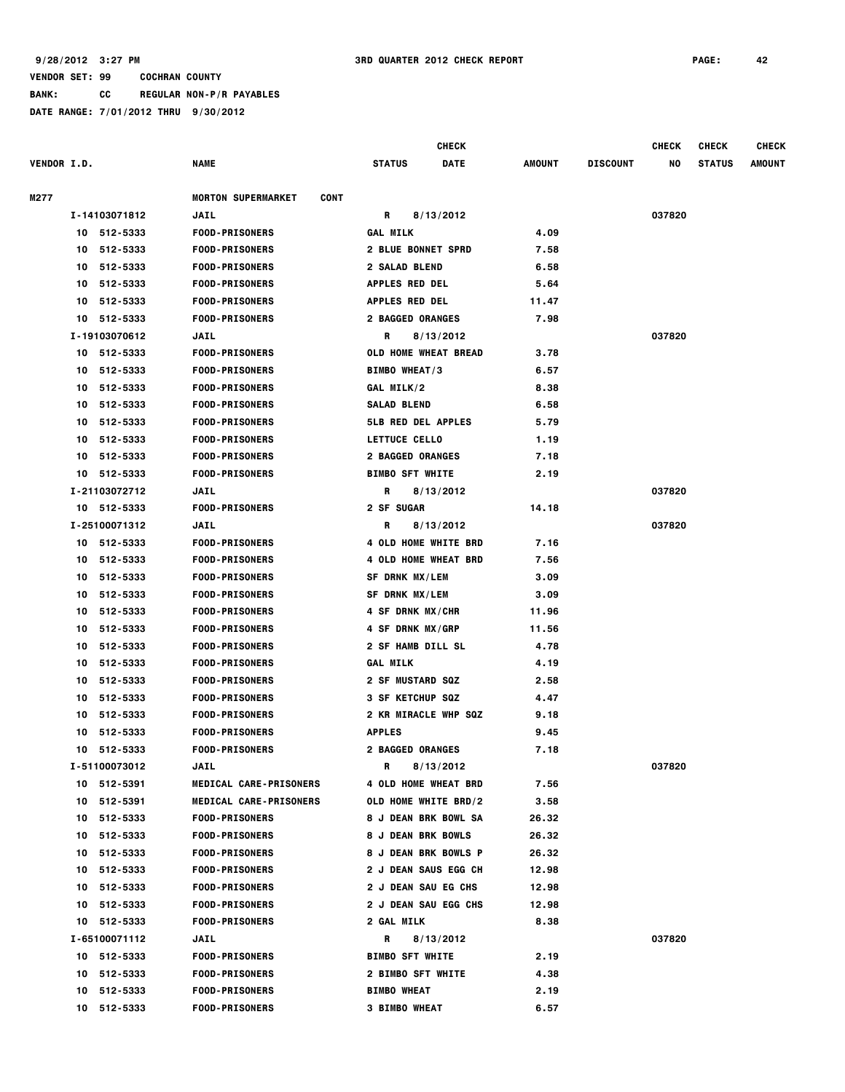**BANK: CC REGULAR NON-P/R PAYABLES**

|                    |    |               |                                          |                           | <b>CHECK</b>                |        |                 | <b>CHECK</b> | <b>CHECK</b>  | <b>CHECK</b> |
|--------------------|----|---------------|------------------------------------------|---------------------------|-----------------------------|--------|-----------------|--------------|---------------|--------------|
| <b>VENDOR I.D.</b> |    |               | <b>NAME</b>                              | <b>STATUS</b>             | <b>DATE</b>                 | AMOUNT | <b>DISCOUNT</b> | NO           | <b>STATUS</b> | AMOUNT       |
| M277               |    |               | <b>MORTON SUPERMARKET</b><br><b>CONT</b> |                           |                             |        |                 |              |               |              |
|                    |    | I-14103071812 | <b>JAIL</b>                              | R                         | 8/13/2012                   |        |                 | 037820       |               |              |
|                    |    | 10 512-5333   | <b>FOOD-PRISONERS</b>                    | <b>GAL MILK</b>           |                             | 4.09   |                 |              |               |              |
|                    | 10 | 512-5333      | <b>FOOD-PRISONERS</b>                    | <b>2 BLUE BONNET SPRD</b> |                             | 7.58   |                 |              |               |              |
|                    | 10 | 512-5333      | <b>FOOD-PRISONERS</b>                    | <b>2 SALAD BLEND</b>      |                             | 6.58   |                 |              |               |              |
|                    | 10 | 512-5333      | <b>FOOD-PRISONERS</b>                    | <b>APPLES RED DEL</b>     |                             | 5.64   |                 |              |               |              |
|                    | 10 | 512-5333      | <b>FOOD-PRISONERS</b>                    | <b>APPLES RED DEL</b>     |                             | 11.47  |                 |              |               |              |
|                    | 10 | 512-5333      | <b>FOOD-PRISONERS</b>                    | <b>2 BAGGED ORANGES</b>   |                             | 7.98   |                 |              |               |              |
|                    |    | I-19103070612 | <b>JAIL</b>                              | R                         | 8/13/2012                   |        |                 | 037820       |               |              |
|                    | 10 | 512-5333      | <b>FOOD-PRISONERS</b>                    | OLD HOME WHEAT BREAD      |                             | 3.78   |                 |              |               |              |
|                    | 10 | 512-5333      | <b>FOOD-PRISONERS</b>                    | <b>BIMBO WHEAT/3</b>      |                             | 6.57   |                 |              |               |              |
|                    |    | 10 512-5333   | <b>FOOD-PRISONERS</b>                    | GAL MILK/2                |                             | 8.38   |                 |              |               |              |
|                    | 10 | 512-5333      | <b>FOOD-PRISONERS</b>                    | <b>SALAD BLEND</b>        |                             | 6.58   |                 |              |               |              |
|                    | 10 | 512-5333      | <b>FOOD-PRISONERS</b>                    | <b>5LB RED DEL APPLES</b> |                             | 5.79   |                 |              |               |              |
|                    | 10 | 512-5333      | <b>FOOD-PRISONERS</b>                    | LETTUCE CELLO             |                             | 1.19   |                 |              |               |              |
|                    | 10 | 512-5333      | <b>FOOD-PRISONERS</b>                    | <b>2 BAGGED ORANGES</b>   |                             | 7.18   |                 |              |               |              |
|                    |    | 10 512-5333   | <b>FOOD-PRISONERS</b>                    | <b>BIMBO SFT WHITE</b>    |                             | 2.19   |                 |              |               |              |
|                    |    | I-21103072712 | <b>JAIL</b>                              | R                         | 8/13/2012                   |        |                 | 037820       |               |              |
|                    |    | 10 512-5333   | <b>FOOD-PRISONERS</b>                    | 2 SF SUGAR                |                             | 14.18  |                 |              |               |              |
|                    |    | I-25100071312 | <b>JAIL</b>                              | R                         | 8/13/2012                   |        |                 | 037820       |               |              |
|                    |    | 10 512-5333   | <b>FOOD-PRISONERS</b>                    | 4 OLD HOME WHITE BRD      |                             | 7.16   |                 |              |               |              |
|                    | 10 | 512-5333      | <b>FOOD-PRISONERS</b>                    | 4 OLD HOME WHEAT BRD      |                             | 7.56   |                 |              |               |              |
|                    | 10 | 512-5333      | <b>FOOD-PRISONERS</b>                    | SF DRNK MX/LEM            |                             | 3.09   |                 |              |               |              |
|                    | 10 | 512-5333      | <b>FOOD-PRISONERS</b>                    | SF DRNK MX/LEM            |                             | 3.09   |                 |              |               |              |
|                    | 10 | 512-5333      | <b>FOOD-PRISONERS</b>                    | 4 SF DRNK MX/CHR          |                             | 11.96  |                 |              |               |              |
|                    | 10 | 512-5333      | <b>FOOD-PRISONERS</b>                    | 4 SF DRNK MX/GRP          |                             | 11.56  |                 |              |               |              |
|                    | 10 | 512-5333      | <b>FOOD-PRISONERS</b>                    | 2 SF HAMB DILL SL         |                             | 4.78   |                 |              |               |              |
|                    | 10 | 512-5333      | <b>FOOD-PRISONERS</b>                    | <b>GAL MILK</b>           |                             | 4.19   |                 |              |               |              |
|                    | 10 | 512-5333      | <b>FOOD-PRISONERS</b>                    | <b>2 SF MUSTARD SQZ</b>   |                             | 2.58   |                 |              |               |              |
|                    | 10 | 512-5333      | <b>FOOD-PRISONERS</b>                    | 3 SF KETCHUP SQZ          |                             | 4.47   |                 |              |               |              |
|                    | 10 | 512-5333      | <b>FOOD-PRISONERS</b>                    | 2 KR MIRACLE WHP SQZ      |                             | 9.18   |                 |              |               |              |
|                    | 10 | 512-5333      | <b>FOOD-PRISONERS</b>                    | <b>APPLES</b>             |                             | 9.45   |                 |              |               |              |
|                    |    | 10 512-5333   | <b>FOOD-PRISONERS</b>                    | <b>2 BAGGED ORANGES</b>   |                             | 7.18   |                 |              |               |              |
|                    |    | I-51100073012 | JAIL                                     | R                         | 8/13/2012                   |        |                 | 037820       |               |              |
|                    |    | 10 512-5391   | <b>MEDICAL CARE-PRISONERS</b>            | 4 OLD HOME WHEAT BRD      |                             | 7.56   |                 |              |               |              |
|                    |    | 10 512-5391   | <b>MEDICAL CARE-PRISONERS</b>            |                           | OLD HOME WHITE BRD/2        | 3.58   |                 |              |               |              |
|                    |    | 10 512-5333   | <b>FOOD-PRISONERS</b>                    |                           | <b>8 J DEAN BRK BOWL SA</b> | 26.32  |                 |              |               |              |
|                    |    | 10 512-5333   | <b>FOOD-PRISONERS</b>                    | <b>8 J DEAN BRK BOWLS</b> |                             | 26.32  |                 |              |               |              |
|                    |    | 10 512-5333   | <b>FOOD-PRISONERS</b>                    | 8 J DEAN BRK BOWLS P      |                             | 26.32  |                 |              |               |              |
|                    | 10 | 512-5333      | <b>FOOD-PRISONERS</b>                    | 2 J DEAN SAUS EGG CH      |                             | 12.98  |                 |              |               |              |
|                    | 10 | 512-5333      | <b>FOOD-PRISONERS</b>                    | 2 J DEAN SAU EG CHS       |                             | 12.98  |                 |              |               |              |
|                    |    | 10 512-5333   | <b>FOOD-PRISONERS</b>                    | 2 J DEAN SAU EGG CHS      |                             | 12.98  |                 |              |               |              |
|                    |    | 10 512-5333   | <b>FOOD-PRISONERS</b>                    | <b>2 GAL MILK</b>         |                             | 8.38   |                 |              |               |              |
|                    |    | I-65100071112 | JAIL                                     | R                         | 8/13/2012                   |        |                 | 037820       |               |              |
|                    |    | 10 512-5333   | <b>FOOD-PRISONERS</b>                    | <b>BIMBO SFT WHITE</b>    |                             | 2.19   |                 |              |               |              |
|                    |    | 10 512-5333   | <b>FOOD-PRISONERS</b>                    | 2 BIMBO SFT WHITE         |                             | 4.38   |                 |              |               |              |
|                    | 10 | 512-5333      | <b>FOOD-PRISONERS</b>                    | <b>BIMBO WHEAT</b>        |                             | 2.19   |                 |              |               |              |
|                    |    | 10 512-5333   | <b>FOOD-PRISONERS</b>                    | <b>3 BIMBO WHEAT</b>      |                             | 6.57   |                 |              |               |              |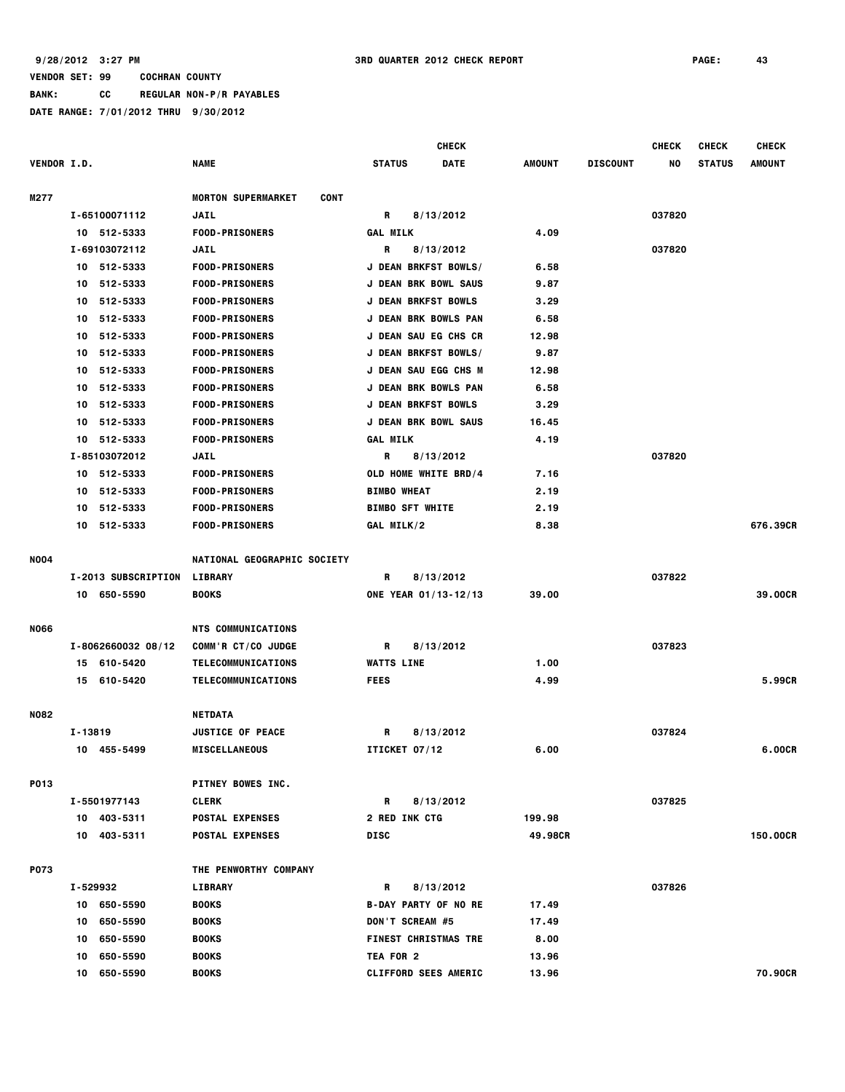**BANK: CC REGULAR NON-P/R PAYABLES**

|                    |          |                     |                                          |                        | CHECK                       |         |                 | <b>CHECK</b> | <b>CHECK</b>  | <b>CHECK</b>    |
|--------------------|----------|---------------------|------------------------------------------|------------------------|-----------------------------|---------|-----------------|--------------|---------------|-----------------|
| <b>VENDOR I.D.</b> |          |                     | <b>NAME</b>                              | <b>STATUS</b>          | <b>DATE</b>                 | AMOUNT  | <b>DISCOUNT</b> | NO           | <b>STATUS</b> | <b>AMOUNT</b>   |
| M277               |          |                     | <b>MORTON SUPERMARKET</b><br><b>CONT</b> |                        |                             |         |                 |              |               |                 |
|                    |          | I-65100071112       | <b>JAIL</b>                              | R                      | 8/13/2012                   |         |                 | 037820       |               |                 |
|                    |          | 10 512-5333         | <b>FOOD-PRISONERS</b>                    | <b>GAL MILK</b>        |                             | 4.09    |                 |              |               |                 |
|                    |          | I-69103072112       | <b>JAIL</b>                              | R                      | 8/13/2012                   |         |                 | 037820       |               |                 |
|                    |          | 10 512-5333         | <b>FOOD-PRISONERS</b>                    |                        | J DEAN BRKFST BOWLS/        | 6.58    |                 |              |               |                 |
|                    | 10       | 512-5333            | <b>FOOD-PRISONERS</b>                    |                        | J DEAN BRK BOWL SAUS        | 9.87    |                 |              |               |                 |
|                    | 10       | 512-5333            | <b>FOOD-PRISONERS</b>                    |                        | <b>J DEAN BRKFST BOWLS</b>  | 3.29    |                 |              |               |                 |
|                    | 10       | 512-5333            | <b>FOOD-PRISONERS</b>                    |                        | J DEAN BRK BOWLS PAN        | 6.58    |                 |              |               |                 |
|                    | 10       | 512-5333            | <b>FOOD-PRISONERS</b>                    |                        | <b>J DEAN SAU EG CHS CR</b> | 12.98   |                 |              |               |                 |
|                    | 10       | 512-5333            | <b>FOOD-PRISONERS</b>                    |                        | <b>J DEAN BRKFST BOWLS/</b> | 9.87    |                 |              |               |                 |
|                    | 10       | 512-5333            | <b>FOOD-PRISONERS</b>                    |                        | <b>J DEAN SAU EGG CHS M</b> | 12.98   |                 |              |               |                 |
|                    | 10       | 512-5333            | <b>FOOD-PRISONERS</b>                    |                        | <b>J DEAN BRK BOWLS PAN</b> | 6.58    |                 |              |               |                 |
|                    | 10       | 512-5333            | <b>FOOD-PRISONERS</b>                    |                        | J DEAN BRKFST BOWLS         | 3.29    |                 |              |               |                 |
|                    | 10       | 512-5333            | <b>FOOD-PRISONERS</b>                    |                        | J DEAN BRK BOWL SAUS        | 16.45   |                 |              |               |                 |
|                    | 10       | 512-5333            | <b>FOOD-PRISONERS</b>                    | <b>GAL MILK</b>        |                             | 4.19    |                 |              |               |                 |
|                    |          | I-85103072012       | <b>JAIL</b>                              | R                      | 8/13/2012                   |         |                 | 037820       |               |                 |
|                    |          | 10 512-5333         | <b>FOOD-PRISONERS</b>                    |                        | OLD HOME WHITE BRD/4        | 7.16    |                 |              |               |                 |
|                    | 10       | 512-5333            | <b>FOOD-PRISONERS</b>                    | <b>BIMBO WHEAT</b>     |                             | 2.19    |                 |              |               |                 |
|                    | 10       | 512-5333            | <b>FOOD-PRISONERS</b>                    | <b>BIMBO SFT WHITE</b> |                             | 2.19    |                 |              |               |                 |
|                    |          | 10 512-5333         | <b>FOOD-PRISONERS</b>                    | GAL MILK/2             |                             | 8.38    |                 |              |               | 676.39CR        |
| <b>NO04</b>        |          |                     | <b>NATIONAL GEOGRAPHIC SOCIETY</b>       |                        |                             |         |                 |              |               |                 |
|                    |          | I-2013 SUBSCRIPTION | LIBRARY                                  | R                      | 8/13/2012                   |         |                 | 037822       |               |                 |
|                    |          | 10 650-5590         | <b>BOOKS</b>                             |                        | ONE YEAR 01/13-12/13        | 39.00   |                 |              |               | 39.00CR         |
| <b>NO66</b>        |          |                     | <b>NTS COMMUNICATIONS</b>                |                        |                             |         |                 |              |               |                 |
|                    |          | I-8062660032 08/12  | COMM'R CT/CO JUDGE                       | R                      | 8/13/2012                   |         |                 | 037823       |               |                 |
|                    |          | 15 610-5420         | TELECOMMUNICATIONS                       | <b>WATTS LINE</b>      |                             | 1.00    |                 |              |               |                 |
|                    |          | 15 610-5420         | TELECOMMUNICATIONS                       | <b>FEES</b>            |                             | 4.99    |                 |              |               | 5.99CR          |
| <b>N082</b>        |          |                     | <b>NETDATA</b>                           |                        |                             |         |                 |              |               |                 |
|                    | I-13819  |                     | <b>JUSTICE OF PEACE</b>                  | R                      | 8/13/2012                   |         |                 | 037824       |               |                 |
|                    |          | 10 455-5499         | <b>MISCELLANEOUS</b>                     | ITICKET 07/12          |                             | 6.00    |                 |              |               | 6.00CR          |
|                    |          |                     |                                          |                        |                             |         |                 |              |               |                 |
| P013               |          |                     | <b>PITNEY BOWES INC.</b>                 |                        |                             |         |                 |              |               |                 |
|                    |          | I-5501977143        | <b>CLERK</b>                             | R                      | 8/13/2012                   |         |                 | 037825       |               |                 |
|                    |          | 10 403-5311         | <b>POSTAL EXPENSES</b>                   | <b>2 RED INK CTG</b>   |                             | 199.98  |                 |              |               |                 |
|                    |          | 10 403-5311         | <b>POSTAL EXPENSES</b>                   | <b>DISC</b>            |                             | 49.98CR |                 |              |               | <b>150,00CR</b> |
| P073               |          |                     | THE PENWORTHY COMPANY                    |                        |                             |         |                 |              |               |                 |
|                    | I-529932 |                     | <b>LIBRARY</b>                           | R                      | 8/13/2012                   |         |                 | 037826       |               |                 |
|                    |          | 10 650-5590         | <b>BOOKS</b>                             |                        | <b>B-DAY PARTY OF NO RE</b> | 17.49   |                 |              |               |                 |
|                    |          | 10 650-5590         | <b>BOOKS</b>                             | DON'T SCREAM #5        |                             | 17.49   |                 |              |               |                 |
|                    |          | 10 650-5590         | <b>BOOKS</b>                             |                        | <b>FINEST CHRISTMAS TRE</b> | 8.00    |                 |              |               |                 |
|                    |          | 10 650-5590         | <b>BOOKS</b>                             | TEA FOR 2              |                             | 13.96   |                 |              |               |                 |
|                    |          | 10 650-5590         | <b>BOOKS</b>                             |                        | <b>CLIFFORD SEES AMERIC</b> | 13.96   |                 |              |               | 70.90CR         |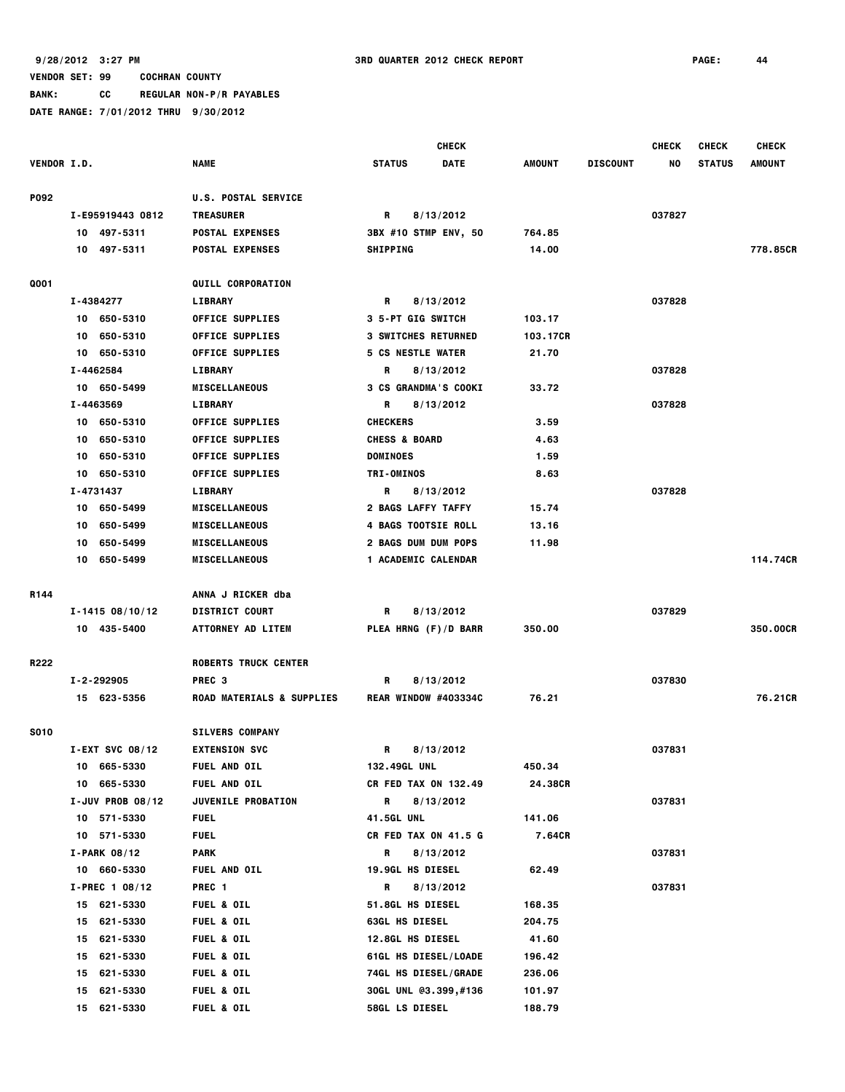**VENDOR SET: 99 COCHRAN COUNTY BANK: CC REGULAR NON-P/R PAYABLES DATE RANGE: 7/01/2012 THRU 9/30/2012**

|                    |                                    |                                                  |                                                                                                                                                                                                                                | <b>CHECK</b> |               |                 | <b>CHECK</b> | <b>CHECK</b>  | <b>CHECK</b>  |
|--------------------|------------------------------------|--------------------------------------------------|--------------------------------------------------------------------------------------------------------------------------------------------------------------------------------------------------------------------------------|--------------|---------------|-----------------|--------------|---------------|---------------|
| <b>VENDOR I.D.</b> |                                    | <b>NAME</b>                                      | <b>STATUS</b>                                                                                                                                                                                                                  | <b>DATE</b>  | <b>AMOUNT</b> | <b>DISCOUNT</b> | NO           | <b>STATUS</b> | <b>AMOUNT</b> |
| <b>P092</b>        |                                    | <b>U.S. POSTAL SERVICE</b>                       |                                                                                                                                                                                                                                |              |               |                 |              |               |               |
|                    | I-E95919443 0812                   | <b>TREASURER</b>                                 | R and the set of the set of the set of the set of the set of the set of the set of the set of the set of the set of the set of the set of the set of the set of the set of the set of the set of the set of the set of the set | 8/13/2012    |               |                 | 037827       |               |               |
|                    | 10 497-5311                        | <b>POSTAL EXPENSES</b>                           | 3BX #10 STMP ENV, 50                                                                                                                                                                                                           |              | 764.85        |                 |              |               |               |
|                    | 10 497-5311                        | <b>POSTAL EXPENSES</b>                           | <b>SHIPPING</b>                                                                                                                                                                                                                |              | 14.00         |                 |              |               | 778.85CR      |
| Q001               |                                    | <b>QUILL CORPORATION</b>                         |                                                                                                                                                                                                                                |              |               |                 |              |               |               |
|                    | I-4384277                          | <b>LIBRARY</b>                                   | R                                                                                                                                                                                                                              | 8/13/2012    |               |                 | 037828       |               |               |
|                    | 10 650-5310                        | <b>OFFICE SUPPLIES</b>                           | 3 5-PT GIG SWITCH                                                                                                                                                                                                              |              | 103.17        |                 |              |               |               |
|                    | 10 650-5310                        | <b>OFFICE SUPPLIES</b>                           | <b>3 SWITCHES RETURNED</b>                                                                                                                                                                                                     |              | 103.17CR      |                 |              |               |               |
|                    | 10 650-5310                        | <b>OFFICE SUPPLIES</b>                           | <b>5 CS NESTLE WATER</b>                                                                                                                                                                                                       |              | 21.70         |                 |              |               |               |
|                    | I-4462584                          | LIBRARY                                          | R                                                                                                                                                                                                                              | 8/13/2012    |               |                 | 037828       |               |               |
|                    | 10 650-5499                        | <b>MISCELLANEOUS</b>                             | 3 CS GRANDMA'S COOKI                                                                                                                                                                                                           |              | 33.72         |                 |              |               |               |
|                    | I-4463569                          | LIBRARY                                          | R                                                                                                                                                                                                                              | 8/13/2012    |               |                 | 037828       |               |               |
|                    | 10 650-5310                        | <b>OFFICE SUPPLIES</b>                           | <b>CHECKERS</b>                                                                                                                                                                                                                |              | 3.59          |                 |              |               |               |
|                    | 650-5310<br>10                     | <b>OFFICE SUPPLIES</b>                           | <b>CHESS &amp; BOARD</b>                                                                                                                                                                                                       |              | 4.63          |                 |              |               |               |
|                    | 650-5310<br>10                     | <b>OFFICE SUPPLIES</b>                           | <b>DOMINOES</b>                                                                                                                                                                                                                |              | 1.59          |                 |              |               |               |
|                    | 650-5310<br>10                     | <b>OFFICE SUPPLIES</b>                           | <b>TRI-OMINOS</b>                                                                                                                                                                                                              |              | 8.63          |                 |              |               |               |
|                    | I-4731437                          | LIBRARY                                          | R                                                                                                                                                                                                                              | 8/13/2012    |               |                 | 037828       |               |               |
|                    | 10 650-5499                        | <b>MISCELLANEOUS</b>                             | 2 BAGS LAFFY TAFFY                                                                                                                                                                                                             |              | 15.74         |                 |              |               |               |
|                    | 10 650-5499                        | <b>MISCELLANEOUS</b>                             | <b>4 BAGS TOOTSIE ROLL</b>                                                                                                                                                                                                     |              | 13.16         |                 |              |               |               |
|                    | 650-5499<br>10                     | <b>MISCELLANEOUS</b>                             | 2 BAGS DUM DUM POPS                                                                                                                                                                                                            |              | 11.98         |                 |              |               |               |
|                    | 10 650-5499                        | <b>MISCELLANEOUS</b>                             | 1 ACADEMIC CALENDAR                                                                                                                                                                                                            |              |               |                 |              |               | 114.74CR      |
|                    |                                    |                                                  |                                                                                                                                                                                                                                |              |               |                 |              |               |               |
| R <sub>144</sub>   |                                    | ANNA J RICKER dba                                |                                                                                                                                                                                                                                |              |               |                 |              |               |               |
|                    | $I - 1415 08/10/12$                | <b>DISTRICT COURT</b>                            | R                                                                                                                                                                                                                              | 8/13/2012    |               |                 | 037829       |               |               |
|                    | 10 435-5400                        | <b>ATTORNEY AD LITEM</b>                         | PLEA HRNG (F)/D BARR                                                                                                                                                                                                           |              | 350.00        |                 |              |               | 350.00CR      |
| R222               |                                    | <b>ROBERTS TRUCK CENTER</b>                      |                                                                                                                                                                                                                                |              |               |                 |              |               |               |
|                    | I-2-292905                         | PREC 3                                           | R                                                                                                                                                                                                                              | 8/13/2012    |               |                 | 037830       |               |               |
|                    | 15 623-5356                        | <b>ROAD MATERIALS &amp; SUPPLIES</b>             | <b>REAR WINDOW #403334C</b>                                                                                                                                                                                                    |              | 76.21         |                 |              |               | 76.21CR       |
|                    |                                    |                                                  |                                                                                                                                                                                                                                |              |               |                 |              |               |               |
| <b>S010</b>        |                                    | <b>SILVERS COMPANY</b>                           |                                                                                                                                                                                                                                |              |               |                 |              |               |               |
|                    | $I-EXT$ SVC 08/12                  | <b>EXTENSION SVC</b>                             | R                                                                                                                                                                                                                              | 8/13/2012    |               |                 | 037831       |               |               |
|                    | 10 665-5330                        | <b>FUEL AND OIL</b>                              | 132.49GL UNL                                                                                                                                                                                                                   |              | 450.34        |                 |              |               |               |
|                    | 10 665-5330<br>$I$ -JUV PROB 08/12 | <b>FUEL AND OIL</b><br><b>JUVENILE PROBATION</b> | <b>CR FED TAX ON 132.49</b><br>R                                                                                                                                                                                               | 8/13/2012    | 24.38CR       |                 | 037831       |               |               |
|                    | 10 571-5330                        | <b>FUEL</b>                                      | <b>41.5GL UNL</b>                                                                                                                                                                                                              |              | 141.06        |                 |              |               |               |
|                    | 10 571-5330                        | <b>FUEL</b>                                      | CR FED TAX ON 41.5 G                                                                                                                                                                                                           |              | 7.64CR        |                 |              |               |               |
|                    | I-PARK 08/12                       | PARK                                             | R                                                                                                                                                                                                                              | 8/13/2012    |               |                 | 037831       |               |               |
|                    | 10 660-5330                        | <b>FUEL AND OIL</b>                              | <b>19.9GL HS DIESEL</b>                                                                                                                                                                                                        |              | 62.49         |                 |              |               |               |
|                    |                                    | PREC <sub>1</sub>                                | R                                                                                                                                                                                                                              | 8/13/2012    |               |                 | 037831       |               |               |
|                    | $I-PREC 1 08/12$<br>15 621-5330    | <b>FUEL &amp; OIL</b>                            | <b>51.8GL HS DIESEL</b>                                                                                                                                                                                                        |              | 168.35        |                 |              |               |               |
|                    | 15 621-5330                        | <b>FUEL &amp; OIL</b>                            | <b>63GL HS DIESEL</b>                                                                                                                                                                                                          |              | 204.75        |                 |              |               |               |
|                    | 621-5330<br>15                     | <b>FUEL &amp; OIL</b>                            | 12.8GL HS DIESEL                                                                                                                                                                                                               |              | 41.60         |                 |              |               |               |
|                    | 621-5330<br>15                     | <b>FUEL &amp; OIL</b>                            | 61GL HS DIESEL/LOADE                                                                                                                                                                                                           |              | 196.42        |                 |              |               |               |
|                    | 621-5330<br>15                     | <b>FUEL &amp; OIL</b>                            | <b>74GL HS DIESEL/GRADE</b>                                                                                                                                                                                                    |              | 236.06        |                 |              |               |               |
|                    | 621-5330<br>15                     | <b>FUEL &amp; OIL</b>                            | 30GL UNL @3.399,#136                                                                                                                                                                                                           |              | 101.97        |                 |              |               |               |
|                    | 15 621-5330                        | <b>FUEL &amp; OIL</b>                            | <b>58GL LS DIESEL</b>                                                                                                                                                                                                          |              | 188.79        |                 |              |               |               |
|                    |                                    |                                                  |                                                                                                                                                                                                                                |              |               |                 |              |               |               |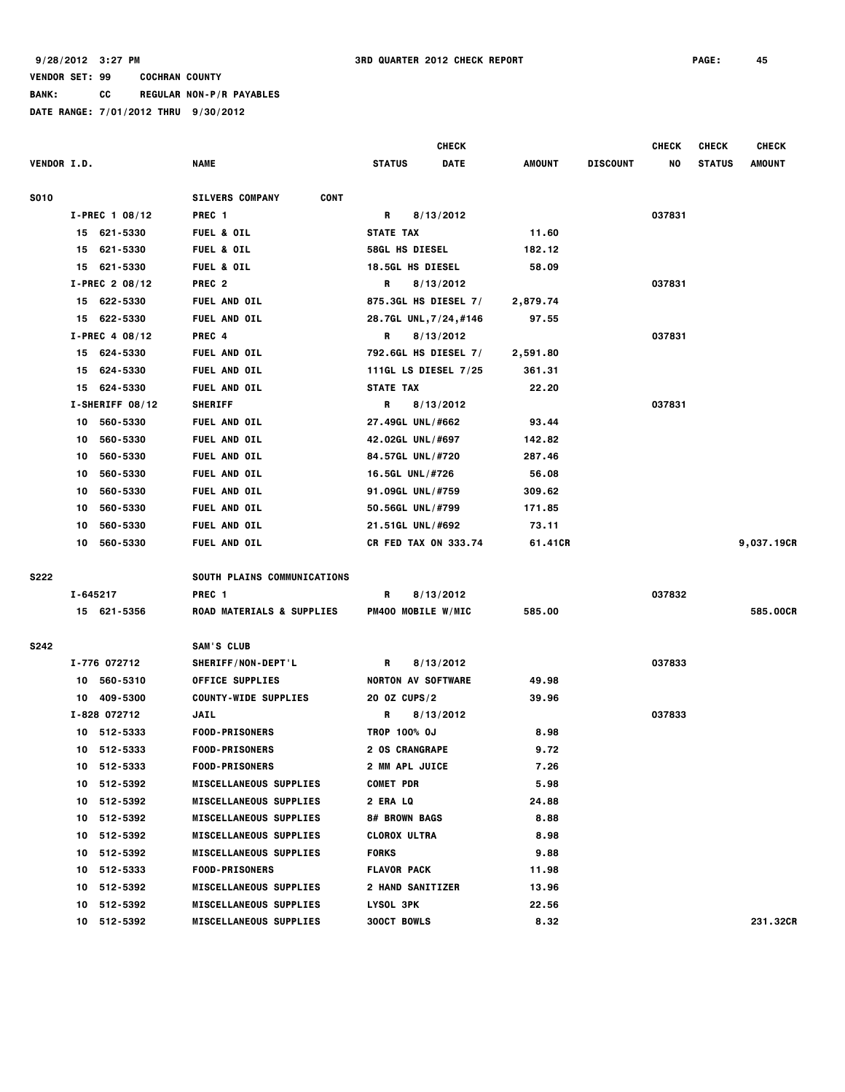**BANK: CC REGULAR NON-P/R PAYABLES**

|                    |          |                  |                                       |                             | <b>CHECK</b> |          |                 | <b>CHECK</b> | <b>CHECK</b>  | <b>CHECK</b>  |
|--------------------|----------|------------------|---------------------------------------|-----------------------------|--------------|----------|-----------------|--------------|---------------|---------------|
| <b>VENDOR I.D.</b> |          |                  | <b>NAME</b>                           | <b>STATUS</b>               | <b>DATE</b>  | AMOUNT   | <b>DISCOUNT</b> | NO           | <b>STATUS</b> | <b>AMOUNT</b> |
| <b>S010</b>        |          |                  | <b>SILVERS COMPANY</b><br><b>CONT</b> |                             |              |          |                 |              |               |               |
|                    |          | $I-PREC$ 1 08/12 | PREC <sub>1</sub>                     | R                           | 8/13/2012    |          |                 | 037831       |               |               |
|                    |          | 15 621-5330      | <b>FUEL &amp; OIL</b>                 | <b>STATE TAX</b>            |              | 11.60    |                 |              |               |               |
|                    | 15       | 621-5330         | <b>FUEL &amp; OIL</b>                 | 58GL HS DIESEL              |              | 182.12   |                 |              |               |               |
|                    | 15       | 621-5330         | <b>FUEL &amp; OIL</b>                 | <b>18.5GL HS DIESEL</b>     |              | 58.09    |                 |              |               |               |
|                    |          | I-PREC 2 08/12   | PREC <sub>2</sub>                     | R                           | 8/13/2012    |          |                 | 037831       |               |               |
|                    |          | 15 622-5330      | FUEL AND OIL                          | 875.3GL HS DIESEL 7/        |              | 2,879.74 |                 |              |               |               |
|                    |          | 15 622-5330      | FUEL AND OIL                          | 28.7GL UNL, 7/24, #146      |              | 97.55    |                 |              |               |               |
|                    |          | $I-PREC$ 4 08/12 | PREC 4                                | R                           | 8/13/2012    |          |                 | 037831       |               |               |
|                    |          | 15 624-5330      | FUEL AND OIL                          | 792.6GL HS DIESEL 7/        |              | 2,591.80 |                 |              |               |               |
|                    | 15       | 624-5330         | FUEL AND OIL                          | 111GL LS DIESEL 7/25        |              | 361.31   |                 |              |               |               |
|                    | 15       | 624-5330         | <b>FUEL AND OIL</b>                   | <b>STATE TAX</b>            |              | 22.20    |                 |              |               |               |
|                    |          | I-SHERIFF 08/12  | <b>SHERIFF</b>                        | R                           | 8/13/2012    |          |                 | 037831       |               |               |
|                    | 10       | 560-5330         | FUEL AND OIL                          | 27.49GL UNL/#662            |              | 93.44    |                 |              |               |               |
|                    | 10       | 560-5330         | <b>FUEL AND OIL</b>                   | 42.02GL UNL/#697            |              | 142.82   |                 |              |               |               |
|                    | 10       | 560-5330         | FUEL AND OIL                          | 84.57GL UNL/#720            |              | 287.46   |                 |              |               |               |
|                    | 10       | 560-5330         | <b>FUEL AND OIL</b>                   | 16.5GL UNL/#726             |              | 56.08    |                 |              |               |               |
|                    | 10       | 560-5330         | <b>FUEL AND OIL</b>                   | 91.09GL UNL/#759            |              | 309.62   |                 |              |               |               |
|                    | 10       | 560-5330         | <b>FUEL AND OIL</b>                   | 50.56GL UNL/#799            |              | 171.85   |                 |              |               |               |
|                    | 10       | 560-5330         | <b>FUEL AND OIL</b>                   | 21.51GL UNL/#692            |              | 73.11    |                 |              |               |               |
|                    | 10       | 560-5330         | <b>FUEL AND OIL</b>                   | <b>CR FED TAX ON 333.74</b> |              | 61.41CR  |                 |              |               | 9,037.19CR    |
| <b>S222</b>        |          |                  | SOUTH PLAINS COMMUNICATIONS           |                             |              |          |                 |              |               |               |
|                    | I-645217 |                  | PREC <sub>1</sub>                     | R                           | 8/13/2012    |          |                 | 037832       |               |               |
|                    |          | 15 621-5356      | <b>ROAD MATERIALS &amp; SUPPLIES</b>  | PM400 MOBILE W/MIC          |              | 585.00   |                 |              |               | 585.00CR      |
| S242               |          |                  | SAM'S CLUB                            |                             |              |          |                 |              |               |               |
|                    |          | I-776 072712     | SHERIFF/NON-DEPT'L                    | R                           | 8/13/2012    |          |                 | 037833       |               |               |
|                    | 10       | 560-5310         | <b>OFFICE SUPPLIES</b>                | <b>NORTON AV SOFTWARE</b>   |              | 49.98    |                 |              |               |               |
|                    | 10       | 409-5300         | <b>COUNTY-WIDE SUPPLIES</b>           | 20 OZ CUPS/2                |              | 39.96    |                 |              |               |               |
|                    |          | I-828 072712     | JAIL                                  | R                           | 8/13/2012    |          |                 | 037833       |               |               |
|                    |          | 10 512-5333      | <b>FOOD-PRISONERS</b>                 | TROP 100% OJ                |              | 8.98     |                 |              |               |               |
|                    |          | 10 512-5333      | <b>FOOD-PRISONERS</b>                 | <b>2 OS CRANGRAPE</b>       |              | 9.72     |                 |              |               |               |
|                    |          | 10 512-5333      | <b>FOOD-PRISONERS</b>                 | <b>2 MM APL JUICE</b>       |              | 7.26     |                 |              |               |               |
|                    |          | 10 512-5392      | <b>MISCELLANEOUS SUPPLIES</b>         | <b>COMET PDR</b>            |              | 5.98     |                 |              |               |               |
|                    |          | 10 512-5392      | <b>MISCELLANEOUS SUPPLIES</b>         | <b>2 ERA LQ</b>             |              | 24.88    |                 |              |               |               |
|                    |          | 10 512-5392      | <b>MISCELLANEOUS SUPPLIES</b>         | 8# BROWN BAGS               |              | 8.88     |                 |              |               |               |
|                    |          | 10 512-5392      | <b>MISCELLANEOUS SUPPLIES</b>         | <b>CLOROX ULTRA</b>         |              | 8.98     |                 |              |               |               |
|                    |          | 10 512-5392      | <b>MISCELLANEOUS SUPPLIES</b>         | <b>FORKS</b>                |              | 9.88     |                 |              |               |               |
|                    |          | 10 512-5333      | <b>FOOD-PRISONERS</b>                 | <b>FLAVOR PACK</b>          |              | 11.98    |                 |              |               |               |
|                    |          | 10 512-5392      | <b>MISCELLANEOUS SUPPLIES</b>         | <b>2 HAND SANITIZER</b>     |              | 13.96    |                 |              |               |               |
|                    |          | 10 512-5392      | <b>MISCELLANEOUS SUPPLIES</b>         | LYSOL 3PK                   |              | 22.56    |                 |              |               |               |
|                    |          | 10 512-5392      | <b>MISCELLANEOUS SUPPLIES</b>         | <b>300CT BOWLS</b>          |              | 8.32     |                 |              |               | 231,32CR      |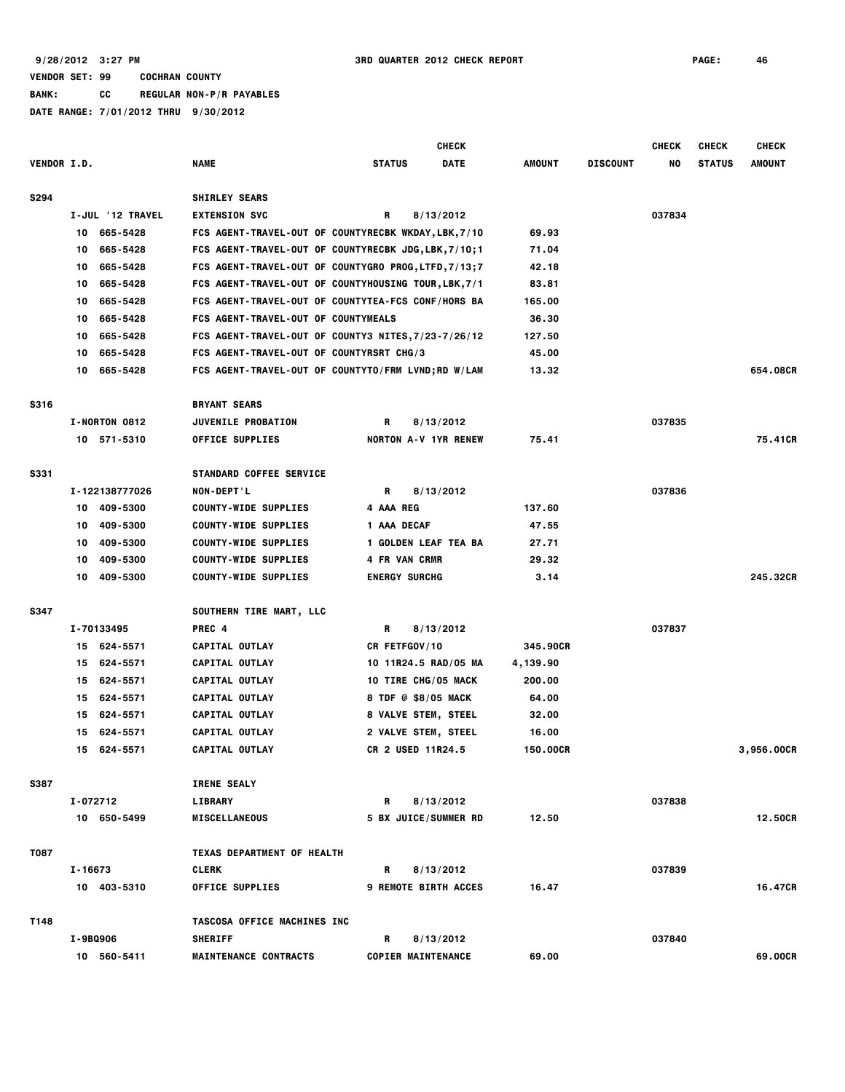|             |         |                  |                                                      |                             | <b>CHECK</b> |          |                 | <b>CHECK</b> | <b>CHECK</b>  | <b>CHECK</b> |
|-------------|---------|------------------|------------------------------------------------------|-----------------------------|--------------|----------|-----------------|--------------|---------------|--------------|
| VENDOR I.D. |         |                  | <b>NAME</b>                                          | <b>STATUS</b>               | <b>DATE</b>  | AMOUNT   | <b>DISCOUNT</b> | NO           | <b>STATUS</b> | AMOUNT       |
| S294        |         |                  | <b>SHIRLEY SEARS</b>                                 |                             |              |          |                 |              |               |              |
|             |         | I-JUL '12 TRAVEL | <b>EXTENSION SVC</b>                                 | R                           | 8/13/2012    |          |                 | 037834       |               |              |
|             | 10      | 665-5428         | FCS AGENT-TRAVEL-OUT OF COUNTYRECBK WKDAY, LBK, 7/10 |                             |              | 69.93    |                 |              |               |              |
|             | 10      | 665-5428         | FCS AGENT-TRAVEL-OUT OF COUNTYRECBK JDG, LBK, 7/10;1 |                             |              | 71.04    |                 |              |               |              |
|             | 10      | 665-5428         | FCS AGENT-TRAVEL-OUT OF COUNTYGRO PROG, LTFD, 7/13;7 |                             |              | 42.18    |                 |              |               |              |
|             | 10      | 665-5428         | FCS AGENT-TRAVEL-OUT OF COUNTYHOUSING TOUR, LBK, 7/1 |                             |              | 83.81    |                 |              |               |              |
|             | 10      | 665-5428         | FCS AGENT-TRAVEL-OUT OF COUNTYTEA-FCS CONF/HORS BA   |                             |              | 165,00   |                 |              |               |              |
|             | 10      | 665-5428         | FCS AGENT-TRAVEL-OUT OF COUNTYMEALS                  |                             |              | 36.30    |                 |              |               |              |
|             | 10      | 665-5428         | FCS AGENT-TRAVEL-OUT OF COUNTY3 NITES, 7/23-7/26/12  |                             |              | 127.50   |                 |              |               |              |
|             | 10      | 665-5428         | FCS AGENT-TRAVEL-OUT OF COUNTYRSRT CHG/3             |                             |              | 45.00    |                 |              |               |              |
|             | 10      | 665-5428         | FCS AGENT-TRAVEL-OUT OF COUNTYTO/FRM LVND;RD W/LAM   |                             |              | 13.32    |                 |              |               | 654.08CR     |
| S316        |         |                  | <b>BRYANT SEARS</b>                                  |                             |              |          |                 |              |               |              |
|             |         | I-NORTON 0812    | <b>JUVENILE PROBATION</b>                            | R                           | 8/13/2012    |          |                 | 037835       |               |              |
|             |         | 10 571-5310      | <b>OFFICE SUPPLIES</b>                               | <b>NORTON A-V 1YR RENEW</b> |              | 75.41    |                 |              |               | 75.41CR      |
|             |         |                  |                                                      |                             |              |          |                 |              |               |              |
| <b>S331</b> |         |                  | <b>STANDARD COFFEE SERVICE</b>                       |                             |              |          |                 |              |               |              |
|             |         | I-122138777026   | NON-DEPT'L                                           | R                           | 8/13/2012    |          |                 | 037836       |               |              |
|             | 10      | 409-5300         | <b>COUNTY-WIDE SUPPLIES</b>                          | 4 AAA REG                   |              | 137.60   |                 |              |               |              |
|             | 10      | 409-5300         | <b>COUNTY-WIDE SUPPLIES</b>                          | 1 AAA DECAF                 |              | 47.55    |                 |              |               |              |
|             | 10      | 409-5300         | <b>COUNTY-WIDE SUPPLIES</b>                          | 1 GOLDEN LEAF TEA BA        |              | 27.71    |                 |              |               |              |
|             | 10      | 409-5300         | <b>COUNTY-WIDE SUPPLIES</b>                          | 4 FR VAN CRMR               |              | 29.32    |                 |              |               |              |
|             | 10      | 409-5300         | <b>COUNTY-WIDE SUPPLIES</b>                          | <b>ENERGY SURCHG</b>        |              | 3.14     |                 |              |               | 245.32CR     |
| <b>S347</b> |         |                  | SOUTHERN TIRE MART, LLC                              |                             |              |          |                 |              |               |              |
|             |         | I-70133495       | PREC 4                                               | R                           | 8/13/2012    |          |                 | 037837       |               |              |
|             |         | 15 624-5571      | CAPITAL OUTLAY                                       | CR FETFGOV/10               |              | 345.90CR |                 |              |               |              |
|             | 15      | 624-5571         | CAPITAL OUTLAY                                       | 10 11R24.5 RAD/05 MA        |              | 4,139.90 |                 |              |               |              |
|             | 15      | 624-5571         | CAPITAL OUTLAY                                       | 10 TIRE CHG/05 MACK         |              | 200.00   |                 |              |               |              |
|             | 15      | 624-5571         | CAPITAL OUTLAY                                       | 8 TDF @ \$8/05 MACK         |              | 64.00    |                 |              |               |              |
|             | 15      | 624-5571         | CAPITAL OUTLAY                                       | <b>8 VALVE STEM, STEEL</b>  |              | 32.00    |                 |              |               |              |
|             | 15      | 624-5571         | CAPITAL OUTLAY                                       | 2 VALVE STEM, STEEL         |              | 16.00    |                 |              |               |              |
|             |         | 15 624-5571      | CAPITAL OUTLAY                                       | CR 2 USED 11R24.5           |              | 150.00CR |                 |              |               | 3,956.00CR   |
| <b>S387</b> |         |                  | <b>IRENE SEALY</b>                                   |                             |              |          |                 |              |               |              |
|             |         | I-072712         | <b>LIBRARY</b>                                       | R                           | 8/13/2012    |          |                 | 037838       |               |              |
|             |         | 10 650-5499      | <b>MISCELLANEOUS</b>                                 | <b>5 BX JUICE/SUMMER RD</b> |              | 12.50    |                 |              |               | 12.50CR      |
| <b>T087</b> |         |                  | TEXAS DEPARTMENT OF HEALTH                           |                             |              |          |                 |              |               |              |
|             | I-16673 |                  | <b>CLERK</b>                                         | R                           | 8/13/2012    |          |                 | 037839       |               |              |
|             |         | 10 403-5310      | <b>OFFICE SUPPLIES</b>                               | <b>9 REMOTE BIRTH ACCES</b> |              | 16.47    |                 |              |               | 16.47CR      |
| T148        |         |                  | TASCOSA OFFICE MACHINES INC                          |                             |              |          |                 |              |               |              |
|             |         |                  |                                                      |                             |              |          |                 |              |               |              |
|             |         | I-9BQ906         | <b>SHERIFF</b>                                       | R                           | 8/13/2012    |          |                 | 037840       |               |              |
|             |         | 10 560-5411      | <b>MAINTENANCE CONTRACTS</b>                         | <b>COPIER MAINTENANCE</b>   |              | 69.00    |                 |              |               | 69.00CR      |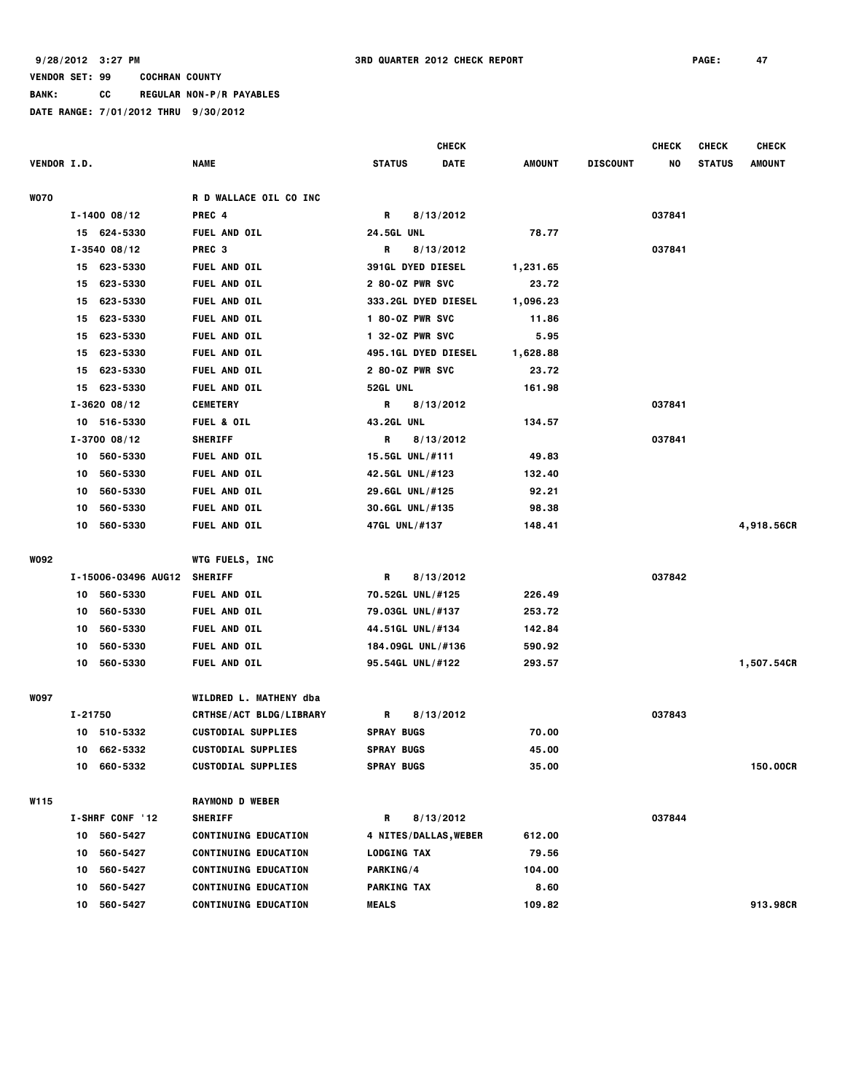**BANK: CC REGULAR NON-P/R PAYABLES**

|                    |         |                     |                               |                   |                          | CHECK                       |          |                 | <b>CHECK</b> | <b>CHECK</b>  | <b>CHECK</b>  |
|--------------------|---------|---------------------|-------------------------------|-------------------|--------------------------|-----------------------------|----------|-----------------|--------------|---------------|---------------|
| <b>VENDOR I.D.</b> |         |                     | <b>NAME</b>                   | <b>STATUS</b>     |                          | <b>DATE</b>                 | AMOUNT   | <b>DISCOUNT</b> | NO           | <b>STATUS</b> | <b>AMOUNT</b> |
| <b>WO70</b>        |         |                     | <b>R D WALLACE OIL CO INC</b> |                   |                          |                             |          |                 |              |               |               |
|                    |         | $I - 1400 08/12$    | PREC 4                        | R                 |                          | 8/13/2012                   |          |                 | 037841       |               |               |
|                    |         | 15 624-5330         | <b>FUEL AND OIL</b>           | <b>24.5GL UNL</b> |                          |                             | 78.77    |                 |              |               |               |
|                    |         | $I - 3540 08/12$    | PREC <sub>3</sub>             | R                 |                          | 8/13/2012                   |          |                 | 037841       |               |               |
|                    | 15      | 623-5330            | <b>FUEL AND OIL</b>           |                   | <b>391GL DYED DIESEL</b> |                             | 1,231.65 |                 |              |               |               |
|                    | 15      | 623-5330            | <b>FUEL AND OIL</b>           |                   | 2 80-0Z PWR SVC          |                             | 23.72    |                 |              |               |               |
|                    | 15      | 623-5330            | <b>FUEL AND OIL</b>           |                   |                          | <b>333.2GL DYED DIESEL</b>  | 1,096.23 |                 |              |               |               |
|                    | 15      | 623-5330            | <b>FUEL AND OIL</b>           |                   | 1 80-0Z PWR SVC          |                             | 11.86    |                 |              |               |               |
|                    | 15      | 623-5330            | <b>FUEL AND OIL</b>           |                   | 1 32-0Z PWR SVC          |                             | 5.95     |                 |              |               |               |
|                    | 15      | 623-5330            | <b>FUEL AND OIL</b>           |                   |                          | <b>495.1GL DYED DIESEL</b>  | 1,628.88 |                 |              |               |               |
|                    | 15      | 623-5330            | <b>FUEL AND OIL</b>           |                   | 2 80-0Z PWR SVC          |                             | 23.72    |                 |              |               |               |
|                    | 15      | 623-5330            | <b>FUEL AND OIL</b>           | 52GL UNL          |                          |                             | 161.98   |                 |              |               |               |
|                    |         | $I - 3620 08/12$    | <b>CEMETERY</b>               | R                 |                          | 8/13/2012                   |          |                 | 037841       |               |               |
|                    |         | 10 516-5330         | <b>FUEL &amp; OIL</b>         | <b>43.2GL UNL</b> |                          |                             | 134.57   |                 |              |               |               |
|                    |         | $I - 3700 08/12$    | <b>SHERIFF</b>                | R                 |                          | 8/13/2012                   |          |                 | 037841       |               |               |
|                    | 10.     | 560-5330            | <b>FUEL AND OIL</b>           |                   | 15.5GL UNL/#111          |                             | 49.83    |                 |              |               |               |
|                    | 10      | 560-5330            | <b>FUEL AND OIL</b>           |                   | 42.5GL UNL/#123          |                             | 132.40   |                 |              |               |               |
|                    | 10      | 560-5330            | <b>FUEL AND OIL</b>           |                   | 29.6GL UNL/#125          |                             | 92.21    |                 |              |               |               |
|                    | 10      | 560-5330            | <b>FUEL AND OIL</b>           |                   | 30.6GL UNL/#135          |                             | 98.38    |                 |              |               |               |
|                    | 10      | 560-5330            | <b>FUEL AND OIL</b>           |                   | 47GL UNL/#137            |                             | 148.41   |                 |              |               | 4,918.56CR    |
| W092               |         |                     | <b>WTG FUELS, INC</b>         |                   |                          |                             |          |                 |              |               |               |
|                    |         | I-15006-03496 AUG12 | <b>SHERIFF</b>                | R                 |                          | 8/13/2012                   |          |                 | 037842       |               |               |
|                    | 10      | 560-5330            | <b>FUEL AND OIL</b>           |                   | 70.52GL UNL/#125         |                             | 226.49   |                 |              |               |               |
|                    | 10      | 560-5330            | <b>FUEL AND OIL</b>           |                   | 79.03GL UNL/#137         |                             | 253.72   |                 |              |               |               |
|                    | 10      | 560-5330            | FUEL AND OIL                  |                   | 44.51GL UNL/#134         |                             | 142.84   |                 |              |               |               |
|                    | 10      | 560-5330            | <b>FUEL AND OIL</b>           |                   | 184.09GL UNL/#136        |                             | 590.92   |                 |              |               |               |
|                    | 10      | 560-5330            | <b>FUEL AND OIL</b>           |                   | 95.54GL UNL/#122         |                             | 293.57   |                 |              |               | 1,507.54CR    |
| <b>WO97</b>        |         |                     | <b>WILDRED L. MATHENY dba</b> |                   |                          |                             |          |                 |              |               |               |
|                    | I-21750 |                     | CRTHSE/ACT BLDG/LIBRARY       | R                 |                          | 8/13/2012                   |          |                 | 037843       |               |               |
|                    |         | 10 510-5332         | <b>CUSTODIAL SUPPLIES</b>     | <b>SPRAY BUGS</b> |                          |                             | 70.00    |                 |              |               |               |
|                    |         | 10 662-5332         | <b>CUSTODIAL SUPPLIES</b>     | <b>SPRAY BUGS</b> |                          |                             | 45.00    |                 |              |               |               |
|                    |         | 10 660-5332         | <b>CUSTODIAL SUPPLIES</b>     |                   | <b>SPRAY BUGS</b>        |                             | 35.00    |                 |              |               | 150.00CR      |
| W115               |         |                     | <b>RAYMOND D WEBER</b>        |                   |                          |                             |          |                 |              |               |               |
|                    |         | I-SHRF CONF '12     | <b>SHERIFF</b>                | R                 |                          | 8/13/2012                   |          |                 | 037844       |               |               |
|                    |         | 10 560-5427         | <b>CONTINUING EDUCATION</b>   |                   |                          | <b>4 NITES/DALLAS,WEBER</b> | 612.00   |                 |              |               |               |
|                    | 10      | 560-5427            | <b>CONTINUING EDUCATION</b>   |                   | <b>LODGING TAX</b>       |                             | 79.56    |                 |              |               |               |
|                    |         | 10 560-5427         | <b>CONTINUING EDUCATION</b>   | <b>PARKING/4</b>  |                          |                             | 104.00   |                 |              |               |               |
|                    | 10      | 560-5427            | <b>CONTINUING EDUCATION</b>   |                   | <b>PARKING TAX</b>       |                             | 8.60     |                 |              |               |               |
|                    | 10      | 560-5427            | <b>CONTINUING EDUCATION</b>   | <b>MEALS</b>      |                          |                             | 109.82   |                 |              |               | 913.98CR      |
|                    |         |                     |                               |                   |                          |                             |          |                 |              |               |               |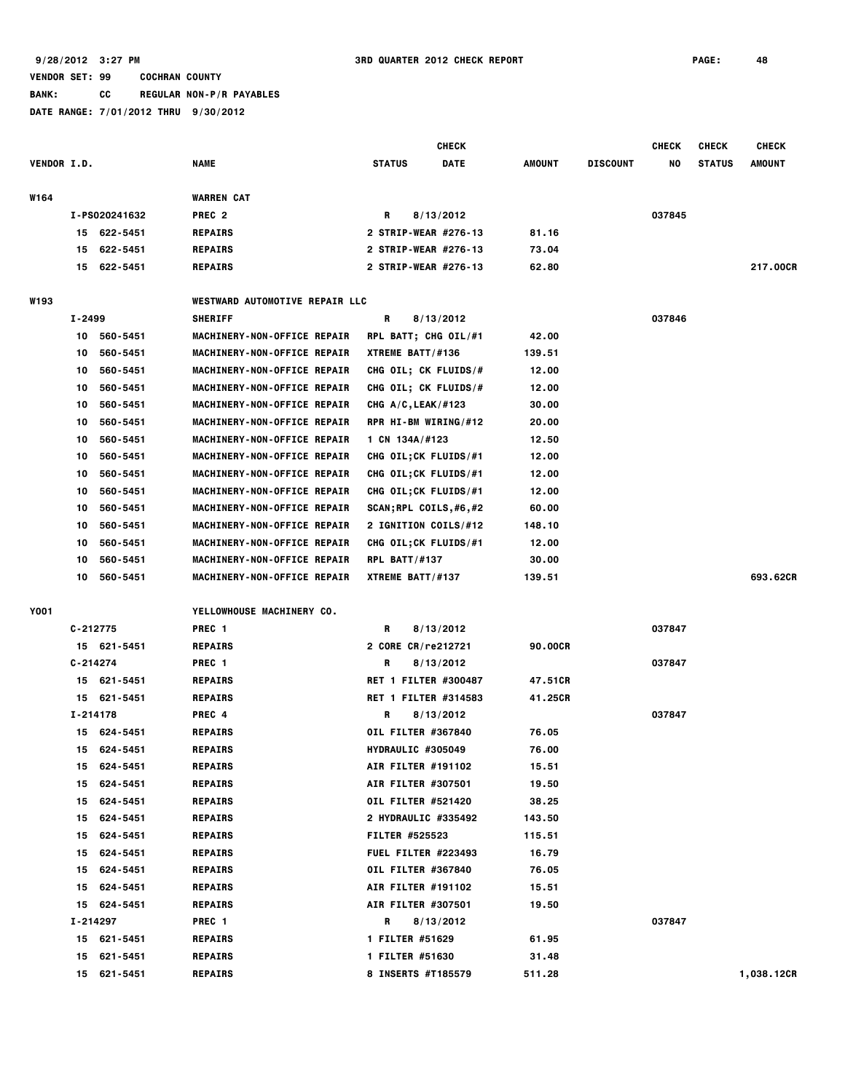**BANK: CC REGULAR NON-P/R PAYABLES**

|                    |              |               |                                       |                             | <b>CHECK</b> |               |                 | <b>CHECK</b> | <b>CHECK</b>  | <b>CHECK</b>  |
|--------------------|--------------|---------------|---------------------------------------|-----------------------------|--------------|---------------|-----------------|--------------|---------------|---------------|
| <b>VENDOR I.D.</b> |              |               | <b>NAME</b>                           | <b>STATUS</b>               | <b>DATE</b>  | <b>AMOUNT</b> | <b>DISCOUNT</b> | NO           | <b>STATUS</b> | <b>AMOUNT</b> |
| W164               |              |               | <b>WARREN CAT</b>                     |                             |              |               |                 |              |               |               |
|                    |              | I-PS020241632 | PREC <sub>2</sub>                     | R                           | 8/13/2012    |               |                 | 037845       |               |               |
|                    |              | 15 622-5451   | <b>REPAIRS</b>                        | 2 STRIP-WEAR #276-13        |              | 81.16         |                 |              |               |               |
|                    | 15           | 622-5451      | <b>REPAIRS</b>                        | 2 STRIP-WEAR #276-13        |              | 73.04         |                 |              |               |               |
|                    | 15           | 622-5451      | <b>REPAIRS</b>                        | 2 STRIP-WEAR #276-13        |              | 62.80         |                 |              |               | 217.00CR      |
|                    |              |               |                                       |                             |              |               |                 |              |               |               |
| <b>W193</b>        |              |               | <b>WESTWARD AUTOMOTIVE REPAIR LLC</b> |                             |              |               |                 |              |               |               |
|                    | I-2499       |               | <b>SHERIFF</b>                        | R                           | 8/13/2012    |               |                 | 037846       |               |               |
|                    |              | 10 560-5451   | MACHINERY-NON-OFFICE REPAIR           | RPL BATT; CHG OIL/#1        |              | 42.00         |                 |              |               |               |
|                    | 10           | 560-5451      | MACHINERY-NON-OFFICE REPAIR           | XTREME BATT/#136            |              | 139.51        |                 |              |               |               |
|                    | 10           | 560-5451      | MACHINERY-NON-OFFICE REPAIR           | CHG OIL; CK FLUIDS/#        |              | 12.00         |                 |              |               |               |
|                    | 10           | 560-5451      | MACHINERY-NON-OFFICE REPAIR           | CHG OIL; CK FLUIDS/#        |              | 12.00         |                 |              |               |               |
|                    | 10           | 560-5451      | MACHINERY-NON-OFFICE REPAIR           | CHG $A/C$ , LEAK/#123       |              | 30.00         |                 |              |               |               |
|                    | 10           | 560-5451      | MACHINERY-NON-OFFICE REPAIR           | RPR HI-BM WIRING/#12        |              | 20.00         |                 |              |               |               |
|                    | 10           | 560-5451      | MACHINERY-NON-OFFICE REPAIR           | 1 CN $134A/H123$            |              | 12.50         |                 |              |               |               |
|                    | 10           | 560-5451      | MACHINERY-NON-OFFICE REPAIR           | CHG OIL; CK FLUIDS/#1       |              | 12.00         |                 |              |               |               |
|                    | 10           | 560-5451      | MACHINERY-NON-OFFICE REPAIR           | CHG OIL; CK FLUIDS/#1       |              | 12.00         |                 |              |               |               |
|                    | 10           | 560-5451      | MACHINERY-NON-OFFICE REPAIR           | CHG OIL; CK FLUIDS/#1       |              | 12.00         |                 |              |               |               |
|                    | 10           | 560-5451      | MACHINERY-NON-OFFICE REPAIR           | SCAN;RPL COILS,#6,#2        |              | 60.00         |                 |              |               |               |
|                    | 10           | 560-5451      | MACHINERY-NON-OFFICE REPAIR           | 2 IGNITION COILS/#12        |              | 148.10        |                 |              |               |               |
|                    | 10           | 560-5451      | MACHINERY-NON-OFFICE REPAIR           | CHG OIL; CK FLUIDS/#1       |              | 12.00         |                 |              |               |               |
|                    | 10           | 560-5451      | MACHINERY-NON-OFFICE REPAIR           | <b>RPL BATT/#137</b>        |              | 30.00         |                 |              |               |               |
|                    | 10           | 560-5451      | MACHINERY-NON-OFFICE REPAIR           | XTREME BATT/#137            |              | 139.51        |                 |              |               | 693.62CR      |
| <b>Y001</b>        |              |               |                                       |                             |              |               |                 |              |               |               |
|                    |              |               | YELLOWHOUSE MACHINERY CO.             |                             |              |               |                 |              |               |               |
|                    | $C - 212775$ | 15 621-5451   | PREC <sub>1</sub><br><b>REPAIRS</b>   | R<br>2 CORE CR/re212721     | 8/13/2012    | 90.00CR       |                 | 037847       |               |               |
|                    | $C - 214274$ |               |                                       | R                           |              |               |                 |              |               |               |
|                    |              | 15 621-5451   | PREC 1<br><b>REPAIRS</b>              | <b>RET 1 FILTER #300487</b> | 8/13/2012    | 47.51CR       |                 | 037847       |               |               |
|                    |              | 15 621-5451   | <b>REPAIRS</b>                        | <b>RET 1 FILTER #314583</b> |              | 41.25CR       |                 |              |               |               |
|                    | I-214178     |               | PREC 4                                | R                           | 8/13/2012    |               |                 | 037847       |               |               |
|                    |              | 15 624-5451   | <b>REPAIRS</b>                        | <b>OIL FILTER #367840</b>   |              | 76.05         |                 |              |               |               |
|                    |              | 15 624-5451   | <b>REPAIRS</b>                        | HYDRAULIC #305049           |              | 76.00         |                 |              |               |               |
|                    | 15           | 624-5451      | <b>REPAIRS</b>                        | <b>AIR FILTER #191102</b>   |              | 15.51         |                 |              |               |               |
|                    | 15           | 624-5451      | <b>REPAIRS</b>                        | <b>AIR FILTER #307501</b>   |              | 19.50         |                 |              |               |               |
|                    | 15           | 624-5451      | <b>REPAIRS</b>                        | OIL FILTER #521420          |              | 38.25         |                 |              |               |               |
|                    | 15           | 624-5451      | <b>REPAIRS</b>                        | 2 HYDRAULIC #335492         |              | 143.50        |                 |              |               |               |
|                    | 15           | 624-5451      | <b>REPAIRS</b>                        | <b>FILTER #525523</b>       |              | 115.51        |                 |              |               |               |
|                    | 15           | 624-5451      | <b>REPAIRS</b>                        | <b>FUEL FILTER #223493</b>  |              | 16.79         |                 |              |               |               |
|                    | 15           | 624-5451      | <b>REPAIRS</b>                        | OIL FILTER #367840          |              | 76.05         |                 |              |               |               |
|                    | 15           | 624-5451      | <b>REPAIRS</b>                        | AIR FILTER #191102          |              | 15.51         |                 |              |               |               |
|                    | 15           | 624-5451      | <b>REPAIRS</b>                        | <b>AIR FILTER #307501</b>   |              | 19.50         |                 |              |               |               |
|                    | I-214297     |               | PREC 1                                | R                           | 8/13/2012    |               |                 | 037847       |               |               |
|                    |              | 15 621-5451   | <b>REPAIRS</b>                        | 1 FILTER #51629             |              | 61.95         |                 |              |               |               |
|                    | 15           | 621-5451      | <b>REPAIRS</b>                        | 1 FILTER #51630             |              | 31.48         |                 |              |               |               |
|                    | 15           | 621-5451      | <b>REPAIRS</b>                        | 8 INSERTS #T185579          |              | 511.28        |                 |              |               | 1,038.12CR    |
|                    |              |               |                                       |                             |              |               |                 |              |               |               |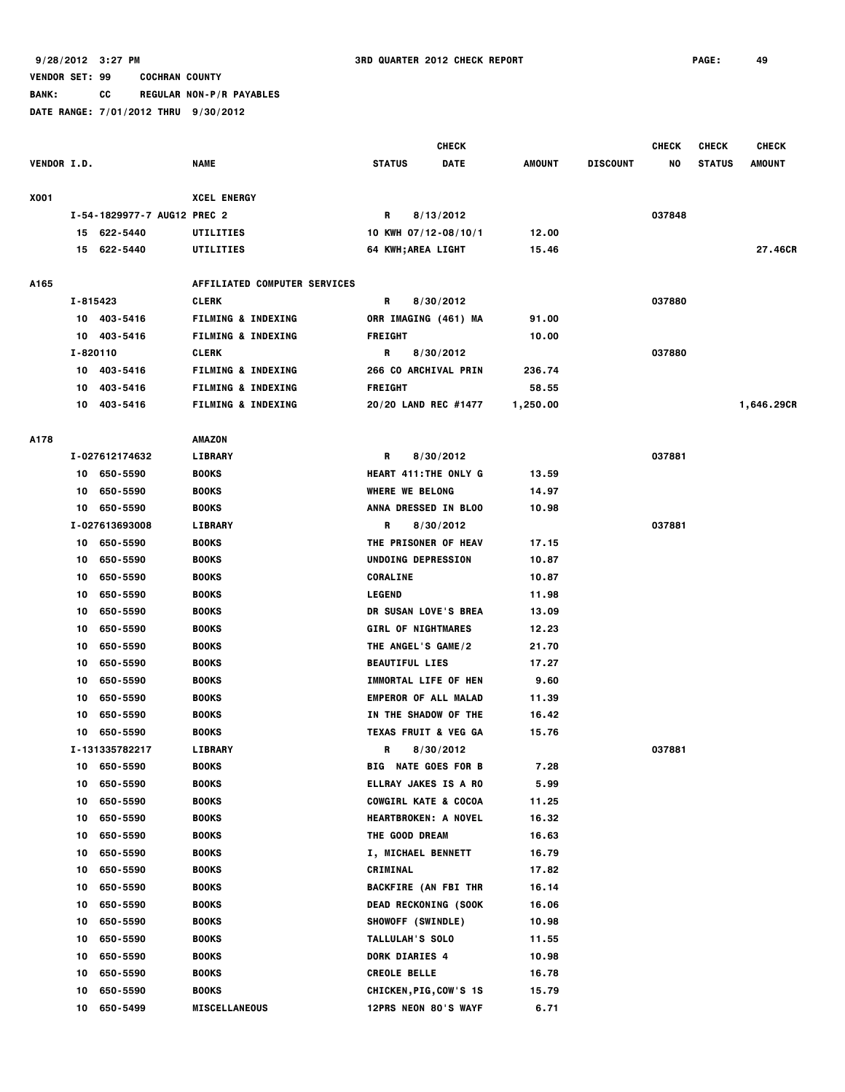**BANK: CC REGULAR NON-P/R PAYABLES**

|             |          |                             |                               |                        | <b>CHECK</b>                    |               |                 | <b>CHECK</b> | <b>CHECK</b>  | <b>CHECK</b>  |
|-------------|----------|-----------------------------|-------------------------------|------------------------|---------------------------------|---------------|-----------------|--------------|---------------|---------------|
| VENDOR I.D. |          |                             | NAME                          | <b>STATUS</b>          | <b>DATE</b>                     | <b>AMOUNT</b> | <b>DISCOUNT</b> | NO           | <b>STATUS</b> | <b>AMOUNT</b> |
| X001        |          |                             | <b>XCEL ENERGY</b>            |                        |                                 |               |                 |              |               |               |
|             |          | I-54-1829977-7 AUG12 PREC 2 |                               | R                      | 8/13/2012                       |               |                 | 037848       |               |               |
|             |          | 15 622-5440                 | UTILITIES                     |                        | 10 KWH 07/12-08/10/1            | 12.00         |                 |              |               |               |
|             |          | 15 622-5440                 | UTILITIES                     |                        | <b>64 KWH;AREA LIGHT</b>        | 15.46         |                 |              |               | 27.46CR       |
| A165        |          |                             | AFFILIATED COMPUTER SERVICES  |                        |                                 |               |                 |              |               |               |
|             | I-815423 |                             | <b>CLERK</b>                  | R                      | 8/30/2012                       |               |                 | 037880       |               |               |
|             |          | 10 403-5416                 | <b>FILMING &amp; INDEXING</b> |                        | ORR IMAGING (461) MA            | 91.00         |                 |              |               |               |
|             |          | 10 403-5416                 | <b>FILMING &amp; INDEXING</b> | <b>FREIGHT</b>         |                                 | 10.00         |                 |              |               |               |
|             | I-820110 |                             | <b>CLERK</b>                  | R                      | 8/30/2012                       |               |                 | 037880       |               |               |
|             |          | 10 403-5416                 | <b>FILMING &amp; INDEXING</b> |                        | 266 CO ARCHIVAL PRIN            | 236.74        |                 |              |               |               |
|             | 10       | 403-5416                    | <b>FILMING &amp; INDEXING</b> | <b>FREIGHT</b>         |                                 | 58.55         |                 |              |               |               |
|             | 10       | 403-5416                    | <b>FILMING &amp; INDEXING</b> |                        | 20/20 LAND REC #1477            | 1,250.00      |                 |              |               | 1,646.29CR    |
| A178        |          |                             | AMAZON                        |                        |                                 |               |                 |              |               |               |
|             |          | I-027612174632              | <b>LIBRARY</b>                | R                      | 8/30/2012                       |               |                 | 037881       |               |               |
|             | 10       | 650-5590                    | <b>BOOKS</b>                  |                        | <b>HEART 411: THE ONLY G</b>    | 13.59         |                 |              |               |               |
|             | 10       | 650-5590                    | <b>BOOKS</b>                  | <b>WHERE WE BELONG</b> |                                 | 14.97         |                 |              |               |               |
|             | 10       | 650-5590                    | <b>BOOKS</b>                  |                        | ANNA DRESSED IN BLOO            | 10.98         |                 |              |               |               |
|             |          | I-027613693008              | LIBRARY                       | R                      | 8/30/2012                       |               |                 | 037881       |               |               |
|             |          | 10 650-5590                 | <b>BOOKS</b>                  |                        | THE PRISONER OF HEAV            | 17.15         |                 |              |               |               |
|             | 10       | 650-5590                    | <b>BOOKS</b>                  |                        | UNDOING DEPRESSION              | 10.87         |                 |              |               |               |
|             | 10       | 650-5590                    | <b>BOOKS</b>                  | <b>CORALINE</b>        |                                 | 10.87         |                 |              |               |               |
|             | 10       | 650-5590                    | <b>BOOKS</b>                  | <b>LEGEND</b>          |                                 | 11.98         |                 |              |               |               |
|             | 10       | 650-5590                    | <b>BOOKS</b>                  |                        | DR SUSAN LOVE'S BREA            | 13.09         |                 |              |               |               |
|             | 10       | 650-5590                    | <b>BOOKS</b>                  |                        | <b>GIRL OF NIGHTMARES</b>       | 12.23         |                 |              |               |               |
|             | 10       | 650-5590                    | <b>BOOKS</b>                  |                        | THE ANGEL'S GAME/2              | 21.70         |                 |              |               |               |
|             | 10       | 650-5590                    | <b>BOOKS</b>                  | <b>BEAUTIFUL LIES</b>  |                                 | 17.27         |                 |              |               |               |
|             | 10       | 650-5590                    | <b>BOOKS</b>                  |                        | IMMORTAL LIFE OF HEN            | 9.60          |                 |              |               |               |
|             | 10       | 650-5590                    | <b>BOOKS</b>                  |                        | <b>EMPEROR OF ALL MALAD</b>     | 11.39         |                 |              |               |               |
|             | 10       | 650-5590                    | <b>BOOKS</b>                  |                        | IN THE SHADOW OF THE            | 16.42         |                 |              |               |               |
|             | 10       | 650-5590                    | <b>BOOKS</b>                  |                        | <b>TEXAS FRUIT &amp; VEG GA</b> | 15.76         |                 |              |               |               |
|             |          | I-131335782217              | <b>LIBRARY</b>                | R                      | 8/30/2012                       |               |                 | 037881       |               |               |
|             | 10       | 650-5590                    | <b>BOOKS</b>                  |                        | <b>BIG NATE GOES FOR B</b>      | 7.28          |                 |              |               |               |
|             | 10       | 650-5590                    | <b>BOOKS</b>                  |                        | ELLRAY JAKES IS A RO            | 5.99          |                 |              |               |               |
|             | 10       | 650-5590                    | <b>BOOKS</b>                  |                        | <b>COWGIRL KATE &amp; COCOA</b> | 11.25         |                 |              |               |               |
|             | 10       | 650-5590                    | <b>BOOKS</b>                  |                        | <b>HEARTBROKEN: A NOVEL</b>     | 16.32         |                 |              |               |               |
|             | 10       | 650-5590                    | <b>BOOKS</b>                  | THE GOOD DREAM         |                                 | 16.63         |                 |              |               |               |
|             | 10       | 650-5590                    | <b>BOOKS</b>                  |                        | I, MICHAEL BENNETT              | 16.79         |                 |              |               |               |
|             | 10       | 650-5590                    | <b>BOOKS</b>                  | CRIMINAL               |                                 | 17.82         |                 |              |               |               |
|             | 10       | 650-5590                    | <b>BOOKS</b>                  |                        | <b>BACKFIRE (AN FBI THR</b>     | 16.14         |                 |              |               |               |
|             | 10       | 650-5590                    | <b>BOOKS</b>                  |                        | <b>DEAD RECKONING (SOOK</b>     | 16.06         |                 |              |               |               |
|             | 10       | 650-5590                    | <b>BOOKS</b>                  |                        | SHOWOFF (SWINDLE)               | 10.98         |                 |              |               |               |
|             | 10       | 650-5590                    | <b>BOOKS</b>                  | TALLULAH'S SOLO        |                                 | 11.55         |                 |              |               |               |
|             | 10       | 650-5590                    | BOOKS                         | DORK DIARIES 4         |                                 | 10.98         |                 |              |               |               |
|             | 10       | 650-5590                    | <b>BOOKS</b>                  | <b>CREOLE BELLE</b>    |                                 | 16.78         |                 |              |               |               |
|             | 10       | 650-5590                    | <b>BOOKS</b>                  |                        | CHICKEN, PIG, COW'S 1S          | 15.79         |                 |              |               |               |
|             | 10       | 650-5499                    | <b>MISCELLANEOUS</b>          |                        | <b>12PRS NEON 80'S WAYF</b>     | 6.71          |                 |              |               |               |
|             |          |                             |                               |                        |                                 |               |                 |              |               |               |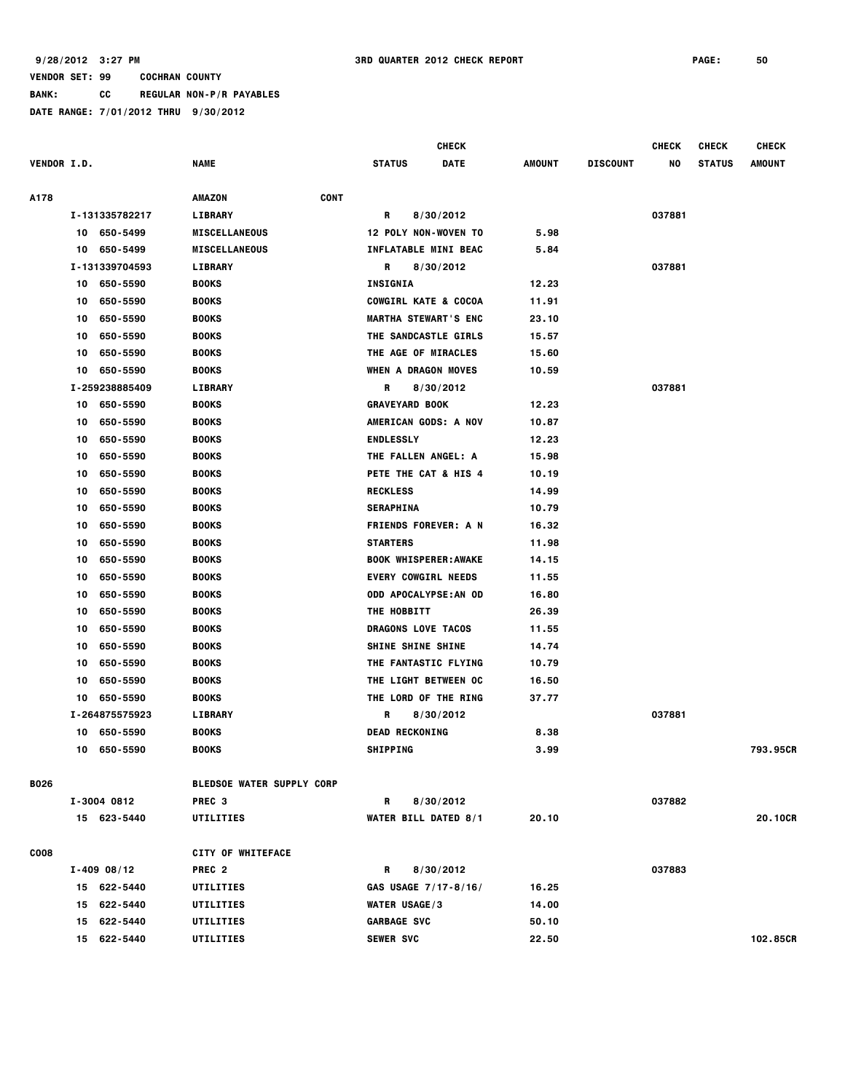**BANK: CC REGULAR NON-P/R PAYABLES**

|                    |                 |                                  |                                 | <b>CHECK</b>                |        |                 | <b>CHECK</b> | <b>CHECK</b>  | <b>CHECK</b> |
|--------------------|-----------------|----------------------------------|---------------------------------|-----------------------------|--------|-----------------|--------------|---------------|--------------|
| <b>VENDOR I.D.</b> |                 | NAME                             | <b>STATUS</b>                   | DATE                        | AMOUNT | <b>DISCOUNT</b> | NO           | <b>STATUS</b> | AMOUNT       |
|                    |                 |                                  |                                 |                             |        |                 |              |               |              |
| A178               |                 | <b>CONT</b><br>AMAZON            |                                 |                             |        |                 |              |               |              |
|                    | I-131335782217  | LIBRARY                          | R                               | 8/30/2012                   |        |                 | 037881       |               |              |
|                    | 10 650-5499     | <b>MISCELLANEOUS</b>             | 12 POLY NON-WOVEN TO            |                             | 5.98   |                 |              |               |              |
|                    | 10 650-5499     | <b>MISCELLANEOUS</b>             |                                 | INFLATABLE MINI BEAC        | 5.84   |                 |              |               |              |
|                    | I-131339704593  | <b>LIBRARY</b>                   | R                               | 8/30/2012                   |        |                 | 037881       |               |              |
|                    | 10 650-5590     | <b>BOOKS</b>                     | <b>INSIGNIA</b>                 |                             | 12.23  |                 |              |               |              |
|                    | 10<br>650-5590  | <b>BOOKS</b>                     | <b>COWGIRL KATE &amp; COCOA</b> |                             | 11.91  |                 |              |               |              |
|                    | 650-5590<br>10  | <b>BOOKS</b>                     | <b>MARTHA STEWART'S ENC</b>     |                             | 23.10  |                 |              |               |              |
|                    | 650-5590<br>10  | <b>BOOKS</b>                     | THE SANDCASTLE GIRLS            |                             | 15.57  |                 |              |               |              |
|                    | 650-5590<br>10  | <b>BOOKS</b>                     | THE AGE OF MIRACLES             |                             | 15.60  |                 |              |               |              |
|                    | 650-5590<br>10  | <b>BOOKS</b>                     | WHEN A DRAGON MOVES             |                             | 10.59  |                 |              |               |              |
|                    | I-259238885409  | <b>LIBRARY</b>                   | R                               | 8/30/2012                   |        |                 | 037881       |               |              |
|                    | 650-5590<br>10  | <b>BOOKS</b>                     | <b>GRAVEYARD BOOK</b>           |                             | 12.23  |                 |              |               |              |
|                    | 650-5590<br>10  | <b>BOOKS</b>                     | AMERICAN GODS: A NOV            |                             | 10.87  |                 |              |               |              |
|                    | 650-5590<br>10  | <b>BOOKS</b>                     | <b>ENDLESSLY</b>                |                             | 12.23  |                 |              |               |              |
|                    | 650-5590<br>10  | <b>BOOKS</b>                     | THE FALLEN ANGEL: A             |                             | 15.98  |                 |              |               |              |
|                    | 650-5590<br>10  | <b>BOOKS</b>                     |                                 | PETE THE CAT & HIS 4        | 10.19  |                 |              |               |              |
|                    | 650-5590<br>10  | <b>BOOKS</b>                     | <b>RECKLESS</b>                 |                             | 14.99  |                 |              |               |              |
|                    | 650-5590<br>10  | <b>BOOKS</b>                     | <b>SERAPHINA</b>                |                             | 10.79  |                 |              |               |              |
|                    | 650-5590<br>10  | <b>BOOKS</b>                     |                                 | <b>FRIENDS FOREVER: A N</b> | 16.32  |                 |              |               |              |
|                    | 650-5590<br>10  | <b>BOOKS</b>                     | <b>STARTERS</b>                 |                             | 11.98  |                 |              |               |              |
|                    | 650-5590<br>10  | <b>BOOKS</b>                     | <b>BOOK WHISPERER: AWAKE</b>    |                             | 14.15  |                 |              |               |              |
|                    | 650-5590<br>10  | <b>BOOKS</b>                     | <b>EVERY COWGIRL NEEDS</b>      |                             | 11.55  |                 |              |               |              |
|                    | 650-5590<br>10  | <b>BOOKS</b>                     |                                 | ODD APOCALYPSE:AN OD        | 16.80  |                 |              |               |              |
|                    | 650-5590<br>10  | <b>BOOKS</b>                     | <b>THE HOBBITT</b>              |                             | 26.39  |                 |              |               |              |
|                    | 650-5590<br>10  | <b>BOOKS</b>                     | DRAGONS LOVE TACOS              |                             | 11.55  |                 |              |               |              |
|                    | 650-5590<br>10  | <b>BOOKS</b>                     | <b>SHINE SHINE SHINE</b>        |                             | 14.74  |                 |              |               |              |
|                    | 650-5590<br>10  | <b>BOOKS</b>                     |                                 | THE FANTASTIC FLYING        | 10.79  |                 |              |               |              |
|                    | 650-5590<br>10  | <b>BOOKS</b>                     | THE LIGHT BETWEEN OC            |                             | 16.50  |                 |              |               |              |
|                    | 650-5590<br>10  | <b>BOOKS</b>                     | THE LORD OF THE RING            |                             | 37.77  |                 |              |               |              |
|                    | I-264875575923  | <b>LIBRARY</b>                   | R                               | 8/30/2012                   |        |                 | 037881       |               |              |
|                    | 650-5590<br>10  | <b>BOOKS</b>                     | <b>DEAD RECKONING</b>           |                             | 8.38   |                 |              |               |              |
|                    | 10<br>650-5590  | <b>BOOKS</b>                     | <b>SHIPPING</b>                 |                             | 3.99   |                 |              |               | 793.95CR     |
|                    |                 |                                  |                                 |                             |        |                 |              |               |              |
| B026               |                 | <b>BLEDSOE WATER SUPPLY CORP</b> |                                 |                             |        |                 |              |               |              |
|                    | I-3004 0812     | PREC <sub>3</sub>                | R                               | 8/30/2012                   |        |                 | 037882       |               |              |
|                    | 15 623-5440     | UTILITIES                        | <b>WATER BILL DATED 8/1</b>     |                             | 20.10  |                 |              |               | 20.10CR      |
|                    |                 |                                  |                                 |                             |        |                 |              |               |              |
| <b>COO8</b>        |                 | <b>CITY OF WHITEFACE</b>         |                                 |                             |        |                 |              |               |              |
|                    | $I - 409 08/12$ | PREC <sub>2</sub>                | R                               | 8/30/2012                   |        |                 | 037883       |               |              |
|                    | 15 622-5440     | UTILITIES                        | GAS USAGE 7/17-8/16/            |                             | 16.25  |                 |              |               |              |
|                    | 15 622-5440     | UTILITIES                        | <b>WATER USAGE/3</b>            |                             | 14.00  |                 |              |               |              |
|                    | 15 622-5440     | UTILITIES                        | <b>GARBAGE SVC</b>              |                             | 50.10  |                 |              |               |              |
|                    | 15 622-5440     | UTILITIES                        | <b>SEWER SVC</b>                |                             | 22.50  |                 |              |               | 102.85CR     |
|                    |                 |                                  |                                 |                             |        |                 |              |               |              |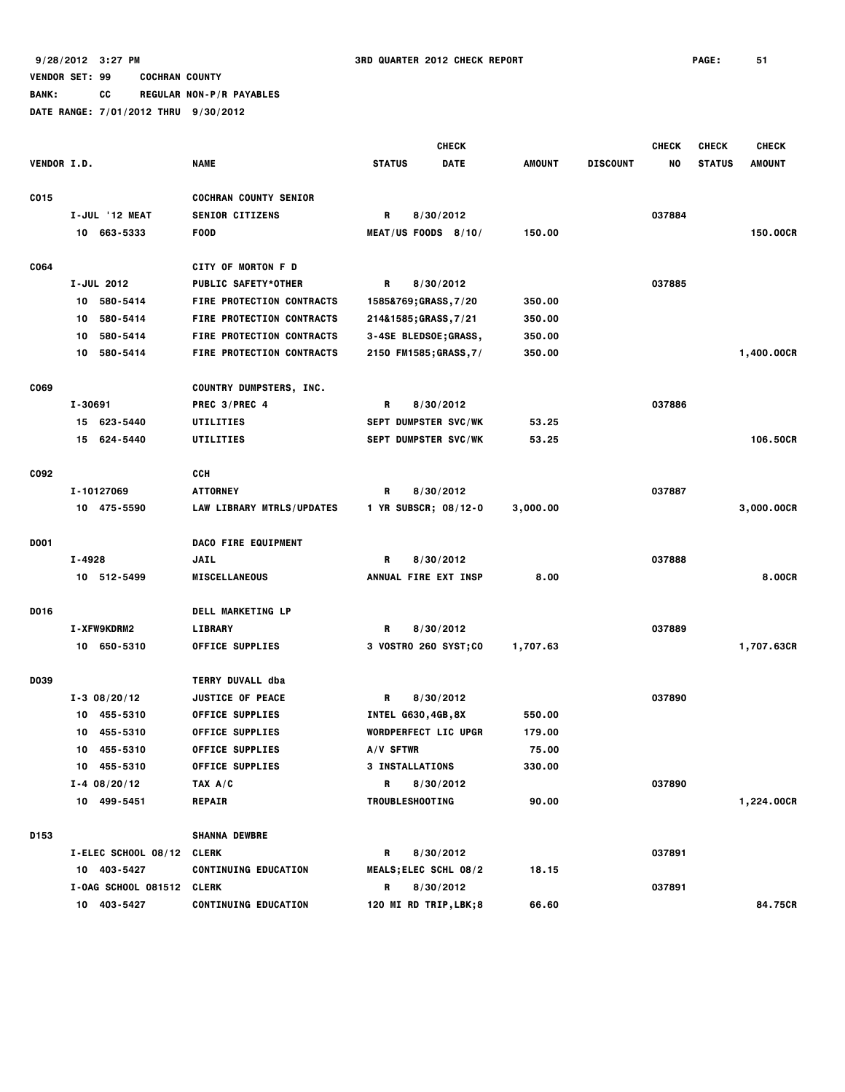**BANK: CC REGULAR NON-P/R PAYABLES**

|             |                           |                                  | <b>CHECK</b>                 |          |                 | <b>CHECK</b> | <b>CHECK</b>  | <b>CHECK</b>  |
|-------------|---------------------------|----------------------------------|------------------------------|----------|-----------------|--------------|---------------|---------------|
| VENDOR I.D. |                           | <b>NAME</b>                      | <b>STATUS</b><br><b>DATE</b> | AMOUNT   | <b>DISCOUNT</b> | NO           | <b>STATUS</b> | <b>AMOUNT</b> |
| C015        |                           | <b>COCHRAN COUNTY SENIOR</b>     |                              |          |                 |              |               |               |
|             | I-JUL '12 MEAT            | <b>SENIOR CITIZENS</b>           | R<br>8/30/2012               |          |                 | 037884       |               |               |
|             | 10 663-5333               | <b>FOOD</b>                      | MEAT/US FOODS $8/10/$        | 150.00   |                 |              |               | 150.00CR      |
| C064        |                           | <b>CITY OF MORTON F D</b>        |                              |          |                 |              |               |               |
|             | I-JUL 2012                | <b>PUBLIC SAFETY*OTHER</b>       | R<br>8/30/2012               |          |                 | 037885       |               |               |
|             | 580-5414<br>10            | <b>FIRE PROTECTION CONTRACTS</b> | 1585&769; GRASS, 7/20        | 350.00   |                 |              |               |               |
|             | 580-5414<br>10            | <b>FIRE PROTECTION CONTRACTS</b> | 214&1585;GRASS, 7/21         | 350.00   |                 |              |               |               |
|             | 580-5414<br>10            | <b>FIRE PROTECTION CONTRACTS</b> | 3-4SE BLEDSOE;GRASS,         | 350.00   |                 |              |               |               |
|             | 10 580-5414               | FIRE PROTECTION CONTRACTS        | 2150 FM1585; GRASS, 7/       | 350.00   |                 |              |               | 1,400.00CR    |
| C069        |                           | <b>COUNTRY DUMPSTERS, INC.</b>   |                              |          |                 |              |               |               |
|             | I-30691                   | PREC 3/PREC 4                    | R<br>8/30/2012               |          |                 | 037886       |               |               |
|             | 15 623-5440               | UTILITIES                        | <b>SEPT DUMPSTER SVC/WK</b>  | 53.25    |                 |              |               |               |
|             | 15 624-5440               | UTILITIES                        | SEPT DUMPSTER SVC/WK         | 53.25    |                 |              |               | 106,50CR      |
| C092        |                           | <b>CCH</b>                       |                              |          |                 |              |               |               |
|             | I-10127069                | ATTORNEY                         | R<br>8/30/2012               |          |                 | 037887       |               |               |
|             | 10 475-5590               | LAW LIBRARY MTRLS/UPDATES        | 1 YR SUBSCR; 08/12-0         | 3,000.00 |                 |              |               | 3,000.00CR    |
| <b>DO01</b> |                           | DACO FIRE EQUIPMENT              |                              |          |                 |              |               |               |
|             | I-4928                    | <b>JAIL</b>                      | 8/30/2012<br>R               |          |                 | 037888       |               |               |
|             | 10 512-5499               | <b>MISCELLANEOUS</b>             | ANNUAL FIRE EXT INSP         | 8.00     |                 |              |               | 8.00CR        |
| D016        |                           | DELL MARKETING LP                |                              |          |                 |              |               |               |
|             | I-XFW9KDRM2               | <b>LIBRARY</b>                   | R<br>8/30/2012               |          |                 | 037889       |               |               |
|             | 10 650-5310               | <b>OFFICE SUPPLIES</b>           | 3 VOSTRO 260 SYST;CO         | 1,707.63 |                 |              |               | 1,707.63CR    |
| <b>DO39</b> |                           | <b>TERRY DUVALL dba</b>          |                              |          |                 |              |               |               |
|             | $I - 3 \ 08/20/12$        | <b>JUSTICE OF PEACE</b>          | R<br>8/30/2012               |          |                 | 037890       |               |               |
|             | 455-5310<br>10            | <b>OFFICE SUPPLIES</b>           | INTEL G630,4GB,8X            | 550.00   |                 |              |               |               |
|             | 455-5310<br>10            | <b>OFFICE SUPPLIES</b>           | <b>WORDPERFECT LIC UPGR</b>  | 179.00   |                 |              |               |               |
|             | 10 455-5310               | <b>OFFICE SUPPLIES</b>           | $A/V$ SFTWR                  | 75.00    |                 |              |               |               |
|             | 10 455-5310               | <b>OFFICE SUPPLIES</b>           | 3 INSTALLATIONS              | 330.00   |                 |              |               |               |
|             | $I - 4 08/20/12$          | TAX A/C                          | 8/30/2012<br>R               |          |                 | 037890       |               |               |
|             | 10 499-5451               | <b>REPAIR</b>                    | <b>TROUBLESHOOTING</b>       | 90.00    |                 |              |               | 1,224.00CR    |
| D153        |                           | <b>SHANNA DEWBRE</b>             |                              |          |                 |              |               |               |
|             | I-ELEC SCHOOL 08/12 CLERK |                                  | R<br>8/30/2012               |          |                 | 037891       |               |               |
|             | 10 403-5427               | <b>CONTINUING EDUCATION</b>      | <b>MEALS; ELEC SCHL 08/2</b> | 18.15    |                 |              |               |               |
|             | I-OAG SCHOOL 081512 CLERK |                                  | 8/30/2012<br>R               |          |                 | 037891       |               |               |
|             | 10 403-5427               | <b>CONTINUING EDUCATION</b>      | 120 MI RD TRIP, LBK;8        | 66.60    |                 |              |               | 84.75CR       |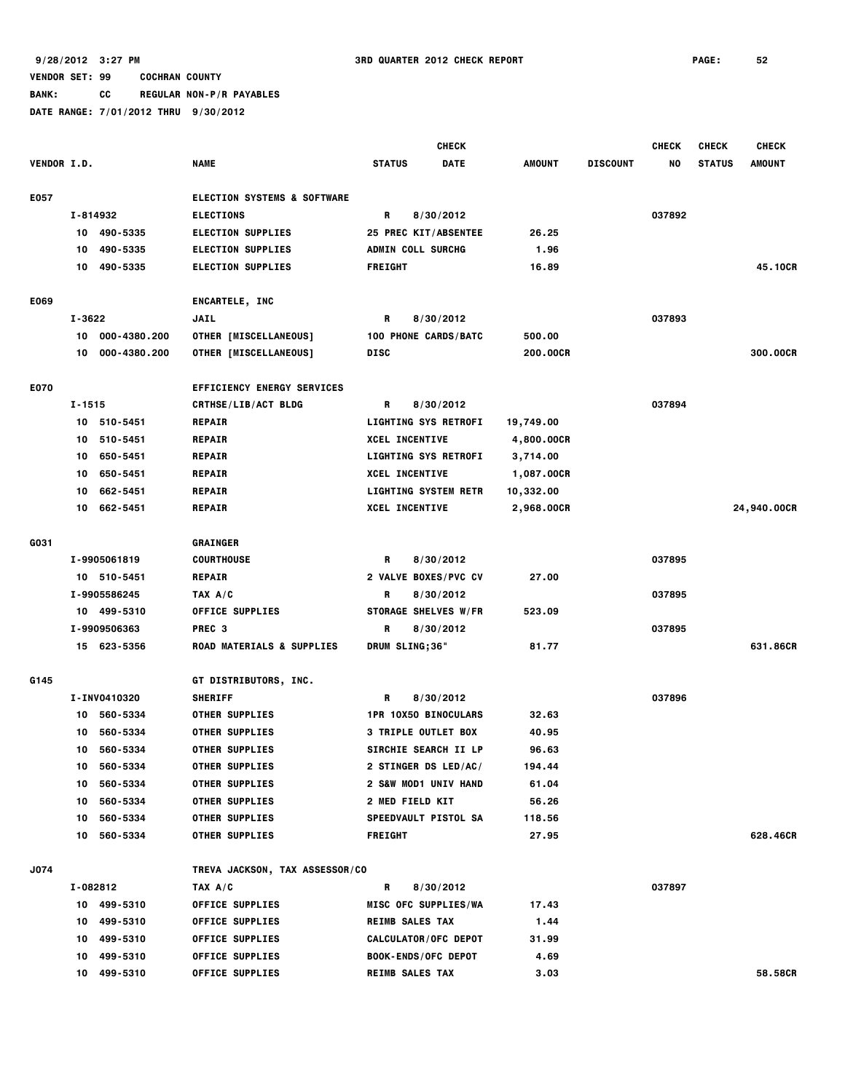|                    |          |              |                                                            |                          | <b>CHECK</b>                      |                 |                 | <b>CHECK</b> | <b>CHECK</b>  | <b>CHECK</b>  |
|--------------------|----------|--------------|------------------------------------------------------------|--------------------------|-----------------------------------|-----------------|-----------------|--------------|---------------|---------------|
| <b>VENDOR I.D.</b> |          |              | <b>NAME</b>                                                | <b>STATUS</b>            | <b>DATE</b>                       | <b>AMOUNT</b>   | <b>DISCOUNT</b> | NO.          | <b>STATUS</b> | <b>AMOUNT</b> |
|                    |          |              |                                                            |                          |                                   |                 |                 |              |               |               |
| E057               | I-814932 |              | <b>ELECTION SYSTEMS &amp; SOFTWARE</b><br><b>ELECTIONS</b> | R                        |                                   |                 |                 | 037892       |               |               |
|                    |          | 10 490-5335  | <b>ELECTION SUPPLIES</b>                                   |                          | 8/30/2012<br>25 PREC KIT/ABSENTEE | 26.25           |                 |              |               |               |
|                    | 10       | 490-5335     | <b>ELECTION SUPPLIES</b>                                   | <b>ADMIN COLL SURCHG</b> |                                   | 1.96            |                 |              |               |               |
|                    | 10       | 490-5335     | <b>ELECTION SUPPLIES</b>                                   | <b>FREIGHT</b>           |                                   | 16.89           |                 |              |               | 45.10CR       |
|                    |          |              |                                                            |                          |                                   |                 |                 |              |               |               |
| E069               |          |              | ENCARTELE, INC                                             |                          |                                   |                 |                 |              |               |               |
|                    | I-3622   |              | <b>JAIL</b>                                                | R                        | 8/30/2012                         |                 |                 | 037893       |               |               |
|                    | 10       | 000-4380.200 | <b>OTHER [MISCELLANEOUS]</b>                               |                          | 100 PHONE CARDS/BATC              | 500.00          |                 |              |               |               |
|                    | 10       | 000-4380.200 | <b>OTHER [MISCELLANEOUS]</b>                               | <b>DISC</b>              |                                   | <b>200.00CR</b> |                 |              |               | 300.00CR      |
| E070               |          |              | <b>EFFICIENCY ENERGY SERVICES</b>                          |                          |                                   |                 |                 |              |               |               |
|                    | I-1515   |              | <b>CRTHSE/LIB/ACT BLDG</b>                                 | R                        | 8/30/2012                         |                 |                 | 037894       |               |               |
|                    | 10       | 510-5451     | <b>REPAIR</b>                                              |                          | <b>LIGHTING SYS RETROFI</b>       | 19,749.00       |                 |              |               |               |
|                    | 10       | 510-5451     | <b>REPAIR</b>                                              | <b>XCEL INCENTIVE</b>    |                                   | 4,800.00CR      |                 |              |               |               |
|                    | 10       | 650-5451     | <b>REPAIR</b>                                              |                          | <b>LIGHTING SYS RETROFI</b>       | 3,714.00        |                 |              |               |               |
|                    | 10       | 650-5451     | <b>REPAIR</b>                                              | <b>XCEL INCENTIVE</b>    |                                   | 1,087.00CR      |                 |              |               |               |
|                    | 10       | 662-5451     | <b>REPAIR</b>                                              |                          | <b>LIGHTING SYSTEM RETR</b>       | 10,332.00       |                 |              |               |               |
|                    |          | 10 662-5451  | <b>REPAIR</b>                                              | <b>XCEL INCENTIVE</b>    |                                   | 2,968.00CR      |                 |              |               | 24,940.00CR   |
|                    |          |              |                                                            |                          |                                   |                 |                 |              |               |               |
| G031               |          |              | GRAINGER                                                   |                          |                                   |                 |                 |              |               |               |
|                    |          | I-9905061819 | <b>COURTHOUSE</b>                                          | R                        | 8/30/2012                         |                 |                 | 037895       |               |               |
|                    |          | 10 510-5451  | <b>REPAIR</b>                                              |                          | 2 VALVE BOXES/PVC CV              | 27.00           |                 |              |               |               |
|                    |          | I-9905586245 | TAX A/C                                                    | R                        | 8/30/2012                         |                 |                 | 037895       |               |               |
|                    |          | 10 499-5310  | <b>OFFICE SUPPLIES</b>                                     |                          | STORAGE SHELVES W/FR              | 523.09          |                 |              |               |               |
|                    |          | I-9909506363 | PREC <sub>3</sub>                                          | R                        | 8/30/2012                         |                 |                 | 037895       |               |               |
|                    |          | 15 623-5356  | <b>ROAD MATERIALS &amp; SUPPLIES</b>                       | DRUM SLING;36"           |                                   | 81.77           |                 |              |               | 631.86CR      |
| G145               |          |              | <b>GT DISTRIBUTORS, INC.</b>                               |                          |                                   |                 |                 |              |               |               |
|                    |          | I-INV0410320 | <b>SHERIFF</b>                                             | R                        | 8/30/2012                         |                 |                 | 037896       |               |               |
|                    | 10       | 560-5334     | <b>OTHER SUPPLIES</b>                                      |                          | 1PR 10X50 BINOCULARS              | 32.63           |                 |              |               |               |
|                    | 10       | 560-5334     | <b>OTHER SUPPLIES</b>                                      |                          | <b>3 TRIPLE OUTLET BOX</b>        | 40.95           |                 |              |               |               |
|                    | 10       | 560-5334     | <b>OTHER SUPPLIES</b>                                      |                          | SIRCHIE SEARCH II LP              | 96.63           |                 |              |               |               |
|                    | 10       | 560-5334     | <b>OTHER SUPPLIES</b>                                      |                          | 2 STINGER DS LED/AC/              | 194.44          |                 |              |               |               |
|                    | 10       | 560-5334     | <b>OTHER SUPPLIES</b>                                      |                          | 2 S&W MOD1 UNIV HAND              | 61.04           |                 |              |               |               |
|                    | 10       | 560-5334     | <b>OTHER SUPPLIES</b>                                      | <b>2 MED FIELD KIT</b>   |                                   | 56.26           |                 |              |               |               |
|                    | 10       | 560-5334     | <b>OTHER SUPPLIES</b>                                      |                          | SPEEDVAULT PISTOL SA              | 118.56          |                 |              |               |               |
|                    | 10       | 560-5334     | <b>OTHER SUPPLIES</b>                                      | <b>FREIGHT</b>           |                                   | 27.95           |                 |              |               | 628.46CR      |
|                    |          |              |                                                            |                          |                                   |                 |                 |              |               |               |
| <b>J074</b>        | I-082812 |              | TREVA JACKSON, TAX ASSESSOR/CO<br>TAX A/C                  | R                        | 8/30/2012                         |                 |                 | 037897       |               |               |
|                    |          | 10 499-5310  | <b>OFFICE SUPPLIES</b>                                     |                          | MISC OFC SUPPLIES/WA              | 17.43           |                 |              |               |               |
|                    |          | 10 499-5310  | OFFICE SUPPLIES                                            | <b>REIMB SALES TAX</b>   |                                   | 1.44            |                 |              |               |               |
|                    | 10       | 499-5310     | <b>OFFICE SUPPLIES</b>                                     |                          | <b>CALCULATOR/OFC DEPOT</b>       | 31.99           |                 |              |               |               |
|                    | 10       | 499-5310     | <b>OFFICE SUPPLIES</b>                                     |                          | <b>BOOK-ENDS/OFC DEPOT</b>        | 4.69            |                 |              |               |               |
|                    | 10       | 499-5310     | <b>OFFICE SUPPLIES</b>                                     | <b>REIMB SALES TAX</b>   |                                   | 3.03            |                 |              |               | 58.58CR       |
|                    |          |              |                                                            |                          |                                   |                 |                 |              |               |               |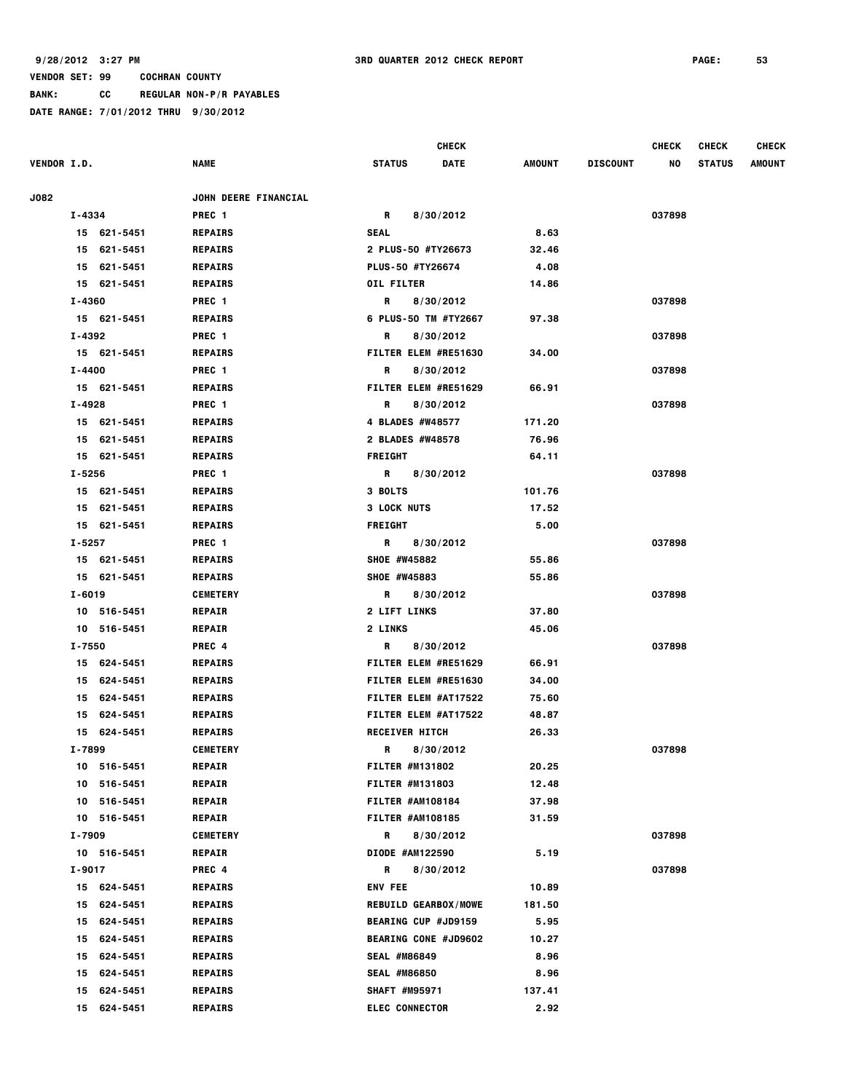**BANK: CC REGULAR NON-P/R PAYABLES**

|                            |                                     |                             | <b>CHECK</b>   |                 | <b>CHECK</b> | <b>CHECK</b>  | <b>CHECK</b> |
|----------------------------|-------------------------------------|-----------------------------|----------------|-----------------|--------------|---------------|--------------|
| <b>VENDOR I.D.</b>         | <b>NAME</b>                         | <b>STATUS</b>               | DATE<br>AMOUNT | <b>DISCOUNT</b> | NO           | <b>STATUS</b> | AMOUNT       |
| <b>J082</b>                | JOHN DEERE FINANCIAL                |                             |                |                 |              |               |              |
| I-4334                     | PREC <sub>1</sub>                   | R                           | 8/30/2012      |                 | 037898       |               |              |
| 15 621-5451                | <b>REPAIRS</b>                      | SEAL                        |                | 8.63            |              |               |              |
| 15 621-5451                |                                     | 2 PLUS-50 #TY26673          |                | 32.46           |              |               |              |
|                            | <b>REPAIRS</b>                      | PLUS-50 #TY26674            |                | 4.08            |              |               |              |
| 15 621-5451<br>15 621-5451 | <b>REPAIRS</b>                      | <b>OIL FILTER</b>           |                | 14.86           |              |               |              |
| I-4360                     | <b>REPAIRS</b>                      | R                           | 8/30/2012      |                 | 037898       |               |              |
|                            | PREC 1                              | 6 PLUS-50 TM #TY2667        |                |                 |              |               |              |
| 15 621-5451<br>I-4392      | <b>REPAIRS</b><br>PREC <sub>1</sub> |                             | 8/30/2012      | 97.38           | 037898       |               |              |
|                            |                                     | R                           |                |                 |              |               |              |
| 15 621-5451                | <b>REPAIRS</b>                      | FILTER ELEM #RE51630        |                | 34.00           |              |               |              |
| I-4400                     | PREC <sub>1</sub>                   | R                           | 8/30/2012      |                 | 037898       |               |              |
| 15 621-5451                | <b>REPAIRS</b>                      | FILTER ELEM #RE51629        |                | 66.91           |              |               |              |
| I-4928                     | PREC 1                              | R                           | 8/30/2012      |                 | 037898       |               |              |
| 15 621-5451                | <b>REPAIRS</b>                      | 4 BLADES #W48577            | 171.20         |                 |              |               |              |
| 15 621-5451                | <b>REPAIRS</b>                      | 2 BLADES #W48578            |                | 76.96           |              |               |              |
| 15 621-5451                | <b>REPAIRS</b>                      | <b>FREIGHT</b>              |                | 64.11           |              |               |              |
| I-5256                     | PREC <sub>1</sub>                   | R                           | 8/30/2012      |                 | 037898       |               |              |
| 15 621-5451                | <b>REPAIRS</b>                      | 3 BOLTS                     | 101.76         |                 |              |               |              |
| 15 621-5451                | <b>REPAIRS</b>                      | <b>3 LOCK NUTS</b>          |                | 17.52           |              |               |              |
| 15 621-5451                | <b>REPAIRS</b>                      | <b>FREIGHT</b>              |                | 5.00            |              |               |              |
| I-5257                     | PREC <sub>1</sub>                   | R                           | 8/30/2012      |                 | 037898       |               |              |
| 15 621-5451                | <b>REPAIRS</b>                      | SHOE #W45882                |                | 55.86           |              |               |              |
| 15 621-5451                | <b>REPAIRS</b>                      | SHOE #W45883                |                | 55.86           |              |               |              |
| I-6019                     | <b>CEMETERY</b>                     | R                           | 8/30/2012      |                 | 037898       |               |              |
| 10 516-5451                | <b>REPAIR</b>                       | 2 LIFT LINKS                |                | 37.80           |              |               |              |
| 10 516-5451                | <b>REPAIR</b>                       | 2 LINKS                     |                | 45.06           |              |               |              |
| I-7550                     | PREC 4                              | R                           | 8/30/2012      |                 | 037898       |               |              |
| 15 624-5451                | <b>REPAIRS</b>                      | FILTER ELEM #RE51629        |                | 66.91           |              |               |              |
| 15 624-5451                | <b>REPAIRS</b>                      | FILTER ELEM #RE51630        |                | 34.00           |              |               |              |
| 15 624-5451                | <b>REPAIRS</b>                      | FILTER ELEM #AT17522        |                | 75.60           |              |               |              |
| 15 624-5451                | <b>REPAIRS</b>                      | FILTER ELEM #AT17522        |                | 48.87           |              |               |              |
| 624-5451<br>15             | <b>REPAIRS</b>                      | RECEIVER HITCH              |                | 26.33           |              |               |              |
| I-7899                     | <b>CEMETERY</b>                     | R                           | 8/30/2012      |                 | 037898       |               |              |
| 10 516-5451                | <b>REPAIR</b>                       | <b>FILTER #M131802</b>      |                | 20.25           |              |               |              |
| 10 516-5451                | <b>REPAIR</b>                       | FILTER #M131803             |                | 12.48           |              |               |              |
| 10 516-5451                | <b>REPAIR</b>                       | FILTER #AM108184            |                | 37.98           |              |               |              |
| 10 516-5451                | <b>REPAIR</b>                       | <b>FILTER #AM108185</b>     |                | 31.59           |              |               |              |
| I-7909                     | <b>CEMETERY</b>                     | R                           | 8/30/2012      |                 | 037898       |               |              |
| 10 516-5451                | <b>REPAIR</b>                       | DIODE #AM122590             |                | 5.19            |              |               |              |
| I-9017                     | PREC 4                              | R                           | 8/30/2012      |                 | 037898       |               |              |
| 15 624-5451                | <b>REPAIRS</b>                      | <b>ENV FEE</b>              |                | 10.89           |              |               |              |
| 15 624-5451                | <b>REPAIRS</b>                      | <b>REBUILD GEARBOX/MOWE</b> | 181.50         |                 |              |               |              |
| 15 624-5451                | <b>REPAIRS</b>                      | <b>BEARING CUP #JD9159</b>  |                | 5.95            |              |               |              |
| 624-5451<br>15             | <b>REPAIRS</b>                      | <b>BEARING CONE #JD9602</b> |                | 10.27           |              |               |              |
| 624-5451<br>15             | <b>REPAIRS</b>                      | SEAL #M86849                |                | 8.96            |              |               |              |
| 624-5451<br>15             | REPAIRS                             | <b>SEAL #M86850</b>         |                | 8.96            |              |               |              |
| 15 624-5451                | <b>REPAIRS</b>                      | SHAFT #M95971               | 137.41         |                 |              |               |              |
| 624-5451<br>15             | <b>REPAIRS</b>                      | <b>ELEC CONNECTOR</b>       |                | 2.92            |              |               |              |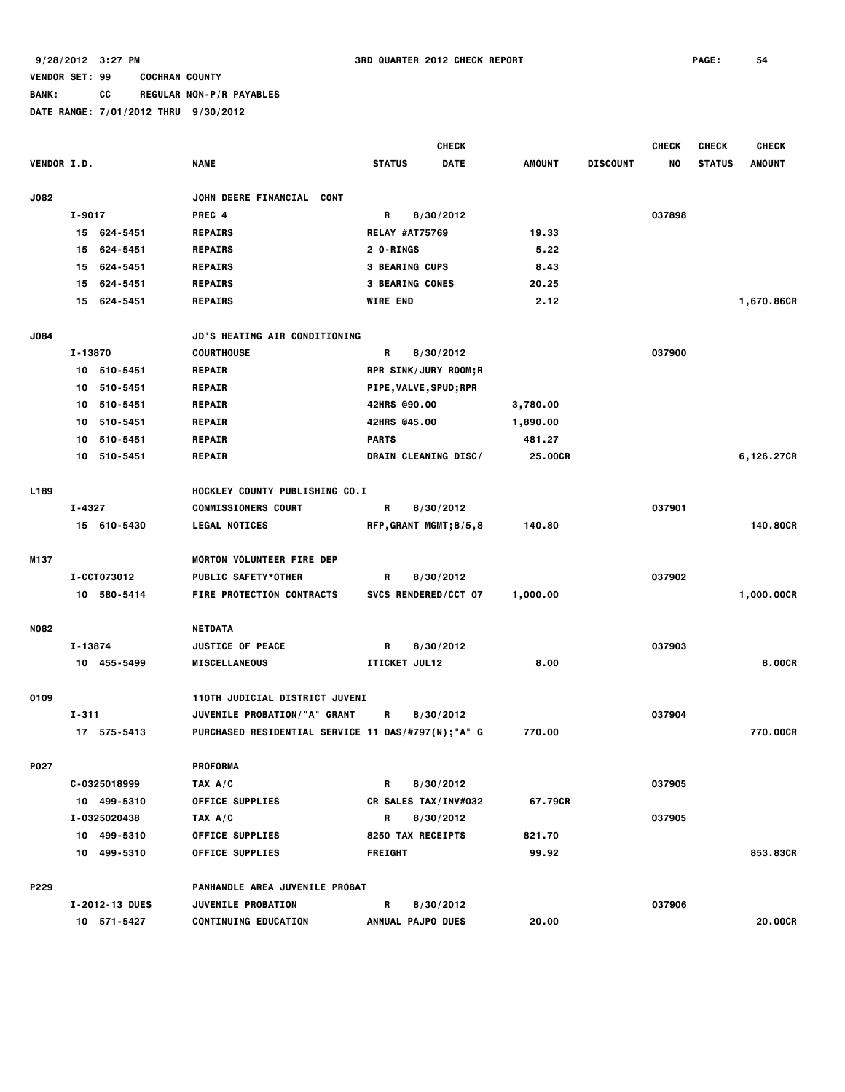**BANK: CC REGULAR NON-P/R PAYABLES**

|                    |         |                |                                                     |                 | <b>CHECK</b>                  |               |                 | <b>CHECK</b> | <b>CHECK</b>  | <b>CHECK</b>  |
|--------------------|---------|----------------|-----------------------------------------------------|-----------------|-------------------------------|---------------|-----------------|--------------|---------------|---------------|
| <b>VENDOR I.D.</b> |         |                | <b>NAME</b>                                         | <b>STATUS</b>   | <b>DATE</b>                   | <b>AMOUNT</b> | <b>DISCOUNT</b> | NO           | <b>STATUS</b> | <b>AMOUNT</b> |
| <b>J082</b>        |         |                | JOHN DEERE FINANCIAL CONT                           |                 |                               |               |                 |              |               |               |
|                    | I-9017  |                | PREC 4                                              | R               | 8/30/2012                     |               |                 | 037898       |               |               |
|                    |         | 15 624-5451    | <b>REPAIRS</b>                                      |                 | <b>RELAY #AT75769</b>         | 19.33         |                 |              |               |               |
|                    | 15      | 624-5451       | <b>REPAIRS</b>                                      | 2 O-RINGS       |                               | 5.22          |                 |              |               |               |
|                    | 15      | 624-5451       | <b>REPAIRS</b>                                      |                 | <b>3 BEARING CUPS</b>         | 8.43          |                 |              |               |               |
|                    | 15      | 624-5451       | <b>REPAIRS</b>                                      |                 | <b>3 BEARING CONES</b>        | 20.25         |                 |              |               |               |
|                    | 15      | 624-5451       | <b>REPAIRS</b>                                      | <b>WIRE END</b> |                               | 2.12          |                 |              |               | 1,670.86CR    |
| <b>J084</b>        |         |                | JD'S HEATING AIR CONDITIONING                       |                 |                               |               |                 |              |               |               |
|                    | I-13870 |                | <b>COURTHOUSE</b>                                   | R               | 8/30/2012                     |               |                 | 037900       |               |               |
|                    |         | 10 510-5451    | <b>REPAIR</b>                                       |                 | <b>RPR SINK/JURY ROOM;R</b>   |               |                 |              |               |               |
|                    |         | 10 510-5451    | <b>REPAIR</b>                                       |                 | <b>PIPE, VALVE, SPUD; RPR</b> |               |                 |              |               |               |
|                    | 10      | 510-5451       | <b>REPAIR</b>                                       |                 | 42HRS @90.00                  | 3,780.00      |                 |              |               |               |
|                    | 10      | 510-5451       | <b>REPAIR</b>                                       |                 | 42HRS @45.00                  | 1,890.00      |                 |              |               |               |
|                    | 10      | 510-5451       | <b>REPAIR</b>                                       | <b>PARTS</b>    |                               | 481.27        |                 |              |               |               |
|                    |         | 10 510-5451    | <b>REPAIR</b>                                       |                 | DRAIN CLEANING DISC/          | 25,00CR       |                 |              |               | 6,126.27CR    |
| L189               |         |                | HOCKLEY COUNTY PUBLISHING CO.I                      |                 |                               |               |                 |              |               |               |
|                    | I-4327  |                | <b>COMMISSIONERS COURT</b>                          | R               | 8/30/2012                     |               |                 | 037901       |               |               |
|                    |         | 15 610-5430    | <b>LEGAL NOTICES</b>                                |                 | RFP, GRANT MGMT; 8/5, 8       | 140.80        |                 |              |               | 140.80CR      |
| M137               |         |                | MORTON VOLUNTEER FIRE DEP                           |                 |                               |               |                 |              |               |               |
|                    |         | I-CCT073012    | <b>PUBLIC SAFETY*OTHER</b>                          | R               | 8/30/2012                     |               |                 | 037902       |               |               |
|                    |         | 10 580-5414    | <b>FIRE PROTECTION CONTRACTS</b>                    |                 | SVCS RENDERED/CCT 07          | 1,000.00      |                 |              |               | 1,000.00CR    |
| <b>N082</b>        |         |                | <b>NETDATA</b>                                      |                 |                               |               |                 |              |               |               |
|                    | I-13874 |                | <b>JUSTICE OF PEACE</b>                             | R               | 8/30/2012                     |               |                 | 037903       |               |               |
|                    |         | 10 455-5499    | <b>MISCELLANEOUS</b>                                |                 | ITICKET JUL12                 | 8.00          |                 |              |               | 8.00CR        |
| 0109               |         |                | 110TH JUDICIAL DISTRICT JUVENI                      |                 |                               |               |                 |              |               |               |
|                    | I-311   |                | JUVENILE PROBATION/"A" GRANT                        | R               | 8/30/2012                     |               |                 | 037904       |               |               |
|                    |         | 17 575-5413    | PURCHASED RESIDENTIAL SERVICE 11 DAS/#797(N); "A" G |                 |                               | 770.00        |                 |              |               | 770.00CR      |
| P027               |         |                | <b>PROFORMA</b>                                     |                 |                               |               |                 |              |               |               |
|                    |         | C-0325018999   | TAX A/C                                             | R               | 8/30/2012                     |               |                 | 037905       |               |               |
|                    |         | 10 499-5310    | <b>OFFICE SUPPLIES</b>                              |                 | CR SALES TAX/INV#032          | 67.79CR       |                 |              |               |               |
|                    |         | I-0325020438   | TAX A/C                                             | R               | 8/30/2012                     |               |                 | 037905       |               |               |
|                    |         | 10 499-5310    | <b>OFFICE SUPPLIES</b>                              |                 | 8250 TAX RECEIPTS             | 821.70        |                 |              |               |               |
|                    |         | 10 499-5310    | <b>OFFICE SUPPLIES</b>                              | <b>FREIGHT</b>  |                               | 99.92         |                 |              |               | 853.83CR      |
| P229               |         |                | PANHANDLE AREA JUVENILE PROBAT                      |                 |                               |               |                 |              |               |               |
|                    |         | I-2012-13 DUES | JUVENILE PROBATION                                  | R               | 8/30/2012                     |               |                 | 037906       |               |               |
|                    |         | 10 571-5427    | <b>CONTINUING EDUCATION</b>                         |                 | <b>ANNUAL PAJPO DUES</b>      | 20.00         |                 |              |               | 20.00CR       |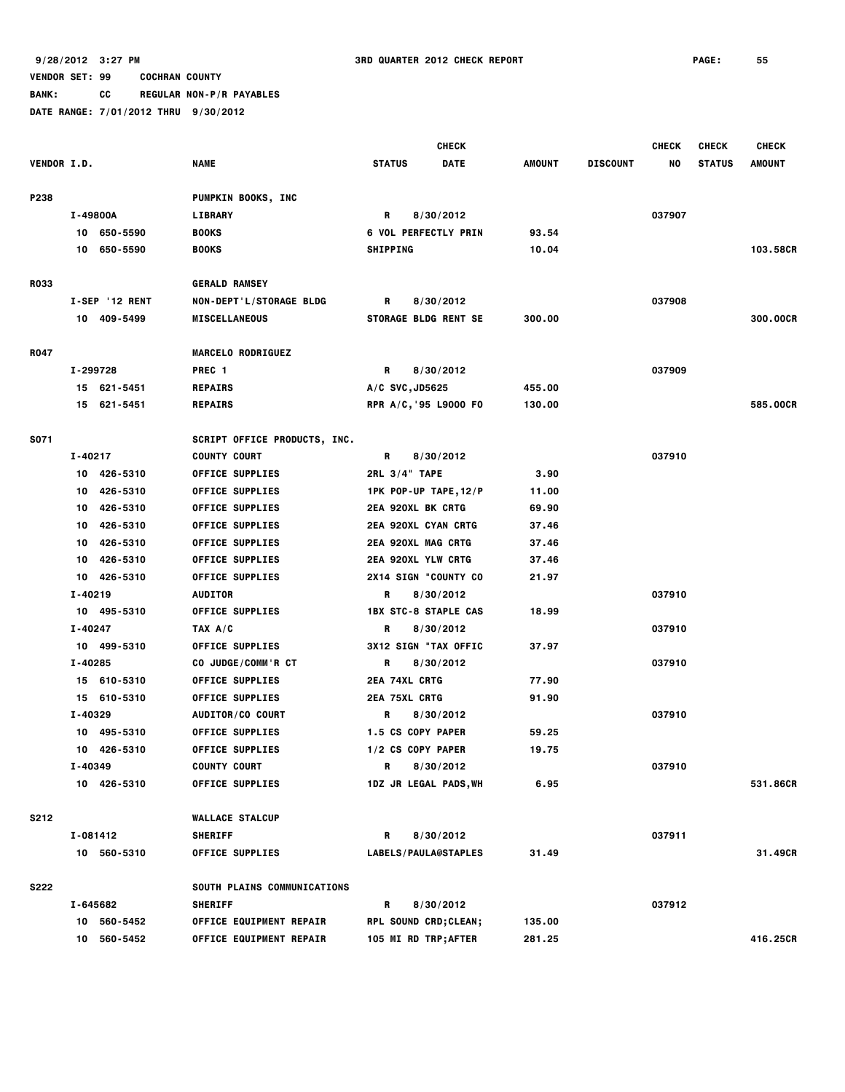**BANK: CC REGULAR NON-P/R PAYABLES**

|                    |                |                                | <b>CHECK</b>                 |        |                 | <b>CHECK</b> | <b>CHECK</b>  | <b>CHECK</b>  |
|--------------------|----------------|--------------------------------|------------------------------|--------|-----------------|--------------|---------------|---------------|
| <b>VENDOR I.D.</b> |                | <b>NAME</b>                    | <b>STATUS</b><br><b>DATE</b> | AMOUNT | <b>DISCOUNT</b> | NO           | <b>STATUS</b> | <b>AMOUNT</b> |
| P238               |                | PUMPKIN BOOKS, INC             |                              |        |                 |              |               |               |
|                    | I-49800A       | <b>LIBRARY</b>                 | R<br>8/30/2012               |        |                 | 037907       |               |               |
|                    | 10 650-5590    | <b>BOOKS</b>                   | <b>6 VOL PERFECTLY PRIN</b>  | 93.54  |                 |              |               |               |
|                    | 10 650-5590    | <b>BOOKS</b>                   | <b>SHIPPING</b>              | 10.04  |                 |              |               | 103.58CR      |
| <b>R033</b>        |                | <b>GERALD RAMSEY</b>           |                              |        |                 |              |               |               |
|                    | I-SEP '12 RENT | NON-DEPT'L/STORAGE BLDG        | R<br>8/30/2012               |        |                 | 037908       |               |               |
|                    | 10 409-5499    | <b>MISCELLANEOUS</b>           | <b>STORAGE BLDG RENT SE</b>  | 300.00 |                 |              |               | 300.00CR      |
| R047               |                | <b>MARCELO RODRIGUEZ</b>       |                              |        |                 |              |               |               |
|                    | I-299728       | PREC <sub>1</sub>              | R<br>8/30/2012               |        |                 | 037909       |               |               |
|                    | 15 621-5451    | <b>REPAIRS</b>                 | $A/C$ SVC, JD5625            | 455.00 |                 |              |               |               |
|                    | 15 621-5451    | <b>REPAIRS</b>                 | RPR A/C, 95 L9000 FO         | 130.00 |                 |              |               | 585,00CR      |
| S071               |                | SCRIPT OFFICE PRODUCTS, INC.   |                              |        |                 |              |               |               |
|                    | I-40217        | <b>COUNTY COURT</b>            | R<br>8/30/2012               |        |                 | 037910       |               |               |
|                    | 10 426-5310    | <b>OFFICE SUPPLIES</b>         | 2RL 3/4" TAPE                | 3.90   |                 |              |               |               |
|                    | 426-5310<br>10 | <b>OFFICE SUPPLIES</b>         | 1PK POP-UP TAPE, 12/P        | 11.00  |                 |              |               |               |
|                    | 426-5310<br>10 | <b>OFFICE SUPPLIES</b>         | <b>2EA 920XL BK CRTG</b>     | 69.90  |                 |              |               |               |
|                    | 426-5310<br>10 | <b>OFFICE SUPPLIES</b>         | 2EA 920XL CYAN CRTG          | 37.46  |                 |              |               |               |
|                    | 426-5310<br>10 | <b>OFFICE SUPPLIES</b>         | 2EA 920XL MAG CRTG           | 37.46  |                 |              |               |               |
|                    | 426-5310<br>10 | <b>OFFICE SUPPLIES</b>         | <b>2EA 920XL YLW CRTG</b>    | 37.46  |                 |              |               |               |
|                    | 10 426-5310    | <b>OFFICE SUPPLIES</b>         | 2X14 SIGN "COUNTY CO         | 21.97  |                 |              |               |               |
|                    | I-40219        | <b>AUDITOR</b>                 | R<br>8/30/2012               |        |                 | 037910       |               |               |
|                    | 10 495-5310    | <b>OFFICE SUPPLIES</b>         | <b>1BX STC-8 STAPLE CAS</b>  | 18.99  |                 |              |               |               |
|                    | I-40247        | TAX A/C                        | R<br>8/30/2012               |        |                 | 037910       |               |               |
|                    | 10 499-5310    | <b>OFFICE SUPPLIES</b>         | 3X12 SIGN "TAX OFFIC         | 37.97  |                 |              |               |               |
|                    | I-40285        | CO JUDGE/COMM'R CT             | R<br>8/30/2012               |        |                 | 037910       |               |               |
|                    | 15 610-5310    | <b>OFFICE SUPPLIES</b>         | 2EA 74XL CRTG                | 77.90  |                 |              |               |               |
|                    | 15 610-5310    | <b>OFFICE SUPPLIES</b>         | <b>2EA 75XL CRTG</b>         | 91.90  |                 |              |               |               |
|                    | I-40329        | AUDITOR/CO COURT               | 8/30/2012<br>R               |        |                 | 037910       |               |               |
|                    | 10 495-5310    | OFFICE SUPPLIES                | 1.5 CS COPY PAPER            | 59.25  |                 |              |               |               |
|                    | 10 426-5310    | <b>OFFICE SUPPLIES</b>         | 1/2 CS COPY PAPER            | 19.75  |                 |              |               |               |
|                    | I-40349        | <b>COUNTY COURT</b>            | 8/30/2012<br>R               |        |                 | 037910       |               |               |
|                    | 10 426-5310    | <b>OFFICE SUPPLIES</b>         | 1DZ JR LEGAL PADS, WH        | 6.95   |                 |              |               | 531.86CR      |
| S212               |                | <b>WALLACE STALCUP</b>         |                              |        |                 |              |               |               |
|                    | I-081412       | <b>SHERIFF</b>                 | R<br>8/30/2012               |        |                 | 037911       |               |               |
|                    | 10 560-5310    | <b>OFFICE SUPPLIES</b>         | LABELS/PAULA@STAPLES         | 31.49  |                 |              |               | 31.49CR       |
| <b>S222</b>        |                | SOUTH PLAINS COMMUNICATIONS    |                              |        |                 |              |               |               |
|                    | I-645682       | <b>SHERIFF</b>                 | R<br>8/30/2012               |        |                 | 037912       |               |               |
|                    | 10 560-5452    | <b>OFFICE EQUIPMENT REPAIR</b> | <b>RPL SOUND CRD; CLEAN;</b> | 135.00 |                 |              |               |               |
|                    | 10 560-5452    | <b>OFFICE EQUIPMENT REPAIR</b> | 105 MI RD TRP; AFTER         | 281.25 |                 |              |               | 416.25CR      |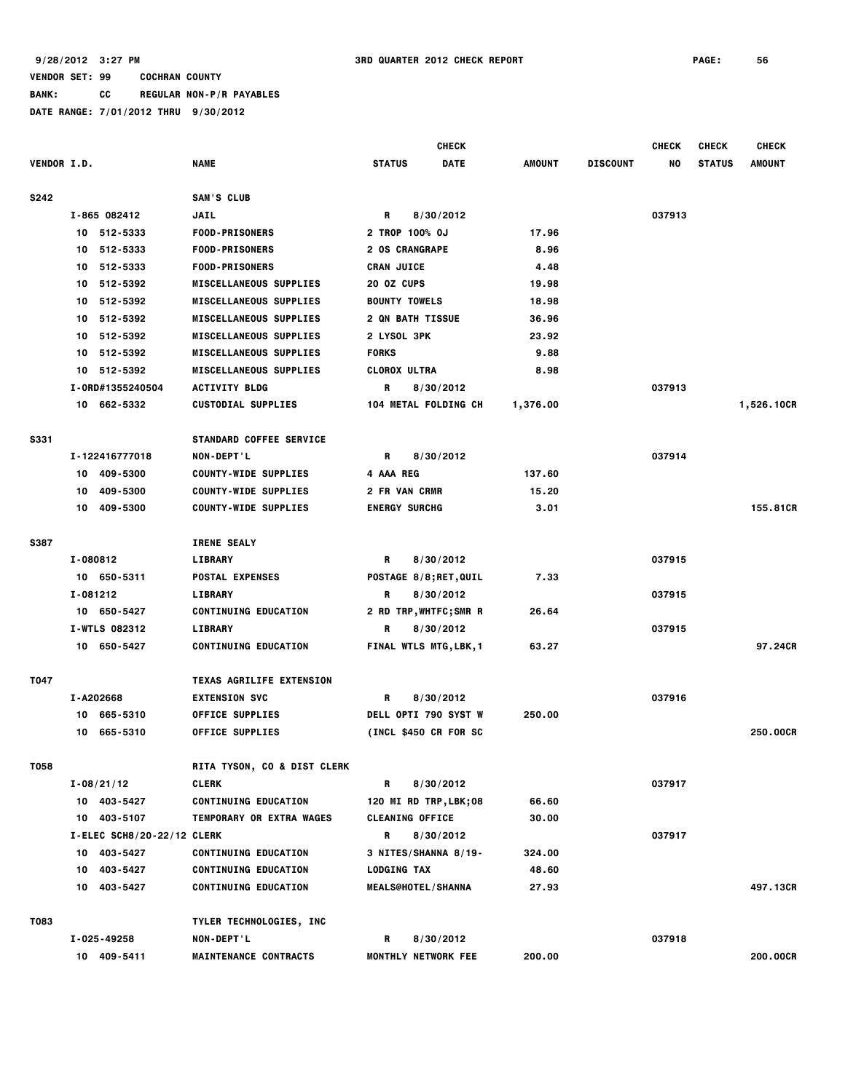**BANK: CC REGULAR NON-P/R PAYABLES**

|                    |          |                              |                                 |                     |                             | <b>CHECK</b> |               |                 | <b>CHECK</b> | <b>CHECK</b>  | <b>CHECK</b>  |
|--------------------|----------|------------------------------|---------------------------------|---------------------|-----------------------------|--------------|---------------|-----------------|--------------|---------------|---------------|
| <b>VENDOR I.D.</b> |          |                              | <b>NAME</b>                     | <b>STATUS</b>       |                             | <b>DATE</b>  | <b>AMOUNT</b> | <b>DISCOUNT</b> | NO           | <b>STATUS</b> | <b>AMOUNT</b> |
| S242               |          |                              | SAM'S CLUB                      |                     |                             |              |               |                 |              |               |               |
|                    |          | I-865 082412                 | <b>JAIL</b>                     | R                   | 8/30/2012                   |              |               |                 | 037913       |               |               |
|                    |          | 10 512-5333                  | <b>FOOD-PRISONERS</b>           |                     | 2 TROP 100% OJ              |              | 17.96         |                 |              |               |               |
|                    | 10       | 512-5333                     | <b>FOOD-PRISONERS</b>           |                     | <b>2 OS CRANGRAPE</b>       |              | 8.96          |                 |              |               |               |
|                    | 10       | 512-5333                     | <b>FOOD-PRISONERS</b>           | <b>CRAN JUICE</b>   |                             |              | 4.48          |                 |              |               |               |
|                    | 10.      | 512-5392                     | <b>MISCELLANEOUS SUPPLIES</b>   | 20 OZ CUPS          |                             |              | 19.98         |                 |              |               |               |
|                    | 10       | 512-5392                     | <b>MISCELLANEOUS SUPPLIES</b>   |                     | <b>BOUNTY TOWELS</b>        |              | 18.98         |                 |              |               |               |
|                    | 10       | 512-5392                     | <b>MISCELLANEOUS SUPPLIES</b>   |                     | <b>2 QN BATH TISSUE</b>     |              | 36.96         |                 |              |               |               |
|                    |          | 10 512-5392                  | <b>MISCELLANEOUS SUPPLIES</b>   | 2 LYSOL 3PK         |                             |              | 23.92         |                 |              |               |               |
|                    |          | 10 512-5392                  | <b>MISCELLANEOUS SUPPLIES</b>   | <b>FORKS</b>        |                             |              | 9.88          |                 |              |               |               |
|                    |          | 10 512-5392                  | <b>MISCELLANEOUS SUPPLIES</b>   | <b>CLOROX ULTRA</b> |                             |              | 8.98          |                 |              |               |               |
|                    |          | I-0RD#1355240504             | <b>ACTIVITY BLDG</b>            | R                   | 8/30/2012                   |              |               |                 | 037913       |               |               |
|                    |          | 10 662-5332                  | <b>CUSTODIAL SUPPLIES</b>       |                     | 104 METAL FOLDING CH        |              | 1,376.00      |                 |              |               | 1,526.10CR    |
| <b>S331</b>        |          |                              | <b>STANDARD COFFEE SERVICE</b>  |                     |                             |              |               |                 |              |               |               |
|                    |          | I-122416777018               | <b>NON-DEPT'L</b>               | R                   | 8/30/2012                   |              |               |                 | 037914       |               |               |
|                    | 10       | 409-5300                     | <b>COUNTY-WIDE SUPPLIES</b>     | 4 AAA REG           |                             |              | 137.60        |                 |              |               |               |
|                    | 10       | 409-5300                     | <b>COUNTY-WIDE SUPPLIES</b>     |                     | 2 FR VAN CRMR               |              | 15.20         |                 |              |               |               |
|                    | 10       | 409-5300                     | <b>COUNTY-WIDE SUPPLIES</b>     |                     | <b>ENERGY SURCHG</b>        |              | 3.01          |                 |              |               | 155,81CR      |
|                    |          |                              |                                 |                     |                             |              |               |                 |              |               |               |
| S387               |          |                              | <b>IRENE SEALY</b>              |                     |                             |              |               |                 |              |               |               |
|                    | I-080812 |                              | <b>LIBRARY</b>                  | R                   | 8/30/2012                   |              |               |                 | 037915       |               |               |
|                    |          | 10 650-5311                  | <b>POSTAL EXPENSES</b>          |                     | POSTAGE 8/8; RET, QUIL      |              | 7.33          |                 |              |               |               |
|                    | I-081212 |                              | <b>LIBRARY</b>                  | R                   | 8/30/2012                   |              |               |                 | 037915       |               |               |
|                    |          | 10 650-5427                  | <b>CONTINUING EDUCATION</b>     |                     | <b>2 RD TRP,WHTFC;SMR R</b> |              | 26.64         |                 |              |               |               |
|                    |          | I-WTLS 082312                | <b>LIBRARY</b>                  | R                   | 8/30/2012                   |              |               |                 | 037915       |               | 97.24CR       |
|                    |          | 10 650-5427                  | <b>CONTINUING EDUCATION</b>     |                     | FINAL WTLS MTG, LBK, 1      |              | 63.27         |                 |              |               |               |
| T047               |          |                              | <b>TEXAS AGRILIFE EXTENSION</b> |                     |                             |              |               |                 |              |               |               |
|                    |          | I-A202668                    | <b>EXTENSION SVC</b>            | R.                  | 8/30/2012                   |              |               |                 | 037916       |               |               |
|                    | 10       | 665-5310                     | <b>OFFICE SUPPLIES</b>          |                     | <b>DELL OPTI 790 SYST W</b> |              | 250.00        |                 |              |               |               |
|                    | 10       | 665-5310                     | <b>OFFICE SUPPLIES</b>          |                     | (INCL \$450 CR FOR SC       |              |               |                 |              |               | 250.00CR      |
| T058               |          |                              | RITA TYSON, CO & DIST CLERK     |                     |                             |              |               |                 |              |               |               |
|                    |          | $I - 08/21/12$               | <b>CLERK</b>                    | R                   | 8/30/2012                   |              |               |                 | 037917       |               |               |
|                    |          | 10 403-5427                  | <b>CONTINUING EDUCATION</b>     |                     | 120 MI RD TRP, LBK; 08      |              | 66.60         |                 |              |               |               |
|                    |          | 10 403-5107                  | TEMPORARY OR EXTRA WAGES        |                     | <b>CLEANING OFFICE</b>      |              | 30.00         |                 |              |               |               |
|                    |          | $I-ELEC$ SCH8/20-22/12 CLERK |                                 | R                   | 8/30/2012                   |              |               |                 | 037917       |               |               |
|                    |          | 10 403-5427                  | <b>CONTINUING EDUCATION</b>     |                     | 3 NITES/SHANNA 8/19-        |              | 324.00        |                 |              |               |               |
|                    |          | 10 403-5427                  | <b>CONTINUING EDUCATION</b>     | <b>LODGING TAX</b>  |                             |              | 48.60         |                 |              |               |               |
|                    |          | 10 403-5427                  | <b>CONTINUING EDUCATION</b>     |                     | <b>MEALS@HOTEL/SHANNA</b>   |              | 27.93         |                 |              |               | 497.13CR      |
| T083               |          |                              | TYLER TECHNOLOGIES, INC         |                     |                             |              |               |                 |              |               |               |
|                    |          | I-025-49258                  | NON-DEPT'L                      | R                   | 8/30/2012                   |              |               |                 | 037918       |               |               |
|                    |          | 10 409-5411                  | <b>MAINTENANCE CONTRACTS</b>    |                     | <b>MONTHLY NETWORK FEE</b>  |              | 200.00        |                 |              |               | 200.00CR      |
|                    |          |                              |                                 |                     |                             |              |               |                 |              |               |               |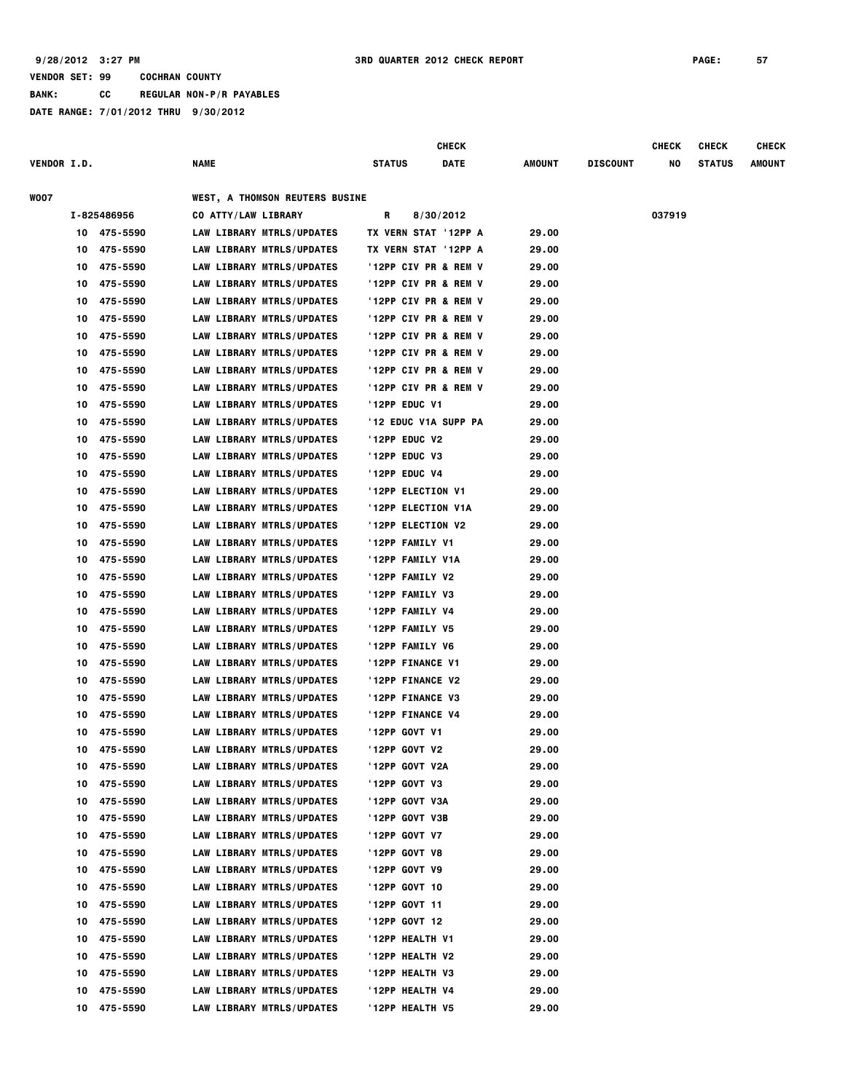|                    |    |             |                                       |               | <b>CHECK</b>         |        |                 | CHECK  | <b>CHECK</b>  | <b>CHECK</b>  |
|--------------------|----|-------------|---------------------------------------|---------------|----------------------|--------|-----------------|--------|---------------|---------------|
| <b>VENDOR I.D.</b> |    |             | NAME                                  | <b>STATUS</b> | <b>DATE</b>          | AMOUNT | <b>DISCOUNT</b> | NO     | <b>STATUS</b> | <b>AMOUNT</b> |
| WOO7               |    |             | <b>WEST, A THOMSON REUTERS BUSINE</b> |               |                      |        |                 |        |               |               |
|                    |    | I-825486956 | CO ATTY/LAW LIBRARY                   | R             | 8/30/2012            |        |                 | 037919 |               |               |
|                    | 10 | 475-5590    | LAW LIBRARY MTRLS/UPDATES             |               | TX VERN STAT '12PP A | 29.00  |                 |        |               |               |
|                    | 10 | 475-5590    | LAW LIBRARY MTRLS/UPDATES             |               | TX VERN STAT '12PP A | 29.00  |                 |        |               |               |
|                    | 10 | 475-5590    | LAW LIBRARY MTRLS/UPDATES             |               | '12PP CIV PR & REM V | 29.00  |                 |        |               |               |
|                    | 10 | 475-5590    | <b>LAW LIBRARY MTRLS/UPDATES</b>      |               | '12PP CIV PR & REM V | 29.00  |                 |        |               |               |
|                    | 10 | 475-5590    | <b>LAW LIBRARY MTRLS/UPDATES</b>      |               | '12PP CIV PR & REM V | 29.00  |                 |        |               |               |
|                    | 10 | 475-5590    | <b>LAW LIBRARY MTRLS/UPDATES</b>      |               | '12PP CIV PR & REM V | 29.00  |                 |        |               |               |
|                    | 10 | 475-5590    | LAW LIBRARY MTRLS/UPDATES             |               | '12PP CIV PR & REM V | 29.00  |                 |        |               |               |
|                    | 10 | 475-5590    | <b>LAW LIBRARY MTRLS/UPDATES</b>      |               | '12PP CIV PR & REM V | 29.00  |                 |        |               |               |
|                    | 10 | 475-5590    | <b>LAW LIBRARY MTRLS/UPDATES</b>      |               | '12PP CIV PR & REM V | 29.00  |                 |        |               |               |
|                    | 10 | 475-5590    | <b>LAW LIBRARY MTRLS/UPDATES</b>      |               | '12PP CIV PR & REM V | 29.00  |                 |        |               |               |
|                    | 10 | 475-5590    | <b>LAW LIBRARY MTRLS/UPDATES</b>      | '12PP EDUC V1 |                      | 29.00  |                 |        |               |               |
|                    | 10 | 475-5590    | LAW LIBRARY MTRLS/UPDATES             |               | '12 EDUC V1A SUPP PA | 29.00  |                 |        |               |               |
|                    | 10 | 475-5590    | LAW LIBRARY MTRLS/UPDATES             | '12PP EDUC V2 |                      | 29.00  |                 |        |               |               |
|                    | 10 | 475-5590    | LAW LIBRARY MTRLS/UPDATES             | '12PP EDUC V3 |                      | 29.00  |                 |        |               |               |
|                    | 10 | 475-5590    | LAW LIBRARY MTRLS/UPDATES             | '12PP EDUC V4 |                      | 29.00  |                 |        |               |               |
|                    | 10 | 475-5590    | LAW LIBRARY MTRLS/UPDATES             |               | '12PP ELECTION V1    | 29.00  |                 |        |               |               |
|                    | 10 | 475-5590    | <b>LAW LIBRARY MTRLS/UPDATES</b>      |               | '12PP ELECTION V1A   | 29.00  |                 |        |               |               |
|                    | 10 | 475-5590    | LAW LIBRARY MTRLS/UPDATES             |               | '12PP ELECTION V2    | 29.00  |                 |        |               |               |
|                    | 10 | 475-5590    | LAW LIBRARY MTRLS/UPDATES             |               | '12PP FAMILY V1      | 29.00  |                 |        |               |               |
|                    | 10 | 475-5590    | <b>LAW LIBRARY MTRLS/UPDATES</b>      |               | '12PP FAMILY V1A     | 29.00  |                 |        |               |               |
|                    | 10 | 475-5590    | <b>LAW LIBRARY MTRLS/UPDATES</b>      |               | '12PP FAMILY V2      | 29.00  |                 |        |               |               |
|                    | 10 | 475-5590    | <b>LAW LIBRARY MTRLS/UPDATES</b>      |               | '12PP FAMILY V3      | 29.00  |                 |        |               |               |
|                    | 10 | 475-5590    | <b>LAW LIBRARY MTRLS/UPDATES</b>      |               | '12PP FAMILY V4      | 29.00  |                 |        |               |               |
|                    | 10 | 475-5590    | LAW LIBRARY MTRLS/UPDATES             |               | '12PP FAMILY V5      | 29.00  |                 |        |               |               |
|                    | 10 | 475-5590    | LAW LIBRARY MTRLS/UPDATES             |               | '12PP FAMILY V6      | 29.00  |                 |        |               |               |
|                    | 10 | 475-5590    | LAW LIBRARY MTRLS/UPDATES             |               | '12PP FINANCE V1     | 29.00  |                 |        |               |               |
|                    | 10 | 475-5590    | LAW LIBRARY MTRLS/UPDATES             |               | '12PP FINANCE V2     | 29.00  |                 |        |               |               |
|                    | 10 | 475-5590    | <b>LAW LIBRARY MTRLS/UPDATES</b>      |               | '12PP FINANCE V3     | 29.00  |                 |        |               |               |
|                    | 10 | 475-5590    | <b>LAW LIBRARY MTRLS/UPDATES</b>      |               | '12PP FINANCE V4     | 29.00  |                 |        |               |               |
|                    | 10 | 475-5590    | <b>LAW LIBRARY MTRLS/UPDATES</b>      | '12PP GOVT V1 |                      | 29.00  |                 |        |               |               |
|                    | 10 | 475-5590    | <b>LAW LIBRARY MTRLS/UPDATES</b>      | '12PP GOVT V2 |                      | 29.00  |                 |        |               |               |
|                    | 10 | 475-5590    | LAW LIBRARY MTRLS/UPDATES             |               | '12PP GOVT V2A       | 29.00  |                 |        |               |               |
|                    | 10 | 475-5590    | LAW LIBRARY MTRLS/UPDATES             | '12PP GOVT V3 |                      | 29.00  |                 |        |               |               |
|                    | 10 | 475-5590    | LAW LIBRARY MTRLS/UPDATES             |               | '12PP GOVT V3A       | 29.00  |                 |        |               |               |
|                    | 10 | 475-5590    | LAW LIBRARY MTRLS/UPDATES             |               | '12PP GOVT V3B       | 29.00  |                 |        |               |               |
|                    | 10 | 475-5590    | LAW LIBRARY MTRLS/UPDATES             | '12PP GOVT V7 |                      | 29.00  |                 |        |               |               |
|                    | 10 | 475-5590    | LAW LIBRARY MTRLS/UPDATES             | '12PP GOVT V8 |                      | 29.00  |                 |        |               |               |
|                    | 10 | 475-5590    | <b>LAW LIBRARY MTRLS/UPDATES</b>      | '12PP GOVT V9 |                      | 29.00  |                 |        |               |               |
|                    | 10 | 475-5590    | LAW LIBRARY MTRLS/UPDATES             | '12PP GOVT 10 |                      | 29.00  |                 |        |               |               |
|                    | 10 | 475-5590    | LAW LIBRARY MTRLS/UPDATES             | '12PP GOVT 11 |                      | 29.00  |                 |        |               |               |
|                    | 10 | 475-5590    | LAW LIBRARY MTRLS/UPDATES             | '12PP GOVT 12 |                      | 29.00  |                 |        |               |               |
|                    | 10 | 475-5590    | LAW LIBRARY MTRLS/UPDATES             |               | '12PP HEALTH V1      | 29.00  |                 |        |               |               |
|                    | 10 | 475-5590    | LAW LIBRARY MTRLS/UPDATES             |               | '12PP HEALTH V2      | 29.00  |                 |        |               |               |
|                    | 10 | 475-5590    | <b>LAW LIBRARY MTRLS/UPDATES</b>      |               | '12PP HEALTH V3      | 29.00  |                 |        |               |               |
|                    | 10 | 475-5590    | LAW LIBRARY MTRLS/UPDATES             |               | '12PP HEALTH V4      | 29.00  |                 |        |               |               |
|                    | 10 | 475-5590    | <b>LAW LIBRARY MTRLS/UPDATES</b>      |               | '12PP HEALTH V5      | 29.00  |                 |        |               |               |
|                    |    |             |                                       |               |                      |        |                 |        |               |               |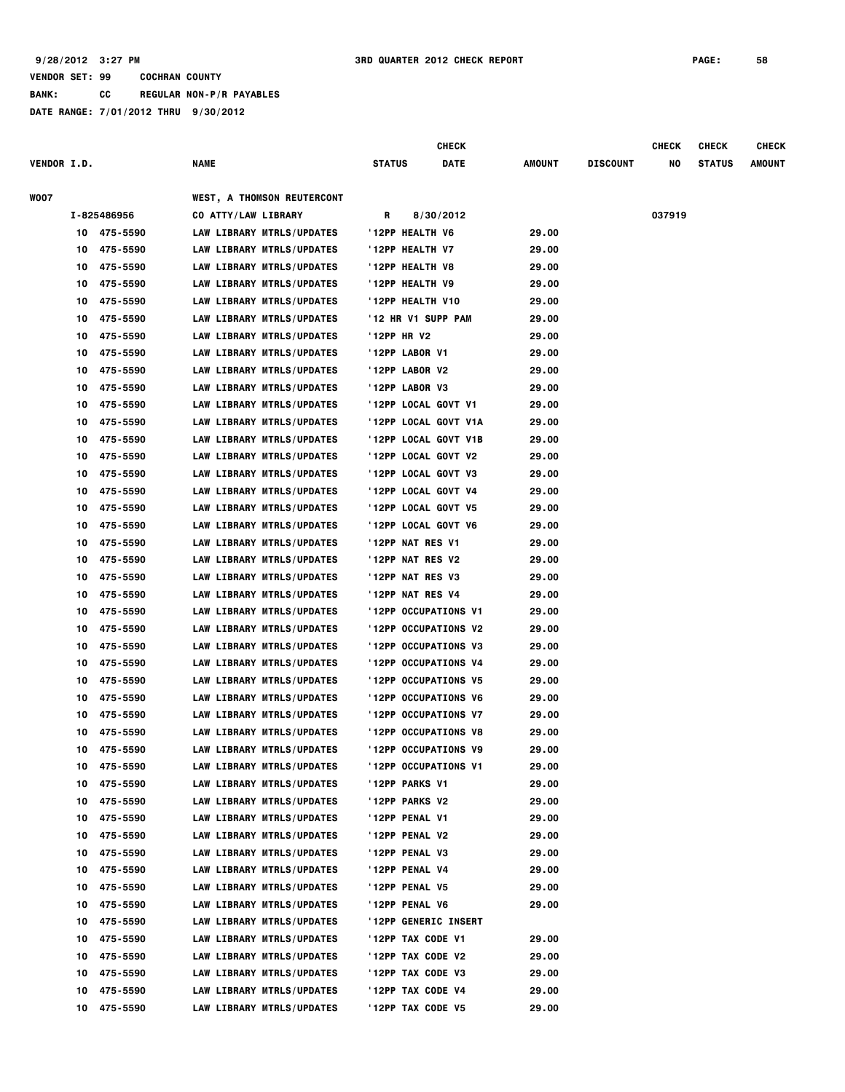|                    |    |             |                                   |                   | <b>CHECK</b>         |        |                 | <b>CHECK</b> | <b>CHECK</b>  | <b>CHECK</b>  |
|--------------------|----|-------------|-----------------------------------|-------------------|----------------------|--------|-----------------|--------------|---------------|---------------|
| <b>VENDOR I.D.</b> |    |             | <b>NAME</b>                       | <b>STATUS</b>     | DATE                 | AMOUNT | <b>DISCOUNT</b> | NO           | <b>STATUS</b> | <b>AMOUNT</b> |
| <b>WOO7</b>        |    |             | <b>WEST, A THOMSON REUTERCONT</b> |                   |                      |        |                 |              |               |               |
|                    |    | I-825486956 | CO ATTY/LAW LIBRARY               | R                 | 8/30/2012            |        |                 | 037919       |               |               |
|                    |    | 10 475-5590 | LAW LIBRARY MTRLS/UPDATES         | '12PP HEALTH V6   |                      | 29.00  |                 |              |               |               |
|                    | 10 | 475-5590    | LAW LIBRARY MTRLS/UPDATES         | '12PP HEALTH V7   |                      | 29.00  |                 |              |               |               |
|                    | 10 | 475-5590    | LAW LIBRARY MTRLS/UPDATES         | '12PP HEALTH V8   |                      | 29.00  |                 |              |               |               |
|                    | 10 | 475-5590    | LAW LIBRARY MTRLS/UPDATES         | '12PP HEALTH V9   |                      | 29.00  |                 |              |               |               |
|                    | 10 | 475-5590    | LAW LIBRARY MTRLS/UPDATES         | '12PP HEALTH V10  |                      | 29.00  |                 |              |               |               |
|                    | 10 | 475-5590    | LAW LIBRARY MTRLS/UPDATES         |                   | '12 HR V1 SUPP PAM   | 29.00  |                 |              |               |               |
|                    | 10 | 475-5590    | LAW LIBRARY MTRLS/UPDATES         | '12PP HR V2       |                      | 29.00  |                 |              |               |               |
|                    | 10 | 475-5590    | LAW LIBRARY MTRLS/UPDATES         | '12PP LABOR V1    |                      | 29.00  |                 |              |               |               |
|                    | 10 | 475-5590    | LAW LIBRARY MTRLS/UPDATES         | '12PP LABOR V2    |                      | 29.00  |                 |              |               |               |
|                    | 10 | 475-5590    | LAW LIBRARY MTRLS/UPDATES         | '12PP LABOR V3    |                      | 29.00  |                 |              |               |               |
|                    | 10 | 475-5590    | LAW LIBRARY MTRLS/UPDATES         |                   | '12PP LOCAL GOVT V1  | 29.00  |                 |              |               |               |
|                    | 10 | 475-5590    | LAW LIBRARY MTRLS/UPDATES         |                   | '12PP LOCAL GOVT V1A | 29.00  |                 |              |               |               |
|                    | 10 | 475-5590    | LAW LIBRARY MTRLS/UPDATES         |                   | '12PP LOCAL GOVT V1B | 29.00  |                 |              |               |               |
|                    | 10 | 475-5590    | LAW LIBRARY MTRLS/UPDATES         |                   | '12PP LOCAL GOVT V2  | 29.00  |                 |              |               |               |
|                    | 10 | 475-5590    | LAW LIBRARY MTRLS/UPDATES         |                   | '12PP LOCAL GOVT V3  | 29.00  |                 |              |               |               |
|                    | 10 | 475-5590    | LAW LIBRARY MTRLS/UPDATES         |                   | '12PP LOCAL GOVT V4  | 29.00  |                 |              |               |               |
|                    | 10 | 475-5590    | LAW LIBRARY MTRLS/UPDATES         |                   | '12PP LOCAL GOVT V5  | 29.00  |                 |              |               |               |
|                    | 10 | 475-5590    | LAW LIBRARY MTRLS/UPDATES         |                   | '12PP LOCAL GOVT V6  | 29.00  |                 |              |               |               |
|                    | 10 | 475-5590    | LAW LIBRARY MTRLS/UPDATES         | '12PP NAT RES V1  |                      | 29.00  |                 |              |               |               |
|                    | 10 | 475-5590    | LAW LIBRARY MTRLS/UPDATES         | '12PP NAT RES V2  |                      | 29.00  |                 |              |               |               |
|                    | 10 | 475-5590    | LAW LIBRARY MTRLS/UPDATES         | '12PP NAT RES V3  |                      | 29.00  |                 |              |               |               |
|                    | 10 | 475-5590    | LAW LIBRARY MTRLS/UPDATES         | '12PP NAT RES V4  |                      | 29.00  |                 |              |               |               |
|                    | 10 | 475-5590    | LAW LIBRARY MTRLS/UPDATES         |                   | '12PP OCCUPATIONS V1 | 29.00  |                 |              |               |               |
|                    | 10 | 475-5590    | LAW LIBRARY MTRLS/UPDATES         |                   | '12PP OCCUPATIONS V2 | 29.00  |                 |              |               |               |
|                    | 10 | 475-5590    | LAW LIBRARY MTRLS/UPDATES         |                   | '12PP OCCUPATIONS V3 | 29.00  |                 |              |               |               |
|                    | 10 | 475-5590    | LAW LIBRARY MTRLS/UPDATES         |                   | '12PP OCCUPATIONS V4 | 29.00  |                 |              |               |               |
|                    | 10 | 475-5590    | LAW LIBRARY MTRLS/UPDATES         |                   | '12PP OCCUPATIONS V5 | 29.00  |                 |              |               |               |
|                    | 10 | 475-5590    | LAW LIBRARY MTRLS/UPDATES         |                   | '12PP OCCUPATIONS V6 | 29.00  |                 |              |               |               |
|                    | 10 | 475-5590    | LAW LIBRARY MTRLS/UPDATES         |                   | '12PP OCCUPATIONS V7 | 29.00  |                 |              |               |               |
|                    | 10 | 475-5590    | LAW LIBRARY MTRLS/UPDATES         |                   | '12PP OCCUPATIONS V8 | 29.00  |                 |              |               |               |
|                    | 10 | 475-5590    | LAW LIBRARY MTRLS/UPDATES         |                   | '12PP OCCUPATIONS V9 | 29.00  |                 |              |               |               |
|                    | 10 | 475-5590    | LAW LIBRARY MTRLS/UPDATES         |                   | '12PP OCCUPATIONS V1 | 29.00  |                 |              |               |               |
|                    | 10 | 475-5590    | LAW LIBRARY MTRLS/UPDATES         | '12PP PARKS V1    |                      | 29.00  |                 |              |               |               |
|                    | 10 | 475-5590    | LAW LIBRARY MTRLS/UPDATES         | '12PP PARKS V2    |                      | 29.00  |                 |              |               |               |
|                    | 10 | 475-5590    | LAW LIBRARY MTRLS/UPDATES         | '12PP PENAL V1    |                      | 29.00  |                 |              |               |               |
|                    | 10 | 475-5590    | LAW LIBRARY MTRLS/UPDATES         | '12PP PENAL V2    |                      | 29.00  |                 |              |               |               |
|                    | 10 | 475-5590    | LAW LIBRARY MTRLS/UPDATES         | '12PP PENAL V3    |                      | 29.00  |                 |              |               |               |
|                    | 10 | 475-5590    | LAW LIBRARY MTRLS/UPDATES         | '12PP PENAL V4    |                      | 29.00  |                 |              |               |               |
|                    | 10 | 475-5590    | LAW LIBRARY MTRLS/UPDATES         | '12PP PENAL V5    |                      | 29.00  |                 |              |               |               |
|                    | 10 | 475-5590    | LAW LIBRARY MTRLS/UPDATES         | '12PP PENAL V6    |                      | 29.00  |                 |              |               |               |
|                    | 10 | 475-5590    | LAW LIBRARY MTRLS/UPDATES         |                   | '12PP GENERIC INSERT |        |                 |              |               |               |
|                    | 10 | 475-5590    | LAW LIBRARY MTRLS/UPDATES         | '12PP TAX CODE V1 |                      | 29.00  |                 |              |               |               |
|                    | 10 | 475-5590    | LAW LIBRARY MTRLS/UPDATES         | '12PP TAX CODE V2 |                      | 29.00  |                 |              |               |               |
|                    | 10 | 475-5590    | LAW LIBRARY MTRLS/UPDATES         | '12PP TAX CODE V3 |                      | 29.00  |                 |              |               |               |
|                    | 10 | 475-5590    | LAW LIBRARY MTRLS/UPDATES         | '12PP TAX CODE V4 |                      | 29.00  |                 |              |               |               |
|                    | 10 | 475-5590    | LAW LIBRARY MTRLS/UPDATES         | '12PP TAX CODE V5 |                      | 29.00  |                 |              |               |               |
|                    |    |             |                                   |                   |                      |        |                 |              |               |               |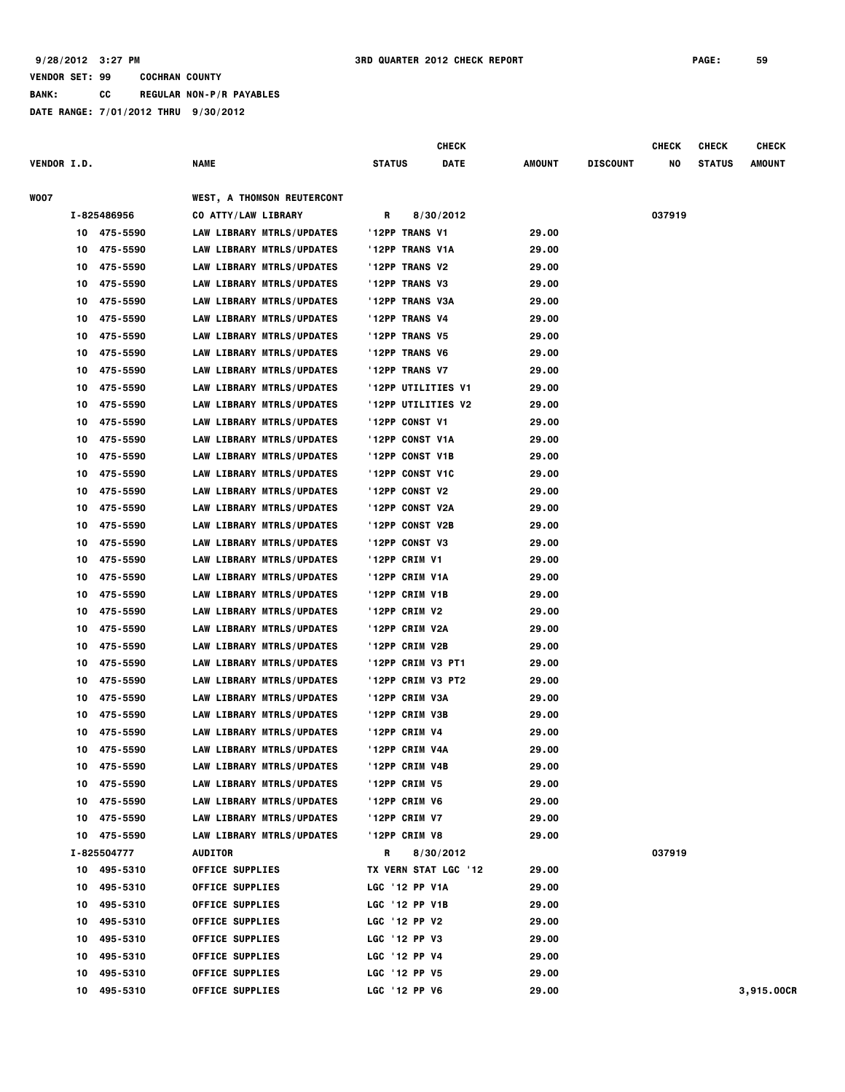|                    |    |                            |                                             |               | <b>CHECK</b>         |        |                 | <b>CHECK</b> | <b>CHECK</b>  | <b>CHECK</b> |
|--------------------|----|----------------------------|---------------------------------------------|---------------|----------------------|--------|-----------------|--------------|---------------|--------------|
| <b>VENDOR I.D.</b> |    |                            | NAME                                        | <b>STATUS</b> | DATE                 | AMOUNT | <b>DISCOUNT</b> | NO           | <b>STATUS</b> | AMOUNT       |
| WOO7               |    |                            | <b>WEST, A THOMSON REUTERCONT</b>           |               |                      |        |                 |              |               |              |
|                    |    | I-825486956                | CO ATTY/LAW LIBRARY                         | R             | 8/30/2012            |        |                 | 037919       |               |              |
|                    |    | 10 475-5590                | LAW LIBRARY MTRLS/UPDATES                   |               | '12PP TRANS V1       | 29.00  |                 |              |               |              |
|                    | 10 | 475-5590                   | LAW LIBRARY MTRLS/UPDATES                   |               | '12PP TRANS V1A      | 29.00  |                 |              |               |              |
|                    | 10 | 475-5590                   | LAW LIBRARY MTRLS/UPDATES                   |               | '12PP TRANS V2       | 29.00  |                 |              |               |              |
|                    | 10 | 475-5590                   | LAW LIBRARY MTRLS/UPDATES                   |               | '12PP TRANS V3       | 29.00  |                 |              |               |              |
|                    | 10 | 475-5590                   | LAW LIBRARY MTRLS/UPDATES                   |               | '12PP TRANS V3A      | 29.00  |                 |              |               |              |
|                    | 10 | 475-5590                   | LAW LIBRARY MTRLS/UPDATES                   |               | '12PP TRANS V4       | 29.00  |                 |              |               |              |
|                    | 10 | 475-5590                   | LAW LIBRARY MTRLS/UPDATES                   |               | '12PP TRANS V5       | 29.00  |                 |              |               |              |
|                    | 10 | 475-5590                   | LAW LIBRARY MTRLS/UPDATES                   |               | '12PP TRANS V6       | 29.00  |                 |              |               |              |
|                    | 10 | 475-5590                   | LAW LIBRARY MTRLS/UPDATES                   |               | '12PP TRANS V7       | 29.00  |                 |              |               |              |
|                    | 10 | 475-5590                   | LAW LIBRARY MTRLS/UPDATES                   |               | '12PP UTILITIES V1   | 29.00  |                 |              |               |              |
|                    | 10 | 475-5590                   | <b>LAW LIBRARY MTRLS/UPDATES</b>            |               | '12PP UTILITIES V2   | 29.00  |                 |              |               |              |
|                    | 10 | 475-5590                   | LAW LIBRARY MTRLS/UPDATES                   |               | '12PP CONST V1       | 29.00  |                 |              |               |              |
|                    | 10 | 475-5590                   | LAW LIBRARY MTRLS/UPDATES                   |               | '12PP CONST V1A      | 29.00  |                 |              |               |              |
|                    | 10 | 475-5590                   | LAW LIBRARY MTRLS/UPDATES                   |               | '12PP CONST V1B      | 29.00  |                 |              |               |              |
|                    | 10 | 475-5590                   | LAW LIBRARY MTRLS/UPDATES                   |               | '12PP CONST V1C      | 29.00  |                 |              |               |              |
|                    | 10 | 475-5590                   | LAW LIBRARY MTRLS/UPDATES                   |               | '12PP CONST V2       | 29.00  |                 |              |               |              |
|                    | 10 | 475-5590                   | LAW LIBRARY MTRLS/UPDATES                   |               | '12PP CONST V2A      | 29.00  |                 |              |               |              |
|                    | 10 | 475-5590                   | LAW LIBRARY MTRLS/UPDATES                   |               | '12PP CONST V2B      | 29.00  |                 |              |               |              |
|                    | 10 | 475-5590                   | LAW LIBRARY MTRLS/UPDATES                   |               | '12PP CONST V3       | 29.00  |                 |              |               |              |
|                    | 10 | 475-5590                   | LAW LIBRARY MTRLS/UPDATES                   |               | '12PP CRIM V1        | 29.00  |                 |              |               |              |
|                    | 10 | 475-5590                   | LAW LIBRARY MTRLS/UPDATES                   |               | '12PP CRIM V1A       | 29.00  |                 |              |               |              |
|                    | 10 | 475-5590                   | LAW LIBRARY MTRLS/UPDATES                   |               | '12PP CRIM V1B       | 29.00  |                 |              |               |              |
|                    | 10 | 475-5590                   | <b>LAW LIBRARY MTRLS/UPDATES</b>            |               | '12PP CRIM V2        | 29.00  |                 |              |               |              |
|                    | 10 | 475-5590                   | LAW LIBRARY MTRLS/UPDATES                   |               | '12PP CRIM V2A       | 29.00  |                 |              |               |              |
|                    | 10 | 475-5590                   | LAW LIBRARY MTRLS/UPDATES                   |               | '12PP CRIM V2B       | 29.00  |                 |              |               |              |
|                    | 10 | 475-5590                   | LAW LIBRARY MTRLS/UPDATES                   |               | '12PP CRIM V3 PT1    | 29.00  |                 |              |               |              |
|                    | 10 | 475-5590                   | LAW LIBRARY MTRLS/UPDATES                   |               | '12PP CRIM V3 PT2    | 29.00  |                 |              |               |              |
|                    | 10 | 475-5590                   | LAW LIBRARY MTRLS/UPDATES                   |               | '12PP CRIM V3A       | 29.00  |                 |              |               |              |
|                    | 10 | 475-5590                   | LAW LIBRARY MTRLS/UPDATES                   |               | '12PP CRIM V3B       | 29.00  |                 |              |               |              |
|                    | 10 | 475-5590                   | LAW LIBRARY MTRLS/UPDATES                   |               | '12PP CRIM V4        | 29.00  |                 |              |               |              |
|                    | 10 | 475-5590                   | LAW LIBRARY MTRLS/UPDATES                   |               | '12PP CRIM V4A       | 29.00  |                 |              |               |              |
|                    | 10 | 475-5590                   | LAW LIBRARY MTRLS/UPDATES                   |               | '12PP CRIM V4B       | 29.00  |                 |              |               |              |
|                    | 10 | 475-5590                   | LAW LIBRARY MTRLS/UPDATES                   |               | '12PP CRIM V5        | 29.00  |                 |              |               |              |
|                    | 10 | 475-5590                   | LAW LIBRARY MTRLS/UPDATES                   |               | '12PP CRIM V6        | 29.00  |                 |              |               |              |
|                    |    |                            |                                             |               | '12PP CRIM V7        | 29.00  |                 |              |               |              |
|                    | 10 | 475-5590                   | LAW LIBRARY MTRLS/UPDATES                   |               |                      |        |                 |              |               |              |
|                    |    | 10 475-5590<br>I-825504777 | LAW LIBRARY MTRLS/UPDATES<br><b>AUDITOR</b> | R             | '12PP CRIM V8        | 29.00  |                 | 037919       |               |              |
|                    |    | 495-5310                   |                                             |               | 8/30/2012            |        |                 |              |               |              |
|                    | 10 |                            | <b>OFFICE SUPPLIES</b>                      |               | TX VERN STAT LGC '12 | 29.00  |                 |              |               |              |
|                    | 10 | 495-5310                   | <b>OFFICE SUPPLIES</b>                      |               | LGC '12 PP V1A       | 29.00  |                 |              |               |              |
|                    | 10 | 495-5310                   | <b>OFFICE SUPPLIES</b>                      |               | LGC '12 PP V1B       | 29.00  |                 |              |               |              |
|                    | 10 | 495-5310                   | <b>OFFICE SUPPLIES</b>                      |               | LGC '12 PP V2        | 29.00  |                 |              |               |              |
|                    | 10 | 495-5310                   | <b>OFFICE SUPPLIES</b>                      |               | LGC '12 PP V3        | 29.00  |                 |              |               |              |
|                    | 10 | 495-5310                   | <b>OFFICE SUPPLIES</b>                      |               | LGC '12 PP V4        | 29.00  |                 |              |               |              |
|                    | 10 | 495-5310                   | <b>OFFICE SUPPLIES</b>                      |               | LGC '12 PP V5        | 29.00  |                 |              |               |              |
|                    | 10 | 495-5310                   | <b>OFFICE SUPPLIES</b>                      |               | LGC '12 PP V6        | 29.00  |                 |              |               | 3,915.00CR   |
|                    |    |                            |                                             |               |                      |        |                 |              |               |              |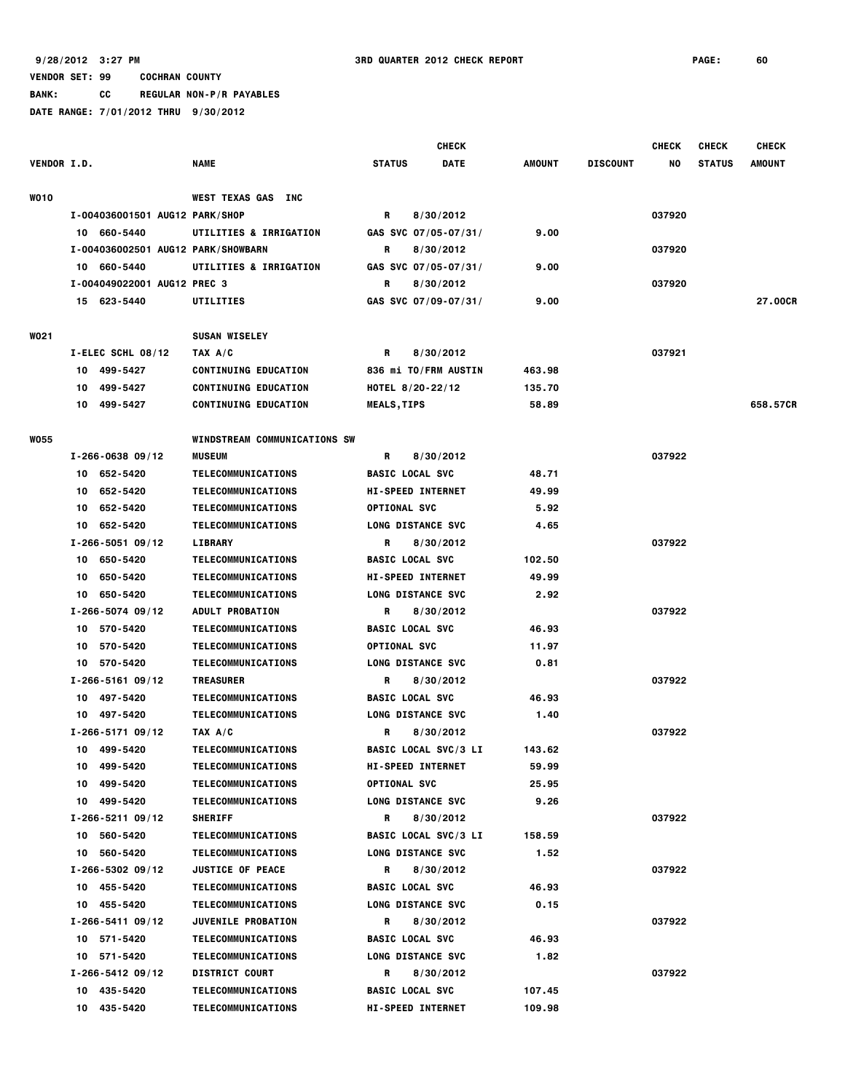**BANK: CC REGULAR NON-P/R PAYABLES**

|                    |                                    |                              | <b>CHECK</b>                 |               |                 | <b>CHECK</b> | <b>CHECK</b>  | <b>CHECK</b>   |
|--------------------|------------------------------------|------------------------------|------------------------------|---------------|-----------------|--------------|---------------|----------------|
| <b>VENDOR I.D.</b> |                                    | <b>NAME</b>                  | <b>STATUS</b><br><b>DATE</b> | <b>AMOUNT</b> | <b>DISCOUNT</b> | NO           | <b>STATUS</b> | <b>AMOUNT</b>  |
| <b>WO10</b>        |                                    | WEST TEXAS GAS INC           |                              |               |                 |              |               |                |
|                    | I-004036001501 AUG12 PARK/SHOP     |                              | R<br>8/30/2012               |               |                 | 037920       |               |                |
|                    | 10 660-5440                        | UTILITIES & IRRIGATION       | GAS SVC $07/05-07/31/$       | 9.00          |                 |              |               |                |
|                    | I-004036002501 AUG12 PARK/SHOWBARN |                              | R<br>8/30/2012               |               |                 | 037920       |               |                |
|                    | 10 660-5440                        | UTILITIES & IRRIGATION       | GAS SVC 07/05-07/31/         | 9.00          |                 |              |               |                |
|                    | I-004049022001 AUG12 PREC 3        |                              | R<br>8/30/2012               |               |                 | 037920       |               |                |
|                    | 15 623-5440                        | UTILITIES                    | GAS SVC 07/09-07/31/         | 9.00          |                 |              |               | <b>27.00CR</b> |
| <b>WO21</b>        |                                    | <b>SUSAN WISELEY</b>         |                              |               |                 |              |               |                |
|                    | I-ELEC SCHL 08/12                  | TAX A/C                      | 8/30/2012<br>R               |               |                 | 037921       |               |                |
|                    | 10 499-5427                        | <b>CONTINUING EDUCATION</b>  | 836 mi TO/FRM AUSTIN         | 463.98        |                 |              |               |                |
|                    | 499-5427<br>10                     | <b>CONTINUING EDUCATION</b>  | HOTEL $8/20 - 22/12$         | 135.70        |                 |              |               |                |
|                    | 10 499-5427                        | <b>CONTINUING EDUCATION</b>  | <b>MEALS,TIPS</b>            | 58.89         |                 |              |               | 658.57CR       |
| <b>WO55</b>        |                                    | WINDSTREAM COMMUNICATIONS SW |                              |               |                 |              |               |                |
|                    | $I - 266 - 063809/12$              | <b>MUSEUM</b>                | 8/30/2012<br>R               |               |                 | 037922       |               |                |
|                    | 10 652-5420                        | TELECOMMUNICATIONS           | <b>BASIC LOCAL SVC</b>       | 48.71         |                 |              |               |                |
|                    | 652-5420<br>10                     | <b>TELECOMMUNICATIONS</b>    | <b>HI-SPEED INTERNET</b>     | 49.99         |                 |              |               |                |
|                    | 652-5420<br>10                     | TELECOMMUNICATIONS           | <b>OPTIONAL SVC</b>          | 5.92          |                 |              |               |                |
|                    | 10 652-5420                        | TELECOMMUNICATIONS           | <b>LONG DISTANCE SVC</b>     | 4.65          |                 |              |               |                |
|                    | $I - 266 - 505109/12$              | LIBRARY                      | R<br>8/30/2012               |               |                 | 037922       |               |                |
|                    | 10 650-5420                        | TELECOMMUNICATIONS           | <b>BASIC LOCAL SVC</b>       | 102.50        |                 |              |               |                |
|                    | 10 650-5420                        | TELECOMMUNICATIONS           | <b>HI-SPEED INTERNET</b>     | 49.99         |                 |              |               |                |
|                    | 10 650-5420                        | TELECOMMUNICATIONS           | <b>LONG DISTANCE SVC</b>     | 2.92          |                 |              |               |                |
|                    | $I - 266 - 5074$ 09/12             | <b>ADULT PROBATION</b>       | 8/30/2012<br>R               |               |                 | 037922       |               |                |
|                    | 10 570-5420                        | TELECOMMUNICATIONS           | <b>BASIC LOCAL SVC</b>       | 46.93         |                 |              |               |                |
|                    | 570-5420<br>10                     | TELECOMMUNICATIONS           | <b>OPTIONAL SVC</b>          | 11.97         |                 |              |               |                |
|                    | 10 570-5420                        | TELECOMMUNICATIONS           | <b>LONG DISTANCE SVC</b>     | 0.81          |                 |              |               |                |
|                    | $I - 266 - 516109/12$              | <b>TREASURER</b>             | R<br>8/30/2012               |               |                 | 037922       |               |                |
|                    | 10 497-5420                        | TELECOMMUNICATIONS           | <b>BASIC LOCAL SVC</b>       | 46.93         |                 |              |               |                |
|                    | 10 497-5420                        | TELECOMMUNICATIONS           | <b>LONG DISTANCE SVC</b>     | 1.40          |                 |              |               |                |
|                    | $I - 266 - 517109/12$              | TAX A/C                      | 8/30/2012<br>R               |               |                 | 037922       |               |                |
|                    | 10 499-5420                        | TELECOMMUNICATIONS           | <b>BASIC LOCAL SVC/3 LI</b>  | 143.62        |                 |              |               |                |
|                    | 10 499-5420                        | <b>TELECOMMUNICATIONS</b>    | <b>HI-SPEED INTERNET</b>     | 59.99         |                 |              |               |                |
|                    | 10 499-5420                        | TELECOMMUNICATIONS           | <b>OPTIONAL SVC</b>          | 25.95         |                 |              |               |                |
|                    | 10 499-5420                        | TELECOMMUNICATIONS           | <b>LONG DISTANCE SVC</b>     | 9.26          |                 |              |               |                |
|                    | $I - 266 - 521109/12$              | <b>SHERIFF</b>               | 8/30/2012<br>R               |               |                 | 037922       |               |                |
|                    | 10 560-5420                        | TELECOMMUNICATIONS           | <b>BASIC LOCAL SVC/3 LI</b>  | 158.59        |                 |              |               |                |
|                    | 10 560-5420                        | TELECOMMUNICATIONS           | LONG DISTANCE SVC            | 1.52          |                 |              |               |                |
|                    | $I - 266 - 530209/12$              | <b>JUSTICE OF PEACE</b>      | R<br>8/30/2012               |               |                 | 037922       |               |                |
|                    | 10 455-5420                        | TELECOMMUNICATIONS           | <b>BASIC LOCAL SVC</b>       | 46.93         |                 |              |               |                |
|                    | 10 455-5420                        | <b>TELECOMMUNICATIONS</b>    | <b>LONG DISTANCE SVC</b>     | 0.15          |                 |              |               |                |
|                    | I-266-5411 09/12                   | <b>JUVENILE PROBATION</b>    | 8/30/2012<br>R               |               |                 | 037922       |               |                |
|                    | 10 571-5420                        | TELECOMMUNICATIONS           | <b>BASIC LOCAL SVC</b>       | 46.93         |                 |              |               |                |
|                    | 10 571-5420                        | TELECOMMUNICATIONS           | <b>LONG DISTANCE SVC</b>     | 1.82          |                 |              |               |                |
|                    | I-266-5412 09/12                   | <b>DISTRICT COURT</b>        | 8/30/2012<br>R               |               |                 | 037922       |               |                |
|                    | 10 435-5420                        | TELECOMMUNICATIONS           | <b>BASIC LOCAL SVC</b>       | 107.45        |                 |              |               |                |
|                    | 10 435-5420                        | TELECOMMUNICATIONS           | <b>HI-SPEED INTERNET</b>     | 109.98        |                 |              |               |                |
|                    |                                    |                              |                              |               |                 |              |               |                |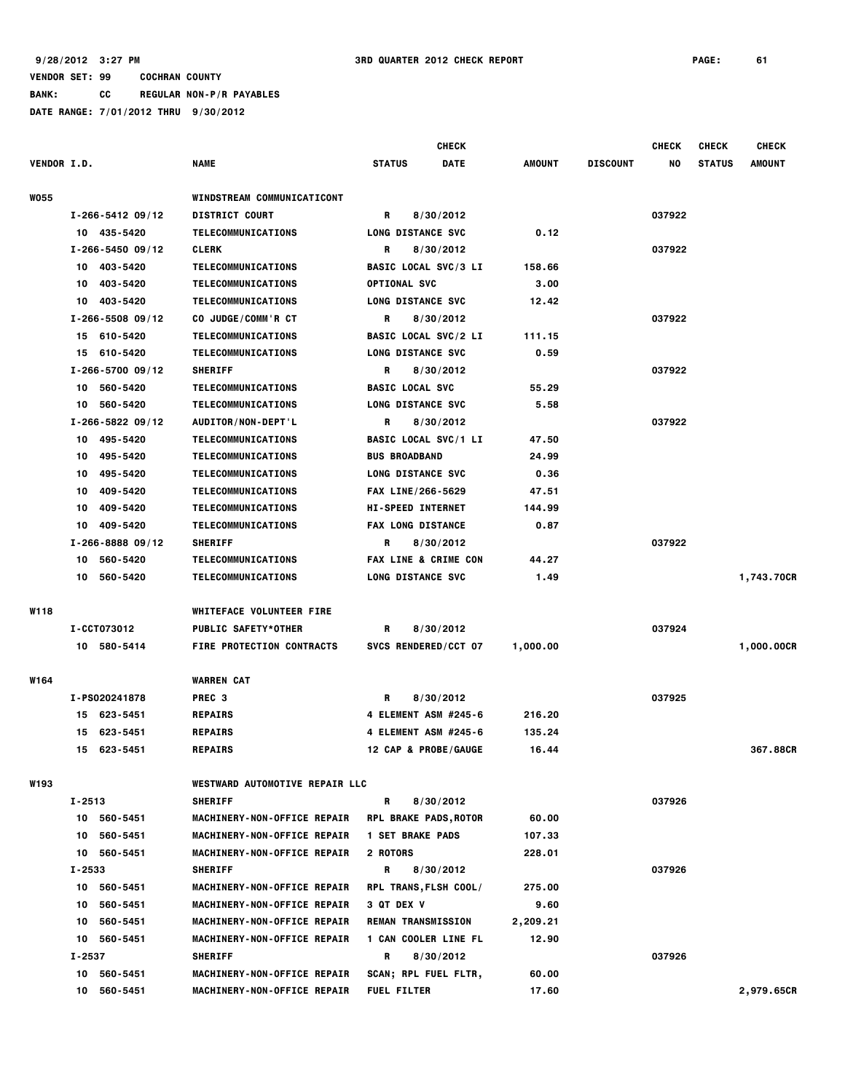|                    |                                                                                 |                                       | <b>CHECK</b>                |          |                 | <b>CHECK</b> | <b>CHECK</b>  | <b>CHECK</b> |
|--------------------|---------------------------------------------------------------------------------|---------------------------------------|-----------------------------|----------|-----------------|--------------|---------------|--------------|
| <b>VENDOR I.D.</b> |                                                                                 | NAME                                  | <b>STATUS</b><br>DATE       | AMOUNT   | <b>DISCOUNT</b> | NO           | <b>STATUS</b> | AMOUNT       |
| <b>W055</b>        |                                                                                 | WINDSTREAM COMMUNICATICONT            |                             |          |                 |              |               |              |
|                    | $I - 266 - 541209/12$                                                           | <b>DISTRICT COURT</b>                 | 8/30/2012<br>R              |          |                 | 037922       |               |              |
|                    | 10 435-5420                                                                     | TELECOMMUNICATIONS                    | <b>LONG DISTANCE SVC</b>    | 0.12     |                 |              |               |              |
|                    | $I - 266 - 545009/12$                                                           | <b>CLERK</b>                          | 8/30/2012<br>R              |          |                 | 037922       |               |              |
|                    | 403-5420<br>10                                                                  | TELECOMMUNICATIONS                    | <b>BASIC LOCAL SVC/3 LI</b> | 158.66   |                 |              |               |              |
|                    | 403-5420<br>10                                                                  | TELECOMMUNICATIONS                    | OPTIONAL SVC                | 3.00     |                 |              |               |              |
|                    | 403-5420<br>10                                                                  | <b>TELECOMMUNICATIONS</b>             | <b>LONG DISTANCE SVC</b>    | 12.42    |                 |              |               |              |
|                    | $I - 266 - 5508$ 09/12                                                          | CO JUDGE/COMM'R CT                    | 8/30/2012<br>R              |          |                 | 037922       |               |              |
|                    | 15 610-5420                                                                     | TELECOMMUNICATIONS                    | <b>BASIC LOCAL SVC/2 LI</b> | 111.15   |                 |              |               |              |
|                    | 610-5420<br>15                                                                  | TELECOMMUNICATIONS                    | <b>LONG DISTANCE SVC</b>    | 0.59     |                 |              |               |              |
|                    | $I - 266 - 5700$ 09/12                                                          | <b>SHERIFF</b>                        | R<br>8/30/2012              |          |                 | 037922       |               |              |
|                    | 560-5420<br>10                                                                  | TELECOMMUNICATIONS                    | <b>BASIC LOCAL SVC</b>      | 55.29    |                 |              |               |              |
|                    | 10<br>560-5420                                                                  | <b>TELECOMMUNICATIONS</b>             | <b>LONG DISTANCE SVC</b>    | 5.58     |                 |              |               |              |
|                    | I-266-5822 09/12                                                                | AUDITOR/NON-DEPT'L                    | R<br>8/30/2012              |          |                 | 037922       |               |              |
|                    | 10 495-5420                                                                     | TELECOMMUNICATIONS                    | <b>BASIC LOCAL SVC/1 LI</b> | 47.50    |                 |              |               |              |
|                    | 495-5420<br>10                                                                  | TELECOMMUNICATIONS                    | <b>BUS BROADBAND</b>        | 24.99    |                 |              |               |              |
|                    | 495-5420<br>10                                                                  | TELECOMMUNICATIONS                    | <b>LONG DISTANCE SVC</b>    | 0.36     |                 |              |               |              |
|                    | 409-5420<br>10                                                                  | TELECOMMUNICATIONS                    | FAX LINE/266-5629           | 47.51    |                 |              |               |              |
|                    | 409-5420<br>10                                                                  | <b>TELECOMMUNICATIONS</b>             | <b>HI-SPEED INTERNET</b>    | 144.99   |                 |              |               |              |
|                    | 409-5420<br>10                                                                  | TELECOMMUNICATIONS                    | <b>FAX LONG DISTANCE</b>    | 0.87     |                 |              |               |              |
|                    |                                                                                 |                                       | 8/30/2012<br>R              |          |                 | 037922       |               |              |
|                    | $I - 266 - 888809/12$<br><b>SHERIFF</b><br>560-5420<br>TELECOMMUNICATIONS<br>10 |                                       |                             |          |                 |              |               |              |
|                    |                                                                                 |                                       | FAX LINE & CRIME CON        | 44.27    |                 |              |               |              |
|                    | 560-5420<br>10                                                                  | <b>TELECOMMUNICATIONS</b>             | LONG DISTANCE SVC           | 1.49     |                 |              |               | 1,743.70CR   |
| W118               |                                                                                 | <b>WHITEFACE VOLUNTEER FIRE</b>       |                             |          |                 |              |               |              |
|                    | I-CCT073012                                                                     | <b>PUBLIC SAFETY*OTHER</b>            | R<br>8/30/2012              |          |                 | 037924       |               |              |
|                    | 10 580-5414                                                                     | <b>FIRE PROTECTION CONTRACTS</b>      | SVCS RENDERED/CCT 07        | 1,000.00 |                 |              |               | 1,000.00CR   |
|                    |                                                                                 |                                       |                             |          |                 |              |               |              |
| W164               |                                                                                 | <b>WARREN CAT</b>                     |                             |          |                 |              |               |              |
|                    | I-PS020241878                                                                   | PREC <sub>3</sub>                     | 8/30/2012<br>R              |          |                 | 037925       |               |              |
|                    | 15 623-5451                                                                     | <b>REPAIRS</b>                        | 4 ELEMENT ASM #245-6        | 216.20   |                 |              |               |              |
|                    | 623-5451<br>15                                                                  | <b>REPAIRS</b>                        | 4 ELEMENT ASM #245-6        | 135.24   |                 |              |               |              |
|                    | 15 623-5451                                                                     | <b>REPAIRS</b>                        | 12 CAP & PROBE/GAUGE        | 16.44    |                 |              |               | 367.88CR     |
| <b>W193</b>        |                                                                                 | <b>WESTWARD AUTOMOTIVE REPAIR LLC</b> |                             |          |                 |              |               |              |
|                    | I-2513                                                                          | <b>SHERIFF</b>                        | R<br>8/30/2012              |          |                 | 037926       |               |              |
|                    | 10 560-5451                                                                     | MACHINERY-NON-OFFICE REPAIR           | RPL BRAKE PADS, ROTOR       | 60.00    |                 |              |               |              |
|                    | 10 560-5451                                                                     | MACHINERY-NON-OFFICE REPAIR           | <b>1 SET BRAKE PADS</b>     | 107.33   |                 |              |               |              |
|                    | 10 560-5451                                                                     | MACHINERY-NON-OFFICE REPAIR           | 2 ROTORS                    | 228.01   |                 |              |               |              |
|                    | $I - 2533$                                                                      | <b>SHERIFF</b>                        | 8/30/2012<br>R              |          |                 | 037926       |               |              |
|                    | 10 560-5451                                                                     | MACHINERY-NON-OFFICE REPAIR           | RPL TRANS, FLSH COOL/       | 275.00   |                 |              |               |              |
|                    | 10 560-5451                                                                     | MACHINERY-NON-OFFICE REPAIR           | <b>3 QT DEX V</b>           | 9.60     |                 |              |               |              |
|                    | 10 560-5451                                                                     | MACHINERY-NON-OFFICE REPAIR           | <b>REMAN TRANSMISSION</b>   | 2,209.21 |                 |              |               |              |
|                    | 10 560-5451                                                                     | MACHINERY-NON-OFFICE REPAIR           | 1 CAN COOLER LINE FL        | 12.90    |                 |              |               |              |
|                    | I-2537                                                                          | <b>SHERIFF</b>                        | 8/30/2012<br>R              |          |                 | 037926       |               |              |
|                    | 10 560-5451                                                                     | <b>MACHINERY-NON-OFFICE REPAIR</b>    | SCAN; RPL FUEL FLTR,        | 60.00    |                 |              |               |              |
|                    | 560-5451<br>10                                                                  | MACHINERY-NON-OFFICE REPAIR           | <b>FUEL FILTER</b>          | 17.60    |                 |              |               | 2,979.65CR   |
|                    |                                                                                 |                                       |                             |          |                 |              |               |              |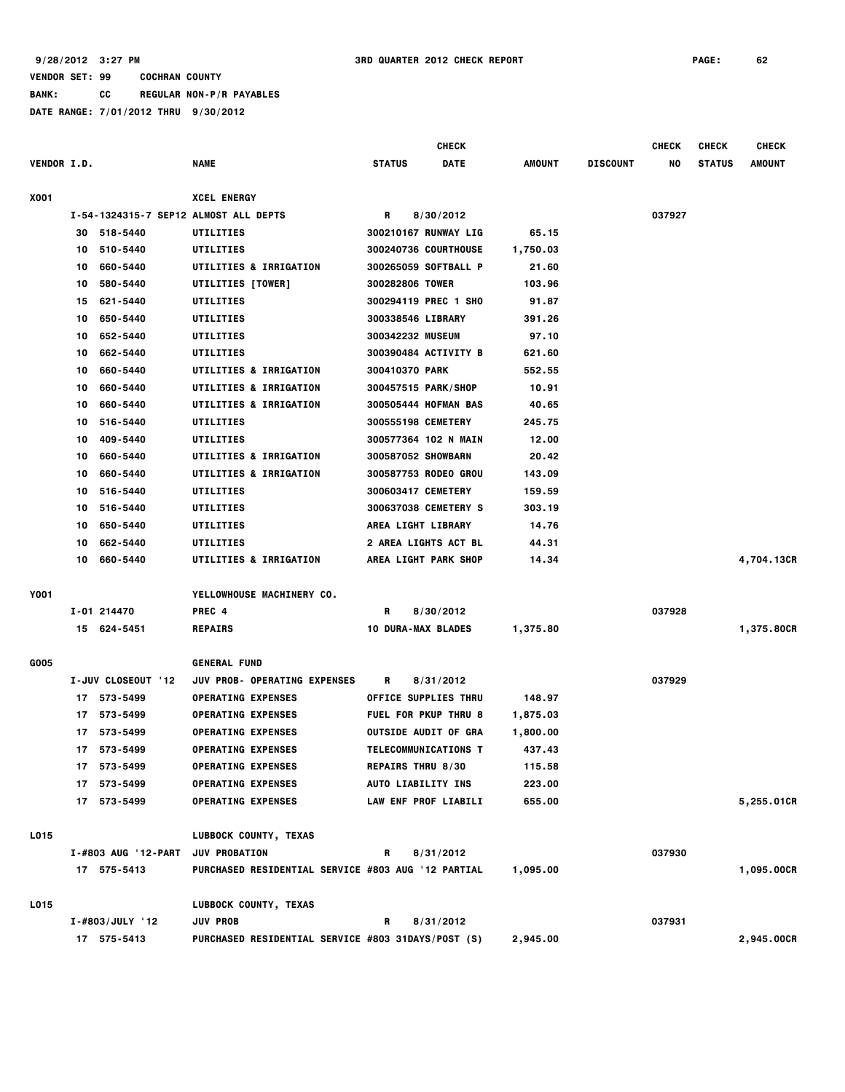#### **VENDOR SET: 99 COCHRAN COUNTY BANK: CC REGULAR NON-P/R PAYABLES DATE RANGE: 7/01/2012 THRU 9/30/2012**

|                    |    |                     |                                                           |                           | <b>CHECK</b>                |               |                 | <b>CHECK</b> | <b>CHECK</b>  | <b>CHECK</b>  |
|--------------------|----|---------------------|-----------------------------------------------------------|---------------------------|-----------------------------|---------------|-----------------|--------------|---------------|---------------|
| <b>VENDOR I.D.</b> |    |                     | <b>NAME</b>                                               | <b>STATUS</b>             | <b>DATE</b>                 | <b>AMOUNT</b> | <b>DISCOUNT</b> | NO           | <b>STATUS</b> | <b>AMOUNT</b> |
| X001               |    |                     | <b>XCEL ENERGY</b>                                        |                           |                             |               |                 |              |               |               |
|                    |    |                     | I-54-1324315-7 SEP12 ALMOST ALL DEPTS                     | R                         | 8/30/2012                   |               |                 | 037927       |               |               |
|                    | 30 | 518-5440            | UTILITIES                                                 |                           | 300210167 RUNWAY LIG        | 65.15         |                 |              |               |               |
|                    | 10 | 510-5440            | UTILITIES                                                 |                           | 300240736 COURTHOUSE        | 1,750.03      |                 |              |               |               |
|                    | 10 | 660-5440            | UTILITIES & IRRIGATION                                    |                           | 300265059 SOFTBALL P        | 21.60         |                 |              |               |               |
|                    | 10 | 580-5440            | UTILITIES [TOWER]                                         | 300282806 TOWER           |                             | 103.96        |                 |              |               |               |
|                    | 15 | 621-5440            | UTILITIES                                                 |                           | 300294119 PREC 1 SHO        | 91.87         |                 |              |               |               |
|                    | 10 | 650-5440            | UTILITIES                                                 | <b>300338546 LIBRARY</b>  |                             | 391.26        |                 |              |               |               |
|                    | 10 | 652-5440            | UTILITIES                                                 | <b>300342232 MUSEUM</b>   |                             | 97.10         |                 |              |               |               |
|                    | 10 | 662-5440            | UTILITIES                                                 |                           | 300390484 ACTIVITY B        | 621.60        |                 |              |               |               |
|                    | 10 | 660-5440            | <b>UTILITIES &amp; IRRIGATION</b>                         | <b>300410370 PARK</b>     |                             | 552.55        |                 |              |               |               |
|                    | 10 | 660-5440            | <b>UTILITIES &amp; IRRIGATION</b>                         |                           | 300457515 PARK/SHOP         | 10.91         |                 |              |               |               |
|                    | 10 | 660-5440            | <b>UTILITIES &amp; IRRIGATION</b>                         |                           | 300505444 HOFMAN BAS        | 40.65         |                 |              |               |               |
|                    | 10 | 516-5440            | UTILITIES                                                 | <b>300555198 CEMETERY</b> |                             | 245.75        |                 |              |               |               |
|                    | 10 | 409-5440            | <b>UTILITIES</b>                                          |                           | 300577364 102 N MAIN        | 12.00         |                 |              |               |               |
|                    | 10 | 660-5440            | UTILITIES & IRRIGATION                                    | 300587052 SHOWBARN        |                             | 20.42         |                 |              |               |               |
|                    | 10 | 660-5440            | <b>UTILITIES &amp; IRRIGATION</b>                         |                           | 300587753 RODEO GROU        | 143.09        |                 |              |               |               |
|                    | 10 | 516-5440            | UTILITIES                                                 | 300603417 CEMETERY        |                             | 159.59        |                 |              |               |               |
|                    | 10 | 516-5440            | UTILITIES                                                 |                           | <b>300637038 CEMETERY S</b> | 303.19        |                 |              |               |               |
|                    | 10 | 650-5440            | UTILITIES                                                 | AREA LIGHT LIBRARY        |                             | 14.76         |                 |              |               |               |
|                    | 10 | 662-5440            | UTILITIES                                                 |                           | 2 AREA LIGHTS ACT BL        | 44.31         |                 |              |               |               |
|                    | 10 | 660-5440            | <b>UTILITIES &amp; IRRIGATION</b>                         |                           | AREA LIGHT PARK SHOP        | 14.34         |                 |              |               | 4,704.13CR    |
| Y001               |    |                     | YELLOWHOUSE MACHINERY CO.                                 |                           |                             |               |                 |              |               |               |
|                    |    | I-01 214470         | PREC 4                                                    | R                         | 8/30/2012                   |               |                 | 037928       |               |               |
|                    |    | 15 624-5451         | <b>REPAIRS</b>                                            | <b>10 DURA-MAX BLADES</b> |                             | 1,375.80      |                 |              |               | 1,375.80CR    |
| G005               |    |                     | <b>GENERAL FUND</b>                                       |                           |                             |               |                 |              |               |               |
|                    |    | I-JUV CLOSEOUT '12  | <b>JUV PROB- OPERATING EXPENSES</b>                       | R                         | 8/31/2012                   |               |                 | 037929       |               |               |
|                    |    | 17 573-5499         | <b>OPERATING EXPENSES</b>                                 |                           | OFFICE SUPPLIES THRU        | 148.97        |                 |              |               |               |
|                    | 17 | 573-5499            | <b>OPERATING EXPENSES</b>                                 |                           | FUEL FOR PKUP THRU 8        | 1,875.03      |                 |              |               |               |
|                    | 17 | 573-5499            | <b>OPERATING EXPENSES</b>                                 |                           | <b>OUTSIDE AUDIT OF GRA</b> | 1,800.00      |                 |              |               |               |
|                    |    | 17 573-5499         | <b>OPERATING EXPENSES</b>                                 |                           | <b>TELECOMMUNICATIONS T</b> | 437.43        |                 |              |               |               |
|                    |    | 17 573-5499         | <b>OPERATING EXPENSES</b>                                 | <b>REPAIRS THRU 8/30</b>  |                             | 115.58        |                 |              |               |               |
|                    |    | 17 573-5499         | <b>OPERATING EXPENSES</b>                                 | AUTO LIABILITY INS        |                             | 223.00        |                 |              |               |               |
|                    |    | 17 573-5499         | <b>OPERATING EXPENSES</b>                                 |                           | LAW ENF PROF LIABILI        | 655.00        |                 |              |               | 5,255.01CR    |
| L015               |    |                     | LUBBOCK COUNTY, TEXAS                                     |                           |                             |               |                 |              |               |               |
|                    |    | I-#803 AUG '12-PART | <b>JUV PROBATION</b>                                      | R                         | 8/31/2012                   |               |                 | 037930       |               |               |
|                    |    | 17 575-5413         | <b>PURCHASED RESIDENTIAL SERVICE #803 AUG '12 PARTIAL</b> |                           |                             | 1,095.00      |                 |              |               | 1,095.00CR    |
| L015               |    |                     | LUBBOCK COUNTY, TEXAS                                     |                           |                             |               |                 |              |               |               |
|                    |    | $I - #803/JULY$ '12 | <b>JUV PROB</b>                                           | R                         | 8/31/2012                   |               |                 | 037931       |               |               |
|                    |    | 17 575-5413         | <b>PURCHASED RESIDENTIAL SERVICE #803 31DAYS/POST (S)</b> |                           |                             | 2,945.00      |                 |              |               | 2,945.00CR    |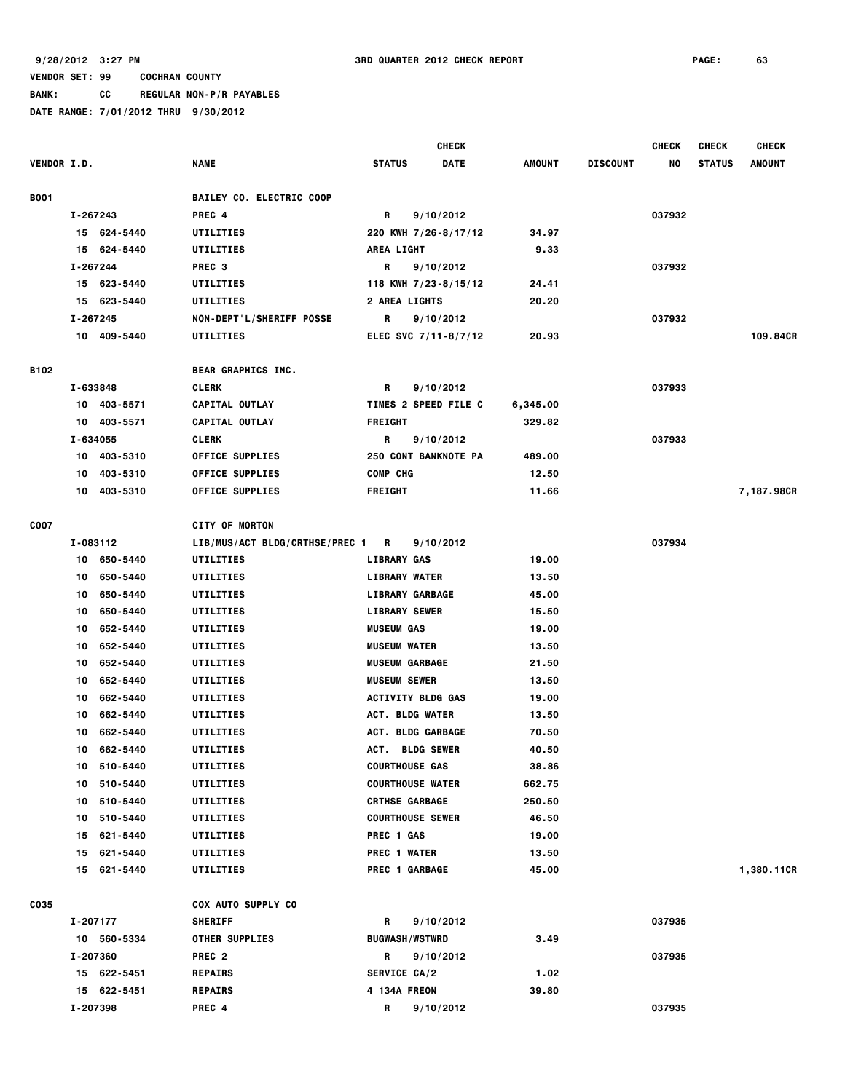**BANK: CC REGULAR NON-P/R PAYABLES**

|             |                |                                  | <b>CHECK</b>                 |               |                 | <b>CHECK</b> | <b>CHECK</b>  | <b>CHECK</b>  |
|-------------|----------------|----------------------------------|------------------------------|---------------|-----------------|--------------|---------------|---------------|
| VENDOR I.D. |                | <b>NAME</b>                      | <b>STATUS</b><br><b>DATE</b> | <b>AMOUNT</b> | <b>DISCOUNT</b> | NO           | <b>STATUS</b> | <b>AMOUNT</b> |
| <b>B001</b> |                | <b>BAILEY CO. ELECTRIC COOP</b>  |                              |               |                 |              |               |               |
|             | I-267243       | PREC 4                           | R<br>9/10/2012               |               |                 | 037932       |               |               |
|             | 15 624-5440    | UTILITIES                        | 220 KWH 7/26-8/17/12         | 34.97         |                 |              |               |               |
|             | 15 624-5440    | UTILITIES                        | <b>AREA LIGHT</b>            | 9.33          |                 |              |               |               |
|             | I-267244       | PREC <sub>3</sub>                | R<br>9/10/2012               |               |                 | 037932       |               |               |
|             | 15 623-5440    | UTILITIES                        | 118 KWH 7/23-8/15/12         | 24.41         |                 |              |               |               |
|             | 15 623-5440    | UTILITIES                        | 2 AREA LIGHTS                | 20.20         |                 |              |               |               |
|             | I-267245       | NON-DEPT'L/SHERIFF POSSE         | R<br>9/10/2012               |               |                 | 037932       |               |               |
|             | 10 409-5440    | UTILITIES                        | ELEC SVC 7/11-8/7/12         | 20.93         |                 |              |               | 109.84CR      |
| B102        |                | BEAR GRAPHICS INC.               |                              |               |                 |              |               |               |
|             | I-633848       | <b>CLERK</b>                     | 9/10/2012<br>R               |               |                 | 037933       |               |               |
|             | 10 403-5571    | CAPITAL OUTLAY                   | TIMES 2 SPEED FILE C         | 6,345.00      |                 |              |               |               |
|             | 10 403-5571    | CAPITAL OUTLAY                   | <b>FREIGHT</b>               | 329.82        |                 |              |               |               |
|             | I-634055       | <b>CLERK</b>                     | R<br>9/10/2012               |               |                 | 037933       |               |               |
|             | 403-5310<br>10 | <b>OFFICE SUPPLIES</b>           | <b>250 CONT BANKNOTE PA</b>  | 489.00        |                 |              |               |               |
|             | 10<br>403-5310 | <b>OFFICE SUPPLIES</b>           | COMP CHG                     | 12.50         |                 |              |               |               |
|             | 10 403-5310    | <b>OFFICE SUPPLIES</b>           | <b>FREIGHT</b>               | 11.66         |                 |              |               | 7,187.98CR    |
| <b>COO7</b> |                | <b>CITY OF MORTON</b>            |                              |               |                 |              |               |               |
|             | I-083112       | LIB/MUS/ACT BLDG/CRTHSE/PREC 1 R | 9/10/2012                    |               |                 | 037934       |               |               |
|             | 10 650-5440    | UTILITIES                        | <b>LIBRARY GAS</b>           | 19.00         |                 |              |               |               |
|             | 650-5440<br>10 | UTILITIES                        | <b>LIBRARY WATER</b>         | 13.50         |                 |              |               |               |
|             | 650-5440<br>10 | UTILITIES                        | <b>LIBRARY GARBAGE</b>       | 45.00         |                 |              |               |               |
|             | 650-5440<br>10 | UTILITIES                        | <b>LIBRARY SEWER</b>         | 15.50         |                 |              |               |               |
|             | 652-5440<br>10 | UTILITIES                        | <b>MUSEUM GAS</b>            | 19.00         |                 |              |               |               |
|             | 652-5440<br>10 | UTILITIES                        | <b>MUSEUM WATER</b>          | 13.50         |                 |              |               |               |
|             | 652-5440<br>10 | UTILITIES                        | <b>MUSEUM GARBAGE</b>        | 21.50         |                 |              |               |               |
|             | 652-5440<br>10 | UTILITIES                        | <b>MUSEUM SEWER</b>          | 13.50         |                 |              |               |               |
|             | 662-5440<br>10 | UTILITIES                        | <b>ACTIVITY BLDG GAS</b>     | 19.00         |                 |              |               |               |
|             | 662-5440<br>10 | UTILITIES                        | <b>ACT. BLDG WATER</b>       | 13.50         |                 |              |               |               |
|             | 662-5440<br>10 | UTILITIES                        | ACT. BLDG GARBAGE            | 70.50         |                 |              |               |               |
|             | 662-5440<br>10 | UTILITIES                        | ACT. BLDG SEWER              | 40.50         |                 |              |               |               |
|             | 10 510-5440    | UTILITIES                        | <b>COURTHOUSE GAS</b>        | 38.86         |                 |              |               |               |
|             | 10 510-5440    | UTILITIES                        | <b>COURTHOUSE WATER</b>      | 662.75        |                 |              |               |               |
|             | 10 510-5440    | UTILITIES                        | <b>CRTHSE GARBAGE</b>        | 250.50        |                 |              |               |               |
|             | 10 510-5440    | UTILITIES                        | <b>COURTHOUSE SEWER</b>      | 46.50         |                 |              |               |               |
|             | 15 621-5440    | UTILITIES                        | PREC 1 GAS                   | 19.00         |                 |              |               |               |
|             | 15 621-5440    | UTILITIES                        | <b>PREC 1 WATER</b>          | 13.50         |                 |              |               |               |
|             | 15 621-5440    | UTILITIES                        | PREC 1 GARBAGE               | 45.00         |                 |              |               | 1,380.11CR    |
| <b>C035</b> |                | <b>COX AUTO SUPPLY CO</b>        |                              |               |                 |              |               |               |
|             | I-207177       | <b>SHERIFF</b>                   | 9/10/2012<br>R               |               |                 | 037935       |               |               |
|             | 10 560-5334    | <b>OTHER SUPPLIES</b>            | <b>BUGWASH/WSTWRD</b>        | 3.49          |                 |              |               |               |
|             | I-207360       | PREC <sub>2</sub>                | 9/10/2012<br>R               |               |                 | 037935       |               |               |
|             | 15 622-5451    | <b>REPAIRS</b>                   | <b>SERVICE CA/2</b>          | 1.02          |                 |              |               |               |
|             | 15 622-5451    | <b>REPAIRS</b>                   | 4 134A FREON                 | 39.80         |                 |              |               |               |
|             | I-207398       | PREC 4                           | R<br>9/10/2012               |               |                 | 037935       |               |               |
|             |                |                                  |                              |               |                 |              |               |               |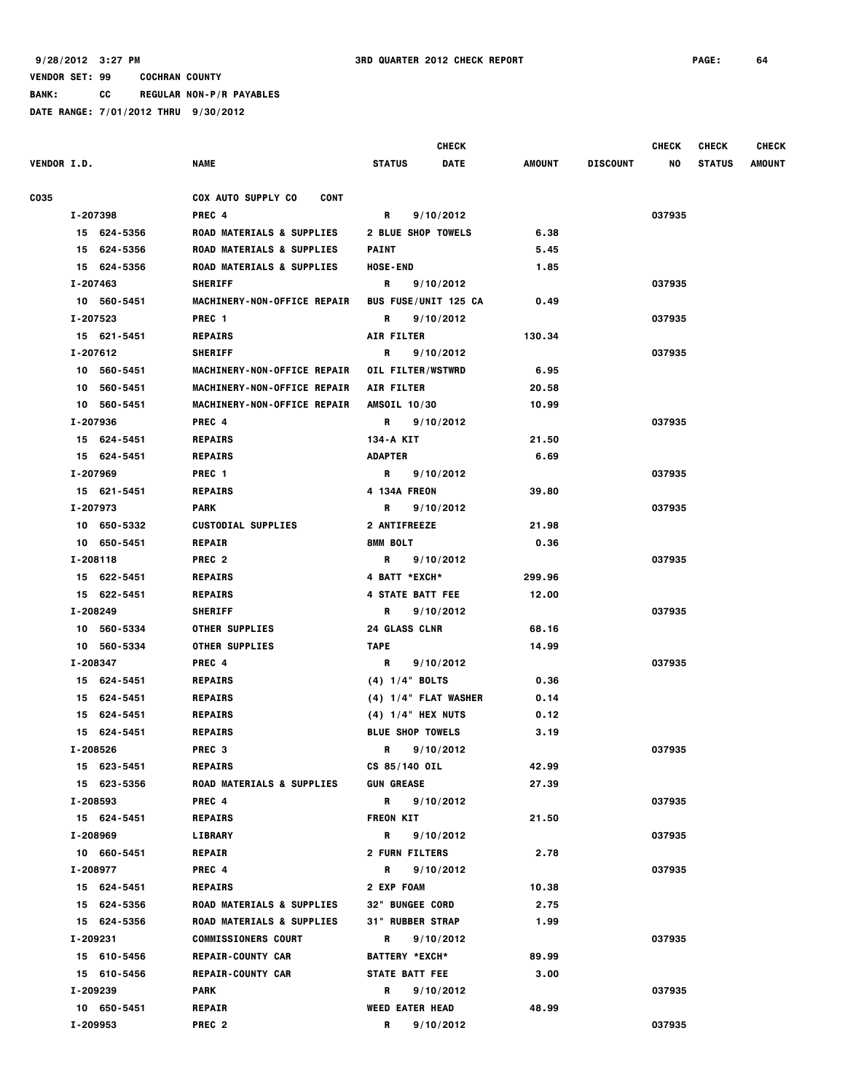**BANK: CC REGULAR NON-P/R PAYABLES**

| <b>VENDOR I.D.</b> | NAME                                     | <b>CHECK</b><br><b>STATUS</b><br>DATE | AMOUNT | <b>DISCOUNT</b> | <b>CHECK</b><br>NO | <b>CHECK</b><br><b>STATUS</b> | <b>CHECK</b><br><b>AMOUNT</b> |
|--------------------|------------------------------------------|---------------------------------------|--------|-----------------|--------------------|-------------------------------|-------------------------------|
|                    |                                          |                                       |        |                 |                    |                               |                               |
| C035               | <b>COX AUTO SUPPLY CO</b><br><b>CONT</b> |                                       |        |                 |                    |                               |                               |
| I-207398           | PREC 4                                   | 9/10/2012<br>R                        |        |                 | 037935             |                               |                               |
| 15 624-5356        | ROAD MATERIALS & SUPPLIES                | <b>2 BLUE SHOP TOWELS</b>             | 6.38   |                 |                    |                               |                               |
| 15 624-5356        | <b>ROAD MATERIALS &amp; SUPPLIES</b>     | <b>PAINT</b>                          | 5.45   |                 |                    |                               |                               |
| 15 624-5356        | <b>ROAD MATERIALS &amp; SUPPLIES</b>     | <b>HOSE-END</b>                       | 1.85   |                 |                    |                               |                               |
| I-207463           | <b>SHERIFF</b>                           | 9/10/2012<br>R                        |        |                 | 037935             |                               |                               |
| 10 560-5451        | MACHINERY-NON-OFFICE REPAIR              | <b>BUS FUSE/UNIT 125 CA</b>           | 0.49   |                 |                    |                               |                               |
| I-207523           | PREC <sub>1</sub>                        | 9/10/2012<br>R                        |        |                 | 037935             |                               |                               |
| 15 621-5451        | <b>REPAIRS</b>                           | <b>AIR FILTER</b>                     | 130.34 |                 |                    |                               |                               |
| I-207612           | <b>SHERIFF</b>                           | 9/10/2012<br>R                        |        |                 | 037935             |                               |                               |
| 10 560-5451        | MACHINERY-NON-OFFICE REPAIR              | OIL FILTER/WSTWRD                     | 6.95   |                 |                    |                               |                               |
| 10 560-5451        | MACHINERY-NON-OFFICE REPAIR              | AIR FILTER                            | 20.58  |                 |                    |                               |                               |
| 10 560-5451        | MACHINERY-NON-OFFICE REPAIR              | AMSOIL 10/30                          | 10.99  |                 |                    |                               |                               |
| I-207936           | PREC 4                                   | R<br>9/10/2012                        |        |                 | 037935             |                               |                               |
| 15 624-5451        | <b>REPAIRS</b>                           | 134-A KIT                             | 21.50  |                 |                    |                               |                               |
| 15 624-5451        | <b>REPAIRS</b>                           | <b>ADAPTER</b>                        | 6.69   |                 |                    |                               |                               |
| I-207969           | PREC 1                                   | R<br>9/10/2012                        |        |                 | 037935             |                               |                               |
| 15 621-5451        | <b>REPAIRS</b>                           | 4 134A FREON                          | 39.80  |                 |                    |                               |                               |
| I-207973           | <b>PARK</b>                              | 9/10/2012<br>R                        |        |                 | 037935             |                               |                               |
| 10 650-5332        | <b>CUSTODIAL SUPPLIES</b>                | <b>2 ANTIFREEZE</b>                   | 21.98  |                 |                    |                               |                               |
| 10 650-5451        | <b>REPAIR</b>                            | 8MM BOLT                              | 0.36   |                 |                    |                               |                               |
| I-208118           | PREC <sub>2</sub>                        | 9/10/2012<br>R                        |        |                 | 037935             |                               |                               |
| 15 622-5451        | <b>REPAIRS</b>                           | 4 BATT *EXCH*                         | 299.96 |                 |                    |                               |                               |
| 15 622-5451        | <b>REPAIRS</b>                           | 4 STATE BATT FEE                      | 12.00  |                 |                    |                               |                               |
| I-208249           | <b>SHERIFF</b>                           | R<br>9/10/2012                        |        |                 | 037935             |                               |                               |
| 10 560-5334        | <b>OTHER SUPPLIES</b>                    | <b>24 GLASS CLNR</b>                  | 68.16  |                 |                    |                               |                               |
| 10 560-5334        | <b>OTHER SUPPLIES</b>                    | <b>TAPE</b>                           | 14.99  |                 |                    |                               |                               |
| I-208347           | PREC 4                                   | 9/10/2012<br>R                        |        |                 | 037935             |                               |                               |
| 15 624-5451        | <b>REPAIRS</b>                           | $(4)$ 1/4" BOLTS                      | 0.36   |                 |                    |                               |                               |
| 15 624-5451        | <b>REPAIRS</b>                           | $(4)$ 1/4" FLAT WASHER                | 0.14   |                 |                    |                               |                               |
| 15 624-5451        | <b>REPAIRS</b>                           | $(4)$ 1/4" HEX NUTS                   | 0.12   |                 |                    |                               |                               |
| 15 624-5451        | <b>REPAIRS</b>                           | <b>BLUE SHOP TOWELS</b>               | 3.19   |                 |                    |                               |                               |
| I-208526           | PREC <sub>3</sub>                        | R 9/10/2012                           |        |                 | 037935             |                               |                               |
| 15 623-5451        | <b>REPAIRS</b>                           | CS 85/140 OIL                         | 42.99  |                 |                    |                               |                               |
| 15 623-5356        | <b>ROAD MATERIALS &amp; SUPPLIES</b>     | <b>GUN GREASE</b>                     | 27.39  |                 |                    |                               |                               |
| I-208593           | PREC 4                                   | R 9/10/2012                           |        |                 | 037935             |                               |                               |
| 15 624-5451        | <b>REPAIRS</b>                           | <b>FREON KIT</b>                      | 21.50  |                 |                    |                               |                               |
| I-208969           | LIBRARY                                  | R 9/10/2012                           |        |                 | 037935             |                               |                               |
| 10 660-5451        | <b>REPAIR</b>                            | <b>2 FURN FILTERS</b>                 | 2.78   |                 |                    |                               |                               |
| I-208977           | PREC 4                                   | R 9/10/2012                           |        |                 | 037935             |                               |                               |
| 15 624-5451        | <b>REPAIRS</b>                           | <b>2 EXP FOAM</b>                     | 10.38  |                 |                    |                               |                               |
| 15 624-5356        | <b>ROAD MATERIALS &amp; SUPPLIES</b>     | 32" BUNGEE CORD                       | 2.75   |                 |                    |                               |                               |
| 15 624-5356        | <b>ROAD MATERIALS &amp; SUPPLIES</b>     | 31" RUBBER STRAP                      | 1.99   |                 |                    |                               |                               |
| I-209231           | <b>COMMISSIONERS COURT</b>               | R <sub>a</sub><br>9/10/2012           |        |                 | 037935             |                               |                               |
| 15 610-5456        | <b>REPAIR-COUNTY CAR</b>                 | <b>BATTERY *EXCH*</b>                 | 89.99  |                 |                    |                               |                               |
| 15 610-5456        | <b>REPAIR-COUNTY CAR</b>                 | <b>STATE BATT FEE</b>                 | 3.00   |                 |                    |                               |                               |
| I-209239           | PARK                                     | R 9/10/2012                           |        |                 | 037935             |                               |                               |
| 10 650-5451        | <b>REPAIR</b>                            | <b>WEED EATER HEAD</b>                | 48.99  |                 |                    |                               |                               |
| I-209953           | PREC <sub>2</sub>                        | R<br>9/10/2012                        |        |                 | 037935             |                               |                               |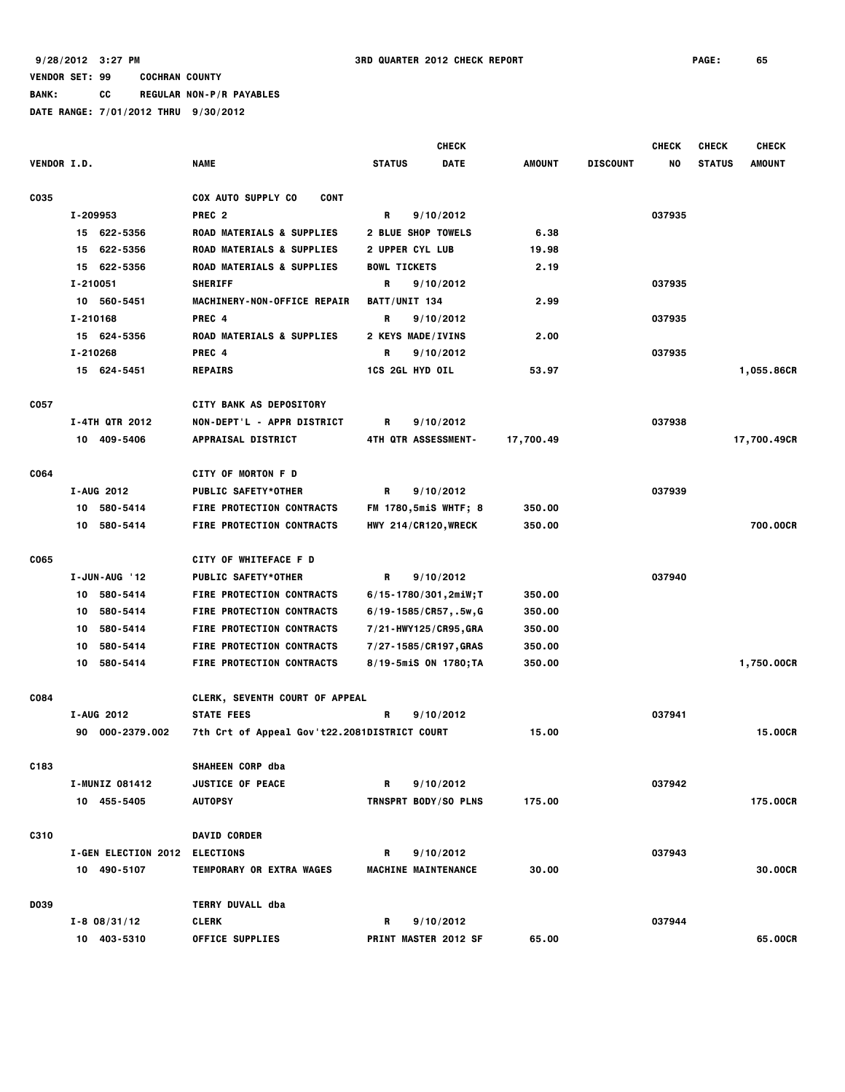|  |  | DATE RANGE: 7/01/2012 THRU 9/30/2012 |  |
|--|--|--------------------------------------|--|
|  |  |                                      |  |

|                    |                            |                                              |                             | <b>CHECK</b> |               |                 | <b>CHECK</b> | <b>CHECK</b>  | <b>CHECK</b>  |
|--------------------|----------------------------|----------------------------------------------|-----------------------------|--------------|---------------|-----------------|--------------|---------------|---------------|
| <b>VENDOR I.D.</b> |                            | <b>NAME</b>                                  | <b>STATUS</b>               | <b>DATE</b>  | <b>AMOUNT</b> | <b>DISCOUNT</b> | NO           | <b>STATUS</b> | <b>AMOUNT</b> |
| C035               |                            | <b>COX AUTO SUPPLY CO</b><br><b>CONT</b>     |                             |              |               |                 |              |               |               |
|                    | I-209953                   | PREC <sub>2</sub>                            | R<br>9/10/2012              |              |               |                 | 037935       |               |               |
|                    | 15 622-5356                | <b>ROAD MATERIALS &amp; SUPPLIES</b>         | <b>2 BLUE SHOP TOWELS</b>   |              | 6.38          |                 |              |               |               |
|                    | 15 622-5356                | ROAD MATERIALS & SUPPLIES                    | 2 UPPER CYL LUB             |              | 19.98         |                 |              |               |               |
|                    | 15 622-5356                | ROAD MATERIALS & SUPPLIES                    | <b>BOWL TICKETS</b>         |              | 2.19          |                 |              |               |               |
|                    | I-210051                   | <b>SHERIFF</b>                               | R<br>9/10/2012              |              |               |                 | 037935       |               |               |
|                    | 10 560-5451                | MACHINERY-NON-OFFICE REPAIR                  | BATT/UNIT 134               |              | 2.99          |                 |              |               |               |
|                    | I-210168                   | PREC 4                                       | R<br>9/10/2012              |              |               |                 | 037935       |               |               |
|                    | 15 624-5356                | <b>ROAD MATERIALS &amp; SUPPLIES</b>         | 2 KEYS MADE/IVINS           |              | 2.00          |                 |              |               |               |
|                    | I-210268                   | PREC 4                                       | 9/10/2012<br>R              |              |               |                 | 037935       |               |               |
|                    | 15 624-5451                | <b>REPAIRS</b>                               | <b>1CS 2GL HYD OIL</b>      |              | 53.97         |                 |              |               | 1,055.86CR    |
|                    |                            |                                              |                             |              |               |                 |              |               |               |
| C057               |                            | <b>CITY BANK AS DEPOSITORY</b>               |                             |              |               |                 |              |               |               |
|                    | <b>I-4TH QTR 2012</b>      | NON-DEPT'L - APPR DISTRICT                   | R<br>9/10/2012              |              |               |                 | 037938       |               |               |
|                    | 10 409-5406                | <b>APPRAISAL DISTRICT</b>                    | 4TH QTR ASSESSMENT-         |              | 17,700.49     |                 |              |               | 17,700.49CR   |
|                    |                            |                                              |                             |              |               |                 |              |               |               |
| C064               |                            | <b>CITY OF MORTON F D</b>                    |                             |              |               |                 |              |               |               |
|                    | I-AUG 2012                 | <b>PUBLIC SAFETY*OTHER</b>                   | R<br>9/10/2012              |              |               |                 | 037939       |               |               |
|                    | 10 580-5414                | FIRE PROTECTION CONTRACTS                    | <b>FM 1780,5miS WHTF; 8</b> |              | 350.00        |                 |              |               |               |
|                    | 10 580-5414                | <b>FIRE PROTECTION CONTRACTS</b>             | HWY 214/CR120, WRECK        |              | 350.00        |                 |              |               | 700.00CR      |
| <b>CO65</b>        |                            | CITY OF WHITEFACE F D                        |                             |              |               |                 |              |               |               |
|                    | I-JUN-AUG '12              | <b>PUBLIC SAFETY*OTHER</b>                   | R<br>9/10/2012              |              |               |                 | 037940       |               |               |
|                    | 10 580-5414                | <b>FIRE PROTECTION CONTRACTS</b>             | 6/15-1780/301,2miW;T        |              | 350.00        |                 |              |               |               |
|                    | 580-5414<br>10             | <b>FIRE PROTECTION CONTRACTS</b>             | $6/19 - 1585/CR57, .5w, G$  |              | 350.00        |                 |              |               |               |
|                    | 580-5414<br>10             | FIRE PROTECTION CONTRACTS                    | 7/21-HWY125/CR95, GRA       |              | 350.00        |                 |              |               |               |
|                    | 580-5414<br>10             | <b>FIRE PROTECTION CONTRACTS</b>             | 7/27-1585/CR197, GRAS       |              | 350.00        |                 |              |               |               |
|                    | 580-5414<br>10             | <b>FIRE PROTECTION CONTRACTS</b>             | 8/19-5miS ON 1780;TA        |              | 350.00        |                 |              |               | 1,750.00CR    |
|                    |                            |                                              |                             |              |               |                 |              |               |               |
| <b>CO84</b>        |                            | <b>CLERK, SEVENTH COURT OF APPEAL</b>        |                             |              |               |                 |              |               |               |
|                    | I-AUG 2012                 | <b>STATE FEES</b>                            | R<br>9/10/2012              |              |               |                 | 037941       |               |               |
|                    | 90 000-2379.002            | 7th Crt of Appeal Gov't22.2081DISTRICT COURT |                             |              | 15.00         |                 |              |               | 15.00CR       |
| C183               |                            | SHAHEEN CORP dba                             |                             |              |               |                 |              |               |               |
|                    | I-MUNIZ 081412             | <b>JUSTICE OF PEACE</b>                      | 9/10/2012<br>R              |              |               |                 | 037942       |               |               |
|                    | 10 455-5405                | <b>AUTOPSY</b>                               | TRNSPRT BODY/SO PLNS        |              | 175.00        |                 |              |               | 175.00CR      |
|                    |                            |                                              |                             |              |               |                 |              |               |               |
| <b>C310</b>        |                            | <b>DAVID CORDER</b>                          |                             |              |               |                 |              |               |               |
|                    | <b>I-GEN ELECTION 2012</b> | <b>ELECTIONS</b><br>TEMPORARY OR EXTRA WAGES | R<br>9/10/2012              |              |               |                 | 037943       |               | 30,00CR       |
|                    | 10 490-5107                |                                              | MACHINE MAINTENANCE         |              | 30.00         |                 |              |               |               |
| <b>DO39</b>        |                            | TERRY DUVALL dba                             |                             |              |               |                 |              |               |               |
|                    | $I - 8$ 08/31/12           | <b>CLERK</b>                                 | 9/10/2012<br>R              |              |               |                 | 037944       |               |               |
|                    | 10 403-5310                | <b>OFFICE SUPPLIES</b>                       | PRINT MASTER 2012 SF        |              | 65.00         |                 |              |               | 65.00CR       |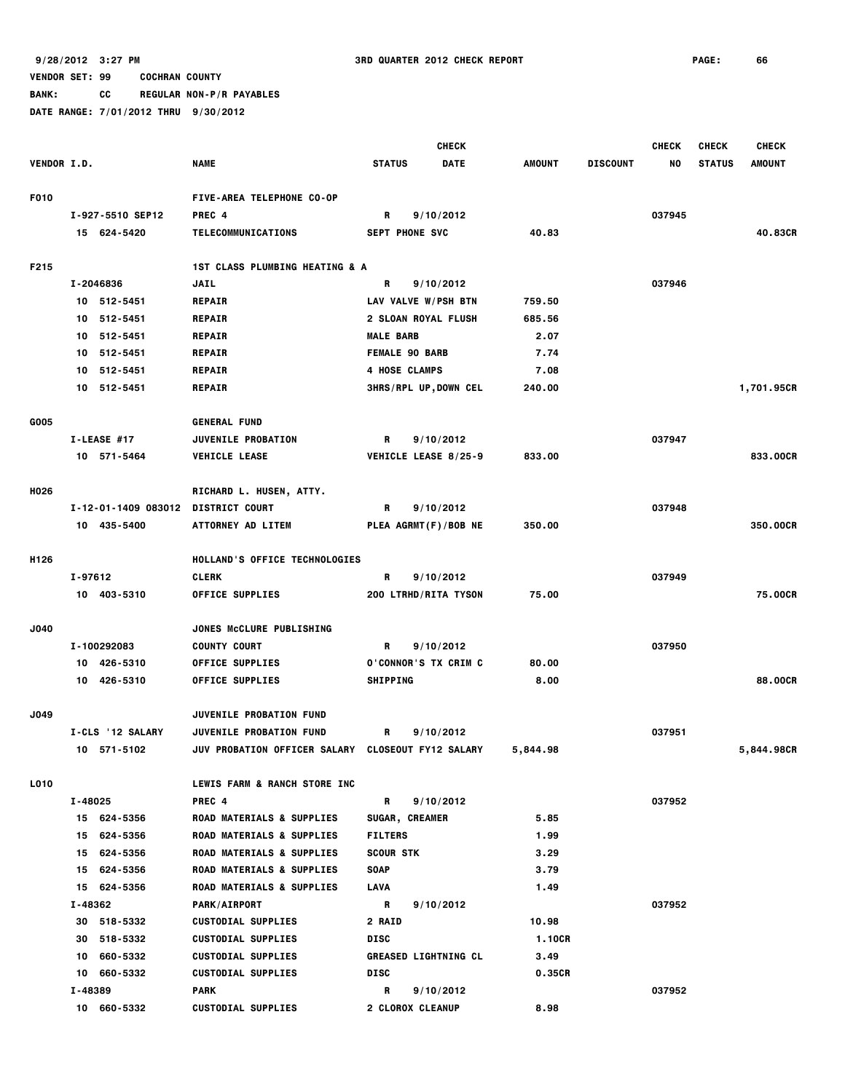**BANK: CC REGULAR NON-P/R PAYABLES**

|                    | <b>CHECK</b>               |                                                                  |                                     |             |                | <b>CHECK</b>    | <b>CHECK</b> | <b>CHECK</b>  |            |
|--------------------|----------------------------|------------------------------------------------------------------|-------------------------------------|-------------|----------------|-----------------|--------------|---------------|------------|
| <b>VENDOR I.D.</b> |                            | <b>NAME</b>                                                      | <b>STATUS</b>                       | <b>DATE</b> | AMOUNT         | <b>DISCOUNT</b> | NO           | <b>STATUS</b> | AMOUNT     |
|                    |                            |                                                                  |                                     |             |                |                 |              |               |            |
| F010               |                            | FIVE-AREA TELEPHONE CO-OP                                        |                                     |             |                |                 |              |               |            |
|                    | I-927-5510 SEP12           | PREC 4                                                           | R                                   | 9/10/2012   |                |                 | 037945       |               |            |
|                    | 15 624-5420                | TELECOMMUNICATIONS                                               | <b>SEPT PHONE SVC</b>               |             | 40.83          |                 |              |               | 40.83CR    |
| F215               |                            | 1ST CLASS PLUMBING HEATING & A                                   |                                     |             |                |                 |              |               |            |
|                    | I-2046836                  | <b>JAIL</b>                                                      | R                                   | 9/10/2012   |                |                 | 037946       |               |            |
|                    | 10 512-5451                | <b>REPAIR</b>                                                    | LAV VALVE W/PSH BTN                 |             | 759.50         |                 |              |               |            |
|                    | 10 512-5451                | <b>REPAIR</b>                                                    | 2 SLOAN ROYAL FLUSH                 |             | 685.56         |                 |              |               |            |
|                    | 10 512-5451                | <b>REPAIR</b>                                                    | <b>MALE BARB</b>                    |             | 2.07           |                 |              |               |            |
|                    | 10 512-5451                | <b>REPAIR</b>                                                    | <b>FEMALE 90 BARB</b>               |             | 7.74           |                 |              |               |            |
|                    | 512-5451<br>10             | <b>REPAIR</b>                                                    | 4 HOSE CLAMPS                       |             | 7.08           |                 |              |               |            |
|                    | 10 512-5451                | <b>REPAIR</b>                                                    | <b>3HRS/RPL UP, DOWN CEL</b>        |             | 240.00         |                 |              |               | 1,701.95CR |
| G005               |                            | <b>GENERAL FUND</b>                                              |                                     |             |                |                 |              |               |            |
|                    | I-LEASE #17                | <b>JUVENILE PROBATION</b>                                        | R                                   | 9/10/2012   |                |                 | 037947       |               |            |
|                    | 10 571-5464                | <b>VEHICLE LEASE</b>                                             | VEHICLE LEASE 8/25-9                |             | 833.00         |                 |              |               | 833,00CR   |
|                    |                            |                                                                  |                                     |             |                |                 |              |               |            |
| H026               |                            | RICHARD L. HUSEN, ATTY.                                          |                                     |             |                |                 |              |               |            |
|                    | I-12-01-1409 083012        | <b>DISTRICT COURT</b>                                            | R                                   | 9/10/2012   |                |                 | 037948       |               |            |
|                    | 10 435-5400                | <b>ATTORNEY AD LITEM</b>                                         | PLEA AGRMT(F)/BOB NE                |             | 350.00         |                 |              |               | 350.00CR   |
|                    |                            |                                                                  |                                     |             |                |                 |              |               |            |
| H <sub>126</sub>   |                            | HOLLAND'S OFFICE TECHNOLOGIES                                    |                                     |             |                |                 |              |               |            |
|                    | I-97612                    | <b>CLERK</b>                                                     | R                                   | 9/10/2012   |                |                 | 037949       |               |            |
|                    | 10 403-5310                | <b>OFFICE SUPPLIES</b>                                           | 200 LTRHD/RITA TYSON                |             | 75.00          |                 |              |               | 75.00CR    |
| J040               |                            | <b>JONES MCCLURE PUBLISHING</b>                                  |                                     |             |                |                 |              |               |            |
|                    | I-100292083                | <b>COUNTY COURT</b>                                              | R                                   | 9/10/2012   |                |                 | 037950       |               |            |
|                    | 10 426-5310                | <b>OFFICE SUPPLIES</b>                                           | <b>O'CONNOR'S TX CRIM C</b>         |             | 80.00          |                 |              |               |            |
|                    | 10 426-5310                | <b>OFFICE SUPPLIES</b>                                           | <b>SHIPPING</b>                     |             | 8.00           |                 |              |               | 88,00CR    |
| J049               |                            |                                                                  |                                     |             |                |                 |              |               |            |
|                    | I-CLS '12 SALARY           | <b>JUVENILE PROBATION FUND</b><br><b>JUVENILE PROBATION FUND</b> | R                                   | 9/10/2012   |                |                 | 037951       |               |            |
|                    | 10 571-5102                | <b>JUV PROBATION OFFICER SALARY</b>                              | <b>CLOSEOUT FY12 SALARY</b>         |             | 5,844.98       |                 |              |               | 5,844.98CR |
|                    |                            |                                                                  |                                     |             |                |                 |              |               |            |
| L010               |                            | LEWIS FARM & RANCH STORE INC                                     |                                     |             |                |                 |              |               |            |
|                    | I-48025                    | PREC 4                                                           | $\mathbf R$                         | 9/10/2012   |                |                 | 037952       |               |            |
|                    | 15 624-5356                | <b>ROAD MATERIALS &amp; SUPPLIES</b>                             | SUGAR, CREAMER                      |             | 5.85           |                 |              |               |            |
|                    | 15 624-5356                | <b>ROAD MATERIALS &amp; SUPPLIES</b>                             | <b>FILTERS</b>                      |             | 1.99           |                 |              |               |            |
|                    | 15 624-5356                | <b>ROAD MATERIALS &amp; SUPPLIES</b>                             | <b>SCOUR STK</b>                    |             | 3.29           |                 |              |               |            |
|                    | 15 624-5356                | <b>ROAD MATERIALS &amp; SUPPLIES</b>                             | <b>SOAP</b>                         |             | 3.79           |                 |              |               |            |
|                    | 15 624-5356                | <b>ROAD MATERIALS &amp; SUPPLIES</b>                             | LAVA                                |             | 1.49           |                 |              |               |            |
|                    | I-48362                    | <b>PARK/AIRPORT</b>                                              | R                                   | 9/10/2012   |                |                 | 037952       |               |            |
|                    | 30 518-5332                | <b>CUSTODIAL SUPPLIES</b>                                        | <b>2 RAID</b>                       |             | 10.98          |                 |              |               |            |
|                    | 30 518-5332                | <b>CUSTODIAL SUPPLIES</b>                                        | DISC                                |             | 1.10CR         |                 |              |               |            |
|                    | 10 660-5332<br>10 660-5332 | <b>CUSTODIAL SUPPLIES</b><br><b>CUSTODIAL SUPPLIES</b>           | <b>GREASED LIGHTNING CL</b><br>DISC |             | 3.49<br>0.35CR |                 |              |               |            |
|                    | I-48389                    | <b>PARK</b>                                                      | R                                   | 9/10/2012   |                |                 | 037952       |               |            |
|                    | 10 660-5332                | <b>CUSTODIAL SUPPLIES</b>                                        | 2 CLOROX CLEANUP                    |             | 8.98           |                 |              |               |            |
|                    |                            |                                                                  |                                     |             |                |                 |              |               |            |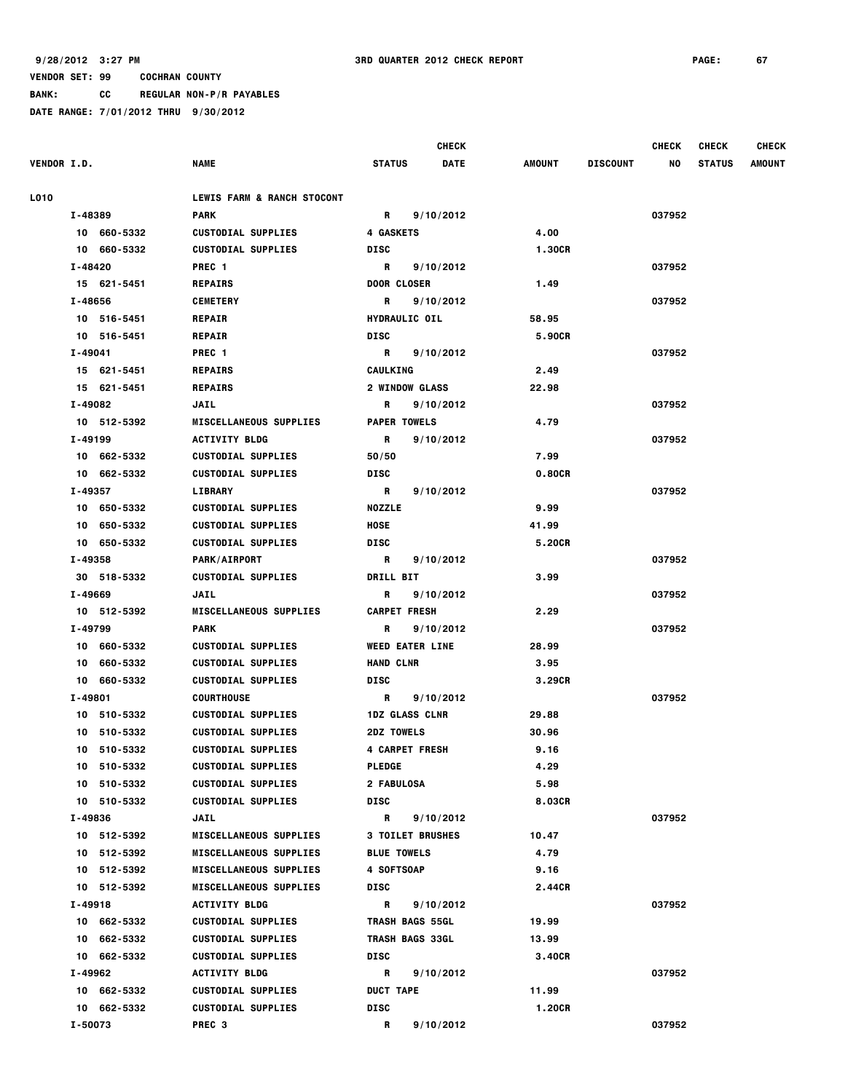|  |  | PAIL RANGE, FOLIZUIZ THIN 5100/ZUIZ |  |
|--|--|-------------------------------------|--|
|  |  |                                     |  |

|                    |         |                            |                                                        |                    |                         | <b>CHECK</b> |                 |                 | <b>CHECK</b> | <b>CHECK</b>  | <b>CHECK</b>  |
|--------------------|---------|----------------------------|--------------------------------------------------------|--------------------|-------------------------|--------------|-----------------|-----------------|--------------|---------------|---------------|
| <b>VENDOR I.D.</b> |         |                            | <b>NAME</b>                                            | <b>STATUS</b>      |                         | <b>DATE</b>  | AMOUNT          | <b>DISCOUNT</b> | NO           | <b>STATUS</b> | <b>AMOUNT</b> |
| <b>L010</b>        |         |                            | LEWIS FARM & RANCH STOCONT                             |                    |                         |              |                 |                 |              |               |               |
|                    | I-48389 |                            | <b>PARK</b>                                            | R                  | 9/10/2012               |              |                 |                 | 037952       |               |               |
|                    |         | 10 660-5332                | <b>CUSTODIAL SUPPLIES</b>                              | <b>4 GASKETS</b>   |                         |              | 4.00            |                 |              |               |               |
|                    |         | 10 660-5332                | <b>CUSTODIAL SUPPLIES</b>                              | DISC               |                         |              | 1.30CR          |                 |              |               |               |
|                    | I-48420 |                            | PREC <sub>1</sub>                                      | $\mathbf{R}$       | 9/10/2012               |              |                 |                 | 037952       |               |               |
|                    |         | 15 621-5451                | <b>REPAIRS</b>                                         |                    | <b>DOOR CLOSER</b>      |              | 1.49            |                 |              |               |               |
|                    | I-48656 |                            | <b>CEMETERY</b>                                        | R                  | 9/10/2012               |              |                 |                 | 037952       |               |               |
|                    |         | 10 516-5451                | <b>REPAIR</b>                                          |                    | <b>HYDRAULIC OIL</b>    |              | 58.95           |                 |              |               |               |
|                    |         | 10 516-5451                | <b>REPAIR</b>                                          | DISC               |                         |              | 5.90CR          |                 |              |               |               |
|                    | I-49041 |                            | PREC 1                                                 | $\mathbf R$        | 9/10/2012               |              |                 |                 | 037952       |               |               |
|                    |         | 15 621-5451                | <b>REPAIRS</b>                                         | CAULKING           |                         |              | 2.49            |                 |              |               |               |
|                    |         | 15 621-5451                | <b>REPAIRS</b>                                         |                    | <b>2 WINDOW GLASS</b>   |              | 22.98           |                 |              |               |               |
|                    | I-49082 |                            | JAIL                                                   | R                  | 9/10/2012               |              |                 |                 | 037952       |               |               |
|                    |         | 10 512-5392                | <b>MISCELLANEOUS SUPPLIES</b>                          |                    | <b>PAPER TOWELS</b>     |              | 4.79            |                 |              |               |               |
|                    | I-49199 |                            | <b>ACTIVITY BLDG</b>                                   | R                  | 9/10/2012               |              |                 |                 | 037952       |               |               |
|                    |         | 10 662-5332                | <b>CUSTODIAL SUPPLIES</b>                              | 50/50              |                         |              | 7.99            |                 |              |               |               |
|                    |         | 10 662-5332                | <b>CUSTODIAL SUPPLIES</b>                              | DISC               |                         |              | 0.80CR          |                 |              |               |               |
|                    | I-49357 |                            | <b>LIBRARY</b>                                         | <b>R</b>           | 9/10/2012               |              |                 |                 | 037952       |               |               |
|                    |         | 10 650-5332                | <b>CUSTODIAL SUPPLIES</b>                              | <b>NOZZLE</b>      |                         |              | 9.99            |                 |              |               |               |
|                    |         | 10 650-5332<br>10 650-5332 | <b>CUSTODIAL SUPPLIES</b><br><b>CUSTODIAL SUPPLIES</b> | HOSE<br>DISC       |                         |              | 41.99<br>5.20CR |                 |              |               |               |
|                    | I-49358 |                            | <b>PARK/AIRPORT</b>                                    | R                  | 9/10/2012               |              |                 |                 | 037952       |               |               |
|                    |         | 30 518-5332                | <b>CUSTODIAL SUPPLIES</b>                              | <b>DRILL BIT</b>   |                         |              | 3.99            |                 |              |               |               |
|                    | I-49669 |                            | JAIL                                                   | R                  | 9/10/2012               |              |                 |                 | 037952       |               |               |
|                    |         | 10 512-5392                | <b>MISCELLANEOUS SUPPLIES</b>                          |                    | <b>CARPET FRESH</b>     |              | 2.29            |                 |              |               |               |
|                    | I-49799 |                            | <b>PARK</b>                                            | R                  | 9/10/2012               |              |                 |                 | 037952       |               |               |
|                    |         | 10 660-5332                | <b>CUSTODIAL SUPPLIES</b>                              |                    | <b>WEED EATER LINE</b>  |              | 28.99           |                 |              |               |               |
|                    |         | 10 660-5332                | <b>CUSTODIAL SUPPLIES</b>                              | <b>HAND CLNR</b>   |                         |              | 3.95            |                 |              |               |               |
|                    |         | 10 660-5332                | <b>CUSTODIAL SUPPLIES</b>                              | DISC               |                         |              | 3.29CR          |                 |              |               |               |
|                    | I-49801 |                            | <b>COURTHOUSE</b>                                      |                    | R 9/10/2012             |              |                 |                 | 037952       |               |               |
|                    |         | 10 510-5332                | <b>CUSTODIAL SUPPLIES</b>                              |                    | <b>1DZ GLASS CLNR</b>   |              | 29.88           |                 |              |               |               |
|                    |         | 10 510-5332                | <b>CUSTODIAL SUPPLIES</b>                              | <b>2DZ TOWELS</b>  |                         |              | 30.96           |                 |              |               |               |
|                    |         | 10 510-5332                | <b>CUSTODIAL SUPPLIES</b>                              |                    | <b>4 CARPET FRESH</b>   |              | 9.16            |                 |              |               |               |
|                    |         | 10 510-5332                | <b>CUSTODIAL SUPPLIES</b>                              | <b>PLEDGE</b>      |                         |              | 4.29            |                 |              |               |               |
|                    |         | 10 510-5332                | <b>CUSTODIAL SUPPLIES</b>                              | 2 FABULOSA         |                         |              | 5.98            |                 |              |               |               |
|                    |         | 10 510-5332                | <b>CUSTODIAL SUPPLIES</b>                              | DISC               |                         |              | 8.03CR          |                 |              |               |               |
|                    | I-49836 |                            | JAIL                                                   | R                  | 9/10/2012               |              |                 |                 | 037952       |               |               |
|                    |         | 10 512-5392                | <b>MISCELLANEOUS SUPPLIES</b>                          |                    | <b>3 TOILET BRUSHES</b> |              | 10.47           |                 |              |               |               |
|                    |         | 10 512-5392                | <b>MISCELLANEOUS SUPPLIES</b>                          | <b>BLUE TOWELS</b> |                         |              | 4.79            |                 |              |               |               |
|                    |         | 10 512-5392                | <b>MISCELLANEOUS SUPPLIES</b>                          | 4 SOFTSOAP         |                         |              | 9.16            |                 |              |               |               |
|                    |         | 10 512-5392                | <b>MISCELLANEOUS SUPPLIES</b>                          | DISC               |                         |              | 2.44CR          |                 |              |               |               |
|                    | I-49918 |                            | <b>ACTIVITY BLDG</b>                                   | $\mathbf{R}$       | 9/10/2012               |              |                 |                 | 037952       |               |               |
|                    |         | 10 662-5332                | <b>CUSTODIAL SUPPLIES</b>                              |                    | TRASH BAGS 55GL         |              | 19.99           |                 |              |               |               |
|                    |         | 10 662-5332                | <b>CUSTODIAL SUPPLIES</b>                              |                    | TRASH BAGS 33GL         |              | 13.99           |                 |              |               |               |
|                    |         | 10 662-5332                | <b>CUSTODIAL SUPPLIES</b>                              | DISC               |                         |              | 3.40CR          |                 |              |               |               |
|                    | I-49962 |                            | <b>ACTIVITY BLDG</b>                                   | R                  | 9/10/2012               |              |                 |                 | 037952       |               |               |
|                    |         | 10 662-5332                | <b>CUSTODIAL SUPPLIES</b>                              | <b>DUCT TAPE</b>   |                         |              | 11.99           |                 |              |               |               |
|                    |         | 10 662-5332                | <b>CUSTODIAL SUPPLIES</b>                              | <b>DISC</b>        |                         |              | 1.20CR          |                 |              |               |               |
|                    | I-50073 |                            | PREC 3                                                 | R                  | 9/10/2012               |              |                 |                 | 037952       |               |               |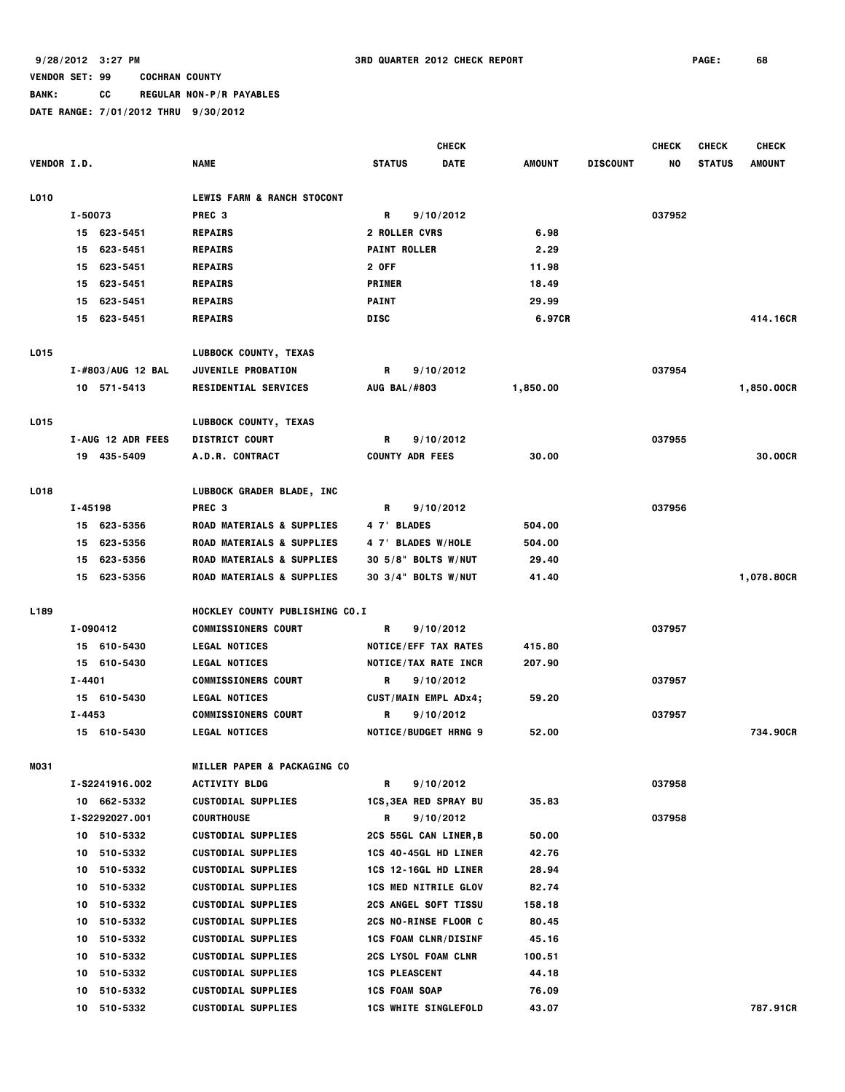# **BANK: CC REGULAR NON-P/R PAYABLES**

|                    |          |                   |                                      | <b>CHECK</b>                 |             |          |                 | <b>CHECK</b> | <b>CHECK</b>  | <b>CHECK</b>  |
|--------------------|----------|-------------------|--------------------------------------|------------------------------|-------------|----------|-----------------|--------------|---------------|---------------|
| <b>VENDOR I.D.</b> |          |                   | <b>NAME</b>                          | <b>STATUS</b>                | <b>DATE</b> | AMOUNT   | <b>DISCOUNT</b> | NO           | <b>STATUS</b> | <b>AMOUNT</b> |
|                    |          |                   |                                      |                              |             |          |                 |              |               |               |
| L010               |          |                   | LEWIS FARM & RANCH STOCONT           |                              |             |          |                 |              |               |               |
|                    | I-50073  |                   | PREC <sub>3</sub>                    | R                            | 9/10/2012   |          |                 | 037952       |               |               |
|                    |          | 15 623-5451       | <b>REPAIRS</b>                       | <b>2 ROLLER CVRS</b>         |             | 6.98     |                 |              |               |               |
|                    |          | 15 623-5451       | <b>REPAIRS</b>                       | <b>PAINT ROLLER</b>          |             | 2.29     |                 |              |               |               |
|                    | 15       | 623-5451          | <b>REPAIRS</b>                       | 2 OFF                        |             | 11.98    |                 |              |               |               |
|                    |          | 15 623-5451       | <b>REPAIRS</b>                       | <b>PRIMER</b>                |             | 18.49    |                 |              |               |               |
|                    |          | 15 623-5451       | <b>REPAIRS</b>                       | <b>PAINT</b><br><b>DISC</b>  |             | 29.99    |                 |              |               | 414,16CR      |
|                    |          | 15 623-5451       | <b>REPAIRS</b>                       |                              |             | 6.97CR   |                 |              |               |               |
| L015               |          |                   | LUBBOCK COUNTY, TEXAS                |                              |             |          |                 |              |               |               |
|                    |          | I-#803/AUG 12 BAL | <b>JUVENILE PROBATION</b>            | R                            | 9/10/2012   |          |                 | 037954       |               |               |
|                    |          | 10 571-5413       | <b>RESIDENTIAL SERVICES</b>          | <b>AUG BAL/#803</b>          |             | 1,850.00 |                 |              |               | 1,850.00CR    |
| L015               |          |                   | LUBBOCK COUNTY, TEXAS                |                              |             |          |                 |              |               |               |
|                    |          | I-AUG 12 ADR FEES | <b>DISTRICT COURT</b>                | R                            | 9/10/2012   |          |                 | 037955       |               |               |
|                    |          | 19 435-5409       | <b>A.D.R. CONTRACT</b>               | <b>COUNTY ADR FEES</b>       |             | 30.00    |                 |              |               | 30.00CR       |
|                    |          |                   |                                      |                              |             |          |                 |              |               |               |
| L018               |          |                   | LUBBOCK GRADER BLADE, INC            |                              |             |          |                 |              |               |               |
|                    | I-45198  |                   | PREC <sub>3</sub>                    | R                            | 9/10/2012   |          |                 | 037956       |               |               |
|                    |          | 15 623-5356       | <b>ROAD MATERIALS &amp; SUPPLIES</b> | 4 7' BLADES                  |             | 504.00   |                 |              |               |               |
|                    | 15       | 623-5356          | ROAD MATERIALS & SUPPLIES            | 4 7' BLADES W/HOLE           |             | 504.00   |                 |              |               |               |
|                    |          | 15 623-5356       | <b>ROAD MATERIALS &amp; SUPPLIES</b> | 30 5/8" BOLTS W/NUT          |             | 29.40    |                 |              |               |               |
|                    |          | 15 623-5356       | <b>ROAD MATERIALS &amp; SUPPLIES</b> | 30 3/4" BOLTS W/NUT          |             | 41.40    |                 |              |               | 1,078.80CR    |
| L189               |          |                   | HOCKLEY COUNTY PUBLISHING CO.I       |                              |             |          |                 |              |               |               |
|                    | I-090412 |                   | <b>COMMISSIONERS COURT</b>           | R                            | 9/10/2012   |          |                 | 037957       |               |               |
|                    |          | 15 610-5430       | <b>LEGAL NOTICES</b>                 | NOTICE/EFF TAX RATES         |             | 415.80   |                 |              |               |               |
|                    |          | 15 610-5430       | <b>LEGAL NOTICES</b>                 | <b>NOTICE/TAX RATE INCR</b>  |             | 207.90   |                 |              |               |               |
|                    | I-4401   |                   | <b>COMMISSIONERS COURT</b>           | R                            | 9/10/2012   |          |                 | 037957       |               |               |
|                    |          | 15 610-5430       | <b>LEGAL NOTICES</b>                 | CUST/MAIN EMPL ADx4;         |             | 59.20    |                 |              |               |               |
|                    | I-4453   |                   | <b>COMMISSIONERS COURT</b>           | R                            | 9/10/2012   |          |                 | 037957       |               |               |
|                    |          | 15 610-5430       | <b>LEGAL NOTICES</b>                 | <b>NOTICE/BUDGET HRNG 9</b>  |             | 52.00    |                 |              |               | 734.90CR      |
|                    |          |                   |                                      |                              |             |          |                 |              |               |               |
| MO31               |          |                   | MILLER PAPER & PACKAGING CO          |                              |             |          |                 |              |               |               |
|                    |          | I-S2241916.002    | <b>ACTIVITY BLDG</b>                 | R                            | 9/10/2012   |          |                 | 037958       |               |               |
|                    |          | 10 662-5332       | <b>CUSTODIAL SUPPLIES</b>            | <b>1CS, 3EA RED SPRAY BU</b> |             | 35.83    |                 |              |               |               |
|                    |          | I-S2292027.001    | <b>COURTHOUSE</b>                    | R                            | 9/10/2012   |          |                 | 037958       |               |               |
|                    |          | 10 510-5332       | <b>CUSTODIAL SUPPLIES</b>            | <b>2CS 55GL CAN LINER,B</b>  |             | 50.00    |                 |              |               |               |
|                    | 10       | 510-5332          | <b>CUSTODIAL SUPPLIES</b>            | 1CS 40-45GL HD LINER         |             | 42.76    |                 |              |               |               |
|                    |          | 10 510-5332       | <b>CUSTODIAL SUPPLIES</b>            | 1CS 12-16GL HD LINER         |             | 28.94    |                 |              |               |               |
|                    |          | 10 510-5332       | <b>CUSTODIAL SUPPLIES</b>            | <b>1CS MED NITRILE GLOV</b>  |             | 82.74    |                 |              |               |               |
|                    |          | 10 510-5332       | <b>CUSTODIAL SUPPLIES</b>            | <b>2CS ANGEL SOFT TISSU</b>  |             | 158.18   |                 |              |               |               |
|                    |          | 10 510-5332       | <b>CUSTODIAL SUPPLIES</b>            | 2CS NO-RINSE FLOOR C         |             | 80.45    |                 |              |               |               |
|                    | 10       | 510-5332          | <b>CUSTODIAL SUPPLIES</b>            | <b>1CS FOAM CLNR/DISINF</b>  |             | 45.16    |                 |              |               |               |
|                    | 10       | 510-5332          | <b>CUSTODIAL SUPPLIES</b>            | <b>2CS LYSOL FOAM CLNR</b>   |             | 100.51   |                 |              |               |               |
|                    |          | 10 510-5332       | <b>CUSTODIAL SUPPLIES</b>            | <b>1CS PLEASCENT</b>         |             | 44.18    |                 |              |               |               |
|                    | 10       | 510-5332          | <b>CUSTODIAL SUPPLIES</b>            | <b>1CS FOAM SOAP</b>         |             | 76.09    |                 |              |               |               |
|                    |          | 10 510-5332       | <b>CUSTODIAL SUPPLIES</b>            | <b>1CS WHITE SINGLEFOLD</b>  |             | 43.07    |                 |              |               | 787.91CR      |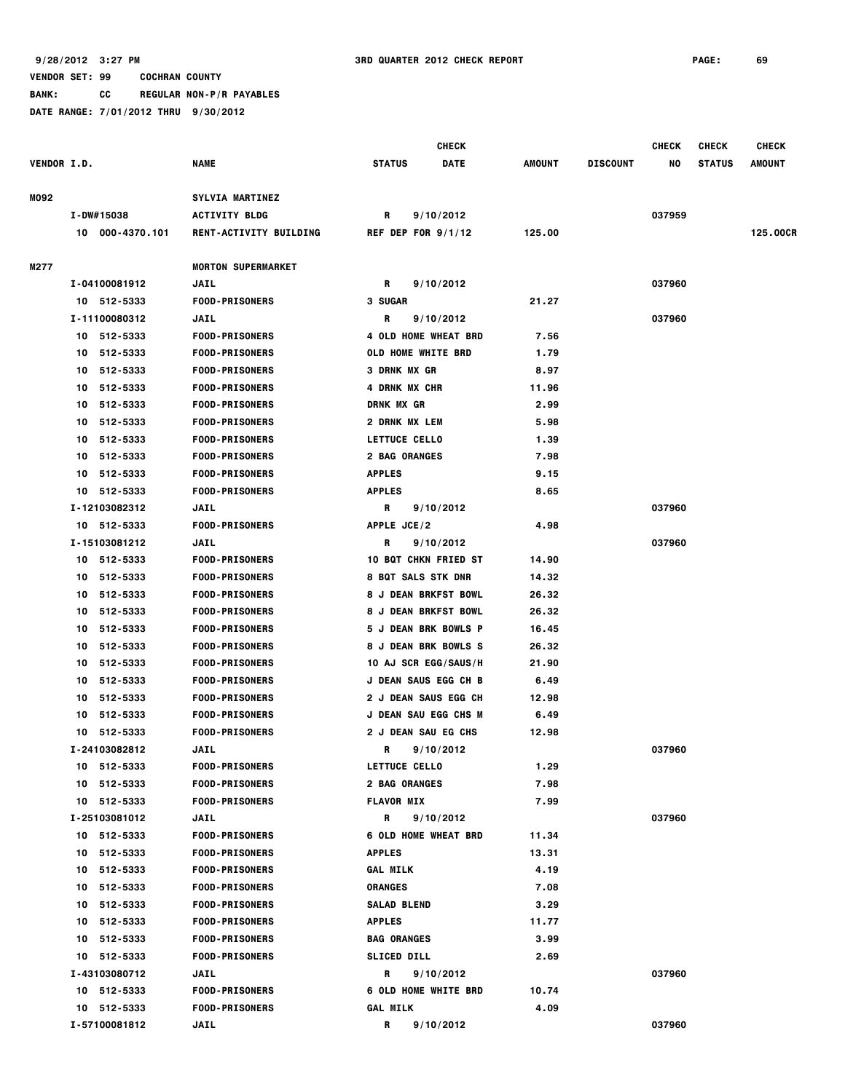**BANK: CC REGULAR NON-P/R PAYABLES**

|                    |    |                 |                               |                    | <b>CHECK</b>                |               |                 | <b>CHECK</b> | <b>CHECK</b>  | <b>CHECK</b>  |
|--------------------|----|-----------------|-------------------------------|--------------------|-----------------------------|---------------|-----------------|--------------|---------------|---------------|
| <b>VENDOR I.D.</b> |    |                 | <b>NAME</b>                   | <b>STATUS</b>      | <b>DATE</b>                 | <b>AMOUNT</b> | <b>DISCOUNT</b> | NO           | <b>STATUS</b> | <b>AMOUNT</b> |
| MO92               |    |                 | SYLVIA MARTINEZ               |                    |                             |               |                 |              |               |               |
|                    |    | I-DW#15038      | <b>ACTIVITY BLDG</b>          | R                  | 9/10/2012                   |               |                 | 037959       |               |               |
|                    |    | 10 000-4370.101 | <b>RENT-ACTIVITY BUILDING</b> |                    | REF DEP FOR $9/1/12$        | 125.00        |                 |              |               | 125.00CR      |
| M277               |    |                 | <b>MORTON SUPERMARKET</b>     |                    |                             |               |                 |              |               |               |
|                    |    | I-04100081912   | <b>JAIL</b>                   | R                  | 9/10/2012                   |               |                 | 037960       |               |               |
|                    |    | 10 512-5333     | <b>FOOD-PRISONERS</b>         | 3 SUGAR            |                             | 21.27         |                 |              |               |               |
|                    |    | I-11100080312   | <b>JAIL</b>                   | R                  | 9/10/2012                   |               |                 | 037960       |               |               |
|                    |    | 10 512-5333     | <b>FOOD-PRISONERS</b>         |                    | 4 OLD HOME WHEAT BRD        | 7.56          |                 |              |               |               |
|                    |    | 10 512-5333     | <b>FOOD-PRISONERS</b>         |                    | <b>OLD HOME WHITE BRD</b>   | 1.79          |                 |              |               |               |
|                    | 10 | 512-5333        | <b>FOOD-PRISONERS</b>         | 3 DRNK MX GR       |                             | 8.97          |                 |              |               |               |
|                    | 10 | 512-5333        | <b>FOOD-PRISONERS</b>         |                    | 4 DRNK MX CHR               | 11.96         |                 |              |               |               |
|                    | 10 | 512-5333        | <b>FOOD-PRISONERS</b>         | <b>DRNK MX GR</b>  |                             | 2.99          |                 |              |               |               |
|                    | 10 | 512-5333        | <b>FOOD-PRISONERS</b>         |                    | 2 DRNK MX LEM               | 5.98          |                 |              |               |               |
|                    | 10 | 512-5333        | <b>FOOD-PRISONERS</b>         |                    | LETTUCE CELLO               | 1.39          |                 |              |               |               |
|                    | 10 | 512-5333        | <b>FOOD-PRISONERS</b>         |                    | <b>2 BAG ORANGES</b>        | 7.98          |                 |              |               |               |
|                    |    | 10 512-5333     | <b>FOOD-PRISONERS</b>         | <b>APPLES</b>      |                             | 9.15          |                 |              |               |               |
|                    |    | 10 512-5333     | <b>FOOD-PRISONERS</b>         | <b>APPLES</b>      |                             | 8.65          |                 |              |               |               |
|                    |    | I-12103082312   | JAIL                          | R                  | 9/10/2012                   |               |                 | 037960       |               |               |
|                    |    | 10 512-5333     | <b>FOOD-PRISONERS</b>         | APPLE JCE/2        |                             | 4.98          |                 |              |               |               |
|                    |    | I-15103081212   | <b>JAIL</b>                   | R                  | 9/10/2012                   |               |                 | 037960       |               |               |
|                    |    | 10 512-5333     | <b>FOOD-PRISONERS</b>         |                    | <b>10 BQT CHKN FRIED ST</b> | 14.90         |                 |              |               |               |
|                    |    | 10 512-5333     | <b>FOOD-PRISONERS</b>         |                    | <b>8 BQT SALS STK DNR</b>   | 14.32         |                 |              |               |               |
|                    | 10 | 512-5333        | <b>FOOD-PRISONERS</b>         |                    | <b>8 J DEAN BRKFST BOWL</b> | 26.32         |                 |              |               |               |
|                    | 10 | 512-5333        | <b>FOOD-PRISONERS</b>         |                    | <b>8 J DEAN BRKFST BOWL</b> | 26.32         |                 |              |               |               |
|                    | 10 | 512-5333        | <b>FOOD-PRISONERS</b>         |                    | 5 J DEAN BRK BOWLS P        | 16.45         |                 |              |               |               |
|                    | 10 | 512-5333        | <b>FOOD-PRISONERS</b>         |                    | <b>8 J DEAN BRK BOWLS S</b> | 26.32         |                 |              |               |               |
|                    |    | 10 512-5333     | <b>FOOD-PRISONERS</b>         |                    | 10 AJ SCR EGG/SAUS/H        | 21.90         |                 |              |               |               |
|                    | 10 | 512-5333        | <b>FOOD-PRISONERS</b>         |                    | <b>J DEAN SAUS EGG CH B</b> | 6.49          |                 |              |               |               |
|                    | 10 | 512-5333        | <b>FOOD-PRISONERS</b>         |                    | 2 J DEAN SAUS EGG CH        | 12.98         |                 |              |               |               |
|                    | 10 | 512-5333        | <b>FOOD-PRISONERS</b>         |                    | <b>J DEAN SAU EGG CHS M</b> | 6.49          |                 |              |               |               |
|                    | 10 | 512-5333        | <b>FOOD-PRISONERS</b>         |                    | 2 J DEAN SAU EG CHS         | 12.98         |                 |              |               |               |
|                    |    | I-24103082812   | <b>JAIL</b>                   | R                  | 9/10/2012                   |               |                 | 037960       |               |               |
|                    |    | 10 512-5333     | <b>FOOD-PRISONERS</b>         |                    | <b>LETTUCE CELLO</b>        | 1.29          |                 |              |               |               |
|                    |    | 10 512-5333     | <b>FOOD-PRISONERS</b>         |                    | 2 BAG ORANGES               | 7.98          |                 |              |               |               |
|                    |    | 10 512-5333     | <b>FOOD-PRISONERS</b>         | <b>FLAVOR MIX</b>  |                             | 7.99          |                 |              |               |               |
|                    |    | I-25103081012   | JAIL                          | R                  | 9/10/2012                   |               |                 | 037960       |               |               |
|                    |    | 10 512-5333     | <b>FOOD-PRISONERS</b>         |                    | <b>6 OLD HOME WHEAT BRD</b> | 11.34         |                 |              |               |               |
|                    |    | 10 512-5333     | <b>FOOD-PRISONERS</b>         | <b>APPLES</b>      |                             | 13.31         |                 |              |               |               |
|                    |    | 10 512-5333     | <b>FOOD-PRISONERS</b>         | <b>GAL MILK</b>    |                             | 4.19          |                 |              |               |               |
|                    |    | 10 512-5333     | <b>FOOD-PRISONERS</b>         | <b>ORANGES</b>     |                             | 7.08          |                 |              |               |               |
|                    |    | 10 512-5333     | <b>FOOD-PRISONERS</b>         | <b>SALAD BLEND</b> |                             | 3.29          |                 |              |               |               |
|                    |    | 10 512-5333     | <b>FOOD-PRISONERS</b>         | <b>APPLES</b>      |                             | 11.77         |                 |              |               |               |
|                    |    | 10 512-5333     | <b>FOOD-PRISONERS</b>         | <b>BAG ORANGES</b> |                             | 3.99          |                 |              |               |               |
|                    |    | 10 512-5333     | <b>FOOD-PRISONERS</b>         | <b>SLICED DILL</b> |                             | 2.69          |                 |              |               |               |
|                    |    | I-43103080712   | JAIL                          | R                  | 9/10/2012                   |               |                 | 037960       |               |               |
|                    |    | 10 512-5333     | <b>FOOD-PRISONERS</b>         |                    | <b>6 OLD HOME WHITE BRD</b> | 10.74         |                 |              |               |               |
|                    |    | 10 512-5333     | <b>FOOD-PRISONERS</b>         | <b>GAL MILK</b>    |                             | 4.09          |                 |              |               |               |
|                    |    | I-57100081812   | JAIL                          | R                  | 9/10/2012                   |               |                 | 037960       |               |               |
|                    |    |                 |                               |                    |                             |               |                 |              |               |               |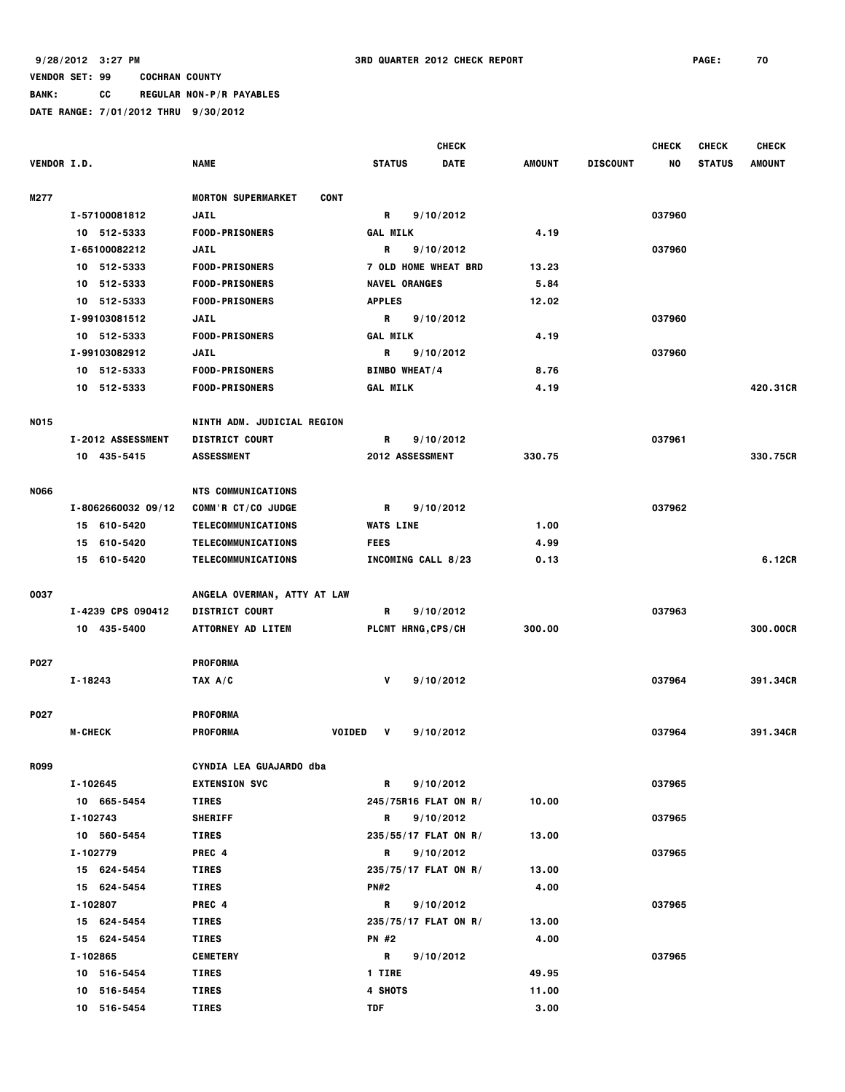**BANK: CC REGULAR NON-P/R PAYABLES**

|                    |                       |                                   | <b>CHECK</b>                                                   |             |               |                 | <b>CHECK</b> | <b>CHECK</b>  | <b>CHECK</b>  |
|--------------------|-----------------------|-----------------------------------|----------------------------------------------------------------|-------------|---------------|-----------------|--------------|---------------|---------------|
| <b>VENDOR I.D.</b> |                       | <b>NAME</b>                       | <b>STATUS</b>                                                  | <b>DATE</b> | <b>AMOUNT</b> | <b>DISCOUNT</b> | NO           | <b>STATUS</b> | <b>AMOUNT</b> |
| M277               |                       | <b>MORTON SUPERMARKET</b><br>CONT |                                                                |             |               |                 |              |               |               |
|                    | I-57100081812         | <b>JAIL</b>                       | R                                                              | 9/10/2012   |               |                 | 037960       |               |               |
|                    | 10 512-5333           | <b>FOOD-PRISONERS</b>             | <b>GAL MILK</b>                                                |             | 4.19          |                 |              |               |               |
|                    | I-65100082212         | <b>JAIL</b>                       | R<br>9/10/2012<br>7 OLD HOME WHEAT BRD<br><b>NAVEL ORANGES</b> |             |               |                 | 037960       |               |               |
|                    | 10 512-5333           | <b>FOOD-PRISONERS</b>             |                                                                |             | 13.23         |                 |              |               |               |
|                    | 10 512-5333           | <b>FOOD-PRISONERS</b>             |                                                                |             | 5.84          |                 |              |               |               |
|                    | 10 512-5333           | <b>FOOD-PRISONERS</b>             | <b>APPLES</b>                                                  |             | 12.02         |                 |              |               |               |
|                    | I-99103081512         | <b>JAIL</b>                       | R                                                              | 9/10/2012   |               |                 | 037960       |               |               |
|                    | 10 512-5333           | <b>FOOD-PRISONERS</b>             | <b>GAL MILK</b>                                                |             | 4.19          |                 |              |               |               |
|                    |                       |                                   |                                                                |             |               |                 |              |               |               |
|                    | I-99103082912         | <b>JAIL</b>                       | R                                                              | 9/10/2012   |               |                 | 037960       |               |               |
|                    | 10 512-5333           | <b>FOOD-PRISONERS</b>             | <b>BIMBO WHEAT/4</b>                                           |             | 8.76          |                 |              |               |               |
|                    | 10 512-5333           | <b>FOOD-PRISONERS</b>             | <b>GAL MILK</b>                                                |             | 4.19          |                 |              |               | 420.31CR      |
| <b>NO15</b>        |                       | NINTH ADM. JUDICIAL REGION        |                                                                |             |               |                 |              |               |               |
|                    | I-2012 ASSESSMENT     | <b>DISTRICT COURT</b>             | R                                                              | 9/10/2012   |               |                 | 037961       |               |               |
|                    | 10 435-5415           | <b>ASSESSMENT</b>                 | 2012 ASSESSMENT                                                |             | 330.75        |                 |              |               | 330.75CR      |
| <b>NO66</b>        |                       | <b>NTS COMMUNICATIONS</b>         |                                                                |             |               |                 |              |               |               |
|                    | $I - 806266003209/12$ | COMM'R CT/CO JUDGE                | R                                                              | 9/10/2012   |               |                 | 037962       |               |               |
|                    | 15 610-5420           | TELECOMMUNICATIONS                | <b>WATS LINE</b>                                               |             | 1.00          |                 |              |               |               |
|                    | 15 610-5420           | TELECOMMUNICATIONS                | <b>FEES</b>                                                    |             | 4.99          |                 |              |               |               |
|                    | 15 610-5420           | TELECOMMUNICATIONS                | INCOMING CALL 8/23                                             |             | 0.13          |                 |              |               | 6.12CR        |
|                    |                       |                                   |                                                                |             |               |                 |              |               |               |
| 0037               |                       | ANGELA OVERMAN, ATTY AT LAW       |                                                                |             |               |                 |              |               |               |
|                    | I-4239 CPS 090412     | <b>DISTRICT COURT</b>             | R                                                              | 9/10/2012   |               |                 | 037963       |               |               |
|                    | 10 435-5400           | <b>ATTORNEY AD LITEM</b>          | PLCMT HRNG, CPS/CH                                             |             | 300.00        |                 |              |               | 300.00CR      |
| <b>P027</b>        |                       | <b>PROFORMA</b>                   |                                                                |             |               |                 |              |               |               |
|                    | $I - 18243$           | TAX A/C                           | V                                                              | 9/10/2012   |               |                 | 037964       |               | 391.34CR      |
| P027               |                       | <b>PROFORMA</b>                   |                                                                |             |               |                 |              |               |               |
|                    | <b>M-CHECK</b>        | <b>VOIDED</b><br><b>PROFORMA</b>  | V                                                              | 9/10/2012   |               |                 | 037964       |               | 391.34CR      |
|                    |                       |                                   |                                                                |             |               |                 |              |               |               |
| <b>R099</b>        |                       | CYNDIA LEA GUAJARDO dba           |                                                                |             |               |                 |              |               |               |
|                    | I-102645              | <b>EXTENSION SVC</b>              | R                                                              | 9/10/2012   |               |                 | 037965       |               |               |
|                    | 10 665-5454           | <b>TIRES</b>                      | 245/75R16 FLAT ON R/                                           |             | 10.00         |                 |              |               |               |
|                    | I-102743              | <b>SHERIFF</b>                    | R                                                              | 9/10/2012   |               |                 | 037965       |               |               |
|                    | 10 560-5454           | <b>TIRES</b>                      | 235/55/17 FLAT ON R/                                           |             | 13.00         |                 |              |               |               |
|                    | I-102779              | PREC 4                            | R                                                              | 9/10/2012   |               |                 | 037965       |               |               |
|                    | 15 624-5454           | TIRES                             | 235/75/17 FLAT ON R/                                           |             | 13.00         |                 |              |               |               |
|                    | 15 624-5454           | <b>TIRES</b>                      | <b>PN#2</b>                                                    |             | 4.00          |                 |              |               |               |
|                    | I-102807              | PREC 4                            | R                                                              | 9/10/2012   |               |                 | 037965       |               |               |
|                    | 15 624-5454           | TIRES                             | 235/75/17 FLAT ON R/                                           |             | 13.00         |                 |              |               |               |
|                    | 15 624-5454           | TIRES                             | PN #2                                                          |             | 4.00          |                 |              |               |               |
|                    | I-102865              | <b>CEMETERY</b>                   | R                                                              | 9/10/2012   |               |                 | 037965       |               |               |
|                    | 10 516-5454           | TIRES                             | <b>1 TIRE</b>                                                  |             | 49.95         |                 |              |               |               |
|                    | 10 516-5454           | <b>TIRES</b>                      | 4 SHOTS                                                        |             | 11.00         |                 |              |               |               |
|                    | 10 516-5454           | <b>TIRES</b>                      | TDF                                                            |             | 3.00          |                 |              |               |               |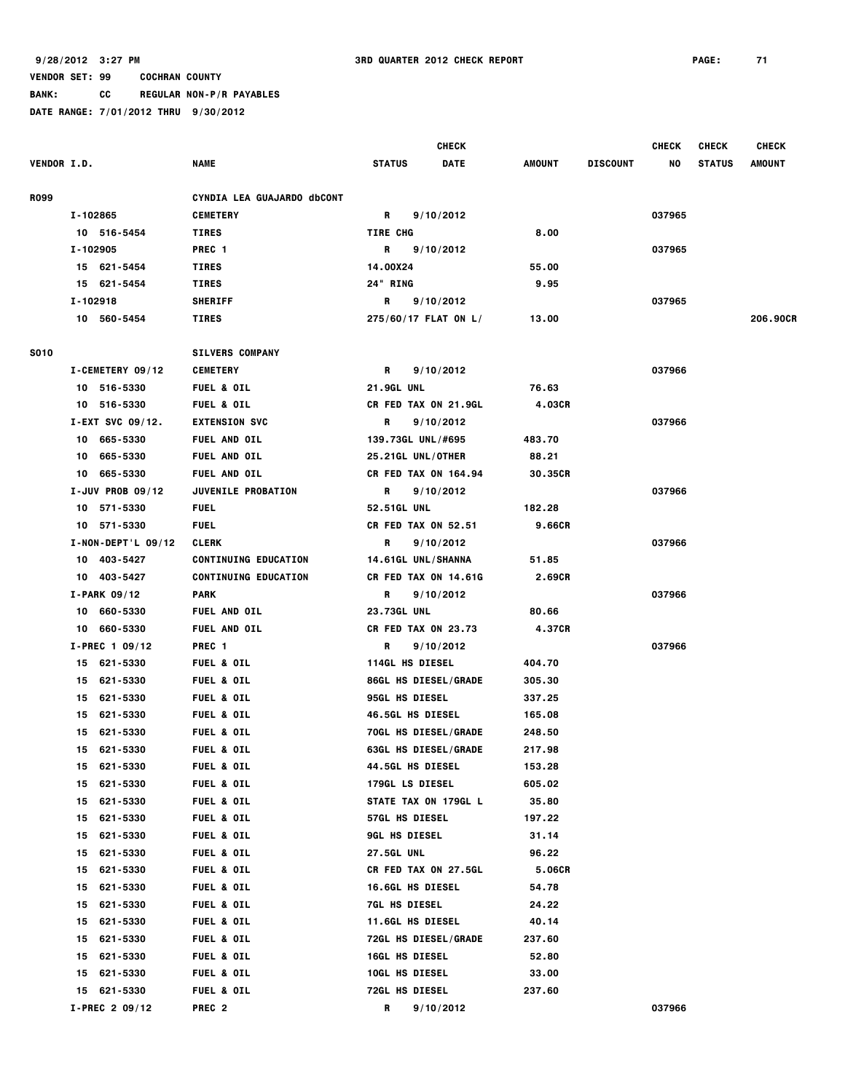**BANK: CC REGULAR NON-P/R PAYABLES**

|                    |                      |                             |                             | <b>CHECK</b> |         |                 | <b>CHECK</b> | <b>CHECK</b><br><b>CHECK</b> |          |
|--------------------|----------------------|-----------------------------|-----------------------------|--------------|---------|-----------------|--------------|------------------------------|----------|
| <b>VENDOR I.D.</b> |                      | <b>NAME</b>                 | <b>STATUS</b>               | DATE         | AMOUNT  | <b>DISCOUNT</b> | NO           | <b>STATUS</b>                | AMOUNT   |
| R099               |                      | CYNDIA LEA GUAJARDO dbCONT  |                             |              |         |                 |              |                              |          |
|                    | I-102865             | <b>CEMETERY</b>             | R                           | 9/10/2012    |         |                 | 037965       |                              |          |
|                    | 10 516-5454          | <b>TIRES</b>                | <b>TIRE CHG</b>             |              | 8.00    |                 |              |                              |          |
|                    | I-102905             | PREC <sub>1</sub>           | R                           | 9/10/2012    |         |                 | 037965       |                              |          |
|                    | 15 621-5454          | <b>TIRES</b>                | 14.00X24                    |              | 55.00   |                 |              |                              |          |
|                    | 15 621-5454          | <b>TIRES</b>                | 24" RING                    |              | 9.95    |                 |              |                              |          |
|                    | I-102918             | <b>SHERIFF</b>              | R                           | 9/10/2012    |         |                 | 037965       |                              |          |
|                    | 10 560-5454          | TIRES                       | 275/60/17 FLAT ON L/        |              | 13.00   |                 |              |                              | 206.90CR |
| <b>S010</b>        |                      | <b>SILVERS COMPANY</b>      |                             |              |         |                 |              |                              |          |
|                    | I-CEMETERY 09/12     | <b>CEMETERY</b>             | R                           | 9/10/2012    |         |                 | 037966       |                              |          |
|                    | 10 516-5330          | <b>FUEL &amp; OIL</b>       | <b>21.9GL UNL</b>           |              | 76.63   |                 |              |                              |          |
|                    | 10 516-5330          | <b>FUEL &amp; OIL</b>       | CR FED TAX ON 21.9GL        |              | 4.03CR  |                 |              |                              |          |
|                    | I-EXT SVC 09/12.     | <b>EXTENSION SVC</b>        | R                           | 9/10/2012    |         |                 | 037966       |                              |          |
|                    | 10 665-5330          | <b>FUEL AND OIL</b>         | 139.73GL UNL/#695           |              | 483.70  |                 |              |                              |          |
|                    | 10 665-5330          | <b>FUEL AND OIL</b>         | 25.21GL UNL/OTHER           |              | 88.21   |                 |              |                              |          |
|                    | 10 665-5330          | <b>FUEL AND OIL</b>         | <b>CR FED TAX ON 164.94</b> |              | 30.35CR |                 |              |                              |          |
|                    | I-JUV PROB $09/12$   | JUVENILE PROBATION          | R                           | 9/10/2012    |         |                 | 037966       |                              |          |
|                    | 10 571-5330          | <b>FUEL</b>                 | <b>52.51GL UNL</b>          |              | 182.28  |                 |              |                              |          |
|                    | 10 571-5330          | <b>FUEL</b>                 | <b>CR FED TAX ON 52.51</b>  |              | 9.66CR  |                 |              |                              |          |
|                    | $I-NON-DEFT'L 09/12$ | <b>CLERK</b>                | R                           | 9/10/2012    |         |                 | 037966       |                              |          |
|                    | 10 403-5427          | <b>CONTINUING EDUCATION</b> | 14.61GL UNL/SHANNA          |              | 51.85   |                 |              |                              |          |
|                    | 10 403-5427          | <b>CONTINUING EDUCATION</b> | CR FED TAX ON 14.61G        |              | 2.69CR  |                 |              |                              |          |
|                    | $I-PARK$ 09/12       | PARK                        | R                           | 9/10/2012    |         |                 | 037966       |                              |          |
|                    | 10 660-5330          | <b>FUEL AND OIL</b>         | <b>23.73GL UNL</b>          |              | 80.66   |                 |              |                              |          |
|                    | 10 660-5330          | <b>FUEL AND OIL</b>         | CR FED TAX ON 23.73         |              | 4.37CR  |                 |              |                              |          |
|                    | $I-PREC$ 1 09/12     | PREC <sub>1</sub>           | R                           | 9/10/2012    |         |                 | 037966       |                              |          |
|                    | 15 621-5330          | <b>FUEL &amp; OIL</b>       | <b>114GL HS DIESEL</b>      |              | 404.70  |                 |              |                              |          |
|                    | 15 621-5330          | <b>FUEL &amp; OIL</b>       | <b>86GL HS DIESEL/GRADE</b> |              | 305.30  |                 |              |                              |          |
|                    | 15 621-5330          | <b>FUEL &amp; OIL</b>       | 95GL HS DIESEL              |              | 337.25  |                 |              |                              |          |
|                    | 15 621-5330          | <b>FUEL &amp; OIL</b>       | <b>46.5GL HS DIESEL</b>     |              | 165.08  |                 |              |                              |          |
|                    | 15 621-5330          | <b>FUEL &amp; OIL</b>       | <b>70GL HS DIESEL/GRADE</b> |              | 248.50  |                 |              |                              |          |
|                    | 15 621-5330          | <b>FUEL &amp; OIL</b>       | <b>63GL HS DIESEL/GRADE</b> |              | 217.98  |                 |              |                              |          |
|                    | 621-5330<br>15       | <b>FUEL &amp; OIL</b>       | <b>44.5GL HS DIESEL</b>     |              | 153.28  |                 |              |                              |          |
|                    | 621-5330<br>15       | <b>FUEL &amp; OIL</b>       | 179GL LS DIESEL             |              | 605.02  |                 |              |                              |          |
|                    | 621-5330<br>15       | <b>FUEL &amp; OIL</b>       | <b>STATE TAX ON 179GL L</b> |              | 35.80   |                 |              |                              |          |
|                    | 621-5330<br>15       | <b>FUEL &amp; OIL</b>       | <b>57GL HS DIESEL</b>       |              | 197.22  |                 |              |                              |          |
|                    | 621-5330<br>15       | <b>FUEL &amp; OIL</b>       | <b>9GL HS DIESEL</b>        |              | 31.14   |                 |              |                              |          |
|                    | 621-5330<br>15       | <b>FUEL &amp; OIL</b>       | <b>27.5GL UNL</b>           |              | 96.22   |                 |              |                              |          |
|                    | 621-5330<br>15       | <b>FUEL &amp; OIL</b>       | <b>CR FED TAX ON 27.5GL</b> |              | 5.06CR  |                 |              |                              |          |
|                    | 621-5330<br>15       | <b>FUEL &amp; OIL</b>       | <b>16.6GL HS DIESEL</b>     |              | 54.78   |                 |              |                              |          |
|                    | 621-5330<br>15       | <b>FUEL &amp; OIL</b>       | <b>7GL HS DIESEL</b>        |              | 24.22   |                 |              |                              |          |
|                    | 621-5330<br>15       | <b>FUEL &amp; OIL</b>       | <b>11.6GL HS DIESEL</b>     |              | 40.14   |                 |              |                              |          |
|                    | 621-5330<br>15       | <b>FUEL &amp; OIL</b>       | <b>72GL HS DIESEL/GRADE</b> |              | 237.60  |                 |              |                              |          |
|                    | 621-5330<br>15       | <b>FUEL &amp; OIL</b>       | <b>16GL HS DIESEL</b>       |              | 52.80   |                 |              |                              |          |
|                    | 621-5330<br>15       | <b>FUEL &amp; OIL</b>       | <b>10GL HS DIESEL</b>       |              | 33.00   |                 |              |                              |          |
|                    | 15 621-5330          | <b>FUEL &amp; OIL</b>       | <b>72GL HS DIESEL</b>       |              | 237.60  |                 |              |                              |          |
|                    | $I-PREC 2 09/12$     | PREC <sub>2</sub>           | R                           | 9/10/2012    |         |                 | 037966       |                              |          |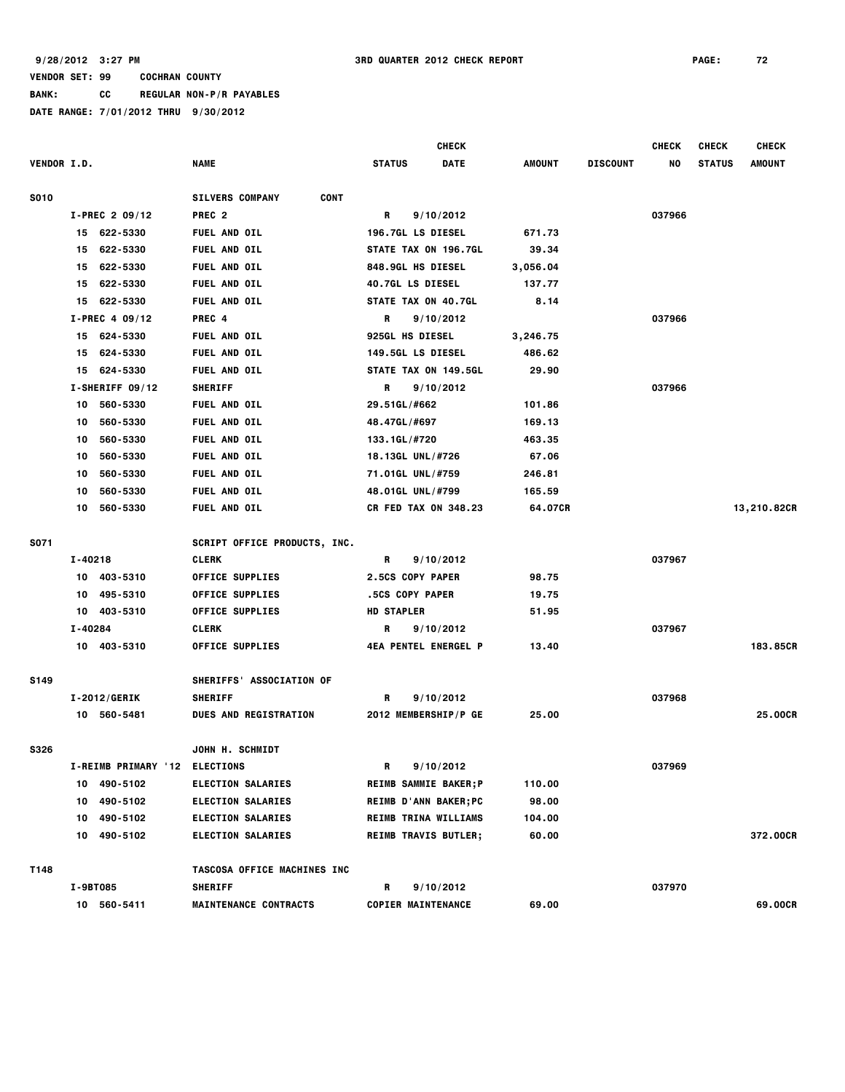**BANK: CC REGULAR NON-P/R PAYABLES**

|                    |                               |                                       | <b>CHECK</b>                 |          |                 | <b>CHECK</b> | <b>CHECK</b>  | <b>CHECK</b>  |
|--------------------|-------------------------------|---------------------------------------|------------------------------|----------|-----------------|--------------|---------------|---------------|
| <b>VENDOR I.D.</b> |                               | <b>NAME</b>                           | <b>DATE</b><br><b>STATUS</b> | AMOUNT   | <b>DISCOUNT</b> | NO           | <b>STATUS</b> | <b>AMOUNT</b> |
| <b>S010</b>        |                               | <b>CONT</b><br><b>SILVERS COMPANY</b> |                              |          |                 |              |               |               |
|                    | I-PREC 2 09/12                | PREC <sub>2</sub>                     | R<br>9/10/2012               |          |                 | 037966       |               |               |
|                    | 15 622-5330                   | <b>FUEL AND OIL</b>                   | <b>196.7GL LS DIESEL</b>     | 671.73   |                 |              |               |               |
|                    | 622-5330<br>15                | <b>FUEL AND OIL</b>                   | STATE TAX ON 196.7GL         | 39.34    |                 |              |               |               |
|                    | 622-5330<br>15                | FUEL AND OIL                          | 848.9GL HS DIESEL            | 3,056.04 |                 |              |               |               |
|                    | 622-5330<br>15                | FUEL AND OIL                          | <b>40.7GL LS DIESEL</b>      | 137.77   |                 |              |               |               |
|                    | 622-5330<br>15                | <b>FUEL AND OIL</b>                   | STATE TAX ON 40.7GL          | 8.14     |                 |              |               |               |
|                    | $I-PREC 4 09/12$              | PREC 4                                | 9/10/2012<br>R               |          |                 | 037966       |               |               |
|                    | 15 624-5330                   | FUEL AND OIL                          | <b>925GL HS DIESEL</b>       | 3,246.75 |                 |              |               |               |
|                    | 624-5330<br>15                | <b>FUEL AND OIL</b>                   | 149.5GL LS DIESEL            | 486.62   |                 |              |               |               |
|                    | 624-5330<br>15                | <b>FUEL AND OIL</b>                   | STATE TAX ON 149.5GL         | 29.90    |                 |              |               |               |
|                    | I-SHERIFF 09/12               | <b>SHERIFF</b>                        | 9/10/2012<br>R               |          |                 | 037966       |               |               |
|                    | 560-5330<br>10                | <b>FUEL AND OIL</b>                   | 29.51GL/#662                 | 101.86   |                 |              |               |               |
|                    | 560-5330<br>10                | FUEL AND OIL                          | 48.47GL/#697                 | 169.13   |                 |              |               |               |
|                    | 560-5330<br>10                | FUEL AND OIL                          | 133.1GL/#720                 | 463.35   |                 |              |               |               |
|                    | 560-5330<br>10                | FUEL AND OIL                          | 18.13GL UNL/#726             | 67.06    |                 |              |               |               |
|                    | 560-5330<br>10                | FUEL AND OIL                          | 71.01GL UNL/#759             | 246.81   |                 |              |               |               |
|                    | 560-5330<br>10                | FUEL AND OIL                          | 48.01GL UNL/#799             | 165.59   |                 |              |               |               |
|                    | 560-5330<br>10                | <b>FUEL AND OIL</b>                   | <b>CR FED TAX ON 348.23</b>  | 64.07CR  |                 |              |               | 13,210.82CR   |
| <b>S071</b>        |                               | <b>SCRIPT OFFICE PRODUCTS, INC.</b>   |                              |          |                 |              |               |               |
|                    | I-40218                       | <b>CLERK</b>                          | R<br>9/10/2012               |          |                 | 037967       |               |               |
|                    | 403-5310<br>10                | <b>OFFICE SUPPLIES</b>                | 2.5CS COPY PAPER             | 98.75    |                 |              |               |               |
|                    | 495-5310<br>10                | <b>OFFICE SUPPLIES</b>                | .5CS COPY PAPER              | 19.75    |                 |              |               |               |
|                    | 403-5310<br>10                | <b>OFFICE SUPPLIES</b>                | <b>HD STAPLER</b>            | 51.95    |                 |              |               |               |
|                    | I-40284                       | <b>CLERK</b>                          | R<br>9/10/2012               |          |                 | 037967       |               |               |
|                    | 10 403-5310                   | <b>OFFICE SUPPLIES</b>                | <b>4EA PENTEL ENERGEL P</b>  | 13.40    |                 |              |               | 183.85CR      |
| <b>S149</b>        |                               | SHERIFFS' ASSOCIATION OF              |                              |          |                 |              |               |               |
|                    | <b>I-2012/GERIK</b>           | <b>SHERIFF</b>                        | 9/10/2012<br>R               |          |                 | 037968       |               |               |
|                    | 10 560-5481                   | <b>DUES AND REGISTRATION</b>          | 2012 MEMBERSHIP/P GE         | 25.00    |                 |              |               | 25.00CR       |
| <b>S326</b>        |                               | <b>JOHN H. SCHMIDT</b>                |                              |          |                 |              |               |               |
|                    | I-REIMB PRIMARY '12 ELECTIONS |                                       | R<br>9/10/2012               |          |                 | 037969       |               |               |
|                    | 10 490-5102                   | <b>ELECTION SALARIES</b>              | <b>REIMB SAMMIE BAKER; P</b> | 110.00   |                 |              |               |               |
|                    | 490-5102<br>10                | <b>ELECTION SALARIES</b>              | REIMB D'ANN BAKER; PC        | 98.00    |                 |              |               |               |
|                    | 490-5102<br>10                | <b>ELECTION SALARIES</b>              | REIMB TRINA WILLIAMS         | 104.00   |                 |              |               |               |
|                    | 10 490-5102                   | <b>ELECTION SALARIES</b>              | <b>REIMB TRAVIS BUTLER;</b>  | 60.00    |                 |              |               | 372.00CR      |
| T148               |                               | TASCOSA OFFICE MACHINES INC           |                              |          |                 |              |               |               |
|                    | I-9BT085                      | <b>SHERIFF</b>                        | R<br>9/10/2012               |          |                 | 037970       |               |               |
|                    | 10 560-5411                   | <b>MAINTENANCE CONTRACTS</b>          | <b>COPIER MAINTENANCE</b>    | 69.00    |                 |              |               | 69.00CR       |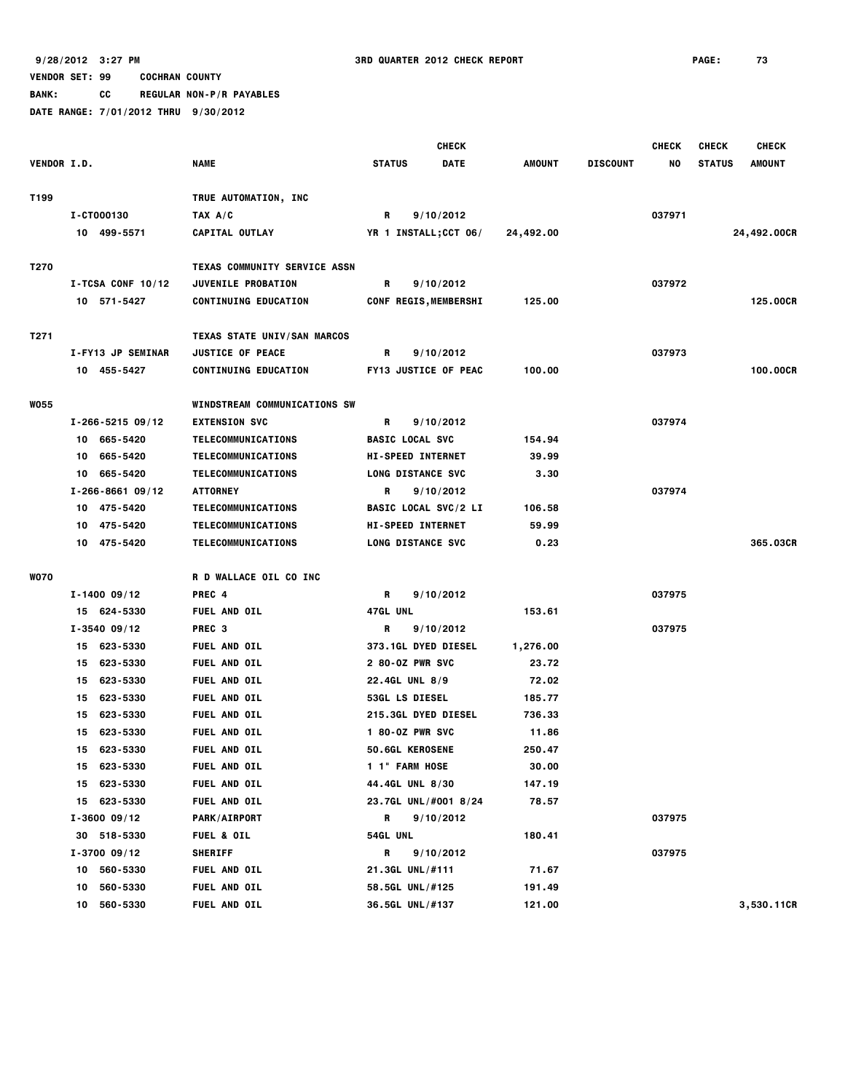**BANK: CC REGULAR NON-P/R PAYABLES**

|                    |                       |                                                           | <b>CHECK</b>                 |             |               |                 | <b>CHECK</b> | <b>CHECK</b>  | <b>CHECK</b>  |
|--------------------|-----------------------|-----------------------------------------------------------|------------------------------|-------------|---------------|-----------------|--------------|---------------|---------------|
| <b>VENDOR I.D.</b> |                       | <b>NAME</b>                                               | <b>STATUS</b>                | <b>DATE</b> | <b>AMOUNT</b> | <b>DISCOUNT</b> | NO           | <b>STATUS</b> | <b>AMOUNT</b> |
|                    |                       |                                                           |                              |             |               |                 |              |               |               |
| T199               |                       | TRUE AUTOMATION, INC                                      |                              |             |               |                 |              |               |               |
|                    | I-CT000130            | TAX A/C                                                   | R                            | 9/10/2012   |               |                 | 037971       |               |               |
|                    | 10 499-5571           | CAPITAL OUTLAY                                            | YR 1 INSTALL; CCT 06/        |             | 24,492.00     |                 |              |               | 24,492.00CR   |
|                    |                       |                                                           |                              |             |               |                 |              |               |               |
| T270               |                       | TEXAS COMMUNITY SERVICE ASSN<br><b>JUVENILE PROBATION</b> |                              |             |               |                 |              |               |               |
|                    | $I-TCSA$ CONF 10/12   |                                                           | R                            | 9/10/2012   |               |                 | 037972       |               |               |
|                    | 10 571-5427           | <b>CONTINUING EDUCATION</b>                               | <b>CONF REGIS, MEMBERSHI</b> |             | 125.00        |                 |              |               | 125.00CR      |
| T271               |                       | TEXAS STATE UNIV/SAN MARCOS                               |                              |             |               |                 |              |               |               |
|                    | I-FY13 JP SEMINAR     | <b>JUSTICE OF PEACE</b>                                   | R                            | 9/10/2012   |               |                 | 037973       |               |               |
|                    | 10 455-5427           | <b>CONTINUING EDUCATION</b>                               | <b>FY13 JUSTICE OF PEAC</b>  |             | 100.00        |                 |              |               | 100.00CR      |
|                    |                       |                                                           |                              |             |               |                 |              |               |               |
| <b>WO55</b>        |                       | <b>WINDSTREAM COMMUNICATIONS SW</b>                       |                              |             |               |                 |              |               |               |
|                    | $I - 266 - 521509/12$ | <b>EXTENSION SVC</b>                                      | R                            | 9/10/2012   |               |                 | 037974       |               |               |
|                    | 10 665-5420           | TELECOMMUNICATIONS                                        | <b>BASIC LOCAL SVC</b>       |             | 154.94        |                 |              |               |               |
|                    | 10 665-5420           | TELECOMMUNICATIONS                                        | <b>HI-SPEED INTERNET</b>     |             | 39.99         |                 |              |               |               |
|                    | 10 665-5420           | TELECOMMUNICATIONS                                        | <b>LONG DISTANCE SVC</b>     |             | 3.30          |                 |              |               |               |
|                    | $I - 266 - 866109/12$ | <b>ATTORNEY</b>                                           | R                            | 9/10/2012   |               |                 | 037974       |               |               |
|                    | 10 475-5420           | TELECOMMUNICATIONS                                        | <b>BASIC LOCAL SVC/2 LI</b>  |             | 106.58        |                 |              |               |               |
|                    | 10 475-5420           | TELECOMMUNICATIONS                                        | <b>HI-SPEED INTERNET</b>     |             | 59.99         |                 |              |               |               |
|                    | 10 475-5420           | <b>TELECOMMUNICATIONS</b>                                 | <b>LONG DISTANCE SVC</b>     |             | 0.23          |                 |              |               | 365.03CR      |
|                    |                       |                                                           |                              |             |               |                 |              |               |               |
| <b>WO70</b>        |                       | R D WALLACE OIL CO INC                                    |                              |             |               |                 |              |               |               |
|                    | $I - 1400 09/12$      | PREC 4                                                    | R                            | 9/10/2012   |               |                 | 037975       |               |               |
|                    | 15 624-5330           | FUEL AND OIL                                              | 47GL UNL                     |             | 153.61        |                 |              |               |               |
|                    | $I - 3540 09/12$      | PREC <sub>3</sub>                                         | R                            | 9/10/2012   |               |                 | 037975       |               |               |
|                    | 15 623-5330           | FUEL AND OIL                                              | <b>373.1GL DYED DIESEL</b>   |             | 1,276.00      |                 |              |               |               |
|                    | 15 623-5330           | FUEL AND OIL                                              | 2 80-0Z PWR SVC              |             | 23.72         |                 |              |               |               |
|                    | 15 623-5330           | FUEL AND OIL                                              | 22.4GL UNL 8/9               |             | 72.02         |                 |              |               |               |
|                    | 15 623-5330           | FUEL AND OIL                                              | <b>53GL LS DIESEL</b>        |             | 185.77        |                 |              |               |               |
|                    | 623-5330<br>15        | FUEL AND OIL                                              | 215.3GL DYED DIESEL          |             | 736.33        |                 |              |               |               |
|                    | 15 623-5330           | <b>FUEL AND OIL</b>                                       | 1 80-0Z PWR SVC              |             | 11.86         |                 |              |               |               |
|                    | 15 623-5330           | <b>FUEL AND OIL</b>                                       | <b>50.6GL KEROSENE</b>       |             | 250.47        |                 |              |               |               |
|                    | 15 623-5330           | <b>FUEL AND OIL</b>                                       | 1 1" FARM HOSE               |             | 30.00         |                 |              |               |               |
|                    | 15 623-5330           | FUEL AND OIL                                              | 44.4GL UNL 8/30              |             | 147.19        |                 |              |               |               |
|                    | 15 623-5330           | FUEL AND OIL                                              | 23.7GL UNL/#001 8/24         |             | 78.57         |                 |              |               |               |
|                    | $I - 3600 09/12$      | <b>PARK/AIRPORT</b>                                       | R                            | 9/10/2012   |               |                 | 037975       |               |               |
|                    | 30 518-5330           | <b>FUEL &amp; OIL</b>                                     | <b>54GL UNL</b>              |             | 180.41        |                 |              |               |               |
|                    | $I - 3700 09/12$      | <b>SHERIFF</b>                                            | R                            | 9/10/2012   |               |                 | 037975       |               |               |
|                    | 10 560-5330           | <b>FUEL AND OIL</b>                                       | 21.3GL UNL/#111              |             | 71.67         |                 |              |               |               |
|                    | 560-5330<br>10        | FUEL AND OIL                                              | 58.5GL UNL/#125              |             | 191.49        |                 |              |               |               |
|                    | 560-5330<br>10        | <b>FUEL AND OIL</b>                                       | 36.5GL UNL/#137              |             | 121.00        |                 |              |               | 3,530.11CR    |
|                    |                       |                                                           |                              |             |               |                 |              |               |               |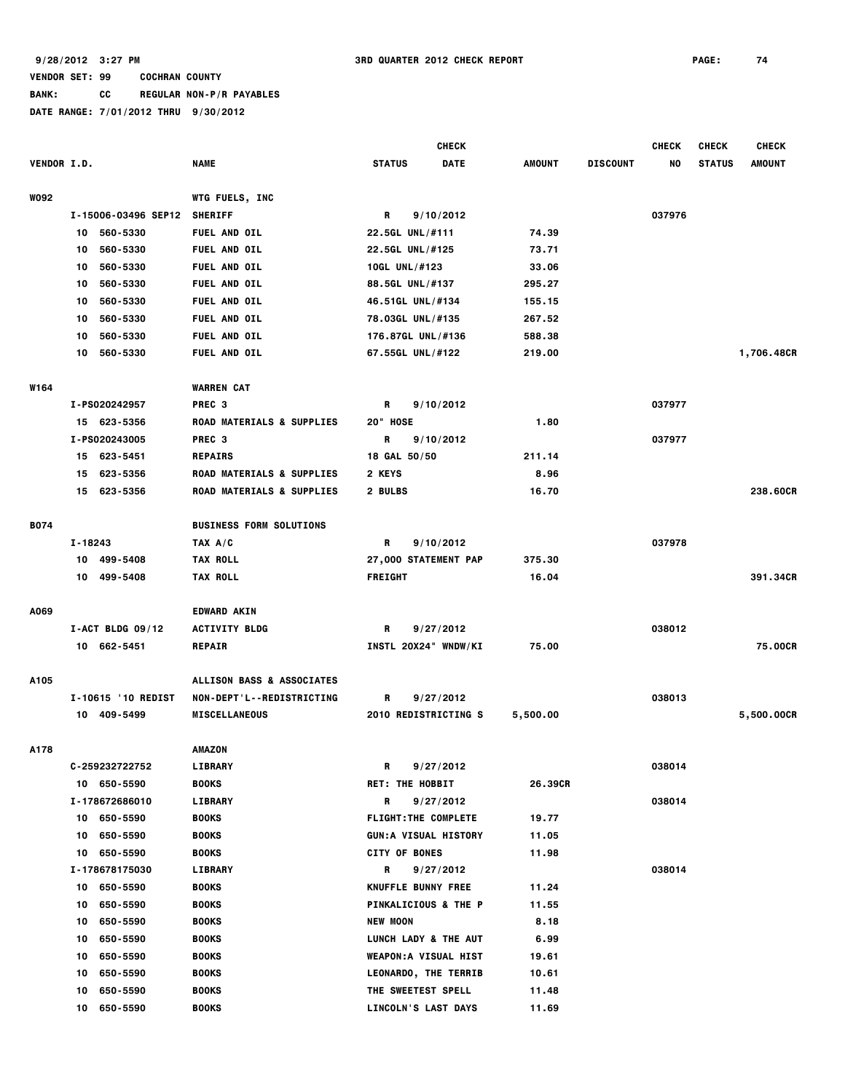**BANK: CC REGULAR NON-P/R PAYABLES**

|                    |                     |                                      | <b>CHECK</b>                    |               |                 | <b>CHECK</b> | <b>CHECK</b>  | <b>CHECK</b>  |
|--------------------|---------------------|--------------------------------------|---------------------------------|---------------|-----------------|--------------|---------------|---------------|
| <b>VENDOR I.D.</b> |                     | <b>NAME</b>                          | <b>STATUS</b><br><b>DATE</b>    | <b>AMOUNT</b> | <b>DISCOUNT</b> | NO           | <b>STATUS</b> | <b>AMOUNT</b> |
| W092               |                     | <b>WTG FUELS, INC</b>                |                                 |               |                 |              |               |               |
|                    | I-15006-03496 SEP12 | <b>SHERIFF</b>                       | R<br>9/10/2012                  |               |                 | 037976       |               |               |
|                    | 560-5330<br>10      | <b>FUEL AND OIL</b>                  | 22.5GL UNL/#111                 | 74.39         |                 |              |               |               |
|                    | 560-5330<br>10      | <b>FUEL AND OIL</b>                  | 22.5GL UNL/#125                 | 73.71         |                 |              |               |               |
|                    | 560-5330<br>10      | FUEL AND OIL                         | 10GL UNL/#123                   | 33.06         |                 |              |               |               |
|                    | 560-5330<br>10      | FUEL AND OIL                         | 88.5GL UNL/#137                 | 295.27        |                 |              |               |               |
|                    | 560-5330<br>10      | <b>FUEL AND OIL</b>                  | 46.51GL UNL/#134                | 155.15        |                 |              |               |               |
|                    | 560-5330<br>10      | FUEL AND OIL                         | 78.03GL UNL/#135                | 267.52        |                 |              |               |               |
|                    | 560-5330<br>10      | FUEL AND OIL                         | 176.87GL UNL/#136               | 588.38        |                 |              |               |               |
|                    | 560-5330<br>10      | FUEL AND OIL                         | 67.55GL UNL/#122                | 219.00        |                 |              |               | 1,706.48CR    |
| W164               |                     | <b>WARREN CAT</b>                    |                                 |               |                 |              |               |               |
|                    | I-PS020242957       | PREC <sub>3</sub>                    | R<br>9/10/2012                  |               |                 | 037977       |               |               |
|                    | 15 623-5356         | <b>ROAD MATERIALS &amp; SUPPLIES</b> | 20" HOSE                        | 1.80          |                 |              |               |               |
|                    | I-PS020243005       | PREC <sub>3</sub>                    | 9/10/2012<br>R                  |               |                 | 037977       |               |               |
|                    | 15 623-5451         | <b>REPAIRS</b>                       | 18 GAL 50/50                    | 211.14        |                 |              |               |               |
|                    | 623-5356<br>15      | <b>ROAD MATERIALS &amp; SUPPLIES</b> | 2 KEYS                          | 8.96          |                 |              |               |               |
|                    | 15 623-5356         | <b>ROAD MATERIALS &amp; SUPPLIES</b> | 2 BULBS                         | 16.70         |                 |              |               | 238.60CR      |
|                    |                     |                                      |                                 |               |                 |              |               |               |
| B074               |                     | <b>BUSINESS FORM SOLUTIONS</b>       |                                 |               |                 |              |               |               |
|                    | I-18243             | TAX A/C                              | 9/10/2012<br>R                  |               |                 | 037978       |               |               |
|                    | 10 499-5408         | <b>TAX ROLL</b>                      | 27,000 STATEMENT PAP            | 375.30        |                 |              |               |               |
|                    | 499-5408<br>10      | <b>TAX ROLL</b>                      | <b>FREIGHT</b>                  | 16.04         |                 |              |               | 391.34CR      |
| A069               |                     | <b>EDWARD AKIN</b>                   |                                 |               |                 |              |               |               |
|                    | $I-ACT$ BLDG 09/12  | <b>ACTIVITY BLDG</b>                 | R<br>9/27/2012                  |               |                 | 038012       |               |               |
|                    | 10 662-5451         | <b>REPAIR</b>                        | INSTL 20X24" WNDW/KI            | 75.00         |                 |              |               | 75.00CR       |
| A105               |                     | ALLISON BASS & ASSOCIATES            |                                 |               |                 |              |               |               |
|                    | I-10615 '10 REDIST  | <b>NON-DEPT'L--REDISTRICTING</b>     | 9/27/2012<br>R                  |               |                 | 038013       |               |               |
|                    | 10 409-5499         | <b>MISCELLANEOUS</b>                 | 2010 REDISTRICTING S            | 5,500.00      |                 |              |               | 5,500.00CR    |
| A178               |                     | <b>AMAZON</b>                        |                                 |               |                 |              |               |               |
|                    | C-259232722752      | LIBRARY                              | R<br>9/27/2012                  |               |                 | 038014       |               |               |
|                    | 10 650-5590         | <b>BOOKS</b>                         | <b>RET: THE HOBBIT</b>          | 26.39CR       |                 |              |               |               |
|                    | I-178672686010      | LIBRARY                              | R<br>9/27/2012                  |               |                 | 038014       |               |               |
|                    | 10 650-5590         | <b>BOOKS</b>                         | <b>FLIGHT: THE COMPLETE</b>     | 19.77         |                 |              |               |               |
|                    | 650-5590<br>10      | <b>BOOKS</b>                         | <b>GUN:A VISUAL HISTORY</b>     | 11.05         |                 |              |               |               |
|                    | 10 650-5590         | BOOKS                                | <b>CITY OF BONES</b>            | 11.98         |                 |              |               |               |
|                    | I-178678175030      | LIBRARY                              | R<br>9/27/2012                  |               |                 | 038014       |               |               |
|                    | 10 650-5590         | <b>BOOKS</b>                         | KNUFFLE BUNNY FREE              | 11.24         |                 |              |               |               |
|                    | 650-5590<br>10      | <b>BOOKS</b>                         | <b>PINKALICIOUS &amp; THE P</b> | 11.55         |                 |              |               |               |
|                    | 650-5590<br>10      | <b>BOOKS</b>                         | <b>NEW MOON</b>                 | 8.18          |                 |              |               |               |
|                    | 650-5590<br>10      | <b>BOOKS</b>                         | LUNCH LADY & THE AUT            | 6.99          |                 |              |               |               |
|                    | 650-5590<br>10      | BOOKS                                | <b>WEAPON:A VISUAL HIST</b>     | 19.61         |                 |              |               |               |
|                    | 650-5590<br>10      | BOOKS                                | <b>LEONARDO, THE TERRIB</b>     | 10.61         |                 |              |               |               |
|                    | 650-5590<br>10      | <b>BOOKS</b>                         | THE SWEETEST SPELL              | 11.48         |                 |              |               |               |
|                    | 650-5590<br>10      | <b>BOOKS</b>                         | LINCOLN'S LAST DAYS             | 11.69         |                 |              |               |               |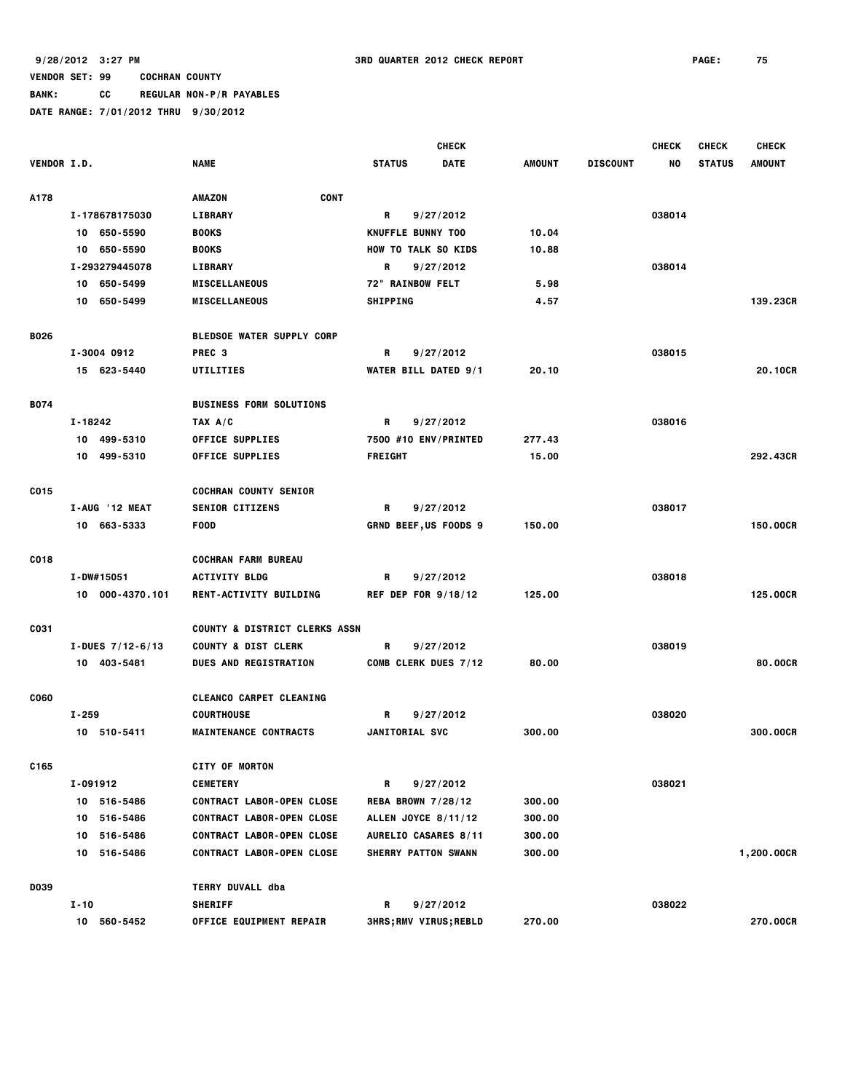**BANK: CC REGULAR NON-P/R PAYABLES**

|                    |                    |                                          | <b>CHECK</b>                  |             |               |                 | <b>CHECK</b> | <b>CHECK</b>  | <b>CHECK</b>    |
|--------------------|--------------------|------------------------------------------|-------------------------------|-------------|---------------|-----------------|--------------|---------------|-----------------|
| <b>VENDOR I.D.</b> |                    | <b>NAME</b>                              | <b>STATUS</b>                 | <b>DATE</b> | <b>AMOUNT</b> | <b>DISCOUNT</b> | NO           | <b>STATUS</b> | <b>AMOUNT</b>   |
|                    |                    |                                          |                               |             |               |                 |              |               |                 |
| A178               |                    | <b>CONT</b><br><b>AMAZON</b>             |                               |             |               |                 |              |               |                 |
|                    | I-178678175030     | <b>LIBRARY</b>                           | R                             | 9/27/2012   |               |                 | 038014       |               |                 |
|                    | 10 650-5590        | <b>BOOKS</b>                             | KNUFFLE BUNNY TOO             |             | 10.04         |                 |              |               |                 |
|                    | 10 650-5590        | <b>BOOKS</b>                             | <b>HOW TO TALK SO KIDS</b>    |             | 10.88         |                 |              |               |                 |
|                    | I-293279445078     | <b>LIBRARY</b>                           | R                             | 9/27/2012   |               |                 | 038014       |               |                 |
|                    | 10 650-5499        | <b>MISCELLANEOUS</b>                     | 72" RAINBOW FELT              |             | 5.98          |                 |              |               |                 |
|                    | 10 650-5499        | <b>MISCELLANEOUS</b>                     | <b>SHIPPING</b>               |             | 4.57          |                 |              |               | 139.23CR        |
| <b>B026</b>        |                    | <b>BLEDSOE WATER SUPPLY CORP</b>         |                               |             |               |                 |              |               |                 |
|                    | I-3004 0912        | PREC <sub>3</sub>                        | R                             | 9/27/2012   |               |                 | 038015       |               |                 |
|                    | 15 623-5440        | UTILITIES                                | <b>WATER BILL DATED 9/1</b>   |             | 20.10         |                 |              |               | 20.10CR         |
|                    |                    |                                          |                               |             |               |                 |              |               |                 |
| <b>B074</b>        |                    | <b>BUSINESS FORM SOLUTIONS</b>           |                               |             |               |                 |              |               |                 |
|                    | $I - 18242$        | TAX A/C                                  | R                             | 9/27/2012   |               |                 | 038016       |               |                 |
|                    | 10 499-5310        | <b>OFFICE SUPPLIES</b>                   | 7500 #10 ENV/PRINTED          |             | 277.43        |                 |              |               |                 |
|                    | 10 499-5310        | <b>OFFICE SUPPLIES</b>                   | <b>FREIGHT</b>                |             | 15.00         |                 |              |               | 292,43CR        |
| C015               |                    | <b>COCHRAN COUNTY SENIOR</b>             |                               |             |               |                 |              |               |                 |
|                    | I-AUG '12 MEAT     | <b>SENIOR CITIZENS</b>                   | R                             | 9/27/2012   |               |                 | 038017       |               |                 |
|                    | 10 663-5333        | <b>FOOD</b>                              | <b>GRND BEEF,US FOODS 9</b>   |             | 150.00        |                 |              |               | <b>150.00CR</b> |
|                    |                    |                                          |                               |             |               |                 |              |               |                 |
| C018               |                    | <b>COCHRAN FARM BUREAU</b>               |                               |             |               |                 |              |               |                 |
|                    | I-DW#15051         | <b>ACTIVITY BLDG</b>                     | R                             | 9/27/2012   |               |                 | 038018       |               |                 |
|                    | 10 000-4370.101    | RENT-ACTIVITY BUILDING                   | <b>REF DEP FOR 9/18/12</b>    |             | 125.00        |                 |              |               | 125.00CR        |
| C031               |                    | <b>COUNTY &amp; DISTRICT CLERKS ASSN</b> |                               |             |               |                 |              |               |                 |
|                    | I-DUES $7/12-6/13$ | <b>COUNTY &amp; DIST CLERK</b>           | R                             | 9/27/2012   |               |                 | 038019       |               |                 |
|                    | 10 403-5481        | <b>DUES AND REGISTRATION</b>             | COMB CLERK DUES 7/12          |             | 80.00         |                 |              |               | 80,00CR         |
|                    |                    |                                          |                               |             |               |                 |              |               |                 |
| <b>CO60</b>        |                    | CLEANCO CARPET CLEANING                  |                               |             |               |                 |              |               |                 |
|                    | $I - 259$          | <b>COURTHOUSE</b>                        | R                             | 9/27/2012   |               |                 | 038020       |               |                 |
|                    | 10 510-5411        | <b>MAINTENANCE CONTRACTS</b>             | JANITORIAL SVC                |             | 300.00        |                 |              |               | <b>300.00CR</b> |
| C165               |                    | <b>CITY OF MORTON</b>                    |                               |             |               |                 |              |               |                 |
|                    | I-091912           | <b>CEMETERY</b>                          | R                             | 9/27/2012   |               |                 | 038021       |               |                 |
|                    | 10 516-5486        | <b>CONTRACT LABOR-OPEN CLOSE</b>         | <b>REBA BROWN 7/28/12</b>     |             | 300.00        |                 |              |               |                 |
|                    | 10 516-5486        | <b>CONTRACT LABOR-OPEN CLOSE</b>         | ALLEN JOYCE 8/11/12           |             | 300.00        |                 |              |               |                 |
|                    | 10 516-5486        | <b>CONTRACT LABOR-OPEN CLOSE</b>         | AURELIO CASARES 8/11          |             | 300.00        |                 |              |               |                 |
|                    | 10 516-5486        | <b>CONTRACT LABOR-OPEN CLOSE</b>         | SHERRY PATTON SWANN           |             | 300.00        |                 |              |               | 1,200.00CR      |
|                    |                    |                                          |                               |             |               |                 |              |               |                 |
| D039               |                    | TERRY DUVALL dba                         |                               |             |               |                 |              |               |                 |
|                    | I-10               | <b>SHERIFF</b>                           | R                             | 9/27/2012   |               |                 | 038022       |               |                 |
|                    | 10 560-5452        | <b>OFFICE EQUIPMENT REPAIR</b>           | <b>3HRS; RMV VIRUS; REBLD</b> |             | 270.00        |                 |              |               | 270.00CR        |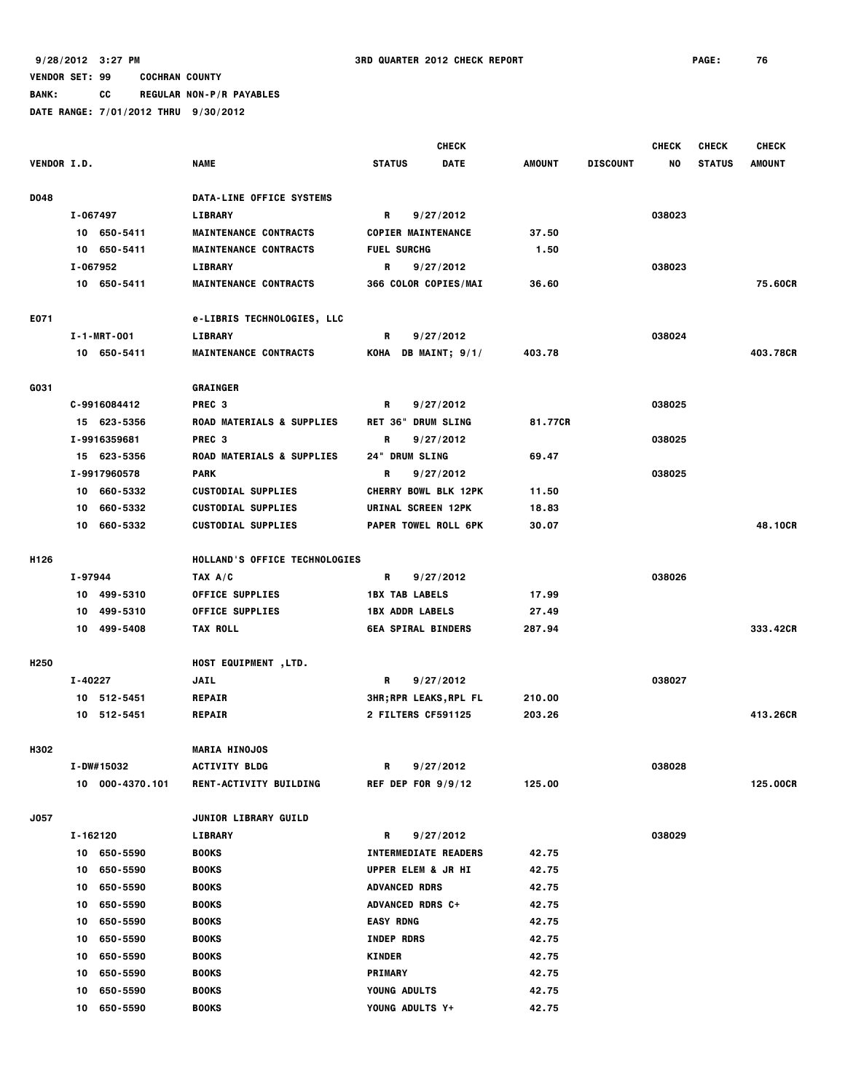**BANK: CC REGULAR NON-P/R PAYABLES**

|                  |                 |                                      | <b>CHECK</b>                 |               |                 | <b>CHECK</b> | <b>CHECK</b>  | <b>CHECK</b>  |
|------------------|-----------------|--------------------------------------|------------------------------|---------------|-----------------|--------------|---------------|---------------|
| VENDOR I.D.      |                 | <b>NAME</b>                          | <b>STATUS</b><br><b>DATE</b> | <b>AMOUNT</b> | <b>DISCOUNT</b> | NO           | <b>STATUS</b> | <b>AMOUNT</b> |
| D048             |                 | DATA-LINE OFFICE SYSTEMS             |                              |               |                 |              |               |               |
|                  | I-067497        | <b>LIBRARY</b>                       | R<br>9/27/2012               |               |                 | 038023       |               |               |
|                  | 10 650-5411     | <b>MAINTENANCE CONTRACTS</b>         | <b>COPIER MAINTENANCE</b>    | 37.50         |                 |              |               |               |
|                  | 650-5411<br>10  | <b>MAINTENANCE CONTRACTS</b>         | <b>FUEL SURCHG</b>           | 1.50          |                 |              |               |               |
|                  | I-067952        | <b>LIBRARY</b>                       | R<br>9/27/2012               |               |                 | 038023       |               |               |
|                  | 10 650-5411     | <b>MAINTENANCE CONTRACTS</b>         | 366 COLOR COPIES/MAI         | 36.60         |                 |              |               | 75.60CR       |
| E071             |                 | <b>e-LIBRIS TECHNOLOGIES, LLC</b>    |                              |               |                 |              |               |               |
|                  | I-1-MRT-001     | LIBRARY                              | R<br>9/27/2012               |               |                 | 038024       |               |               |
|                  | 10 650-5411     | <b>MAINTENANCE CONTRACTS</b>         | KOHA DB MAINT; 9/1/          | 403.78        |                 |              |               | 403.78CR      |
| G031             |                 | <b>GRAINGER</b>                      |                              |               |                 |              |               |               |
|                  | C-9916084412    | PREC <sub>3</sub>                    | R<br>9/27/2012               |               |                 | 038025       |               |               |
|                  | 15 623-5356     | <b>ROAD MATERIALS &amp; SUPPLIES</b> | <b>RET 36" DRUM SLING</b>    | 81.77CR       |                 |              |               |               |
|                  | I-9916359681    | PREC <sub>3</sub>                    | R<br>9/27/2012               |               |                 | 038025       |               |               |
|                  | 15 623-5356     | <b>ROAD MATERIALS &amp; SUPPLIES</b> | 24" DRUM SLING               | 69.47         |                 |              |               |               |
|                  | I-9917960578    | <b>PARK</b>                          | R<br>9/27/2012               |               |                 | 038025       |               |               |
|                  | 10 660-5332     | <b>CUSTODIAL SUPPLIES</b>            | <b>CHERRY BOWL BLK 12PK</b>  | 11.50         |                 |              |               |               |
|                  | 660-5332<br>10  | <b>CUSTODIAL SUPPLIES</b>            | URINAL SCREEN 12PK           | 18.83         |                 |              |               |               |
|                  | 10 660-5332     | <b>CUSTODIAL SUPPLIES</b>            | PAPER TOWEL ROLL 6PK         | 30.07         |                 |              |               | 48.10CR       |
| H126             |                 | HOLLAND'S OFFICE TECHNOLOGIES        |                              |               |                 |              |               |               |
|                  | I-97944         | TAX A/C                              | 9/27/2012<br>R               |               |                 | 038026       |               |               |
|                  | 10 499-5310     | OFFICE SUPPLIES                      | <b>1BX TAB LABELS</b>        | 17.99         |                 |              |               |               |
|                  | 499-5310<br>10  | <b>OFFICE SUPPLIES</b>               | <b>1BX ADDR LABELS</b>       | 27.49         |                 |              |               |               |
|                  | 10 499-5408     | <b>TAX ROLL</b>                      | <b>6EA SPIRAL BINDERS</b>    | 287.94        |                 |              |               | 333.42CR      |
| H <sub>250</sub> |                 | HOST EQUIPMENT, LTD.                 |                              |               |                 |              |               |               |
|                  | I-40227         | <b>JAIL</b>                          | R<br>9/27/2012               |               |                 | 038027       |               |               |
|                  | 10 512-5451     | <b>REPAIR</b>                        | <b>3HR;RPR LEAKS,RPL FL</b>  | 210.00        |                 |              |               |               |
|                  | 10 512-5451     | <b>REPAIR</b>                        | 2 FILTERS CF591125           | 203.26        |                 |              |               | 413,26CR      |
| H302             |                 | <b>MARIA HINOJOS</b>                 |                              |               |                 |              |               |               |
|                  | I-DW#15032      | <b>ACTIVITY BLDG</b>                 | R<br>9/27/2012               |               |                 | 038028       |               |               |
|                  | 10 000-4370.101 | <b>RENT-ACTIVITY BUILDING</b>        | REF DEP FOR $9/9/12$         | 125.00        |                 |              |               | 125.00CR      |
| J057             |                 | <b>JUNIOR LIBRARY GUILD</b>          |                              |               |                 |              |               |               |
|                  | I-162120        | LIBRARY                              | R<br>9/27/2012               |               |                 | 038029       |               |               |
|                  | 10 650-5590     | <b>BOOKS</b>                         | <b>INTERMEDIATE READERS</b>  | 42.75         |                 |              |               |               |
|                  | 650-5590<br>10  | <b>BOOKS</b>                         | UPPER ELEM & JR HI           | 42.75         |                 |              |               |               |
|                  | 650-5590<br>10  | <b>BOOKS</b>                         | <b>ADVANCED RDRS</b>         | 42.75         |                 |              |               |               |
|                  | 650-5590<br>10  | <b>BOOKS</b>                         | ADVANCED RDRS C+             | 42.75         |                 |              |               |               |
|                  | 650-5590<br>10  | <b>BOOKS</b>                         | <b>EASY RDNG</b>             | 42.75         |                 |              |               |               |
|                  | 650-5590<br>10  | <b>BOOKS</b>                         | <b>INDEP RDRS</b>            | 42.75         |                 |              |               |               |
|                  | 650-5590<br>10  | <b>BOOKS</b>                         | <b>KINDER</b>                | 42.75         |                 |              |               |               |
|                  | 650-5590<br>10  | <b>BOOKS</b>                         | <b>PRIMARY</b>               | 42.75         |                 |              |               |               |
|                  | 650-5590<br>10  | <b>BOOKS</b>                         | YOUNG ADULTS                 | 42.75         |                 |              |               |               |
|                  | 10<br>650-5590  | <b>BOOKS</b>                         | YOUNG ADULTS Y+              | 42.75         |                 |              |               |               |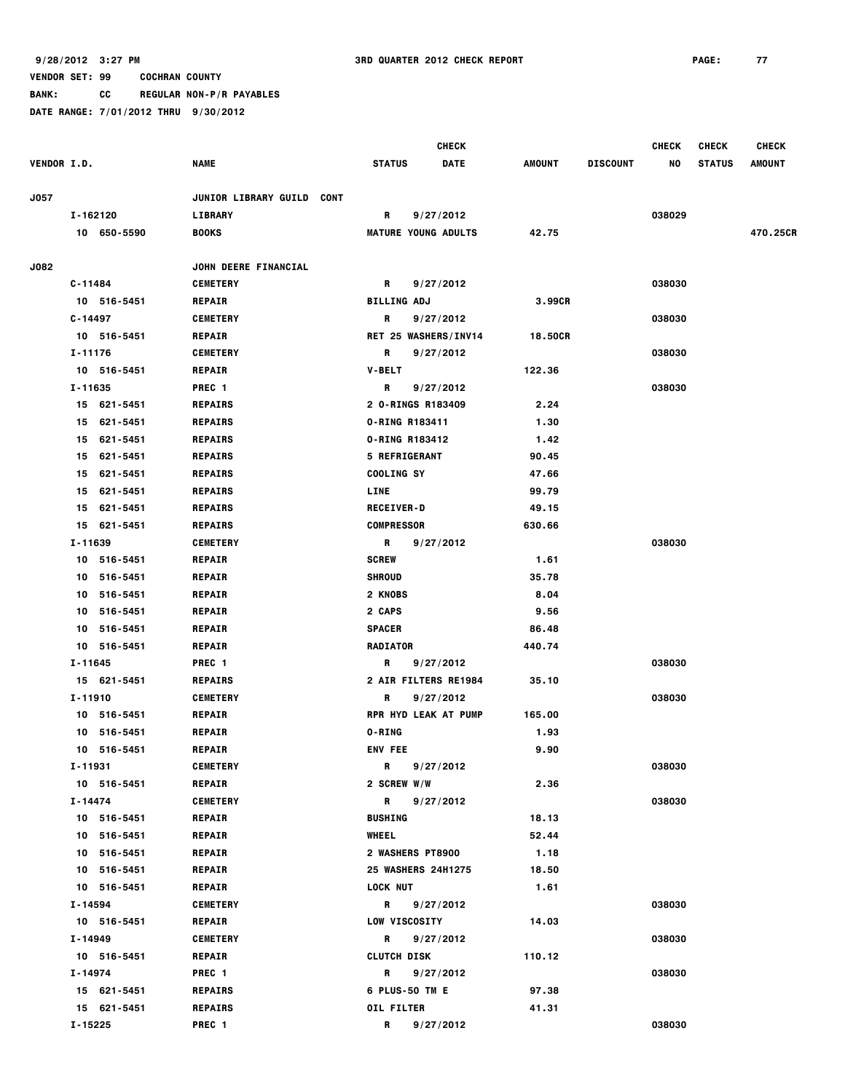**BANK: CC REGULAR NON-P/R PAYABLES**

|                    |                        |                                  | <b>CHECK</b>                         |         |                 | <b>CHECK</b><br><b>CHECK</b> |               |               |
|--------------------|------------------------|----------------------------------|--------------------------------------|---------|-----------------|------------------------------|---------------|---------------|
| <b>VENDOR I.D.</b> |                        | NAME                             | <b>STATUS</b><br><b>DATE</b>         | AMOUNT  | <b>DISCOUNT</b> | NO                           | <b>STATUS</b> | <b>AMOUNT</b> |
| J057               |                        | JUNIOR LIBRARY GUILD CONT        |                                      |         |                 |                              |               |               |
|                    | I-162120               | LIBRARY                          | R<br>9/27/2012                       |         |                 | 038029                       |               |               |
|                    | 10 650-5590            | <b>BOOKS</b>                     | <b>MATURE YOUNG ADULTS</b>           | 42.75   |                 |                              |               | 470.25CR      |
|                    |                        |                                  |                                      |         |                 |                              |               |               |
| J082               |                        | JOHN DEERE FINANCIAL             |                                      |         |                 |                              |               |               |
|                    | C-11484                | <b>CEMETERY</b>                  | R<br>9/27/2012                       |         |                 | 038030                       |               |               |
|                    | 10 516-5451            | <b>REPAIR</b>                    | <b>BILLING ADJ</b>                   | 3.99CR  |                 |                              |               |               |
|                    | $C - 14497$            | <b>CEMETERY</b>                  | R<br>9/27/2012                       |         |                 | 038030                       |               |               |
|                    | 10 516-5451            | <b>REPAIR</b>                    | <b>RET 25 WASHERS/INV14</b>          | 18.50CR |                 |                              |               |               |
|                    | I-11176                | <b>CEMETERY</b>                  | R<br>9/27/2012                       |         |                 | 038030                       |               |               |
|                    | 10 516-5451            | <b>REPAIR</b>                    | <b>V-BELT</b>                        | 122.36  |                 |                              |               |               |
|                    | I-11635                | PREC 1                           | R<br>9/27/2012                       |         |                 | 038030                       |               |               |
|                    | 15 621-5451            | <b>REPAIRS</b>                   | 2 0-RINGS R183409                    | 2.24    |                 |                              |               |               |
|                    | 621-5451<br>15         | <b>REPAIRS</b>                   | 0-RING R183411                       | 1.30    |                 |                              |               |               |
|                    | 621-5451<br>15         | <b>REPAIRS</b>                   | 0-RING R183412                       | 1.42    |                 |                              |               |               |
|                    | 621-5451<br>15         | <b>REPAIRS</b>                   | <b>5 REFRIGERANT</b>                 | 90.45   |                 |                              |               |               |
|                    | 621-5451<br>15         | <b>REPAIRS</b>                   | COOLING SY                           | 47.66   |                 |                              |               |               |
|                    | 621-5451<br>15         | <b>REPAIRS</b>                   | LINE                                 | 99.79   |                 |                              |               |               |
|                    | 621-5451<br>15         | <b>REPAIRS</b>                   | <b>RECEIVER-D</b>                    | 49.15   |                 |                              |               |               |
|                    | 621-5451<br>15         | <b>REPAIRS</b>                   | <b>COMPRESSOR</b>                    | 630.66  |                 |                              |               |               |
|                    | I-11639                | <b>CEMETERY</b>                  | R<br>9/27/2012                       |         |                 | 038030                       |               |               |
|                    | 10 516-5451            | <b>REPAIR</b>                    | <b>SCREW</b>                         | 1.61    |                 |                              |               |               |
|                    | 516-5451<br>10         | <b>REPAIR</b>                    | <b>SHROUD</b>                        | 35.78   |                 |                              |               |               |
|                    | 516-5451<br>10         | <b>REPAIR</b>                    | 2 KNOBS                              | 8.04    |                 |                              |               |               |
|                    | 10<br>516-5451         | <b>REPAIR</b>                    | 2 CAPS                               | 9.56    |                 |                              |               |               |
|                    | 516-5451<br>10         | <b>REPAIR</b>                    | <b>SPACER</b>                        | 86.48   |                 |                              |               |               |
|                    | 516-5451<br>10         | <b>REPAIR</b>                    | <b>RADIATOR</b>                      | 440.74  |                 |                              |               |               |
|                    | I-11645                | PREC <sub>1</sub>                | R<br>9/27/2012                       |         |                 | 038030                       |               |               |
|                    | 15 621-5451            | <b>REPAIRS</b>                   | 2 AIR FILTERS RE1984                 | 35.10   |                 |                              |               |               |
|                    | I-11910                | <b>CEMETERY</b>                  | R<br>9/27/2012                       |         |                 | 038030                       |               |               |
|                    | 10 516-5451            | <b>REPAIR</b>                    | <b>RPR HYD LEAK AT PUMP</b>          | 165.00  |                 |                              |               |               |
|                    | 516-5451<br>10         | <b>REPAIR</b>                    | <b>O-RING</b>                        | 1.93    |                 |                              |               |               |
|                    | 10 516-5451            | <b>REPAIR</b>                    | <b>ENV FEE</b>                       | 9.90    |                 |                              |               |               |
|                    | I-11931<br>10 516-5451 | <b>CEMETERY</b><br><b>REPAIR</b> | 9/27/2012<br>R<br><b>2 SCREW W/W</b> | 2.36    |                 | 038030                       |               |               |
|                    | I-14474                | <b>CEMETERY</b>                  | R.<br>9/27/2012                      |         |                 | 038030                       |               |               |
|                    | 10 516-5451            | <b>REPAIR</b>                    | <b>BUSHING</b>                       | 18.13   |                 |                              |               |               |
|                    | 10 516-5451            | <b>REPAIR</b>                    | <b>WHEEL</b>                         | 52.44   |                 |                              |               |               |
|                    | 10 516-5451            | <b>REPAIR</b>                    | 2 WASHERS PT8900                     | 1.18    |                 |                              |               |               |
|                    | 10 516-5451            | <b>REPAIR</b>                    | 25 WASHERS 24H1275                   | 18.50   |                 |                              |               |               |
|                    | 10 516-5451            | <b>REPAIR</b>                    | <b>LOCK NUT</b>                      | 1.61    |                 |                              |               |               |
|                    | I-14594                | <b>CEMETERY</b>                  | R<br>9/27/2012                       |         |                 | 038030                       |               |               |
|                    | 10 516-5451            | <b>REPAIR</b>                    | <b>LOW VISCOSITY</b>                 | 14.03   |                 |                              |               |               |
|                    | I-14949                | <b>CEMETERY</b>                  | R<br>9/27/2012                       |         |                 | 038030                       |               |               |
|                    | 10 516-5451            | <b>REPAIR</b>                    | <b>CLUTCH DISK</b>                   | 110.12  |                 |                              |               |               |
|                    | I-14974                | PREC 1                           | R.<br>9/27/2012                      |         |                 | 038030                       |               |               |
|                    | 15 621-5451            | <b>REPAIRS</b>                   | 6 PLUS-50 TM E                       | 97.38   |                 |                              |               |               |
|                    | 15 621-5451            | <b>REPAIRS</b>                   | OIL FILTER                           | 41.31   |                 |                              |               |               |
|                    | I-15225                | PREC <sub>1</sub>                | R<br>9/27/2012                       |         |                 | 038030                       |               |               |
|                    |                        |                                  |                                      |         |                 |                              |               |               |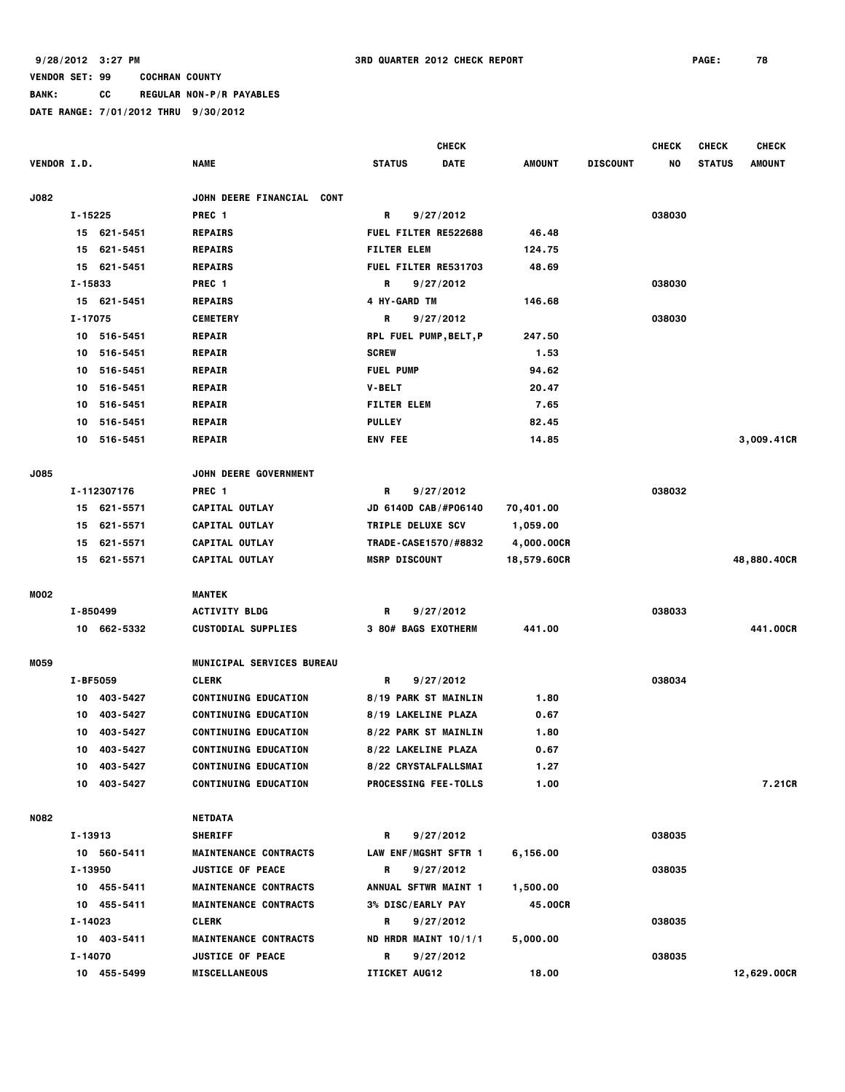**BANK: CC REGULAR NON-P/R PAYABLES**

|                    |             |             |                                            |                             | <b>CHECK</b> |               |                 | <b>CHECK</b> | <b>CHECK</b>  | <b>CHECK</b>  |
|--------------------|-------------|-------------|--------------------------------------------|-----------------------------|--------------|---------------|-----------------|--------------|---------------|---------------|
| <b>VENDOR I.D.</b> |             |             | <b>NAME</b>                                | <b>STATUS</b>               | <b>DATE</b>  | <b>AMOUNT</b> | <b>DISCOUNT</b> | NO           | <b>STATUS</b> | <b>AMOUNT</b> |
| <b>J082</b>        |             |             | <b>JOHN DEERE FINANCIAL</b><br><b>CONT</b> |                             |              |               |                 |              |               |               |
|                    | $I - 15225$ |             | PREC <sub>1</sub>                          | R                           | 9/27/2012    |               |                 | 038030       |               |               |
|                    |             | 15 621-5451 | <b>REPAIRS</b>                             | <b>FUEL FILTER RE522688</b> |              | 46.48         |                 |              |               |               |
|                    | 15          | 621-5451    | <b>REPAIRS</b>                             | <b>FILTER ELEM</b>          |              | 124.75        |                 |              |               |               |
|                    | 15          | 621-5451    | <b>REPAIRS</b>                             | FUEL FILTER RE531703        |              | 48.69         |                 |              |               |               |
|                    | I-15833     |             | PREC 1                                     | R                           | 9/27/2012    |               |                 | 038030       |               |               |
|                    |             | 15 621-5451 | <b>REPAIRS</b>                             | 4 HY-GARD TM                |              | 146.68        |                 |              |               |               |
|                    | I-17075     |             | <b>CEMETERY</b>                            | R                           | 9/27/2012    |               |                 | 038030       |               |               |
|                    |             | 10 516-5451 | <b>REPAIR</b>                              | RPL FUEL PUMP, BELT, P      |              | 247.50        |                 |              |               |               |
|                    | 10          | 516-5451    | <b>REPAIR</b>                              | <b>SCREW</b>                |              | 1.53          |                 |              |               |               |
|                    | 10          | 516-5451    | <b>REPAIR</b>                              | <b>FUEL PUMP</b>            |              | 94.62         |                 |              |               |               |
|                    | 10          | 516-5451    | <b>REPAIR</b>                              | V-BELT                      |              | 20.47         |                 |              |               |               |
|                    | 10          | 516-5451    | <b>REPAIR</b>                              | <b>FILTER ELEM</b>          |              | 7.65          |                 |              |               |               |
|                    | 10          | 516-5451    | <b>REPAIR</b>                              | <b>PULLEY</b>               |              | 82.45         |                 |              |               |               |
|                    | 10          | 516-5451    | <b>REPAIR</b>                              | <b>ENV FEE</b>              |              | 14.85         |                 |              |               | 3,009.41CR    |
| J085               |             |             | JOHN DEERE GOVERNMENT                      |                             |              |               |                 |              |               |               |
|                    |             | I-112307176 | PREC <sub>1</sub>                          | R                           | 9/27/2012    |               |                 | 038032       |               |               |
|                    | 15          | 621-5571    | CAPITAL OUTLAY                             | JD 6140D CAB/#P06140        |              | 70,401.00     |                 |              |               |               |
|                    | 15          | 621-5571    | <b>CAPITAL OUTLAY</b>                      | TRIPLE DELUXE SCV           |              | 1,059.00      |                 |              |               |               |
|                    | 15          | 621-5571    | CAPITAL OUTLAY                             | TRADE-CASE1570/#8832        |              | 4,000.00CR    |                 |              |               |               |
|                    |             | 15 621-5571 | CAPITAL OUTLAY                             | <b>MSRP DISCOUNT</b>        |              | 18,579.60CR   |                 |              |               | 48,880.40CR   |
| MO02               |             |             | <b>MANTEK</b>                              |                             |              |               |                 |              |               |               |
|                    | I-850499    |             | <b>ACTIVITY BLDG</b>                       | R                           | 9/27/2012    |               |                 | 038033       |               |               |
|                    |             | 10 662-5332 | <b>CUSTODIAL SUPPLIES</b>                  | 3 80# BAGS EXOTHERM         |              | 441.00        |                 |              |               | 441.00CR      |
| M059               |             |             | MUNICIPAL SERVICES BUREAU                  |                             |              |               |                 |              |               |               |
|                    | I-BF5059    |             | <b>CLERK</b>                               | R                           | 9/27/2012    |               |                 | 038034       |               |               |
|                    | 10          | 403-5427    | <b>CONTINUING EDUCATION</b>                | 8/19 PARK ST MAINLIN        |              | 1.80          |                 |              |               |               |
|                    | 10          | 403-5427    | <b>CONTINUING EDUCATION</b>                | 8/19 LAKELINE PLAZA         |              | 0.67          |                 |              |               |               |
|                    | 10          | 403-5427    | <b>CONTINUING EDUCATION</b>                | 8/22 PARK ST MAINLIN        |              | 1.80          |                 |              |               |               |
|                    | 10          | 403-5427    | <b>CONTINUING EDUCATION</b>                | 8/22 LAKELINE PLAZA         |              | 0.67          |                 |              |               |               |
|                    |             | 10 403-5427 | <b>CONTINUING EDUCATION</b>                | 8/22 CRYSTALFALLSMAI        |              | 1.27          |                 |              |               |               |
|                    |             | 10 403-5427 | <b>CONTINUING EDUCATION</b>                | PROCESSING FEE-TOLLS        |              | 1.00          |                 |              |               | 7.21CR        |
| <b>N082</b>        |             |             | NETDATA                                    |                             |              |               |                 |              |               |               |
|                    | I-13913     |             | <b>SHERIFF</b>                             | R                           | 9/27/2012    |               |                 | 038035       |               |               |
|                    |             | 10 560-5411 | <b>MAINTENANCE CONTRACTS</b>               | LAW ENF/MGSHT SFTR 1        |              | 6,156.00      |                 |              |               |               |
|                    | I-13950     |             | <b>JUSTICE OF PEACE</b>                    | R                           | 9/27/2012    |               |                 | 038035       |               |               |
|                    |             | 10 455-5411 | <b>MAINTENANCE CONTRACTS</b>               | ANNUAL SFTWR MAINT 1        |              | 1,500.00      |                 |              |               |               |
|                    |             | 10 455-5411 | <b>MAINTENANCE CONTRACTS</b>               | 3% DISC/EARLY PAY           |              | 45.00CR       |                 |              |               |               |
|                    | I-14023     |             | <b>CLERK</b>                               | R                           | 9/27/2012    |               |                 | 038035       |               |               |
|                    |             | 10 403-5411 | <b>MAINTENANCE CONTRACTS</b>               | ND HRDR MAINT 10/1/1        |              | 5,000.00      |                 |              |               |               |
|                    | I-14070     |             | <b>JUSTICE OF PEACE</b>                    | R                           | 9/27/2012    |               |                 | 038035       |               |               |
|                    |             | 10 455-5499 | <b>MISCELLANEOUS</b>                       | ITICKET AUG12               |              | 18.00         |                 |              |               | 12,629.00CR   |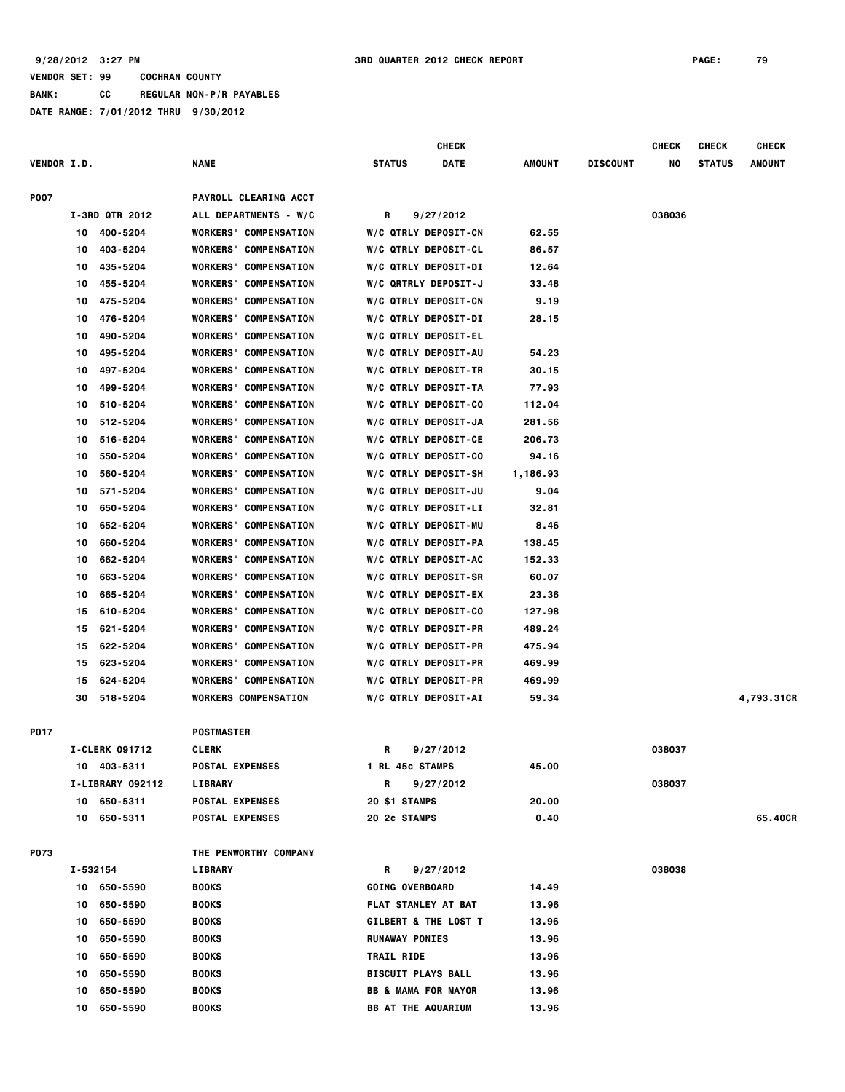## **VENDOR SET: 99 COCHRAN COUNTY BANK: CC REGULAR NON-P/R PAYABLES DATE RANGE: 7/01/2012 THRU 9/30/2012**

|                    |          |                       |                              | <b>CHECK</b>                   |                                 |          |                 | <b>CHECK</b> | <b>CHECK</b>  | <b>CHECK</b> |
|--------------------|----------|-----------------------|------------------------------|--------------------------------|---------------------------------|----------|-----------------|--------------|---------------|--------------|
| <b>VENDOR I.D.</b> |          |                       | NAME                         | <b>STATUS</b>                  | DATE                            | AMOUNT   | <b>DISCOUNT</b> | NO           | <b>STATUS</b> | AMOUNT       |
| <b>P007</b>        |          |                       | PAYROLL CLEARING ACCT        |                                |                                 |          |                 |              |               |              |
|                    |          | I-3RD QTR 2012        | ALL DEPARTMENTS - W/C        | R                              | 9/27/2012                       |          |                 | 038036       |               |              |
|                    | 10       | 400-5204              | <b>WORKERS' COMPENSATION</b> |                                | W/C QTRLY DEPOSIT-CN            | 62.55    |                 |              |               |              |
|                    | 10       | 403-5204              | <b>WORKERS' COMPENSATION</b> |                                | W/C QTRLY DEPOSIT-CL            | 86.57    |                 |              |               |              |
|                    | 10       | 435-5204              | <b>WORKERS' COMPENSATION</b> |                                | <b>W/C QTRLY DEPOSIT-DI</b>     | 12.64    |                 |              |               |              |
|                    | 10       | 455-5204              | <b>WORKERS' COMPENSATION</b> |                                | W/C QRTRLY DEPOSIT-J            | 33.48    |                 |              |               |              |
|                    | 10       | 475-5204              | <b>WORKERS' COMPENSATION</b> |                                | W/C QTRLY DEPOSIT-CN            | 9.19     |                 |              |               |              |
|                    | 10       | 476-5204              | <b>WORKERS' COMPENSATION</b> |                                | <b>W/C QTRLY DEPOSIT-DI</b>     | 28.15    |                 |              |               |              |
|                    | 10       | 490-5204              | <b>WORKERS' COMPENSATION</b> |                                | W/C QTRLY DEPOSIT-EL            |          |                 |              |               |              |
|                    | 10       | 495-5204              | <b>WORKERS' COMPENSATION</b> |                                | W/C QTRLY DEPOSIT-AU            | 54.23    |                 |              |               |              |
|                    | 10       | 497-5204              | <b>WORKERS' COMPENSATION</b> |                                | W/C QTRLY DEPOSIT-TR            | 30.15    |                 |              |               |              |
|                    | 10       | 499-5204              | <b>WORKERS' COMPENSATION</b> |                                |                                 |          |                 |              |               |              |
|                    |          |                       |                              |                                | W/C QTRLY DEPOSIT-TA            | 77.93    |                 |              |               |              |
|                    | 10       | 510-5204              | <b>WORKERS' COMPENSATION</b> |                                | W/C QTRLY DEPOSIT-CO            | 112.04   |                 |              |               |              |
|                    | 10       | 512-5204              | <b>WORKERS' COMPENSATION</b> |                                | W/C QTRLY DEPOSIT-JA            | 281.56   |                 |              |               |              |
|                    | 10       | 516-5204              | <b>WORKERS' COMPENSATION</b> |                                | W/C QTRLY DEPOSIT-CE            | 206.73   |                 |              |               |              |
|                    | 10       | 550-5204              | <b>WORKERS' COMPENSATION</b> |                                | W/C QTRLY DEPOSIT-CO            | 94.16    |                 |              |               |              |
|                    | 10       | 560-5204              | <b>WORKERS' COMPENSATION</b> |                                | W/C QTRLY DEPOSIT-SH            | 1,186.93 |                 |              |               |              |
|                    | 10       | 571-5204              | <b>WORKERS' COMPENSATION</b> |                                | W/C QTRLY DEPOSIT-JU            | 9.04     |                 |              |               |              |
|                    | 10       | 650-5204              | <b>WORKERS' COMPENSATION</b> |                                | <b>W/C QTRLY DEPOSIT-LI</b>     | 32.81    |                 |              |               |              |
|                    | 10       | 652-5204              | <b>WORKERS' COMPENSATION</b> |                                | W/C QTRLY DEPOSIT-MU            | 8.46     |                 |              |               |              |
|                    | 10       | 660-5204              | <b>WORKERS' COMPENSATION</b> |                                | W/C QTRLY DEPOSIT-PA            | 138.45   |                 |              |               |              |
|                    | 10       | 662-5204              | <b>WORKERS' COMPENSATION</b> |                                | W/C QTRLY DEPOSIT-AC            | 152.33   |                 |              |               |              |
|                    | 10       | 663-5204              | <b>WORKERS' COMPENSATION</b> |                                | W/C QTRLY DEPOSIT-SR            | 60.07    |                 |              |               |              |
|                    | 10       | 665-5204              | <b>WORKERS' COMPENSATION</b> |                                | W/C QTRLY DEPOSIT-EX            | 23.36    |                 |              |               |              |
|                    | 15       | 610-5204              | <b>WORKERS' COMPENSATION</b> |                                | W/C QTRLY DEPOSIT-CO            | 127.98   |                 |              |               |              |
|                    | 15       | 621-5204              | <b>WORKERS' COMPENSATION</b> |                                | W/C QTRLY DEPOSIT-PR            | 489.24   |                 |              |               |              |
|                    | 15       | 622-5204              | <b>WORKERS' COMPENSATION</b> |                                | W/C QTRLY DEPOSIT-PR            | 475.94   |                 |              |               |              |
|                    | 15       | 623-5204              | <b>WORKERS' COMPENSATION</b> |                                | W/C QTRLY DEPOSIT-PR            | 469.99   |                 |              |               |              |
|                    | 15       | 624-5204              | <b>WORKERS' COMPENSATION</b> |                                | W/C QTRLY DEPOSIT-PR            | 469.99   |                 |              |               |              |
|                    | 30       | 518-5204              | <b>WORKERS COMPENSATION</b>  |                                | W/C QTRLY DEPOSIT-AI            | 59.34    |                 |              |               | 4,793.31CR   |
| <b>P017</b>        |          |                       | <b>POSTMASTER</b>            |                                |                                 |          |                 |              |               |              |
|                    |          | <b>I-CLERK 091712</b> | CLERK                        | R                              | 9/27/2012                       |          |                 | 038037       |               |              |
|                    |          | 10 403-5311           | <b>POSTAL EXPENSES</b>       | 1 RL 45c STAMPS                |                                 | 45.00    |                 |              |               |              |
|                    |          | I-LIBRARY 092112      | LIBRARY                      | R                              | 9/27/2012                       |          |                 | 038037       |               |              |
|                    |          | 10 650-5311           | <b>POSTAL EXPENSES</b>       | 20 \$1 STAMPS                  |                                 | 20.00    |                 |              |               |              |
|                    |          | 10 650-5311           | <b>POSTAL EXPENSES</b>       | 20 2c STAMPS                   |                                 | 0.40     |                 |              |               | 65.40CR      |
| P073               |          |                       | THE PENWORTHY COMPANY        |                                |                                 |          |                 |              |               |              |
|                    | I-532154 |                       | LIBRARY                      | R                              | 9/27/2012                       |          |                 | 038038       |               |              |
|                    |          | 10 650-5590           | <b>BOOKS</b>                 | <b>GOING OVERBOARD</b>         |                                 | 14.49    |                 |              |               |              |
|                    |          | 10 650-5590           | <b>BOOKS</b>                 | FLAT STANLEY AT BAT            |                                 | 13.96    |                 |              |               |              |
|                    |          | 10 650-5590           | <b>BOOKS</b>                 |                                | <b>GILBERT &amp; THE LOST T</b> | 13.96    |                 |              |               |              |
|                    | 10       | 650-5590              | BOOKS                        | <b>RUNAWAY PONIES</b>          |                                 | 13.96    |                 |              |               |              |
|                    |          |                       |                              |                                |                                 |          |                 |              |               |              |
|                    | 10       | 650-5590              | <b>BOOKS</b>                 | <b>TRAIL RIDE</b>              |                                 | 13.96    |                 |              |               |              |
|                    | 10       | 650-5590              | <b>BOOKS</b>                 | <b>BISCUIT PLAYS BALL</b>      |                                 | 13.96    |                 |              |               |              |
|                    | 10       | 650-5590              | <b>BOOKS</b>                 | <b>BB &amp; MAMA FOR MAYOR</b> |                                 | 13.96    |                 |              |               |              |
|                    | 10       | 650-5590              | <b>BOOKS</b>                 | <b>BB AT THE AQUARIUM</b>      |                                 | 13.96    |                 |              |               |              |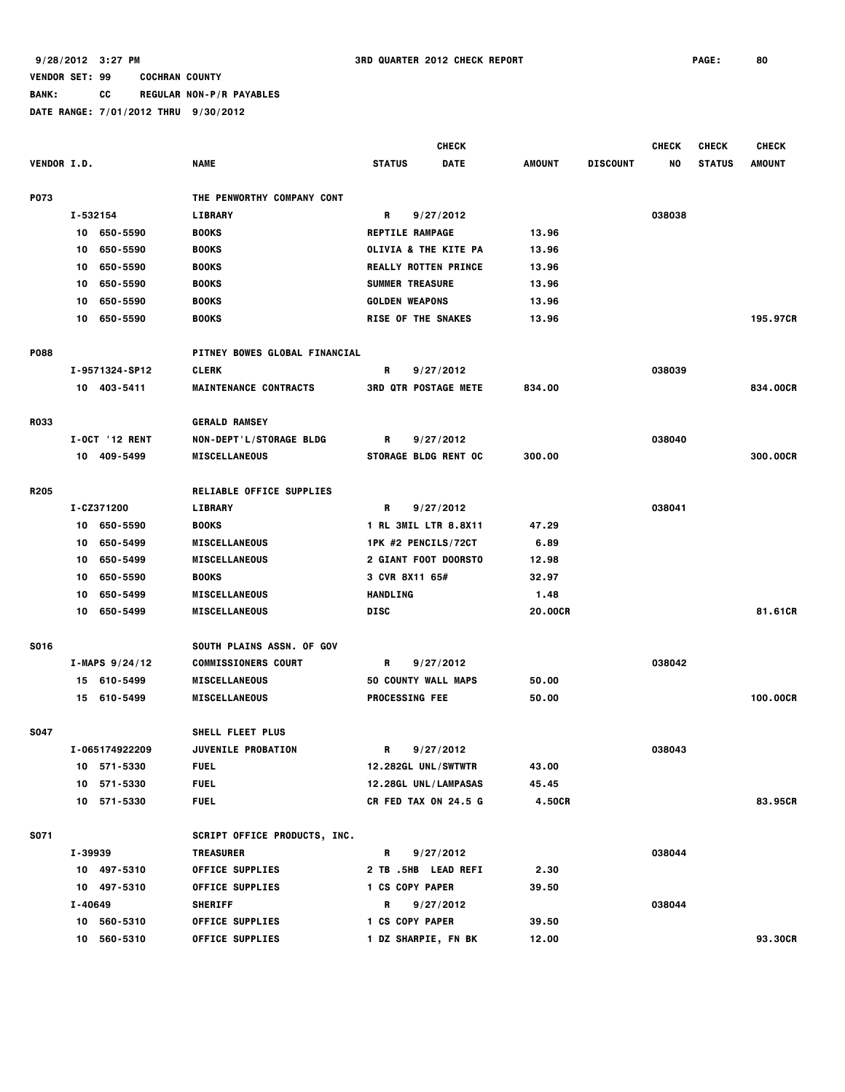# **BANK: CC REGULAR NON-P/R PAYABLES**

|                    |                       |                                     | <b>CHECK</b>                |             |               |                 | <b>CHECK</b> | <b>CHECK</b>  | <b>CHECK</b>  |
|--------------------|-----------------------|-------------------------------------|-----------------------------|-------------|---------------|-----------------|--------------|---------------|---------------|
| <b>VENDOR I.D.</b> |                       | <b>NAME</b>                         | <b>STATUS</b>               | <b>DATE</b> | <b>AMOUNT</b> | <b>DISCOUNT</b> | NO.          | <b>STATUS</b> | <b>AMOUNT</b> |
| P073               |                       | THE PENWORTHY COMPANY CONT          |                             |             |               |                 |              |               |               |
|                    | I-532154              | <b>LIBRARY</b>                      | R                           | 9/27/2012   |               |                 | 038038       |               |               |
|                    | 10 650-5590           | <b>BOOKS</b>                        | <b>REPTILE RAMPAGE</b>      |             | 13.96         |                 |              |               |               |
|                    | 650-5590<br>10        | <b>BOOKS</b>                        | OLIVIA & THE KITE PA        |             | 13.96         |                 |              |               |               |
|                    | 650-5590<br>10        | <b>BOOKS</b>                        | <b>REALLY ROTTEN PRINCE</b> |             | 13.96         |                 |              |               |               |
|                    | 650-5590<br>10        | <b>BOOKS</b>                        | <b>SUMMER TREASURE</b>      |             | 13.96         |                 |              |               |               |
|                    | 650-5590<br>10        | <b>BOOKS</b>                        | <b>GOLDEN WEAPONS</b>       |             | 13.96         |                 |              |               |               |
|                    | 650-5590<br>10        | <b>BOOKS</b>                        | <b>RISE OF THE SNAKES</b>   |             | 13.96         |                 |              |               | 195.97CR      |
| <b>P088</b>        |                       | PITNEY BOWES GLOBAL FINANCIAL       |                             |             |               |                 |              |               |               |
|                    | I-9571324-SP12        | <b>CLERK</b>                        | R                           | 9/27/2012   |               |                 | 038039       |               |               |
|                    | 10 403-5411           | <b>MAINTENANCE CONTRACTS</b>        | <b>3RD QTR POSTAGE METE</b> |             | 834.00        |                 |              |               | 834.00CR      |
| <b>R033</b>        |                       | <b>GERALD RAMSEY</b>                |                             |             |               |                 |              |               |               |
|                    | <b>I-OCT '12 RENT</b> | NON-DEPT'L/STORAGE BLDG             | R                           | 9/27/2012   |               |                 | 038040       |               |               |
|                    | 10 409-5499           | <b>MISCELLANEOUS</b>                | <b>STORAGE BLDG RENT OC</b> |             | 300.00        |                 |              |               | 300.00CR      |
|                    |                       |                                     |                             |             |               |                 |              |               |               |
| R <sub>205</sub>   |                       | <b>RELIABLE OFFICE SUPPLIES</b>     |                             |             |               |                 |              |               |               |
|                    | I-CZ371200            | <b>LIBRARY</b>                      | R                           | 9/27/2012   |               |                 | 038041       |               |               |
|                    | 10 650-5590           | <b>BOOKS</b>                        | 1 RL 3MIL LTR 8.8X11        |             | 47.29         |                 |              |               |               |
|                    | 650-5499<br>10        | <b>MISCELLANEOUS</b>                | 1PK #2 PENCILS/72CT         |             | 6.89          |                 |              |               |               |
|                    | 650-5499<br>10        | <b>MISCELLANEOUS</b>                | <b>2 GIANT FOOT DOORSTO</b> |             | 12.98         |                 |              |               |               |
|                    | 650-5590<br>10        | <b>BOOKS</b>                        | 3 CVR 8X11 65#              |             | 32.97         |                 |              |               |               |
|                    | 650-5499<br>10        | <b>MISCELLANEOUS</b>                | <b>HANDLING</b>             |             | 1.48          |                 |              |               |               |
|                    | 650-5499<br>10        | <b>MISCELLANEOUS</b>                | <b>DISC</b>                 |             | 20.00CR       |                 |              |               | 81.61CR       |
| <b>S016</b>        |                       | <b>SOUTH PLAINS ASSN. OF GOV</b>    |                             |             |               |                 |              |               |               |
|                    | $I-MAPS 9/24/12$      | <b>COMMISSIONERS COURT</b>          | R                           | 9/27/2012   |               |                 | 038042       |               |               |
|                    | 15 610-5499           | <b>MISCELLANEOUS</b>                | 50 COUNTY WALL MAPS         |             | 50.00         |                 |              |               |               |
|                    | 15 610-5499           | <b>MISCELLANEOUS</b>                | <b>PROCESSING FEE</b>       |             | 50.00         |                 |              |               | 100.00CR      |
| <b>S047</b>        |                       | <b>SHELL FLEET PLUS</b>             |                             |             |               |                 |              |               |               |
|                    | I-065174922209        | <b>JUVENILE PROBATION</b>           | R                           | 9/27/2012   |               |                 | 038043       |               |               |
|                    | 10 571-5330           | <b>FUEL</b>                         | 12.282GL UNL/SWTWTR         |             | 43.00         |                 |              |               |               |
|                    | 10 571-5330           | <b>FUEL</b>                         | 12.28GL UNL/LAMPASAS        |             | 45.45         |                 |              |               |               |
|                    | 10 571-5330           | <b>FUEL</b>                         | <b>CR FED TAX ON 24.5 G</b> |             | 4.50CR        |                 |              |               | 83.95CR       |
| S071               |                       | <b>SCRIPT OFFICE PRODUCTS, INC.</b> |                             |             |               |                 |              |               |               |
|                    | I-39939               | <b>TREASURER</b>                    | R                           | 9/27/2012   |               |                 | 038044       |               |               |
|                    | 10 497-5310           | OFFICE SUPPLIES                     | 2 TB .5HB LEAD REFI         |             | 2.30          |                 |              |               |               |
|                    | 10 497-5310           | <b>OFFICE SUPPLIES</b>              | 1 CS COPY PAPER             |             | 39.50         |                 |              |               |               |
|                    | I-40649               | <b>SHERIFF</b>                      | R                           | 9/27/2012   |               |                 | 038044       |               |               |
|                    | 10 560-5310           | <b>OFFICE SUPPLIES</b>              | 1 CS COPY PAPER             |             | 39.50         |                 |              |               |               |
|                    | 10 560-5310           | <b>OFFICE SUPPLIES</b>              | 1 DZ SHARPIE, FN BK         |             | 12.00         |                 |              |               | 93.30CR       |
|                    |                       |                                     |                             |             |               |                 |              |               |               |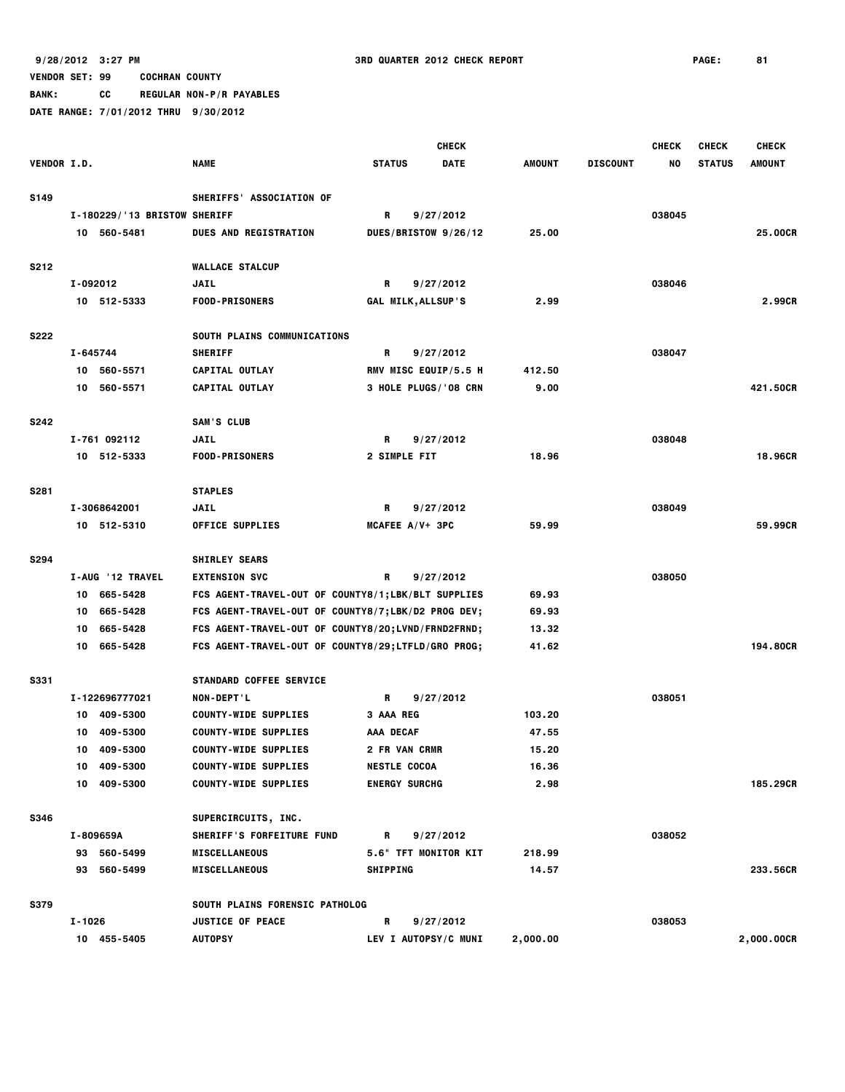**BANK: CC REGULAR NON-P/R PAYABLES**

|             |          |                              |                                                    |                      | <b>CHECK</b> |               |                 | <b>CHECK</b> | <b>CHECK</b>  | <b>CHECK</b>  |
|-------------|----------|------------------------------|----------------------------------------------------|----------------------|--------------|---------------|-----------------|--------------|---------------|---------------|
| VENDOR I.D. |          |                              | <b>NAME</b>                                        | <b>STATUS</b>        | <b>DATE</b>  | <b>AMOUNT</b> | <b>DISCOUNT</b> | NO           | <b>STATUS</b> | <b>AMOUNT</b> |
|             |          |                              |                                                    |                      |              |               |                 |              |               |               |
| <b>S149</b> |          |                              | SHERIFFS' ASSOCIATION OF                           |                      |              |               |                 |              |               |               |
|             |          | I-180229/'13 BRISTOW SHERIFF |                                                    | R                    | 9/27/2012    |               |                 | 038045       |               |               |
|             |          | 10 560-5481                  | <b>DUES AND REGISTRATION</b>                       | DUES/BRISTOW 9/26/12 |              | 25.00         |                 |              |               | 25.00CR       |
|             |          |                              |                                                    |                      |              |               |                 |              |               |               |
| <b>S212</b> |          |                              | <b>WALLACE STALCUP</b>                             |                      |              |               |                 |              |               |               |
|             | I-092012 |                              | <b>JAIL</b>                                        | R                    | 9/27/2012    |               |                 | 038046       |               |               |
|             |          | 10 512-5333                  | <b>FOOD-PRISONERS</b>                              | GAL MILK, ALLSUP'S   |              | 2.99          |                 |              |               | 2.99CR        |
| <b>S222</b> |          |                              | SOUTH PLAINS COMMUNICATIONS                        |                      |              |               |                 |              |               |               |
|             | I-645744 |                              | <b>SHERIFF</b>                                     | R                    | 9/27/2012    |               |                 | 038047       |               |               |
|             |          | 10 560-5571                  | CAPITAL OUTLAY                                     | RMV MISC EQUIP/5.5 H |              | 412.50        |                 |              |               |               |
|             | 10       | 560-5571                     | CAPITAL OUTLAY                                     | 3 HOLE PLUGS/'08 CRN |              | 9.00          |                 |              |               | 421.50CR      |
|             |          |                              |                                                    |                      |              |               |                 |              |               |               |
| <b>S242</b> |          |                              | SAM'S CLUB                                         |                      |              |               |                 |              |               |               |
|             |          | I-761 092112                 | <b>JAIL</b>                                        | R                    | 9/27/2012    |               |                 | 038048       |               |               |
|             |          | 10 512-5333                  | <b>FOOD-PRISONERS</b>                              | 2 SIMPLE FIT         |              | 18.96         |                 |              |               | 18,96CR       |
|             |          |                              |                                                    |                      |              |               |                 |              |               |               |
| <b>S281</b> |          |                              | <b>STAPLES</b>                                     |                      |              |               |                 |              |               |               |
|             |          | I-3068642001                 | <b>JAIL</b>                                        | R                    | 9/27/2012    |               |                 | 038049       |               |               |
|             |          | 10 512-5310                  | <b>OFFICE SUPPLIES</b>                             | MCAFEE A/V+ 3PC      |              | 59.99         |                 |              |               | 59.99CR       |
|             |          |                              |                                                    |                      |              |               |                 |              |               |               |
| S294        |          |                              | <b>SHIRLEY SEARS</b>                               |                      |              |               |                 |              |               |               |
|             |          | I-AUG '12 TRAVEL             | <b>EXTENSION SVC</b>                               | R                    | 9/27/2012    |               |                 | 038050       |               |               |
|             |          | 10 665-5428                  | FCS AGENT-TRAVEL-OUT OF COUNTY8/1;LBK/BLT SUPPLIES |                      |              | 69.93         |                 |              |               |               |
|             | 10       | 665-5428                     | FCS AGENT-TRAVEL-OUT OF COUNTY8/7;LBK/D2 PROG DEV; |                      |              | 69.93         |                 |              |               |               |
|             | 10       | 665-5428                     | FCS AGENT-TRAVEL-OUT OF COUNTY8/20;LVND/FRND2FRND; |                      |              | 13.32         |                 |              |               |               |
|             |          | 10 665-5428                  | FCS AGENT-TRAVEL-OUT OF COUNTY8/29;LTFLD/GRO PROG; |                      |              | 41.62         |                 |              |               | 194.80CR      |
|             |          |                              |                                                    |                      |              |               |                 |              |               |               |
| <b>S331</b> |          |                              | STANDARD COFFEE SERVICE                            |                      |              |               |                 |              |               |               |
|             |          | I-122696777021               | NON-DEPT'L                                         | R                    | 9/27/2012    |               |                 | 038051       |               |               |
|             | 10       | 409-5300                     | <b>COUNTY-WIDE SUPPLIES</b>                        | 3 AAA REG            |              | 103.20        |                 |              |               |               |
|             | 10       | 409-5300                     | <b>COUNTY-WIDE SUPPLIES</b>                        | AAA DECAF            |              | 47.55         |                 |              |               |               |
|             | 10       | 409-5300<br>10 409-5300      | <b>COUNTY-WIDE SUPPLIES</b>                        | <b>2 FR VAN CRMR</b> |              | 15.20         |                 |              |               |               |
|             |          | 10 409-5300                  | <b>COUNTY-WIDE SUPPLIES</b>                        | <b>NESTLE COCOA</b>  |              | 16.36<br>2.98 |                 |              |               | 185,29CR      |
|             |          |                              | <b>COUNTY-WIDE SUPPLIES</b>                        | <b>ENERGY SURCHG</b> |              |               |                 |              |               |               |
| <b>S346</b> |          |                              | SUPERCIRCUITS, INC.                                |                      |              |               |                 |              |               |               |
|             |          | I-809659A                    | SHERIFF'S FORFEITURE FUND                          | R                    | 9/27/2012    |               |                 | 038052       |               |               |
|             |          | 93 560-5499                  | <b>MISCELLANEOUS</b>                               | 5.6" TFT MONITOR KIT |              | 218.99        |                 |              |               |               |
|             |          | 93 560-5499                  | <b>MISCELLANEOUS</b>                               | <b>SHIPPING</b>      |              | 14.57         |                 |              |               | 233.56CR      |
|             |          |                              |                                                    |                      |              |               |                 |              |               |               |
| <b>S379</b> |          |                              | SOUTH PLAINS FORENSIC PATHOLOG                     |                      |              |               |                 |              |               |               |
|             | I-1026   |                              | <b>JUSTICE OF PEACE</b>                            | R                    | 9/27/2012    |               |                 | 038053       |               |               |
|             |          | 10 455-5405                  | <b>AUTOPSY</b>                                     | LEV I AUTOPSY/C MUNI |              | 2,000.00      |                 |              |               | 2,000.00CR    |
|             |          |                              |                                                    |                      |              |               |                 |              |               |               |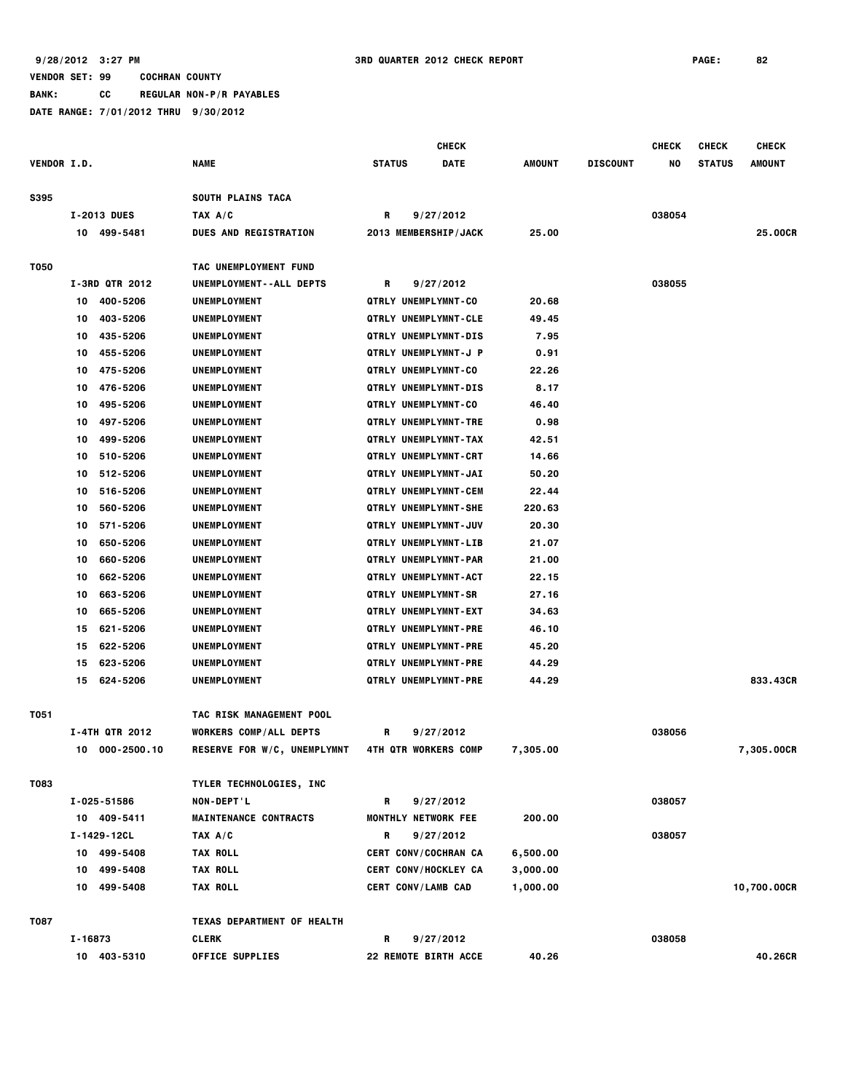**BANK: CC REGULAR NON-P/R PAYABLES**

**DATE RANGE: 7/01/2012 THRU 9/30/2012**

 **CHECK CHECK CHECK CHECK VENDOR I.D. NAME STATUS DATE AMOUNT DISCOUNT NO STATUS AMOUNT** S395 SOUTH PLAINS TACA  **I-2013 DUES TAX A/C R 9/27/2012 038054 10 499-5481 DUES AND REGISTRATION 2013 MEMBERSHIP/JACK 25.00 25.00CR T050 TAC UNEMPLOYMENT FUND I-3RD QTR 2012 UNEMPLOYMENT--ALL DEPTS R 9/27/2012 038055 10 400-5206 UNEMPLOYMENT QTRLY UNEMPLYMNT-CO 20.68 10 403-5206 UNEMPLOYMENT QTRLY UNEMPLYMNT-CLE 49.45 10 435-5206 UNEMPLOYMENT QTRLY UNEMPLYMNT-DIS 7.95 10 455-5206 UNEMPLOYMENT QTRLY UNEMPLYMNT-J P 0.91 10 475-5206 UNEMPLOYMENT QTRLY UNEMPLYMNT-CO 22.26 10 476-5206 UNEMPLOYMENT QTRLY UNEMPLYMNT-DIS 8.17 10 495-5206 UNEMPLOYMENT QTRLY UNEMPLYMNT-CO 46.40 10 497-5206 UNEMPLOYMENT QTRLY UNEMPLYMNT-TRE 0.98 10 499-5206 UNEMPLOYMENT QTRLY UNEMPLYMNT-TAX 42.51 10 510-5206 UNEMPLOYMENT QTRLY UNEMPLYMNT-CRT 14.66 10 512-5206 UNEMPLOYMENT QTRLY UNEMPLYMNT-JAI 50.20 10 516-5206 UNEMPLOYMENT QTRLY UNEMPLYMNT-CEM 22.44 10 560-5206 UNEMPLOYMENT QTRLY UNEMPLYMNT-SHE 220.63 10 571-5206 UNEMPLOYMENT QTRLY UNEMPLYMNT-JUV 20.30 10 650-5206 UNEMPLOYMENT QTRLY UNEMPLYMNT-LIB 21.07 10 660-5206 UNEMPLOYMENT QTRLY UNEMPLYMNT-PAR 21.00 10 662-5206 UNEMPLOYMENT QTRLY UNEMPLYMNT-ACT 22.15 10 663-5206 UNEMPLOYMENT QTRLY UNEMPLYMNT-SR 27.16 10 665-5206 UNEMPLOYMENT QTRLY UNEMPLYMNT-EXT 34.63 15 621-5206 UNEMPLOYMENT QTRLY UNEMPLYMNT-PRE 46.10 15 622-5206 UNEMPLOYMENT QTRLY UNEMPLYMNT-PRE 45.20 15 623-5206 UNEMPLOYMENT QTRLY UNEMPLYMNT-PRE 44.29 15 624-5206 UNEMPLOYMENT QTRLY UNEMPLYMNT-PRE 44.29 833.43CR T051 TAC RISK MANAGEMENT POOL I-4TH QTR 2012 WORKERS COMP/ALL DEPTS R 9/27/2012 038056 10 000-2500.10 RESERVE FOR W/C, UNEMPLYMNT 4TH QTR WORKERS COMP 7,305.00 7,305.00CR T083 TYLER TECHNOLOGIES, INC I-025-51586 NON-DEPT'L R 9/27/2012 038057 10 409-5411 MAINTENANCE CONTRACTS MONTHLY NETWORK FEE 200.00 I-1429-12CL TAX A/C R 9/27/2012 038057 10 499-5408 TAX ROLL CERT CONV/COCHRAN CA 6,500.00 10 499-5408 TAX ROLL CERT CONV/HOCKLEY CA 3,000.00 10 499-5408 TAX ROLL CERT CONV/LAMB CAD 1,000.00 10,700.00CR T087 TEXAS DEPARTMENT OF HEALTH I-16873 CLERK R 9/27/2012 038058 10 403-5310 OFFICE SUPPLIES 22 REMOTE BIRTH ACCE 40.26 40.26CR**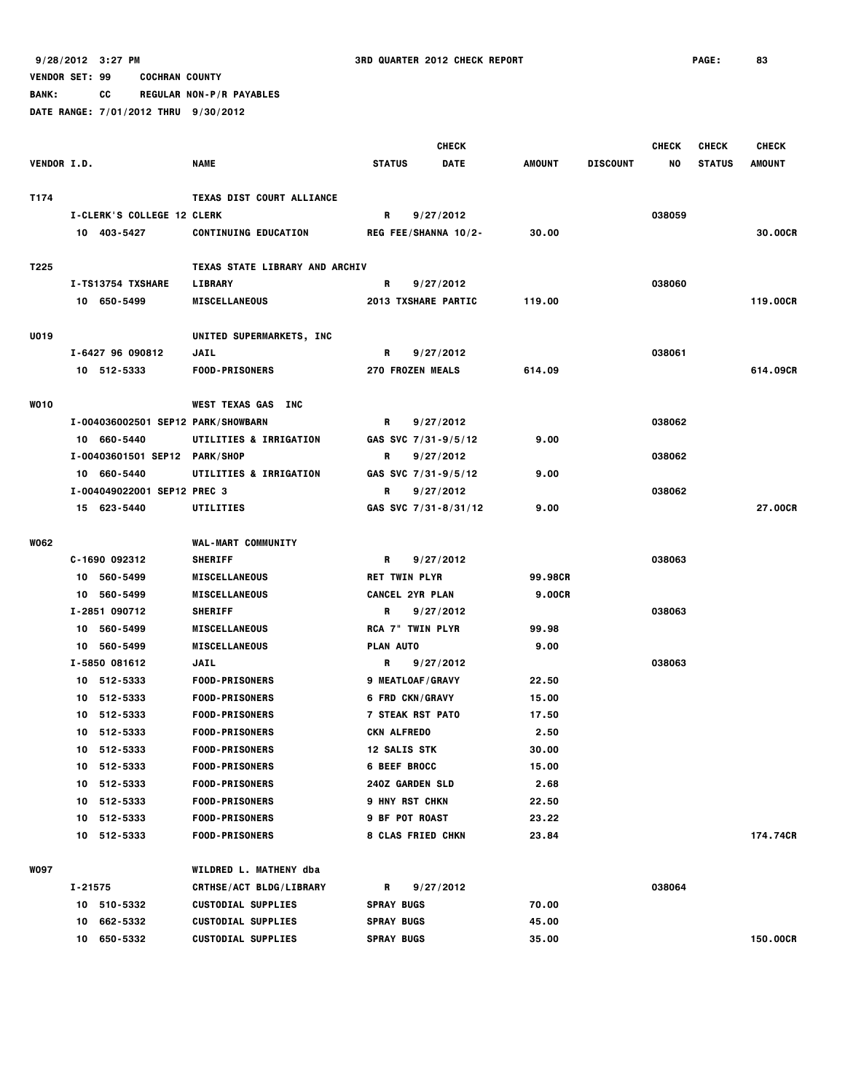**BANK: CC REGULAR NON-P/R PAYABLES**

|                    |                                    |                                  | <b>CHECK</b>             |             |               |                 | <b>CHECK</b> | <b>CHECK</b>  | <b>CHECK</b>  |
|--------------------|------------------------------------|----------------------------------|--------------------------|-------------|---------------|-----------------|--------------|---------------|---------------|
| <b>VENDOR I.D.</b> |                                    | <b>NAME</b>                      | <b>STATUS</b>            | <b>DATE</b> | <b>AMOUNT</b> | <b>DISCOUNT</b> | NO           | <b>STATUS</b> | <b>AMOUNT</b> |
| T174               |                                    | <b>TEXAS DIST COURT ALLIANCE</b> |                          |             |               |                 |              |               |               |
|                    | <b>I-CLERK'S COLLEGE 12 CLERK</b>  |                                  | R                        | 9/27/2012   |               |                 | 038059       |               |               |
|                    | 10 403-5427                        | <b>CONTINUING EDUCATION</b>      | REG FEE/SHANNA 10/2-     |             | 30.00         |                 |              |               | 30.00CR       |
| T225               |                                    | TEXAS STATE LIBRARY AND ARCHIV   |                          |             |               |                 |              |               |               |
|                    | I-TS13754 TXSHARE                  | <b>LIBRARY</b>                   | R                        | 9/27/2012   |               |                 | 038060       |               |               |
|                    | 10 650-5499                        | <b>MISCELLANEOUS</b>             | 2013 TXSHARE PARTIC      |             | 119.00        |                 |              |               | 119,00CR      |
| U019               |                                    | UNITED SUPERMARKETS, INC         |                          |             |               |                 |              |               |               |
|                    | I-6427 96 090812                   | JAIL                             | R                        | 9/27/2012   |               |                 | 038061       |               |               |
|                    | 10 512-5333                        | <b>FOOD-PRISONERS</b>            | <b>270 FROZEN MEALS</b>  |             | 614.09        |                 |              |               | 614.09CR      |
| <b>WO10</b>        |                                    | WEST TEXAS GAS INC               |                          |             |               |                 |              |               |               |
|                    | I-004036002501 SEP12 PARK/SHOWBARN |                                  | R                        | 9/27/2012   |               |                 | 038062       |               |               |
|                    | 10 660-5440                        | UTILITIES & IRRIGATION           | GAS SVC 7/31-9/5/12      |             | 9.00          |                 |              |               |               |
|                    | I-00403601501 SEP12 PARK/SHOP      |                                  | R                        | 9/27/2012   |               |                 | 038062       |               |               |
|                    | 10 660-5440                        | UTILITIES & IRRIGATION           | GAS SVC 7/31-9/5/12      |             | 9.00          |                 |              |               |               |
|                    | I-004049022001 SEP12 PREC 3        |                                  | R                        | 9/27/2012   |               |                 | 038062       |               |               |
|                    | 15 623-5440                        | <b>UTILITIES</b>                 | GAS SVC 7/31-8/31/12     |             | 9.00          |                 |              |               | 27.00CR       |
| W062               |                                    | <b>WAL-MART COMMUNITY</b>        |                          |             |               |                 |              |               |               |
|                    | C-1690 092312                      | <b>SHERIFF</b>                   | R                        | 9/27/2012   |               |                 | 038063       |               |               |
|                    | 10 560-5499                        | <b>MISCELLANEOUS</b>             | <b>RET TWIN PLYR</b>     |             | 99.98CR       |                 |              |               |               |
|                    | 10 560-5499                        | <b>MISCELLANEOUS</b>             | <b>CANCEL 2YR PLAN</b>   |             | <b>9.00CR</b> |                 |              |               |               |
|                    | I-2851 090712                      | <b>SHERIFF</b>                   | R                        | 9/27/2012   |               |                 | 038063       |               |               |
|                    | 10 560-5499                        | <b>MISCELLANEOUS</b>             | <b>RCA 7" TWIN PLYR</b>  |             | 99.98         |                 |              |               |               |
|                    | 10 560-5499                        | <b>MISCELLANEOUS</b>             | PLAN AUTO                |             | 9.00          |                 |              |               |               |
|                    | I-5850 081612                      | JAIL                             | R                        | 9/27/2012   |               |                 | 038063       |               |               |
|                    | 10 512-5333                        | <b>FOOD-PRISONERS</b>            | 9 MEATLOAF/GRAVY         |             | 22.50         |                 |              |               |               |
|                    | 10 512-5333                        | <b>FOOD-PRISONERS</b>            | <b>6 FRD CKN/GRAVY</b>   |             | 15.00         |                 |              |               |               |
|                    | 512-5333<br>10                     | <b>FOOD-PRISONERS</b>            | <b>7 STEAK RST PATO</b>  |             | 17.50         |                 |              |               |               |
|                    | 512-5333<br>10                     | <b>FOOD-PRISONERS</b>            | CKN ALFREDO              |             | 2.50          |                 |              |               |               |
|                    | 10 512-5333                        | <b>FOOD-PRISONERS</b>            | <b>12 SALIS STK</b>      |             | 30.00         |                 |              |               |               |
|                    | 10 512-5333                        | <b>FOOD-PRISONERS</b>            | <b>6 BEEF BROCC</b>      |             | 15.00         |                 |              |               |               |
|                    | 10 512-5333                        | <b>FOOD-PRISONERS</b>            | <b>240Z GARDEN SLD</b>   |             | 2.68          |                 |              |               |               |
|                    | 10 512-5333                        | <b>FOOD-PRISONERS</b>            | <b>9 HNY RST CHKN</b>    |             | 22.50         |                 |              |               |               |
|                    | 10 512-5333                        | <b>FOOD-PRISONERS</b>            | <b>9 BF POT ROAST</b>    |             | 23.22         |                 |              |               |               |
|                    | 10 512-5333                        | <b>FOOD-PRISONERS</b>            | <b>8 CLAS FRIED CHKN</b> |             | 23.84         |                 |              |               | 174.74CR      |
| <b>WO97</b>        |                                    | WILDRED L. MATHENY dba           |                          |             |               |                 |              |               |               |
|                    | $I - 21575$                        | <b>CRTHSE/ACT BLDG/LIBRARY</b>   | R                        | 9/27/2012   |               |                 | 038064       |               |               |
|                    | 10 510-5332                        | <b>CUSTODIAL SUPPLIES</b>        | <b>SPRAY BUGS</b>        |             | 70.00         |                 |              |               |               |
|                    | 10 662-5332                        | <b>CUSTODIAL SUPPLIES</b>        | <b>SPRAY BUGS</b>        |             | 45.00         |                 |              |               |               |
|                    | 10 650-5332                        | <b>CUSTODIAL SUPPLIES</b>        | <b>SPRAY BUGS</b>        |             | 35.00         |                 |              |               | 150.00CR      |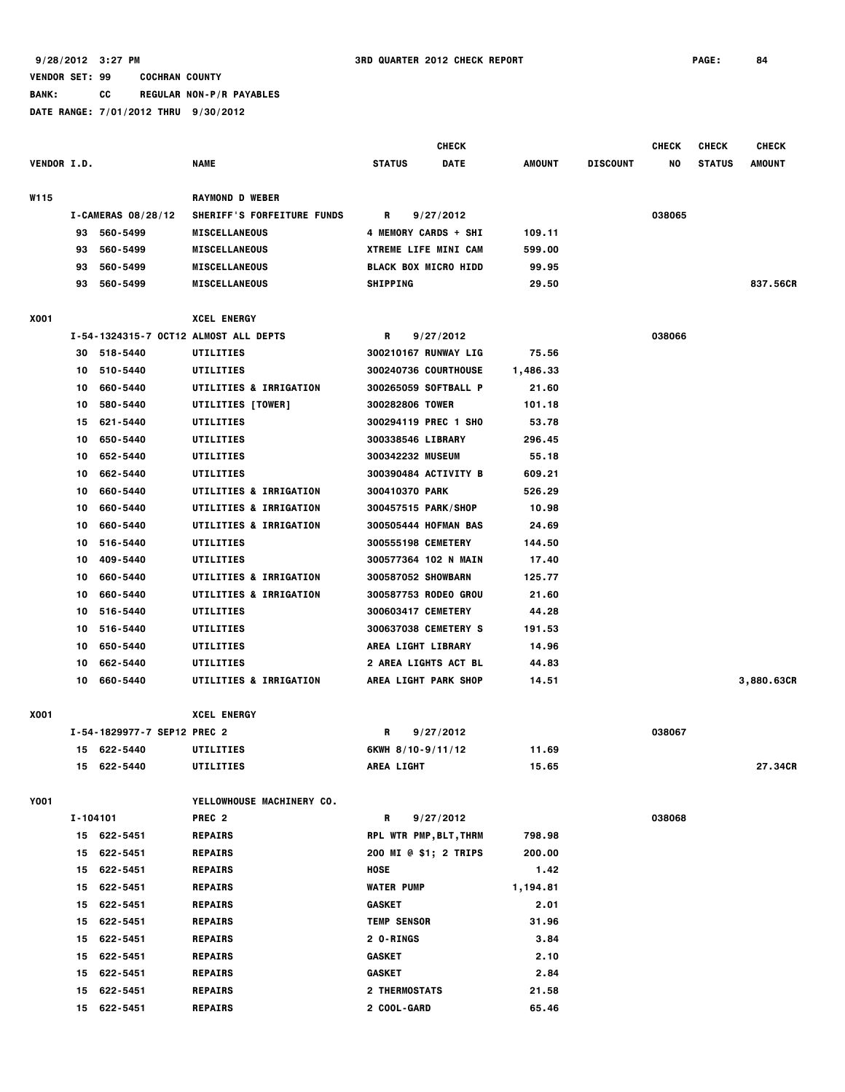**VENDOR SET: 99 COCHRAN COUNTY BANK: CC REGULAR NON-P/R PAYABLES DATE RANGE: 7/01/2012 THRU 9/30/2012 CHECK CHECK CHECK CHECK VENDOR I.D. NAME STATUS DATE AMOUNT DISCOUNT NO STATUS AMOUNT W115 RAYMOND D WEBER I-CAMERAS 08/28/12 SHERIFF'S FORFEITURE FUNDS R 9/27/2012 038065 93 560-5499 MISCELLANEOUS 4 MEMORY CARDS + SHI 109.11 93 560-5499 MISCELLANEOUS XTREME LIFE MINI CAM 599.00 93 560-5499 MISCELLANEOUS BLACK BOX MICRO HIDD 99.95 93 560-5499 MISCELLANEOUS SHIPPING 29.50 837.56CR X001 XCEL ENERGY I-54-1324315-7 OCT12 ALMOST ALL DEPTS R 9/27/2012 038066 30 518-5440 UTILITIES 300210167 RUNWAY LIG 75.56 10 510-5440 UTILITIES 300240736 COURTHOUSE 1,486.33 10 660-5440 UTILITIES & IRRIGATION 300265059 SOFTBALL P 21.60 10 580-5440 UTILITIES [TOWER] 300282806 TOWER 101.18 15 621-5440 UTILITIES 300294119 PREC 1 SHO 53.78 10 650-5440 UTILITIES 300338546 LIBRARY 296.45 10 652-5440 UTILITIES 300342232 MUSEUM 55.18 10 662-5440 UTILITIES 300390484 ACTIVITY B 609.21 10 660-5440 UTILITIES & IRRIGATION 300410370 PARK 526.29 10 660-5440 UTILITIES & IRRIGATION 300457515 PARK/SHOP 10.98 10 660-5440 UTILITIES & IRRIGATION 300505444 HOFMAN BAS 24.69 10 516-5440 UTILITIES 300555198 CEMETERY 144.50 10 409-5440 UTILITIES 300577364 102 N MAIN 17.40 10 660-5440 UTILITIES & IRRIGATION 300587052 SHOWBARN 125.77 10 660-5440 UTILITIES & IRRIGATION 300587753 RODEO GROU 21.60 10 516-5440 UTILITIES 300603417 CEMETERY 44.28 10 516-5440 UTILITIES 300637038 CEMETERY S 191.53 10 650-5440 UTILITIES AREA LIGHT LIBRARY 14.96 10 662-5440 UTILITIES 2 AREA LIGHTS ACT BL 44.83 10 660-5440 UTILITIES & IRRIGATION AREA LIGHT PARK SHOP 14.51 3,880.63CR X001 XCEL ENERGY I-54-1829977-7 SEP12 PREC 2 R 9/27/2012 038067 15 622-5440 UTILITIES 6KWH 8/10-9/11/12 11.69 15 622-5440 UTILITIES AREA LIGHT 15.65 27.34CR Y001 YELLOWHOUSE MACHINERY CO. I-104101 PREC 2 R 9/27/2012 038068 15 622-5451 REPAIRS RPL WTR PMP,BLT,THRM 798.98 15 622-5451 REPAIRS 200 MI @ \$1; 2 TRIPS 200.00 15 622-5451 REPAIRS HOSE 1.42**

 **15 622-5451 REPAIRS WATER PUMP 1,194.81**

 **15 622-5451 REPAIRS GASKET 2.01 15 622-5451 REPAIRS TEMP SENSOR 31.96 15 622-5451 REPAIRS 2 O-RINGS 3.84 15 622-5451 REPAIRS GASKET 2.10**

 **15 622-5451 REPAIRS GASKET 2.84 15 622-5451 REPAIRS 2 THERMOSTATS 21.58 15 622-5451 REPAIRS 2 COOL-GARD 65.46**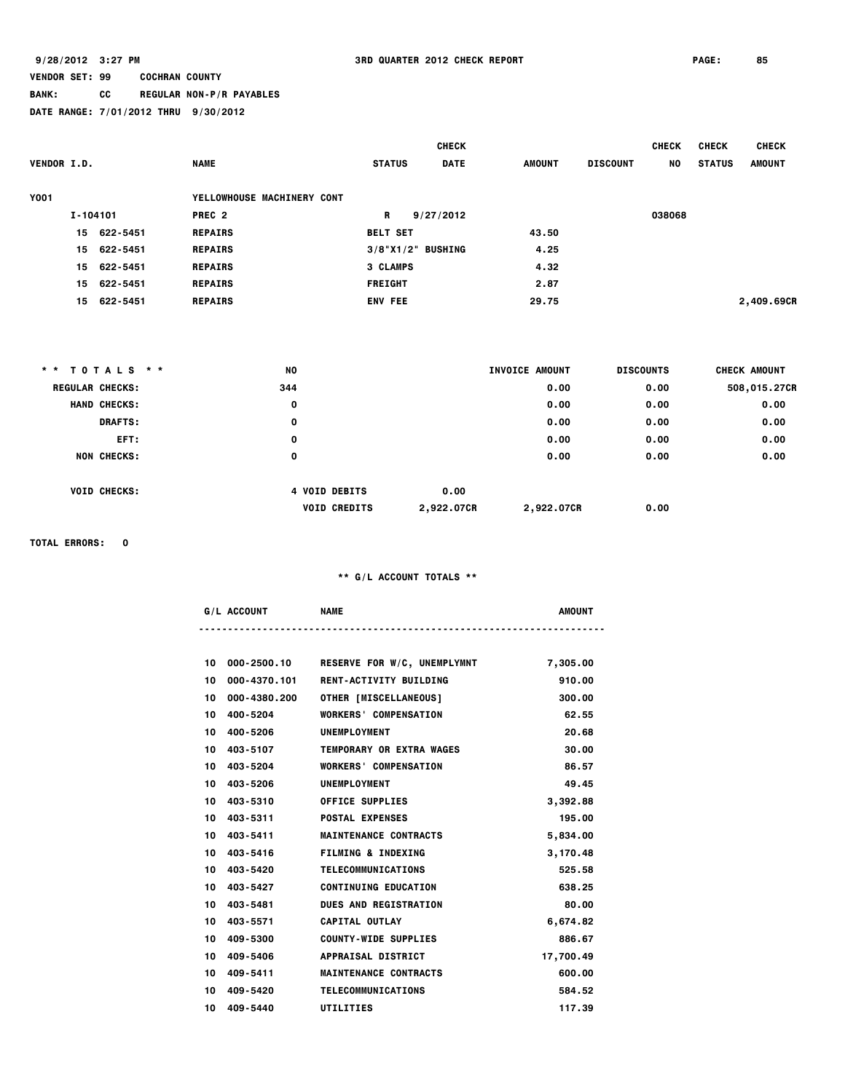# **BANK: CC REGULAR NON-P/R PAYABLES**

|  | DATE RANGE: 7/01/2012 THRU 9/30/2012 |  |  |
|--|--------------------------------------|--|--|
|  |                                      |  |  |

| <b>VENDOR I.D.</b> |          |             | <b>NAME</b>                | <b>STATUS</b>        | <b>CHECK</b><br><b>DATE</b> | <b>AMOUNT</b> | <b>DISCOUNT</b> | <b>CHECK</b><br>NO. | <b>CHECK</b><br><b>STATUS</b> | <b>CHECK</b><br><b>AMOUNT</b> |
|--------------------|----------|-------------|----------------------------|----------------------|-----------------------------|---------------|-----------------|---------------------|-------------------------------|-------------------------------|
| <b>Y001</b>        |          |             | YELLOWHOUSE MACHINERY CONT |                      |                             |               |                 |                     |                               |                               |
|                    | I-104101 |             | PREC <sub>2</sub>          | R                    | 9/27/2012                   |               |                 | 038068              |                               |                               |
|                    |          | 15 622-5451 | <b>REPAIRS</b>             | <b>BELT SET</b>      |                             | 43.50         |                 |                     |                               |                               |
|                    |          | 15 622-5451 | <b>REPAIRS</b>             | $3/8$ "X1/2" BUSHING |                             | 4.25          |                 |                     |                               |                               |
|                    |          | 15 622-5451 | <b>REPAIRS</b>             | <b>3 CLAMPS</b>      |                             | 4.32          |                 |                     |                               |                               |
|                    |          | 15 622-5451 | <b>REPAIRS</b>             | <b>FREIGHT</b>       |                             | 2.87          |                 |                     |                               |                               |
|                    |          | 15 622-5451 | <b>REPAIRS</b>             | <b>ENV FEE</b>       |                             | 29.75         |                 |                     |                               | 2,409.69CR                    |

| * * TOTALS * * |                        | <b>NO</b> |                      |            | INVOICE AMOUNT | <b>DISCOUNTS</b> | CHECK AMOUNT |
|----------------|------------------------|-----------|----------------------|------------|----------------|------------------|--------------|
|                | <b>REGULAR CHECKS:</b> | 344       |                      |            | 0.00           | 0.00             | 508,015.27CR |
|                | <b>HAND CHECKS:</b>    | 0         |                      |            | 0.00           | 0.00             | 0.00         |
|                | <b>DRAFTS:</b>         | 0         |                      |            | 0.00           | 0.00             | 0.00         |
|                | EFT:                   | 0         |                      |            | 0.00           | 0.00             | 0.00         |
|                | <b>NON CHECKS:</b>     | 0         |                      |            | 0.00           | 0.00             | 0.00         |
|                | <b>VOID CHECKS:</b>    |           | <b>4 VOID DEBITS</b> | 0.00       |                |                  |              |
|                |                        |           | <b>VOID CREDITS</b>  | 2,922.07CR | 2,922.07CR     | 0.00             |              |

**TOTAL ERRORS: 0**

| - AC | <b>NAME</b> | AMOUN |
|------|-------------|-------|
|      |             |       |

| 10 | 000-2500.10  | <b>RESERVE FOR W/C, UNEMPLYMNT</b>  | 7,305.00  |
|----|--------------|-------------------------------------|-----------|
| 10 |              | 000-4370.101 RENT-ACTIVITY BUILDING | 910.00    |
| 10 | 000-4380.200 | <b>OTHER [MISCELLANEOUS]</b>        | 300.00    |
| 10 | 400-5204     | <b>WORKERS' COMPENSATION</b>        | 62.55     |
| 10 | 400-5206     | UNEMPLOYMENT                        | 20.68     |
| 10 | 403-5107     | <b>TEMPORARY OR EXTRA WAGES</b>     | 30.00     |
| 10 | 403-5204     | <b>WORKERS' COMPENSATION</b>        | 86.57     |
| 10 | 403-5206     | UNEMPLOYMENT                        | 49.45     |
| 10 | 403-5310     | <b>OFFICE SUPPLIES</b>              | 3,392.88  |
|    | 10 403-5311  | <b>POSTAL EXPENSES</b>              | 195.00    |
|    | 10 403-5411  | <b>MAINTENANCE CONTRACTS</b>        | 5,834.00  |
|    | 10 403-5416  | <b>FILMING &amp; INDEXING</b>       | 3,170.48  |
| 10 | 403-5420     | <b>TELECOMMUNICATIONS</b>           | 525.58    |
| 10 | 403-5427     | <b>CONTINUING EDUCATION</b>         | 638.25    |
|    | 10 403-5481  | <b>DUES AND REGISTRATION</b>        | 80.00     |
|    | 10 403-5571  | <b>CAPITAL OUTLAY</b>               | 6,674.82  |
| 10 | 409-5300     | <b>COUNTY-WIDE SUPPLIES</b>         | 886.67    |
| 10 | 409-5406     | APPRAISAL DISTRICT                  | 17,700.49 |
| 10 | 409-5411     | <b>MAINTENANCE CONTRACTS</b>        | 600.00    |
| 10 | 409-5420     | <b>TELECOMMUNICATIONS</b>           | 584.52    |
|    | 10 409-5440  | UTILITIES                           | 117.39    |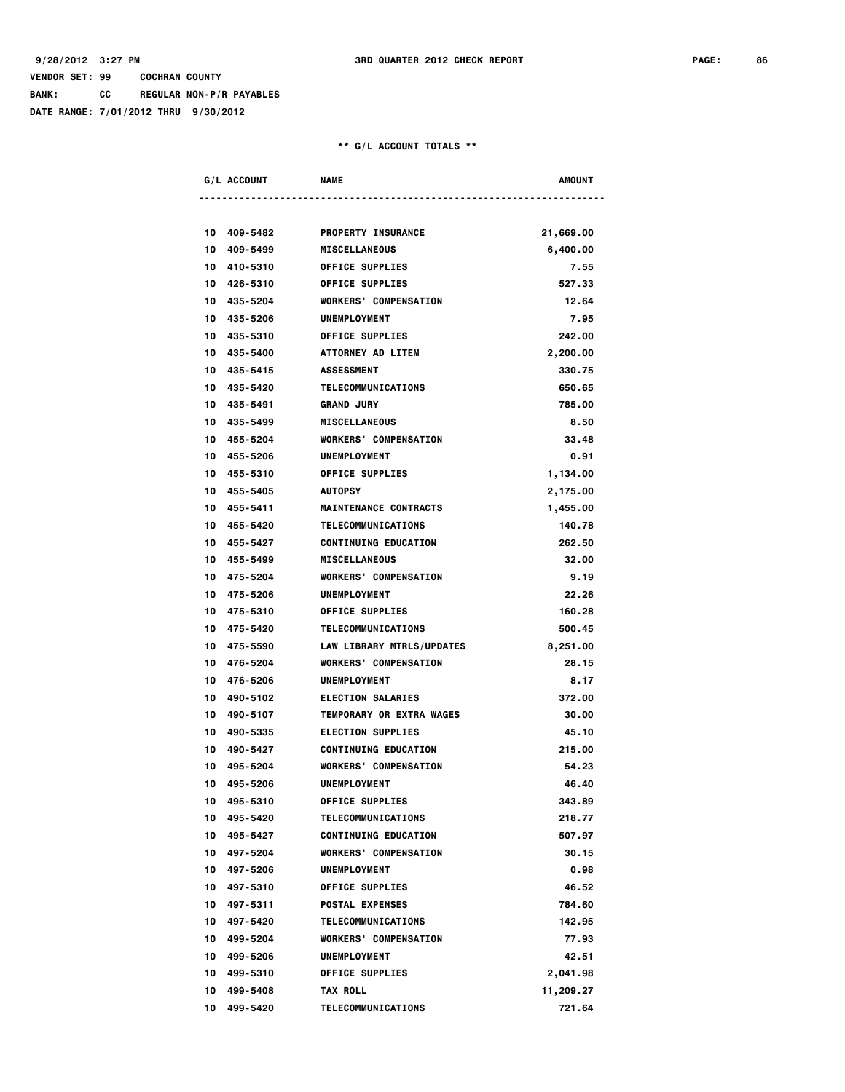**BANK: CC REGULAR NON-P/R PAYABLES**

**DATE RANGE: 7/01/2012 THRU 9/30/2012**

| <b>G/L ACCOUNT</b>         | <b>NAME</b>                                          | <b>AMOUNT</b>        |
|----------------------------|------------------------------------------------------|----------------------|
|                            |                                                      |                      |
| 10 409-5482                | <b>PROPERTY INSURANCE</b>                            | 21,669.00            |
| 10 409-5499                | <b>MISCELLANEOUS</b>                                 | 6,400.00             |
| 10 410-5310                | <b>OFFICE SUPPLIES</b>                               | 7.55                 |
| 10 426-5310                | <b>OFFICE SUPPLIES</b>                               | 527.33               |
| 10 435-5204                | <b>WORKERS' COMPENSATION</b>                         | 12.64                |
| 10 435-5206                | <b>UNEMPLOYMENT</b>                                  | 7.95                 |
| 10 435-5310                | <b>OFFICE SUPPLIES</b>                               | 242.00               |
| 10 435-5400<br>10 435-5415 | ATTORNEY AD LITEM                                    | 2,200.00<br>330.75   |
|                            | <b>ASSESSMENT</b>                                    |                      |
| 10 435-5420                | TELECOMMUNICATIONS<br><b>GRAND JURY</b>              | 650.65<br>785.00     |
| 10 435-5491                |                                                      |                      |
| 10 435-5499<br>10 455-5204 | <b>MISCELLANEOUS</b><br><b>WORKERS' COMPENSATION</b> | 8.50<br>33,48        |
| 10 455-5206                |                                                      |                      |
| 10 455-5310                | UNEMPLOYMENT<br><b>OFFICE SUPPLIES</b>               | 0.91                 |
| 10 455-5405                | <b>AUTOPSY</b>                                       | 1,134.00             |
| 10 455-5411                | <b>MAINTENANCE CONTRACTS</b>                         | 2,175.00<br>1,455.00 |
| 10 455-5420                | TELECOMMUNICATIONS                                   | 140.78               |
| 10 455-5427                | <b>CONTINUING EDUCATION</b>                          | 262.50               |
| 10 455-5499                | <b>MISCELLANEOUS</b>                                 | 32.00                |
| 10 475-5204                | <b>WORKERS' COMPENSATION</b>                         | 9.19                 |
| 10 475-5206                | UNEMPLOYMENT                                         | 22.26                |
| 10 475-5310                | <b>OFFICE SUPPLIES</b>                               | 160.28               |
| 10 475-5420                | TELECOMMUNICATIONS                                   | 500.45               |
| 10 475-5590                | LAW LIBRARY MTRLS/UPDATES                            | 8,251.00             |
| 10 476-5204                | <b>WORKERS' COMPENSATION</b>                         | 28.15                |
| 10 476-5206                | <b>UNEMPLOYMENT</b>                                  | 8.17                 |
| 10 490-5102                | <b>ELECTION SALARIES</b>                             | 372.00               |
| 10 490-5107                | TEMPORARY OR EXTRA WAGES                             | 30.00                |
| 10 490-5335                | <b>ELECTION SUPPLIES</b>                             | 45.10                |
| 10 490-5427                | <b>CONTINUING EDUCATION</b>                          | 215,00               |
| 10 495-5204                | <b>WORKERS' COMPENSATION</b>                         | 54.23                |
| 10 495-5206                | UNEMPLOYMENT                                         | 46.40                |
| 495-5310<br>10             | <b>OFFICE SUPPLIES</b>                               | 343.89               |
| 10<br>495-5420             | <b>TELECOMMUNICATIONS</b>                            | 218.77               |
| 495-5427<br>10             | <b>CONTINUING EDUCATION</b>                          | 507.97               |
| 10<br>497-5204             | <b>WORKERS' COMPENSATION</b>                         | 30.15                |
| 10 497-5206                | <b>UNEMPLOYMENT</b>                                  | 0.98                 |
| 10 497-5310                | <b>OFFICE SUPPLIES</b>                               | 46.52                |
| 10 497-5311                | <b>POSTAL EXPENSES</b>                               | 784.60               |
| 10 497-5420                | TELECOMMUNICATIONS                                   | 142.95               |
| 10 499-5204                | <b>WORKERS' COMPENSATION</b>                         | 77.93                |
| 10<br>499-5206             | UNEMPLOYMENT                                         | 42.51                |
| 10<br>499-5310             | <b>OFFICE SUPPLIES</b>                               | 2,041.98             |
| 10<br>499-5408             | <b>TAX ROLL</b>                                      | 11,209.27            |
| 10<br>499-5420             | TELECOMMUNICATIONS                                   | 721.64               |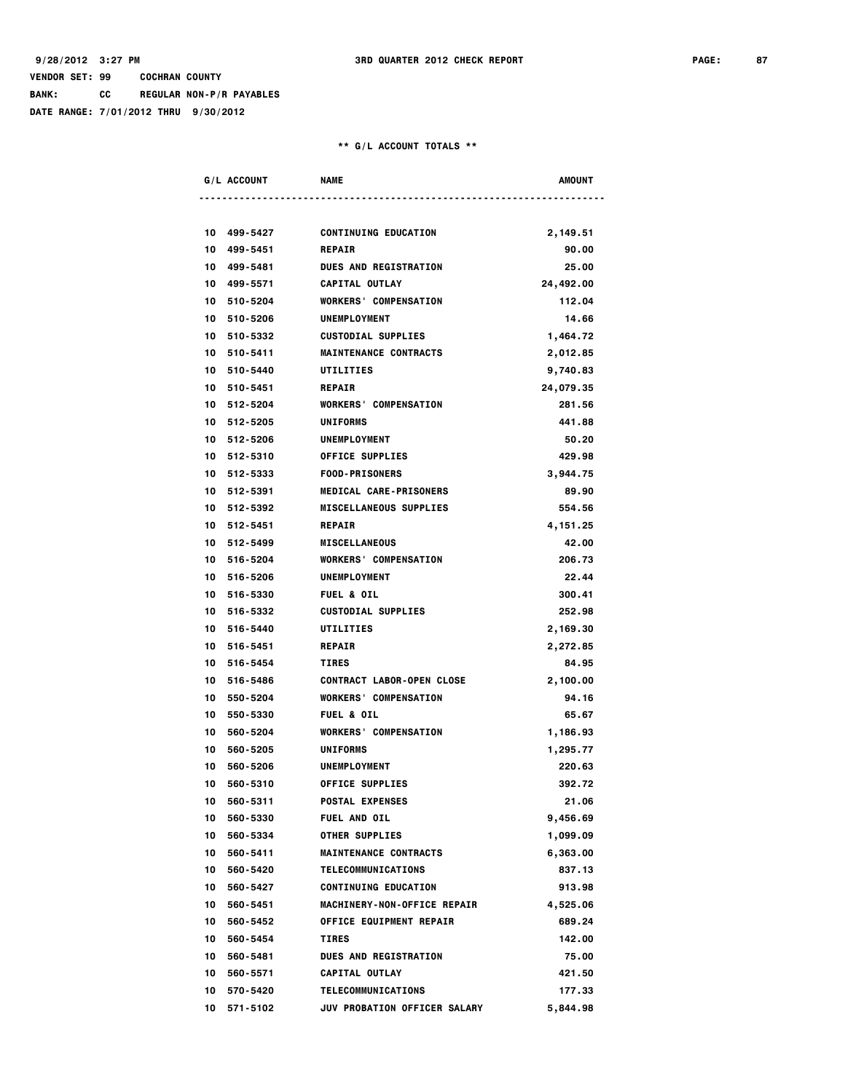**BANK: CC REGULAR NON-P/R PAYABLES**

**DATE RANGE: 7/01/2012 THRU 9/30/2012**

| G/L ACCOUNT                | <b>NAME</b>                                   | <b>AMOUNT</b>       |
|----------------------------|-----------------------------------------------|---------------------|
|                            |                                               |                     |
| 10 499-5427                | <b>CONTINUING EDUCATION</b>                   | 2,149.51<br>90.00   |
| 10 499-5451<br>10 499-5481 | <b>REPAIR</b><br><b>DUES AND REGISTRATION</b> | 25,00               |
| 10 499-5571                | CAPITAL OUTLAY                                |                     |
| 10 510-5204                | <b>WORKERS' COMPENSATION</b>                  | 24,492.00<br>112.04 |
| 10 510-5206                | <b>UNEMPLOYMENT</b>                           | 14.66               |
| 10 510-5332                | <b>CUSTODIAL SUPPLIES</b>                     | 1,464.72            |
| 10 510-5411                | <b>MAINTENANCE CONTRACTS</b>                  | 2,012.85            |
| 10 510-5440                | <b>UTILITIES</b>                              | 9,740.83            |
| 10 510-5451                | <b>REPAIR</b>                                 |                     |
| 10 512-5204                | <b>WORKERS' COMPENSATION</b>                  | 24,079.35<br>281.56 |
|                            | <b>UNIFORMS</b>                               |                     |
| 10 512-5205                | <b>UNEMPLOYMENT</b>                           | 441.88              |
| 10 512-5206                |                                               | 50.20               |
| 10 512-5310                | <b>OFFICE SUPPLIES</b>                        | 429.98              |
| 10 512-5333                | <b>FOOD-PRISONERS</b>                         | 3,944.75            |
| 10 512-5391                | <b>MEDICAL CARE-PRISONERS</b>                 | 89.90               |
| 10 512-5392                | <b>MISCELLANEOUS SUPPLIES</b>                 | 554.56              |
| 10 512-5451                | <b>REPAIR</b>                                 | 4, 151.25           |
| 10 512-5499                | <b>MISCELLANEOUS</b>                          | 42.00               |
| 10 516-5204                | <b>WORKERS' COMPENSATION</b>                  | 206.73              |
| 10 516-5206                | UNEMPLOYMENT                                  | 22.44               |
| 10 516-5330                | <b>FUEL &amp; OIL</b>                         | 300.41              |
| 10 516-5332                | <b>CUSTODIAL SUPPLIES</b>                     | 252.98              |
| 10 516-5440                | UTILITIES                                     | 2,169.30            |
| 10 516-5451                | <b>REPAIR</b>                                 | 2,272.85            |
| 10 516-5454                | <b>TIRES</b>                                  | 84.95               |
| 10 516-5486                | <b>CONTRACT LABOR-OPEN CLOSE</b>              | 2,100.00            |
| 10 550-5204                | <b>WORKERS' COMPENSATION</b>                  | 94.16               |
| 10 550-5330                | <b>FUEL &amp; OIL</b>                         | 65.67               |
| 10 560-5204                | <b>WORKERS' COMPENSATION</b>                  | 1,186.93            |
| 10 560-5205                | <b>UNIFORMS</b>                               | 1,295.77            |
| 10 560-5206                | <b>UNEMPLOYMENT</b>                           | 220.63              |
| 10 560-5310                | OFFICE SUPPLIES                               | 392.72              |
| 560-5311<br>10             | <b>POSTAL EXPENSES</b>                        | 21.06               |
| 560-5330<br>10             | <b>FUEL AND OIL</b>                           | 9,456.69            |
| 560-5334<br>10             | <b>OTHER SUPPLIES</b>                         | 1,099.09            |
| 10<br>560-5411             | <b>MAINTENANCE CONTRACTS</b>                  | 6,363.00            |
| 10<br>560-5420             | <b>TELECOMMUNICATIONS</b>                     | 837.13              |
| 10<br>560-5427             | <b>CONTINUING EDUCATION</b>                   | 913.98              |
| 10<br>560-5451             | <b>MACHINERY-NON-OFFICE REPAIR</b>            | 4,525.06            |
| 10<br>560-5452             | <b>OFFICE EQUIPMENT REPAIR</b>                | 689.24              |
| 10<br>560-5454             | <b>TIRES</b>                                  | 142.00              |
| 10<br>560-5481             | <b>DUES AND REGISTRATION</b>                  | 75.00               |
| 10<br>560-5571             | CAPITAL OUTLAY                                | 421.50              |
| 10<br>570-5420             | <b>TELECOMMUNICATIONS</b>                     | 177.33              |
| 10 571-5102                | <b>JUV PROBATION OFFICER SALARY</b>           | 5,844.98            |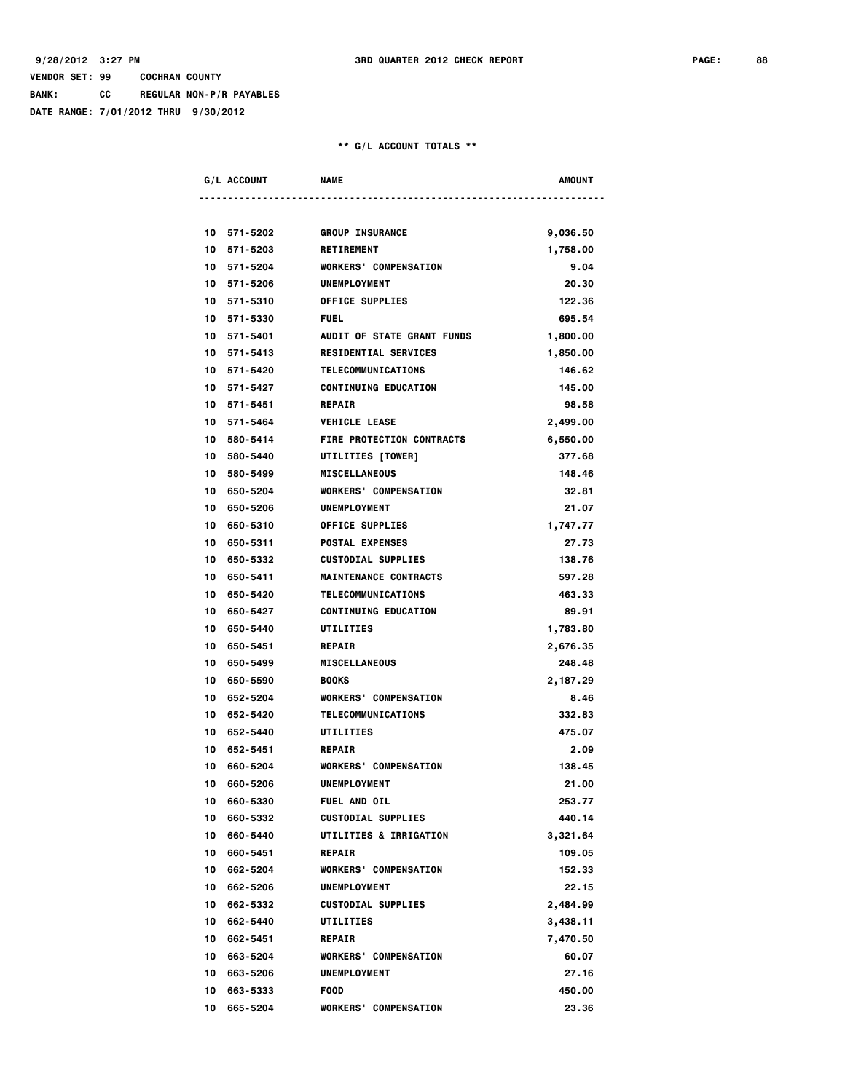**BANK: CC REGULAR NON-P/R PAYABLES**

**DATE RANGE: 7/01/2012 THRU 9/30/2012**

| . ACC. | NAME | AMOLIN |
|--------|------|--------|
|        |      |        |

|    | 10 571-5202 | <b>GROUP INSURANCE</b>            | 9,036.50 |
|----|-------------|-----------------------------------|----------|
|    | 10 571-5203 | <b>RETIREMENT</b>                 | 1,758.00 |
|    | 10 571-5204 | <b>WORKERS' COMPENSATION</b>      | 9.04     |
|    | 10 571-5206 | UNEMPLOYMENT                      | 20.30    |
|    | 10 571-5310 | <b>OFFICE SUPPLIES</b>            | 122.36   |
|    | 10 571-5330 | <b>FUEL</b>                       | 695.54   |
|    | 10 571-5401 | AUDIT OF STATE GRANT FUNDS        | 1,800.00 |
|    | 10 571-5413 | <b>RESIDENTIAL SERVICES</b>       | 1,850.00 |
|    | 10 571-5420 | TELECOMMUNICATIONS                | 146.62   |
|    | 10 571-5427 | <b>CONTINUING EDUCATION</b>       | 145.00   |
|    | 10 571-5451 | <b>REPAIR</b>                     | 98.58    |
|    | 10 571-5464 | <b>VEHICLE LEASE</b>              | 2,499.00 |
|    | 10 580-5414 | <b>FIRE PROTECTION CONTRACTS</b>  | 6,550.00 |
|    | 10 580-5440 | UTILITIES [TOWER]                 | 377.68   |
|    | 10 580-5499 | <b>MISCELLANEOUS</b>              | 148.46   |
|    | 10 650-5204 | <b>WORKERS' COMPENSATION</b>      | 32.81    |
|    | 10 650-5206 | UNEMPLOYMENT                      | 21.07    |
|    | 10 650-5310 | <b>OFFICE SUPPLIES</b>            | 1,747.77 |
|    | 10 650-5311 | <b>POSTAL EXPENSES</b>            | 27.73    |
|    | 10 650-5332 | <b>CUSTODIAL SUPPLIES</b>         | 138.76   |
|    | 10 650-5411 | <b>MAINTENANCE CONTRACTS</b>      | 597.28   |
|    | 10 650-5420 | TELECOMMUNICATIONS                | 463.33   |
|    | 10 650-5427 | <b>CONTINUING EDUCATION</b>       | 89.91    |
|    | 10 650-5440 | UTILITIES                         | 1,783.80 |
|    | 10 650-5451 | <b>REPAIR</b>                     | 2,676.35 |
|    | 10 650-5499 | <b>MISCELLANEOUS</b>              | 248.48   |
|    | 10 650-5590 | <b>BOOKS</b>                      | 2,187.29 |
|    | 10 652-5204 | <b>WORKERS' COMPENSATION</b>      | 8.46     |
|    | 10 652-5420 | <b>TELECOMMUNICATIONS</b>         | 332.83   |
|    | 10 652-5440 | UTILITIES                         | 475.07   |
|    | 10 652-5451 | <b>REPAIR</b>                     | 2.09     |
|    | 10 660-5204 | <b>WORKERS' COMPENSATION</b>      | 138.45   |
|    | 10 660-5206 | UNEMPLOYMENT                      | 21.00    |
| 10 | 660-5330    | FUEL AND OIL                      | 253.77   |
| 10 | 660-5332    | <b>CUSTODIAL SUPPLIES</b>         | 440.14   |
|    | 10 660-5440 | <b>UTILITIES &amp; IRRIGATION</b> | 3.321.64 |
|    | 10 660-5451 | <b>REPAIR</b>                     | 109.05   |
| 10 | 662-5204    | <b>WORKERS</b> ' COMPENSATION     | 152.33   |
|    | 10 662-5206 | UNEMPLOYMENT                      | 22.15    |
|    | 10 662-5332 | <b>CUSTODIAL SUPPLIES</b>         | 2,484.99 |
|    | 10 662-5440 | <b>UTILITIES</b>                  | 3,438.11 |
|    | 10 662-5451 | <b>REPAIR</b>                     | 7,470.50 |
|    | 10 663-5204 | <b>WORKERS' COMPENSATION</b>      | 60.07    |
| 10 | 663-5206    | UNEMPLOYMENT                      | 27.16    |
| 10 | 663-5333    | <b>FOOD</b>                       | 450.00   |
| 10 | 665-5204    | <b>WORKERS' COMPENSATION</b>      | 23.36    |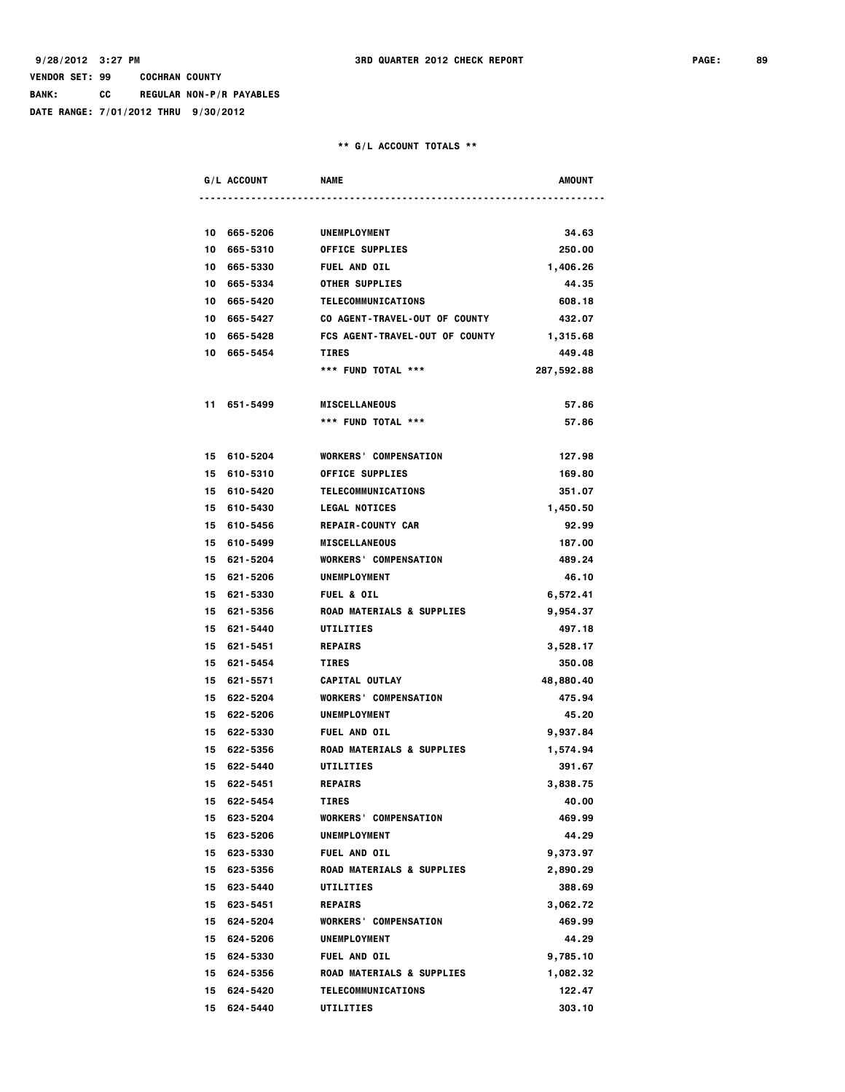**BANK: CC REGULAR NON-P/R PAYABLES**

**DATE RANGE: 7/01/2012 THRU 9/30/2012**

|    | G/L ACCOUNT | <b>NAME</b>                          | AMOUNT     |
|----|-------------|--------------------------------------|------------|
|    |             |                                      |            |
| 10 | 665-5206    | UNEMPLOYMENT                         | 34.63      |
| 10 | 665-5310    | <b>OFFICE SUPPLIES</b>               | 250.00     |
|    | 10 665-5330 | FUEL AND OIL                         | 1,406.26   |
|    | 10 665-5334 | <b>OTHER SUPPLIES</b>                | 44.35      |
|    | 10 665-5420 | TELECOMMUNICATIONS                   | 608.18     |
|    | 10 665-5427 | CO AGENT-TRAVEL-OUT OF COUNTY        | 432.07     |
|    | 10 665-5428 | FCS AGENT-TRAVEL-OUT OF COUNTY       | 1,315.68   |
|    | 10 665-5454 | <b>TIRES</b>                         | 449.48     |
|    |             | *** FUND TOTAL ***                   | 287,592.88 |
| 11 | 651-5499    | <b>MISCELLANEOUS</b>                 | 57.86      |
|    |             | *** FUND TOTAL ***                   | 57.86      |
|    | 15 610-5204 | <b>WORKERS' COMPENSATION</b>         | 127.98     |
|    | 15 610-5310 | <b>OFFICE SUPPLIES</b>               | 169.80     |
|    | 15 610-5420 | TELECOMMUNICATIONS                   | 351.07     |
|    | 15 610-5430 | <b>LEGAL NOTICES</b>                 | 1,450.50   |
|    | 15 610-5456 | <b>REPAIR-COUNTY CAR</b>             | 92.99      |
|    | 15 610-5499 | <b>MISCELLANEOUS</b>                 | 187.00     |
|    | 15 621-5204 | <b>WORKERS' COMPENSATION</b>         | 489.24     |
|    | 15 621-5206 | <b>UNEMPLOYMENT</b>                  | 46.10      |
|    | 15 621-5330 | <b>FUEL &amp; OIL</b>                | 6,572.41   |
|    | 15 621-5356 | ROAD MATERIALS & SUPPLIES            | 9,954.37   |
|    | 15 621-5440 | UTILITIES                            | 497.18     |
|    | 15 621-5451 | <b>REPAIRS</b>                       | 3,528.17   |
|    | 15 621-5454 | <b>TIRES</b>                         | 350.08     |
|    | 15 621-5571 | CAPITAL OUTLAY                       | 48,880.40  |
|    | 15 622-5204 | <b>WORKERS' COMPENSATION</b>         | 475.94     |
|    | 15 622-5206 | UNEMPLOYMENT                         | 45.20      |
|    | 15 622-5330 | FUEL AND OIL                         | 9,937.84   |
|    | 15 622-5356 | <b>ROAD MATERIALS &amp; SUPPLIES</b> | 1,574.94   |
| 15 | 622-5440    | UTILITIES                            | 391.67     |
|    | 15 622-5451 | <b>REPAIRS</b>                       | 3,838.75   |
|    | 15 622-5454 | <b>TIRES</b>                         | 40.00      |
|    | 15 623-5204 | <b>WORKERS' COMPENSATION</b>         | 469.99     |
|    | 15 623-5206 | <b>UNEMPLOYMENT</b>                  | 44.29      |
|    | 15 623-5330 | FUEL AND OIL                         | 9,373.97   |
|    | 15 623-5356 | ROAD MATERIALS & SUPPLIES            | 2,890.29   |
|    | 15 623-5440 | UTILITIES                            | 388.69     |
|    | 15 623-5451 | <b>REPAIRS</b>                       | 3,062.72   |
|    | 15 624-5204 | <b>WORKERS' COMPENSATION</b>         | 469.99     |
|    | 15 624-5206 | UNEMPLOYMENT                         | 44.29      |
|    | 15 624-5330 | FUEL AND OIL                         | 9,785.10   |
|    | 15 624-5356 | ROAD MATERIALS & SUPPLIES            | 1,082.32   |
|    | 15 624-5420 | <b>TELECOMMUNICATIONS</b>            | 122.47     |
|    | 15 624-5440 | UTILITIES                            | 303.10     |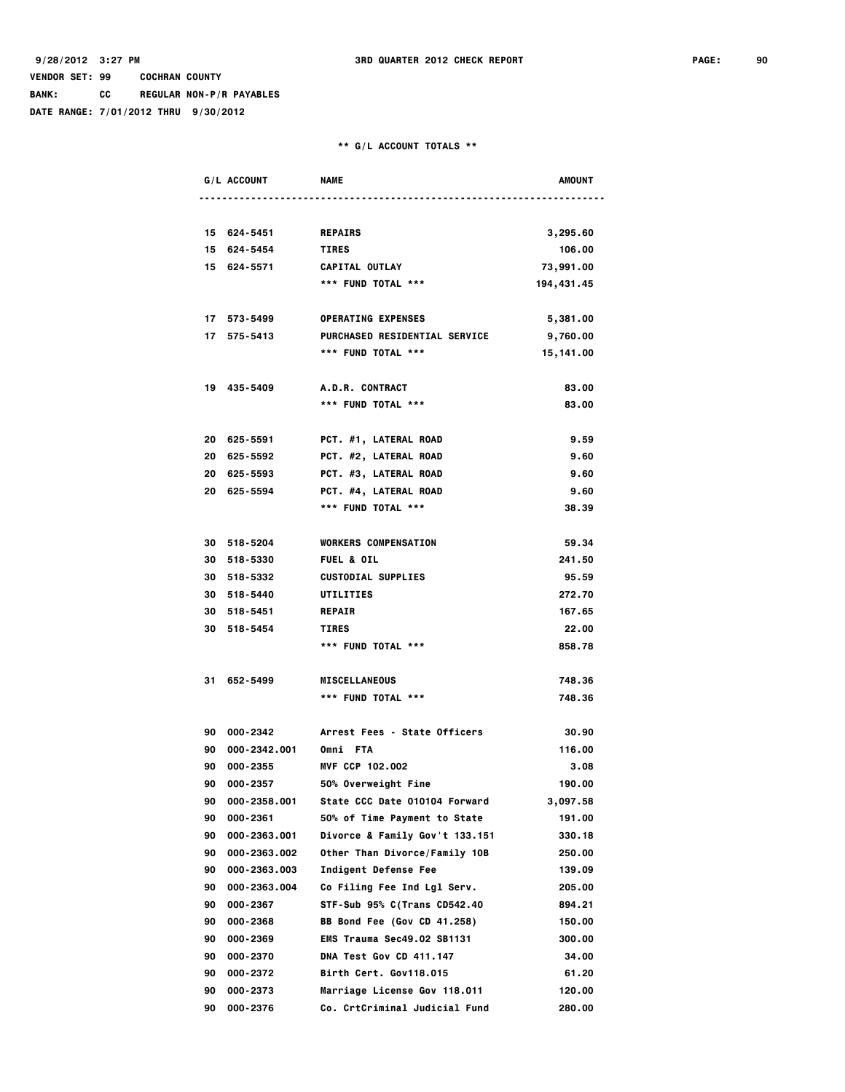**BANK: CC REGULAR NON-P/R PAYABLES**

**DATE RANGE: 7/01/2012 THRU 9/30/2012**

|    | G/L ACCOUNT     | <b>NAME</b>                          | AMOUNT      |
|----|-----------------|--------------------------------------|-------------|
|    |                 |                                      |             |
|    | 15 624-5451     | <b>REPAIRS</b>                       | 3,295.60    |
|    | 15 624-5454     | <b>TIRES</b>                         | 106.00      |
|    | 15 624-5571     | CAPITAL OUTLAY                       | 73,991.00   |
|    |                 | *** FUND TOTAL ***                   | 194, 431.45 |
|    | 17 573-5499     | <b>OPERATING EXPENSES</b>            | 5,381.00    |
|    | 17 575-5413     | <b>PURCHASED RESIDENTIAL SERVICE</b> | 9,760.00    |
|    |                 | *** FUND TOTAL ***                   | 15,141.00   |
|    | 19 435-5409     | A.D.R. CONTRACT                      | 83.00       |
|    |                 | *** FUND TOTAL ***                   | 83.00       |
|    |                 |                                      |             |
|    | 20 625-5591     | PCT. #1, LATERAL ROAD                | 9.59        |
|    | 20 625-5592     | PCT. #2, LATERAL ROAD                | 9.60        |
|    | 20 625-5593     | PCT. #3, LATERAL ROAD                | 9.60        |
|    | 20 625-5594     | PCT. #4, LATERAL ROAD                | 9.60        |
|    |                 | *** FUND TOTAL ***                   | 38.39       |
|    |                 |                                      |             |
|    | 30 518-5204     | <b>WORKERS COMPENSATION</b>          | 59.34       |
|    | 30 518-5330     | <b>FUEL &amp; OIL</b>                | 241.50      |
|    | 30 518-5332     | <b>CUSTODIAL SUPPLIES</b>            | 95.59       |
|    | 30 518-5440     | UTILITIES                            | 272.70      |
|    | 30 518-5451     | <b>REPAIR</b>                        | 167.65      |
|    | 30 518-5454     | <b>TIRES</b>                         | 22.00       |
|    |                 | *** FUND TOTAL ***                   | 858.78      |
|    |                 |                                      |             |
|    | 31 652-5499     | <b>MISCELLANEOUS</b>                 | 748.36      |
|    |                 | *** FUND TOTAL ***                   | 748.36      |
|    |                 |                                      |             |
|    | 90 000-2342     | Arrest Fees - State Officers         | 30.90       |
|    | 90 000-2342.001 | Omni FTA                             | 116.00      |
|    | 90 000-2355     | MVF CCP 102.002                      | 3.08        |
| 90 | 000-2357        | 50% Overweight Fine                  | 190.00      |
| 90 | 000-2358.001    | State CCC Date 010104 Forward        | 3,097.58    |
| 90 | 000-2361        | 50% of Time Payment to State         | 191.00      |
| 90 | 000-2363.001    | Divorce & Family Gov't 133.151       | 330.18      |
| 90 | 000-2363.002    | Other Than Divorce/Family 10B        | 250.00      |
| 90 | 000-2363.003    | Indigent Defense Fee                 | 139.09      |
| 90 | 000-2363.004    | Co Filing Fee Ind Lgl Serv.          | 205.00      |
| 90 | 000-2367        | STF-Sub 95% C(Trans CD542.40         | 894.21      |
| 90 | 000-2368        | BB Bond Fee (Gov CD 41.258)          | 150.00      |
| 90 | 000-2369        | EMS Trauma Sec49.02 SB1131           | 300.00      |
| 90 | 000-2370        | DNA Test Gov CD 411.147              | 34.00       |
| 90 | 000-2372        | Birth Cert. Gov118.015               | 61.20       |
| 90 | 000-2373        | Marriage License Gov 118.011         | 120.00      |
|    | 90 000-2376     | Co. CrtCriminal Judicial Fund        | 280.00      |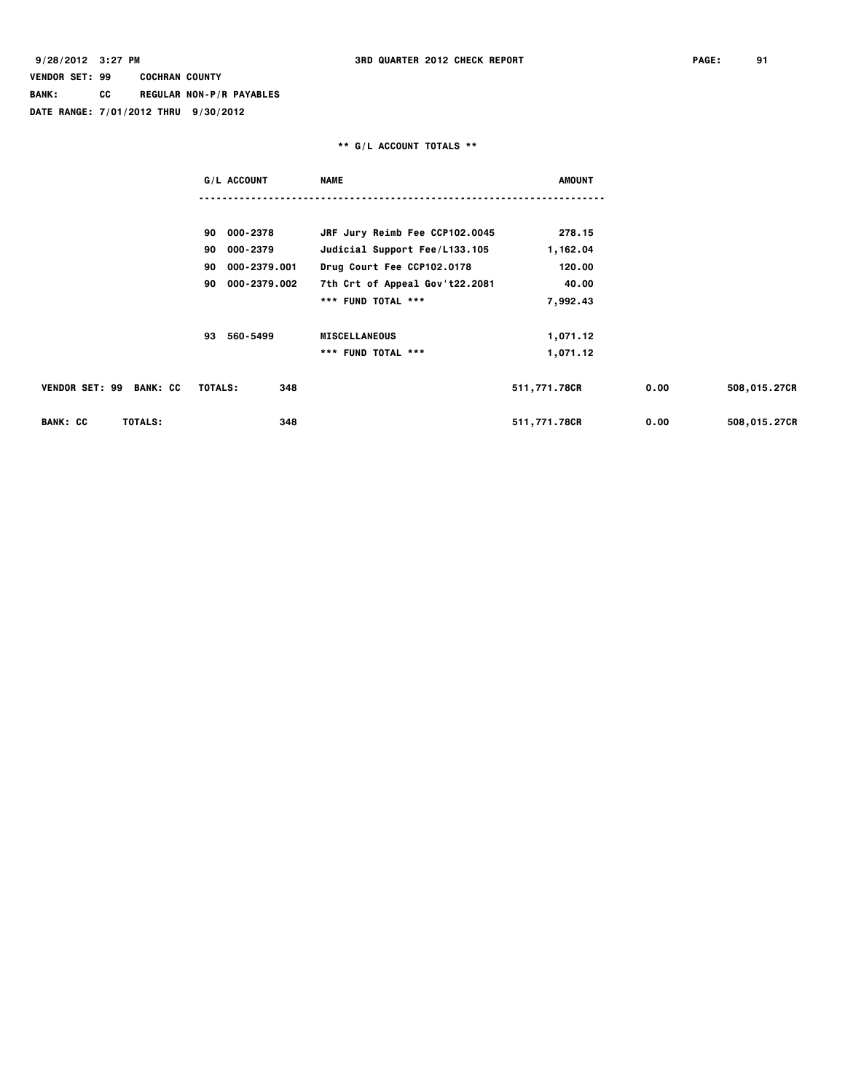# **VENDOR SET: 99 COCHRAN COUNTY BANK: CC REGULAR NON-P/R PAYABLES**

**DATE RANGE: 7/01/2012 THRU 9/30/2012**

|                            | G/L ACCOUNT        | <b>NAME</b>                    | <b>AMOUNT</b> |      |              |
|----------------------------|--------------------|--------------------------------|---------------|------|--------------|
|                            |                    |                                |               |      |              |
|                            | 90 000-2378        | JRF Jury Reimb Fee CCP102.0045 | 278.15        |      |              |
|                            | 90 000-2379        | Judicial Support Fee/L133.105  | 1,162.04      |      |              |
|                            | 000-2379.001<br>90 | Drug Court Fee CCP102.0178     | 120.00        |      |              |
|                            | 000-2379.002<br>90 | 7th Crt of Appeal Gov't22.2081 | 40.00         |      |              |
|                            |                    | *** FUND TOTAL ***             | 7,992.43      |      |              |
|                            | 560-5499<br>93     | <b>MISCELLANEOUS</b>           | 1,071.12      |      |              |
|                            |                    | *** FUND TOTAL ***             | 1,071.12      |      |              |
| VENDOR SET: 99 BANK: CC    | TOTALS:<br>348     |                                | 511,771.78CR  | 0.00 | 508,015.27CR |
| <b>BANK: CC</b><br>TOTALS: | 348                |                                | 511,771.78CR  | 0.00 | 508,015.27CR |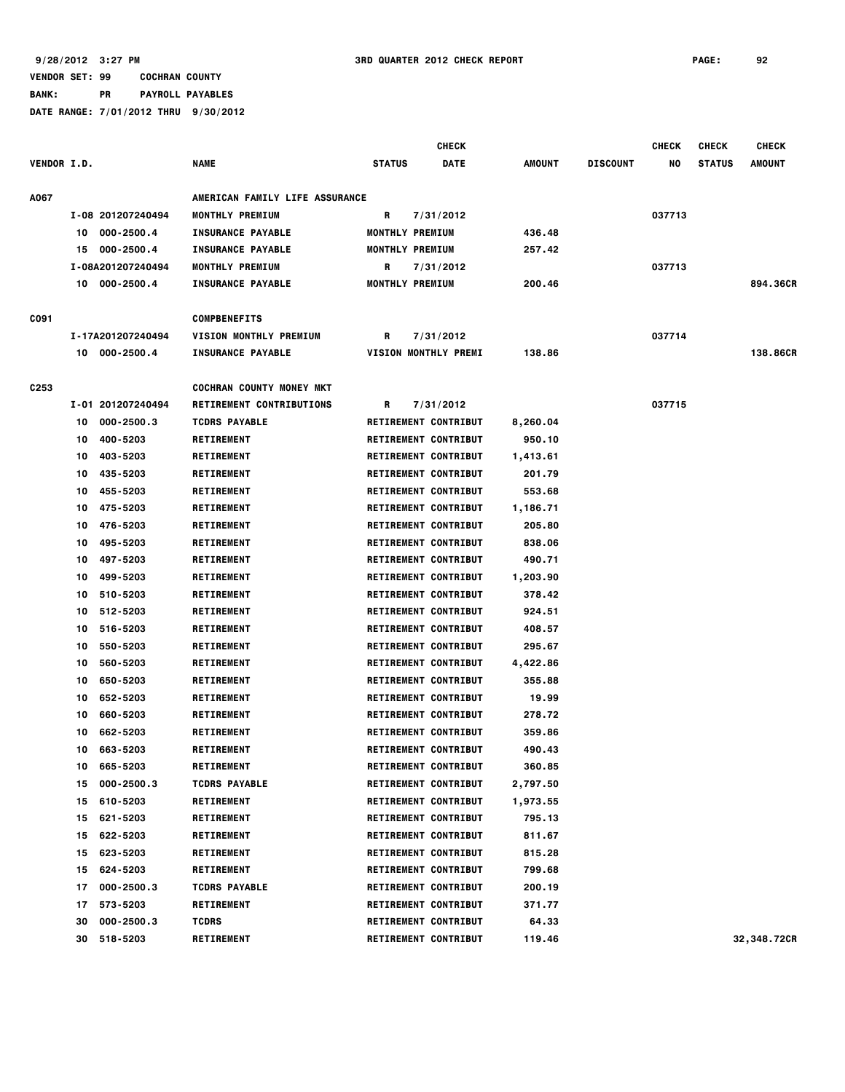|                    |    |                   |                                 |               | <b>CHECK</b>                |               |                 | <b>CHECK</b> | <b>CHECK</b>  | <b>CHECK</b>  |
|--------------------|----|-------------------|---------------------------------|---------------|-----------------------------|---------------|-----------------|--------------|---------------|---------------|
| <b>VENDOR I.D.</b> |    |                   | <b>NAME</b>                     | <b>STATUS</b> | <b>DATE</b>                 | <b>AMOUNT</b> | <b>DISCOUNT</b> | NO           | <b>STATUS</b> | <b>AMOUNT</b> |
| A067               |    |                   | AMERICAN FAMILY LIFE ASSURANCE  |               |                             |               |                 |              |               |               |
|                    |    | I-08 201207240494 | <b>MONTHLY PREMIUM</b>          | R             | 7/31/2012                   |               |                 | 037713       |               |               |
|                    | 10 | 000-2500.4        | <b>INSURANCE PAYABLE</b>        |               | <b>MONTHLY PREMIUM</b>      | 436.48        |                 |              |               |               |
|                    | 15 | 000-2500.4        | <b>INSURANCE PAYABLE</b>        |               | MONTHLY PREMIUM             | 257.42        |                 |              |               |               |
|                    |    | I-08A201207240494 | MONTHLY PREMIUM                 | R             | 7/31/2012                   |               |                 | 037713       |               |               |
|                    | 10 | 000-2500.4        | <b>INSURANCE PAYABLE</b>        |               | MONTHLY PREMIUM             | 200.46        |                 |              |               | 894.36CR      |
| C091               |    |                   | <b>COMPBENEFITS</b>             |               |                             |               |                 |              |               |               |
|                    |    | I-17A201207240494 | <b>VISION MONTHLY PREMIUM</b>   | R             | 7/31/2012                   |               |                 | 037714       |               |               |
|                    |    | 10 000-2500.4     | <b>INSURANCE PAYABLE</b>        |               | <b>VISION MONTHLY PREMI</b> | 138.86        |                 |              |               | 138.86CR      |
| C253               |    |                   | <b>COCHRAN COUNTY MONEY MKT</b> |               |                             |               |                 |              |               |               |
|                    |    | I-01 201207240494 | RETIREMENT CONTRIBUTIONS        | R             | 7/31/2012                   |               |                 | 037715       |               |               |
|                    | 10 | $000 - 2500.3$    | <b>TCDRS PAYABLE</b>            |               | <b>RETIREMENT CONTRIBUT</b> | 8,260.04      |                 |              |               |               |
|                    | 10 | 400-5203          | <b>RETIREMENT</b>               |               | <b>RETIREMENT CONTRIBUT</b> | 950.10        |                 |              |               |               |
|                    | 10 | 403-5203          | <b>RETIREMENT</b>               |               | <b>RETIREMENT CONTRIBUT</b> | 1,413.61      |                 |              |               |               |
|                    | 10 | 435-5203          | <b>RETIREMENT</b>               |               | <b>RETIREMENT CONTRIBUT</b> | 201.79        |                 |              |               |               |
|                    | 10 | 455-5203          | <b>RETIREMENT</b>               |               | <b>RETIREMENT CONTRIBUT</b> | 553.68        |                 |              |               |               |
|                    | 10 | 475-5203          | <b>RETIREMENT</b>               |               | <b>RETIREMENT CONTRIBUT</b> | 1,186.71      |                 |              |               |               |
|                    | 10 | 476-5203          | <b>RETIREMENT</b>               |               | <b>RETIREMENT CONTRIBUT</b> | 205.80        |                 |              |               |               |
|                    | 10 | 495-5203          | <b>RETIREMENT</b>               |               | <b>RETIREMENT CONTRIBUT</b> | 838.06        |                 |              |               |               |
|                    | 10 | 497-5203          | <b>RETIREMENT</b>               |               | <b>RETIREMENT CONTRIBUT</b> | 490.71        |                 |              |               |               |
|                    | 10 | 499-5203          | <b>RETIREMENT</b>               |               | <b>RETIREMENT CONTRIBUT</b> | 1,203.90      |                 |              |               |               |
|                    | 10 | 510-5203          | <b>RETIREMENT</b>               |               | <b>RETIREMENT CONTRIBUT</b> | 378.42        |                 |              |               |               |
|                    | 10 | 512-5203          | <b>RETIREMENT</b>               |               | <b>RETIREMENT CONTRIBUT</b> | 924.51        |                 |              |               |               |
|                    | 10 | 516-5203          | <b>RETIREMENT</b>               |               | <b>RETIREMENT CONTRIBUT</b> | 408.57        |                 |              |               |               |
|                    | 10 | 550-5203          | <b>RETIREMENT</b>               |               | <b>RETIREMENT CONTRIBUT</b> | 295.67        |                 |              |               |               |
|                    | 10 | 560-5203          | <b>RETIREMENT</b>               |               | <b>RETIREMENT CONTRIBUT</b> | 4,422.86      |                 |              |               |               |
|                    | 10 | 650-5203          | <b>RETIREMENT</b>               |               | <b>RETIREMENT CONTRIBUT</b> | 355.88        |                 |              |               |               |
|                    | 10 | 652-5203          | <b>RETIREMENT</b>               |               | <b>RETIREMENT CONTRIBUT</b> | 19.99         |                 |              |               |               |
|                    | 10 | 660-5203          | <b>RETIREMENT</b>               |               | <b>RETIREMENT CONTRIBUT</b> | 278.72        |                 |              |               |               |
|                    | 10 | 662-5203          | <b>RETIREMENT</b>               |               | <b>RETIREMENT CONTRIBUT</b> | 359.86        |                 |              |               |               |
|                    | 10 | 663-5203          | <b>RETIREMENT</b>               |               | <b>RETIREMENT CONTRIBUT</b> | 490.43        |                 |              |               |               |
|                    | 10 | 665-5203          | <b>RETIREMENT</b>               |               | <b>RETIREMENT CONTRIBUT</b> | 360.85        |                 |              |               |               |
|                    | 15 | 000-2500.3        | <b>TCDRS PAYABLE</b>            |               | <b>RETIREMENT CONTRIBUT</b> | 2,797.50      |                 |              |               |               |
|                    | 15 | 610-5203          | <b>RETIREMENT</b>               |               | <b>RETIREMENT CONTRIBUT</b> | 1,973.55      |                 |              |               |               |
|                    | 15 | 621-5203          | <b>RETIREMENT</b>               |               | <b>RETIREMENT CONTRIBUT</b> | 795.13        |                 |              |               |               |
|                    | 15 | 622-5203          | <b>RETIREMENT</b>               |               | <b>RETIREMENT CONTRIBUT</b> | 811.67        |                 |              |               |               |
|                    | 15 | 623-5203          | <b>RETIREMENT</b>               |               | <b>RETIREMENT CONTRIBUT</b> | 815.28        |                 |              |               |               |
|                    | 15 | 624-5203          | <b>RETIREMENT</b>               |               | <b>RETIREMENT CONTRIBUT</b> | 799.68        |                 |              |               |               |
|                    | 17 | 000-2500.3        | <b>TCDRS PAYABLE</b>            |               | <b>RETIREMENT CONTRIBUT</b> | 200.19        |                 |              |               |               |
|                    | 17 | 573-5203          | <b>RETIREMENT</b>               |               | <b>RETIREMENT CONTRIBUT</b> | 371.77        |                 |              |               |               |
|                    | 30 | 000-2500.3        | <b>TCDRS</b>                    |               | <b>RETIREMENT CONTRIBUT</b> | 64.33         |                 |              |               |               |
|                    | 30 | 518-5203          | <b>RETIREMENT</b>               |               | <b>RETIREMENT CONTRIBUT</b> | 119.46        |                 |              |               | 32,348.72CR   |
|                    |    |                   |                                 |               |                             |               |                 |              |               |               |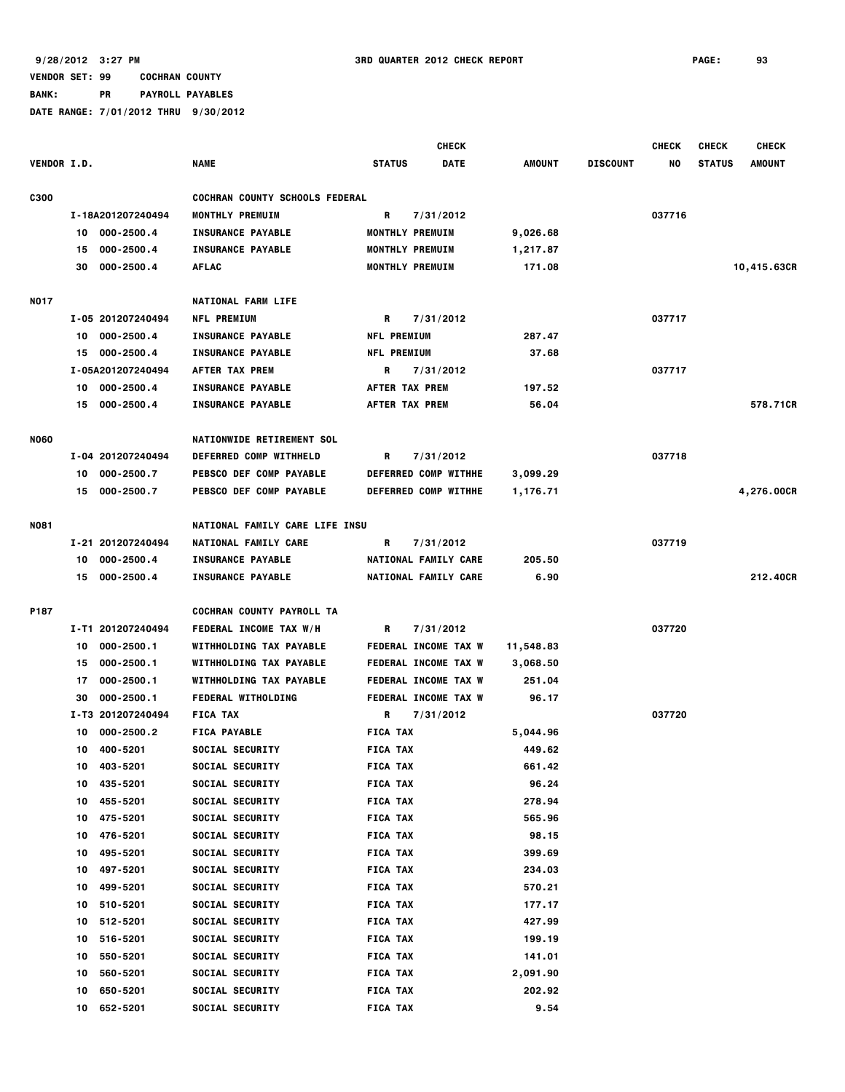**BANK: PR PAYROLL PAYABLES**

|             |    |                   |                                       |                       | <b>CHECK</b>                |               |                 | <b>CHECK</b> | <b>CHECK</b>  | <b>CHECK</b>  |
|-------------|----|-------------------|---------------------------------------|-----------------------|-----------------------------|---------------|-----------------|--------------|---------------|---------------|
| VENDOR I.D. |    |                   | <b>NAME</b>                           | <b>STATUS</b>         | <b>DATE</b>                 | <b>AMOUNT</b> | <b>DISCOUNT</b> | NO           | <b>STATUS</b> | <b>AMOUNT</b> |
| <b>C300</b> |    |                   | <b>COCHRAN COUNTY SCHOOLS FEDERAL</b> |                       |                             |               |                 |              |               |               |
|             |    | I-18A201207240494 | MONTHLY PREMUIM                       | R                     | 7/31/2012                   |               |                 | 037716       |               |               |
|             | 10 | 000-2500.4        | <b>INSURANCE PAYABLE</b>              | MONTHLY PREMUIM       |                             | 9,026.68      |                 |              |               |               |
|             | 15 | $000 - 2500.4$    | <b>INSURANCE PAYABLE</b>              | MONTHLY PREMUIM       |                             | 1,217.87      |                 |              |               |               |
|             | 30 | 000-2500.4        | <b>AFLAC</b>                          | MONTHLY PREMUIM       |                             | 171.08        |                 |              |               | 10,415.63CR   |
| <b>NO17</b> |    |                   | <b>NATIONAL FARM LIFE</b>             |                       |                             |               |                 |              |               |               |
|             |    | I-05 201207240494 | <b>NFL PREMIUM</b>                    | R                     | 7/31/2012                   |               |                 | 037717       |               |               |
|             | 10 | 000-2500.4        | <b>INSURANCE PAYABLE</b>              | <b>NFL PREMIUM</b>    |                             | 287.47        |                 |              |               |               |
|             | 15 | 000-2500.4        | <b>INSURANCE PAYABLE</b>              | <b>NFL PREMIUM</b>    |                             | 37.68         |                 |              |               |               |
|             |    | I-05A201207240494 | AFTER TAX PREM                        | R                     | 7/31/2012                   |               |                 | 037717       |               |               |
|             | 10 | 000-2500.4        | <b>INSURANCE PAYABLE</b>              | <b>AFTER TAX PREM</b> |                             | 197.52        |                 |              |               |               |
|             | 15 | 000-2500.4        | <b>INSURANCE PAYABLE</b>              | AFTER TAX PREM        |                             | 56.04         |                 |              |               | 578.71CR      |
| <b>NO60</b> |    |                   | <b>NATIONWIDE RETIREMENT SOL</b>      |                       |                             |               |                 |              |               |               |
|             |    | I-04 201207240494 | DEFERRED COMP WITHHELD                | R                     | 7/31/2012                   |               |                 | 037718       |               |               |
|             | 10 | 000-2500.7        | PEBSCO DEF COMP PAYABLE               |                       | DEFERRED COMP WITHHE        | 3,099.29      |                 |              |               |               |
|             | 15 | 000-2500.7        | PEBSCO DEF COMP PAYABLE               |                       | DEFERRED COMP WITHHE        | 1,176.71      |                 |              |               | 4,276.00CR    |
| <b>NO81</b> |    |                   | NATIONAL FAMILY CARE LIFE INSU        |                       |                             |               |                 |              |               |               |
|             |    | I-21 201207240494 | NATIONAL FAMILY CARE                  | R                     | 7/31/2012                   |               |                 | 037719       |               |               |
|             | 10 | 000-2500.4        | <b>INSURANCE PAYABLE</b>              |                       | NATIONAL FAMILY CARE        | 205.50        |                 |              |               |               |
|             |    | 15 000-2500.4     | <b>INSURANCE PAYABLE</b>              |                       | NATIONAL FAMILY CARE        | 6.90          |                 |              |               | 212,40CR      |
| P187        |    |                   | COCHRAN COUNTY PAYROLL TA             |                       |                             |               |                 |              |               |               |
|             |    | I-T1 201207240494 | FEDERAL INCOME TAX W/H                | R                     | 7/31/2012                   |               |                 | 037720       |               |               |
|             | 10 | $000 - 2500.1$    | WITHHOLDING TAX PAYABLE               |                       | <b>FEDERAL INCOME TAX W</b> | 11,548.83     |                 |              |               |               |
|             | 15 | $000 - 2500.1$    | WITHHOLDING TAX PAYABLE               |                       | FEDERAL INCOME TAX W        | 3,068.50      |                 |              |               |               |
|             | 17 | 000-2500.1        | WITHHOLDING TAX PAYABLE               |                       | FEDERAL INCOME TAX W        | 251.04        |                 |              |               |               |
|             | 30 | $000 - 2500.1$    | <b>FEDERAL WITHOLDING</b>             |                       | <b>FEDERAL INCOME TAX W</b> | 96.17         |                 |              |               |               |
|             |    | I-T3 201207240494 | <b>FICA TAX</b>                       | R                     | 7/31/2012                   |               |                 | 037720       |               |               |
|             | 10 | 000-2500.2        | <b>FICA PAYABLE</b>                   | <b>FICA TAX</b>       |                             | 5,044.96      |                 |              |               |               |
|             | 10 | 400-5201          | SOCIAL SECURITY                       | <b>FICA TAX</b>       |                             | 449.62        |                 |              |               |               |
|             | 10 | 403-5201          | SOCIAL SECURITY                       | <b>FICA TAX</b>       |                             | 661.42        |                 |              |               |               |
|             | 10 | 435-5201          | SOCIAL SECURITY                       | <b>FICA TAX</b>       |                             | 96.24         |                 |              |               |               |
|             | 10 | 455-5201          | SOCIAL SECURITY                       | <b>FICA TAX</b>       |                             | 278.94        |                 |              |               |               |
|             | 10 | 475-5201          | SOCIAL SECURITY                       | <b>FICA TAX</b>       |                             | 565.96        |                 |              |               |               |
|             | 10 | 476-5201          | SOCIAL SECURITY                       | <b>FICA TAX</b>       |                             | 98.15         |                 |              |               |               |
|             | 10 | 495-5201          | SOCIAL SECURITY                       | <b>FICA TAX</b>       |                             | 399.69        |                 |              |               |               |
|             | 10 | 497-5201          | SOCIAL SECURITY                       | <b>FICA TAX</b>       |                             | 234.03        |                 |              |               |               |
|             | 10 | 499-5201          | SOCIAL SECURITY                       | <b>FICA TAX</b>       |                             | 570.21        |                 |              |               |               |
|             | 10 | 510-5201          | SOCIAL SECURITY                       | <b>FICA TAX</b>       |                             | 177.17        |                 |              |               |               |
|             | 10 | 512-5201          | SOCIAL SECURITY                       | <b>FICA TAX</b>       |                             | 427.99        |                 |              |               |               |
|             | 10 | 516-5201          | SOCIAL SECURITY                       | <b>FICA TAX</b>       |                             | 199.19        |                 |              |               |               |
|             | 10 | 550-5201          | SOCIAL SECURITY                       | <b>FICA TAX</b>       |                             | 141.01        |                 |              |               |               |
|             | 10 | 560-5201          | SOCIAL SECURITY                       | <b>FICA TAX</b>       |                             | 2,091.90      |                 |              |               |               |
|             | 10 | 650-5201          | SOCIAL SECURITY                       | <b>FICA TAX</b>       |                             | 202.92        |                 |              |               |               |
|             | 10 | 652-5201          | SOCIAL SECURITY                       | <b>FICA TAX</b>       |                             | 9.54          |                 |              |               |               |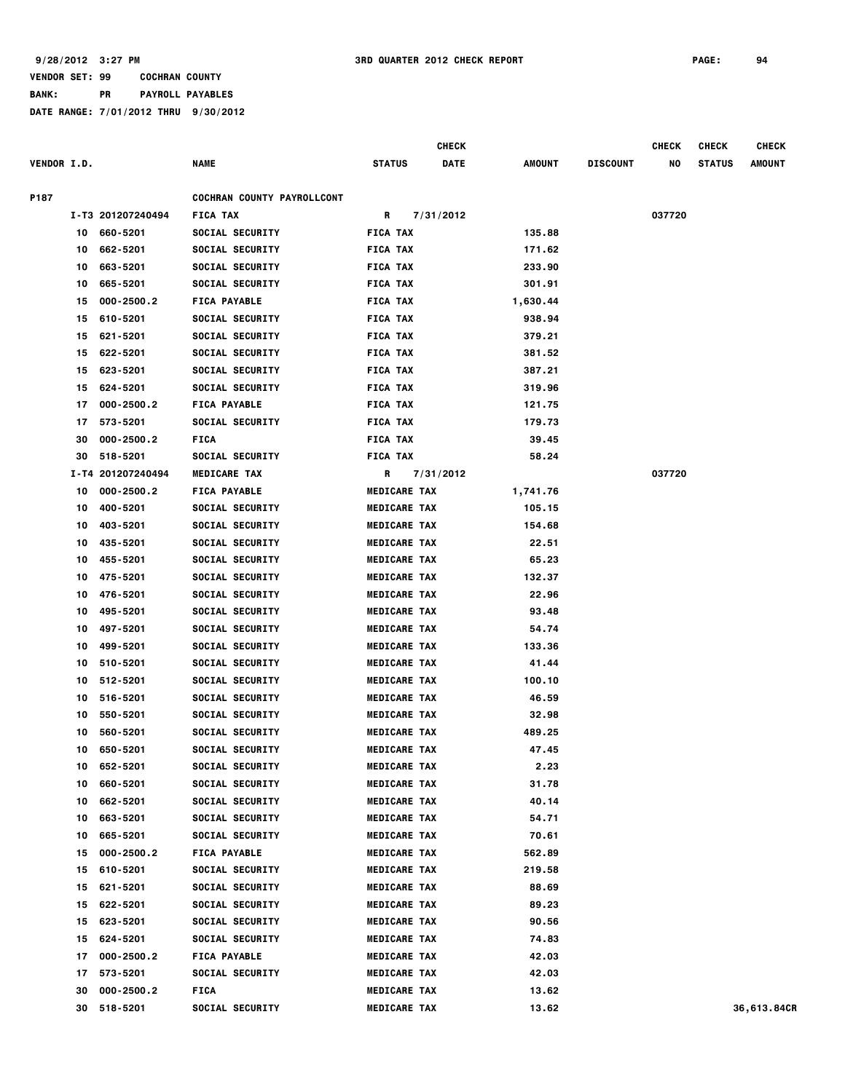**BANK: PR PAYROLL PAYABLES**

|                    |    |                   |                                   |                     | <b>CHECK</b> |          |                 | <b>CHECK</b> | <b>CHECK</b>  | <b>CHECK</b> |
|--------------------|----|-------------------|-----------------------------------|---------------------|--------------|----------|-----------------|--------------|---------------|--------------|
| <b>VENDOR I.D.</b> |    |                   | NAME                              | <b>STATUS</b>       | DATE         | AMOUNT   | <b>DISCOUNT</b> | NO           | <b>STATUS</b> | AMOUNT       |
| P187               |    |                   | <b>COCHRAN COUNTY PAYROLLCONT</b> |                     |              |          |                 |              |               |              |
|                    |    | I-T3 201207240494 | <b>FICA TAX</b>                   | R                   | 7/31/2012    |          |                 | 037720       |               |              |
|                    |    | 10 660-5201       | <b>SOCIAL SECURITY</b>            | <b>FICA TAX</b>     |              | 135.88   |                 |              |               |              |
|                    | 10 | 662-5201          | <b>SOCIAL SECURITY</b>            | <b>FICA TAX</b>     |              | 171.62   |                 |              |               |              |
|                    | 10 | 663-5201          | SOCIAL SECURITY                   | <b>FICA TAX</b>     |              | 233.90   |                 |              |               |              |
|                    | 10 | 665-5201          | SOCIAL SECURITY                   | <b>FICA TAX</b>     |              | 301.91   |                 |              |               |              |
|                    | 15 | 000-2500.2        | <b>FICA PAYABLE</b>               | <b>FICA TAX</b>     |              | 1,630.44 |                 |              |               |              |
|                    | 15 | 610-5201          | SOCIAL SECURITY                   | <b>FICA TAX</b>     |              | 938.94   |                 |              |               |              |
|                    | 15 | 621-5201          | SOCIAL SECURITY                   | <b>FICA TAX</b>     |              | 379.21   |                 |              |               |              |
|                    | 15 | 622-5201          | SOCIAL SECURITY                   | <b>FICA TAX</b>     |              | 381.52   |                 |              |               |              |
|                    | 15 | 623-5201          | SOCIAL SECURITY                   | <b>FICA TAX</b>     |              | 387.21   |                 |              |               |              |
|                    | 15 | 624-5201          | SOCIAL SECURITY                   | <b>FICA TAX</b>     |              | 319.96   |                 |              |               |              |
|                    | 17 | 000-2500.2        | <b>FICA PAYABLE</b>               | <b>FICA TAX</b>     |              | 121.75   |                 |              |               |              |
|                    | 17 | 573-5201          | SOCIAL SECURITY                   | <b>FICA TAX</b>     |              | 179.73   |                 |              |               |              |
|                    | 30 | 000-2500.2        | <b>FICA</b>                       | <b>FICA TAX</b>     |              | 39.45    |                 |              |               |              |
|                    | 30 | 518-5201          | SOCIAL SECURITY                   | <b>FICA TAX</b>     |              | 58.24    |                 |              |               |              |
|                    |    | I-T4 201207240494 | <b>MEDICARE TAX</b>               | R                   | 7/31/2012    |          |                 | 037720       |               |              |
|                    | 10 | 000-2500.2        | <b>FICA PAYABLE</b>               | <b>MEDICARE TAX</b> |              | 1,741.76 |                 |              |               |              |
|                    | 10 | 400-5201          | SOCIAL SECURITY                   | <b>MEDICARE TAX</b> |              | 105.15   |                 |              |               |              |
|                    | 10 | 403-5201          | SOCIAL SECURITY                   | <b>MEDICARE TAX</b> |              | 154.68   |                 |              |               |              |
|                    | 10 | 435-5201          | SOCIAL SECURITY                   | <b>MEDICARE TAX</b> |              | 22.51    |                 |              |               |              |
|                    | 10 | 455-5201          | SOCIAL SECURITY                   | <b>MEDICARE TAX</b> |              | 65.23    |                 |              |               |              |
|                    | 10 | 475-5201          | SOCIAL SECURITY                   | <b>MEDICARE TAX</b> |              | 132.37   |                 |              |               |              |
|                    | 10 | 476-5201          | SOCIAL SECURITY                   | <b>MEDICARE TAX</b> |              | 22.96    |                 |              |               |              |
|                    | 10 | 495-5201          | <b>SOCIAL SECURITY</b>            | <b>MEDICARE TAX</b> |              | 93.48    |                 |              |               |              |
|                    | 10 | 497-5201          | SOCIAL SECURITY                   | <b>MEDICARE TAX</b> |              | 54.74    |                 |              |               |              |
|                    | 10 | 499-5201          | <b>SOCIAL SECURITY</b>            | <b>MEDICARE TAX</b> |              | 133.36   |                 |              |               |              |
|                    | 10 | 510-5201          | <b>SOCIAL SECURITY</b>            | <b>MEDICARE TAX</b> |              | 41.44    |                 |              |               |              |
|                    | 10 | 512-5201          | <b>SOCIAL SECURITY</b>            | <b>MEDICARE TAX</b> |              | 100.10   |                 |              |               |              |
|                    |    | 10 516-5201       | <b>SOCIAL SECURITY</b>            | <b>MEDICARE TAX</b> |              | 46.59    |                 |              |               |              |
|                    | 10 | 550-5201          | SOCIAL SECURITY                   | <b>MEDICARE TAX</b> |              | 32.98    |                 |              |               |              |
|                    | 10 | 560-5201          | SOCIAL SECURITY                   | <b>MEDICARE TAX</b> |              | 489.25   |                 |              |               |              |
|                    | 10 | 650-5201          | SOCIAL SECURITY                   | <b>MEDICARE TAX</b> |              | 47.45    |                 |              |               |              |
|                    | 10 | 652-5201          | <b>SOCIAL SECURITY</b>            | <b>MEDICARE TAX</b> |              | 2.23     |                 |              |               |              |
|                    | 10 | 660-5201          | SOCIAL SECURITY                   | <b>MEDICARE TAX</b> |              | 31.78    |                 |              |               |              |
|                    | 10 | 662-5201          | SOCIAL SECURITY                   | <b>MEDICARE TAX</b> |              | 40.14    |                 |              |               |              |
|                    | 10 | 663-5201          | SOCIAL SECURITY                   | <b>MEDICARE TAX</b> |              | 54.71    |                 |              |               |              |
|                    | 10 | 665-5201          | SOCIAL SECURITY                   | <b>MEDICARE TAX</b> |              | 70.61    |                 |              |               |              |
|                    | 15 | 000-2500.2        | <b>FICA PAYABLE</b>               | <b>MEDICARE TAX</b> |              | 562.89   |                 |              |               |              |
|                    | 15 | 610-5201          | SOCIAL SECURITY                   | <b>MEDICARE TAX</b> |              | 219.58   |                 |              |               |              |
|                    | 15 | 621-5201          | SOCIAL SECURITY                   | <b>MEDICARE TAX</b> |              | 88.69    |                 |              |               |              |
|                    | 15 | 622-5201          | SOCIAL SECURITY                   | <b>MEDICARE TAX</b> |              | 89.23    |                 |              |               |              |
|                    | 15 | 623-5201          | SOCIAL SECURITY                   | <b>MEDICARE TAX</b> |              | 90.56    |                 |              |               |              |
|                    | 15 | 624-5201          | SOCIAL SECURITY                   | <b>MEDICARE TAX</b> |              | 74.83    |                 |              |               |              |
|                    | 17 | 000-2500.2        | <b>FICA PAYABLE</b>               | <b>MEDICARE TAX</b> |              | 42.03    |                 |              |               |              |
|                    | 17 | 573-5201          | <b>SOCIAL SECURITY</b>            | <b>MEDICARE TAX</b> |              | 42.03    |                 |              |               |              |
|                    | 30 | 000-2500.2        | <b>FICA</b>                       | <b>MEDICARE TAX</b> |              | 13.62    |                 |              |               |              |
|                    | 30 | 518-5201          | SOCIAL SECURITY                   | <b>MEDICARE TAX</b> |              | 13.62    |                 |              |               | 36,613.84CR  |
|                    |    |                   |                                   |                     |              |          |                 |              |               |              |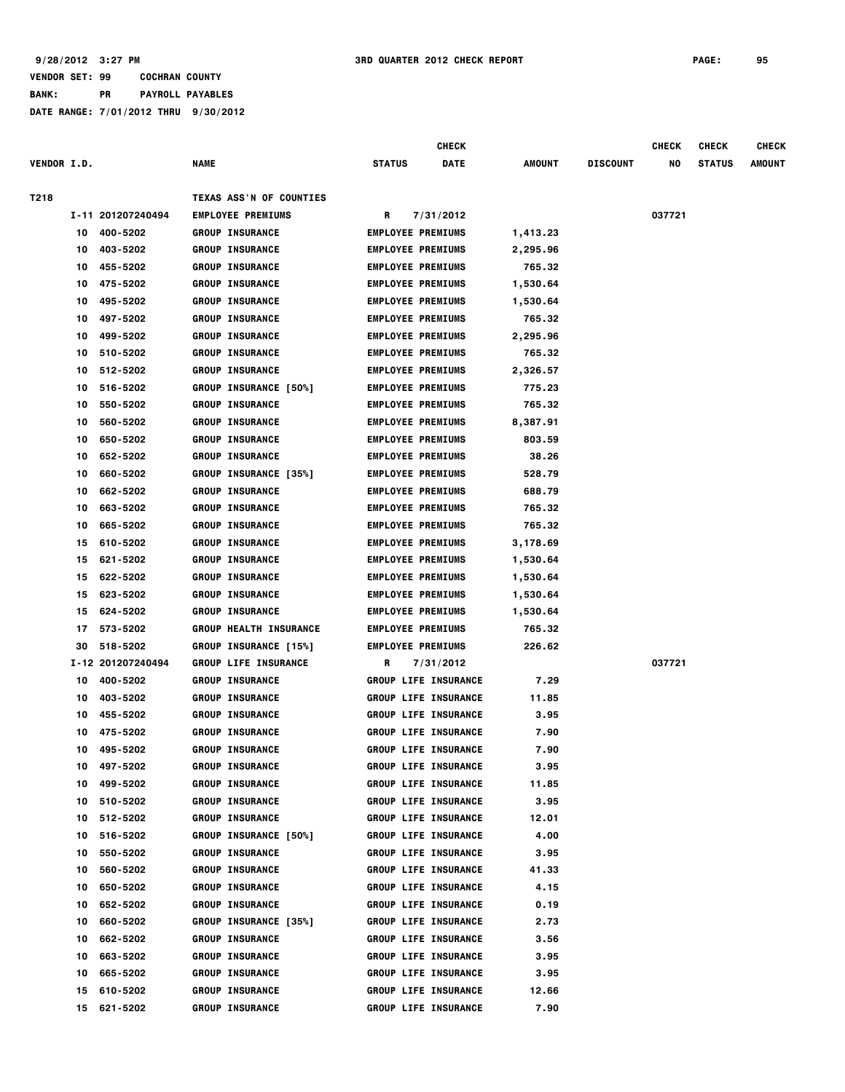|                    |    |                   |                               |                          | <b>CHECK</b>                |               |                 | <b>CHECK</b> | <b>CHECK</b>  | <b>CHECK</b>  |
|--------------------|----|-------------------|-------------------------------|--------------------------|-----------------------------|---------------|-----------------|--------------|---------------|---------------|
| <b>VENDOR I.D.</b> |    |                   | <b>NAME</b>                   | <b>STATUS</b>            | DATE                        | <b>AMOUNT</b> | <b>DISCOUNT</b> | NO           | <b>STATUS</b> | <b>AMOUNT</b> |
| T218               |    |                   | TEXAS ASS'N OF COUNTIES       |                          |                             |               |                 |              |               |               |
|                    |    | I-11 201207240494 | <b>EMPLOYEE PREMIUMS</b>      | R                        | 7/31/2012                   |               |                 | 037721       |               |               |
|                    | 10 | 400-5202          | <b>GROUP INSURANCE</b>        | <b>EMPLOYEE PREMIUMS</b> |                             | 1,413.23      |                 |              |               |               |
|                    | 10 | 403-5202          | <b>GROUP INSURANCE</b>        | <b>EMPLOYEE PREMIUMS</b> |                             | 2,295.96      |                 |              |               |               |
|                    | 10 | 455-5202          | <b>GROUP INSURANCE</b>        | <b>EMPLOYEE PREMIUMS</b> |                             | 765.32        |                 |              |               |               |
|                    | 10 | 475-5202          | <b>GROUP INSURANCE</b>        | <b>EMPLOYEE PREMIUMS</b> |                             | 1,530.64      |                 |              |               |               |
|                    | 10 | 495-5202          | <b>GROUP INSURANCE</b>        | <b>EMPLOYEE PREMIUMS</b> |                             | 1,530.64      |                 |              |               |               |
|                    | 10 | 497-5202          | <b>GROUP INSURANCE</b>        | <b>EMPLOYEE PREMIUMS</b> |                             | 765.32        |                 |              |               |               |
|                    | 10 | 499-5202          | <b>GROUP INSURANCE</b>        | <b>EMPLOYEE PREMIUMS</b> |                             | 2,295.96      |                 |              |               |               |
|                    | 10 | 510-5202          | <b>GROUP INSURANCE</b>        | <b>EMPLOYEE PREMIUMS</b> |                             | 765.32        |                 |              |               |               |
|                    | 10 | 512-5202          | <b>GROUP INSURANCE</b>        | <b>EMPLOYEE PREMIUMS</b> |                             | 2,326.57      |                 |              |               |               |
|                    | 10 | 516-5202          | <b>GROUP INSURANCE [50%]</b>  | <b>EMPLOYEE PREMIUMS</b> |                             | 775.23        |                 |              |               |               |
|                    | 10 | 550-5202          | <b>GROUP INSURANCE</b>        | <b>EMPLOYEE PREMIUMS</b> |                             | 765.32        |                 |              |               |               |
|                    | 10 | 560-5202          | <b>GROUP INSURANCE</b>        | <b>EMPLOYEE PREMIUMS</b> |                             | 8,387.91      |                 |              |               |               |
|                    | 10 | 650-5202          | <b>GROUP INSURANCE</b>        | <b>EMPLOYEE PREMIUMS</b> |                             | 803.59        |                 |              |               |               |
|                    | 10 | 652-5202          | <b>GROUP INSURANCE</b>        | <b>EMPLOYEE PREMIUMS</b> |                             | 38.26         |                 |              |               |               |
|                    | 10 | 660-5202          | <b>GROUP INSURANCE [35%]</b>  | <b>EMPLOYEE PREMIUMS</b> |                             | 528.79        |                 |              |               |               |
|                    | 10 | 662-5202          | <b>GROUP INSURANCE</b>        | <b>EMPLOYEE PREMIUMS</b> |                             | 688.79        |                 |              |               |               |
|                    | 10 | 663-5202          | <b>GROUP INSURANCE</b>        | <b>EMPLOYEE PREMIUMS</b> |                             | 765.32        |                 |              |               |               |
|                    | 10 | 665-5202          | <b>GROUP INSURANCE</b>        | <b>EMPLOYEE PREMIUMS</b> |                             | 765.32        |                 |              |               |               |
|                    | 15 | 610-5202          | <b>GROUP INSURANCE</b>        | <b>EMPLOYEE PREMIUMS</b> |                             | 3,178.69      |                 |              |               |               |
|                    | 15 | 621-5202          | <b>GROUP INSURANCE</b>        | <b>EMPLOYEE PREMIUMS</b> |                             | 1,530.64      |                 |              |               |               |
|                    | 15 | 622-5202          | <b>GROUP INSURANCE</b>        | <b>EMPLOYEE PREMIUMS</b> |                             | 1,530.64      |                 |              |               |               |
|                    | 15 | 623-5202          | <b>GROUP INSURANCE</b>        | <b>EMPLOYEE PREMIUMS</b> |                             | 1,530.64      |                 |              |               |               |
|                    | 15 | 624-5202          | <b>GROUP INSURANCE</b>        | <b>EMPLOYEE PREMIUMS</b> |                             | 1,530.64      |                 |              |               |               |
|                    | 17 | 573-5202          | <b>GROUP HEALTH INSURANCE</b> | <b>EMPLOYEE PREMIUMS</b> |                             | 765.32        |                 |              |               |               |
|                    | 30 | 518-5202          | <b>GROUP INSURANCE [15%]</b>  | <b>EMPLOYEE PREMIUMS</b> |                             | 226.62        |                 |              |               |               |
|                    |    | I-12 201207240494 | <b>GROUP LIFE INSURANCE</b>   | R                        | 7/31/2012                   |               |                 | 037721       |               |               |
|                    | 10 | 400-5202          | <b>GROUP INSURANCE</b>        |                          | <b>GROUP LIFE INSURANCE</b> | 7.29          |                 |              |               |               |
|                    | 10 | 403-5202          | <b>GROUP INSURANCE</b>        |                          | <b>GROUP LIFE INSURANCE</b> | 11.85         |                 |              |               |               |
|                    | 10 | 455-5202          | <b>GROUP INSURANCE</b>        |                          | <b>GROUP LIFE INSURANCE</b> | 3.95          |                 |              |               |               |
|                    | 10 | 475-5202          | <b>GROUP INSURANCE</b>        |                          | <b>GROUP LIFE INSURANCE</b> | 7.90          |                 |              |               |               |
|                    | 10 | 495-5202          | <b>GROUP INSURANCE</b>        |                          | <b>GROUP LIFE INSURANCE</b> | 7.90          |                 |              |               |               |
|                    | 10 | 497-5202          | <b>GROUP INSURANCE</b>        |                          | <b>GROUP LIFE INSURANCE</b> | 3.95          |                 |              |               |               |
|                    | 10 | 499-5202          | <b>GROUP INSURANCE</b>        |                          | <b>GROUP LIFE INSURANCE</b> | 11.85         |                 |              |               |               |
|                    | 10 | 510-5202          | <b>GROUP INSURANCE</b>        |                          | <b>GROUP LIFE INSURANCE</b> | 3.95          |                 |              |               |               |
|                    | 10 | 512-5202          | <b>GROUP INSURANCE</b>        |                          | <b>GROUP LIFE INSURANCE</b> | 12.01         |                 |              |               |               |
|                    | 10 | 516-5202          | <b>GROUP INSURANCE [50%]</b>  |                          | <b>GROUP LIFE INSURANCE</b> | 4.00          |                 |              |               |               |
|                    | 10 | 550-5202          | <b>GROUP INSURANCE</b>        |                          | <b>GROUP LIFE INSURANCE</b> | 3.95          |                 |              |               |               |
|                    | 10 | 560-5202          | <b>GROUP INSURANCE</b>        |                          | <b>GROUP LIFE INSURANCE</b> | 41.33         |                 |              |               |               |
|                    | 10 | 650-5202          | <b>GROUP INSURANCE</b>        |                          | <b>GROUP LIFE INSURANCE</b> | 4.15          |                 |              |               |               |
|                    | 10 | 652-5202          | <b>GROUP INSURANCE</b>        |                          | <b>GROUP LIFE INSURANCE</b> | 0.19          |                 |              |               |               |
|                    | 10 | 660-5202          | <b>GROUP INSURANCE [35%]</b>  |                          | <b>GROUP LIFE INSURANCE</b> | 2.73          |                 |              |               |               |
|                    | 10 | 662-5202          | <b>GROUP INSURANCE</b>        |                          | <b>GROUP LIFE INSURANCE</b> | 3.56          |                 |              |               |               |
|                    | 10 | 663-5202          | <b>GROUP INSURANCE</b>        |                          | <b>GROUP LIFE INSURANCE</b> | 3.95          |                 |              |               |               |
|                    | 10 | 665-5202          | <b>GROUP INSURANCE</b>        |                          | <b>GROUP LIFE INSURANCE</b> | 3.95          |                 |              |               |               |
|                    | 15 | 610-5202          | <b>GROUP INSURANCE</b>        |                          | <b>GROUP LIFE INSURANCE</b> | 12.66         |                 |              |               |               |
|                    | 15 | 621-5202          | <b>GROUP INSURANCE</b>        |                          | <b>GROUP LIFE INSURANCE</b> | 7.90          |                 |              |               |               |
|                    |    |                   |                               |                          |                             |               |                 |              |               |               |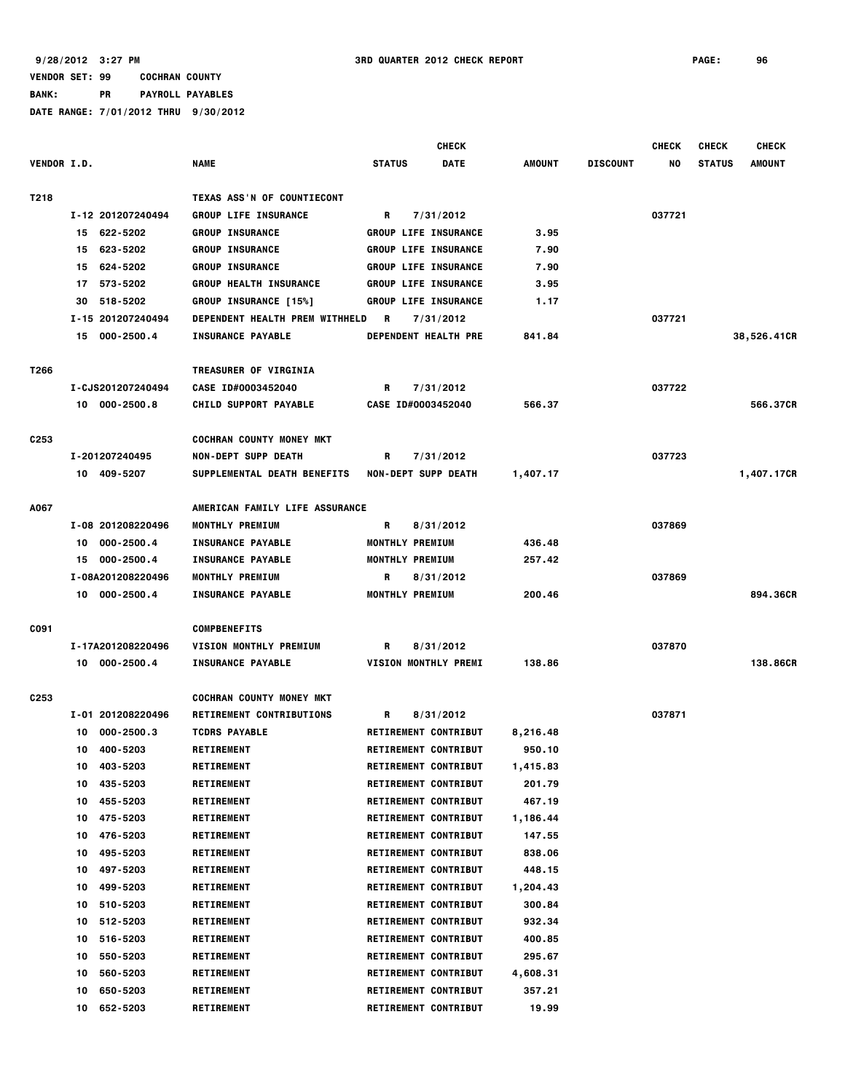|                    |     |                   |                                       |                            | <b>CHECK</b>                |               |                 | <b>CHECK</b> | <b>CHECK</b>  | <b>CHECK</b>  |
|--------------------|-----|-------------------|---------------------------------------|----------------------------|-----------------------------|---------------|-----------------|--------------|---------------|---------------|
| <b>VENDOR I.D.</b> |     |                   | <b>NAME</b>                           | <b>STATUS</b>              | <b>DATE</b>                 | <b>AMOUNT</b> | <b>DISCOUNT</b> | NO           | <b>STATUS</b> | <b>AMOUNT</b> |
| T218               |     |                   | TEXAS ASS'N OF COUNTIECONT            |                            |                             |               |                 |              |               |               |
|                    |     | I-12 201207240494 | <b>GROUP LIFE INSURANCE</b>           | R                          | 7/31/2012                   |               |                 | 037721       |               |               |
|                    |     | 15 622-5202       | <b>GROUP INSURANCE</b>                |                            | <b>GROUP LIFE INSURANCE</b> | 3.95          |                 |              |               |               |
|                    | 15. | 623-5202          | <b>GROUP INSURANCE</b>                |                            | <b>GROUP LIFE INSURANCE</b> | 7.90          |                 |              |               |               |
|                    | 15  | 624-5202          | <b>GROUP INSURANCE</b>                |                            | <b>GROUP LIFE INSURANCE</b> | 7.90          |                 |              |               |               |
|                    | 17  | 573-5202          | <b>GROUP HEALTH INSURANCE</b>         |                            | <b>GROUP LIFE INSURANCE</b> | 3.95          |                 |              |               |               |
|                    | 30  | 518-5202          | GROUP INSURANCE [15%]                 |                            | <b>GROUP LIFE INSURANCE</b> | 1.17          |                 |              |               |               |
|                    |     | I-15 201207240494 | <b>DEPENDENT HEALTH PREM WITHHELD</b> | R                          | 7/31/2012                   |               |                 | 037721       |               |               |
|                    |     | 15 000-2500.4     | <b>INSURANCE PAYABLE</b>              |                            | DEPENDENT HEALTH PRE        | 841.84        |                 |              |               | 38,526.41CR   |
|                    |     |                   |                                       |                            |                             |               |                 |              |               |               |
| T266               |     |                   | <b>TREASURER OF VIRGINIA</b>          |                            |                             |               |                 |              |               |               |
|                    |     | I-CJS201207240494 | CASE ID#0003452040                    | R                          | 7/31/2012                   |               |                 | 037722       |               |               |
|                    |     | 10 000-2500.8     | <b>CHILD SUPPORT PAYABLE</b>          | CASE ID#0003452040         |                             | 566.37        |                 |              |               | 566.37CR      |
| C <sub>253</sub>   |     |                   | <b>COCHRAN COUNTY MONEY MKT</b>       |                            |                             |               |                 |              |               |               |
|                    |     | I-201207240495    | <b>NON-DEPT SUPP DEATH</b>            | R                          | 7/31/2012                   |               |                 | 037723       |               |               |
|                    |     | 10 409-5207       | SUPPLEMENTAL DEATH BENEFITS           | <b>NON-DEPT SUPP DEATH</b> |                             | 1,407.17      |                 |              |               | 1,407.17CR    |
|                    |     |                   |                                       |                            |                             |               |                 |              |               |               |
| A067               |     |                   | AMERICAN FAMILY LIFE ASSURANCE        |                            |                             |               |                 |              |               |               |
|                    |     | I-08 201208220496 | <b>MONTHLY PREMIUM</b>                | R                          | 8/31/2012                   |               |                 | 037869       |               |               |
|                    | 10  | 000-2500.4        | <b>INSURANCE PAYABLE</b>              | <b>MONTHLY PREMIUM</b>     |                             | 436.48        |                 |              |               |               |
|                    | 15  | 000-2500.4        | <b>INSURANCE PAYABLE</b>              | MONTHLY PREMIUM            |                             | 257.42        |                 |              |               |               |
|                    |     | I-08A201208220496 | MONTHLY PREMIUM                       | R                          | 8/31/2012                   |               |                 | 037869       |               |               |
|                    |     | 10 000-2500.4     | <b>INSURANCE PAYABLE</b>              | MONTHLY PREMIUM            |                             | 200.46        |                 |              |               | 894,36CR      |
| C091               |     |                   | <b>COMPBENEFITS</b>                   |                            |                             |               |                 |              |               |               |
|                    |     | I-17A201208220496 | <b>VISION MONTHLY PREMIUM</b>         | R                          | 8/31/2012                   |               |                 | 037870       |               |               |
|                    |     | 10 000-2500.4     | <b>INSURANCE PAYABLE</b>              |                            | <b>VISION MONTHLY PREMI</b> | 138.86        |                 |              |               | 138.86CR      |
| C <sub>253</sub>   |     |                   | <b>COCHRAN COUNTY MONEY MKT</b>       |                            |                             |               |                 |              |               |               |
|                    |     | I-01 201208220496 |                                       |                            |                             |               |                 |              |               |               |
|                    |     |                   | <b>RETIREMENT CONTRIBUTIONS</b>       | R                          | 8/31/2012                   |               |                 | 037871       |               |               |
|                    | 10  | $000 - 2500.3$    | <b>TCDRS PAYABLE</b>                  |                            | RETIREMENT CONTRIBUT        | 8,216.48      |                 |              |               |               |
|                    | 10  | 400-5203          | <b>RETIREMENT</b>                     |                            | RETIREMENT CONTRIBUT        | 950.10        |                 |              |               |               |
|                    | 10  | 403-5203          | <b>RETIREMENT</b>                     |                            | <b>RETIREMENT CONTRIBUT</b> | 1,415.83      |                 |              |               |               |
|                    | 10  | 435-5203          | <b>RETIREMENT</b>                     |                            | <b>RETIREMENT CONTRIBUT</b> | 201.79        |                 |              |               |               |
|                    | 10  | 455-5203          | <b>RETIREMENT</b>                     |                            | RETIREMENT CONTRIBUT        | 467.19        |                 |              |               |               |
|                    | 10  | 475-5203          | <b>RETIREMENT</b>                     |                            | RETIREMENT CONTRIBUT        | 1,186.44      |                 |              |               |               |
|                    | 10  | 476-5203          | <b>RETIREMENT</b>                     |                            | RETIREMENT CONTRIBUT        | 147.55        |                 |              |               |               |
|                    | 10  | 495-5203          | <b>RETIREMENT</b>                     |                            | RETIREMENT CONTRIBUT        | 838.06        |                 |              |               |               |
|                    | 10  | 497-5203          | <b>RETIREMENT</b>                     |                            | RETIREMENT CONTRIBUT        | 448.15        |                 |              |               |               |
|                    | 10  | 499-5203          | <b>RETIREMENT</b>                     |                            | RETIREMENT CONTRIBUT        | 1,204.43      |                 |              |               |               |
|                    | 10  | 510-5203          | <b>RETIREMENT</b>                     |                            | RETIREMENT CONTRIBUT        | 300.84        |                 |              |               |               |
|                    | 10  | 512-5203          | <b>RETIREMENT</b>                     |                            | RETIREMENT CONTRIBUT        | 932.34        |                 |              |               |               |
|                    | 10  | 516-5203          | <b>RETIREMENT</b>                     |                            | RETIREMENT CONTRIBUT        | 400.85        |                 |              |               |               |
|                    | 10  | 550-5203          | <b>RETIREMENT</b>                     |                            | RETIREMENT CONTRIBUT        | 295.67        |                 |              |               |               |
|                    | 10  | 560-5203          | <b>RETIREMENT</b>                     |                            | <b>RETIREMENT CONTRIBUT</b> | 4,608.31      |                 |              |               |               |
|                    | 10  | 650-5203          | <b>RETIREMENT</b>                     |                            | RETIREMENT CONTRIBUT        | 357.21        |                 |              |               |               |
|                    | 10  | 652-5203          | <b>RETIREMENT</b>                     |                            | RETIREMENT CONTRIBUT        | 19.99         |                 |              |               |               |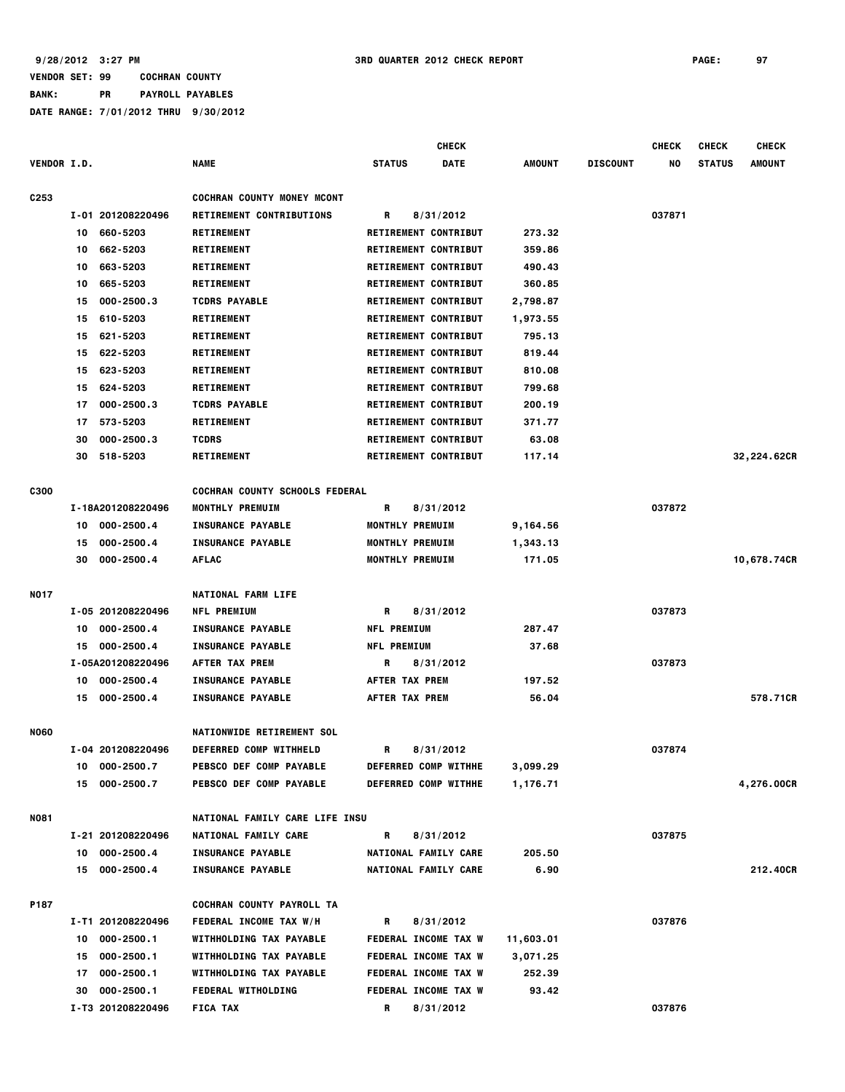|                    |                      |                                   | <b>CHECK</b>                 |           |                 | <b>CHECK</b> | <b>CHECK</b>  | <b>CHECK</b>  |
|--------------------|----------------------|-----------------------------------|------------------------------|-----------|-----------------|--------------|---------------|---------------|
| <b>VENDOR I.D.</b> |                      | <b>NAME</b>                       | <b>DATE</b><br><b>STATUS</b> | AMOUNT    | <b>DISCOUNT</b> | NO           | <b>STATUS</b> | <b>AMOUNT</b> |
| C <sub>253</sub>   |                      | <b>COCHRAN COUNTY MONEY MCONT</b> |                              |           |                 |              |               |               |
|                    | I-01 201208220496    | RETIREMENT CONTRIBUTIONS          | R<br>8/31/2012               |           |                 | 037871       |               |               |
|                    | 660-5203<br>10       | <b>RETIREMENT</b>                 | RETIREMENT CONTRIBUT         | 273.32    |                 |              |               |               |
|                    | 662-5203<br>10       | <b>RETIREMENT</b>                 | <b>RETIREMENT CONTRIBUT</b>  | 359.86    |                 |              |               |               |
|                    | 663-5203<br>10       | <b>RETIREMENT</b>                 | <b>RETIREMENT CONTRIBUT</b>  | 490.43    |                 |              |               |               |
|                    | 665-5203<br>10       | <b>RETIREMENT</b>                 | RETIREMENT CONTRIBUT         | 360.85    |                 |              |               |               |
|                    | $000 - 2500.3$<br>15 | <b>TCDRS PAYABLE</b>              | <b>RETIREMENT CONTRIBUT</b>  | 2,798.87  |                 |              |               |               |
|                    | 610-5203<br>15       | <b>RETIREMENT</b>                 | RETIREMENT CONTRIBUT         | 1,973.55  |                 |              |               |               |
|                    | 621-5203<br>15       | <b>RETIREMENT</b>                 | RETIREMENT CONTRIBUT         | 795.13    |                 |              |               |               |
|                    | 622-5203<br>15       | <b>RETIREMENT</b>                 | RETIREMENT CONTRIBUT         | 819.44    |                 |              |               |               |
|                    | 623-5203<br>15       | <b>RETIREMENT</b>                 | RETIREMENT CONTRIBUT         | 810.08    |                 |              |               |               |
|                    | 624-5203<br>15       | <b>RETIREMENT</b>                 | RETIREMENT CONTRIBUT         | 799.68    |                 |              |               |               |
|                    | $000 - 2500.3$<br>17 | <b>TCDRS PAYABLE</b>              | RETIREMENT CONTRIBUT         | 200.19    |                 |              |               |               |
|                    | 573-5203<br>17       | <b>RETIREMENT</b>                 | RETIREMENT CONTRIBUT         | 371.77    |                 |              |               |               |
|                    | $000 - 2500.3$<br>30 | <b>TCDRS</b>                      | <b>RETIREMENT CONTRIBUT</b>  | 63.08     |                 |              |               |               |
|                    | 30<br>518-5203       | <b>RETIREMENT</b>                 | RETIREMENT CONTRIBUT         | 117.14    |                 |              |               | 32,224.62CR   |
| <b>C300</b>        |                      | COCHRAN COUNTY SCHOOLS FEDERAL    |                              |           |                 |              |               |               |
|                    | I-18A201208220496    | <b>MONTHLY PREMUIM</b>            | R<br>8/31/2012               |           |                 | 037872       |               |               |
|                    | 000-2500.4<br>10     | <b>INSURANCE PAYABLE</b>          | MONTHLY PREMUIM              | 9,164.56  |                 |              |               |               |
|                    | 000-2500.4<br>15     | <b>INSURANCE PAYABLE</b>          | MONTHLY PREMUIM              | 1,343.13  |                 |              |               |               |
|                    | 000-2500.4<br>30     | <b>AFLAC</b>                      | MONTHLY PREMUIM              | 171.05    |                 |              |               | 10,678.74CR   |
|                    |                      |                                   |                              |           |                 |              |               |               |
| <b>NO17</b>        |                      | <b>NATIONAL FARM LIFE</b>         |                              |           |                 |              |               |               |
|                    | I-05 201208220496    | <b>NFL PREMIUM</b>                | R<br>8/31/2012               |           |                 | 037873       |               |               |
|                    | 000-2500.4<br>10     | <b>INSURANCE PAYABLE</b>          | <b>NFL PREMIUM</b>           | 287.47    |                 |              |               |               |
|                    | 000-2500.4<br>15     | <b>INSURANCE PAYABLE</b>          | <b>NFL PREMIUM</b>           | 37.68     |                 |              |               |               |
|                    | I-05A201208220496    | AFTER TAX PREM                    | R<br>8/31/2012               |           |                 | 037873       |               |               |
|                    | 000-2500.4<br>10     | <b>INSURANCE PAYABLE</b>          | AFTER TAX PREM               | 197.52    |                 |              |               |               |
|                    | 000-2500.4<br>15     | <b>INSURANCE PAYABLE</b>          | AFTER TAX PREM               | 56.04     |                 |              |               | 578.71CR      |
| <b>NO60</b>        |                      | NATIONWIDE RETIREMENT SOL         |                              |           |                 |              |               |               |
|                    | I-04 201208220496    | DEFERRED COMP WITHHELD            | 8/31/2012<br>R               |           |                 | 037874       |               |               |
|                    | 10 000-2500.7        | <b>PEBSCO DEF COMP PAYABLE</b>    | DEFERRED COMP WITHHE         | 3,099.29  |                 |              |               |               |
|                    | 15 000-2500.7        | <b>PEBSCO DEF COMP PAYABLE</b>    | DEFERRED COMP WITHHE         | 1,176.71  |                 |              |               | 4,276.00CR    |
| <b>NO81</b>        |                      | NATIONAL FAMILY CARE LIFE INSU    |                              |           |                 |              |               |               |
|                    | I-21 201208220496    | NATIONAL FAMILY CARE              | R<br>8/31/2012               |           |                 | 037875       |               |               |
|                    | 10 000-2500.4        | <b>INSURANCE PAYABLE</b>          | NATIONAL FAMILY CARE         | 205.50    |                 |              |               |               |
|                    | 15 000-2500.4        | <b>INSURANCE PAYABLE</b>          | NATIONAL FAMILY CARE         | 6.90      |                 |              |               | 212.40CR      |
| P187               |                      | COCHRAN COUNTY PAYROLL TA         |                              |           |                 |              |               |               |
|                    | I-T1 201208220496    | FEDERAL INCOME TAX W/H            | 8/31/2012<br>R               |           |                 | 037876       |               |               |
|                    | 000-2500.1<br>10     | <b>WITHHOLDING TAX PAYABLE</b>    | FEDERAL INCOME TAX W         | 11,603.01 |                 |              |               |               |
|                    | 000-2500.1<br>15     | <b>WITHHOLDING TAX PAYABLE</b>    | FEDERAL INCOME TAX W         | 3,071.25  |                 |              |               |               |
|                    | 000-2500.1<br>17     | <b>WITHHOLDING TAX PAYABLE</b>    | <b>FEDERAL INCOME TAX W</b>  | 252.39    |                 |              |               |               |
|                    | 000-2500.1<br>30     | <b>FEDERAL WITHOLDING</b>         | <b>FEDERAL INCOME TAX W</b>  | 93.42     |                 |              |               |               |
|                    | I-T3 201208220496    | <b>FICA TAX</b>                   | 8/31/2012<br>R               |           |                 | 037876       |               |               |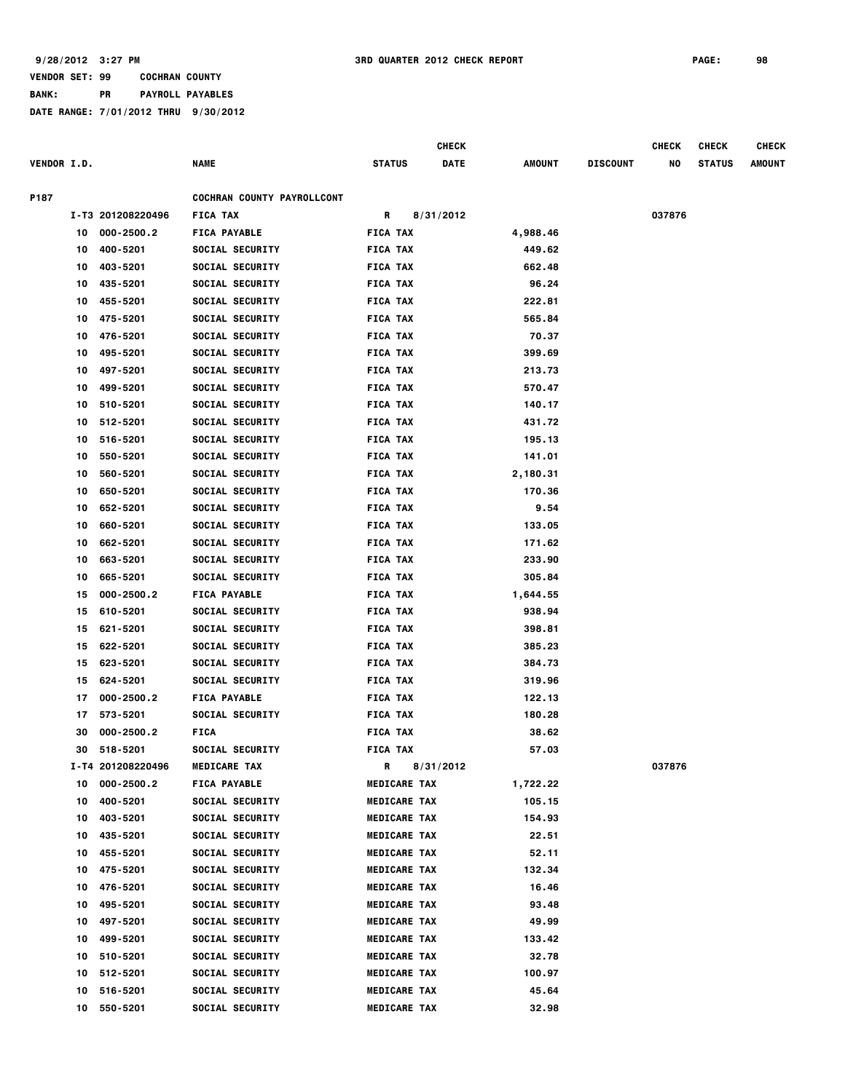## **BANK: PR PAYROLL PAYABLES**

|                    |    |                   |                            |                     | <b>CHECK</b> |               |                 | <b>CHECK</b> | <b>CHECK</b>  | <b>CHECK</b>  |
|--------------------|----|-------------------|----------------------------|---------------------|--------------|---------------|-----------------|--------------|---------------|---------------|
| <b>VENDOR I.D.</b> |    |                   | <b>NAME</b>                | <b>STATUS</b>       | <b>DATE</b>  | <b>AMOUNT</b> | <b>DISCOUNT</b> | NO           | <b>STATUS</b> | <b>AMOUNT</b> |
| P187               |    |                   | COCHRAN COUNTY PAYROLLCONT |                     |              |               |                 |              |               |               |
|                    |    | I-T3 201208220496 | <b>FICA TAX</b>            | R                   | 8/31/2012    |               |                 | 037876       |               |               |
|                    | 10 | 000-2500.2        | <b>FICA PAYABLE</b>        | <b>FICA TAX</b>     |              | 4,988.46      |                 |              |               |               |
|                    | 10 | 400-5201          | SOCIAL SECURITY            | <b>FICA TAX</b>     |              | 449.62        |                 |              |               |               |
|                    | 10 | 403-5201          | SOCIAL SECURITY            | <b>FICA TAX</b>     |              | 662.48        |                 |              |               |               |
|                    | 10 | 435-5201          | SOCIAL SECURITY            | <b>FICA TAX</b>     |              | 96.24         |                 |              |               |               |
|                    | 10 | 455-5201          | <b>SOCIAL SECURITY</b>     | <b>FICA TAX</b>     |              | 222.81        |                 |              |               |               |
|                    | 10 | 475-5201          | <b>SOCIAL SECURITY</b>     | <b>FICA TAX</b>     |              | 565.84        |                 |              |               |               |
|                    | 10 | 476-5201          | <b>SOCIAL SECURITY</b>     | <b>FICA TAX</b>     |              | 70.37         |                 |              |               |               |
|                    | 10 | 495-5201          | <b>SOCIAL SECURITY</b>     | <b>FICA TAX</b>     |              | 399.69        |                 |              |               |               |
|                    | 10 | 497-5201          | <b>SOCIAL SECURITY</b>     | <b>FICA TAX</b>     |              | 213.73        |                 |              |               |               |
|                    | 10 | 499-5201          | <b>SOCIAL SECURITY</b>     | <b>FICA TAX</b>     |              | 570.47        |                 |              |               |               |
|                    | 10 | 510-5201          | <b>SOCIAL SECURITY</b>     | <b>FICA TAX</b>     |              | 140.17        |                 |              |               |               |
|                    | 10 | 512-5201          | SOCIAL SECURITY            | <b>FICA TAX</b>     |              | 431.72        |                 |              |               |               |
|                    | 10 | 516-5201          | SOCIAL SECURITY            | <b>FICA TAX</b>     |              | 195.13        |                 |              |               |               |
|                    | 10 | 550-5201          | SOCIAL SECURITY            | <b>FICA TAX</b>     |              | 141.01        |                 |              |               |               |
|                    | 10 | 560-5201          | SOCIAL SECURITY            | <b>FICA TAX</b>     |              | 2,180.31      |                 |              |               |               |
|                    | 10 | 650-5201          | SOCIAL SECURITY            | <b>FICA TAX</b>     |              | 170.36        |                 |              |               |               |
|                    | 10 | 652-5201          | <b>SOCIAL SECURITY</b>     | <b>FICA TAX</b>     |              | 9.54          |                 |              |               |               |
|                    | 10 | 660-5201          | <b>SOCIAL SECURITY</b>     | <b>FICA TAX</b>     |              | 133.05        |                 |              |               |               |
|                    | 10 | 662-5201          | <b>SOCIAL SECURITY</b>     | <b>FICA TAX</b>     |              | 171.62        |                 |              |               |               |
|                    | 10 | 663-5201          | <b>SOCIAL SECURITY</b>     | <b>FICA TAX</b>     |              | 233.90        |                 |              |               |               |
|                    | 10 | 665-5201          | <b>SOCIAL SECURITY</b>     | <b>FICA TAX</b>     |              | 305.84        |                 |              |               |               |
|                    | 15 | 000-2500.2        | <b>FICA PAYABLE</b>        | <b>FICA TAX</b>     |              | 1,644.55      |                 |              |               |               |
|                    | 15 | 610-5201          | <b>SOCIAL SECURITY</b>     | <b>FICA TAX</b>     |              | 938.94        |                 |              |               |               |
|                    | 15 | 621-5201          | SOCIAL SECURITY            | <b>FICA TAX</b>     |              | 398.81        |                 |              |               |               |
|                    | 15 | 622-5201          | SOCIAL SECURITY            | <b>FICA TAX</b>     |              | 385.23        |                 |              |               |               |
|                    | 15 | 623-5201          | <b>SOCIAL SECURITY</b>     | <b>FICA TAX</b>     |              | 384.73        |                 |              |               |               |
|                    | 15 | 624-5201          | SOCIAL SECURITY            | <b>FICA TAX</b>     |              | 319.96        |                 |              |               |               |
|                    | 17 | 000-2500.2        | <b>FICA PAYABLE</b>        | <b>FICA TAX</b>     |              | 122.13        |                 |              |               |               |
|                    | 17 | 573-5201          | <b>SOCIAL SECURITY</b>     | <b>FICA TAX</b>     |              | 180.28        |                 |              |               |               |
|                    | 30 | 000-2500.2        | <b>FICA</b>                | <b>FICA TAX</b>     |              | 38.62         |                 |              |               |               |
|                    | 30 | 518-5201          | <b>SOCIAL SECURITY</b>     | <b>FICA TAX</b>     |              | 57.03         |                 |              |               |               |
|                    |    | I-T4 201208220496 | <b>MEDICARE TAX</b>        | R                   | 8/31/2012    |               |                 | 037876       |               |               |
|                    | 10 | 000-2500.2        | <b>FICA PAYABLE</b>        | <b>MEDICARE TAX</b> |              | 1,722.22      |                 |              |               |               |
|                    | 10 | 400-5201          | SOCIAL SECURITY            | <b>MEDICARE TAX</b> |              | 105.15        |                 |              |               |               |
|                    | 10 | 403-5201          | SOCIAL SECURITY            | <b>MEDICARE TAX</b> |              | 154.93        |                 |              |               |               |
|                    | 10 | 435-5201          | SOCIAL SECURITY            | <b>MEDICARE TAX</b> |              | 22.51         |                 |              |               |               |
|                    | 10 | 455-5201          | SOCIAL SECURITY            | <b>MEDICARE TAX</b> |              | 52.11         |                 |              |               |               |
|                    | 10 | 475-5201          | SOCIAL SECURITY            | <b>MEDICARE TAX</b> |              | 132.34        |                 |              |               |               |
|                    | 10 | 476-5201          | SOCIAL SECURITY            | <b>MEDICARE TAX</b> |              | 16.46         |                 |              |               |               |
|                    | 10 | 495-5201          | SOCIAL SECURITY            | <b>MEDICARE TAX</b> |              | 93.48         |                 |              |               |               |
|                    | 10 | 497-5201          | <b>SOCIAL SECURITY</b>     | <b>MEDICARE TAX</b> |              | 49.99         |                 |              |               |               |
|                    | 10 | 499-5201          | <b>SOCIAL SECURITY</b>     | <b>MEDICARE TAX</b> |              | 133.42        |                 |              |               |               |
|                    | 10 | 510-5201          | <b>SOCIAL SECURITY</b>     | <b>MEDICARE TAX</b> |              | 32.78         |                 |              |               |               |
|                    | 10 | 512-5201          | <b>SOCIAL SECURITY</b>     | <b>MEDICARE TAX</b> |              | 100.97        |                 |              |               |               |
|                    | 10 | 516-5201          | <b>SOCIAL SECURITY</b>     | <b>MEDICARE TAX</b> |              | 45.64         |                 |              |               |               |
|                    | 10 | 550-5201          | <b>SOCIAL SECURITY</b>     | <b>MEDICARE TAX</b> |              | 32.98         |                 |              |               |               |
|                    |    |                   |                            |                     |              |               |                 |              |               |               |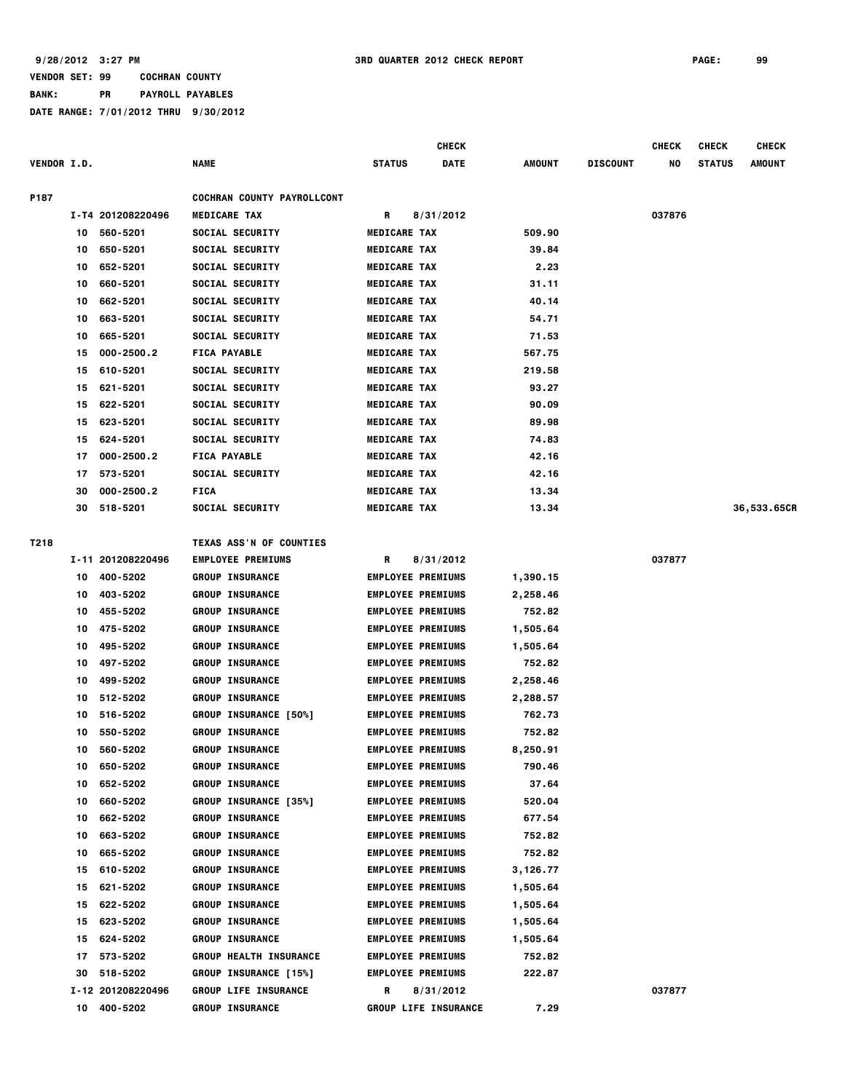|                    |    |                   |                                   |                     | CHECK                       |          |                 | <b>CHECK</b> | <b>CHECK</b>  | <b>CHECK</b> |
|--------------------|----|-------------------|-----------------------------------|---------------------|-----------------------------|----------|-----------------|--------------|---------------|--------------|
| <b>VENDOR I.D.</b> |    |                   | NAME                              | STATUS              | DATE                        | AMOUNT   | <b>DISCOUNT</b> | NO           | <b>STATUS</b> | AMOUNT       |
|                    |    |                   |                                   |                     |                             |          |                 |              |               |              |
| P187               |    |                   | <b>COCHRAN COUNTY PAYROLLCONT</b> |                     |                             |          |                 |              |               |              |
|                    |    | I-T4 201208220496 | <b>MEDICARE TAX</b>               | R                   | 8/31/2012                   |          |                 | 037876       |               |              |
|                    | 10 | 560-5201          | SOCIAL SECURITY                   | <b>MEDICARE TAX</b> |                             | 509.90   |                 |              |               |              |
|                    | 10 | 650-5201          | SOCIAL SECURITY                   | <b>MEDICARE TAX</b> |                             | 39.84    |                 |              |               |              |
|                    | 10 | 652-5201          | SOCIAL SECURITY                   | <b>MEDICARE TAX</b> |                             | 2.23     |                 |              |               |              |
|                    | 10 | 660-5201          | SOCIAL SECURITY                   | <b>MEDICARE TAX</b> |                             | 31.11    |                 |              |               |              |
|                    | 10 | 662-5201          | <b>SOCIAL SECURITY</b>            | <b>MEDICARE TAX</b> |                             | 40.14    |                 |              |               |              |
|                    | 10 | 663-5201          | SOCIAL SECURITY                   | <b>MEDICARE TAX</b> |                             | 54.71    |                 |              |               |              |
|                    | 10 | 665-5201          | SOCIAL SECURITY                   | <b>MEDICARE TAX</b> |                             | 71.53    |                 |              |               |              |
|                    | 15 | 000-2500.2        | <b>FICA PAYABLE</b>               | <b>MEDICARE TAX</b> |                             | 567.75   |                 |              |               |              |
|                    | 15 | 610-5201          | <b>SOCIAL SECURITY</b>            | <b>MEDICARE TAX</b> |                             | 219.58   |                 |              |               |              |
|                    | 15 | 621-5201          | <b>SOCIAL SECURITY</b>            | <b>MEDICARE TAX</b> |                             | 93.27    |                 |              |               |              |
|                    | 15 | 622-5201          | <b>SOCIAL SECURITY</b>            | <b>MEDICARE TAX</b> |                             | 90.09    |                 |              |               |              |
|                    | 15 | 623-5201          | SOCIAL SECURITY                   | <b>MEDICARE TAX</b> |                             | 89.98    |                 |              |               |              |
|                    | 15 | 624-5201          | SOCIAL SECURITY                   | <b>MEDICARE TAX</b> |                             | 74.83    |                 |              |               |              |
|                    | 17 | 000-2500.2        | <b>FICA PAYABLE</b>               | <b>MEDICARE TAX</b> |                             | 42.16    |                 |              |               |              |
|                    | 17 | 573-5201          | SOCIAL SECURITY                   | <b>MEDICARE TAX</b> |                             | 42.16    |                 |              |               |              |
|                    | 30 | 000-2500.2        | <b>FICA</b>                       | <b>MEDICARE TAX</b> |                             | 13.34    |                 |              |               |              |
|                    | 30 | 518-5201          | <b>SOCIAL SECURITY</b>            | <b>MEDICARE TAX</b> |                             | 13.34    |                 |              |               | 36,533.65CR  |
|                    |    |                   |                                   |                     |                             |          |                 |              |               |              |
| T218               |    |                   | TEXAS ASS'N OF COUNTIES           |                     |                             |          |                 |              |               |              |
|                    |    | I-11 201208220496 | <b>EMPLOYEE PREMIUMS</b>          | R                   | 8/31/2012                   |          |                 | 037877       |               |              |
|                    |    | 10 400-5202       | <b>GROUP INSURANCE</b>            |                     | <b>EMPLOYEE PREMIUMS</b>    | 1,390.15 |                 |              |               |              |
|                    | 10 | 403-5202          | <b>GROUP INSURANCE</b>            |                     | <b>EMPLOYEE PREMIUMS</b>    | 2,258.46 |                 |              |               |              |
|                    | 10 | 455-5202          | <b>GROUP INSURANCE</b>            |                     | <b>EMPLOYEE PREMIUMS</b>    | 752.82   |                 |              |               |              |
|                    | 10 | 475-5202          | <b>GROUP INSURANCE</b>            |                     | <b>EMPLOYEE PREMIUMS</b>    | 1,505.64 |                 |              |               |              |
|                    | 10 | 495-5202          | <b>GROUP INSURANCE</b>            |                     | <b>EMPLOYEE PREMIUMS</b>    | 1,505.64 |                 |              |               |              |
|                    | 10 | 497-5202          | <b>GROUP INSURANCE</b>            |                     | <b>EMPLOYEE PREMIUMS</b>    | 752.82   |                 |              |               |              |
|                    | 10 | 499-5202          | <b>GROUP INSURANCE</b>            |                     | <b>EMPLOYEE PREMIUMS</b>    | 2,258.46 |                 |              |               |              |
|                    | 10 | 512-5202          | <b>GROUP INSURANCE</b>            |                     | <b>EMPLOYEE PREMIUMS</b>    | 2,288.57 |                 |              |               |              |
|                    | 10 | 516-5202          | <b>GROUP INSURANCE [50%]</b>      |                     | <b>EMPLOYEE PREMIUMS</b>    | 762.73   |                 |              |               |              |
|                    | 10 | 550-5202          | <b>GROUP INSURANCE</b>            |                     | <b>EMPLOYEE PREMIUMS</b>    | 752.82   |                 |              |               |              |
|                    | 10 | 560-5202          | <b>GROUP INSURANCE</b>            |                     | <b>EMPLOYEE PREMIUMS</b>    | 8,250.91 |                 |              |               |              |
|                    | 10 | 650-5202          | <b>GROUP INSURANCE</b>            |                     | <b>EMPLOYEE PREMIUMS</b>    | 790.46   |                 |              |               |              |
|                    | 10 | 652-5202          | <b>GROUP INSURANCE</b>            |                     | <b>EMPLOYEE PREMIUMS</b>    | 37.64    |                 |              |               |              |
|                    | 10 | 660-5202          | <b>GROUP INSURANCE [35%]</b>      |                     | <b>EMPLOYEE PREMIUMS</b>    | 520.04   |                 |              |               |              |
|                    | 10 | 662-5202          | <b>GROUP INSURANCE</b>            |                     | <b>EMPLOYEE PREMIUMS</b>    | 677.54   |                 |              |               |              |
|                    | 10 | 663-5202          | <b>GROUP INSURANCE</b>            |                     | <b>EMPLOYEE PREMIUMS</b>    | 752.82   |                 |              |               |              |
|                    | 10 | 665-5202          | <b>GROUP INSURANCE</b>            |                     | <b>EMPLOYEE PREMIUMS</b>    | 752.82   |                 |              |               |              |
|                    | 15 | 610-5202          | <b>GROUP INSURANCE</b>            |                     | <b>EMPLOYEE PREMIUMS</b>    | 3,126.77 |                 |              |               |              |
|                    | 15 | 621-5202          | <b>GROUP INSURANCE</b>            |                     | <b>EMPLOYEE PREMIUMS</b>    | 1,505.64 |                 |              |               |              |
|                    | 15 | 622-5202          | <b>GROUP INSURANCE</b>            |                     | <b>EMPLOYEE PREMIUMS</b>    | 1,505.64 |                 |              |               |              |
|                    | 15 | 623-5202          | <b>GROUP INSURANCE</b>            |                     | <b>EMPLOYEE PREMIUMS</b>    | 1,505.64 |                 |              |               |              |
|                    | 15 | 624-5202          | <b>GROUP INSURANCE</b>            |                     | <b>EMPLOYEE PREMIUMS</b>    | 1,505.64 |                 |              |               |              |
|                    | 17 | 573-5202          | <b>GROUP HEALTH INSURANCE</b>     |                     | <b>EMPLOYEE PREMIUMS</b>    | 752.82   |                 |              |               |              |
|                    | 30 | 518-5202          | <b>GROUP INSURANCE [15%]</b>      |                     | <b>EMPLOYEE PREMIUMS</b>    | 222.87   |                 |              |               |              |
|                    |    | I-12 201208220496 | <b>GROUP LIFE INSURANCE</b>       | R.                  | 8/31/2012                   |          |                 | 037877       |               |              |
|                    |    | 10 400-5202       | <b>GROUP INSURANCE</b>            |                     | <b>GROUP LIFE INSURANCE</b> | 7.29     |                 |              |               |              |
|                    |    |                   |                                   |                     |                             |          |                 |              |               |              |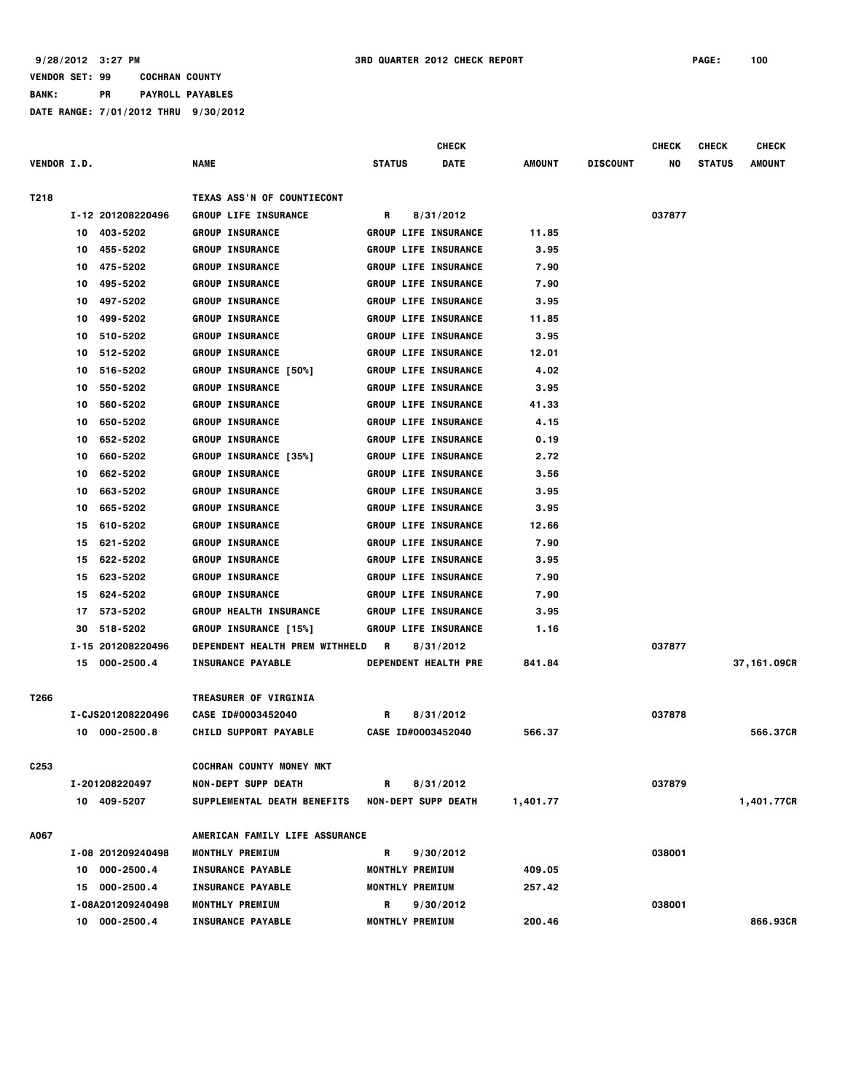|                    |                      |                                                   | <b>CHECK</b>                |          |                 | <b>CHECK</b> | <b>CHECK</b>  | <b>CHECK</b> |
|--------------------|----------------------|---------------------------------------------------|-----------------------------|----------|-----------------|--------------|---------------|--------------|
| <b>VENDOR I.D.</b> |                      | NAME                                              | <b>STATUS</b><br>DATE       | AMOUNT   | <b>DISCOUNT</b> | NO           | <b>STATUS</b> | AMOUNT       |
| T218               |                      | TEXAS ASS'N OF COUNTIECONT                        |                             |          |                 |              |               |              |
|                    | I-12 201208220496    | <b>GROUP LIFE INSURANCE</b>                       | 8/31/2012<br>R              |          |                 | 037877       |               |              |
|                    | 10 403-5202          | <b>GROUP INSURANCE</b>                            | GROUP LIFE INSURANCE        | 11.85    |                 |              |               |              |
|                    | 455-5202<br>10       | <b>GROUP INSURANCE</b>                            | <b>GROUP LIFE INSURANCE</b> | 3.95     |                 |              |               |              |
|                    | 475-5202<br>10       | <b>GROUP INSURANCE</b>                            | <b>GROUP LIFE INSURANCE</b> | 7.90     |                 |              |               |              |
|                    | 495-5202<br>10       | <b>GROUP INSURANCE</b>                            | <b>GROUP LIFE INSURANCE</b> | 7.90     |                 |              |               |              |
|                    | 497-5202<br>10       | <b>GROUP INSURANCE</b>                            | <b>GROUP LIFE INSURANCE</b> | 3.95     |                 |              |               |              |
|                    | 499-5202<br>10       | <b>GROUP INSURANCE</b>                            | <b>GROUP LIFE INSURANCE</b> | 11.85    |                 |              |               |              |
|                    | 510-5202<br>10       | <b>GROUP INSURANCE</b>                            | <b>GROUP LIFE INSURANCE</b> | 3.95     |                 |              |               |              |
|                    | 512-5202<br>10       | <b>GROUP INSURANCE</b>                            | <b>GROUP LIFE INSURANCE</b> | 12.01    |                 |              |               |              |
|                    | 516-5202<br>10       | <b>GROUP INSURANCE [50%]</b>                      | <b>GROUP LIFE INSURANCE</b> | 4.02     |                 |              |               |              |
|                    | 550-5202<br>10       | <b>GROUP INSURANCE</b>                            | <b>GROUP LIFE INSURANCE</b> | 3.95     |                 |              |               |              |
|                    | 560-5202<br>10       | <b>GROUP INSURANCE</b>                            | <b>GROUP LIFE INSURANCE</b> | 41.33    |                 |              |               |              |
|                    | 650-5202<br>10       | <b>GROUP INSURANCE</b>                            | <b>GROUP LIFE INSURANCE</b> | 4.15     |                 |              |               |              |
|                    | 652-5202<br>10       | <b>GROUP INSURANCE</b>                            | <b>GROUP LIFE INSURANCE</b> | 0.19     |                 |              |               |              |
|                    | 660-5202<br>10       | <b>GROUP INSURANCE [35%]</b>                      | <b>GROUP LIFE INSURANCE</b> | 2.72     |                 |              |               |              |
|                    | 662-5202<br>10       | <b>GROUP INSURANCE</b>                            | <b>GROUP LIFE INSURANCE</b> | 3.56     |                 |              |               |              |
|                    | 663-5202<br>10       | <b>GROUP INSURANCE</b>                            | <b>GROUP LIFE INSURANCE</b> | 3.95     |                 |              |               |              |
|                    | 665-5202<br>10       | <b>GROUP INSURANCE</b>                            | <b>GROUP LIFE INSURANCE</b> | 3.95     |                 |              |               |              |
|                    | 610-5202<br>15       | <b>GROUP INSURANCE</b>                            | <b>GROUP LIFE INSURANCE</b> | 12.66    |                 |              |               |              |
|                    | 621-5202<br>15       | <b>GROUP INSURANCE</b>                            | <b>GROUP LIFE INSURANCE</b> | 7.90     |                 |              |               |              |
|                    | 622-5202<br>15       | <b>GROUP INSURANCE</b>                            | <b>GROUP LIFE INSURANCE</b> | 3.95     |                 |              |               |              |
|                    | 623-5202<br>15       | <b>GROUP INSURANCE</b>                            | <b>GROUP LIFE INSURANCE</b> | 7.90     |                 |              |               |              |
|                    | 624-5202<br>15       | <b>GROUP INSURANCE</b>                            | <b>GROUP LIFE INSURANCE</b> | 7.90     |                 |              |               |              |
|                    | 573-5202<br>17       | <b>GROUP HEALTH INSURANCE</b>                     | <b>GROUP LIFE INSURANCE</b> | 3.95     |                 |              |               |              |
|                    | 518-5202<br>30       | <b>GROUP INSURANCE [15%]</b>                      | <b>GROUP LIFE INSURANCE</b> | 1.16     |                 |              |               |              |
|                    | I-15 201208220496    | DEPENDENT HEALTH PREM WITHHELD                    | R<br>8/31/2012              |          |                 | 037877       |               |              |
|                    | $000 - 2500.4$<br>15 | <b>INSURANCE PAYABLE</b>                          | <b>DEPENDENT HEALTH PRE</b> | 841.84   |                 |              |               | 37,161.09CR  |
| T266               |                      | <b>TREASURER OF VIRGINIA</b>                      |                             |          |                 |              |               |              |
|                    | I-CJS201208220496    | CASE ID#0003452040                                | 8/31/2012<br>R              |          |                 | 037878       |               |              |
|                    | 10 000-2500.8        | <b>CHILD SUPPORT PAYABLE</b>                      | CASE ID#0003452040          | 566.37   |                 |              |               | 566.37CR     |
| C253               |                      | <b>COCHRAN COUNTY MONEY MKT</b>                   |                             |          |                 |              |               |              |
|                    | I-201208220497       | <b>NON-DEPT SUPP DEATH</b>                        | 8/31/2012<br>R              |          |                 | 037879       |               |              |
|                    | 10 409-5207          | SUPPLEMENTAL DEATH BENEFITS                       | <b>NON-DEPT SUPP DEATH</b>  | 1,401.77 |                 |              |               | 1,401.77CR   |
|                    |                      |                                                   |                             |          |                 |              |               |              |
| A067               | I-08 201209240498    | AMERICAN FAMILY LIFE ASSURANCE<br>MONTHLY PREMIUM | R<br>9/30/2012              |          |                 | 038001       |               |              |
|                    | 10 000-2500.4        | <b>INSURANCE PAYABLE</b>                          | <b>MONTHLY PREMIUM</b>      | 409.05   |                 |              |               |              |
|                    | 15 000-2500.4        | <b>INSURANCE PAYABLE</b>                          | MONTHLY PREMIUM             | 257.42   |                 |              |               |              |
|                    | I-08A201209240498    | MONTHLY PREMIUM                                   | 9/30/2012<br>R              |          |                 | 038001       |               |              |
|                    | 10 000-2500.4        | <b>INSURANCE PAYABLE</b>                          | MONTHLY PREMIUM             | 200.46   |                 |              |               | 866,93CR     |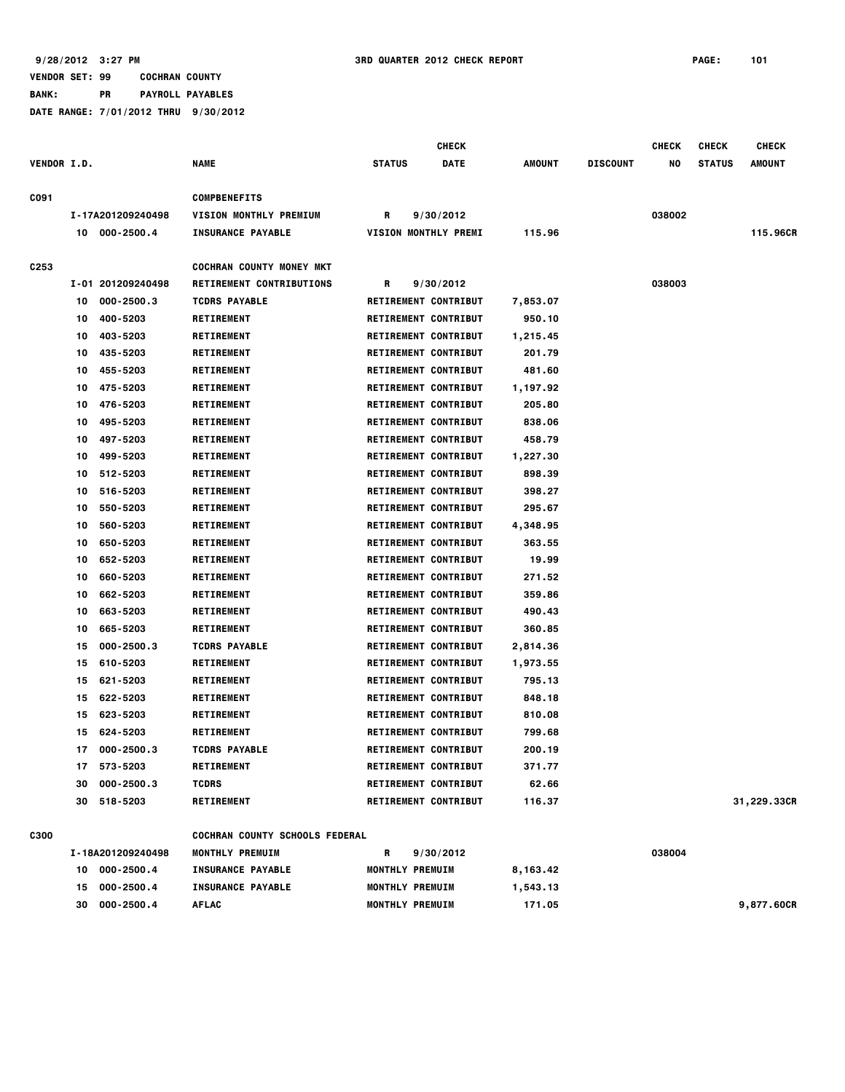|                    |    |                   |                                 |                        | <b>CHECK</b>                |               |                 | <b>CHECK</b> | <b>CHECK</b>  | <b>CHECK</b>  |
|--------------------|----|-------------------|---------------------------------|------------------------|-----------------------------|---------------|-----------------|--------------|---------------|---------------|
| <b>VENDOR I.D.</b> |    |                   | <b>NAME</b>                     | <b>STATUS</b>          | <b>DATE</b>                 | <b>AMOUNT</b> | <b>DISCOUNT</b> | NO           | <b>STATUS</b> | <b>AMOUNT</b> |
| C091               |    |                   | <b>COMPBENEFITS</b>             |                        |                             |               |                 |              |               |               |
|                    |    | I-17A201209240498 | VISION MONTHLY PREMIUM          | R                      | 9/30/2012                   |               |                 | 038002       |               |               |
|                    |    | 10 000-2500.4     | <b>INSURANCE PAYABLE</b>        |                        | <b>VISION MONTHLY PREMI</b> | 115.96        |                 |              |               | 115.96CR      |
| C <sub>253</sub>   |    |                   | <b>COCHRAN COUNTY MONEY MKT</b> |                        |                             |               |                 |              |               |               |
|                    |    | I-01 201209240498 | <b>RETIREMENT CONTRIBUTIONS</b> | R                      | 9/30/2012                   |               |                 | 038003       |               |               |
|                    | 10 | $000 - 2500.3$    | <b>TCDRS PAYABLE</b>            |                        | <b>RETIREMENT CONTRIBUT</b> | 7,853.07      |                 |              |               |               |
|                    | 10 | 400-5203          | <b>RETIREMENT</b>               |                        | <b>RETIREMENT CONTRIBUT</b> | 950.10        |                 |              |               |               |
|                    | 10 | 403-5203          | <b>RETIREMENT</b>               |                        | <b>RETIREMENT CONTRIBUT</b> | 1,215.45      |                 |              |               |               |
|                    | 10 | 435-5203          | <b>RETIREMENT</b>               |                        | <b>RETIREMENT CONTRIBUT</b> | 201.79        |                 |              |               |               |
|                    | 10 | 455-5203          | <b>RETIREMENT</b>               |                        | <b>RETIREMENT CONTRIBUT</b> | 481.60        |                 |              |               |               |
|                    | 10 | 475-5203          | <b>RETIREMENT</b>               |                        | <b>RETIREMENT CONTRIBUT</b> | 1,197.92      |                 |              |               |               |
|                    | 10 | 476-5203          | <b>RETIREMENT</b>               |                        | <b>RETIREMENT CONTRIBUT</b> | 205.80        |                 |              |               |               |
|                    | 10 | 495-5203          | <b>RETIREMENT</b>               |                        | <b>RETIREMENT CONTRIBUT</b> | 838.06        |                 |              |               |               |
|                    | 10 | 497-5203          | <b>RETIREMENT</b>               |                        | <b>RETIREMENT CONTRIBUT</b> | 458.79        |                 |              |               |               |
|                    | 10 | 499-5203          | <b>RETIREMENT</b>               |                        | <b>RETIREMENT CONTRIBUT</b> | 1,227.30      |                 |              |               |               |
|                    | 10 | 512-5203          | <b>RETIREMENT</b>               |                        | <b>RETIREMENT CONTRIBUT</b> | 898.39        |                 |              |               |               |
|                    | 10 | 516-5203          | <b>RETIREMENT</b>               |                        | <b>RETIREMENT CONTRIBUT</b> | 398.27        |                 |              |               |               |
|                    | 10 | 550-5203          | <b>RETIREMENT</b>               |                        | <b>RETIREMENT CONTRIBUT</b> | 295.67        |                 |              |               |               |
|                    | 10 | 560-5203          | <b>RETIREMENT</b>               |                        | RETIREMENT CONTRIBUT        | 4,348.95      |                 |              |               |               |
|                    | 10 | 650-5203          | <b>RETIREMENT</b>               |                        | <b>RETIREMENT CONTRIBUT</b> | 363.55        |                 |              |               |               |
|                    | 10 | 652-5203          | <b>RETIREMENT</b>               |                        | <b>RETIREMENT CONTRIBUT</b> | 19.99         |                 |              |               |               |
|                    | 10 | 660-5203          | <b>RETIREMENT</b>               |                        | <b>RETIREMENT CONTRIBUT</b> | 271.52        |                 |              |               |               |
|                    | 10 | 662-5203          | <b>RETIREMENT</b>               |                        | <b>RETIREMENT CONTRIBUT</b> | 359.86        |                 |              |               |               |
|                    | 10 | 663-5203          | <b>RETIREMENT</b>               |                        | <b>RETIREMENT CONTRIBUT</b> | 490.43        |                 |              |               |               |
|                    | 10 | 665-5203          | <b>RETIREMENT</b>               |                        | <b>RETIREMENT CONTRIBUT</b> | 360.85        |                 |              |               |               |
|                    | 15 | $000 - 2500.3$    | <b>TCDRS PAYABLE</b>            |                        | <b>RETIREMENT CONTRIBUT</b> | 2,814.36      |                 |              |               |               |
|                    | 15 | 610-5203          | <b>RETIREMENT</b>               |                        | <b>RETIREMENT CONTRIBUT</b> | 1,973.55      |                 |              |               |               |
|                    | 15 | 621-5203          | <b>RETIREMENT</b>               |                        | <b>RETIREMENT CONTRIBUT</b> | 795.13        |                 |              |               |               |
|                    | 15 | 622-5203          | <b>RETIREMENT</b>               |                        | <b>RETIREMENT CONTRIBUT</b> | 848.18        |                 |              |               |               |
|                    | 15 | 623-5203          | <b>RETIREMENT</b>               |                        | <b>RETIREMENT CONTRIBUT</b> | 810.08        |                 |              |               |               |
|                    | 15 | 624-5203          | <b>RETIREMENT</b>               |                        | <b>RETIREMENT CONTRIBUT</b> | 799.68        |                 |              |               |               |
|                    | 17 | $000 - 2500.3$    | <b>TCDRS PAYABLE</b>            |                        | <b>RETIREMENT CONTRIBUT</b> | 200.19        |                 |              |               |               |
|                    | 17 | 573-5203          | <b>RETIREMENT</b>               |                        | <b>RETIREMENT CONTRIBUT</b> | 371.77        |                 |              |               |               |
|                    | 30 | 000-2500.3        | <b>TCDRS</b>                    |                        | <b>RETIREMENT CONTRIBUT</b> | 62.66         |                 |              |               |               |
|                    |    | 30 518-5203       | <b>RETIREMENT</b>               |                        | <b>RETIREMENT CONTRIBUT</b> | 116.37        |                 |              |               | 31,229.33CR   |
| <b>C300</b>        |    |                   | COCHRAN COUNTY SCHOOLS FEDERAL  |                        |                             |               |                 |              |               |               |
|                    |    | I-18A201209240498 | MONTHLY PREMUIM                 | R                      | 9/30/2012                   |               |                 | 038004       |               |               |
|                    | 10 | 000-2500.4        | <b>INSURANCE PAYABLE</b>        | MONTHLY PREMUIM        |                             | 8,163.42      |                 |              |               |               |
|                    | 15 | 000-2500.4        | <b>INSURANCE PAYABLE</b>        | MONTHLY PREMUIM        |                             | 1,543.13      |                 |              |               |               |
|                    | 30 | 000-2500.4        | <b>AFLAC</b>                    | <b>MONTHLY PREMUIM</b> |                             | 171.05        |                 |              |               | 9,877.60CR    |
|                    |    |                   |                                 |                        |                             |               |                 |              |               |               |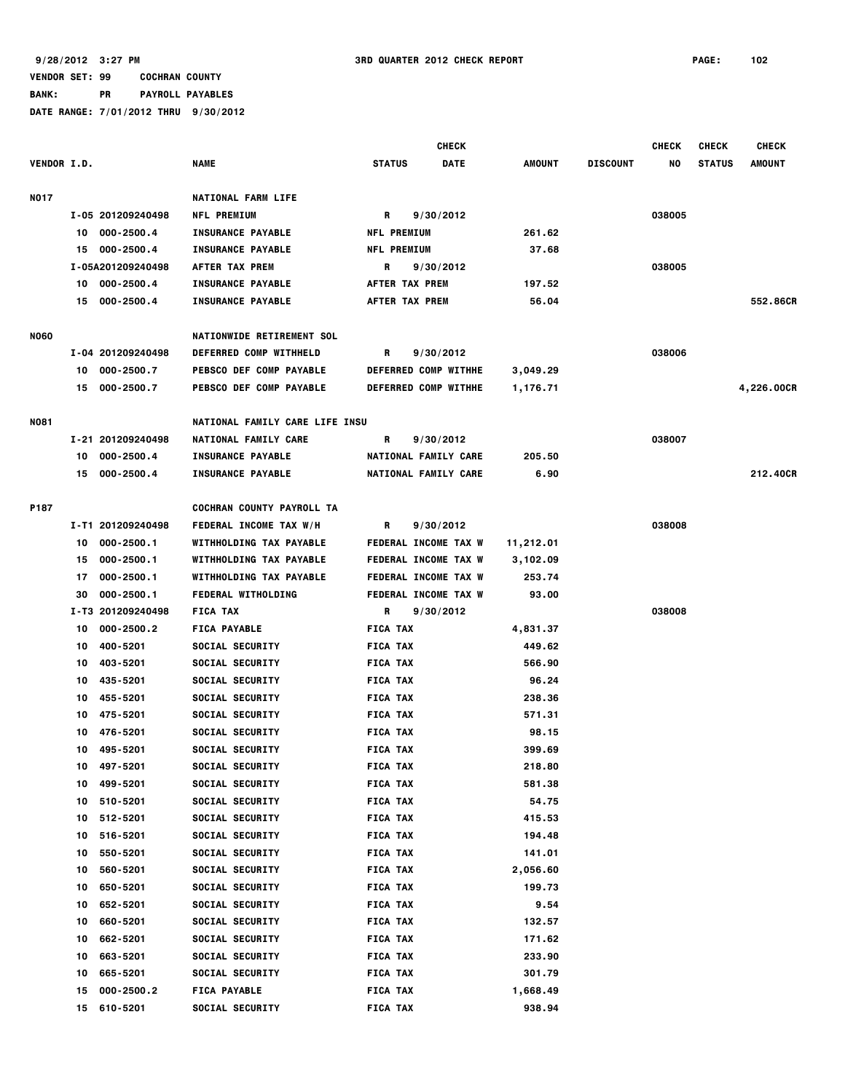|                    |    |                   |                                |                    | <b>CHECK</b>                |                    |                 | <b>CHECK</b> | <b>CHECK</b>  | <b>CHECK</b>  |
|--------------------|----|-------------------|--------------------------------|--------------------|-----------------------------|--------------------|-----------------|--------------|---------------|---------------|
| <b>VENDOR I.D.</b> |    |                   | <b>NAME</b>                    | <b>STATUS</b>      | <b>DATE</b>                 | AMOUNT             | <b>DISCOUNT</b> | NO           | <b>STATUS</b> | <b>AMOUNT</b> |
|                    |    |                   |                                |                    |                             |                    |                 |              |               |               |
| <b>NO17</b>        |    |                   | <b>NATIONAL FARM LIFE</b>      |                    |                             |                    |                 |              |               |               |
|                    |    | I-05 201209240498 | <b>NFL PREMIUM</b>             | R                  | 9/30/2012                   |                    |                 | 038005       |               |               |
|                    |    | 10 000-2500.4     | <b>INSURANCE PAYABLE</b>       | <b>NFL PREMIUM</b> |                             | 261.62             |                 |              |               |               |
|                    |    | 15 000-2500.4     | <b>INSURANCE PAYABLE</b>       | <b>NFL PREMIUM</b> |                             | 37.68              |                 |              |               |               |
|                    |    | I-05A201209240498 | AFTER TAX PREM                 | R                  | 9/30/2012                   |                    |                 | 038005       |               |               |
|                    |    | 10 000-2500.4     | <b>INSURANCE PAYABLE</b>       | AFTER TAX PREM     |                             | 197.52             |                 |              |               |               |
|                    |    | 15 000-2500.4     | <b>INSURANCE PAYABLE</b>       | AFTER TAX PREM     |                             | 56.04              |                 |              |               | 552.86CR      |
| <b>NO60</b>        |    |                   | NATIONWIDE RETIREMENT SOL      |                    |                             |                    |                 |              |               |               |
|                    |    | I-04 201209240498 | <b>DEFERRED COMP WITHHELD</b>  | R                  | 9/30/2012                   |                    |                 | 038006       |               |               |
|                    |    | 10 000-2500.7     | <b>PEBSCO DEF COMP PAYABLE</b> |                    | DEFERRED COMP WITHHE        | 3,049.29           |                 |              |               |               |
|                    |    | 15 000-2500.7     | PEBSCO DEF COMP PAYABLE        |                    | DEFERRED COMP WITHHE        | 1,176.71           |                 |              |               | 4,226.00CR    |
|                    |    |                   |                                |                    |                             |                    |                 |              |               |               |
| N081               |    |                   | NATIONAL FAMILY CARE LIFE INSU |                    |                             |                    |                 |              |               |               |
|                    |    | I-21 201209240498 | NATIONAL FAMILY CARE           | R                  | 9/30/2012                   |                    |                 | 038007       |               |               |
|                    | 10 | 000-2500.4        | <b>INSURANCE PAYABLE</b>       |                    | NATIONAL FAMILY CARE        | 205.50             |                 |              |               |               |
|                    |    | 15 000-2500.4     | <b>INSURANCE PAYABLE</b>       |                    | NATIONAL FAMILY CARE        | 6.90               |                 |              |               | 212,40CR      |
| P187               |    |                   | COCHRAN COUNTY PAYROLL TA      |                    |                             |                    |                 |              |               |               |
|                    |    | I-T1 201209240498 | FEDERAL INCOME TAX W/H         | R                  | 9/30/2012                   |                    |                 | 038008       |               |               |
|                    | 10 | 000-2500.1        | WITHHOLDING TAX PAYABLE        |                    | <b>FEDERAL INCOME TAX W</b> | 11,212.01          |                 |              |               |               |
|                    | 15 | $000 - 2500.1$    | WITHHOLDING TAX PAYABLE        |                    | FEDERAL INCOME TAX W        |                    |                 |              |               |               |
|                    | 17 | 000-2500.1        | WITHHOLDING TAX PAYABLE        |                    | <b>FEDERAL INCOME TAX W</b> | 3,102.09<br>253.74 |                 |              |               |               |
|                    | 30 | 000-2500.1        | <b>FEDERAL WITHOLDING</b>      |                    | <b>FEDERAL INCOME TAX W</b> | 93.00              |                 |              |               |               |
|                    |    | I-T3 201209240498 | <b>FICA TAX</b>                | R                  | 9/30/2012                   |                    |                 | 038008       |               |               |
|                    | 10 | 000-2500.2        | <b>FICA PAYABLE</b>            | <b>FICA TAX</b>    |                             | 4,831.37           |                 |              |               |               |
|                    | 10 | 400-5201          | SOCIAL SECURITY                | <b>FICA TAX</b>    |                             | 449.62             |                 |              |               |               |
|                    | 10 | 403-5201          | SOCIAL SECURITY                | <b>FICA TAX</b>    |                             | 566.90             |                 |              |               |               |
|                    | 10 | 435-5201          | SOCIAL SECURITY                | <b>FICA TAX</b>    |                             | 96.24              |                 |              |               |               |
|                    | 10 | 455-5201          | SOCIAL SECURITY                | <b>FICA TAX</b>    |                             | 238.36             |                 |              |               |               |
|                    | 10 | 475-5201          | SOCIAL SECURITY                | <b>FICA TAX</b>    |                             | 571.31             |                 |              |               |               |
|                    | 10 | 476-5201          | SOCIAL SECURITY                | <b>FICA TAX</b>    |                             | 98.15              |                 |              |               |               |
|                    |    | 10 495-5201       | SOCIAL SECURITY                | <b>FICA TAX</b>    |                             | 399.69             |                 |              |               |               |
|                    | 10 | 497-5201          | SOCIAL SECURITY                | <b>FICA TAX</b>    |                             | 218.80             |                 |              |               |               |
|                    | 10 | 499-5201          | SOCIAL SECURITY                | <b>FICA TAX</b>    |                             | 581.38             |                 |              |               |               |
|                    | 10 | 510-5201          | SOCIAL SECURITY                | <b>FICA TAX</b>    |                             | 54.75              |                 |              |               |               |
|                    | 10 | 512-5201          | SOCIAL SECURITY                | <b>FICA TAX</b>    |                             | 415.53             |                 |              |               |               |
|                    | 10 | 516-5201          | SOCIAL SECURITY                | <b>FICA TAX</b>    |                             | 194.48             |                 |              |               |               |
|                    | 10 | 550-5201          | SOCIAL SECURITY                | <b>FICA TAX</b>    |                             | 141.01             |                 |              |               |               |
|                    | 10 | 560-5201          | SOCIAL SECURITY                | <b>FICA TAX</b>    |                             | 2,056.60           |                 |              |               |               |
|                    | 10 | 650-5201          | SOCIAL SECURITY                | <b>FICA TAX</b>    |                             | 199.73             |                 |              |               |               |
|                    | 10 | 652-5201          | SOCIAL SECURITY                | <b>FICA TAX</b>    |                             | 9.54               |                 |              |               |               |
|                    | 10 | 660-5201          | SOCIAL SECURITY                | <b>FICA TAX</b>    |                             | 132.57             |                 |              |               |               |
|                    | 10 | 662-5201          | SOCIAL SECURITY                | <b>FICA TAX</b>    |                             | 171.62             |                 |              |               |               |
|                    | 10 | 663-5201          | SOCIAL SECURITY                | <b>FICA TAX</b>    |                             | 233.90             |                 |              |               |               |
|                    | 10 | 665-5201          | SOCIAL SECURITY                | <b>FICA TAX</b>    |                             | 301.79             |                 |              |               |               |
|                    | 15 | 000-2500.2        | <b>FICA PAYABLE</b>            | <b>FICA TAX</b>    |                             | 1,668.49           |                 |              |               |               |
|                    | 15 | 610-5201          | SOCIAL SECURITY                | <b>FICA TAX</b>    |                             | 938.94             |                 |              |               |               |
|                    |    |                   |                                |                    |                             |                    |                 |              |               |               |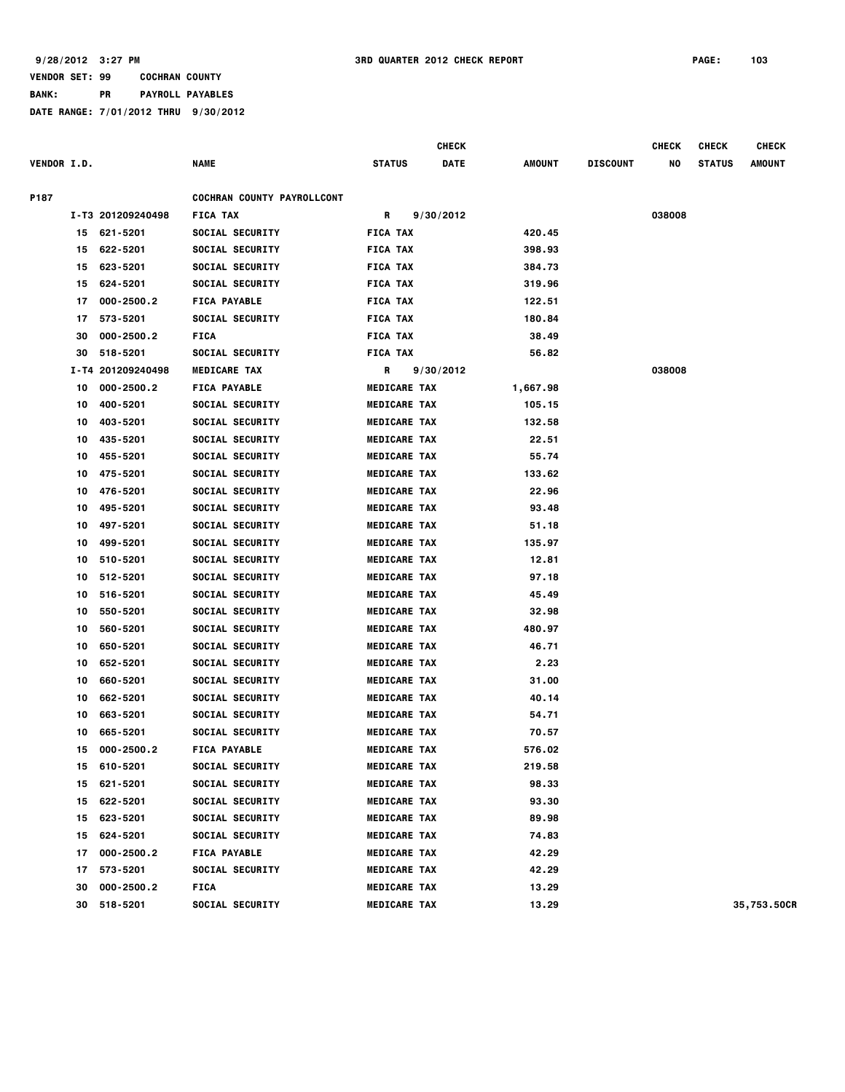|                    |    |                   |                            |                     | <b>CHECK</b> |               |                 | <b>CHECK</b> | <b>CHECK</b>  | <b>CHECK</b> |
|--------------------|----|-------------------|----------------------------|---------------------|--------------|---------------|-----------------|--------------|---------------|--------------|
| <b>VENDOR I.D.</b> |    |                   | NAME                       | <b>STATUS</b>       | <b>DATE</b>  | <b>AMOUNT</b> | <b>DISCOUNT</b> | NO           | <b>STATUS</b> | AMOUNT       |
| P187               |    |                   | COCHRAN COUNTY PAYROLLCONT |                     |              |               |                 |              |               |              |
|                    |    | I-T3 201209240498 | <b>FICA TAX</b>            | R                   | 9/30/2012    |               |                 | 038008       |               |              |
|                    | 15 | 621-5201          | <b>SOCIAL SECURITY</b>     | <b>FICA TAX</b>     |              | 420.45        |                 |              |               |              |
|                    | 15 | 622-5201          | <b>SOCIAL SECURITY</b>     | <b>FICA TAX</b>     |              | 398.93        |                 |              |               |              |
|                    | 15 | 623-5201          | <b>SOCIAL SECURITY</b>     | <b>FICA TAX</b>     |              | 384.73        |                 |              |               |              |
|                    | 15 | 624-5201          | <b>SOCIAL SECURITY</b>     | <b>FICA TAX</b>     |              | 319.96        |                 |              |               |              |
|                    | 17 | 000-2500.2        | <b>FICA PAYABLE</b>        | <b>FICA TAX</b>     |              | 122.51        |                 |              |               |              |
|                    | 17 | 573-5201          | <b>SOCIAL SECURITY</b>     | <b>FICA TAX</b>     |              | 180.84        |                 |              |               |              |
|                    | 30 | 000-2500.2        | <b>FICA</b>                | <b>FICA TAX</b>     |              | 38.49         |                 |              |               |              |
|                    | 30 | 518-5201          | <b>SOCIAL SECURITY</b>     | <b>FICA TAX</b>     |              | 56.82         |                 |              |               |              |
|                    |    | I-T4 201209240498 | <b>MEDICARE TAX</b>        | R                   | 9/30/2012    |               |                 | 038008       |               |              |
|                    | 10 | 000-2500.2        | <b>FICA PAYABLE</b>        | <b>MEDICARE TAX</b> |              | 1,667.98      |                 |              |               |              |
|                    | 10 | 400-5201          | <b>SOCIAL SECURITY</b>     | <b>MEDICARE TAX</b> |              | 105.15        |                 |              |               |              |
|                    | 10 | 403-5201          | <b>SOCIAL SECURITY</b>     | <b>MEDICARE TAX</b> |              | 132.58        |                 |              |               |              |
|                    | 10 | 435-5201          | <b>SOCIAL SECURITY</b>     | <b>MEDICARE TAX</b> |              | 22.51         |                 |              |               |              |
|                    | 10 | 455-5201          | <b>SOCIAL SECURITY</b>     | <b>MEDICARE TAX</b> |              | 55.74         |                 |              |               |              |
|                    | 10 | 475-5201          | <b>SOCIAL SECURITY</b>     | <b>MEDICARE TAX</b> |              | 133.62        |                 |              |               |              |
|                    | 10 | 476-5201          | <b>SOCIAL SECURITY</b>     | <b>MEDICARE TAX</b> |              | 22.96         |                 |              |               |              |
|                    | 10 | 495-5201          | <b>SOCIAL SECURITY</b>     | <b>MEDICARE TAX</b> |              | 93.48         |                 |              |               |              |
|                    | 10 | 497-5201          | <b>SOCIAL SECURITY</b>     | <b>MEDICARE TAX</b> |              | 51.18         |                 |              |               |              |
|                    | 10 | 499-5201          | <b>SOCIAL SECURITY</b>     | <b>MEDICARE TAX</b> |              | 135.97        |                 |              |               |              |
|                    | 10 | 510-5201          | <b>SOCIAL SECURITY</b>     | <b>MEDICARE TAX</b> |              | 12.81         |                 |              |               |              |
|                    | 10 | 512-5201          | <b>SOCIAL SECURITY</b>     | <b>MEDICARE TAX</b> |              | 97.18         |                 |              |               |              |
|                    | 10 | 516-5201          | <b>SOCIAL SECURITY</b>     | <b>MEDICARE TAX</b> |              | 45.49         |                 |              |               |              |
|                    | 10 | 550-5201          | <b>SOCIAL SECURITY</b>     | <b>MEDICARE TAX</b> |              | 32.98         |                 |              |               |              |
|                    | 10 | 560-5201          | <b>SOCIAL SECURITY</b>     | <b>MEDICARE TAX</b> |              | 480.97        |                 |              |               |              |
|                    | 10 | 650-5201          | <b>SOCIAL SECURITY</b>     | <b>MEDICARE TAX</b> |              | 46.71         |                 |              |               |              |
|                    | 10 | 652-5201          | <b>SOCIAL SECURITY</b>     | <b>MEDICARE TAX</b> |              | 2.23          |                 |              |               |              |
|                    | 10 | 660-5201          | <b>SOCIAL SECURITY</b>     | <b>MEDICARE TAX</b> |              | 31.00         |                 |              |               |              |
|                    | 10 | 662-5201          | <b>SOCIAL SECURITY</b>     | <b>MEDICARE TAX</b> |              | 40.14         |                 |              |               |              |
|                    | 10 | 663-5201          | <b>SOCIAL SECURITY</b>     | <b>MEDICARE TAX</b> |              | 54.71         |                 |              |               |              |
|                    | 10 | 665-5201          | <b>SOCIAL SECURITY</b>     | <b>MEDICARE TAX</b> |              | 70.57         |                 |              |               |              |
|                    | 15 | 000-2500.2        | <b>FICA PAYABLE</b>        | <b>MEDICARE TAX</b> |              | 576.02        |                 |              |               |              |
|                    | 15 | 610-5201          | <b>SOCIAL SECURITY</b>     | <b>MEDICARE TAX</b> |              | 219.58        |                 |              |               |              |
|                    | 15 | 621-5201          | <b>SOCIAL SECURITY</b>     | <b>MEDICARE TAX</b> |              | 98.33         |                 |              |               |              |
|                    | 15 | 622-5201          | <b>SOCIAL SECURITY</b>     | <b>MEDICARE TAX</b> |              | 93.30         |                 |              |               |              |
|                    | 15 | 623-5201          | <b>SOCIAL SECURITY</b>     | <b>MEDICARE TAX</b> |              | 89.98         |                 |              |               |              |
|                    | 15 | 624-5201          | <b>SOCIAL SECURITY</b>     | <b>MEDICARE TAX</b> |              | 74.83         |                 |              |               |              |
|                    | 17 | 000-2500.2        | <b>FICA PAYABLE</b>        | <b>MEDICARE TAX</b> |              | 42.29         |                 |              |               |              |
|                    | 17 | 573-5201          | <b>SOCIAL SECURITY</b>     | <b>MEDICARE TAX</b> |              | 42.29         |                 |              |               |              |
|                    | 30 | 000-2500.2        | <b>FICA</b>                | <b>MEDICARE TAX</b> |              | 13.29         |                 |              |               |              |
|                    | 30 | 518-5201          | <b>SOCIAL SECURITY</b>     | <b>MEDICARE TAX</b> |              | 13.29         |                 |              |               | 35,753.50CR  |
|                    |    |                   |                            |                     |              |               |                 |              |               |              |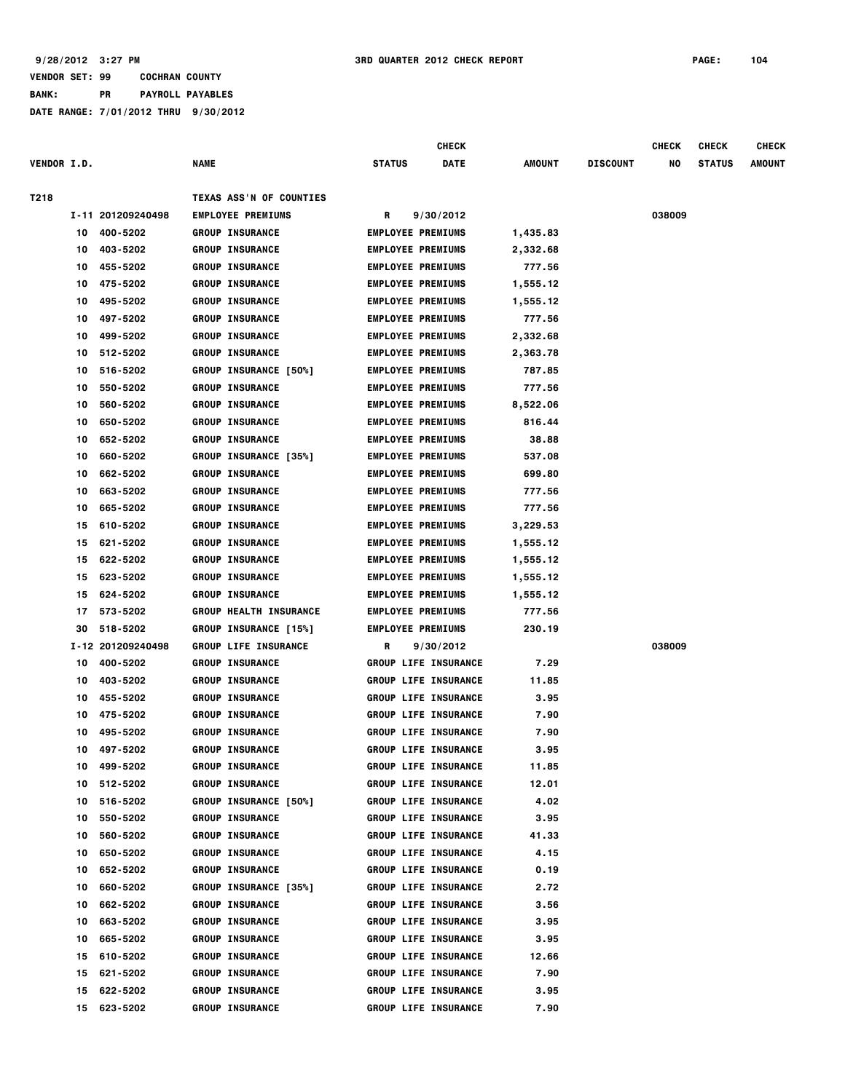|                    |    |                   |                               |               | <b>CHECK</b>                |          |                 | <b>CHECK</b> | <b>CHECK</b>  | <b>CHECK</b>  |
|--------------------|----|-------------------|-------------------------------|---------------|-----------------------------|----------|-----------------|--------------|---------------|---------------|
| <b>VENDOR I.D.</b> |    |                   | <b>NAME</b>                   | <b>STATUS</b> | <b>DATE</b>                 | AMOUNT   | <b>DISCOUNT</b> | NO           | <b>STATUS</b> | <b>AMOUNT</b> |
| T218               |    |                   | TEXAS ASS'N OF COUNTIES       |               |                             |          |                 |              |               |               |
|                    |    | I-11 201209240498 | <b>EMPLOYEE PREMIUMS</b>      | R             | 9/30/2012                   |          |                 | 038009       |               |               |
|                    | 10 | 400-5202          | <b>GROUP INSURANCE</b>        |               | <b>EMPLOYEE PREMIUMS</b>    | 1,435.83 |                 |              |               |               |
|                    | 10 | 403-5202          | <b>GROUP INSURANCE</b>        |               | <b>EMPLOYEE PREMIUMS</b>    | 2,332.68 |                 |              |               |               |
|                    | 10 | 455-5202          | <b>GROUP INSURANCE</b>        |               | <b>EMPLOYEE PREMIUMS</b>    | 777.56   |                 |              |               |               |
|                    | 10 | 475-5202          | <b>GROUP INSURANCE</b>        |               | <b>EMPLOYEE PREMIUMS</b>    | 1,555.12 |                 |              |               |               |
|                    | 10 | 495-5202          | <b>GROUP INSURANCE</b>        |               | <b>EMPLOYEE PREMIUMS</b>    | 1,555.12 |                 |              |               |               |
|                    | 10 | 497-5202          | <b>GROUP INSURANCE</b>        |               | <b>EMPLOYEE PREMIUMS</b>    | 777.56   |                 |              |               |               |
|                    | 10 | 499-5202          | <b>GROUP INSURANCE</b>        |               | <b>EMPLOYEE PREMIUMS</b>    | 2,332.68 |                 |              |               |               |
|                    | 10 | 512-5202          | <b>GROUP INSURANCE</b>        |               | <b>EMPLOYEE PREMIUMS</b>    | 2,363.78 |                 |              |               |               |
|                    | 10 | 516-5202          | <b>GROUP INSURANCE [50%]</b>  |               | <b>EMPLOYEE PREMIUMS</b>    | 787.85   |                 |              |               |               |
|                    | 10 | 550-5202          | <b>GROUP INSURANCE</b>        |               | <b>EMPLOYEE PREMIUMS</b>    | 777.56   |                 |              |               |               |
|                    | 10 | 560-5202          | <b>GROUP INSURANCE</b>        |               | <b>EMPLOYEE PREMIUMS</b>    | 8,522.06 |                 |              |               |               |
|                    | 10 | 650-5202          | <b>GROUP INSURANCE</b>        |               | <b>EMPLOYEE PREMIUMS</b>    | 816.44   |                 |              |               |               |
|                    | 10 | 652-5202          | <b>GROUP INSURANCE</b>        |               | <b>EMPLOYEE PREMIUMS</b>    | 38.88    |                 |              |               |               |
|                    |    | 660-5202          | GROUP INSURANCE [35%]         |               | <b>EMPLOYEE PREMIUMS</b>    | 537.08   |                 |              |               |               |
|                    | 10 |                   |                               |               |                             |          |                 |              |               |               |
|                    | 10 | 662-5202          | <b>GROUP INSURANCE</b>        |               | <b>EMPLOYEE PREMIUMS</b>    | 699.80   |                 |              |               |               |
|                    | 10 | 663-5202          | <b>GROUP INSURANCE</b>        |               | <b>EMPLOYEE PREMIUMS</b>    | 777.56   |                 |              |               |               |
|                    | 10 | 665-5202          | <b>GROUP INSURANCE</b>        |               | <b>EMPLOYEE PREMIUMS</b>    | 777.56   |                 |              |               |               |
|                    | 15 | 610-5202          | <b>GROUP INSURANCE</b>        |               | <b>EMPLOYEE PREMIUMS</b>    | 3,229.53 |                 |              |               |               |
|                    | 15 | 621-5202          | <b>GROUP INSURANCE</b>        |               | <b>EMPLOYEE PREMIUMS</b>    | 1,555.12 |                 |              |               |               |
|                    | 15 | 622-5202          | <b>GROUP INSURANCE</b>        |               | <b>EMPLOYEE PREMIUMS</b>    | 1,555.12 |                 |              |               |               |
|                    | 15 | 623-5202          | <b>GROUP INSURANCE</b>        |               | <b>EMPLOYEE PREMIUMS</b>    | 1,555.12 |                 |              |               |               |
|                    | 15 | 624-5202          | <b>GROUP INSURANCE</b>        |               | <b>EMPLOYEE PREMIUMS</b>    | 1,555.12 |                 |              |               |               |
|                    | 17 | 573-5202          | <b>GROUP HEALTH INSURANCE</b> |               | <b>EMPLOYEE PREMIUMS</b>    | 777.56   |                 |              |               |               |
|                    | 30 | 518-5202          | <b>GROUP INSURANCE [15%]</b>  |               | <b>EMPLOYEE PREMIUMS</b>    | 230.19   |                 |              |               |               |
|                    |    | I-12 201209240498 | <b>GROUP LIFE INSURANCE</b>   | R             | 9/30/2012                   |          |                 | 038009       |               |               |
|                    | 10 | 400-5202          | <b>GROUP INSURANCE</b>        |               | <b>GROUP LIFE INSURANCE</b> | 7.29     |                 |              |               |               |
|                    | 10 | 403-5202          | <b>GROUP INSURANCE</b>        |               | <b>GROUP LIFE INSURANCE</b> | 11.85    |                 |              |               |               |
|                    | 10 | 455-5202          | <b>GROUP INSURANCE</b>        |               | <b>GROUP LIFE INSURANCE</b> | 3.95     |                 |              |               |               |
|                    | 10 | 475-5202          | <b>GROUP INSURANCE</b>        |               | <b>GROUP LIFE INSURANCE</b> | 7.90     |                 |              |               |               |
|                    | 10 | 495-5202          | <b>GROUP INSURANCE</b>        |               | <b>GROUP LIFE INSURANCE</b> | 7.90     |                 |              |               |               |
|                    | 10 | 497-5202          | <b>GROUP INSURANCE</b>        |               | <b>GROUP LIFE INSURANCE</b> | 3.95     |                 |              |               |               |
|                    | 10 | 499-5202          | <b>GROUP INSURANCE</b>        |               | <b>GROUP LIFE INSURANCE</b> | 11.85    |                 |              |               |               |
|                    | 10 | 512-5202          | <b>GROUP INSURANCE</b>        |               | <b>GROUP LIFE INSURANCE</b> | 12.01    |                 |              |               |               |
|                    | 10 | 516-5202          | <b>GROUP INSURANCE [50%]</b>  |               | <b>GROUP LIFE INSURANCE</b> | 4.02     |                 |              |               |               |
|                    | 10 | 550-5202          | <b>GROUP INSURANCE</b>        |               | <b>GROUP LIFE INSURANCE</b> | 3.95     |                 |              |               |               |
|                    | 10 | 560-5202          | <b>GROUP INSURANCE</b>        |               | <b>GROUP LIFE INSURANCE</b> | 41.33    |                 |              |               |               |
|                    | 10 | 650-5202          | <b>GROUP INSURANCE</b>        |               | <b>GROUP LIFE INSURANCE</b> | 4.15     |                 |              |               |               |
|                    | 10 | 652-5202          | <b>GROUP INSURANCE</b>        |               | <b>GROUP LIFE INSURANCE</b> | 0.19     |                 |              |               |               |
|                    | 10 | 660-5202          | <b>GROUP INSURANCE [35%]</b>  |               | <b>GROUP LIFE INSURANCE</b> | 2.72     |                 |              |               |               |
|                    | 10 | 662-5202          | <b>GROUP INSURANCE</b>        |               | <b>GROUP LIFE INSURANCE</b> | 3.56     |                 |              |               |               |
|                    | 10 | 663-5202          | <b>GROUP INSURANCE</b>        |               | <b>GROUP LIFE INSURANCE</b> | 3.95     |                 |              |               |               |
|                    | 10 | 665-5202          | <b>GROUP INSURANCE</b>        |               | <b>GROUP LIFE INSURANCE</b> | 3.95     |                 |              |               |               |
|                    | 15 | 610-5202          | <b>GROUP INSURANCE</b>        |               | <b>GROUP LIFE INSURANCE</b> | 12.66    |                 |              |               |               |
|                    | 15 | 621-5202          | <b>GROUP INSURANCE</b>        |               | <b>GROUP LIFE INSURANCE</b> | 7.90     |                 |              |               |               |
|                    | 15 | 622-5202          | <b>GROUP INSURANCE</b>        |               | <b>GROUP LIFE INSURANCE</b> | 3.95     |                 |              |               |               |
|                    | 15 | 623-5202          | <b>GROUP INSURANCE</b>        |               | <b>GROUP LIFE INSURANCE</b> | 7.90     |                 |              |               |               |
|                    |    |                   |                               |               |                             |          |                 |              |               |               |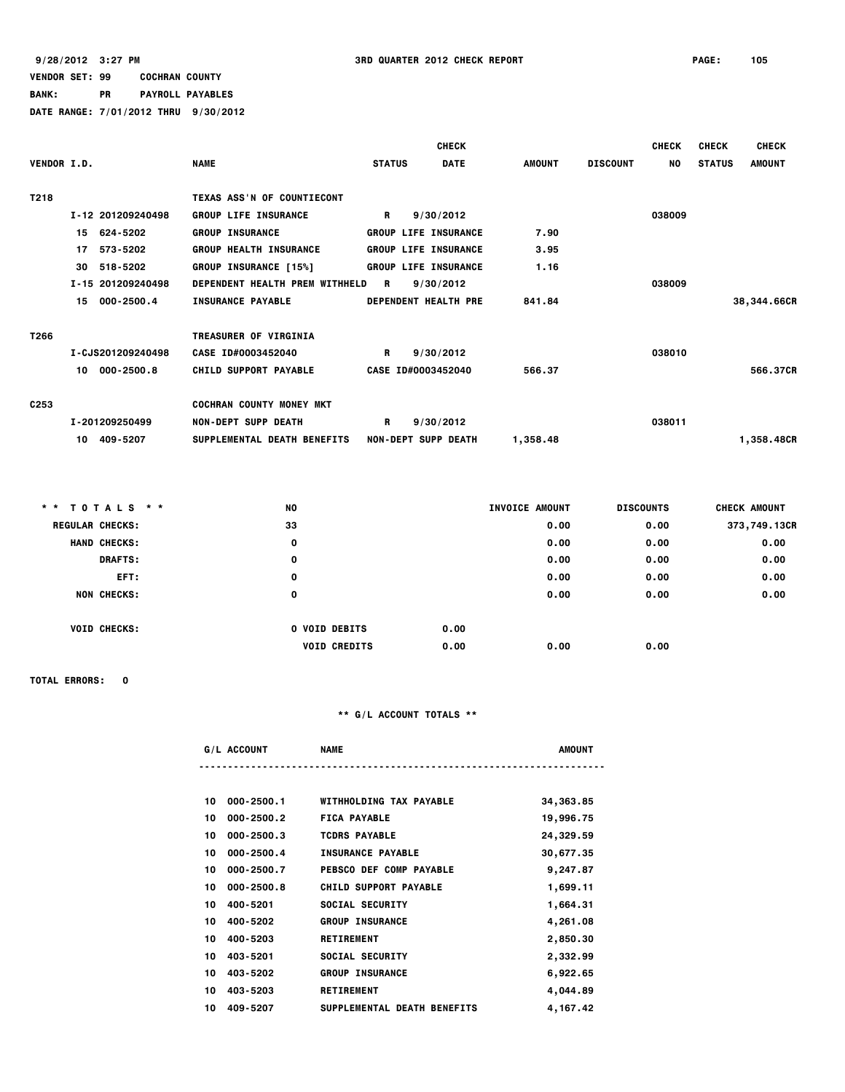# **BANK: PR PAYROLL PAYABLES**

**DATE RANGE: 7/01/2012 THRU 9/30/2012**

|                    |                   |                                 |                             | <b>CHECK</b> |          |                 | <b>CHECK</b> | <b>CHECK</b>  | <b>CHECK</b>  |
|--------------------|-------------------|---------------------------------|-----------------------------|--------------|----------|-----------------|--------------|---------------|---------------|
| <b>VENDOR I.D.</b> |                   | <b>NAME</b>                     | <b>STATUS</b>               | <b>DATE</b>  | AMOUNT   | <b>DISCOUNT</b> | NO.          | <b>STATUS</b> | <b>AMOUNT</b> |
| T218               |                   | TEXAS ASS'N OF COUNTIECONT      |                             |              |          |                 |              |               |               |
|                    | I-12 201209240498 | <b>GROUP LIFE INSURANCE</b>     | R                           | 9/30/2012    |          |                 | 038009       |               |               |
|                    | 15 624-5202       | <b>GROUP INSURANCE</b>          | <b>GROUP LIFE INSURANCE</b> |              | 7.90     |                 |              |               |               |
|                    | 573-5202<br>17    | <b>GROUP HEALTH INSURANCE</b>   | <b>GROUP LIFE INSURANCE</b> |              | 3.95     |                 |              |               |               |
|                    | 518-5202<br>30    | GROUP INSURANCE [15%]           | <b>GROUP LIFE INSURANCE</b> |              | 1.16     |                 |              |               |               |
|                    | I-15 201209240498 | DEPENDENT HEALTH PREM WITHHELD  | R.                          | 9/30/2012    |          |                 | 038009       |               |               |
|                    | 000-2500.4<br>15  | <b>INSURANCE PAYABLE</b>        | <b>DEPENDENT HEALTH PRE</b> |              | 841.84   |                 |              |               | 38,344.66CR   |
| T266               |                   | <b>TREASURER OF VIRGINIA</b>    |                             |              |          |                 |              |               |               |
|                    | I-CJS201209240498 | CASE ID#0003452040              | R                           | 9/30/2012    |          |                 | 038010       |               |               |
|                    | 000-2500.8<br>10  | <b>CHILD SUPPORT PAYABLE</b>    | CASE ID#0003452040          |              | 566.37   |                 |              |               | 566.37CR      |
| C253               |                   | <b>COCHRAN COUNTY MONEY MKT</b> |                             |              |          |                 |              |               |               |
|                    | I-201209250499    | <b>NON-DEPT SUPP DEATH</b>      | R                           | 9/30/2012    |          |                 | 038011       |               |               |
|                    | 409-5207<br>10    | SUPPLEMENTAL DEATH BENEFITS     | <b>NON-DEPT SUPP DEATH</b>  |              | 1,358.48 |                 |              |               | 1,358.48CR    |

| * * TOTALS * *         | NO.                  | INVOICE AMOUNT | <b>DISCOUNTS</b> | <b>CHECK AMOUNT</b> |
|------------------------|----------------------|----------------|------------------|---------------------|
| <b>REGULAR CHECKS:</b> | 33                   | 0.00           | 0.00             | 373,749.13CR        |
| <b>HAND CHECKS:</b>    | 0                    | 0.00           | 0.00             | 0.00                |
| <b>DRAFTS:</b>         | 0                    | 0.00           | 0.00             | 0.00                |
| EFT:                   | 0                    | 0.00           | 0.00             | 0.00                |
| NON CHECKS:            | 0                    | 0.00           | 0.00             | 0.00                |
| <b>VOID CHECKS:</b>    | <b>O VOID DEBITS</b> | 0.00           |                  |                     |
|                        | <b>VOID CREDITS</b>  | 0.00<br>0.00   | 0.00             |                     |
|                        |                      |                |                  |                     |

#### **TOTAL ERRORS: 0**

#### **\*\* G/L ACCOUNT TOTALS \*\***

G/L ACCOUNT NAME NAME AMOUNT

| 10 | $000 - 2500.1$ | WITHHOLDING TAX PAYABLE      | 34, 363.85 |
|----|----------------|------------------------------|------------|
| 10 | $000 - 2500.2$ | <b>FICA PAYABLE</b>          | 19,996.75  |
| 10 | $000 - 2500.3$ | <b>TCDRS PAYABLE</b>         | 24,329.59  |
| 10 | $000 - 2500.4$ | <b>INSURANCE PAYABLE</b>     | 30,677.35  |
| 10 | 000-2500.7     | PEBSCO DEF COMP PAYABLE      | 9,247.87   |
| 10 | $000 - 2500.8$ | <b>CHILD SUPPORT PAYABLE</b> | 1,699.11   |
| 10 | 400-5201       | SOCIAL SECURITY              | 1,664.31   |
| 10 | 400-5202       | <b>GROUP INSURANCE</b>       | 4,261.08   |
| 10 | 400-5203       | <b>RETIREMENT</b>            | 2,850.30   |
| 10 | 403-5201       | SOCIAL SECURITY              | 2,332.99   |
| 10 | 403-5202       | <b>GROUP INSURANCE</b>       | 6,922.65   |
| 10 | 403-5203       | <b>RETIREMENT</b>            | 4,044.89   |
| 10 | 409-5207       | SUPPLEMENTAL DEATH BENEFITS  | 4,167.42   |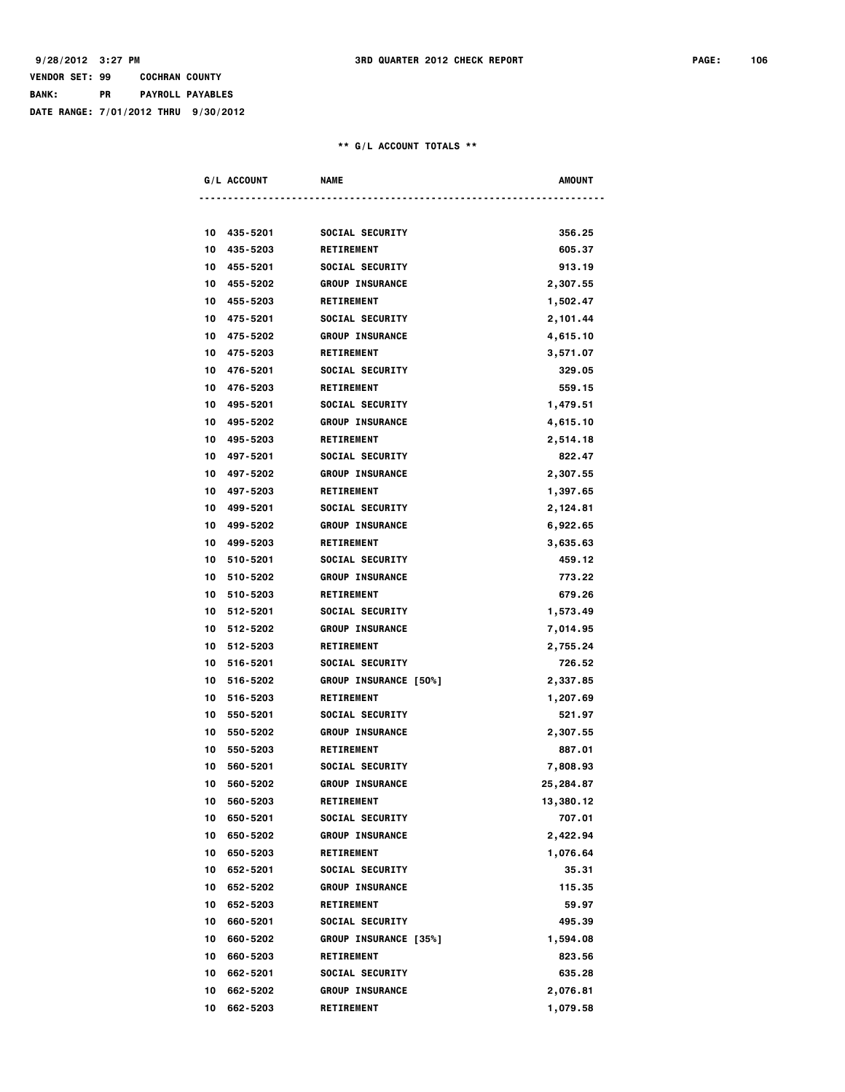## **VENDOR SET: 99 COCHRAN COUNTY BANK: PR PAYROLL PAYABLES DATE RANGE: 7/01/2012 THRU 9/30/2012**

|    | G/L ACCOUNT | <b>NAME</b>            | AMOUNT    |  |
|----|-------------|------------------------|-----------|--|
|    |             |                        |           |  |
|    |             |                        |           |  |
|    | 10 435-5201 | SOCIAL SECURITY        | 356.25    |  |
| 10 | 435-5203    | <b>RETIREMENT</b>      | 605.37    |  |
|    | 10 455-5201 | SOCIAL SECURITY        | 913.19    |  |
|    | 10 455-5202 | <b>GROUP INSURANCE</b> | 2,307.55  |  |
| 10 | 455-5203    | <b>RETIREMENT</b>      | 1,502.47  |  |
|    | 10 475-5201 | SOCIAL SECURITY        | 2,101.44  |  |
|    | 10 475-5202 | <b>GROUP INSURANCE</b> | 4,615.10  |  |
| 10 | 475-5203    | <b>RETIREMENT</b>      | 3,571.07  |  |
|    | 10 476-5201 | SOCIAL SECURITY        | 329.05    |  |
|    | 10 476-5203 | <b>RETIREMENT</b>      | 559.15    |  |
|    | 10 495-5201 | SOCIAL SECURITY        | 1,479.51  |  |
|    | 10 495-5202 | <b>GROUP INSURANCE</b> | 4,615.10  |  |
|    | 10 495-5203 | <b>RETIREMENT</b>      | 2,514.18  |  |
| 10 | 497-5201    | SOCIAL SECURITY        | 822.47    |  |
| 10 | 497-5202    | <b>GROUP INSURANCE</b> | 2,307.55  |  |
|    | 10 497-5203 | <b>RETIREMENT</b>      | 1,397.65  |  |
|    | 10 499-5201 | SOCIAL SECURITY        | 2,124.81  |  |
|    | 10 499-5202 | <b>GROUP INSURANCE</b> | 6,922.65  |  |
|    | 10 499-5203 | <b>RETIREMENT</b>      | 3,635.63  |  |
| 10 | 510-5201    | SOCIAL SECURITY        | 459.12    |  |
|    | 10 510-5202 | <b>GROUP INSURANCE</b> | 773.22    |  |
|    | 10 510-5203 | <b>RETIREMENT</b>      | 679.26    |  |
|    | 10 512-5201 | SOCIAL SECURITY        | 1,573.49  |  |
|    | 10 512-5202 | <b>GROUP INSURANCE</b> | 7,014.95  |  |
|    | 10 512-5203 | <b>RETIREMENT</b>      | 2,755.24  |  |
| 10 | 516-5201    | SOCIAL SECURITY        | 726.52    |  |
| 10 | 516-5202    | GROUP INSURANCE [50%]  | 2,337.85  |  |
| 10 | 516-5203    | <b>RETIREMENT</b>      | 1,207.69  |  |
| 10 | 550-5201    | SOCIAL SECURITY        | 521.97    |  |
|    | 10 550-5202 | <b>GROUP INSURANCE</b> | 2,307.55  |  |
| 10 | 550-5203    | <b>RETIREMENT</b>      | 887.01    |  |
| 10 | 560-5201    | SOCIAL SECURITY        | 7,808.93  |  |
|    | 10 560-5202 | <b>GROUP INSURANCE</b> | 25,284.87 |  |
|    | 10 560-5203 | <b>RETIREMENT</b>      | 13,380.12 |  |
|    | 10 650-5201 | SOCIAL SECURITY        | 707.01    |  |
| 10 | 650-5202    | <b>GROUP INSURANCE</b> | 2,422.94  |  |
|    | 10 650-5203 | <b>RETIREMENT</b>      | 1,076.64  |  |
| 10 | 652-5201    | SOCIAL SECURITY        | 35.31     |  |
| 10 | 652-5202    | <b>GROUP INSURANCE</b> | 115.35    |  |
| 10 | 652-5203    | <b>RETIREMENT</b>      | 59.97     |  |
| 10 | 660-5201    | SOCIAL SECURITY        | 495.39    |  |
| 10 | 660-5202    | GROUP INSURANCE [35%]  | 1,594.08  |  |
| 10 | 660-5203    | <b>RETIREMENT</b>      | 823.56    |  |
| 10 | 662-5201    | SOCIAL SECURITY        | 635.28    |  |
| 10 | 662-5202    | <b>GROUP INSURANCE</b> | 2,076.81  |  |
| 10 | 662-5203    | <b>RETIREMENT</b>      | 1,079.58  |  |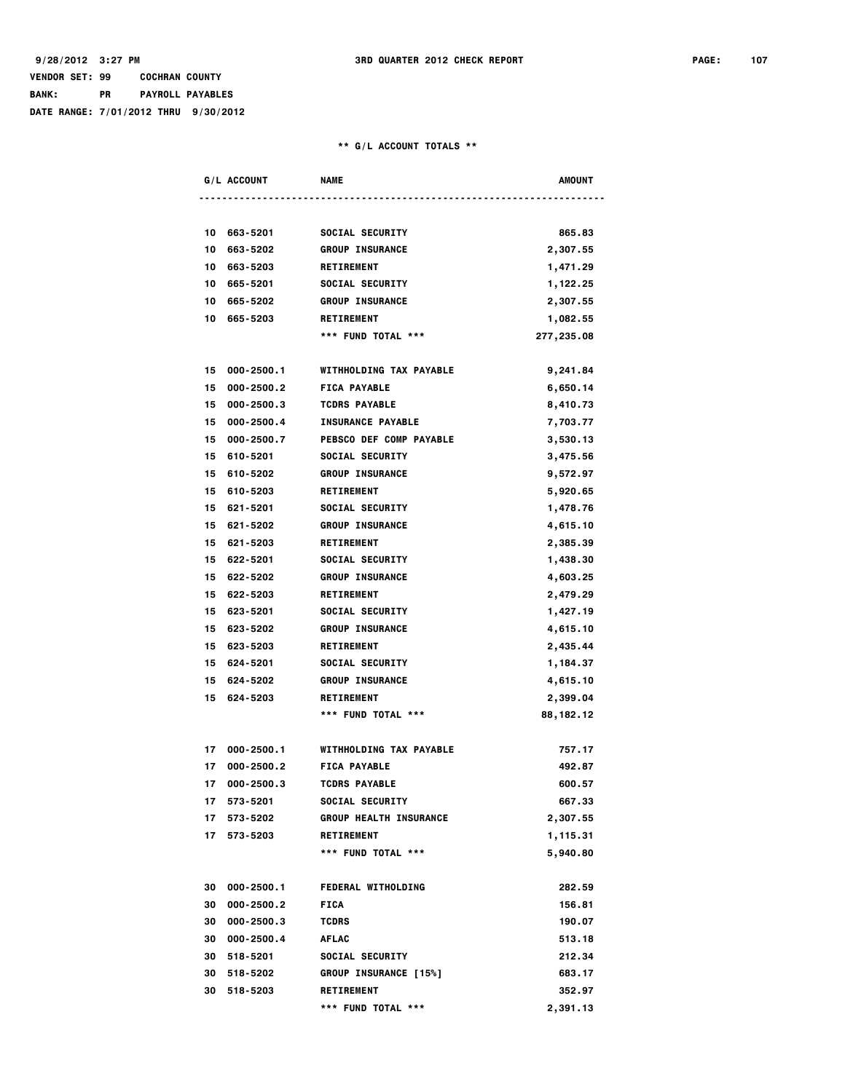### **VENDOR SET: 99 COCHRAN COUNTY BANK: PR PAYROLL PAYABLES DATE RANGE: 7/01/2012 THRU 9/30/2012**

|    | G/L ACCOUNT   | <b>NAME</b>                   | AMOUNT     |
|----|---------------|-------------------------------|------------|
|    |               |                               |            |
| 10 | 663-5201      | SOCIAL SECURITY               | 865.83     |
| 10 | 663-5202      | <b>GROUP INSURANCE</b>        | 2,307.55   |
| 10 | 663-5203      | <b>RETIREMENT</b>             | 1,471.29   |
| 10 | 665-5201      | SOCIAL SECURITY               | 1,122.25   |
| 10 | 665-5202      | <b>GROUP INSURANCE</b>        | 2,307.55   |
| 10 | 665-5203      | <b>RETIREMENT</b>             | 1,082.55   |
|    |               | *** FUND TOTAL ***            | 277,235.08 |
|    |               |                               |            |
| 15 | 000-2500.1    | WITHHOLDING TAX PAYABLE       | 9,241.84   |
| 15 | 000-2500.2    | <b>FICA PAYABLE</b>           | 6,650.14   |
| 15 | 000-2500.3    | <b>TCDRS PAYABLE</b>          | 8,410.73   |
| 15 | 000-2500.4    | <b>INSURANCE PAYABLE</b>      | 7,703.77   |
| 15 | 000-2500.7    | PEBSCO DEF COMP PAYABLE       | 3,530.13   |
| 15 | 610-5201      | SOCIAL SECURITY               | 3,475.56   |
| 15 | 610-5202      | <b>GROUP INSURANCE</b>        | 9,572.97   |
| 15 | 610-5203      | <b>RETIREMENT</b>             | 5,920.65   |
| 15 | 621-5201      | SOCIAL SECURITY               | 1,478.76   |
|    | 15 621-5202   | <b>GROUP INSURANCE</b>        | 4,615.10   |
| 15 | 621-5203      | <b>RETIREMENT</b>             | 2,385.39   |
| 15 | 622-5201      | SOCIAL SECURITY               | 1,438.30   |
| 15 | 622-5202      | <b>GROUP INSURANCE</b>        | 4,603.25   |
| 15 | 622-5203      | <b>RETIREMENT</b>             | 2,479.29   |
| 15 | 623-5201      | SOCIAL SECURITY               | 1,427.19   |
| 15 | 623-5202      | <b>GROUP INSURANCE</b>        | 4,615.10   |
| 15 | 623-5203      | <b>RETIREMENT</b>             | 2,435.44   |
| 15 | 624-5201      | SOCIAL SECURITY               | 1,184.37   |
| 15 | 624-5202      | <b>GROUP INSURANCE</b>        | 4,615.10   |
| 15 | 624-5203      | <b>RETIREMENT</b>             | 2,399.04   |
|    |               | *** FUND TOTAL ***            | 88,182.12  |
| 17 | 000-2500.1    | WITHHOLDING TAX PAYABLE       | 757.17     |
| 17 | 000-2500.2    | <b>FICA PAYABLE</b>           | 492.87     |
| 17 | 000-2500.3    | <b>TCDRS PAYABLE</b>          | 600.57     |
|    | 17 573-5201   | SOCIAL SECURITY               | 667.33     |
| 17 | 573-5202      | <b>GROUP HEALTH INSURANCE</b> | 2,307.55   |
|    | 17 573-5203   | <b>RETIREMENT</b>             | 1,115.31   |
|    |               | *** FUND TOTAL ***            | 5,940.80   |
|    |               |                               |            |
|    | 30 000-2500.1 | <b>FEDERAL WITHOLDING</b>     | 282.59     |
| 30 | 000-2500.2    | <b>FICA</b>                   | 156.81     |
|    | 30 000-2500.3 | <b>TCDRS</b>                  | 190.07     |
|    | 30 000-2500.4 | <b>AFLAC</b>                  | 513.18     |
|    | 30 518-5201   | SOCIAL SECURITY               | 212.34     |
|    | 30 518-5202   | <b>GROUP INSURANCE [15%]</b>  | 683.17     |
|    | 30 518-5203   | <b>RETIREMENT</b>             | 352.97     |
|    |               | *** FUND TOTAL ***            | 2,391.13   |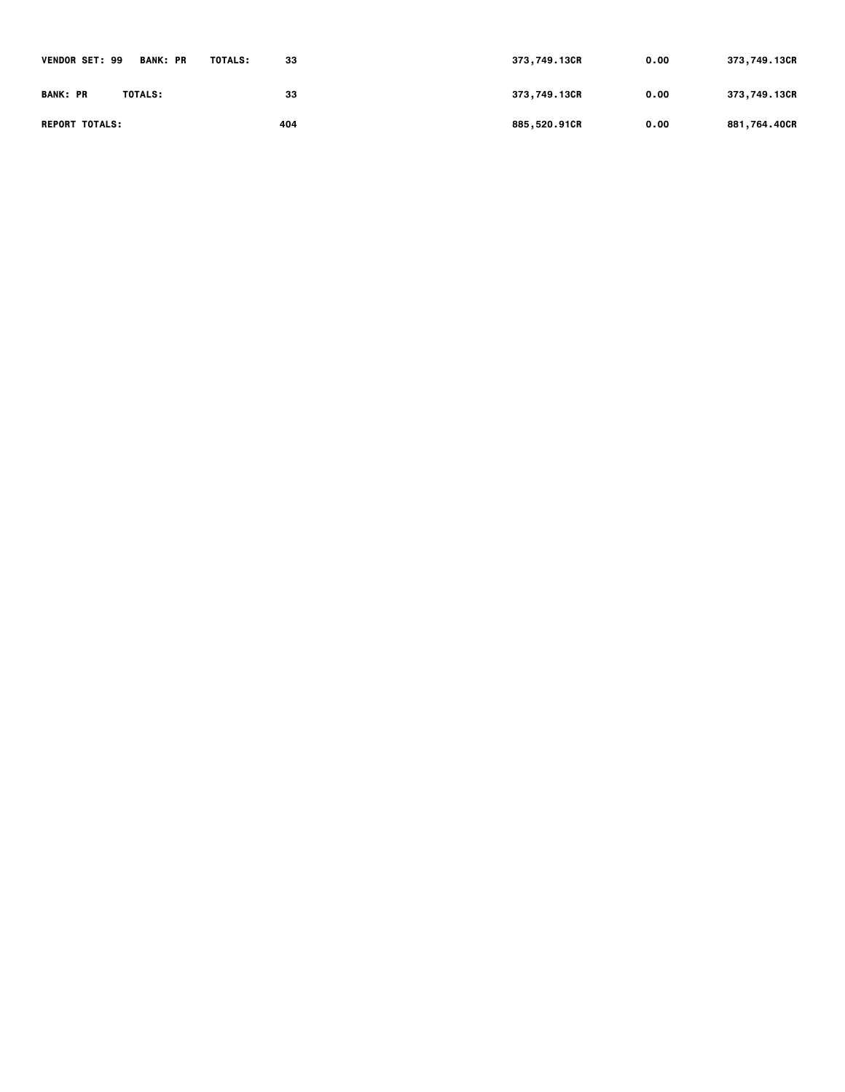| <b>VENDOR SET: 99</b><br><b>BANK: PR</b> | TOTALS:<br>33 | 373,749.13CR | 0.00 | 373,749.13CR |
|------------------------------------------|---------------|--------------|------|--------------|
| <b>BANK: PR</b><br>TOTALS:               | 33            | 373,749.13CR | 0.00 | 373,749.13CR |
| <b>REPORT TOTALS:</b>                    | 404           | 885,520.91CR | 0.00 | 881,764.40CR |